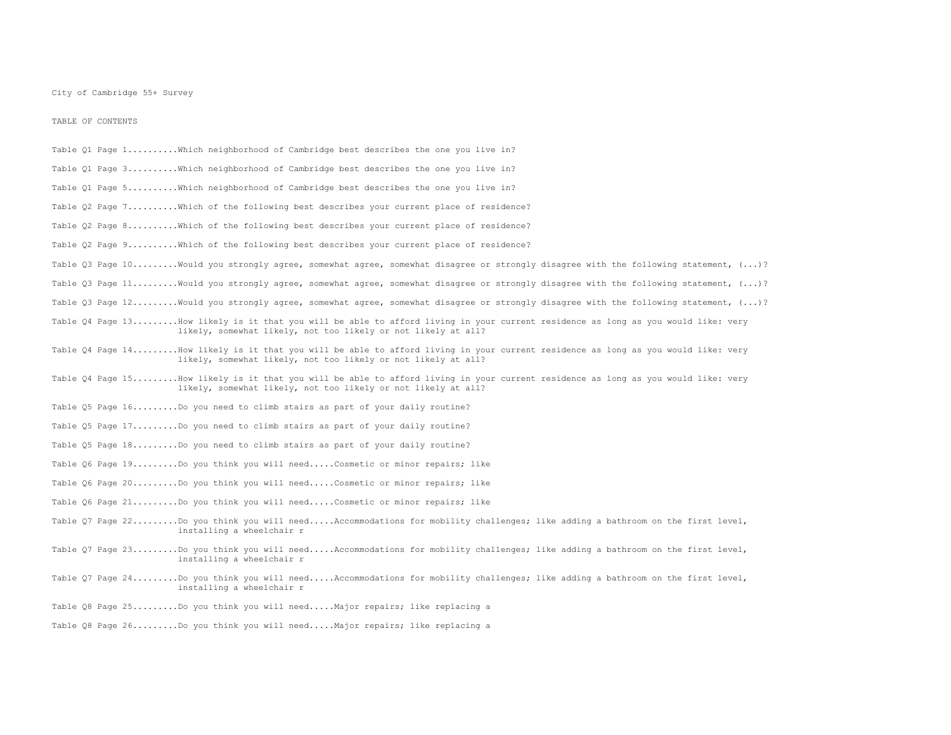TABLE OF CONTENTS

- Table Q1 Page 1..........Which neighborhood of Cambridge best describes the one you live in? Table Q1 Page 3..........Which neighborhood of Cambridge best describes the one you live in? Table Q1 Page 5..........Which neighborhood of Cambridge best describes the one you live in? Table Q2 Page 7..........Which of the following best describes your current place of residence? Table Q2 Page 8..........Which of the following best describes your current place of residence? Table Q2 Page 9..........Which of the following best describes your current place of residence? Table 03 Page 10.........Would you strongly agree, somewhat agree, somewhat disagree or strongly disagree with the following statement, (...)? Table Q3 Page 11.........Would you strongly agree, somewhat agree, somewhat disagree or strongly disagree with the following statement, (...)? Table Q3 Page 12........Would you strongly agree, somewhat agree, somewhat disagree or strongly disagree with the following statement, (...)? Table Q4 Page 13.........How likely is it that you will be able to afford living in your current residence as long as you would like: very likely, somewhat likely, not too likely or not likely at all? Table Q4 Page 14.........How likely is it that you will be able to afford living in your current residence as long as you would like: very likely, somewhat likely, not too likely or not likely at all? Table Q4 Page 15.........How likely is it that you will be able to afford living in your current residence as long as you would like: very likely, somewhat likely, not too likely or not likely at all? Table Q5 Page 16.........Do you need to climb stairs as part of your daily routine? Table Q5 Page 17.........Do you need to climb stairs as part of your daily routine? Table Q5 Page 18.........Do you need to climb stairs as part of your daily routine? Table Q6 Page 19.........Do you think you will need.....Cosmetic or minor repairs; like Table 06 Page 20.........Do you think you will need.....Cosmetic or minor repairs; like Table Q6 Page 21.........Do you think you will need.....Cosmetic or minor repairs; like Table Q7 Page 22.........Do you think you will need.....Accommodations for mobility challenges; like adding a bathroom on the first level, installing a wheelchair r Table Q7 Page 23.........Do you think you will need.....Accommodations for mobility challenges; like adding a bathroom on the first level, installing a wheelchair r
- Table 07 Page 24.........Do you think you will need.....Accommodations for mobility challenges; like adding a bathroom on the first level, installing a wheelchair r
- Table Q8 Page 25.........Do you think you will need.....Major repairs; like replacing a
- Table Q8 Page 26.........Do you think you will need.....Major repairs; like replacing a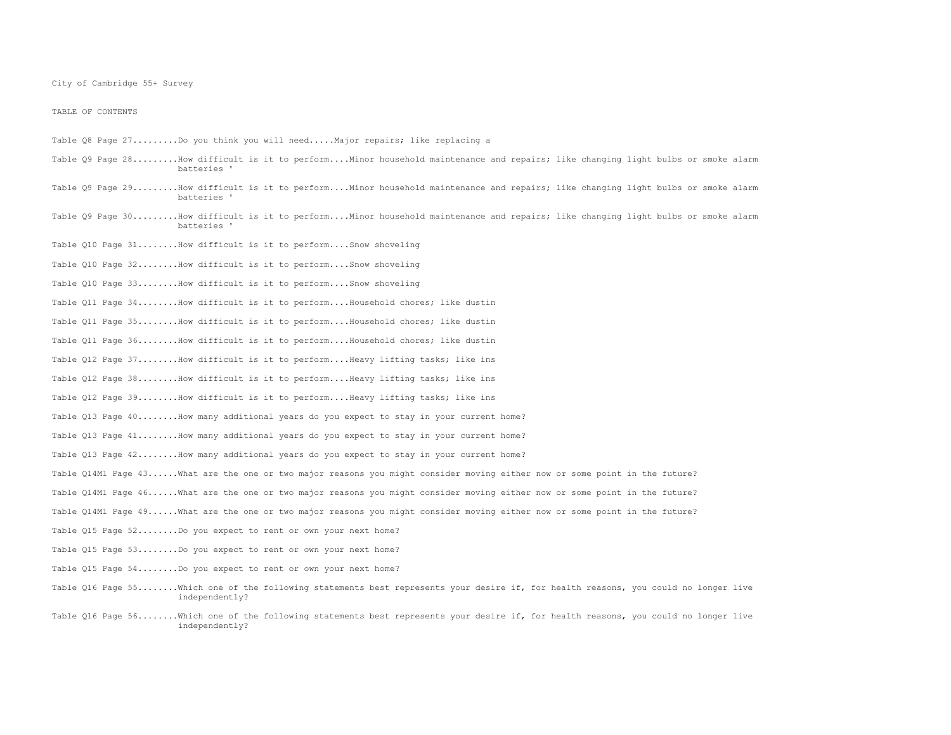TABLE OF CONTENTS

- Table Q8 Page 27.........Do you think you will need.....Major repairs; like replacing a
- Table Q9 Page 28.........How difficult is it to perform....Minor household maintenance and repairs; like changing light bulbs or smoke alarm batteries '
- Table Q9 Page 29.........How difficult is it to perform....Minor household maintenance and repairs; like changing light bulbs or smoke alarm batteries '
- Table 09 Page 30.........How difficult is it to perform....Minor household maintenance and repairs; like changing light bulbs or smoke alarm batteries '
- Table Q10 Page 31........How difficult is it to perform....Snow shoveling
- Table Q10 Page 32........How difficult is it to perform....Snow shoveling
- Table Q10 Page 33........How difficult is it to perform....Snow shoveling
- Table Q11 Page 34........How difficult is it to perform....Household chores; like dustin
- Table Q11 Page 35........How difficult is it to perform....Household chores; like dustin
- Table Q11 Page 36........How difficult is it to perform....Household chores; like dustin
- Table Q12 Page 37........How difficult is it to perform....Heavy lifting tasks; like ins
- Table Q12 Page 38........How difficult is it to perform....Heavy lifting tasks; like ins
- Table 012 Page 39........How difficult is it to perform....Heavy lifting tasks; like ins
- Table Q13 Page 40........How many additional years do you expect to stay in your current home?
- Table Q13 Page 41........How many additional years do you expect to stay in your current home?
- Table Q13 Page 42........How many additional years do you expect to stay in your current home?
- Table Q14M1 Page 43......What are the one or two major reasons you might consider moving either now or some point in the future?
- Table Q14M1 Page 46......What are the one or two major reasons you might consider moving either now or some point in the future?
- Table 014M1 Page 49......What are the one or two major reasons you might consider moving either now or some point in the future?
- Table Q15 Page 52........Do you expect to rent or own your next home?
- Table Q15 Page 53........Do you expect to rent or own your next home?
- Table Q15 Page 54........Do you expect to rent or own your next home?
- Table Q16 Page 55........Which one of the following statements best represents your desire if, for health reasons, you could no longer live independently?
- Table Q16 Page 56........Which one of the following statements best represents your desire if, for health reasons, you could no longer live independently?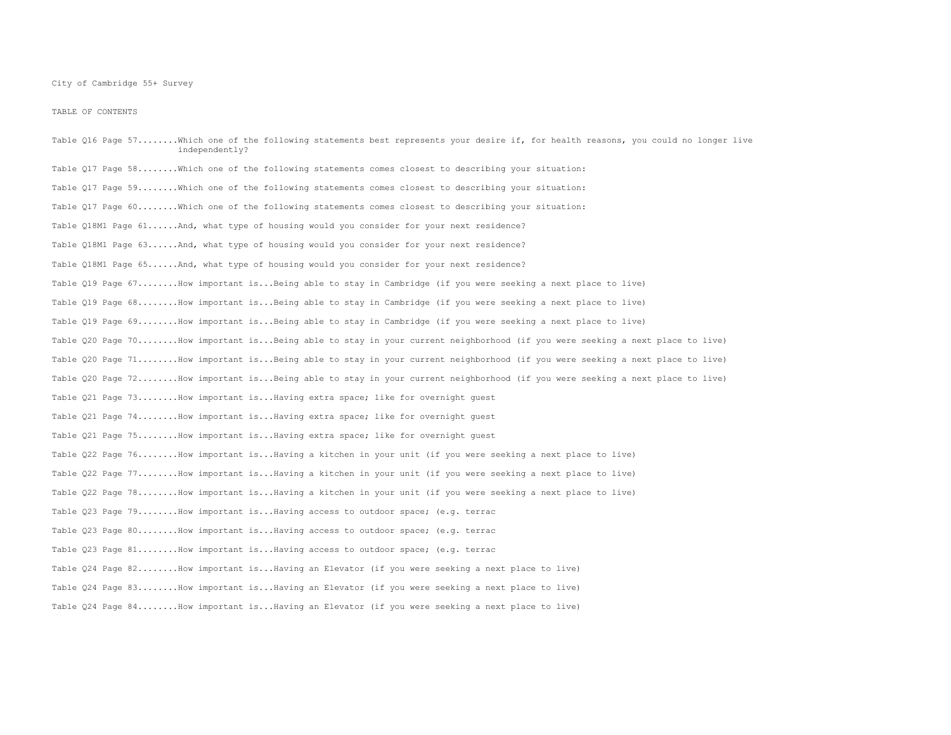TABLE OF CONTENTS

Table Q16 Page 57........Which one of the following statements best represents your desire if, for health reasons, you could no longer live independently? Table Q17 Page 58........Which one of the following statements comes closest to describing your situation: Table Q17 Page 59........Which one of the following statements comes closest to describing your situation: Table Q17 Page 60........Which one of the following statements comes closest to describing your situation: Table Q18M1 Page 61......And, what type of housing would you consider for your next residence? Table Q18M1 Page 63......And, what type of housing would you consider for your next residence? Table Q18M1 Page 65......And, what type of housing would you consider for your next residence? Table Q19 Page 67........How important is...Being able to stay in Cambridge (if you were seeking a next place to live) Table Q19 Page 68........How important is...Being able to stay in Cambridge (if you were seeking a next place to live) Table Q19 Page 69........How important is...Being able to stay in Cambridge (if you were seeking a next place to live) Table Q20 Page 70........How important is...Being able to stay in your current neighborhood (if you were seeking a next place to live) Table Q20 Page 71........How important is...Being able to stay in your current neighborhood (if you were seeking a next place to live) Table Q20 Page 72........How important is...Being able to stay in your current neighborhood (if you were seeking a next place to live) Table 021 Page 73........How important is...Having extra space; like for overnight quest Table Q21 Page 74........How important is...Having extra space; like for overnight guest Table Q21 Page 75........How important is...Having extra space; like for overnight guest Table Q22 Page 76........How important is...Having a kitchen in your unit (if you were seeking a next place to live) Table Q22 Page 77........How important is...Having a kitchen in your unit (if you were seeking a next place to live) Table Q22 Page 78........How important is...Having a kitchen in your unit (if you were seeking a next place to live) Table Q23 Page 79........How important is...Having access to outdoor space; (e.g. terrac Table 023 Page 80........How important is...Having access to outdoor space; (e.g. terrac Table Q23 Page 81........How important is...Having access to outdoor space; (e.g. terrac Table Q24 Page 82........How important is...Having an Elevator (if you were seeking a next place to live) Table Q24 Page 83........How important is...Having an Elevator (if you were seeking a next place to live) Table Q24 Page 84........How important is...Having an Elevator (if you were seeking a next place to live)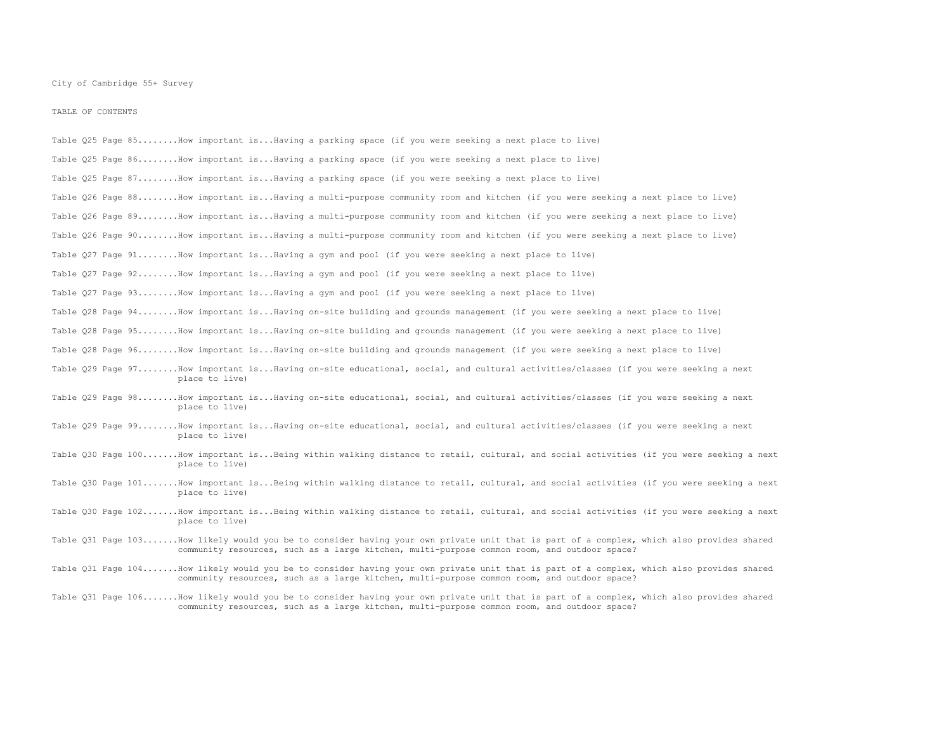TABLE OF CONTENTS

| Table Q25 Page 85How important isHaving a parking space (if you were seeking a next place to live)                                                                                                                                      |
|-----------------------------------------------------------------------------------------------------------------------------------------------------------------------------------------------------------------------------------------|
| Table Q25 Page 86How important isHaving a parking space (if you were seeking a next place to live)                                                                                                                                      |
| Table Q25 Page 87How important isHaving a parking space (if you were seeking a next place to live)                                                                                                                                      |
| Table Q26 Paqe 88How important isHaving a multi-purpose community room and kitchen (if you were seeking a next place to live)                                                                                                           |
| Table Q26 Page 89How important isHaving a multi-purpose community room and kitchen (if you were seeking a next place to live)                                                                                                           |
| Table Q26 Page 90How important isHaving a multi-purpose community room and kitchen (if you were seeking a next place to live)                                                                                                           |
| Table Q27 Page 91How important isHaving a gym and pool (if you were seeking a next place to live)                                                                                                                                       |
| Table Q27 Page 92How important isHaving a gym and pool (if you were seeking a next place to live)                                                                                                                                       |
| Table Q27 Page 93How important isHaving a gym and pool (if you were seeking a next place to live)                                                                                                                                       |
| Table Q28 Page 94How important isHaving on-site building and grounds management (if you were seeking a next place to live)                                                                                                              |
| Table Q28 Page 95How important isHaving on-site building and grounds management (if you were seeking a next place to live)                                                                                                              |
| Table Q28 Page 96How important isHaving on-site building and grounds management (if you were seeking a next place to live)                                                                                                              |
| Table Q29 Page 97How important isHaving on-site educational, social, and cultural activities/classes (if you were seeking a next<br>place to live)                                                                                      |
| Table Q29 Page 98How important isHaving on-site educational, social, and cultural activities/classes (if you were seeking a next<br>place to live)                                                                                      |
| Table Q29 Page 99How important isHaving on-site educational, social, and cultural activities/classes (if you were seeking a next<br>place to live)                                                                                      |
| Table Q30 Page 100How important isBeing within walking distance to retail, cultural, and social activities (if you were seeking a next<br>place to live)                                                                                |
| Table Q30 Page 101How important isBeing within walking distance to retail, cultural, and social activities (if you were seeking a next<br>place to live)                                                                                |
| Table Q30 Page 102How important isBeing within walking distance to retail, cultural, and social activities (if you were seeking a next<br>place to live)                                                                                |
| Table Q31 Page 103How likely would you be to consider having your own private unit that is part of a complex, which also provides shared<br>community resources, such as a large kitchen, multi-purpose common room, and outdoor space? |
| Table Q31 Page 104How likely would you be to consider having your own private unit that is part of a complex, which also provides shared<br>community resources, such as a large kitchen, multi-purpose common room, and outdoor space? |

Table Q31 Page 106.......How likely would you be to consider having your own private unit that is part of a complex, which also provides shared community resources, such as a large kitchen, multi-purpose common room, and outdoor space?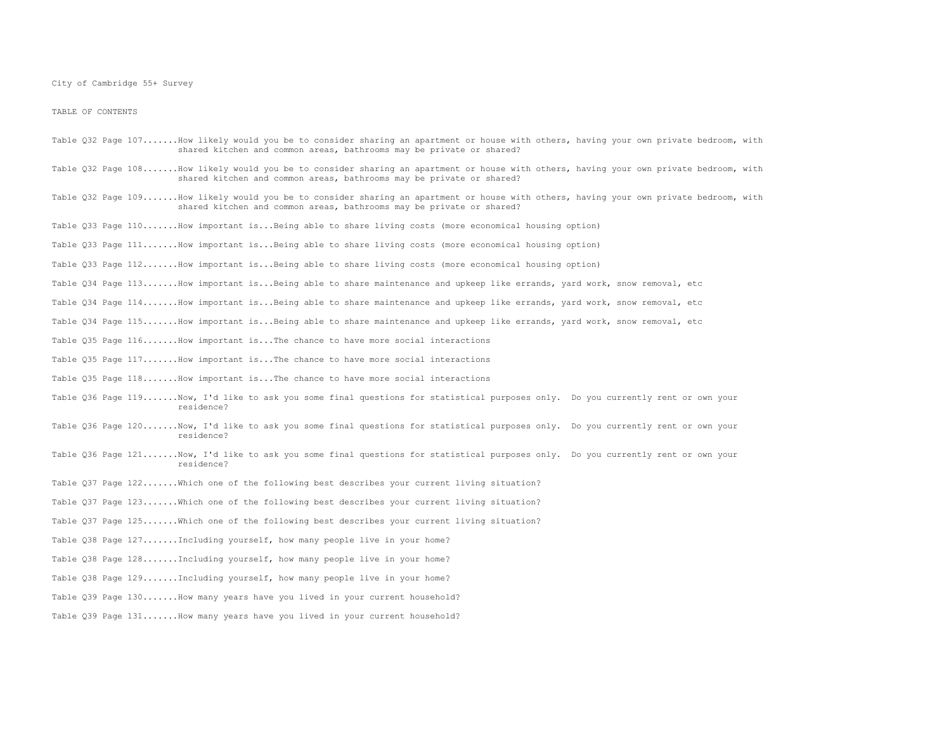TABLE OF CONTENTS

- Table Q32 Page 107.......How likely would you be to consider sharing an apartment or house with others, having your own private bedroom, with shared kitchen and common areas, bathrooms may be private or shared?
- Table Q32 Page 108.......How likely would you be to consider sharing an apartment or house with others, having your own private bedroom, with shared kitchen and common areas, bathrooms may be private or shared?
- Table Q32 Page 109.......How likely would you be to consider sharing an apartment or house with others, having your own private bedroom, with shared kitchen and common areas, bathrooms may be private or shared?
- Table Q33 Page 110.......How important is...Being able to share living costs (more economical housing option)
- Table Q33 Page 111.......How important is...Being able to share living costs (more economical housing option)
- Table Q33 Page 112.......How important is...Being able to share living costs (more economical housing option)
- Table Q34 Page 113.......How important is...Being able to share maintenance and upkeep like errands, yard work, snow removal, etc
- Table Q34 Page 114.......How important is...Being able to share maintenance and upkeep like errands, yard work, snow removal, etc
- Table Q34 Page 115.......How important is...Being able to share maintenance and upkeep like errands, yard work, snow removal, etc
- Table Q35 Page 116.......How important is...The chance to have more social interactions
- Table Q35 Page 117.......How important is...The chance to have more social interactions
- Table Q35 Page  $118$ .......How important is...The chance to have more social interactions
- Table 036 Page 119.......Now, I'd like to ask you some final questions for statistical purposes only. Do you currently rent or own your residence?
- Table Q36 Page 120.......Now, I'd like to ask you some final questions for statistical purposes only. Do you currently rent or own your residence?
- Table Q36 Page 121.......Now, I'd like to ask you some final questions for statistical purposes only. Do you currently rent or own your residence?
- Table 037 Page 122.......Which one of the following best describes your current living situation?
- Table Q37 Page 123.......Which one of the following best describes your current living situation?
- Table Q37 Page 125.......Which one of the following best describes your current living situation?
- Table Q38 Page 127.......Including yourself, how many people live in your home?
- Table Q38 Page 128.......Including yourself, how many people live in your home?
- Table 038 Page 129.......Including yourself, how many people live in your home?
- Table Q39 Page 130.......How many years have you lived in your current household?
- Table Q39 Page 131.......How many years have you lived in your current household?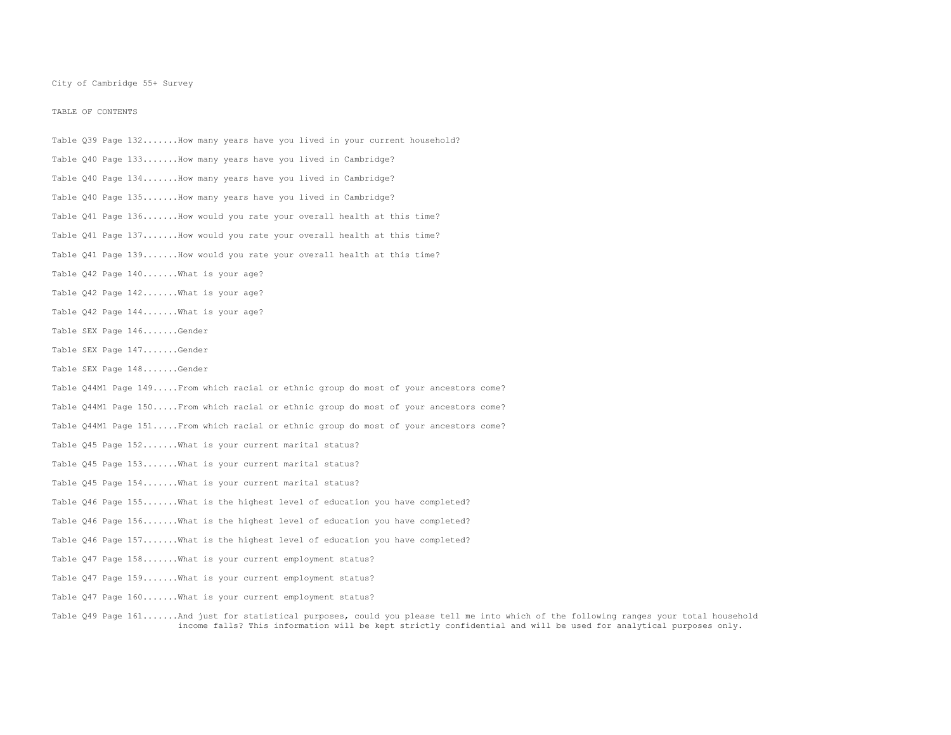TABLE OF CONTENTS

Table Q39 Page 132.......How many years have you lived in your current household? Table Q40 Page 133.......How many years have you lived in Cambridge? Table Q40 Page 134.......How many years have you lived in Cambridge? Table Q40 Page 135.......How many years have you lived in Cambridge? Table Q41 Page 136.......How would you rate your overall health at this time? Table Q41 Page 137.......How would you rate your overall health at this time? Table Q41 Page 139.......How would you rate your overall health at this time? Table Q42 Page 140.......What is your age? Table Q42 Page 142.......What is your age? Table Q42 Page 144.......What is your age? Table SEX Page 146.......Gender Table SEX Page 147.......Gender Table SEX Page 148.......Gender Table Q44M1 Page 149.....From which racial or ethnic group do most of your ancestors come? Table Q44M1 Page 150.....From which racial or ethnic group do most of your ancestors come? Table Q44M1 Page 151.....From which racial or ethnic group do most of your ancestors come? Table Q45 Page 152.......What is your current marital status? Table Q45 Page 153.......What is your current marital status? Table 045 Page 154....... What is your current marital status? Table Q46 Page 155.......What is the highest level of education you have completed? Table Q46 Page 156.......What is the highest level of education you have completed? Table Q46 Page 157.......What is the highest level of education you have completed? Table Q47 Page 158.......What is your current employment status? Table 047 Page 159.......What is your current employment status? Table 047 Page 160.......What is your current employment status?

Table Q49 Page 161.......And just for statistical purposes, could you please tell me into which of the following ranges your total household income falls? This information will be kept strictly confidential and will be used for analytical purposes only.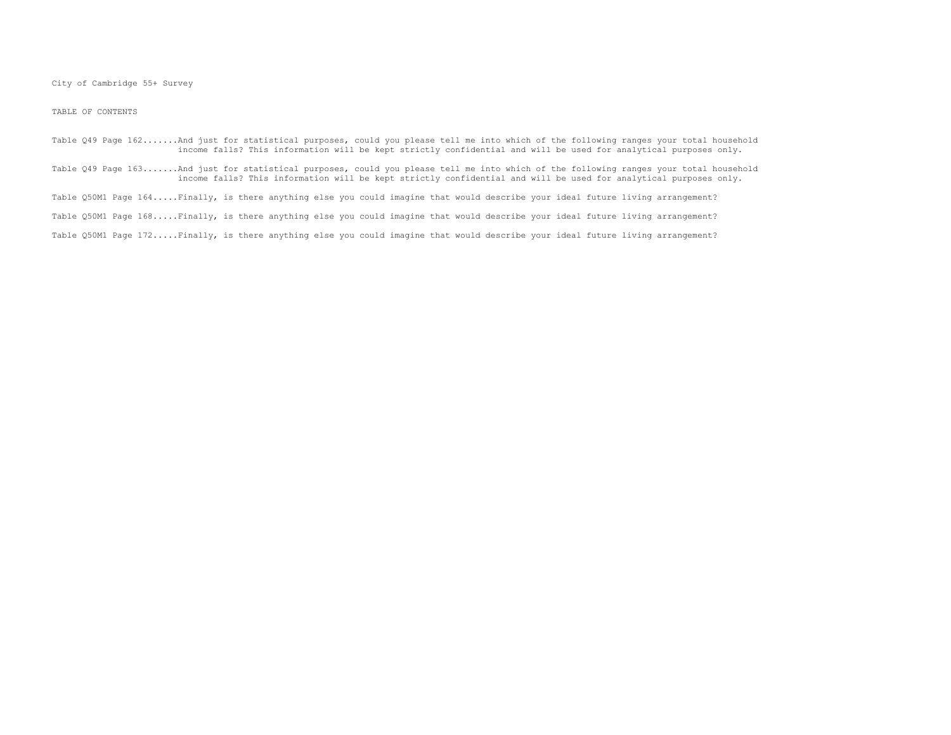TABLE OF CONTENTS

Table Q49 Page 162.......And just for statistical purposes, could you please tell me into which of the following ranges your total household income falls? This information will be kept strictly confidential and will be used for analytical purposes only.

Table Q49 Page 163.......And just for statistical purposes, could you please tell me into which of the following ranges your total household<br>income falls? This information will be kept strictly confidential and will be use

Table Q50M1 Page 164.....Finally, is there anything else you could imagine that would describe your ideal future living arrangement?

Table Q50M1 Page 168.....Finally, is there anything else you could imagine that would describe your ideal future living arrangement?

Table Q50M1 Page 172.....Finally, is there anything else you could imagine that would describe your ideal future living arrangement?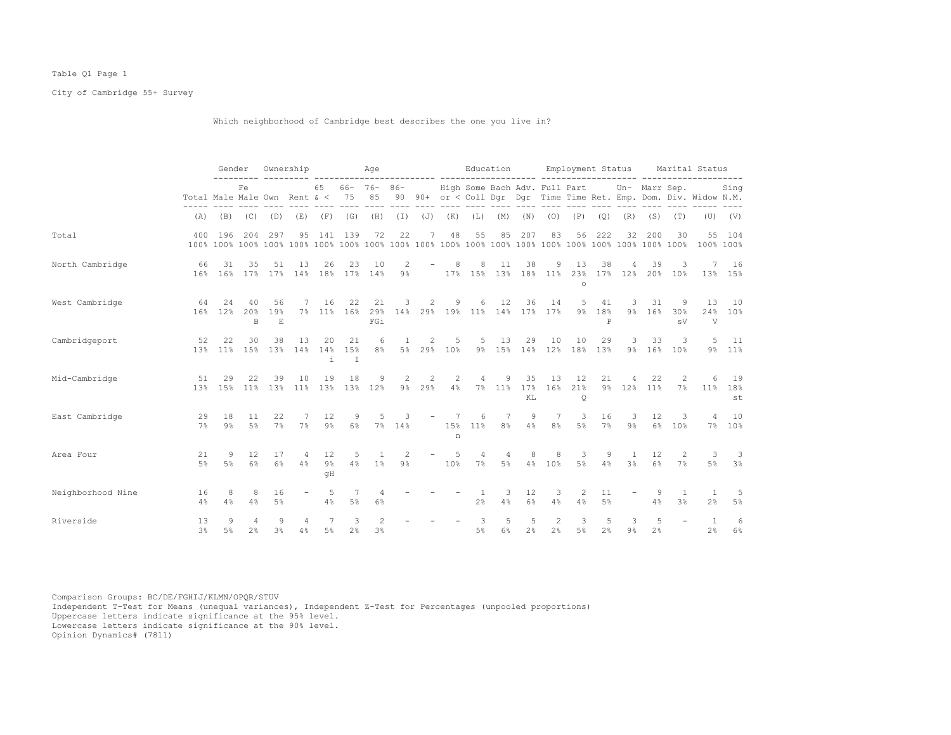## Table Q1 Page 1

City of Cambridge 55+ Survey

Which neighborhood of Cambridge best describes the one you live in?

|                   |                                     | Gender        |                     |                     | Ownership                             |                   |                         | Age                                                                                                                                                                                                                                                                                                                                                                                                                                          |              |                          |                     |                                |                                  | Education<br>------ --------------            |                                   |                      |                           | Employment Status    |                       |                                  | Marital Status                                                    |                                           |
|-------------------|-------------------------------------|---------------|---------------------|---------------------|---------------------------------------|-------------------|-------------------------|----------------------------------------------------------------------------------------------------------------------------------------------------------------------------------------------------------------------------------------------------------------------------------------------------------------------------------------------------------------------------------------------------------------------------------------------|--------------|--------------------------|---------------------|--------------------------------|----------------------------------|-----------------------------------------------|-----------------------------------|----------------------|---------------------------|----------------------|-----------------------|----------------------------------|-------------------------------------------------------------------|-------------------------------------------|
|                   | Total Male Male Own Rent $\<$ 75 85 |               | Fe                  |                     |                                       | 65                |                         | $66 - 76 - 86 -$                                                                                                                                                                                                                                                                                                                                                                                                                             |              |                          |                     |                                |                                  | High Some Bach Adv. Full Part                 |                                   |                      |                           |                      | Un- Marr Sep.         |                                  | 90 90+ or < Coll Dgr Dgr Time Time Ret. Emp. Dom. Div. Widow N.M. | Sing                                      |
|                   | (A)                                 | (B)           | (C)                 | (D)                 | (E)                                   | (F)               | (G)                     | (H)                                                                                                                                                                                                                                                                                                                                                                                                                                          | $(\top)$     | (J)                      | (K)                 | (L)                            | (M)                              | (N)                                           | (0)                               | (P)                  | (Q)                       | (R)                  | (S)                   | (T)                              | (U)                                                               | (V)                                       |
| Total             |                                     | 400 196       |                     | 204 297             | 95                                    |                   | 141 139                 | 72                                                                                                                                                                                                                                                                                                                                                                                                                                           | 22           | 7                        | 48                  | 55                             | 85                               | 207                                           | 83                                | 56                   | 222                       | 32                   | 200                   | 30                               | $55 -$                                                            | 104<br>100% 100%                          |
| North Cambridge   | 66                                  | 31            | 35                  | 51                  | 13<br>16% 16% 17% 17% 14% 18% 17% 14% | 26                | 23                      | 10                                                                                                                                                                                                                                                                                                                                                                                                                                           | 2<br>$9\%$   |                          | 8                   | 8                              | 11                               | 38<br>17% 15% 13% 18% 11% 23% 17% 12% 20% 10% | 9                                 | 13<br>$\circ$        | 38                        | 4                    | 39                    | 3                                | 7                                                                 | 16<br>13% 15%                             |
| West Cambridge    | 64                                  | 24<br>16% 12% | 40<br>20%<br>B      | 56<br>19%<br>E      | 7<br>$7\%$                            | 16                | 22<br>11% 16% 29%       | 21<br>FGi                                                                                                                                                                                                                                                                                                                                                                                                                                    | 3            | 2                        | 9                   | 6                              | 12                               | 36<br>14% 29% 19% 11% 14% 17% 17%             | 14                                | 5<br>$9\%$           | 41<br>18%<br>$\, {\bf P}$ | 3                    | 31<br>9% 16%          | 9<br>30%<br>sV                   | 13<br>V                                                           | 10<br>24% 10%                             |
| Cambridgeport     | 52<br>13%                           | 22<br>11%     | 30<br>15%           | 38<br>13%           | 13<br>14%                             | 20<br>14%<br>i.   | 21<br>15%<br>T          | 6<br>8 <sup>°</sup>                                                                                                                                                                                                                                                                                                                                                                                                                          | $\mathbf{1}$ | 2                        | 5                   |                                | $5 \t13$                         | 29<br>5% 29% 10% 9% 15% 14% 12% 18% 13%       | 10                                | 10                   | 29                        | 3<br>9월              | 33<br>16 <sup>°</sup> | 3<br>10 <sup>8</sup>             |                                                                   | $5 \quad 11$<br>9% 11%                    |
| Mid-Cambridge     | 51<br>13%                           | 29<br>15%     | 22<br>11%           | 39<br>13%           | 10<br>11%                             | 19                | 18<br>13% 13% 12%       | 9                                                                                                                                                                                                                                                                                                                                                                                                                                            | 2            | -2<br>9% 29%             | -2<br>4%            | $\overline{4}$                 | 9<br>7% 11%                      | 35<br>17%<br>KL                               | 13<br>16%                         | 12<br>21%<br>$\circ$ | 21                        | 4<br>9% 12%          | 22<br>11%             | 2<br>7%                          | 6                                                                 | 19<br>11% 18%<br>st                       |
| East Cambridge    | 29<br>7%                            | - 18<br>9%    | 11<br>5%            | 22<br>7%            | 7<br>7%                               | 12<br>9%          | 9<br>6%                 | 5                                                                                                                                                                                                                                                                                                                                                                                                                                            | 3<br>7% 14%  | $\overline{\phantom{a}}$ | $\overline{7}$<br>n | 6<br>15% 11%                   | $\overline{7}$<br>8 <sup>°</sup> | 9<br>4%                                       | $7\phantom{.0}$<br>8 <sup>°</sup> | 3<br>5%              | 16                        | -3<br>7% 9%          | 12<br>$6\%$           | -3<br>10%                        | $\overline{4}$                                                    | 10<br>7% 10%                              |
| Area Four         | 21<br>5%                            | 9<br>5%       | 12<br>6%            | 17<br>6%            | $\overline{4}$<br>4%                  | 12<br>$9\%$<br>qΗ | -5<br>4%                | $\overline{1}$<br>1%                                                                                                                                                                                                                                                                                                                                                                                                                         | 2<br>9%      | $\overline{\phantom{m}}$ | $5^{\circ}$<br>10%  | $\overline{4}$<br>7%           | $\overline{4}$<br>$5\%$          | 8<br>4%                                       | 8<br>10%                          | 3<br>$5\%$           | 9<br>4%                   | $\overline{1}$<br>3% | 12<br>6%              | 2<br>7%                          | 3<br>5%                                                           | $\overline{\mathbf{3}}$<br>$3\frac{6}{5}$ |
| Neighborhood Nine | 16<br>4%                            | 8<br>4%       | 8<br>4%             | 16<br>$5\%$         | $\overline{\phantom{a}}$              | 5<br>4%           | $\overline{7}$<br>$5\%$ | 4<br>$6\%$                                                                                                                                                                                                                                                                                                                                                                                                                                   |              |                          |                     | <sup>1</sup><br>2 <sup>°</sup> | 3<br>4%                          | 12<br>$6\%$                                   | 3<br>4%                           | 2<br>4%              | 11<br>$5\%$               |                      | 4%                    | $\overline{1}$<br>3 <sup>°</sup> | $\overline{1}$<br>2 <sup>°</sup>                                  | - 5<br>$5\%$                              |
| Riverside         | 13<br>3%                            | 9<br>$5\%$    | 4<br>2 <sup>°</sup> | 9<br>3 <sup>°</sup> | 4<br>4%                               | 7<br>$5\%$        | 3<br>2%                 | $\mathfrak{D}_{1}^{2}(\mathfrak{D}_{1})=\mathfrak{D}_{2}^{2}(\mathfrak{D}_{2})=\mathfrak{D}_{2}^{2}(\mathfrak{D}_{1})=\mathfrak{D}_{2}^{2}(\mathfrak{D}_{2})=\mathfrak{D}_{2}^{2}(\mathfrak{D}_{1})=\mathfrak{D}_{2}^{2}(\mathfrak{D}_{1})=\mathfrak{D}_{2}^{2}(\mathfrak{D}_{1})=\mathfrak{D}_{2}^{2}(\mathfrak{D}_{2})=\mathfrak{D}_{2}^{2}(\mathfrak{D}_{1})=\mathfrak{D}_{2}^{2}(\mathfrak{D}_{1})=\mathfrak{D}_{2}^{$<br>$3\frac{6}{9}$ |              |                          |                     | 3<br>$5\%$                     | $\overline{5}$<br>$6\%$          | 5<br>2%                                       | 2<br>2%                           | 3<br>$5\%$           | 5<br>2%                   | 3<br>$9\frac{6}{9}$  | .5<br>2 <sup>°</sup>  |                                  | $\overline{1}$<br>2%                                              | 6<br>6%                                   |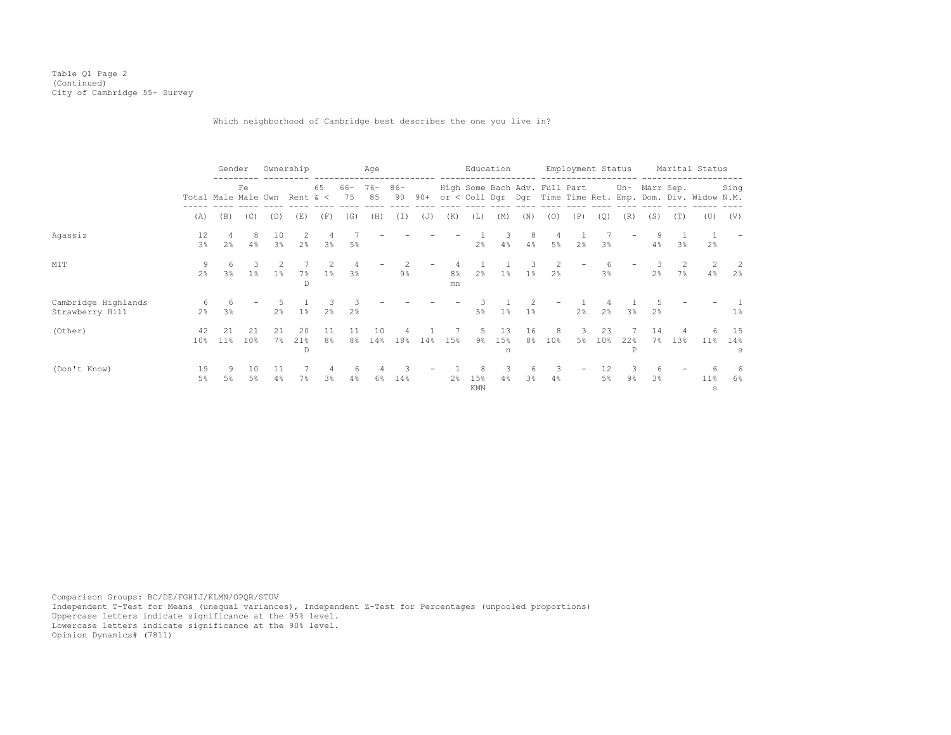## Which neighborhood of Cambridge best describes the one you live in?

|                                        |                                         | Gender              |                     | Ownership            |                |                     |                | Age          |              |       |                      | Education       |                |                     |                               | Employment Status |                       |                     |                     |                | Marital Status                                             |                     |
|----------------------------------------|-----------------------------------------|---------------------|---------------------|----------------------|----------------|---------------------|----------------|--------------|--------------|-------|----------------------|-----------------|----------------|---------------------|-------------------------------|-------------------|-----------------------|---------------------|---------------------|----------------|------------------------------------------------------------|---------------------|
|                                        | Fe<br>Total Male Male Own<br>(B)<br>(A) |                     |                     |                      | Rent & $\lt$   | 65                  | 66-<br>75      | $76 -$<br>85 | $86 -$<br>90 | $90+$ |                      |                 |                |                     | High Some Bach Adv. Full Part |                   |                       |                     | Un- Marr Sep.       |                | or < Coll Dgr Dgr Time Time Ret. Emp. Dom. Div. Widow N.M. | Sing                |
|                                        |                                         |                     | (C)                 | (D)                  | (E)            | (F)                 | (G)            | (H)          | (I)          | (J)   | (K)                  | (L)             | (M)            | (N)                 | (0)                           | (P)               | (Q)                   | (R)                 | (S)                 | (T)            | (U)                                                        | (V)                 |
| Agassiz                                | 12<br>$3\frac{6}{9}$                    | 2 <sup>°</sup>      | 8<br>4%             | 10<br>3 <sup>°</sup> | 2 <sup>°</sup> | 4<br>3%             | 5%             |              |              |       |                      | 2 <sup>°</sup>  | 4%             | 8<br>4%             | 4<br>$5\%$                    | 2 <sup>°</sup>    | 3 <sup>°</sup>        | $\qquad \qquad -$   | 9<br>4%             | 3 <sup>8</sup> | 2 <sup>°</sup>                                             |                     |
| MIT                                    | 9<br>2 <sup>°</sup>                     | 6<br>3 <sup>°</sup> | 3<br>1 <sup>°</sup> | $1\%$                | 7%<br>D        | $1\%$               | 3 <sup>8</sup> |              | $9\%$        |       | 8 <sup>°</sup><br>mn | 2 <sup>8</sup>  | $1\%$          | $1\%$               | 2<br>2 <sup>°</sup>           |                   | 6<br>3 <sup>8</sup>   |                     | 2 <sup>8</sup>      | 7%             | 4%                                                         | 2<br>2 <sup>°</sup> |
| Cambridge Highlands<br>Strawberry Hill | 6<br>$2\frac{6}{9}$                     | 6<br>3 <sup>°</sup> |                     | 2 <sup>8</sup>       | $1\%$          | 2 <sup>°</sup>      | 2 <sup>°</sup> |              |              |       |                      | 5%              | 1%             | $1\%$               | $\overline{\phantom{0}}$      | 2 <sup>°</sup>    | 2 <sup>°</sup>        | 3 <sup>°</sup>      | 2 <sup>°</sup>      |                |                                                            | $1\%$               |
| (Other)                                | 42<br>10%                               | $11\%$              | 21<br>10%           | 21<br>7%             | 20<br>21%<br>D | 11<br>8%            | 11<br>8%       | 10<br>14%    | 18%          | 14%   | 15%                  | 9%              | 13<br>15%<br>n | 16<br>8%            | 8<br>10 <sup>8</sup>          | 3<br>5%           | 23<br>10 <sup>8</sup> | 22%<br>P            | 14<br>7%            | 13%            | $11\%$                                                     | 15<br>14%<br>s      |
| (Don't Know)                           | 19<br>$5\%$                             | 9<br>5%             | 10<br>5%            | 11<br>4%             | 7%             | 4<br>3 <sup>°</sup> | 6<br>4%        | 6%           | 14%          |       | 2 <sup>°</sup>       | 8<br>15%<br>KMN | 3<br>4%        | 6<br>3 <sup>8</sup> | 3<br>4%                       |                   | 12<br>5%              | 3<br>9 <sub>8</sub> | 6<br>3 <sup>8</sup> |                | $11\%$<br>s                                                | 6<br>6%             |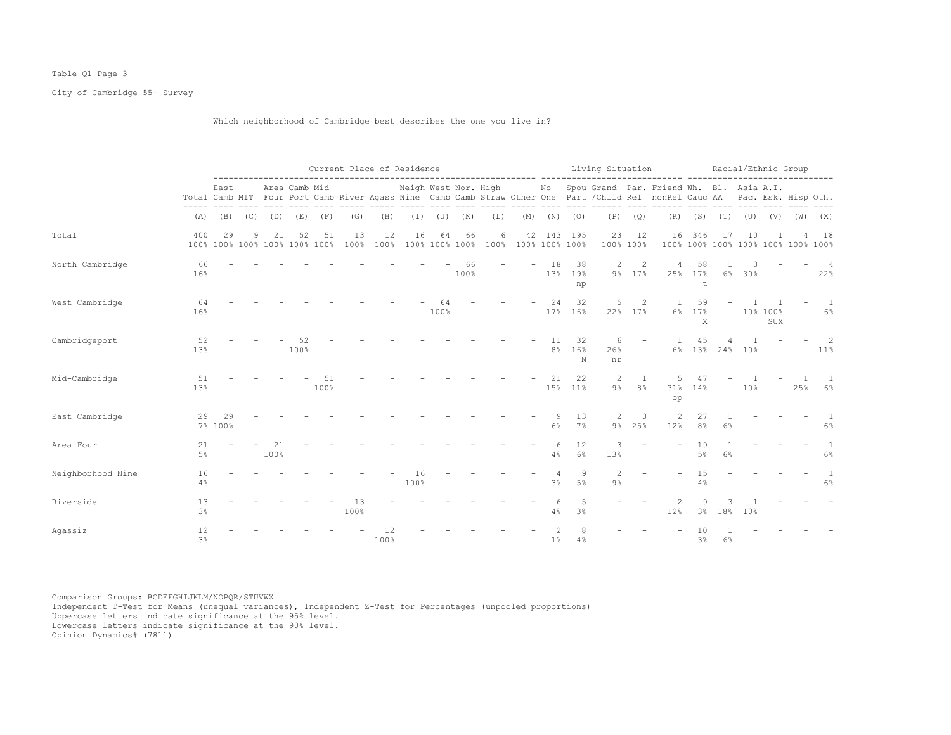## Table Q1 Page 3

City of Cambridge 55+ Survey

## Which neighborhood of Cambridge best describes the one you live in?

|                   |             |               |             |            |                                     |            |            |            | Current Place of Residence |            |                   |                                                                                                                                                                                                                                                                                                                                                                                                                                                                           |                                          |                      |                                                                                                                                                                                                                                                                                                                                                                                              |                       |                          | Living Situation Macial/Ethnic Group                                                                                                                                                             |                      |                                          |        |                                   |             |                         |
|-------------------|-------------|---------------|-------------|------------|-------------------------------------|------------|------------|------------|----------------------------|------------|-------------------|---------------------------------------------------------------------------------------------------------------------------------------------------------------------------------------------------------------------------------------------------------------------------------------------------------------------------------------------------------------------------------------------------------------------------------------------------------------------------|------------------------------------------|----------------------|----------------------------------------------------------------------------------------------------------------------------------------------------------------------------------------------------------------------------------------------------------------------------------------------------------------------------------------------------------------------------------------------|-----------------------|--------------------------|--------------------------------------------------------------------------------------------------------------------------------------------------------------------------------------------------|----------------------|------------------------------------------|--------|-----------------------------------|-------------|-------------------------|
|                   |             | East          |             |            | Area Camb Mid                       |            |            |            |                            |            |                   |                                                                                                                                                                                                                                                                                                                                                                                                                                                                           |                                          |                      | $\frac{1}{2} \frac{1}{2} \frac{1}{2} \frac{1}{2} \frac{1}{2} \frac{1}{2} \frac{1}{2} \frac{1}{2} \frac{1}{2} \frac{1}{2} \frac{1}{2} \frac{1}{2} \frac{1}{2} \frac{1}{2} \frac{1}{2} \frac{1}{2} \frac{1}{2} \frac{1}{2} \frac{1}{2} \frac{1}{2} \frac{1}{2} \frac{1}{2} \frac{1}{2} \frac{1}{2} \frac{1}{2} \frac{1}{2} \frac{1}{2} \frac{1}{2} \frac{1}{2} \frac{1}{2} \frac{1}{2} \frac{$ |                       |                          | Neigh West Nor. High Mo Spou Grand Par. Friend Wh. Bl. Asia A.I.<br>Total Camb MIT Four Port Camb River Agass Nine Camb Camb Straw Other One Part / Child Rel nonRel Cauc AA Pac. Esk. Hisp Oth. |                      |                                          |        |                                   |             |                         |
|                   | (A)         |               | $(B)$ $(C)$ | (D)        | (E)                                 | (F)        | (G)        | (H)        |                            |            | $(I)$ $(J)$ $(K)$ | $\begin{tabular}{lllllllllllll} \toprule & $\mathcal{P}=\mathcal{P}=\mathcal{P}=\mathcal{P}=\mathcal{P}=\mathcal{P}=\mathcal{P}=\mathcal{P}=\mathcal{P}=\mathcal{P}=\mathcal{P}=\mathcal{P}=\mathcal{P}=\mathcal{P}=\mathcal{P}=\mathcal{P}=\mathcal{P}=\mathcal{P}=\mathcal{P}=\mathcal{P}=\mathcal{P}=\mathcal{P}=\mathcal{P}=\mathcal{P}=\mathcal{P}=\mathcal{P}=\mathcal{P}=\mathcal{P}=\mathcal{P}=\mathcal{P}=\mathcal{P}=\mathcal{P}=\mathcal{P}=\mathcal{$<br>(L) |                                          |                      | $(M)$ $(N)$ $(O)$                                                                                                                                                                                                                                                                                                                                                                            |                       | $\cdots$<br>$(P)$ $(Q)$  | (R)                                                                                                                                                                                              |                      | $(S)$ $(T)$ $(U)$                        |        |                                   | $(V)$ $(W)$ | (X)                     |
| Total             | 400         | 29            | 9           | 21         | 52<br>100% 100% 100% 100% 100% 100% | 51         | 13<br>100% | 12<br>100% | 16                         | 64         | 66                | 6                                                                                                                                                                                                                                                                                                                                                                                                                                                                         | 42<br>100% 100% 100% 100% 100% 100% 100% |                      | 143 195                                                                                                                                                                                                                                                                                                                                                                                      | 23                    | 12<br>100% 100%          | 16                                                                                                                                                                                               | 346                  | 17<br>100% 100% 100% 100% 100% 100% 100% | 10     |                                   |             | 18                      |
| North Cambridge   | 66<br>16%   |               |             |            |                                     |            |            |            |                            |            | 66<br>100%        |                                                                                                                                                                                                                                                                                                                                                                                                                                                                           |                                          | 18<br>13%            | 38<br>19%<br>np                                                                                                                                                                                                                                                                                                                                                                              | $\mathbf{2}$          | $\overline{2}$<br>9% 17% | $\overline{4}$                                                                                                                                                                                   | 58<br>25% 17%<br>t   |                                          | 6% 30% |                                   |             | $\overline{4}$<br>22%   |
| West Cambridge    | 64<br>16%   |               |             |            |                                     |            |            |            |                            | 64<br>100% |                   |                                                                                                                                                                                                                                                                                                                                                                                                                                                                           |                                          | 24                   | 32<br>17% 16%                                                                                                                                                                                                                                                                                                                                                                                | 5                     | 2<br>22% 17%             | $\overline{1}$                                                                                                                                                                                   | 59<br>6% 17%<br>X    |                                          |        | $\overline{1}$<br>10% 100%<br>SUX |             | 1<br>$6\%$              |
| Cambridgeport     | 52<br>13%   |               |             |            | 52<br>100%                          |            |            |            |                            |            |                   |                                                                                                                                                                                                                                                                                                                                                                                                                                                                           |                                          | 11<br>8 <sup>°</sup> | 32<br>16%<br>N                                                                                                                                                                                                                                                                                                                                                                               | 6<br>26%<br>nr        |                          |                                                                                                                                                                                                  | 45                   | 4<br>6% 13% 24% 10%                      |        |                                   |             | $\mathcal{L}$<br>$11\%$ |
| Mid-Cambridge     | 51<br>13%   |               |             |            |                                     | 51<br>100% |            |            |                            |            |                   |                                                                                                                                                                                                                                                                                                                                                                                                                                                                           |                                          | 21                   | 22<br>15% 11%                                                                                                                                                                                                                                                                                                                                                                                | 2<br>$9\%$            | $\mathbf{1}$<br>$8\%$    | 5<br>31%<br>op                                                                                                                                                                                   | 47<br>14%            |                                          | 10%    |                                   | 25%         | -1<br>6%                |
| East Cambridge    | 29          | 29<br>7% 100% |             |            |                                     |            |            |            |                            |            |                   |                                                                                                                                                                                                                                                                                                                                                                                                                                                                           |                                          | 9<br>$6\%$           | 13<br>7%                                                                                                                                                                                                                                                                                                                                                                                     | 2<br>$9\%$            | 3<br>25%                 | 2<br>12%                                                                                                                                                                                         | 27<br>8 <sup>°</sup> | 6%                                       |        |                                   |             | 1<br>$6\%$              |
| Area Four         | 21<br>$5\%$ |               |             | 21<br>100% |                                     |            |            |            |                            |            |                   |                                                                                                                                                                                                                                                                                                                                                                                                                                                                           |                                          | 6<br>4%              | 12<br>$6\%$                                                                                                                                                                                                                                                                                                                                                                                  | 3<br>13%              |                          |                                                                                                                                                                                                  | 19<br>5 <sup>°</sup> | 6%                                       |        |                                   |             | 1<br>$6\%$              |
| Neighborhood Nine | 16<br>4%    |               |             |            |                                     |            |            |            | 16<br>100%                 |            |                   |                                                                                                                                                                                                                                                                                                                                                                                                                                                                           |                                          | 4<br>3 <sup>°</sup>  | $\overline{9}$<br>$5\%$                                                                                                                                                                                                                                                                                                                                                                      | $\mathbf{2}$<br>$9\%$ |                          |                                                                                                                                                                                                  | 15<br>4%             |                                          |        |                                   |             | 1<br>$6\%$              |
| Riverside         | 13<br>3%    |               |             |            |                                     |            | 13<br>100% |            |                            |            |                   |                                                                                                                                                                                                                                                                                                                                                                                                                                                                           |                                          | 6<br>4%              | $\overline{5}$<br>3%                                                                                                                                                                                                                                                                                                                                                                         |                       |                          | 12%                                                                                                                                                                                              | 9<br>3%              | 18%                                      | 10%    |                                   |             |                         |
| Agassiz           | 12<br>3%    |               |             |            |                                     |            |            | 12<br>100% |                            |            |                   |                                                                                                                                                                                                                                                                                                                                                                                                                                                                           |                                          | 1 <sup>°</sup>       | 4%                                                                                                                                                                                                                                                                                                                                                                                           |                       |                          |                                                                                                                                                                                                  | 3%                   | 6%                                       |        |                                   |             |                         |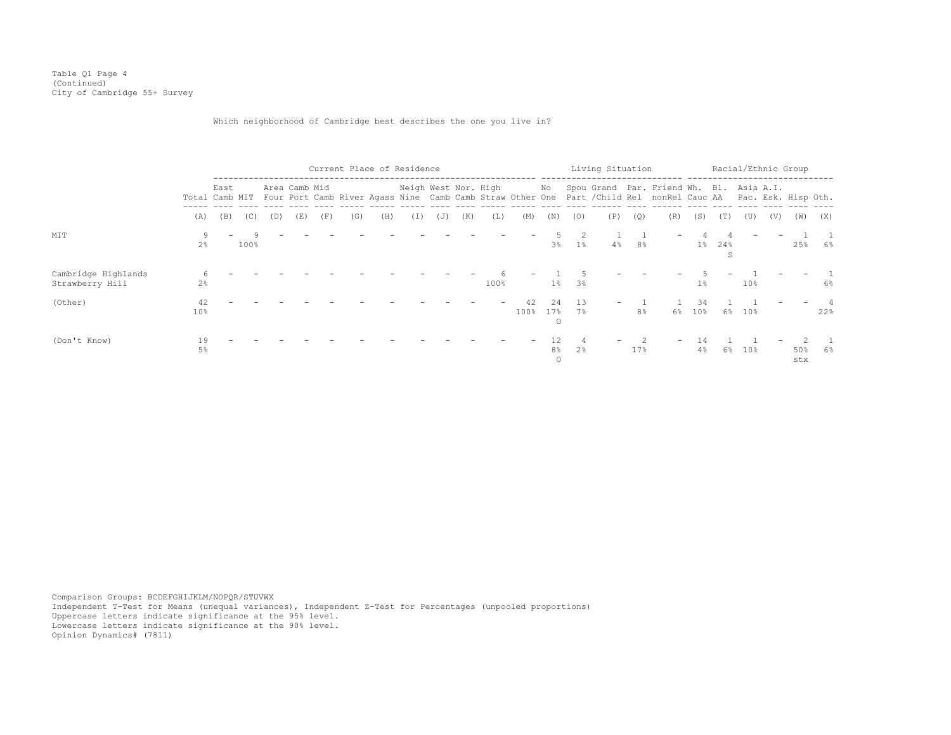Table Q1 Page 4 (Continued) City of Cambridge 55+ Survey

## Which neighborhood of Cambridge best describes the one you live in?

|                                        |                       |                          |           |     |               |     | Current Place of Residence |     |                      |     |     |      |            |                                 |          | Living Situation |                |                                                                                                                                                                             |           |          | Racial/Ethnic Group |     |            |       |
|----------------------------------------|-----------------------|--------------------------|-----------|-----|---------------|-----|----------------------------|-----|----------------------|-----|-----|------|------------|---------------------------------|----------|------------------|----------------|-----------------------------------------------------------------------------------------------------------------------------------------------------------------------------|-----------|----------|---------------------|-----|------------|-------|
|                                        |                       | East                     |           |     | Area Camb Mid |     |                            |     | Neigh West Nor. High |     |     |      |            |                                 |          |                  |                | No Spou Grand Par. Friend Wh. Bl. Asia A.I.<br>Total Camb MIT Four Port Camb River Agass Nine Camb Camb Straw Other One Part / Child Rel nonRel Cauc AA Pac. Esk. Hisp Oth. |           |          |                     |     |            |       |
|                                        | (A)                   | (B)                      | (C)       | (D) | (E)           | (F) | (G)                        | (H) | (I)                  | (J) | (K) | (L)  | (M)        | (N)                             | (0)      | (P)              | (Q)            | (R)                                                                                                                                                                         | (S)       | (T)      | (U)                 | (V) | (W)        | (X)   |
| MIT                                    | 9<br>2 <sup>°</sup>   | $\overline{\phantom{0}}$ | Q<br>100% |     |               |     |                            |     |                      |     |     |      |            | 3 <sup>°</sup>                  | $1\%$    | $4\%$            | 8%             |                                                                                                                                                                             | $1\%$     | 24%<br>S |                     |     | 25%        | 6%    |
| Cambridge Highlands<br>Strawberry Hill | 2%                    |                          |           |     |               |     |                            |     |                      |     |     | 100% |            | $1\%$                           | 3%       |                  |                |                                                                                                                                                                             | 1%        |          | 10%                 |     |            | $6\%$ |
| (Other)                                | 42<br>10 <sub>8</sub> |                          |           |     |               |     |                            |     |                      |     |     |      | 42<br>100% | 2.4<br>17%<br>$\circ$           | 13<br>7% |                  | 8 <sup>°</sup> | $6\%$                                                                                                                                                                       | 34<br>10% |          | 6% 10%              |     |            | 22%   |
| (Don't Know)                           | 19<br>5%              |                          |           |     |               |     |                            |     |                      |     |     |      |            | 12<br>8 <sup>°</sup><br>$\circ$ | 2%       |                  | 17%            |                                                                                                                                                                             | 14<br>4%  | 6%       | 10%                 |     | 50%<br>stx | 6%    |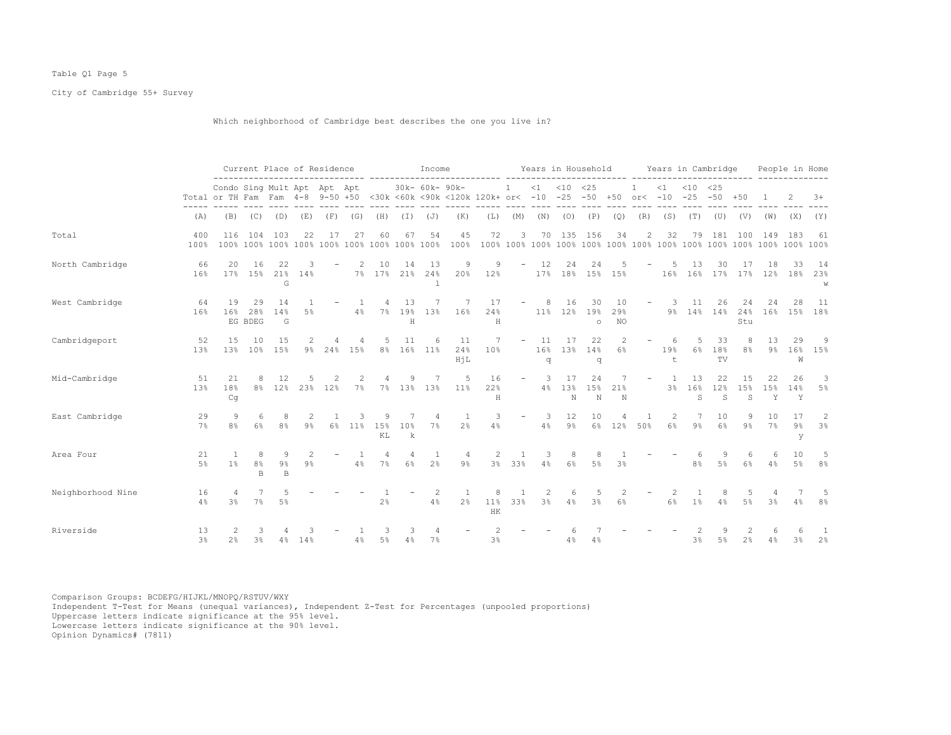## Table Q1 Page 5

City of Cambridge 55+ Survey

Which neighborhood of Cambridge best describes the one you live in?

|                   |                      |                                                                                                                |                      | Current Place of Residence |        |          |       |                  |                    | Income          |                  |                |                            |                |                | Years in Household           |                        |                              |               | Years in Cambridge          |                 |                  |                | People in Home   |                 |
|-------------------|----------------------|----------------------------------------------------------------------------------------------------------------|----------------------|----------------------------|--------|----------|-------|------------------|--------------------|-----------------|------------------|----------------|----------------------------|----------------|----------------|------------------------------|------------------------|------------------------------|---------------|-----------------------------|-----------------|------------------|----------------|------------------|-----------------|
|                   |                      | Condo Sing Mult Apt Apt Apt<br>Total or TH Fam Fam 4-8 9-50 +50 <30k <60k <90k <120k 120k+ or< -10 -25 -50 +50 |                      |                            |        |          |       |                  |                    | 30k- 60k- 90k-  |                  |                | $1 \t < 1 \t < 10 \t < 25$ |                |                |                              |                        | $\overline{1}$<br>$or < -10$ | $\leq 1$      | $< 10$ $< 25$<br>$-25 - 50$ |                 | $+50$            |                | 2                | $3+$            |
|                   | (A)                  | (B)                                                                                                            |                      | $(C)$ $(D)$                | (E)    | (F)      | (G)   | (H)              | ( I )              | (J)             | (K)              | (L)            | (M)                        | (N)            | (0)            | (P)                          | (Q)                    | (R)                          | (S)           | (T)                         | (U)             | (V)              | (W)            | (X)              | (Y)             |
| Total             | 400<br>100%          | 116                                                                                                            | 104                  | 103                        | 22     | 17       | 27    | 60               | 67                 | 54              | 45<br>100%       | 72             | 3                          |                | 70 135         | 156                          | 34                     | 2                            | 32            | 79                          | 181             | 100              | 149            | 183              | -61             |
| North Cambridge   | 66<br>16%            | 20<br>17%                                                                                                      | 16<br>15%            | 22<br>21%<br>G             | 14%    |          | 2     | 10<br>7% 17% 21% | 14                 | 13<br>24%       | 9<br>20%         | 9<br>12%       | $\overline{\phantom{a}}$   | 12             | 24             | 24<br>17% 18% 15% 15%        |                        |                              | -5<br>16%     | 13<br>16% 17%               | 30              | 17<br>17%        | 18<br>12%      | 33<br>18%        | -14<br>23%<br>W |
| West Cambridge    | 64<br>16%            | 19<br>16%                                                                                                      | 29<br>28%<br>EG BDEG | 14<br>14%<br>G             | 5%     |          | $4\%$ | $7\%$            | 13<br>19%<br>H     | 7<br>13%        | -7<br>16%        | 17<br>24%<br>H | $\overline{\phantom{a}}$   | 8              | 16             | 30<br>11% 12% 19%<br>$\circ$ | 10<br>29%<br><b>NO</b> | $\overline{\phantom{a}}$     | -3            | 11<br>9% 14% 14%            | 26              | 24<br>24%<br>Stu | 24             | 28<br>16% 15%    | - 11<br>18%     |
| Cambridgeport     | 52<br>13%            | 15<br>13%                                                                                                      | 10<br>10%            | 15<br>15%                  | $9\%$  | 24%      | 15%   | 5 <sup>5</sup>   | 11                 | 6<br>8% 16% 11% | 11<br>24%<br>HiL | -7<br>10%      | $\overline{\phantom{a}}$   | 11<br>16%<br>q | 17             | 22<br>13% 14%<br>q           | 2<br>6%                |                              | 6<br>19%<br>t | 5<br>6%                     | 33<br>18%<br>TV | 8 <sup>°</sup>   | 13<br>$9\%$    | 29<br>W          | -9<br>16% 15%   |
| Mid-Cambridge     | 51<br>13%            | 2.1<br>18%<br>Cq                                                                                               | 8                    | 12<br>8% 12%               | 23%    | 2<br>12% | 7%    | $7\%$            | 9<br>13%           | 7<br>13%        | -5<br>$11\%$     | 16<br>22%<br>H | $\overline{\phantom{a}}$   | -3<br>4%       | 17<br>13%<br>N | 24<br>15%<br>N               | 7<br>21%<br>N          | $\overline{\phantom{a}}$     | -1<br>3%      | 13<br>16%<br>S              | 22<br>12%<br>S  | 15<br>15%<br>S   | 22<br>15%<br>Y | 26<br>14%<br>Y   | 3<br>5%         |
| East Cambridge    | 29<br>7%             | 9<br>8 <sup>°</sup>                                                                                            | 6<br>6%              | 8<br>8 <sup>°</sup>        | 9%     | $6\%$    | 11%   | Q<br>15%<br>KL   | 10%<br>$\mathbf k$ | 4<br>7%         | 2%               | 3<br>4%        | $\overline{\phantom{a}}$   | 3<br>4%        | 12<br>$9\%$    | 10<br>6%                     | 12%                    | 50%                          | 2<br>6%       | 9%                          | 10<br>6%        | 9%               | 10<br>7%       | 17<br>$9\%$<br>У | 2<br>3%         |
| Area Four         | 21<br>$5\%$          | -1<br>1 <sup>8</sup>                                                                                           | 8<br>8%<br>B         | 9<br>$9\%$<br>$\mathbb{B}$ | $9\%$  |          | 4%    | 4<br>$7\%$       | 4<br>6%            | 2 <sup>°</sup>  | 4<br>$9\%$       | -2             | -1<br>3% 33%               | 3<br>4%        | 8<br>6%        | 8<br>5%                      | 3 <sup>°</sup>         |                              |               | 8%                          | 5%              | 6<br>6%          | 6<br>4%        | 10<br>5%         | 5<br>8%         |
| Neighborhood Nine | 16<br>4%             | 3 <sup>8</sup>                                                                                                 | $7\%$                | 5%                         |        |          |       | 2%               |                    | 2<br>4%         | 2%               | 8<br>11%<br>HK | 1<br>33%                   | 2<br>3%        | 6              | 5<br>$4\%$ $3\%$             | 2<br>6%                |                              | 2<br>6%       | 1%                          | 8<br>4%         | 5<br>5%          | 3 <sup>°</sup> | 4%               | 8%              |
| Riverside         | 13<br>3 <sup>°</sup> | 2%                                                                                                             | З<br>3%              |                            | 4% 14% |          | 4%    | 3<br>$5\%$       | 4%                 | $7\%$           |                  | 3%             |                            |                | 4%             | 4%                           |                        |                              |               | 3 <sup>°</sup>              | $5\%$           | 2%               | 4%             | 3%               | -1<br>2%        |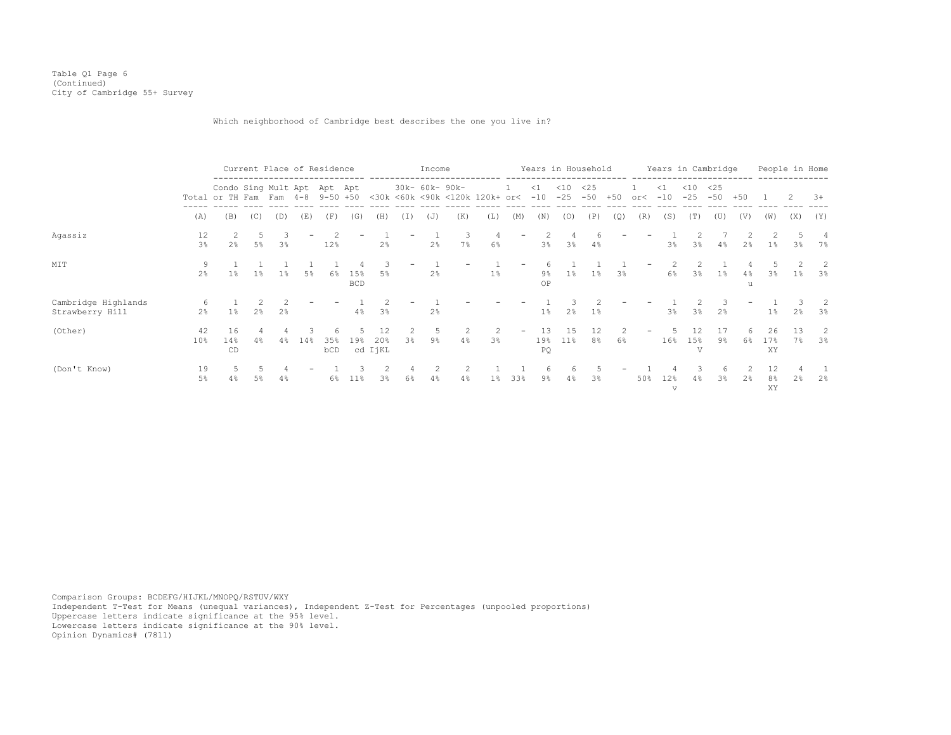Table Q1 Page 6 (Continued) City of Cambridge 55+ Survey

Which neighborhood of Cambridge best describes the one you live in?

|                                        |                      |                                                                 |                |                     | Current Place of Residence |            |                   |                      |         | Income         |          |                                |                          |                   | Years in Household |              |       |     | Years in Cambridge |                 |              |                | People in Home  |                |          |
|----------------------------------------|----------------------|-----------------------------------------------------------------|----------------|---------------------|----------------------------|------------|-------------------|----------------------|---------|----------------|----------|--------------------------------|--------------------------|-------------------|--------------------|--------------|-------|-----|--------------------|-----------------|--------------|----------------|-----------------|----------------|----------|
|                                        |                      | Condo Sing Mult Apt Apt Apt<br>Total or TH Fam Fam 4-8 9-50 +50 |                |                     |                            |            |                   |                      |         | 30k- 60k- 90k- |          | <30k <60k <90k <120k 120k+ or< |                          | $\leq 1$<br>$-10$ | $<$ 10<br>$-25$    | <25<br>$-50$ | $+50$ | or< | $\leq 1$<br>$-10$  | $<$ 10<br>$-25$ | <25<br>$-50$ | $+50$          |                 |                | $3+$     |
|                                        | (A)                  | (B)                                                             | (C)            | (D)                 | (E)                        | (F)        | (G)               | (H)                  | (1)     | (J)            | (K)      | (L)                            | (M)                      | (N)               | (0)                | (P)          | (Q)   | (R) | (S)                | (T)             | (U)          | (V)            | (W)             | (X)            | (Y)      |
| Agassiz                                | 12<br>3 <sup>°</sup> | 2 <sup>°</sup>                                                  | 5<br>5%        | 3<br>3 <sup>°</sup> |                            | 12%        |                   | 2%                   | -       | 2%             | 3.<br>7% | -4<br>6%                       | $\overline{\phantom{a}}$ | 3%                | $3\%$              | $4\%$        |       |     | 3%                 | 3%              | 4%           | 2%             | 1%              | 3%             | 4<br>7%  |
| MIT                                    | 9<br>$2\frac{6}{9}$  | 1%                                                              | $1\%$          | 1%                  | $5\%$                      | 6%         | 15%<br><b>BCD</b> | 3<br>5%              |         | 2%             |          | 1%                             |                          | 9%<br>OP          | $1\%$              | $1\%$        | 3%    |     | 6%                 | 3%              | $1\%$        | 4%<br>u        | 3%              | $1\%$          | 2<br>3%  |
| Cambridge Highlands<br>Strawberry Hill | -6<br>2%             | $1\%$                                                           | $2\frac{6}{5}$ | 2 <sup>°</sup>      |                            |            | 4%                | 3%                   |         | 2%             |          |                                |                          | 1 <sup>°</sup>    | 2%                 | $1\%$        |       |     | 3 <sup>°</sup>     | 3%              | 2%           |                | 1%              | 2 <sup>8</sup> | -2<br>3% |
| (Other)                                | 42<br>10%            | 16<br>14%<br>CD                                                 | 4%             | 4%                  | 14%                        | 35%<br>bCD | 19%               | 12<br>20%<br>cd IjKL | 2<br>3% | 9%             | 4%       | -2<br>3%                       |                          | 19%<br>PQ         | 15<br>$11\%$       | 12<br>8%     | 6%    |     | 16%                | 15%<br>T.T      | 17<br>$9\%$  | 6%             | 26<br>17%<br>XY | 13<br>7%       | 2<br>3%  |
| (Don't Know)                           | 19<br>5%             | 4%                                                              | 5%             | 4%                  |                            | 6%         | 11 <sup>8</sup>   | 3 <sup>8</sup>       | 4<br>6% | 2<br>4%        | 4%       | $1\%$                          | 33%                      | 6<br>9%           | $4\%$              | 3%           |       | 50% | 12%<br>$\sqrt{ }$  | 4%              | 6<br>3%      | 2 <sup>8</sup> | 12<br>8%<br>XY  | 2%             | 2%       |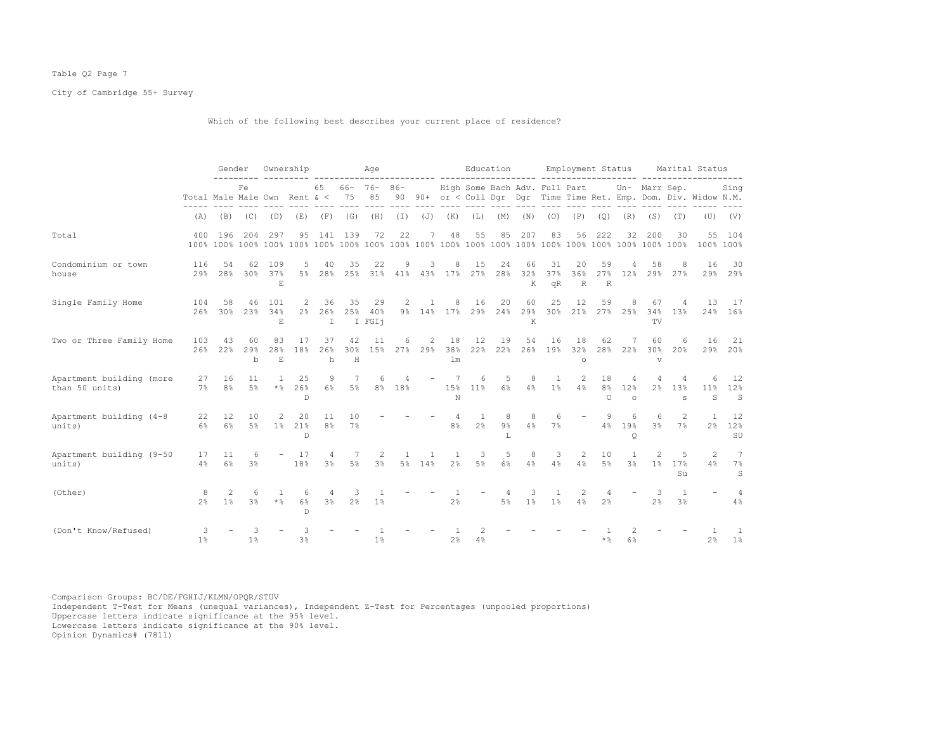## Table Q2 Page 7

City of Cambridge 55+ Survey

Which of the following best describes your current place of residence?

|                                            |                              | Gender               |                     |                          | Ownership                  |                           |                      | Age                     |              |          |                                  |                     | Education                 |                     |                               | Employment Status    |                                  |                                  |                     |                                | Marital Status                                                 |                           |
|--------------------------------------------|------------------------------|----------------------|---------------------|--------------------------|----------------------------|---------------------------|----------------------|-------------------------|--------------|----------|----------------------------------|---------------------|---------------------------|---------------------|-------------------------------|----------------------|----------------------------------|----------------------------------|---------------------|--------------------------------|----------------------------------------------------------------|---------------------------|
|                                            | Total Male Male Own Rent & < |                      | Fe                  |                          |                            | 65                        | $66 - 76 -$<br>75    | 85                      | $86 -$<br>90 |          |                                  |                     |                           |                     | High Some Bach Adv. Full Part |                      |                                  |                                  | Un- Marr Sep.       |                                | 90+ or < Coll Dqr Dqr Time Time Ret. Emp. Dom. Div. Widow N.M. | Sing                      |
|                                            | (A)                          | (B)                  | (C)                 | (D)                      | (E)                        | (F)                       | (G)                  | (H)                     | (I)          | (J)      | (K)                              | (L)                 | (M)                       | (N)                 | (0)                           | (P)                  | (Q)                              | (R)                              | (S)                 | (T)                            | (U)                                                            | (V)                       |
| Total                                      | 400                          | 196                  | 204                 | 297                      | 95                         | 141                       | 139                  | 72                      | 22           | 7        | 48                               | 55                  | 85                        | 207                 | 83                            | 56                   | 222                              | 32                               | 200                 | 30                             | 55<br>100% 100%                                                | 104                       |
| Condominium or town<br>house               | 116<br>29%                   | 54<br>28%            | 62<br>30%           | 109<br>37%<br>E.         | 5<br>$5\%$                 | 40<br>28%                 | 35<br>25%            | 22<br>31%               | 9            | 3        | 8<br>41% 43% 17%                 | 15<br>27%           | 24<br>28%                 | 66<br>32%<br>K      | 31<br>37%<br>qR               | 20<br>36%<br>R       | 59<br>27%<br>$\mathbb R$         | 12%                              | 58<br>29%           | 8<br>27%                       | 16<br>29%                                                      | 30<br>29%                 |
| Single Family Home                         | 104<br>2.6%                  | 58<br>30%            | 46<br>23%           | 101<br>34%<br>E          | 2<br>2 <sup>°</sup>        | 36<br>26%<br>$\mathbb{I}$ | 35                   | 29<br>25% 40%<br>I FGI1 | 2            | -1.      | 8<br>9% 14% 17%                  | 16<br>29%           | 20<br>24%                 | 60<br>29%<br>K      | 25<br>30%                     | 12<br>21%            | 59                               | 8<br>27% 25%                     | 67<br>34%<br>TV     | 4<br>13%                       | 13                                                             | 17<br>24% 16%             |
| Two or Three Family Home                   | 103<br>2.6%                  | 43<br>2.2%           | 60<br>29%<br>b      | 83<br>28%<br>$\mathbf E$ | 17<br>18%                  | 37<br>26%<br>h            | 42<br>30%<br>H       | 11<br>15%               | 6<br>27%     | 2<br>29% | 18<br>38%<br>lm                  | 12<br>22%           | 19<br>22%                 | 54<br>26%           | 16<br>19%                     | 18<br>32%<br>$\circ$ | 62<br>28%                        | 22%                              | 60<br>30%<br>v      | 6<br>20%                       | 16                                                             | 21<br>29% 20%             |
| Apartment building (more<br>than 50 units) | 27<br>7%                     | 16<br>8 <sup>°</sup> | 11<br>$5\%$         | 1<br>$\star$ %           | 25<br>26%<br>D             | 9<br>$6\%$                | 7<br>$5\%$           | 6<br>8 <sup>°</sup>     | 4<br>18%     |          | 7<br>15%<br>N                    | 6<br>11%            | 5<br>$6\%$                | 8<br>4%             | 1<br>1 <sup>8</sup>           | 2<br>4%              | 18<br>8 <sup>°</sup><br>$\Omega$ | 4<br>12%<br>$\circ$              | 4<br>2 <sup>°</sup> | 4<br>13%<br>s                  | 6<br>$11\%$<br>S                                               | 12<br>12%<br>$\mathbb{S}$ |
| Apartment building (4-8<br>units)          | 22<br>6%                     | 12<br>6%             | 10<br>$5\%$         | 2<br>1 <sup>8</sup>      | 20<br>21%<br>$\mathbb D$   | 11<br>8 <sup>°</sup>      | 10<br>7%             |                         |              |          | $\overline{4}$<br>8%             | 1<br>2 <sup>°</sup> | 8<br>$9\frac{6}{9}$<br>T. | 8<br>4%             | 6<br>7%                       |                      | 9<br>4%                          | 6<br>19%<br>O                    | 6<br>3 <sup>°</sup> | $\mathfrak{D}$<br>7%           | $\mathbf{1}$<br>$2\%$                                          | 12<br>12%<br>SU           |
| Apartment building (9-50<br>units)         | 17<br>4%                     | 11<br>6%             | 6<br>3%             |                          | 17<br>18%                  | 4<br>3 <sup>°</sup>       | 7<br>$5\%$           | 2<br>3%                 |              | 5% 14%   | $\overline{1}$<br>2 <sup>°</sup> | 3<br>$5\%$          | 5<br>6%                   | 8<br>4%             | 3<br>4%                       | 2<br>4%              | 10<br>$5\%$                      | $\overline{1}$<br>3 <sup>°</sup> | 2<br>1%             | 5<br>17%<br>Su                 | 2<br>4%                                                        | 7<br>$7\%$<br>S           |
| (Other)                                    | 8<br>2 <sup>°</sup>          | 2<br>1 <sup>8</sup>  | 6<br>3 <sup>°</sup> | -1.<br>$\star$ %         | 6<br>$6\%$<br>$\mathbb{D}$ | 4<br>3 <sup>°</sup>       | -3<br>2 <sup>°</sup> | 1%                      |              |          | 2 <sup>°</sup>                   |                     | 4<br>$5\%$                | 3<br>1 <sup>°</sup> | 1<br>$1\%$                    | 2<br>4%              | 2 <sup>°</sup>                   |                                  | 3<br>2 <sup>°</sup> | $\mathbf{1}$<br>3 <sup>°</sup> |                                                                | 4<br>4%                   |
| (Don't Know/Refused)                       | 3<br>1 <sup>°</sup>          |                      | 3<br>$1\%$          |                          | Κ<br>$3\frac{6}{6}$        |                           |                      | 1 <sup>8</sup>          |              |          | 2%                               | 4%                  |                           |                     |                               |                      | * %                              | 6%                               |                     |                                | 2 <sup>°</sup>                                                 | 1%                        |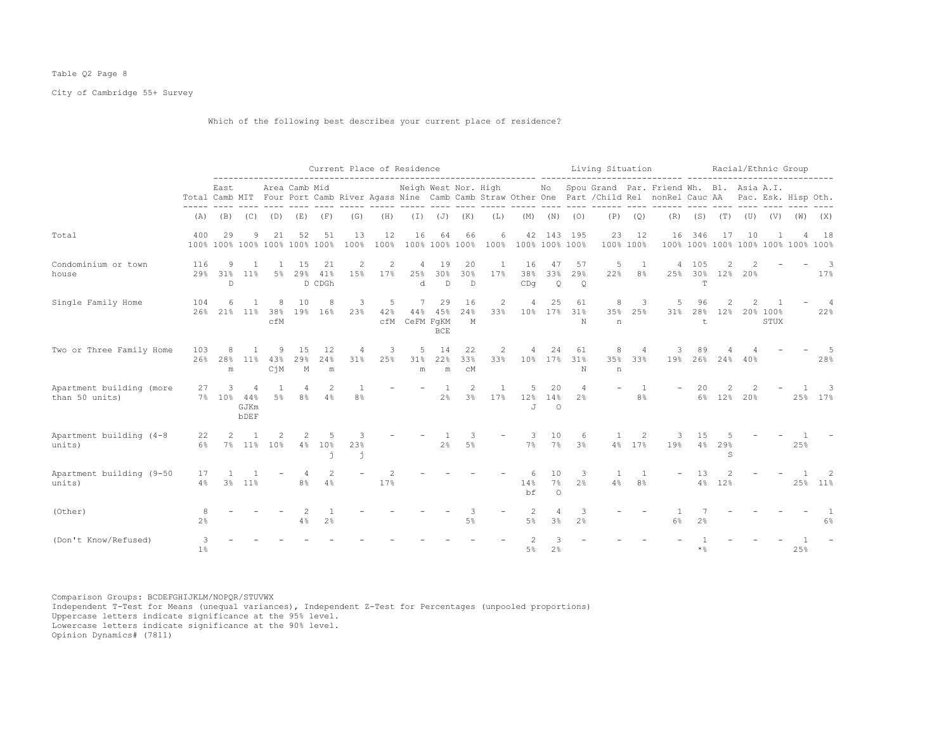## Table Q2 Page 8

City of Cambridge 55+ Survey

Which of the following best describes your current place of residence?

|                                            |                     |                              |                          |                         |                                     |                      | Current Place of Residence       |            |                                 |                          |                                  |                     |                     |                                  |                        | Living Situation |                                  | aasaas sacaasa                                                                                                                                                                                                  |                               |              |               |                                    | Racial/Ethnic Group                |                                 |
|--------------------------------------------|---------------------|------------------------------|--------------------------|-------------------------|-------------------------------------|----------------------|----------------------------------|------------|---------------------------------|--------------------------|----------------------------------|---------------------|---------------------|----------------------------------|------------------------|------------------|----------------------------------|-----------------------------------------------------------------------------------------------------------------------------------------------------------------------------------------------------------------|-------------------------------|--------------|---------------|------------------------------------|------------------------------------|---------------------------------|
|                                            |                     | East                         |                          |                         | Area Camb Mid                       |                      |                                  |            |                                 |                          |                                  | and control         |                     |                                  |                        | ---- ---- ------ |                                  | Neigh West Nor. High No Spou Grand Par. Friend Wh. Bl. Asia A.I.<br>Total Camb MIT Four Port Camb River Agass Nine Camb Camb Straw Other One Part / Child Rel nonRel Cauc AA Pac. Esk. Hisp Oth.<br>---- ------ |                               |              |               |                                    |                                    |                                 |
|                                            | (A)                 | (B)                          | (C)                      |                         | $(D)$ $(E)$                         | (F)                  | (G)                              | (H)        |                                 | $(I)$ $(J)$ $(K)$        |                                  | (L)                 |                     | $(M)$ $(N)$                      | (0)                    |                  | $(P)$ $(Q)$                      |                                                                                                                                                                                                                 | $(R)$ $(S)$ $(T)$ $(U)$ $(V)$ |              |               |                                    | (W)                                | (X)                             |
| Total                                      | 400                 | 29                           | 9                        | 21                      | 52<br>100% 100% 100% 100% 100% 100% | 51                   | 13<br>100%                       | 12<br>100% | 16                              | 64<br>100% 100% 100%     | 66                               | 6                   | 100% 100% 100% 100% |                                  | 42 143 195             | 23               | 12<br>100% 100%                  |                                                                                                                                                                                                                 | 16 346                        | 17           | 10            |                                    | 100% 100% 100% 100% 100% 100% 100% | 18                              |
| Condominium or town<br>house               | 116                 | 9<br>29% 31%<br>$\mathbb{D}$ | $\overline{1}$<br>$11\%$ | 5%                      | 15<br>29%                           | -21<br>41%<br>D CDGh | 2<br>15%                         | 2<br>17%   | 4<br>25%<br>d                   | 19<br>30%<br>$\mathbb D$ | 20<br>30%<br>D                   | $\mathbf{1}$<br>17% | 16<br>38%<br>CDq    | 47<br>33%<br>$\circ$             | 57<br>29%<br>$\circ$   | 5<br>22%         | $\overline{1}$<br>8%             | 4<br>25%                                                                                                                                                                                                        | 105<br>T                      | 2            | 30% 12% 20%   |                                    |                                    | $\overline{\phantom{a}}$<br>17% |
| Single Family Home                         | 104                 | 6<br>26% 21% 11%             | $\mathbf{1}$             | 8<br>38%<br>cfM         | 10                                  | 8<br>19% 16%         | 3<br>23%                         | 5<br>42%   | $7\phantom{0}$<br>cfM CeFM FqKM | 29<br>44% 45%<br>BCE     | 16<br>24%<br>M                   | 2<br>33%            |                     | 25                               | 61<br>10% 17% 31%<br>N | 8<br>35%<br>n    | 3<br>25%                         | 5<br>31%                                                                                                                                                                                                        | 96<br>t                       | 2<br>28% 12% | $\mathcal{L}$ | $\overline{1}$<br>20% 100%<br>STUX |                                    | $\overline{4}$<br>22%           |
| Two or Three Family Home                   | 103<br>26%          | 28%<br>${\rm m}$             | $11\%$                   | 9<br>43%<br>$C\dot{d}M$ | 15<br>29%<br>$\mathbb M$            | 12<br>24%<br>m       | 4<br>31%                         | 3<br>25%   | 5<br>31%<br>m                   | 14<br>22%<br>${\rm m}$   | 22<br>33%<br>C <sub>M</sub>      | 2<br>33%            |                     | 24<br>10% 17%                    | 61<br>31%<br>N         | 8<br>n           | 35% 33%                          | 19%                                                                                                                                                                                                             |                               | 26% 24% 40%  |               |                                    |                                    | - 5<br>28%                      |
| Apartment building (more<br>than 50 units) | 27                  | 3<br>7% 10% 44%              | 4<br>GJKm<br><b>bDEF</b> | 5%                      | $\overline{4}$<br>8%                | 2<br>4%              | $\overline{1}$<br>8 <sup>°</sup> |            |                                 | $\overline{1}$<br>2%     | $\overline{c}$<br>3 <sup>8</sup> | 1<br>17%            | 5<br>12%<br>J.      | 20<br>14%<br>$\Omega$            | 4<br>2 <sup>°</sup>    |                  | $\overline{1}$<br>8 <sup>°</sup> |                                                                                                                                                                                                                 | 20                            | 2            | 6% 12% 20%    |                                    |                                    | 3<br>25% 17%                    |
| Apartment building (4-8<br>units)          | 22<br>6%            | $\mathfrak{D}$               |                          | 7% 11% 10%              | $\overline{2}$                      | 5<br>4% 10%<br>ń     | 3<br>23%<br>j.                   |            |                                 | $\overline{1}$<br>2%     | 3<br>5%                          |                     | -3                  | 10<br>7% 7%                      | 6<br>3%                |                  | 2<br>4% 17%                      | 3<br>19%                                                                                                                                                                                                        | 15<br>4%                      | 29%<br>S     |               |                                    | 25%                                |                                 |
| Apartment building (9-50<br>units)         | 17<br>4%            | 3 <sup>8</sup>               | 11%                      |                         | 4<br>8%                             | 2<br>4%              |                                  | 2<br>17%   |                                 |                          |                                  |                     | 14%<br>bf           | 10<br>7%<br>$\Omega$             | 3<br>2 <sup>°</sup>    | -1<br>4%         | 8 <sup>°</sup>                   |                                                                                                                                                                                                                 | 13<br>4%                      | 12%          |               |                                    |                                    | 2<br>25% 11%                    |
| (Other)                                    | 8<br>$2\frac{6}{6}$ |                              |                          |                         | 4%                                  | 2 <sup>°</sup>       |                                  |            |                                 |                          | 3<br>5%                          |                     | 2<br>5%             | $\overline{4}$<br>3 <sup>8</sup> | 3<br>2.8               |                  |                                  | 6%                                                                                                                                                                                                              | 2 <sup>°</sup>                |              |               |                                    |                                    | 6%                              |
| (Don't Know/Refused)                       | 3<br>1%             |                              |                          |                         |                                     |                      |                                  |            |                                 |                          |                                  |                     | $5\%$               | 2 <sup>°</sup>                   |                        |                  |                                  |                                                                                                                                                                                                                 | $\star$ %                     |              |               |                                    | 25%                                |                                 |

Comparison Groups: BCDEFGHIJKLM/NOPQR/STUVWX Independent T-Test for Means (unequal variances), Independent Z-Test for Percentages (unpooled proportions) Uppercase letters indicate significance at the 95% level. Lowercase letters indicate significance at the 90% level.

Opinion Dynamics# (7811)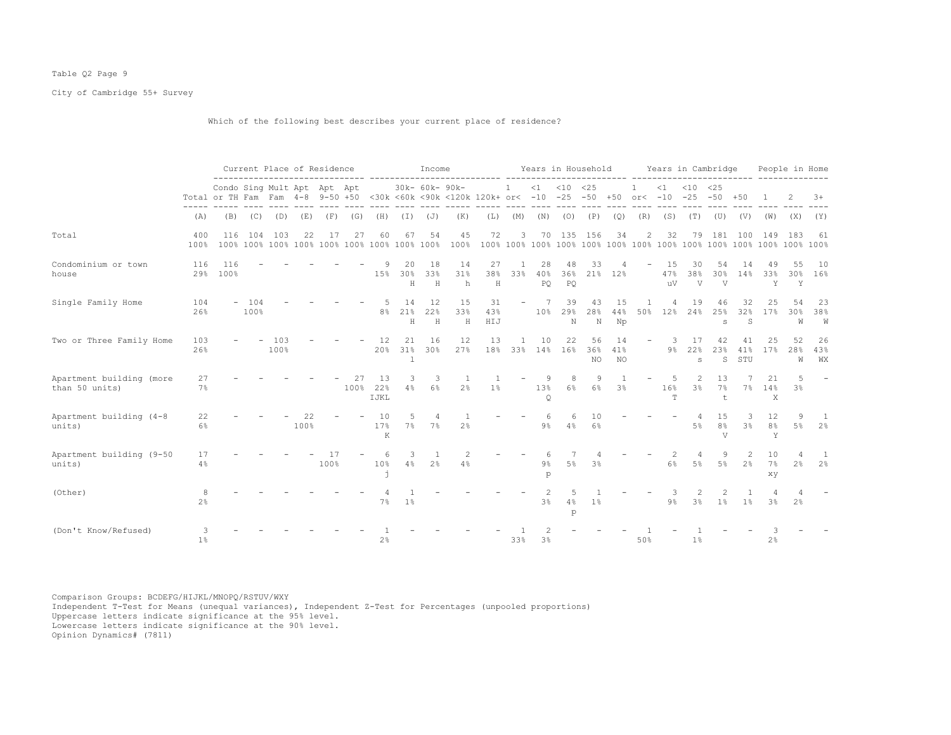## Table Q2 Page 9

City of Cambridge 55+ Survey

Which of the following best describes your current place of residence?

|                                            |                     |                                                                 |                | Current Place of Residence |            |            |      |                     |                | Income               |                                                |                  |                          |                 | Years in Household |                 |                 |                           |                         | Years in Cambridge               |                                        |                                  |                           | People in Home             |                 |
|--------------------------------------------|---------------------|-----------------------------------------------------------------|----------------|----------------------------|------------|------------|------|---------------------|----------------|----------------------|------------------------------------------------|------------------|--------------------------|-----------------|--------------------|-----------------|-----------------|---------------------------|-------------------------|----------------------------------|----------------------------------------|----------------------------------|---------------------------|----------------------------|-----------------|
|                                            |                     | Condo Sing Mult Apt Apt Apt<br>Total or TH Fam Fam 4-8 9-50 +50 |                |                            |            |            |      |                     |                | 30k- 60k- 90k-       | <30k <60k <90k <120k 120k+ or< -10 -25 -50 +50 |                  | $\mathbf{1}$             | <1              | $< 10$ $< 25$      |                 |                 | $\mathbf{1}$<br>or $<-10$ | $\leq 1$                | $< 10$ $< 25$<br>$-25 - 50$      |                                        | $+50$                            |                           |                            | $3+$            |
|                                            | (A)                 | (B)                                                             |                | $(C)$ $(D)$                | (E)        | (F)        | (G)  | (H)                 | (I)            | (J)                  | (K)                                            | (L)              | (M)                      | (N)             | (0)                | (P)             | (Q)             | (R)                       | (S)                     | (T)                              | (U)                                    | (V)                              | (W)                       | (X)                        | (Y)             |
| Total                                      | 400<br>100%         | 116                                                             | 104            | 103                        | 22         | 17         | 27   | 60                  | 67             | 54                   | 45<br>100%                                     | 72               | 3                        | 70              | 135                | 156             | 34              | 2                         | 32                      | 79                               | 181                                    | 100                              | 149                       | 183                        | 61              |
| Condominium or town<br>house               | 116<br>29%          | 116<br>100%                                                     |                |                            |            |            |      | 9<br>15%            | 20<br>30%<br>Н | 18<br>33%<br>$\rm H$ | 14<br>31%<br>h                                 | 27<br>38%<br>Η   | 33%                      | 28<br>40%<br>PQ | 48<br>36%<br>PQ    | 33<br>21%       | 12%             |                           | 15<br>47%<br>uV         | 30<br>38%<br>V                   | 54<br>30%<br>V                         | 14<br>14%                        | 49<br>33%<br>Y            | 55<br>30%<br>Y             | 10<br>16%       |
| Single Family Home                         | 104<br>26%          |                                                                 | $-104$<br>100% |                            |            |            |      | -5<br>8%            | 14<br>21%<br>H | 12<br>22%<br>H       | 15<br>33%<br>H                                 | 31<br>43%<br>HIJ | $\overline{\phantom{m}}$ | 7<br>10%        | 39<br>29%<br>N     | 43<br>28%<br>N  | 15<br>44%<br>Np | -1<br>50%                 | $\overline{4}$<br>12%   | 19<br>24%                        | 46<br>25%<br>s                         | 32<br>32%<br>S                   | 25<br>17%                 | 54<br>30 <sub>8</sub><br>W | 23<br>38%<br>W  |
| Two or Three Family Home                   | 103<br>26%          |                                                                 |                | 103<br>100%                |            |            |      | 12<br>20%           | 21<br>31%<br>1 | 16<br>30%            | 12<br>27%                                      | 13<br>18%        | 33%                      | 10<br>14%       | 22<br>16%          | 56<br>36%<br>NO | 14<br>41%<br>NO | $\qquad \qquad -$         | 3<br>9%                 | 17<br>22%<br>$\mathtt{s}$        | 42<br>23%<br>S                         | 41<br>41%<br>STU                 | 25<br>17%                 | 52<br>28%<br>W             | 26<br>43%<br>WX |
| Apartment building (more<br>than 50 units) | 27<br>7%            |                                                                 |                |                            |            |            | 100% | -1.3<br>22%<br>IJKL | 3<br>4%        | 3<br>$6\%$           | 2 <sup>°</sup>                                 | $1\%$            |                          | -9<br>13%<br>Q  | 8<br>6%            | 9<br>6%         | $3\%$           |                           | 5<br>16%<br>$\mathbb T$ | $\mathfrak{D}$<br>3 <sup>°</sup> | 13<br>7%<br>t                          | 7%                               | 21<br>14%<br>X            | 5<br>$3\%$                 |                 |
| Apartment building (4-8<br>units)          | 22<br>6%            |                                                                 |                |                            | 22<br>100% |            |      | 10<br>17%<br>K      | .5<br>7%       | 4<br>7%              | 2%                                             |                  |                          | $9\%$           | 6<br>4%            | 10<br>6%        |                 |                           |                         | 5%                               | 15<br>8 <sup>°</sup><br>$\overline{V}$ | 3<br>3%                          | 12<br>8 <sup>°</sup><br>Y | 9<br>5%                    | 2%              |
| Apartment building (9-50<br>units)         | 17<br>4%            |                                                                 |                |                            |            | 17<br>100% |      | 6<br>10%            | 3<br>4%        | 2 <sup>°</sup>       | $\overline{c}$<br>4%                           |                  |                          | 9%<br>p         | 5%                 | 3 <sup>8</sup>  |                 |                           | 6%                      | 4<br>$5\%$                       | 9<br>5%                                | $\overline{c}$<br>2 <sup>°</sup> | 10<br>7%<br>xу            | $2\%$                      | 2 <sup>°</sup>  |
| (Other)                                    | 8<br>2 <sup>°</sup> |                                                                 |                |                            |            |            |      | 7%                  | $1\%$          |                      |                                                |                  |                          | 3%              | 5<br>4%<br>p       | 1%              |                 |                           | 9 <sup>°</sup>          | 3 <sup>°</sup>                   | 1 <sup>°</sup>                         | $1\%$                            | 3%                        | 2%                         |                 |
| (Don't Know/Refused)                       | 3<br>1%             |                                                                 |                |                            |            |            |      | 2 <sup>°</sup>      |                |                      |                                                |                  | 33%                      | 3%              |                    |                 |                 | 50%                       |                         | 1%                               |                                        |                                  | 2%                        |                            |                 |

Comparison Groups: BCDEFG/HIJKL/MNOPQ/RSTUV/WXY Independent T-Test for Means (unequal variances), Independent Z-Test for Percentages (unpooled proportions) Uppercase letters indicate significance at the 95% level. Lowercase letters indicate significance at the 90% level.

Opinion Dynamics# (7811)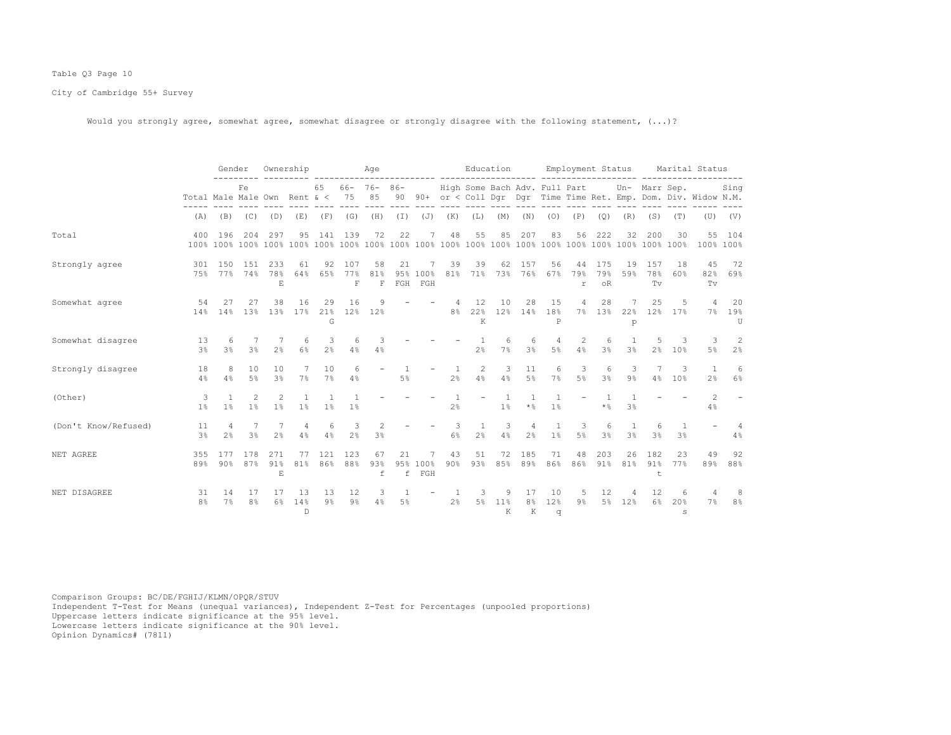## Table Q3 Page 10

City of Cambridge 55+ Survey

Would you strongly agree, somewhat agree, somewhat disagree or strongly disagree with the following statement,  $(...)?$ 

|                      |                              | Gender              |                                                                                                                                                                                                                                                                                                                                                                                                                                  | Ownership                 |                |                      |                     | Age                                  |           |                        |                | Education                     |                  |                           |                                | Employment Status |                                    |                |                  |                     | Marital Status                                                    |                             |
|----------------------|------------------------------|---------------------|----------------------------------------------------------------------------------------------------------------------------------------------------------------------------------------------------------------------------------------------------------------------------------------------------------------------------------------------------------------------------------------------------------------------------------|---------------------------|----------------|----------------------|---------------------|--------------------------------------|-----------|------------------------|----------------|-------------------------------|------------------|---------------------------|--------------------------------|-------------------|------------------------------------|----------------|------------------|---------------------|-------------------------------------------------------------------|-----------------------------|
|                      | Total Male Male Own Rent & < |                     | Fe                                                                                                                                                                                                                                                                                                                                                                                                                               |                           |                | 65                   | 75                  | $66 - 76 - 86 -$<br>85               |           |                        |                | High Some Bach Adv. Full Part |                  |                           |                                |                   |                                    |                | Un- Marr Sep.    |                     | 90 90+ or < Coll Dqr Dqr Time Time Ret. Emp. Dom. Div. Widow N.M. | Sing                        |
|                      | (A)                          | (B)                 | (C)                                                                                                                                                                                                                                                                                                                                                                                                                              | (D)                       | (E)            | (F)                  | (G)                 | (H)                                  | $(\bot)$  |                        | $(J)$ $(K)$    | (L)                           | (M)              | (N)                       | (0)                            | (P)               | (Q)                                | (R)            | (S)              | (T)                 | (U)                                                               | (V)                         |
| Total                | 400                          | 196                 | 204                                                                                                                                                                                                                                                                                                                                                                                                                              | 297                       | 95             | 141                  | 139                 | 72                                   | 22        | 7                      | 48             | 55                            | 85               | 207                       | 83                             | 56                | 222                                | 32             | 200              | 30                  | 55<br>100% 100%                                                   | 104                         |
| Strongly agree       | 301<br>75%                   | 150<br>77%          | 1.51<br>74%                                                                                                                                                                                                                                                                                                                                                                                                                      | 233<br>78%<br>E.          | 61<br>64%      | 92<br>65%            | 107<br>77%<br>F     | 58<br>81%<br>$\overline{\mathrm{F}}$ | 21<br>FGH | 7<br>95% 100%<br>FGH   | 39<br>81%      | 39                            | 62               | 157<br>71% 73% 76%        | 56<br>67%                      | 44<br>79%<br>r    | 175<br>79%<br>$\circ$ <sub>R</sub> | 19<br>59%      | 157<br>78%<br>Tv | 18<br>60%           | 45<br>82%<br>Tv                                                   | 72<br>69%                   |
| Somewhat agree       | 54<br>14%                    | 27<br>14%           | 27<br>13%                                                                                                                                                                                                                                                                                                                                                                                                                        | 38<br>13%                 | 16<br>17%      | 29<br>21%<br>G       | 16                  | 9<br>12% 12%                         |           |                        | 8 <sup>8</sup> | 12<br>22%<br>K                | 10<br>12%        | 28<br>14%                 | 15<br>18%<br>P                 | 4<br>7%           | 28<br>13%                          | 22%<br>p       | 25<br>12%        | 5<br>17%            | 4<br>$7\%$                                                        | 20<br>19%<br>$\overline{U}$ |
| Somewhat disagree    | 13<br>3 <sup>°</sup>         | 6<br>3%             | $3\frac{6}{6}$                                                                                                                                                                                                                                                                                                                                                                                                                   | 2 <sup>°</sup>            | 6<br>6%        | 3<br>2 <sup>°</sup>  | 6<br>4%             | 3<br>4%                              |           |                        |                | 2%                            | $\epsilon$<br>7% | 3%                        | 4<br>$5\%$                     | 2<br>4%           | 6<br>3%                            | $3\frac{6}{6}$ | 2 <sup>°</sup>   | 3<br>10%            | 3<br>5%                                                           | 2<br>2%                     |
| Strongly disagree    | 18<br>4%                     | 8<br>4%             | 10<br>$5\%$                                                                                                                                                                                                                                                                                                                                                                                                                      | 10<br>3 <sup>°</sup>      | 7%             | 10<br>7%             | 6<br>4%             |                                      | $5\%$     |                        | $2\frac{6}{9}$ | 2<br>$4\%$                    | 3<br>4%          | 11<br>$5\%$               | 6<br>7%                        | 3<br>$5\%$        | 6<br>$3\frac{6}{6}$                | 3<br>$9\%$     | 4%               | 3<br>10%            | $\mathbf{1}$<br>2%                                                | 6<br>6%                     |
| (Other)              | 3<br>$1\%$                   | $\mathbf{1}$<br>1%  | $\mathfrak{D}_{1}^{2}(\mathfrak{D}_{1})=\mathfrak{D}_{2}^{2}(\mathfrak{D}_{2})=\mathfrak{D}_{2}^{2}(\mathfrak{D}_{1})=\mathfrak{D}_{2}^{2}(\mathfrak{D}_{2})=\mathfrak{D}_{2}^{2}(\mathfrak{D}_{1})=\mathfrak{D}_{2}^{2}(\mathfrak{D}_{1})=\mathfrak{D}_{2}^{2}(\mathfrak{D}_{1})=\mathfrak{D}_{2}^{2}(\mathfrak{D}_{1})=\mathfrak{D}_{2}^{2}(\mathfrak{D}_{1})=\mathfrak{D}_{2}^{2}(\mathfrak{D}_{1})=\mathfrak{D}_{2}^{$<br>1% | 1%                        | $1\%$          | $1\%$                | $1\%$               |                                      |           |                        | 2%             |                               | 1%               | $\star$ $\,$ $\,$ $\,$    | $\mathbf{1}$<br>1 <sup>°</sup> |                   | $\star$ %                          | 3 <sup>8</sup> |                  |                     | $\mathfrak{D}$<br>4%                                              |                             |
| (Don't Know/Refused) | 11<br>$3\%$                  | Δ<br>2 <sup>°</sup> | $3\frac{6}{9}$                                                                                                                                                                                                                                                                                                                                                                                                                   | 2 <sup>°</sup>            | 4<br>4%        | 6<br>4%              | 3<br>$2\frac{6}{9}$ | 2<br>$3\frac{6}{9}$                  |           |                        | 3<br>$6\%$     | 1<br>2%                       | 3<br>4%          | $2\frac{6}{9}$            | $\mathbf{1}$<br>$1\%$          | 3<br>$5\%$        | 6<br>3%                            | $3\%$          | 3 <sup>°</sup>   | 1<br>3 <sup>°</sup> |                                                                   | 4%                          |
| NET AGREE            | 355<br>89%                   | 177<br>90%          | 178<br>87%                                                                                                                                                                                                                                                                                                                                                                                                                       | 271<br>91%<br>$\mathbf E$ | 77<br>81%      | 121<br>86%           | 123<br>88%          | 67<br>93%<br>f                       | 21        | 7<br>95% 100%<br>f FGH | 43<br>90%      | 51<br>93%                     | 72<br>85%        | 185<br>89%                | 71<br>86%                      | 48<br>86%         | 203<br>91%                         | 26<br>81%      | 182<br>91%<br>t  | 23<br>77%           | 49<br>89%                                                         | 92<br>88%                   |
| NET DISAGREE         | 31<br>8 <sup>°</sup>         | 14<br>7%            | 17<br>8 <sup>°</sup>                                                                                                                                                                                                                                                                                                                                                                                                             | 17<br>6%                  | 13<br>14%<br>D | 13<br>9 <sup>°</sup> | 12<br>$9\%$         | 3<br>4%                              | $5\%$     |                        | 2 <sup>°</sup> | 3<br>$5\%$                    | 9<br>11%<br>K    | 17<br>8 <sup>°</sup><br>K | 10<br>12%<br>q                 | 5<br>$9\%$        | 12<br>$5\%$                        | 12%            | 12<br>6%         | 6<br>20%<br>S       | 7%                                                                | 8<br>8 <sup>°</sup>         |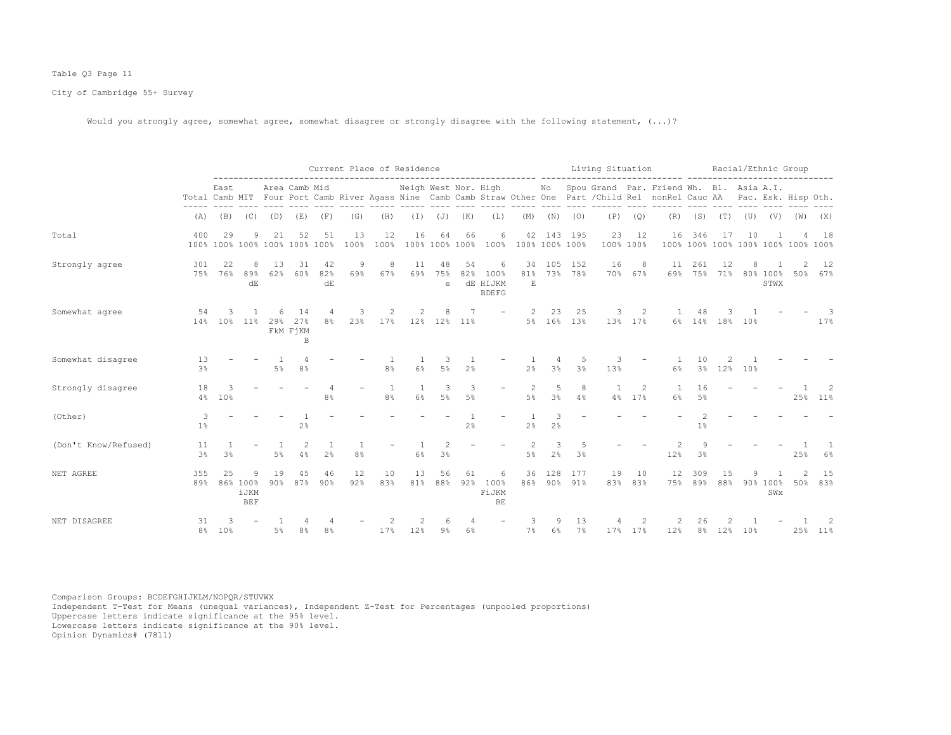## Table Q3 Page 11

City of Cambridge 55+ Survey

Would you strongly agree, somewhat agree, somewhat disagree or strongly disagree with the following statement,  $(...)?$ 

|                      |                      |                |                                     |           |                                       |                     |            |                                                                                                                                                                                                                                                                                                                                                                                                                                   | Current Place of Residence |                |                      |                                              | Living Situation     |                     |                      |           |                           |                                                                                                                                                         | Racial/Ethnic Group   |           |     |                  |                                    |              |
|----------------------|----------------------|----------------|-------------------------------------|-----------|---------------------------------------|---------------------|------------|-----------------------------------------------------------------------------------------------------------------------------------------------------------------------------------------------------------------------------------------------------------------------------------------------------------------------------------------------------------------------------------------------------------------------------------|----------------------------|----------------|----------------------|----------------------------------------------|----------------------|---------------------|----------------------|-----------|---------------------------|---------------------------------------------------------------------------------------------------------------------------------------------------------|-----------------------|-----------|-----|------------------|------------------------------------|--------------|
|                      |                      | East           |                                     |           | Area Camb Mid                         |                     |            |                                                                                                                                                                                                                                                                                                                                                                                                                                   | Neigh West Nor. High       |                |                      |                                              |                      |                     |                      |           |                           | No Spou Grand Par. Friend Wh. Bl. Asia A.I.<br>Total Camb MIT Four Port Camb River Agass Nine Camb Camb Straw Other One Part / Child Rel nonRel Cauc AA |                       |           |     |                  | Pac. Esk. Hisp Oth.                |              |
|                      | (A)                  | (B)            | (C)                                 | (D)       | (E)                                   | (F)                 | (G)        | (H)                                                                                                                                                                                                                                                                                                                                                                                                                               | $(\top)$                   | (J)            | (K)                  | (L)                                          | (M)                  | (N)                 | (0)                  | (P)       | (Q)                       | (R)                                                                                                                                                     | (S)                   | (T)       | (U) | (V)              | (W)                                | (X)          |
| Total                | 400                  | 29             | 9                                   | 21        | 52<br>100% 100% 100% 100% 100% 100%   | 51                  | 13<br>100% | 12<br>100%                                                                                                                                                                                                                                                                                                                                                                                                                        | 16                         | 64             | 66<br>100% 100% 100% | 6<br>100%                                    | 42<br>100% 100% 100% | 143                 | 195                  | 23        | 12<br>100% 100%           | 16                                                                                                                                                      | 346                   | 17        | 10  |                  | 100% 100% 100% 100% 100% 100% 100% | 18           |
| Strongly agree       | 301<br>75%           | 22<br>76%      | 8<br>89%<br>dE                      | 13<br>62% | 31<br>60%                             | 42<br>82%<br>dE     | -9<br>69%  | 8<br>67%                                                                                                                                                                                                                                                                                                                                                                                                                          | 11<br>69%                  | 48<br>75%<br>e | 54<br>82%            | 6<br>100%<br><b>dE HIJKM</b><br><b>BDEFG</b> | 34<br>81%<br>E       | 105                 | 152<br>73% 78%       | 16        | 8<br>70% 67%              | 11<br>69%                                                                                                                                               | 261<br>75%            | 12<br>71% |     | 80% 100%<br>STWX | 50%                                | 12<br>67%    |
| Somewhat agree       | 54<br>14%            | 10%            | 11%                                 | 6<br>29%  | 14<br>27%<br>FKM FjKM<br>$\, {\bf B}$ | 8%                  | 23%        | $\mathfrak{D}_{1}^{2}(\mathfrak{D}_{1})=\mathfrak{D}_{2}^{2}(\mathfrak{D}_{2})=\mathfrak{D}_{2}^{2}(\mathfrak{D}_{1})=\mathfrak{D}_{2}^{2}(\mathfrak{D}_{2})=\mathfrak{D}_{2}^{2}(\mathfrak{D}_{1})=\mathfrak{D}_{2}^{2}(\mathfrak{D}_{1})=\mathfrak{D}_{2}^{2}(\mathfrak{D}_{1})=\mathfrak{D}_{2}^{2}(\mathfrak{D}_{2})=\mathfrak{D}_{2}^{2}(\mathfrak{D}_{1})=\mathfrak{D}_{2}^{2}(\mathfrak{D}_{1})=\mathfrak{D}_{2}^{$<br>17% | 2                          | 12% 12%        | 11%                  |                                              | $\mathcal{L}$        | 23                  | 25<br>5% 16% 13%     | 3         | $\overline{c}$<br>13% 17% | 6%                                                                                                                                                      | 48<br>14%             | 18% 10%   |     |                  |                                    | 17%          |
| Somewhat disagree    | 13<br>3 <sup>8</sup> |                |                                     | 5%        | 8 <sup>°</sup>                        |                     |            | 8%                                                                                                                                                                                                                                                                                                                                                                                                                                | 6%                         | 3<br>5%        | 2.8                  |                                              | 2.8                  | 4<br>3 <sup>°</sup> | -5<br>3 <sup>8</sup> | 3<br>13%  |                           | 6%                                                                                                                                                      | 1 N<br>3 <sup>°</sup> | 12%       | 10% |                  |                                    |              |
| Strongly disagree    | 18<br>4%             | 3<br>10%       |                                     |           |                                       | 4<br>8 <sup>°</sup> |            | 1<br>8%                                                                                                                                                                                                                                                                                                                                                                                                                           | 1<br>$6\%$                 | 3<br>$5\%$     | 3<br>5%              |                                              | 2<br>5%              | 5<br>3%             | 8<br>4%              |           | $\overline{c}$<br>4% 17%  | 6%                                                                                                                                                      | 16<br>$5\%$           |           |     |                  | 25%                                | 2<br>$11\%$  |
| (Other)              | 3<br>1%              |                |                                     |           | 2%                                    |                     |            |                                                                                                                                                                                                                                                                                                                                                                                                                                   |                            |                | 2 <sup>°</sup>       |                                              | 2 <sup>°</sup>       | 3<br>2 <sup>°</sup> |                      |           |                           |                                                                                                                                                         | $\mathcal{L}$<br>1%   |           |     |                  |                                    |              |
| (Don't Know/Refused) | 11<br>3 <sup>°</sup> | 3 <sup>°</sup> |                                     | 5%        | 4%                                    | 2 <sup>°</sup>      | 8%         |                                                                                                                                                                                                                                                                                                                                                                                                                                   | 6%                         | 3%             |                      |                                              | $5\%$                | 3<br>2%             | 3 <sup>°</sup>       |           |                           | 12%                                                                                                                                                     | 3%                    |           |     |                  | 25%                                | 6%           |
| NET AGREE            | 355<br>89%           | 25             | 9<br>86% 100%<br>iJKM<br><b>BEF</b> | 19<br>90% | 4.5<br>87%                            | 46<br>$90\%$        | 12<br>92%  | 10<br>83%                                                                                                                                                                                                                                                                                                                                                                                                                         | 13<br>81%                  | 56<br>88%      | 61<br>92%            | 6<br>100%<br>FiJKM<br>$\rm BE$               | 36<br>86%            | 128                 | 177<br>90% 91%       | 19<br>83% | 10<br>83%                 | 12<br>75%                                                                                                                                               | 309<br>89%            | 15<br>88% |     | 90% 100%<br>SWx  | 50%                                | 15<br>83%    |
| NET DISAGREE         | 31                   | 8% 10%         |                                     | $5\%$     | 8%                                    | 8 <sup>°</sup>      |            | 17%                                                                                                                                                                                                                                                                                                                                                                                                                               | 12%                        | 9%             | 6%                   |                                              | 7%                   | 6%                  | 13<br>$7\%$          | 17%       | 17%                       | 12%                                                                                                                                                     | 26<br>8 <sup>°</sup>  | 12%       | 10% |                  |                                    | 2<br>25% 11% |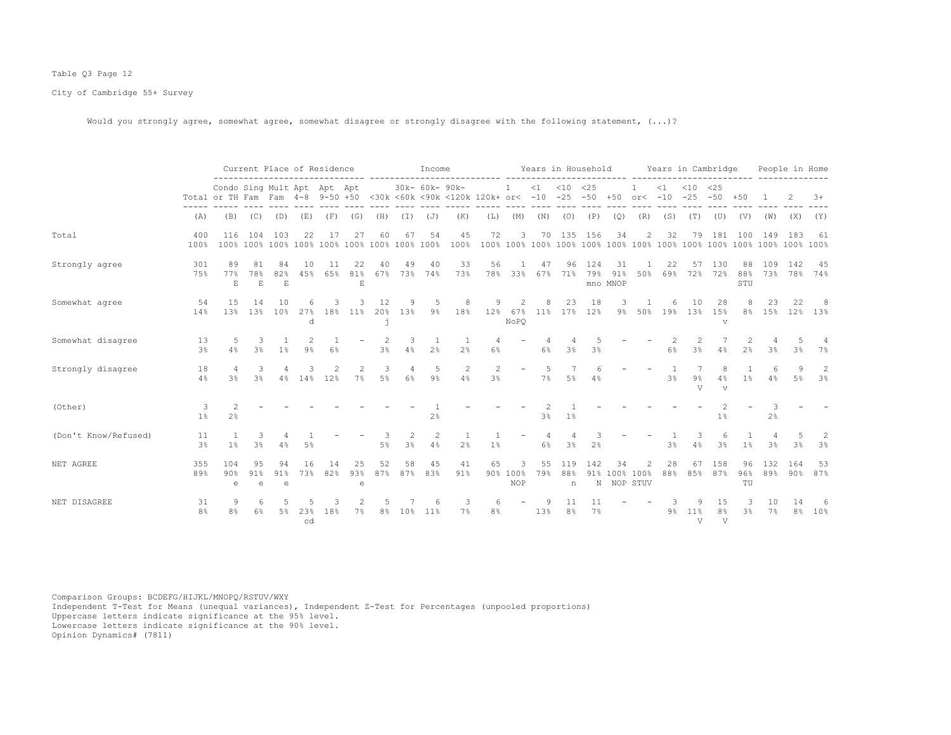## Table Q3 Page 12

City of Cambridge 55+ Survey

Would you strongly agree, somewhat agree, somewhat disagree or strongly disagree with the following statement,  $(...)?$ 

|                      |                      |                                                                 |                           |                          | Current Place of Residence     |           |                          |                      |                      | Income               |                                                        |                      |                              |           |                 | Years in Household |                          |                        |           | Years in Cambridge     |                                      |                  |            | People in Home |                     |
|----------------------|----------------------|-----------------------------------------------------------------|---------------------------|--------------------------|--------------------------------|-----------|--------------------------|----------------------|----------------------|----------------------|--------------------------------------------------------|----------------------|------------------------------|-----------|-----------------|--------------------|--------------------------|------------------------|-----------|------------------------|--------------------------------------|------------------|------------|----------------|---------------------|
|                      |                      | Condo Sing Mult Apt Apt Apt<br>Total or TH Fam Fam 4-8 9-50 +50 |                           |                          |                                |           |                          |                      |                      | 30k- 60k- 90k-       | <30k <60k <90k <120k 120k+ or< -10 -25 -50 +50 or< -10 |                      | $\mathbf{1}$                 | $\leq 1$  | $< 10$ $< 25$   |                    |                          |                        | $\leq 1$  | $< 10$ $< 25$<br>$-25$ | $-50$                                | $+50$            |            |                | $3+$                |
|                      | (A)                  | (B)                                                             | (C)                       | (D)                      | (E)                            | (F)       | (G)                      | (H)                  | (I)                  | (J)                  | (K)                                                    | (L)                  | (M)                          | (N)       | (O)             | (P)                | (Q)                      | (R)                    | (S)       | (T)                    | (U)                                  | (V)              | (W)        | (X)            | (Y)                 |
| Total                | 400<br>100%          | 116<br>100%                                                     | 104                       | 103                      | 22<br>100% 100% 100% 100% 100% | 17        | 27                       | 60<br>100% 100% 100% | 67                   | 54                   | 45<br>100%                                             | 72                   | 3                            | 70        | 135             | 156                | 34                       | 2                      | 32        | 79                     | 181                                  | 100              | 149        | 183            | 61                  |
| Strongly agree       | 301<br>75%           | 89<br>77%<br>$\mathbf E$                                        | 81<br>78%<br>$\mathbf E$  | 84<br>82%<br>$\mathbf E$ | 10<br>45%                      | 11<br>65% | 22<br>81%<br>$\mathbf E$ | 40<br>67%            | 49<br>73%            | 40<br>74%            | 33<br>73%                                              | 56<br>78%            | $\overline{1}$<br>33%        | 47<br>67% | 96<br>71%       | 124<br>79%         | 31<br>91%<br>mno MNOP    | 50%                    | 22<br>69% | 57<br>72%              | 130<br>72%                           | 88<br>88%<br>STU | 109<br>73% | 142<br>78%     | 45<br>74%           |
| Somewhat agree       | 54<br>14%            | 1.5<br>1.3%                                                     | 14<br>1.3%                | 10<br>10 <sup>9</sup>    | 6<br>27%<br>d                  | 18%       | 11%                      | 12<br>20%<br>ń       | 13%                  | $9\%$                | 8<br>18%                                               | 12%                  | $\mathcal{D}$<br>67%<br>NoPO | 11%       | 23<br>17%       | 18<br>12%          | 9%                       | 50%                    | 6<br>19%  | 10<br>13%              | 28<br>15%<br>v                       | 8 <sup>°</sup>   | 23<br>15%  | 22             | -8<br>12% 13%       |
| Somewhat disagree    | 13<br>3 <sup>8</sup> | 4%                                                              | 3<br>3 <sup>°</sup>       | 1%                       | 9 <sup>°</sup>                 | 6%        |                          | 3%                   | 3<br>4%              | 2%                   | 2%                                                     | 6%                   |                              | 6%        | 3%              | 3%                 |                          |                        | 6%        | 3%                     | 4%                                   | 2%               | 3%         | 3%             | 7%                  |
| Strongly disagree    | 18<br>4%             | 3%                                                              | 3<br>3 <sup>°</sup>       | 4%                       | 14%                            | 12%       | 7%                       | 3<br>$5\%$           | $\overline{4}$<br>6% | 5<br>$9\%$           | 2<br>4%                                                | $\overline{c}$<br>3% | $\overline{\phantom{0}}$     | .5<br>7%  | 5%              | 4%                 |                          |                        | 3%        | 9%<br>$\overline{U}$   | 4%<br>$\overline{V}$                 | 1%               | 4%         | Q<br>5%        | 2<br>3 <sup>8</sup> |
| (Other)              | 3<br>1%              | 2<br>2 <sup>°</sup>                                             |                           |                          |                                |           |                          |                      |                      | 2%                   |                                                        |                      |                              | 3%        | $1\%$           |                    |                          |                        |           |                        | 1%                                   |                  | 2%         |                |                     |
| (Don't Know/Refused) | 11<br>3 <sup>°</sup> | $1\%$                                                           | 3<br>3%                   | 4%                       | 5%                             |           |                          | 5%                   | 2<br>3%              | $\overline{c}$<br>4% | 2%                                                     | 1%                   |                              | 4<br>6%   | 3%              | 2 <sup>°</sup>     |                          |                        | 3%        | 3<br>4%                | 6<br>3%                              | 1 <sup>°</sup>   | 3%         | 3%             | 2<br>3%             |
| NET AGREE            | 355<br>89%           | 104<br>90%<br>e                                                 | 95<br>91%<br>$\mathsf{e}$ | 94<br>91%<br>e           | 16<br>73%                      | 14<br>82% | 25<br>93%<br>e           | 52<br>87%            | 58<br>87%            | 45<br>83%            | 41<br>91%                                              | 65<br>90%            | 3<br>100%<br><b>NOP</b>      | 55<br>79% | 119<br>88%<br>n | 142<br>91%         | 34<br>100%<br>N NOP STUV | $\mathfrak{D}$<br>100% | 28<br>88% | 67<br>85%              | 158<br>87%                           | 96<br>96%<br>TU  | 132<br>89% | 164<br>90%     | 53<br>87%           |
| NET DISAGREE         | 31<br>8 <sup>°</sup> | 8%                                                              | 6<br>6%                   | 5%                       | 23%<br>cd                      | 18%       | 7%                       | 8%                   | 10 <sup>8</sup>      | 11 <sup>8</sup>      | 7%                                                     | 8%                   |                              | 13%       | 8%              | 7%                 |                          |                        | 9%        | 11%<br>V               | 15<br>8 <sup>°</sup><br>$\mathbf{V}$ | 3 <sup>°</sup>   | 10<br>7%   | 8 <sup>°</sup> | 10%                 |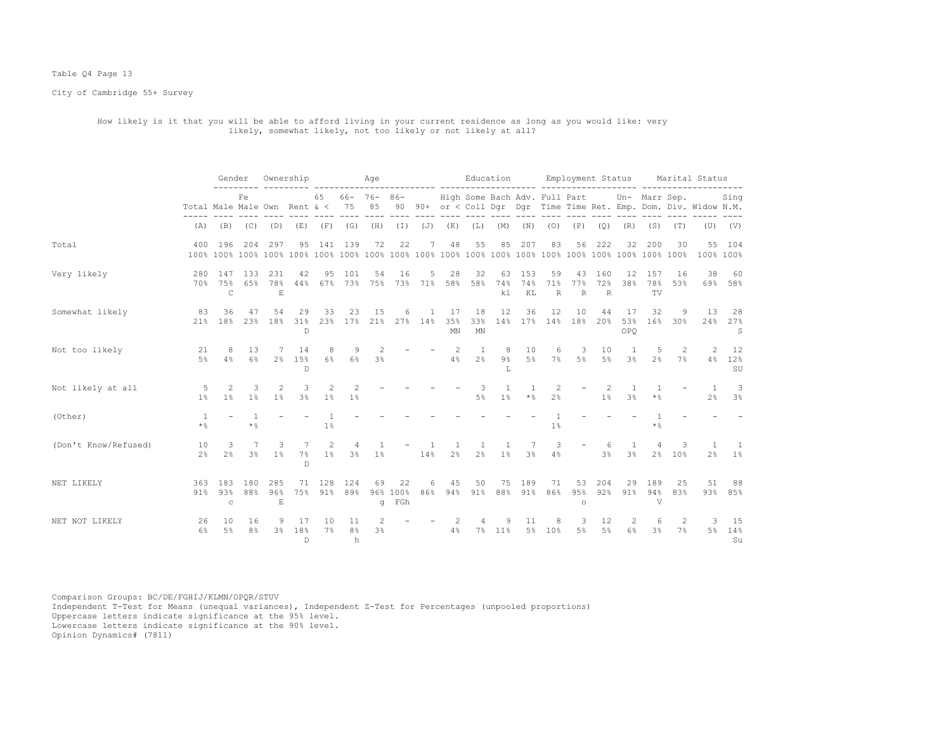#### Table Q4 Page 13

City of Cambridge 55+ Survey

# How likely is it that you will be able to afford living in your current residence as long as you would like: very likely, somewhat likely, not too likely or not likely at all?

|                      |                                     | Gender                     |                           | Ownership                 |                             |             |                           | Aqe                 |                       |                       |                     | Education                               |                  |                       |                          |                          |                      | Employment Status                | ------ -------------------- ----- |             | Marital Status                                                    |                      |
|----------------------|-------------------------------------|----------------------------|---------------------------|---------------------------|-----------------------------|-------------|---------------------------|---------------------|-----------------------|-----------------------|---------------------|-----------------------------------------|------------------|-----------------------|--------------------------|--------------------------|----------------------|----------------------------------|-----------------------------------|-------------|-------------------------------------------------------------------|----------------------|
|                      | Total Male Male Own Rent $\< 75$ 85 |                            | Fe                        |                           |                             | 65          |                           | $66 - 76 - 86 -$    |                       |                       |                     | High Some Bach Adv. Full Part           |                  |                       |                          |                          |                      |                                  | Un- Marr Sep.                     |             | 90 90+ or < Coll Dqr Dqr Time Time Ret. Emp. Dom. Div. Widow N.M. | Sing                 |
|                      | (A)                                 |                            |                           | $(B)$ $(C)$ $(D)$         |                             | $(E)$ $(F)$ | (G)                       | (H)                 | (I)                   | $(\mathbb{J})$        | (K)                 | (L)                                     | (M)              | (N)                   | (0)                      | (P)                      | (Q)                  | (R)                              | (S)                               | (T)         |                                                                   | $(U)$ $(V)$          |
| Total                |                                     | 400 196                    |                           | 204 297                   | 95                          |             | 141 139                   | 72                  | 22                    | 7                     | 48                  | 55                                      | 85               | 207                   | 83                       | 56                       | 222                  | 32                               | 200                               | 30          | 55<br>100% 100%                                                   | 104                  |
| Very likely          |                                     | 280 147<br>70% 75%<br>C    | 133<br>65%                | 231<br>78%<br>E           | 42<br>44%                   | 95          | 101<br>67% 73%            | 54<br>75%           | 16                    | 5<br>73% 71%          | 28<br>58%           | 32<br>58%                               | 63<br>74%<br>k1  | 153<br>74%<br>KL      | 59<br>71%<br>$\mathbb R$ | 43<br>77%<br>R           | 160<br>72%<br>R      | 12<br>38%                        | 157<br>78%<br>TV                  | 16<br>53%   | 38                                                                | 60<br>69% 58%        |
| Somewhat likely      | 83<br>21%                           | 36<br>18%                  | 47<br>23%                 | 54<br>18%                 | 29<br>31%<br>D              | 33          | 23<br>23% 17% 21%         | 15                  | 6                     | 1<br>$27\%$ 14%       | 17<br>35%<br>MN     | 18<br>33%<br>$\mathop{\rm MN}\nolimits$ | 12               | 36<br>14% 17% 14% 18% | 12                       | 10                       | 44<br>20%            | 17<br>53%<br>OPO                 | 32<br>16%                         | 9<br>$30\%$ | 13<br>24%                                                         | 28<br>27%<br>S       |
| Not too likely       | 21<br>5%                            | 8<br>4%                    | 13<br>6%                  | 7<br>$2\%$                | 14<br>15%<br>$\mathbb{D}$   | 8<br>6%     | 9<br>$6\%$                | 2<br>3 <sup>°</sup> |                       |                       | - 2<br>4%           | 1<br>2 <sup>°</sup>                     | 8<br>$9\%$<br>Т. | 10<br>$5\%$           | 6                        | 3<br>7% 5%               | 10<br>$5\%$          | -1<br>3 <sup>°</sup>             | 5<br>2 <sup>°</sup>               | 2<br>7%     | 2<br>4%                                                           | 12<br>12%<br>SU      |
| Not likely at all    | -5<br>1%                            | 2<br>1 <sup>8</sup>        | 3<br>1%                   | 2<br>1%                   | 3<br>3 <sup>°</sup>         | 2<br>$1\%$  | $1\%$                     |                     |                       |                       |                     | 3<br>$5\%$                              | 1<br>1%          | $\star$ %             | 2<br>$2\frac{6}{6}$      |                          | 2<br>1%              | -1.<br>3%                        | $\star$ %                         |             | $\overline{1}$<br>2%                                              | -3<br>3 <sup>°</sup> |
| (Other)              | 1<br>$\star$ %                      |                            | $\mathbf{1}$<br>$\star$ % |                           |                             | $1\%$       |                           |                     |                       |                       |                     |                                         |                  |                       | 1%                       |                          |                      |                                  | $*$ %                             |             |                                                                   |                      |
| (Don't Know/Refused) | 10<br>2 <sup>°</sup>                | 3<br>2 <sup>8</sup>        | 7<br>3%                   | 3<br>$1\%$                | 7<br>$7\%$<br>$\mathbb{D}$  | 2<br>$1\%$  | 4<br>3%                   | 1 <sup>°</sup>      | $-$                   | $\overline{1}$<br>14% | 1<br>2 <sup>8</sup> | 1<br>2 <sup>8</sup>                     | 1<br>1%          | 7<br>3 <sup>°</sup>   | 3<br>4%                  | $\overline{\phantom{a}}$ | 6<br>3 <sup>°</sup>  | $\overline{1}$<br>3 <sup>°</sup> | $\overline{4}$<br>2 <sup>°</sup>  | 3<br>10%    | $\mathbf{1}$<br>$2\,$ $\,$                                        | -1<br>$1\%$          |
| NET LIKELY           | 363<br>91%                          | 183<br>93%<br>$\mathtt{C}$ | 180<br>88%                | 285<br>96%<br>$\mathbf E$ | 71<br>75%                   | 128<br>91%  | 124<br>89%                | 69<br>$\sigma$      | 22<br>96% 100%<br>FGh | 6<br>86%              | 45<br>94%           | 50<br>$91\%$                            | 75<br>88%        | 189<br>91%            | 71<br>86%                | 53<br>95%<br>$\circ$     | 204<br>92%           | 29<br>91%                        | 189<br>94%<br>V                   | 25<br>83%   | 51                                                                | 88<br>93% 85%        |
| NET NOT LIKELY       | 26<br>6%                            | 10<br>5%                   | 16<br>8 <sup>°</sup>      | 9                         | 17<br>3% 18%<br>$\mathbb D$ | 10<br>7%    | 11<br>8 <sup>°</sup><br>h | 3%                  |                       |                       | 4%                  | 4                                       | 9<br>7% 11%      | 11<br>$5\%$           | 8<br>10%                 | 3<br>$5\%$               | 12<br>5 <sup>°</sup> | 2<br>6%                          | 6<br>3 <sup>8</sup>               | 2<br>7%     | 3<br>5%                                                           | 15<br>14%<br>Su      |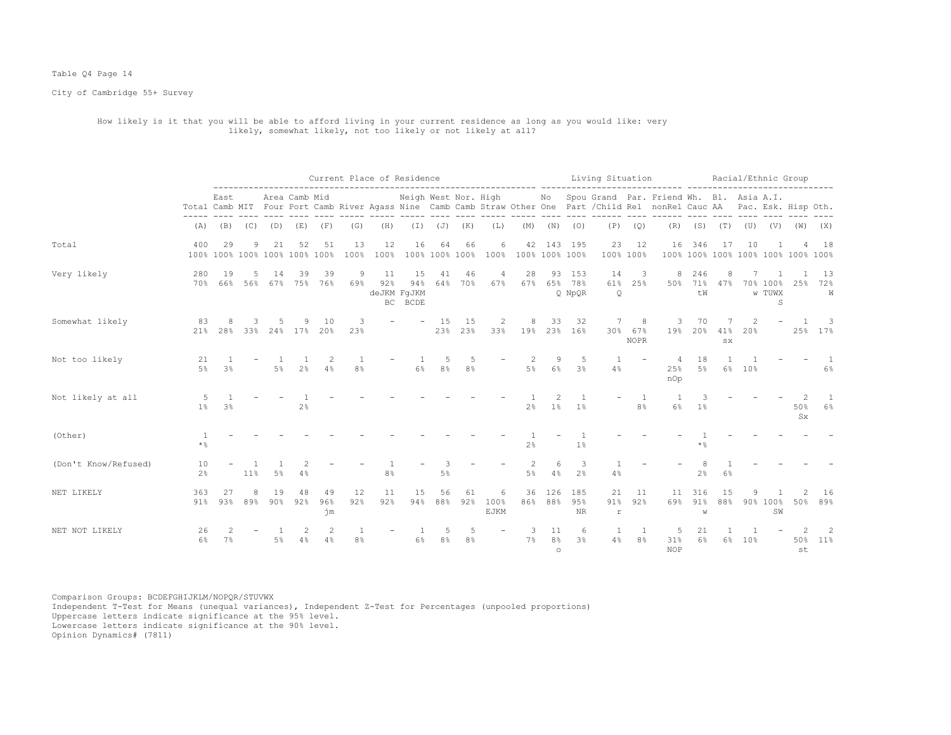## Table Q4 Page 14

City of Cambridge 55+ Survey

# How likely is it that you will be able to afford living in your current residence as long as you would like: very likely, somewhat likely, not too likely or not likely at all?

|                      |                             |                |                   |              |                                     |                 |                                |            | Current Place of Residence          |                      |                      |                   |                                          |                                 |                          | Living Situation          |                             |                                                                                                                                                                                                  |                      |                    |     |                         | Racial/Ethnic Group                |                                     |
|----------------------|-----------------------------|----------------|-------------------|--------------|-------------------------------------|-----------------|--------------------------------|------------|-------------------------------------|----------------------|----------------------|-------------------|------------------------------------------|---------------------------------|--------------------------|---------------------------|-----------------------------|--------------------------------------------------------------------------------------------------------------------------------------------------------------------------------------------------|----------------------|--------------------|-----|-------------------------|------------------------------------|-------------------------------------|
|                      |                             | East           |                   |              | Area Camb Mid                       |                 |                                |            |                                     |                      |                      |                   |                                          |                                 |                          | ------- ----              |                             | Neigh West Nor. High Mo Spou Grand Par. Friend Wh. Bl. Asia A.I.<br>Total Camb MIT Four Port Camb River Agass Nine Camb Camb Straw Other One Part / Child Rel nonRel Cauc AA Pac. Esk. Hisp Oth. |                      |                    |     |                         |                                    |                                     |
|                      | (A)                         |                | $(B)$ $(C)$ $(D)$ |              | (E)                                 | (F)             | (G)                            | (H)        |                                     | $(I)$ $(J)$ $(K)$    |                      | (L)               |                                          | $(M)$ $(N)$                     | (0)                      | (P)                       | (Q)                         | (R)                                                                                                                                                                                              |                      | $(S)$ $(T)$ $(U)$  |     | (V)                     | (W)                                | (X)                                 |
| Total                | 400                         | 29             | 9                 | 21           | 52<br>100% 100% 100% 100% 100% 100% | 51              | 13<br>100%                     | 12<br>100% | 16                                  | 64                   | 66                   | 6                 | 42<br>100% 100% 100% 100% 100% 100% 100% |                                 | 143 195                  | 23                        | 12<br>100% 100%             | 16                                                                                                                                                                                               | 346                  | 17                 | 10  |                         | 100% 100% 100% 100% 100% 100% 100% | 18                                  |
| Very likely          | 280<br>70%                  | 19<br>66%      | 5<br>56%          | 14           | 39<br>67% 75%                       | 39<br>76%       | 9<br>69%                       | 11<br>92%  | 15<br>94%<br>deJKM FqJKM<br>BC BCDE | 41<br>64%            | 46<br>70%            | 4<br>67%          | 28<br>67%                                | 93                              | 153<br>65% 78%<br>Q NpQR | 14<br>61%<br>$\mathsf{Q}$ | 3<br>25%                    | 8<br>50%                                                                                                                                                                                         | 246<br>71%<br>tW     | 8<br>47%           |     | 70% 100%<br>w TUWX<br>S | 25%                                | 13<br>72%<br>W                      |
| Somewhat likely      | 83<br>21%                   | 8<br>28%       | २<br>33%          |              | 24% 17%                             | 10<br>20%       | 3<br>23%                       |            |                                     | 15<br>23%            | 15<br>23%            | 2<br>33%          | 8                                        | 33                              | 32<br>19% 23% 16%        | 7                         | 8<br>30% 67%<br><b>NOPR</b> | 3<br>19%                                                                                                                                                                                         | 70<br>20%            | 41%<br>$_{\rm SX}$ | 20% |                         |                                    | $\overline{\phantom{a}}$<br>25% 17% |
| Not too likely       | 21<br>5%                    | 3 <sup>°</sup> |                   | 5%           | 2 <sup>°</sup>                      | -2<br>4%        | $\mathbf{1}$<br>8 <sup>°</sup> |            | 6%                                  | .5<br>8 <sup>°</sup> | .5<br>8%             |                   | 2<br>5%                                  | 9<br>$6\%$                      | -5<br>3 <sup>°</sup>     | 4%                        |                             | -4<br>25%<br>nOp                                                                                                                                                                                 | 18<br>$5\%$          | $6\%$              | 10% |                         |                                    | $6\%$                               |
| Not likely at all    | -5<br>1 <sup>°</sup>        | 3 <sup>°</sup> |                   |              | 2 <sup>°</sup>                      |                 |                                |            |                                     |                      |                      |                   | 2 <sup>°</sup>                           | $\mathfrak{D}$<br>1%            | 1 <sup>°</sup>           |                           | 8 <sup>°</sup>              | 6%                                                                                                                                                                                               | 3<br>1 <sup>°</sup>  |                    |     |                         | 50%<br>Sx                          | $6\%$                               |
| (Other)              | $\overline{1}$<br>$\star$ % |                |                   |              |                                     |                 |                                |            |                                     |                      |                      |                   | 2 <sup>°</sup>                           |                                 | 1 <sup>°</sup>           |                           |                             |                                                                                                                                                                                                  | * %                  |                    |     |                         |                                    |                                     |
| (Don't Know/Refused) | 10<br>2%                    |                | 11%               | 5%           |                                     |                 |                                | 8%         |                                     | 5%                   |                      |                   | 2<br>$5\%$                               | 6<br>4%                         | -3<br>2.8                | 4%                        |                             |                                                                                                                                                                                                  | 2%                   | $6\%$              |     |                         |                                    |                                     |
| NET LIKELY           | 363<br>91%                  | 27<br>93%      | 8<br>89%          | 19<br>$90\%$ | 92%                                 | 49<br>96%<br>ήm | 12<br>92%                      | 11<br>92%  | 15<br>94%                           | 56<br>88%            | 61<br>92%            | 6<br>100%<br>EJKM | 36<br>86%                                | 126<br>88%                      | 185<br>95%<br>$\rm NR$   | 21<br>91%<br>r            | 11<br>92%                   | 11<br>69%                                                                                                                                                                                        | 316<br>91%<br>W      | 15<br>88%          |     | 90% 100%<br>SW          | 50%                                | 16<br>89%                           |
| NET NOT LIKELY       | 26<br>6%                    | 7%             |                   | 5%           | 4%                                  | 2<br>4%         | 8 <sup>°</sup>                 |            | 6%                                  | 8%                   | .5<br>8 <sup>°</sup> |                   | 3<br>7%                                  | 11<br>8 <sup>°</sup><br>$\circ$ | 6<br>3 <sup>°</sup>      | 4%                        | 8 <sup>°</sup>              | -5<br>31%<br><b>NOP</b>                                                                                                                                                                          | 21<br>6 <sup>°</sup> | 6%                 | 10% |                         | 50%<br>st                          | 2<br>11%                            |

Comparison Groups: BCDEFGHIJKLM/NOPQR/STUVWX Independent T-Test for Means (unequal variances), Independent Z-Test for Percentages (unpooled proportions) Uppercase letters indicate significance at the 95% level. Lowercase letters indicate significance at the 90% level.

Opinion Dynamics# (7811)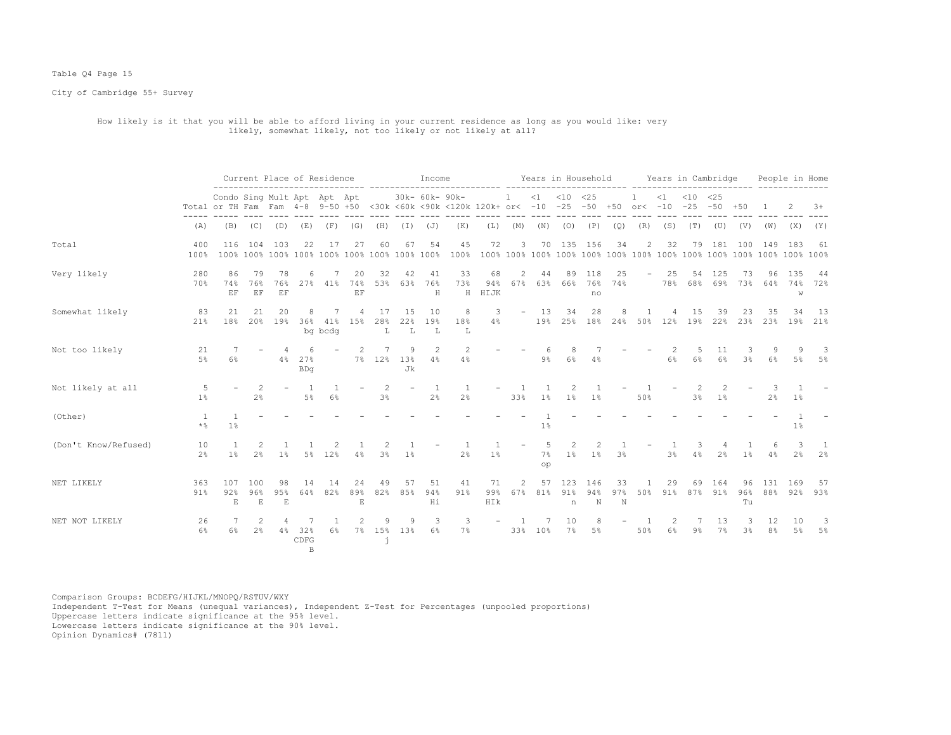#### Table Q4 Page 15

City of Cambridge 55+ Survey

# How likely is it that you will be able to afford living in your current residence as long as you would like: very likely, somewhat likely, not too likely or not likely at all?

|                      |                         | Current Place of Residence                                                                                     |                           |                          |                        | Income              |                          | ------- -----       |                 |                      |                      | Years in Household        |           |                |                         | Years in Cambridge    |                          |                            |                | People in Home              |                     |                 |                |                     |                 |
|----------------------|-------------------------|----------------------------------------------------------------------------------------------------------------|---------------------------|--------------------------|------------------------|---------------------|--------------------------|---------------------|-----------------|----------------------|----------------------|---------------------------|-----------|----------------|-------------------------|-----------------------|--------------------------|----------------------------|----------------|-----------------------------|---------------------|-----------------|----------------|---------------------|-----------------|
|                      |                         | Condo Sing Mult Apt Apt Apt<br>Total or TH Fam Fam 4-8 9-50 +50 <30k <60k <90k <120k 120k+ or< -10 -25 -50 +50 |                           |                          |                        |                     |                          |                     |                 | 30k- 60k- 90k-       |                      |                           | <b>1</b>  |                | $<1$ $<10$ $<25$        |                       |                          | $\mathbf{1}$<br>$or < -10$ | $\leq 1$       | $< 10$ $< 25$<br>$-25 - 50$ |                     | $+50$           |                |                     | $3+$            |
|                      | (A)                     | (B)                                                                                                            | (C)                       | (D)                      | (E)                    | (F)                 | (G)                      | (H)                 | (I)             | (J)                  | (K)                  | (L)                       | (M)       | (N)            | (0)                     | (P)                   | (Q)                      | (R)                        | (S)            | (T)                         | (U)                 | (V)             | (W)            | (X)                 | (Y)             |
| Total                | 400<br>100%             | 116                                                                                                            | 104                       | 103                      | 22                     | 17                  | 27                       | 60                  | 67              | 54                   | 45<br>100%           | 72                        | 3         |                | 70 135                  | 156                   | 34                       | 2                          | 32             | 79                          | 181                 | 100             | 149            | 183                 | 61              |
| Very likely          | 280<br>70%              | 86<br>74%<br>EF                                                                                                | 79<br>76%<br>EF           | 78<br>76%<br>EF          | 6<br>27%               | 41%                 | 20<br>74%<br>EF          | 32<br>53%           | 42<br>63%       | 41<br>76%<br>$\rm H$ | 33<br>73%<br>$\rm H$ | 68<br>94%<br>HIJK         | 2<br>67%  | 44             | 89<br>63% 66%           | 118<br>76%<br>no      | 25<br>74%                | $\overline{\phantom{a}}$   | 25<br>78%      | 54<br>68%                   | 125<br>69%          | 73<br>73%       | 96<br>64%      | 135<br>74%<br>W     | -44<br>72%      |
| Somewhat likely      | 83<br>21%               | 21<br>18%                                                                                                      | 21<br>20%                 | 20<br>19%                | 8<br>36%               | 7<br>41%<br>bg bcdg | 4<br>15%                 | 17<br>28%<br>L      | 15<br>22%<br>T. | 10<br>19%<br>L       | 8<br>18%<br>Τ.       | 3<br>4%                   | $ \,$     | 13<br>19%      | 34                      | 28<br>25% 18% 24% 50% |                          |                            | 12%            | 15<br>19%                   | 39<br>22%           | 23<br>23%       | 35<br>23%      | 34                  | - 13<br>19% 21% |
| Not too likely       | 21<br>$5\%$             | 6%                                                                                                             |                           | $\overline{4}$<br>4%     | 6<br>27%<br><b>BDq</b> |                     |                          | 7% 12%              | 9<br>13%<br>Jk  | 2<br>4%              | 2<br>4%              |                           |           | $9\%$          | 8<br>6%                 | 4%                    |                          |                            | 6%             | 5<br>6%                     | 11<br>6%            | 3<br>3%         | 9<br>6%        |                     | -3<br>5% 5%     |
| Not likely at all    | 1 <sup>8</sup>          |                                                                                                                | 2 <sup>°</sup>            |                          | $5\%$                  | 6%                  |                          | 2<br>3 <sup>°</sup> |                 | 1<br>2%              | 2 <sup>°</sup>       |                           | 33%       | 1%             | 1%                      | 1%                    |                          | 50%                        |                | 3%                          | 1%                  |                 | 2 <sup>°</sup> | $1\%$               |                 |
| (Other)              | $\overline{1}$<br>$*$ % | $\overline{1}$<br>$1\%$                                                                                        |                           |                          |                        |                     |                          |                     |                 |                      |                      |                           |           | 1%             |                         |                       |                          |                            |                |                             |                     |                 |                | $1\%$               |                 |
| (Don't Know/Refused) | 10<br>2 <sup>°</sup>    | $\overline{1}$<br>$1\%$                                                                                        | 2<br>2 <sup>°</sup>       | $\mathbf{1}$<br>$1\%$    |                        | 5% 12%              | 4%                       | 3%                  | 1 <sup>°</sup>  |                      | 2 <sup>°</sup>       | $1\%$                     |           | -5<br>7%<br>op | $\overline{2}$<br>$1\%$ | 2<br>$1\%$            | 3%                       |                            | 3 <sup>°</sup> | 3<br>4%                     | 4<br>2 <sup>°</sup> | $1\%$           | 6<br>4%        | 3<br>2 <sup>°</sup> | -1.<br>2%       |
| NET LIKELY           | 363<br>91%              | 107<br>92%<br>$\mathbf E$                                                                                      | 100<br>96%<br>$\mathbf E$ | 98<br>95%<br>$\mathbf E$ | 14<br>64%              | 14<br>82%           | 24<br>89%<br>$\mathbf E$ | 49<br>82%           | 57<br>85%       | 51<br>94%<br>Ηi      | 41<br>91%            | 71<br>99%<br>$\verb HIk $ | 2<br>67%  | 57<br>81%      | 123<br>91%<br>n         | 146<br>94%<br>N       | 33<br>97%<br>$\mathbb N$ | 50%                        | 29<br>91%      | 69                          | 164<br>87% 91%      | 96<br>96%<br>Tu | 131<br>88%     | 169<br>92%          | - 57<br>93%     |
| NET NOT LIKELY       | 26<br>6%                | 6%                                                                                                             | 2<br>2 <sup>°</sup>       | 4<br>4%                  | 7<br>32%<br>CDFG<br>B. | $\mathbf{1}$<br>6%  | $7\%$                    | 9<br>15%<br>j       | 9<br>13%        | 3<br>$6\%$           | 3<br>7%              | $\overline{\phantom{a}}$  | -1<br>33% | 10%            | 10<br>7%                | 8<br>$5\%$            |                          | -1<br>50%                  | 2<br>6%        | 7<br>$9\%$                  | 13<br>7%            | 3<br>3%         | 12<br>8%       | 10<br>$5\%$         | -3<br>5%        |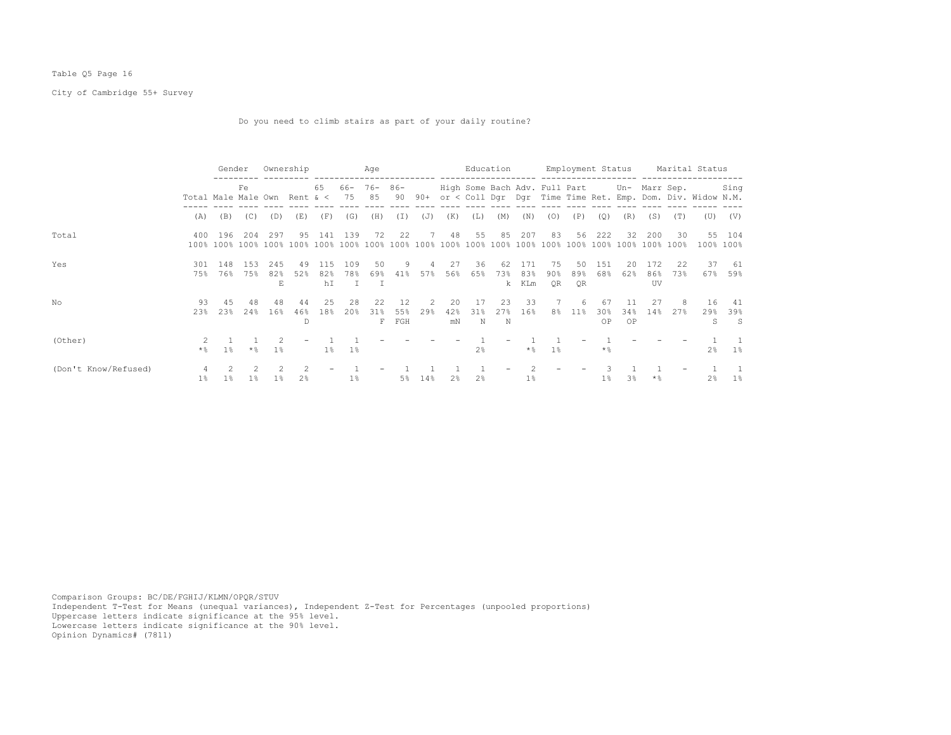## Table Q5 Page 16

City of Cambridge 55+ Survey

Do you need to climb stairs as part of your daily routine?

|                      |                              | Gender     |             | Ownership        |                |                  |                 | Age             |                  |          |                 |                 | Education                |                                             |                    |                 |                   | Employment Status |                         |                                                            | Marital Status |                  |
|----------------------|------------------------------|------------|-------------|------------------|----------------|------------------|-----------------|-----------------|------------------|----------|-----------------|-----------------|--------------------------|---------------------------------------------|--------------------|-----------------|-------------------|-------------------|-------------------------|------------------------------------------------------------|----------------|------------------|
|                      | Total Male Male Own Rent & < | Fe         |             |                  | 65             | 66- 76-<br>75 85 |                 | $86 -$          | 90 90+           |          |                 |                 |                          | High Some Bach Adv. Full Part Un- Marr Sep. |                    |                 |                   |                   |                         | or < Coll Dgr Dgr Time Time Ret. Emp. Dom. Div. Widow N.M. | Sing           |                  |
|                      | (A)                          | (B)        | (C)         | (D)              | (E)            | (F)              | (G)             | (H)             | (T)              | (J)      | (K)             | (L)             | (M)                      | (N)                                         | (0)                | (P)             | (Q)               | (R)               | (S)                     | (T)                                                        | (U)            | (V)              |
| Total                | 400                          | 196        | 204         | 297              | 95             | 141              | 139             | 72              | 22               | 7        | 48              | 55              | 85                       | 207                                         | 83                 | 56              | 222               | 32.               | 200                     | 30                                                         | 55             | 104<br>100% 100% |
| Yes                  | 301<br>75%                   | 148<br>76% | 1.53<br>75% | 245<br>82%<br>E. | 49<br>52%      | 115<br>82%<br>hI | 109<br>78%<br>T | 50<br>69%<br>I  | 9<br>41%         | 4<br>57% | 27<br>56%       | 36<br>65%       | 62<br>73%<br>k.          | 171<br>83%<br>KLm                           | 75<br>$90\%$<br>QR | 50<br>89%<br>0R | 151<br>68%        | 20<br>62%         | 172<br>86%<br><b>UV</b> | 22<br>73%                                                  | 37<br>67%      | - 61<br>59%      |
| No                   | 93<br>23%                    | 4.5<br>23% | 48<br>24%   | 48<br>16%        | 44<br>46%<br>D | 2.5<br>18%       | 28<br>20%       | 2.2<br>31%<br>F | 12<br>55%<br>FGH | 2<br>29% | 20<br>42%<br>mN | -17<br>31%<br>N | 23<br>27%<br>$\mathbb N$ | 33<br>16%                                   | 7<br>8%            | 6<br>$11\%$     | -67<br>30%<br>OP  | 11<br>34%<br>OP   | -27<br>14%              | 27%                                                        | 16<br>29%<br>S | 41<br>39%<br>- S |
| (Other)              | $\star$ %                    | $1\%$      | $*$ %       | 1 <sup>°</sup>   |                | $1\%$            | $1\%$           |                 |                  |          |                 | 2 <sup>8</sup>  |                          | $\star$ %                                   | $1\%$              |                 | $*$ $\frac{6}{5}$ |                   |                         |                                                            | $2\frac{6}{9}$ | 1%               |
| (Don't Know/Refused) | $1\%$                        | $1\%$      | $1\%$       | $1\%$            | 2 <sup>8</sup> |                  | $1\%$           |                 | 5%               | 14%      | 2 <sup>8</sup>  | 2 <sup>8</sup>  |                          | $1\%$                                       |                    |                 | $1\%$             | 3 <sup>8</sup>    | $*$ %                   |                                                            | $2\frac{6}{9}$ | $1\%$            |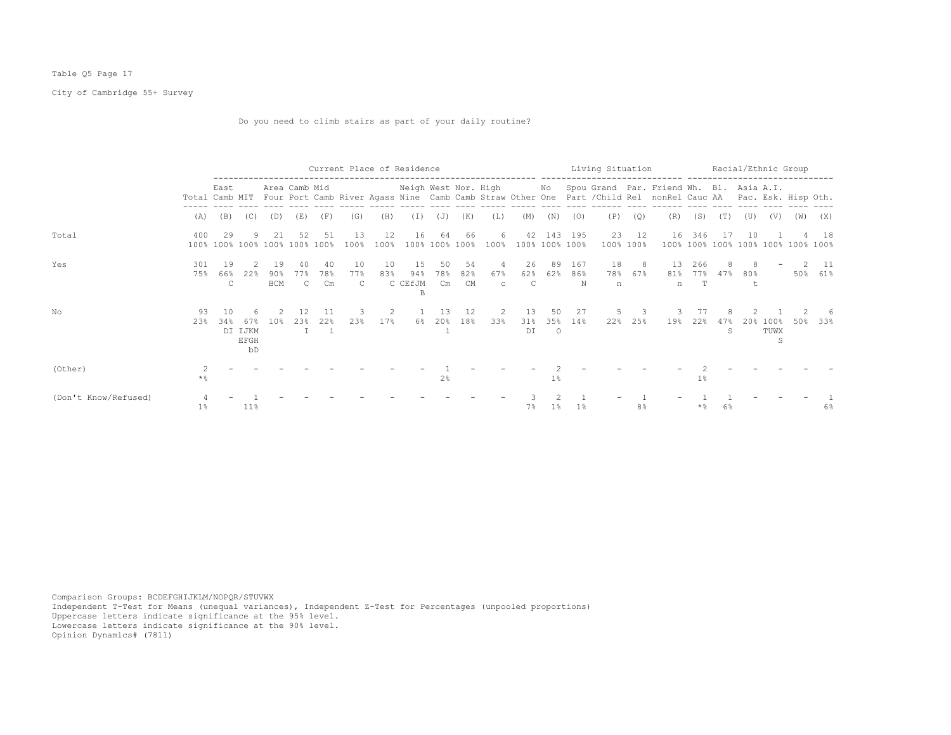## Table Q5 Page 17

City of Cambridge 55+ Survey

Do you need to climb stairs as part of your daily routine?

|                      |                |                           |                              |                            |                           |                           |                           | Current Place of Residence |                           |                                       |                        | ------------------        |                           |                |                 | Living Situation<br>--------------------- |                | .------- ----------------------                                                                                                                                                   |          |                      |     |                      | Racial/Ethnic Group           |                 |
|----------------------|----------------|---------------------------|------------------------------|----------------------------|---------------------------|---------------------------|---------------------------|----------------------------|---------------------------|---------------------------------------|------------------------|---------------------------|---------------------------|----------------|-----------------|-------------------------------------------|----------------|-----------------------------------------------------------------------------------------------------------------------------------------------------------------------------------|----------|----------------------|-----|----------------------|-------------------------------|-----------------|
|                      | Total Camb MIT | East                      |                              |                            | Area Camb Mid             |                           |                           |                            |                           |                                       |                        |                           |                           |                |                 |                                           |                | Neigh West Nor. High Mo Spou Grand Par. Friend Wh. Bl. Asia A.I.<br>Four Port Camb River Agass Nine Camb Camb Straw Other One Part / Child Rel nonRel Cauc AA Pac. Esk. Hisp Oth. |          |                      |     |                      |                               |                 |
|                      | (A)            | (B)                       | (C)                          | (D)                        | (E)                       | (F)                       | (G)                       | (H)                        | (T)                       | (J)                                   | (K)                    | (L)                       | (M)                       | (N)            | (O)             | (P)                                       | (Q)            | (R)                                                                                                                                                                               | (S)      | (T)                  | (U) | (V)                  | (W)                           | (X)             |
| Total                | 400            | 29<br>100% 100% 100% 100% |                              | 2.1                        | 52<br>100% 100%           | 51                        | 13<br>100%                | 12<br>100%                 | 16                        | 64<br>100% 100%                       | 66<br>100%             | 6.<br>100%                | 42<br>100% 100% 100%      | 143            | 195             | 23<br>$100\%$                             | 12<br>100%     | 16<br>100%                                                                                                                                                                        | 346      |                      | 10  |                      | 100% 100% 100% 100% 100% 100% | 18              |
| Yes                  | 301<br>75%     | 19<br>66%<br>C            | 2.<br>22%                    | 19<br>$90\%$<br><b>BCM</b> | 40<br>77%<br>$\mathsf{C}$ | -40<br>78%<br>Cm          | 10<br>77%<br>$\mathbb{C}$ | 10<br>83%                  | 15<br>94%<br>C CEfJM<br>B | 50<br>78%<br>$\mathbb{C}\mathfrak{m}$ | 54<br>82%<br><b>CM</b> | -4<br>67%<br>$\mathbf{C}$ | 26<br>62%<br>$\mathbb{C}$ | 89<br>62%      | 167<br>86%<br>N | 18<br>n                                   | - 8<br>78% 67% | 13<br>n                                                                                                                                                                           | 266<br>T | 8<br>81% 77% 47% 80% |     |                      |                               | - 11<br>50% 61% |
| No                   | 93<br>23%      | 1 N<br>34%                | 67%<br>DI IJKM<br>EFGH<br>bD | 10 <sup>8</sup>            | 12<br>23%<br>T            | 11<br>22%<br>$\mathbf{i}$ | 23%                       | 2<br>17%                   | 6%                        | 13<br>20%                             | 12<br>18%              | 2<br>33%                  | 13<br>31%<br>DI           | 50<br>$\circ$  | 27<br>35% 14%   | 22%                                       | 3<br>25%       | 19%                                                                                                                                                                               | 22%      | 47%<br>S             | 20% | $100\%$<br>TUWX<br>S | 50%                           | 33%             |
| (Other)              | 2<br>$\star$ % |                           |                              |                            |                           |                           |                           |                            |                           | 2 <sup>°</sup>                        |                        |                           |                           | 1 <sup>°</sup> |                 |                                           |                |                                                                                                                                                                                   | 1%       |                      |     |                      |                               |                 |
| (Don't Know/Refused) | 1%             |                           | $11\%$                       |                            |                           |                           |                           |                            |                           |                                       |                        |                           | 7%                        | $1\%$          | 1%              |                                           | 8 <sup>°</sup> |                                                                                                                                                                                   | * %      | 6%                   |     |                      |                               | 6%              |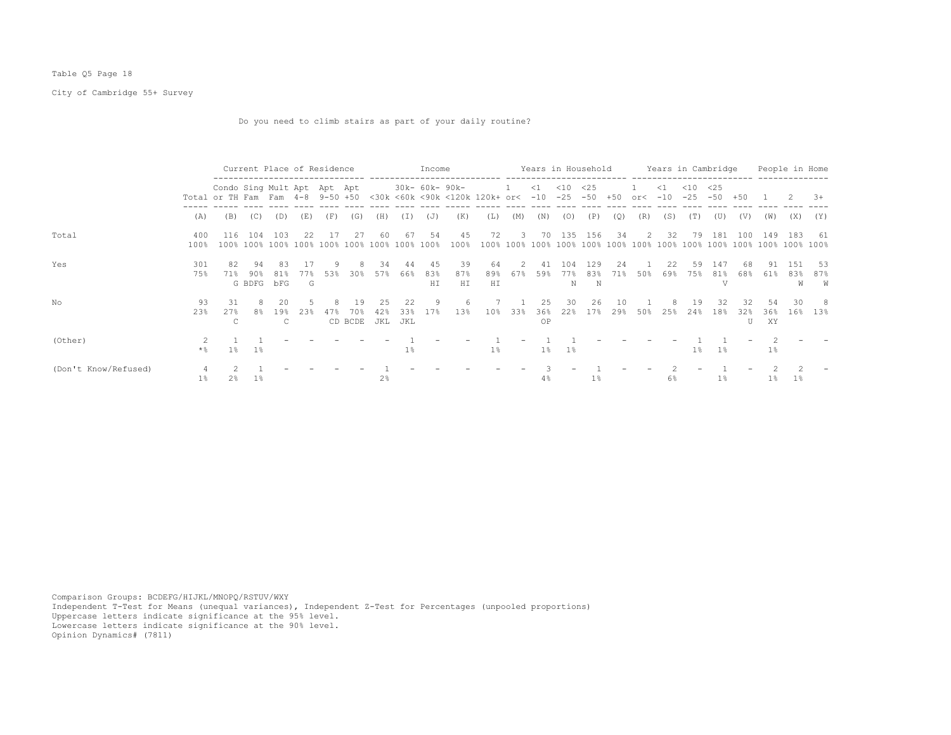## Table Q5 Page 18

City of Cambridge 55+ Survey

Do you need to climb stairs as part of your daily routine?

|                      |                       |                                                                 |                     | Current Place of Residence |                 |     |                      |                  |                    | Income           |                 |                                |          |                   | Years in Household |                 |            |               |                   |                 | Years in Cambridge |                |                 |                  | People in Home  |
|----------------------|-----------------------|-----------------------------------------------------------------|---------------------|----------------------------|-----------------|-----|----------------------|------------------|--------------------|------------------|-----------------|--------------------------------|----------|-------------------|--------------------|-----------------|------------|---------------|-------------------|-----------------|--------------------|----------------|-----------------|------------------|-----------------|
|                      |                       | Condo Sing Mult Apt Apt Apt<br>Total or TH Fam Fam 4-8 9-50 +50 |                     |                            |                 |     |                      |                  |                    | 30k- 60k- 90k-   |                 | <30k <60k <90k <120k 120k+ or< | -1       | $\leq$ 1<br>$-10$ | $<$ 10<br>$-25$    | <25<br>$-50$    | $+50$      | $\text{or}$   | $\leq$ 1<br>$-10$ | $<$ 10<br>$-25$ | <25<br>$-50$       | $+50$          |                 |                  | $3+$            |
|                      | (A)                   | (B)                                                             | (C)                 | (D)                        | (E)             | (F) | (G)                  | (H)              | I)                 | (J)              | (K)             | (L)                            | (M)      | (N)               | (0)                | (P)             | (Q)        | (R)           | (S)               | (T)             | (U)                | (V)            | (W)             | (X)              | (Y)             |
| Total                | 400<br>100%           | 116<br>100%                                                     | 104                 | 103<br>100% 100%           | 22<br>100%      |     | 27<br>100% 100%      | -60<br>100%      | 67<br>100%         | 54<br>100%       | 45<br>100%      | 72<br>100%                     | 3        | 70                | 135                | 156             | 34         | $\mathcal{L}$ | 32                | 79              | 181                | 100            | 149             | 183              | -61             |
| Yes                  | 301<br>75%            | 82<br>71%                                                       | 94<br>90%<br>G BDFG | 83<br>81%<br>bFG           | -17<br>77왕<br>G | 53% | 30%                  | 34<br>57%        | 44<br>66%          | -45<br>83%<br>HI | 39<br>87%<br>HI | 64<br>89%<br>HI                | 2<br>67% | 41<br>59%         | 104<br>77%<br>N    | 129<br>83%<br>N | 2.4<br>71% | 50%           | 2.2.<br>69%       | 59<br>75%       | 147<br>81%<br>T.T  | 68<br>68%      | 91<br>61%       | 1.51<br>83%<br>W | -53<br>87%<br>W |
| No                   | 93<br>23%             | 31<br>27%<br>C                                                  | 8<br>8%             | 20<br>19%<br>C             | 23%             |     | 19<br>70%<br>CD BCDE | 25<br>42%<br>JKL | 22.2<br>33%<br>JKL | 9<br>17%         | 6<br>13%        | 10%                            | 33%      | 2.5<br>36%<br>OP  | 30<br>22%          | 26<br>17%       | 10<br>29%  | 50%           | 25%               | 19<br>24%       | 32<br>18%          | 32<br>32%<br>U | 54<br>36%<br>XY | 30<br>16%        | -8<br>13%       |
| (Other)              | $\star$ $\frac{6}{9}$ | $1\%$                                                           | $1\%$               |                            |                 |     |                      |                  | $1\%$              |                  |                 | $1\%$                          |          | $1\%$             | $1\%$              |                 |            |               |                   | $1\%$           | $1\%$              |                | $1\%$           |                  |                 |
| (Don't Know/Refused) | $1\%$                 | 2%                                                              | $1\%$               |                            |                 |     |                      | $2\frac{6}{5}$   |                    |                  |                 |                                |          | 4%                |                    | $1\%$           |            |               | 6%                |                 | $1\%$              |                | $1\%$           | $1\%$            |                 |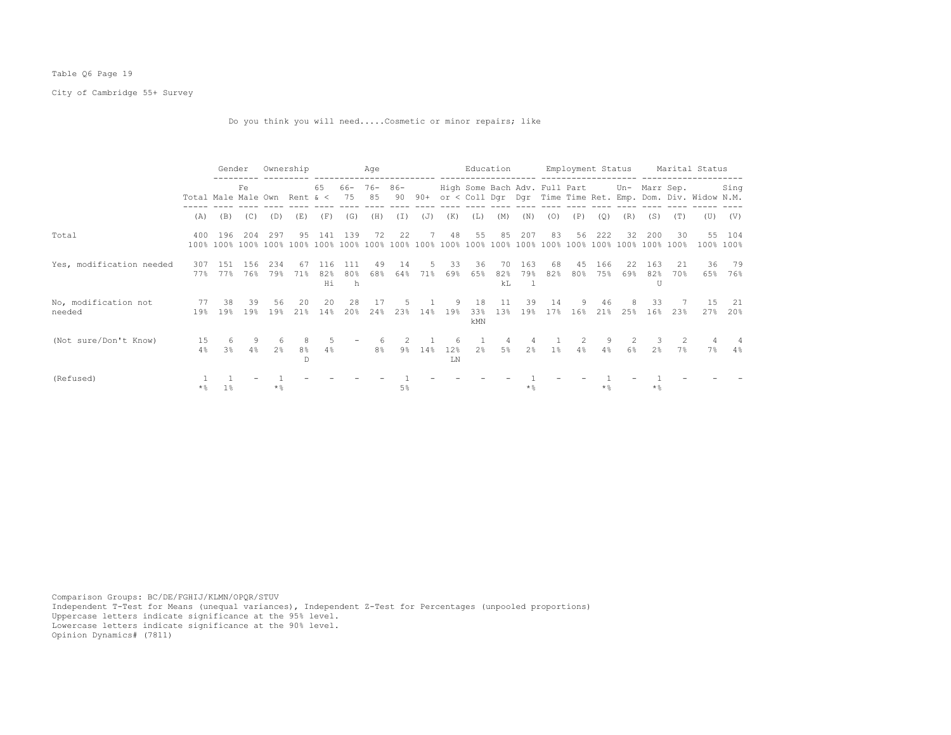## Table Q6 Page 19

City of Cambridge 55+ Survey

Do you think you will need.....Cosmetic or minor repairs; like

|                                |                              | Gender                     |            |            | Ownership  |                  |                 | Age          |              |           |            |                  | Education       |                |                                             |            | Employment Status |                |                 |                     | Marital Status                                             |                     |
|--------------------------------|------------------------------|----------------------------|------------|------------|------------|------------------|-----------------|--------------|--------------|-----------|------------|------------------|-----------------|----------------|---------------------------------------------|------------|-------------------|----------------|-----------------|---------------------|------------------------------------------------------------|---------------------|
|                                | Total Male Male Own Rent & < |                            | Fe         |            |            | 65               | 66-<br>75       | $76 -$<br>85 | $86 -$<br>90 | $90+$     |            |                  |                 |                | High Some Bach Adv. Full Part Un- Marr Sep. |            |                   |                |                 |                     | or < Coll Dgr Dgr Time Time Ret. Emp. Dom. Div. Widow N.M. | Sing                |
|                                | (A)                          | (B)                        | (C)        | (D)        | (E)        | (F)              | (G)             | (H)          | (I)          | (J)       | (K)        | (L)              | (M)             | (N)            | (0)                                         | (P)        | (Q)               | (R)            | (S)             | (T)                 | (U)                                                        | (V)                 |
| Total                          | 400                          | 196<br>100% 100% 100% 100% | 204        | 297        | 95<br>100% | 141<br>100%      | 139<br>100%     | 72<br>100%   | 22<br>100%   | 7<br>100% | 48<br>100% | 55<br>100%       | 85<br>100%      | 207<br>100%    | 83<br>100%                                  | 56<br>100% | 222<br>100%       | 32<br>100%     | 200<br>100%     | 30<br>100%          |                                                            | 55 104<br>100% 100% |
| Yes, modification needed       | 307<br>77%                   | 1.51<br>77%                | 156<br>76% | 234<br>79% | 67<br>71%  | 116<br>82%<br>Hi | 111<br>80%<br>h | 49<br>68%    | 14<br>64%    | 5.<br>71% | 33<br>69%  | 36<br>65%        | 70<br>82%<br>kL | 163<br>79%     | 68<br>82%                                   | 45<br>80%  | 166<br>75%        | 22<br>69%      | 163<br>82%<br>U | 21<br>70%           | 36<br>65%                                                  | 79<br>76%           |
| No, modification not<br>needed | 77<br>19%                    | 38<br>19%                  | 39<br>19%  | 56<br>19%  | 20<br>21%  | 20<br>14%        | 28<br>20%       | 17<br>24%    | 23%          | 14%       | 9.<br>19%  | 18<br>33%<br>kMN | 11<br>13%       | 39<br>19%      | 14<br>17%                                   | 9.<br>16%  | 46<br>21%         | 25%            | 33<br>16%       | 23%                 | -1.5<br>27%                                                | -21<br>20%          |
| (Not sure/Don't Know)          | 15<br>4%                     | 6<br>3%                    | 9<br>4%    | -6<br>2%   | 8%<br>D.   | .5<br>4%         |                 | 8%           | 9%           | 14%       | 12%<br>LN  | 2 <sup>8</sup>   | 4<br>5%         | 2 <sup>8</sup> | $1\%$                                       | 4%         | 9<br>4%           | 6 <sup>°</sup> | 2.8             | $\mathcal{L}$<br>7% | 4<br>7%                                                    | 4<br>$4\%$          |
| (Refused)                      | $\star$ %                    | $1\%$                      |            | $*$ %      |            |                  |                 |              | 5%           |           |            |                  |                 | $*$ &          |                                             |            | $*$ &             |                | $*$ %           |                     |                                                            |                     |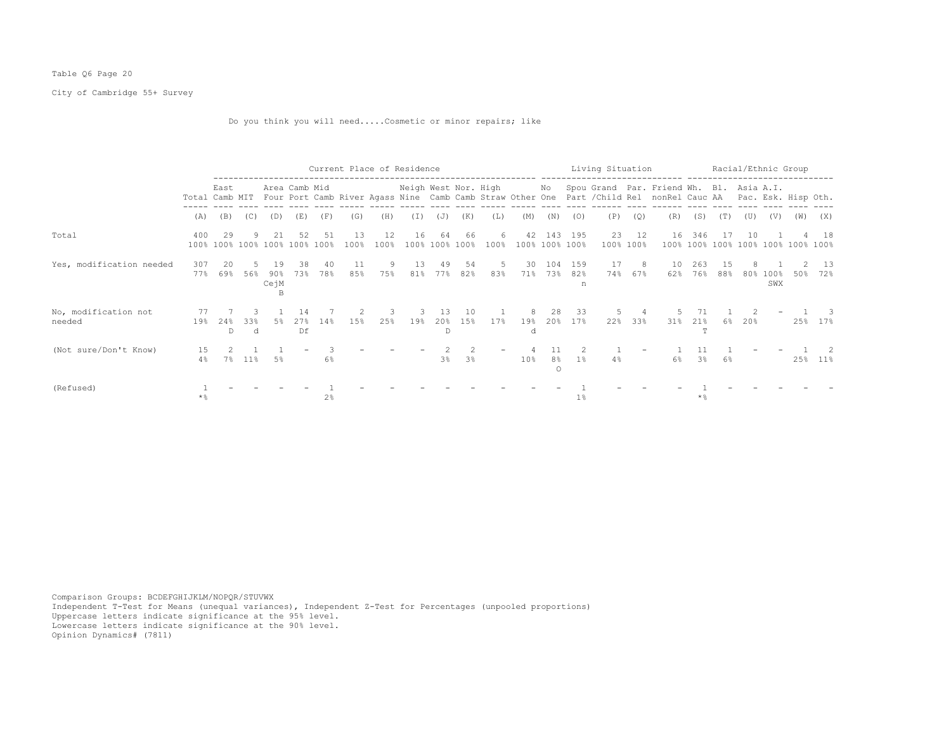## Table Q6 Page 20

City of Cambridge 55+ Survey

Do you think you will need.....Cosmetic or minor repairs; like

|                                |            |                                     |          |                   |                  |                |            | Current Place of Residence |           |                           |                |            |                      |                                  | Living Situation |           |                    |                                                                                                                                                                                                  |                     |           |     | Racial/Ethnic Group |                                    |            |
|--------------------------------|------------|-------------------------------------|----------|-------------------|------------------|----------------|------------|----------------------------|-----------|---------------------------|----------------|------------|----------------------|----------------------------------|------------------|-----------|--------------------|--------------------------------------------------------------------------------------------------------------------------------------------------------------------------------------------------|---------------------|-----------|-----|---------------------|------------------------------------|------------|
|                                |            | East                                |          |                   | Area Camb Mid    |                |            |                            |           |                           |                |            |                      |                                  |                  |           |                    | Neigh West Nor. High Mo Spou Grand Par. Friend Wh. Bl. Asia A.I.<br>Total Camb MIT Four Port Camb River Agass Nine Camb Camb Straw Other One Part / Child Rel nonRel Cauc AA Pac. Esk. Hisp Oth. |                     |           |     |                     |                                    |            |
|                                | (A)        | (B)                                 | (C)      | (D)               | (E)              | (F)            | (G)        | (H)                        | (T)       | (J)                       | (K)            | (L)        | (M)                  | (N)                              | (0)              | (P)       | (0)                | (R)                                                                                                                                                                                              | (S)                 | (T)       | (U) | (V)                 | (W)                                | (X)        |
| Total                          | 400        | 29<br>100% 100% 100% 100% 100% 100% |          | 21                | 52               | 51             | 13<br>100% | 12<br>100%                 | 16        | 64<br>100% 100%           | 66<br>100%     | 6.<br>100% | 42<br>100% 100% 100% | 143                              | 195              |           | 23 12<br>100% 100% | 16                                                                                                                                                                                               | 346                 | -17       | 10  |                     | 100% 100% 100% 100% 100% 100% 100% | -18        |
| Yes, modification needed       | 307<br>77% | 20<br>69%                           | 56%      | 19<br>90%<br>CejM | 38<br>73%        | 40<br>78%      | 11<br>85%  | 9<br>75%                   | 13<br>81% | -49<br>77%                | 54<br>82%      | -5<br>83%  | 30<br>71%            | 104<br>73%                       | 159<br>82%<br>n  | 17<br>74% | - 8<br>67%         | 10<br>62%                                                                                                                                                                                        | 263<br>76%          | 15<br>88% | 80% | 100%<br>SWX         | 50%                                | -13<br>72% |
| No, modification not<br>needed | 77<br>19%  | 24%<br>D                            | 33%<br>d | .5%               | 14<br>2.7%<br>Df | 14%            | 1.5%       | 3<br>25%                   | 19%       | 13<br>20%<br>$\mathbb{D}$ | 10<br>15%      | 17%        | 19%<br>d             | 28<br>20%                        | -33<br>17%       | 22%       | 33%                | 31%                                                                                                                                                                                              | 21%<br>$\mathbf{r}$ | 6%        | 20% |                     | 25%                                | $17\%$     |
| (Not sure/Don't Know)          | 15<br>4%   | 7%                                  | 11%      | 5%                |                  | $6\%$          |            |                            |           | 3%                        | 3 <sup>°</sup> |            | 10%                  | 11<br>8 <sup>°</sup><br>$\Omega$ | 1 <sup>8</sup>   | 4%        |                    | 6%                                                                                                                                                                                               | 3 <sup>8</sup>      | 6%        |     |                     | 25%                                | $11\%$     |
| (Refused)                      | $\star$ %  |                                     |          |                   |                  | 2 <sup>°</sup> |            |                            |           |                           |                |            |                      |                                  | 1%               |           |                    |                                                                                                                                                                                                  | * %                 |           |     |                     |                                    |            |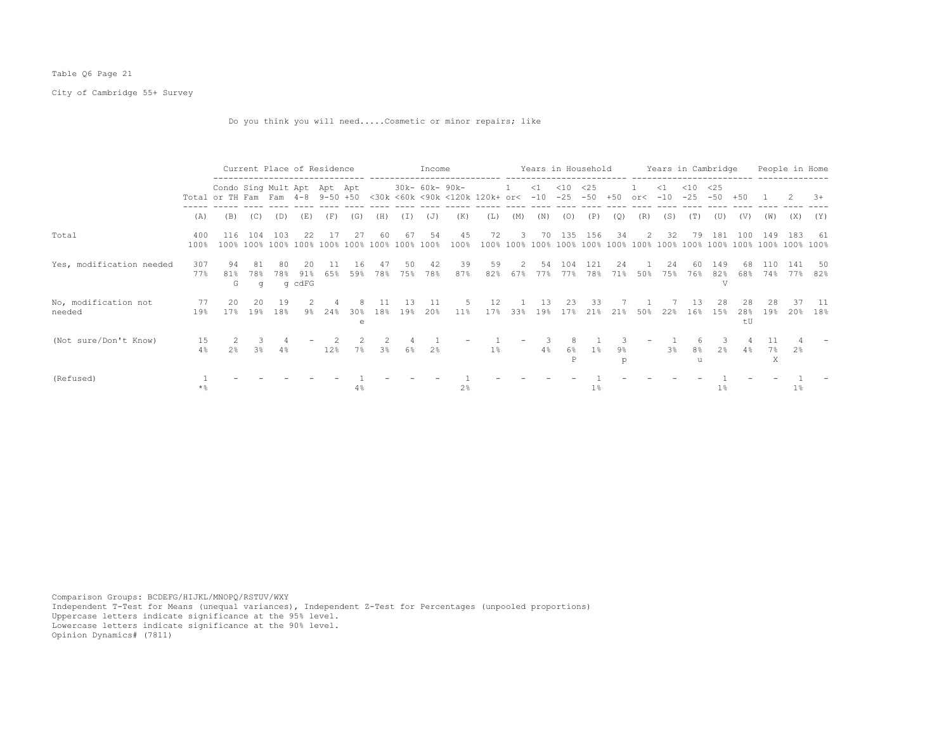## Table Q6 Page 21

City of Cambridge 55+ Survey

Do you think you will need.....Cosmetic or minor repairs; like

|                                |                       |                                                                 | Current Place of Residence |           |                     |            |                      |                |            | Income         |                |                                    |                          |            | Years in Household |              |            |           |                   | Years in Cambridge  |                 |                 |               | People in Home |             |
|--------------------------------|-----------------------|-----------------------------------------------------------------|----------------------------|-----------|---------------------|------------|----------------------|----------------|------------|----------------|----------------|------------------------------------|--------------------------|------------|--------------------|--------------|------------|-----------|-------------------|---------------------|-----------------|-----------------|---------------|----------------|-------------|
|                                |                       | Condo Sing Mult Apt Apt Apt<br>Total or TH Fam Fam 4-8 9-50 +50 |                            |           |                     |            |                      |                |            | 30k- 60k- 90k- |                | <30k <60k <90k <120k 120k+ or< -10 | -1                       | $\leq 1$   | $<$ 10<br>$-25$    | <25<br>$-50$ | $+50$      | or<       | $\leq$ 1<br>$-10$ | $<$ 10<br>$-25$     | <25<br>$-50$    | $+50$           |               | 2              | $3+$        |
|                                | (A)                   | (B)                                                             | (C)                        | (D)       | (E)                 | (F)        | (G)                  | (H)            | (I)        | (J)            | (K)            | (L)                                | (M)                      | (N)        | (0)                | (P)          | (Q)        | (R)       | (S)               | (T)                 | (U)             | (V)             | (W)           | (X)            | (Y)         |
| Total                          | 400<br>100%           | 116<br>100%                                                     | 104<br>100% 100%           | 103       | 2.2<br>100%         | 17<br>100% | 27<br>100%           | 60<br>100%     | 67<br>100% | 54<br>100%     | 45<br>100%     | 72<br>100%                         | 3<br>100%                | 70<br>100% | 135<br>100% 100%   | 156          | 34<br>100% | 2<br>100% | 32<br>100%        | 79<br>100%          | 181<br>100%     | 100<br>100%     | 149<br>100%   | -183<br>100%   | -61<br>100% |
| Yes, modification needed       | 307<br>77%            | 94<br>81%<br>G                                                  | 81<br>78%<br>q             | 80<br>78% | 20<br>91%<br>g cdFG | 65%        | 16<br>59%            | 47<br>78%      | 50.<br>75% | 42<br>78%      | 39<br>87%      | 59<br>82%                          | 2<br>67%                 | 54<br>77%  | 104<br>77%         | 121<br>78%   | 24<br>71%  | 50%       | 24<br>75%         | 60<br>76%           | 149<br>82%<br>V | 68<br>68%       | 110<br>74%    | 141<br>77%     | 50<br>82%   |
| No, modification not<br>needed | 77<br>19%             | 20<br>17%                                                       | 20<br>19%                  | 19<br>18% | 9%                  | 24%        | 30 <sub>8</sub><br>e | 18%            | 19%        | -11<br>20%     | 11%            | 12<br>17 <sub>8</sub>              | 33%                      | 13<br>19%  | 23<br>17%          | 33<br>21%    | 21%        | 50%       | 22%               | 16%                 | 28<br>15%       | 28<br>28%<br>tU | 28<br>19%     | 37<br>20%      | -11<br>18%  |
| (Not sure/Don't Know)          | 15<br>4%              | $2\frac{6}{5}$                                                  | 3.<br>3 <sup>8</sup>       | 4%        |                     | 12%        | 7%                   | 3 <sup>°</sup> | 6%         | 2 <sup>°</sup> |                | 1%                                 | $\overline{\phantom{0}}$ | 4%         | 6%<br>P            | $1\%$        | 9%<br>D    |           | 3 <sup>°</sup>    | 8 <sup>°</sup><br>u | 2%              | $4\%$           | 11<br>7%<br>X | 2%             |             |
| (Refused)                      | $\star$ $\frac{6}{9}$ |                                                                 |                            |           |                     |            | 4%                   |                |            |                | 2 <sup>°</sup> |                                    |                          |            |                    | $1\%$        |            |           |                   |                     | $1\%$           |                 |               | $1\%$          |             |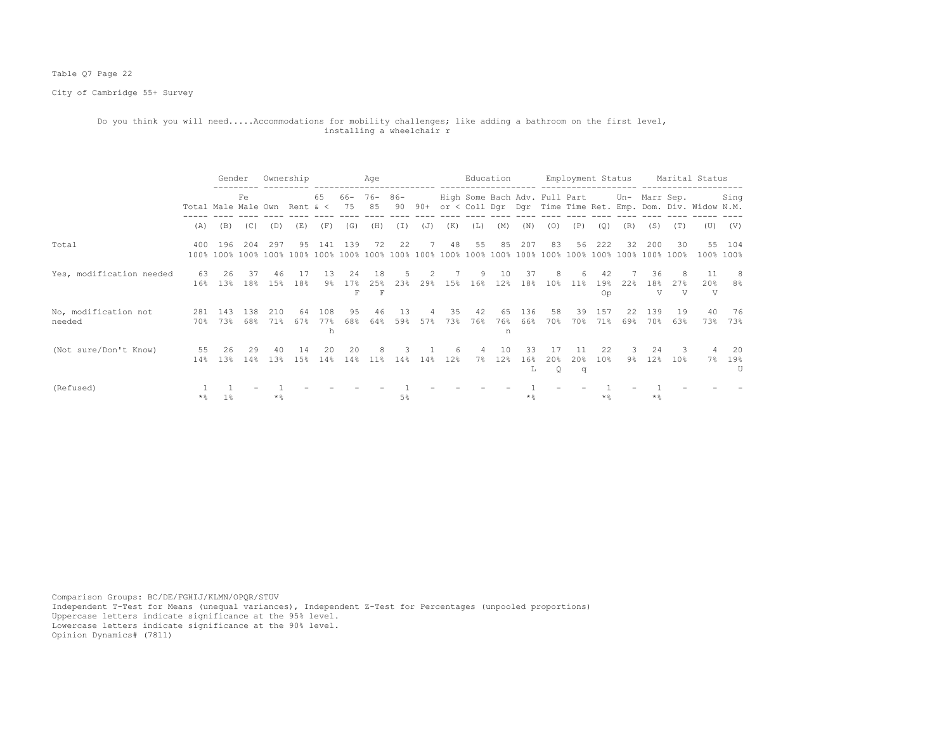## Table Q7 Page 22

City of Cambridge 55+ Survey

#### Do you think you will need.....Accommodations for mobility challenges; like adding a bathroom on the first level, installing a wheelchair r

|                                |                     | Gender                |            | Ownership  |            |                 |                 | Age                  |              |             |           |                       | Education      |                 |                               |                  | Employment Status |               |                |                      | Marital Status                                             |                     |
|--------------------------------|---------------------|-----------------------|------------|------------|------------|-----------------|-----------------|----------------------|--------------|-------------|-----------|-----------------------|----------------|-----------------|-------------------------------|------------------|-------------------|---------------|----------------|----------------------|------------------------------------------------------------|---------------------|
|                                | Total Male Male Own |                       | Fe         |            | Rent $\<$  | 65              | 66- 76-<br>75   | 85                   | $86 -$<br>90 | 90+         |           |                       |                |                 | High Some Bach Adv. Full Part |                  |                   | Un- Marr Sep. |                |                      | or < Coll Dgr Dgr Time Time Ret. Emp. Dom. Div. Widow N.M. | Sing                |
|                                | (A)                 | (B)                   | (C)        | (D)        | (E)        | (F)             | (G)             | (H)                  | (I)          | (J)         | (K)       | (L)                   | (M)            | (N)             | (0)                           | (P)              | (Q)               | (R)           | (S)            | (T)                  | (U)                                                        | (V)                 |
| Total                          | 400                 | 196                   | 204        | 297        | 9.5        | 141             | 139             | 72                   | 22           | $7^{\circ}$ | 48        | 55                    | 85             | 207             | 83                            | 56               | 222               | 32            | 200<br>100%    | 30<br>100%           |                                                            | 55 104<br>100% 100% |
| Yes, modification needed       | 63<br>16%           | 26<br>1.3%            | 37<br>18%  | 46<br>15%  | 17<br>18%  | 13<br>9%        | 2.4<br>17%<br>F | 18<br>25%            | 2.3%         | 29%         | 1.5%      | 9<br>16%              | 1 O<br>12%     | 37<br>18%       | 8<br>10 <sup>8</sup>          | 11 <sup>8</sup>  | 42<br>19%<br>Op   | 22%           | 36<br>18%<br>V | 2.7%<br>V            | 20%<br>V                                                   | 8<br>8%             |
| No, modification not<br>needed | 281<br>70%          | 143<br>73%            | 138<br>68% | 210<br>71% | 64<br>67%  | 108<br>77%<br>h | 95<br>68%       | 46<br>64%            | 13<br>59%    | 4<br>57%    | 35<br>73% | 42<br>76%             | 65<br>76%<br>n | 136<br>66%      | 58<br>70%                     | 39<br>70%        | 157<br>71%        | 22<br>69%     | 139<br>70%     | 19<br>63%            | 40<br>73%                                                  | -76<br>73%          |
| (Not sure/Don't Know)          | 55<br>14%           | 26<br>13 <sup>°</sup> | 29<br>14%  | 40<br>1.3% | 14<br>1.5% | 20<br>14%       | 20<br>14%       | 8<br>11 <sup>8</sup> | 14%          | 14%         | 6<br>12%  | $\overline{4}$<br>7 % | 10<br>12%      | 33<br>16%<br>Ŀ. | 17<br>2.0%<br>Q               | -11<br>2.0%<br>q | 22<br>10%         | 3<br>9%       | 24<br>12%      | २<br>10 <sup>8</sup> | 4<br>7%                                                    | 20<br>19%<br>ΤT     |
| (Refused)                      | * 응                 | 1 <sub>8</sub>        |            | $*$ %      |            |                 |                 |                      | 5%           |             |           |                       |                | $*$ &           |                               |                  | * &               |               | $*$ &          |                      |                                                            |                     |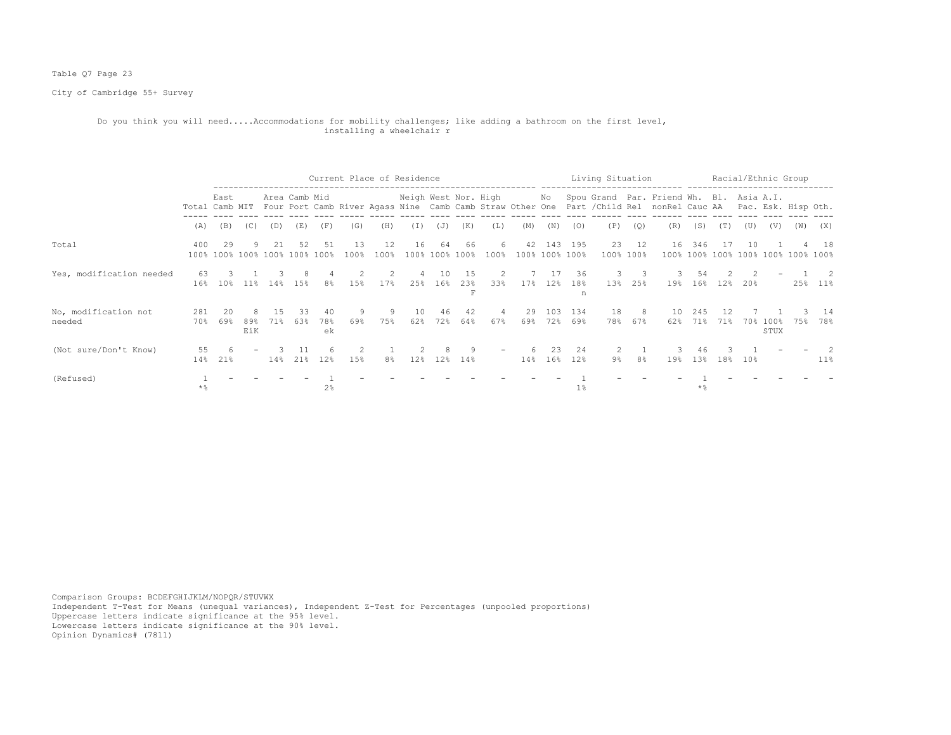## Table Q7 Page 23

City of Cambridge 55+ Survey

#### Do you think you will need.....Accommodations for mobility challenges; like adding a bathroom on the first level, installing a wheelchair r

|                                |                |                                     |            |     |               |                 | Current Place of Residence |                |                      |                 |            |           |           |                       |            | Living Situation |                    |                                                                                                                                       |                    |           | Racial/Ethnic Group |                 |     |                                           |
|--------------------------------|----------------|-------------------------------------|------------|-----|---------------|-----------------|----------------------------|----------------|----------------------|-----------------|------------|-----------|-----------|-----------------------|------------|------------------|--------------------|---------------------------------------------------------------------------------------------------------------------------------------|--------------------|-----------|---------------------|-----------------|-----|-------------------------------------------|
|                                | Total Camb MIT | East                                |            |     | Area Camb Mid |                 |                            |                | Neigh West Nor. High |                 |            |           |           | No                    |            |                  |                    | Spou Grand Par. Friend Wh. Bl. Asia A.I.<br>Four Port Camb River Agass Nine Camb Camb Straw Other One Part / Child Rel nonRel Cauc AA |                    |           |                     |                 |     | Pac. Esk. Hisp Oth.                       |
|                                | (A)            | (B)                                 | (C)        | (D) | (E)           | (F)             | (G)                        | (H)            | (I)                  | (J)             | (K)        | (L)       | (M)       | (N)                   | (0)        | (P)              | (Q)                | (R)                                                                                                                                   | (S)                | (T)       | (U)                 | (V)             | (W) | (X)                                       |
| Total                          | 400            | 29<br>100% 100% 100% 100% 100% 100% |            |     | 52            | 51              | 1.3<br>100%                | 12<br>100%     | 16                   | 64<br>100% 100% | 66<br>100% | 6<br>100% | 42        | 143<br>100% 100% 100% | 195        |                  | 23 12<br>100% 100% | 16                                                                                                                                    | 346                | 17        | 1 O                 |                 |     | -18<br>100% 100% 100% 100% 100% 100% 100% |
| Yes, modification needed       | 63<br>16%      | 10%                                 | 11%        | 14% | 1.5%          | 8%              | 15%                        | 2<br>17%       | 25%                  | 10<br>16%       | 15<br>23%  | 2<br>33%  | 17%       | 17<br>12%             | 36<br>18%  | 3.<br>13%        | 3<br>25%           | 19%                                                                                                                                   | .54<br>16%         | 12%       | 20%                 |                 | 25% | $\overline{\phantom{0}}$ 2<br>11%         |
| No, modification not<br>needed | 281<br>70%     | 20<br>69%                           | 89%<br>EiK | 71% | 33.<br>63%    | 40<br>78%<br>ek | 9<br>69%                   | 9<br>75%       | 10<br>62%            | 46<br>72%       | 42<br>64%  | 67%       | 29<br>69% | 103<br>72%            | 134<br>69% | 18<br>78%        | 8<br>67%           | 10<br>62%                                                                                                                             | 245<br>71%         | 12<br>71% | 70%                 | $100\%$<br>STUX | 75% | 14<br>78%                                 |
| (Not sure/Don't Know)          | 55<br>14%      | 6<br>21%                            |            | 14% | 21%           | 12%             | 15%                        | 8 <sup>°</sup> | 12%                  | 12%             | 9<br>14%   |           | 14%       | 23<br>16%             | 2.4<br>12% | 9%               | 8 <sup>°</sup>     | 19%                                                                                                                                   | 46<br>13%          | 18%       | 10%                 |                 |     | 2<br>$11\%$                               |
| (Refused)                      | $\star$ %      |                                     |            |     |               | 2 <sup>°</sup>  |                            |                |                      |                 |            |           |           |                       | 1%         |                  |                    |                                                                                                                                       | $*$ $\frac{6}{10}$ |           |                     |                 |     |                                           |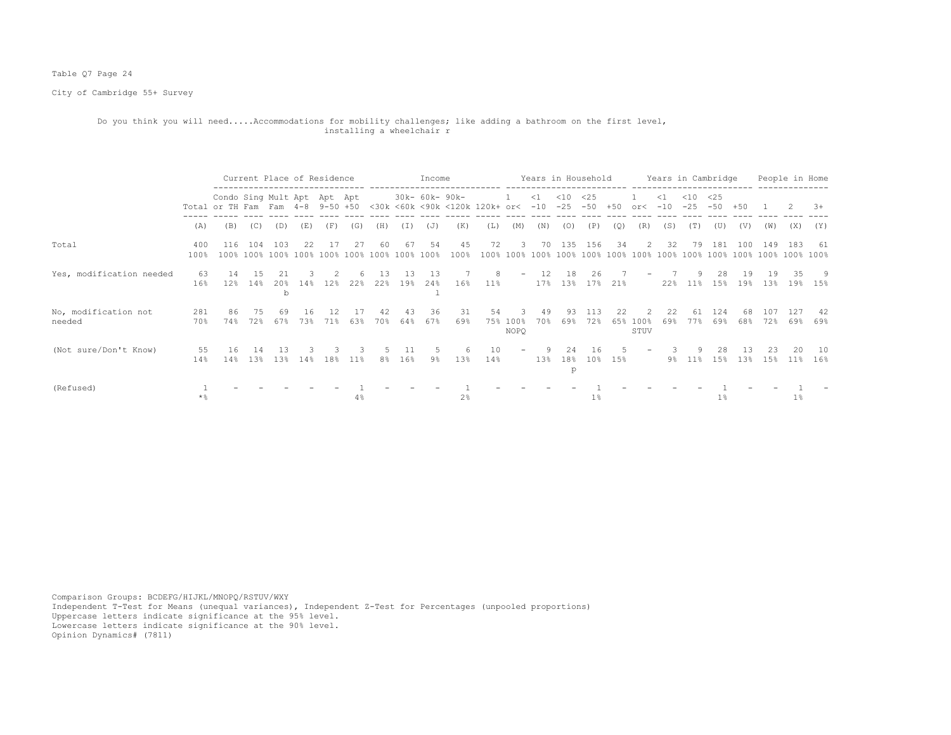## Table Q7 Page 24

City of Cambridge 55+ Survey

#### Do you think you will need.....Accommodations for mobility challenges; like adding a bathroom on the first level, installing a wheelchair r

|                                |             |                                                                 |             | Current Place of Residence |           |           |                                     |                  |           | Income         |                |                                    |                          |           | Years in Household |              |           |                   |                   | Years in Cambridge |              |           |            | People in Home |            |
|--------------------------------|-------------|-----------------------------------------------------------------|-------------|----------------------------|-----------|-----------|-------------------------------------|------------------|-----------|----------------|----------------|------------------------------------|--------------------------|-----------|--------------------|--------------|-----------|-------------------|-------------------|--------------------|--------------|-----------|------------|----------------|------------|
|                                |             | Condo Sing Mult Apt Apt Apt<br>Total or TH Fam Fam 4-8 9-50 +50 |             |                            |           |           |                                     |                  |           | 30k- 60k- 90k- |                | <30k <60k <90k <120k 120k+ or< -10 |                          | $\leq 1$  | $<$ 10<br>$-25$    | <25<br>$-50$ | $+50$     | or<               | $\leq 1$<br>$-10$ | $<$ 10<br>$-25$    | <25<br>$-50$ | $+50$     |            |                | $3+$       |
|                                | (A)         | (B)                                                             | (C)         | (D)                        | (E)       | (F)       | (G)                                 | (H)              | (I)       | (J)            | (K)            | (L)                                | (M)                      | (N)       | (0)                | (P)          | (Q)       | (R)               | (S)               | (T)                | (U)          | (V)       | (W)        | (X)            | (Y)        |
| Total                          | 400<br>100% | 116                                                             | 104         | 103                        | 22        | 17        | 27<br>100% 100% 100% 100% 100% 100% | -60<br>100% 100% | 67        | 54<br>100%     | 45<br>100%     | 72<br>100%                         | -3                       | 70        | 135                | 156          | 34        | 2                 | 32                | 79                 | 181          | 100       | 149        | 183            | - 61       |
| Yes, modification needed       | 63<br>16%   | 14<br>12%                                                       | 15<br>14%   | 21<br>20%<br>b             | 14%       | 12%       | 22%                                 | 13<br>22%        | 13<br>19% | 13<br>24%      | 16%            | 8<br>$11\%$                        | $\overline{\phantom{0}}$ | 12<br>17% | 18<br>13%          | 26.<br>17%   | 21%       |                   | 22%               | $11\%$             | 28<br>15%    | 19<br>19% | 19<br>13%  | 35<br>19%      | 9<br>15%   |
| No, modification not<br>needed | 281<br>70%  | 86<br>74%                                                       | 75<br>72%   | 69<br>67%                  | 16<br>73% | 12<br>71% | 63%                                 | 42<br>70%        | 43<br>64% | 36<br>67%      | 31<br>69%      | 54<br>75%                          | 3<br>$100\%$<br>NOPQ     | 49<br>70% | 93.<br>69%         | 113<br>72%   | 22<br>65% | 2<br>100%<br>STUV | 22<br>69%         | 61<br>77%          | 124<br>69%   | 68<br>68% | 107<br>72% | 127<br>69%     | -42<br>69% |
| (Not sure/Don't Know)          | 55<br>14%   | 16<br>14%                                                       | -14<br>1.3% | 13<br>13%                  | 14%       | 18%       | 11 <sup>8</sup>                     | 8%               | 11<br>16% | 9%             | 6<br>13%       | 10<br>14%                          |                          | 13%       | 2.4<br>18%<br>p    | 16<br>$10\%$ | 15%       |                   | 9%                | 9<br>$11\%$        | 28<br>15%    | 13<br>13% | 23<br>15%  | 20<br>$11\%$   | 10<br>16%  |
| (Refused)                      | $*$ %       |                                                                 |             |                            |           |           | $4\%$                               |                  |           |                | $2\frac{6}{9}$ |                                    |                          |           |                    | $1\%$        |           |                   |                   |                    | $1\%$        |           |            | $1\%$          |            |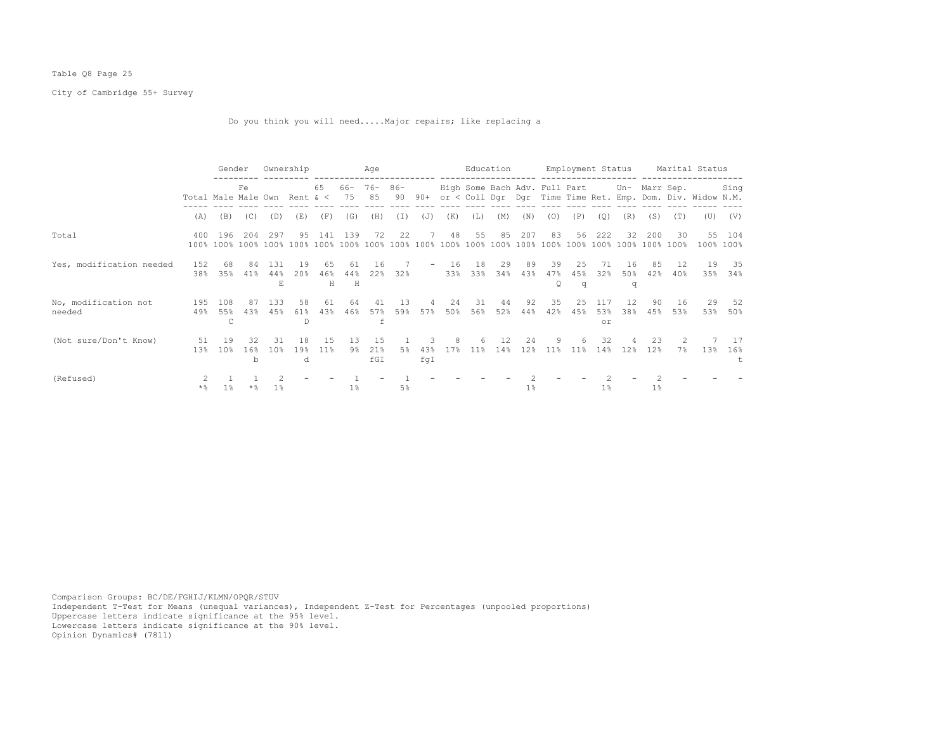## Table Q8 Page 25

City of Cambridge 55+ Survey

Do you think you will need.....Major repairs; like replacing a

|                                |            | Gender                             |                            |                  | Ownership      |                |                   | Age               |              |                          |            |                          | Education  |             |                                             |                       |                           | Employment Status |             |            | Marital Status                                             |                     |
|--------------------------------|------------|------------------------------------|----------------------------|------------------|----------------|----------------|-------------------|-------------------|--------------|--------------------------|------------|--------------------------|------------|-------------|---------------------------------------------|-----------------------|---------------------------|-------------------|-------------|------------|------------------------------------------------------------|---------------------|
|                                |            | Fe<br>Total Male Male Own Rent & < |                            |                  |                | 65             | $66 - 76 -$<br>75 | 85                | $86 -$<br>90 | 90+                      |            |                          |            |             | High Some Bach Adv. Full Part Un- Marr Sep. |                       |                           |                   |             |            | or < Coll Dqr Dqr Time Time Ret. Emp. Dom. Div. Widow N.M. | Sing                |
|                                | (A)        | (B)                                | (C)                        | (D)              | (E)            | (F)            | (G)               | (H)               | (I)          | (J)                      | (K)        | (L)                      | (M)        | (N)         | (0)                                         | (P)                   | (Q)                       | (R)               | (S)         | (T)        | (U)                                                        | (V)                 |
| Total                          | 400        | 196<br>100% 100%                   | 204<br>100% 100%           | 297              | 95<br>100%     | 141<br>100%    | 139<br>100%       | 72<br>100%        | 22<br>100%   | 100%                     | 48<br>100% | 55<br>$100$ <sup>2</sup> | 85<br>100% | 207<br>100% | 83<br>100%                                  | 56<br>100%            | 222<br>$100$ <sup>*</sup> | 32<br>100%        | 200<br>100% | 30<br>100% |                                                            | 55 104<br>100% 100% |
| Yes, modification needed       | 152<br>38% | 68<br>35%                          | 84<br>41%                  | 131<br>44%<br>E. | 19<br>20%      | 65<br>46%<br>Н | 61<br>44%<br>H    | 16<br>22%         | 32%          | $\overline{\phantom{0}}$ | 16<br>33%  | 18<br>33%                | 29<br>34%  | 89<br>43%   | 39<br>47%<br>Q                              | 25<br>45%<br>q        | 71<br>32%                 | 16<br>50%<br>q    | 85<br>42%   | 12<br>40%  | 19<br>35%                                                  | -35<br>34%          |
| No, modification not<br>needed | 195<br>49% | 108<br>55%<br>C                    | 87<br>43%                  | 133<br>45%       | 58<br>61%<br>D | 61<br>43%      | 64<br>46%         | 41<br>57%<br>f    | 13<br>59%    | 57%                      | 24<br>50%  | 31<br>56%                | 44<br>52%  | 92<br>44%   | 35<br>42%                                   | 25<br>45%             | 117<br>53%<br>or          | 12<br>38%         | 90<br>45%   | 16<br>53%  | 29<br>53%                                                  | 52<br>50%           |
| (Not sure/Don't Know)          | 51<br>13%  | 19<br>10 <sup>8</sup>              | 32<br>16 <sup>8</sup><br>b | 31<br>10%        | 18<br>19%<br>d | 1.5<br>11%     | 13<br>9%          | 1.5<br>21%<br>fGI | 5%           | 43%<br>fqI               | 17%        | 6<br>11 <sup>8</sup>     | 12<br>14%  | 24<br>12%   | 9<br>11 <sup>8</sup>                        | 6.<br>11 <sup>8</sup> | 32<br>14%                 | 4<br>12%          | 23<br>12%   | 7%         | 13%                                                        | 17<br>16%           |
| (Refused)                      | $\star$ %  | $1\%$                              | $\star$ $\frac{6}{9}$      | $1\%$            |                |                | $1\%$             |                   | 5%           |                          |            |                          |            | $1\%$       |                                             |                       | $1\%$                     |                   | $1\%$       |            |                                                            |                     |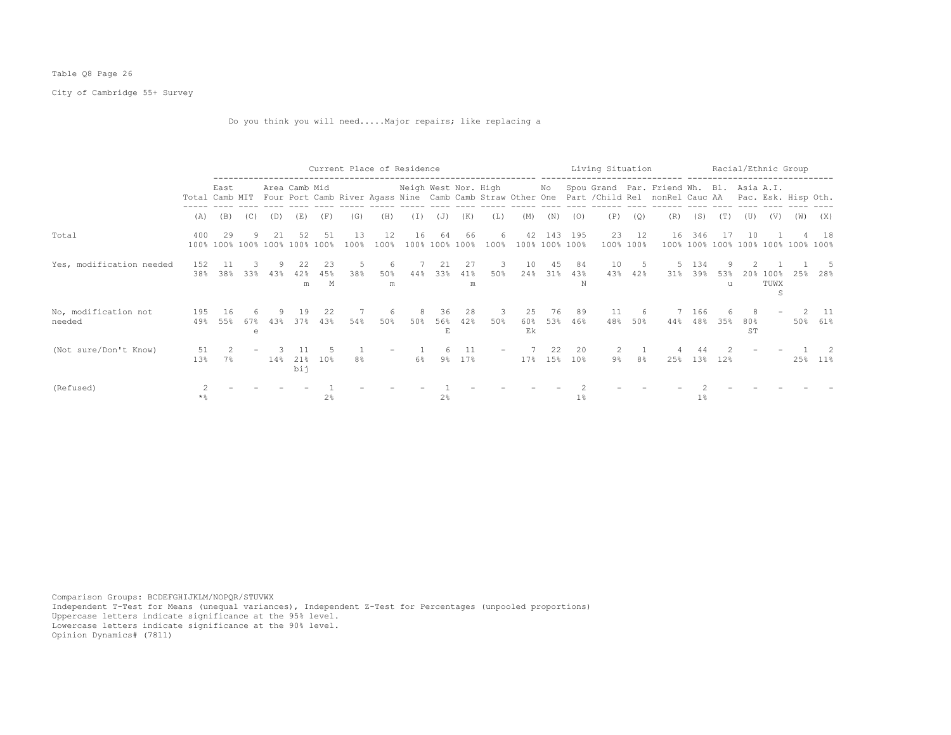## Table Q8 Page 26

City of Cambridge 55+ Survey

Do you think you will need.....Major repairs; like replacing a

|                                |                |                      | Current Place of Residence<br>. _ _ _ _ _ _ _ _ _ _ _ _ _ |     |                 |                |            |               |          |                  |                |              |                      |              |                |                                                                                                                                                                                   | Living Situation   |            |              |          |                 |                      | Racial/Ethnic Group      |             |
|--------------------------------|----------------|----------------------|-----------------------------------------------------------|-----|-----------------|----------------|------------|---------------|----------|------------------|----------------|--------------|----------------------|--------------|----------------|-----------------------------------------------------------------------------------------------------------------------------------------------------------------------------------|--------------------|------------|--------------|----------|-----------------|----------------------|--------------------------|-------------|
|                                | Total Camb MIT | East                 |                                                           |     | Area Camb Mid   |                |            |               |          |                  |                |              |                      |              |                | Neigh West Nor. High Mo Spou Grand Par. Friend Wh. Bl. Asia A.I.<br>Four Port Camb River Agass Nine Camb Camb Straw Other One Part / Child Rel nonRel Cauc AA Pac. Esk. Hisp Oth. |                    |            |              |          |                 |                      |                          |             |
|                                | (A)            | (B)                  | (C)                                                       | (D) | (E)             | (F)            | (G)        | (H)           | (T)      | (J)              | (K)            | (L)          | (M)                  | (N)          | (0)            | (P)                                                                                                                                                                               | (Q)                | (R)        | (S)          | (T)      | (U)             | (V)                  | (W)                      | (X)         |
| Total                          | 400<br>100%    | 29<br>100% 100% 100% |                                                           | 21  | 52<br>100% 100% | 51             | 13<br>100% | 12<br>100%    | 16       | 64<br>100% 100%  | 66<br>$100\%$  | 6<br>$100\%$ | 42<br>100% 100% 100% | 143          | 195            |                                                                                                                                                                                   | 23 12<br>100% 100% | 16<br>100% | 346          | -17      | 10              |                      | 100% 100% 100% 100% 100% | -18<br>100% |
| Yes, modification needed       | 152<br>38%     | -11<br>38%           | 33%                                                       | 43% | 22<br>42%<br>m  | 23<br>45%<br>М | 5<br>38%   | 6<br>50%<br>m | 44%      | 21<br>33%        | 27<br>41%<br>m | -3<br>50%    | 10<br>24%            | 45<br>$31\%$ | 84<br>43%<br>N | 10<br>43%                                                                                                                                                                         | -5<br>42%          | -5<br>31%  | -134<br>39%  | 53%<br>u | 20 <sup>8</sup> | $100\%$<br>TUWX<br>S | 25%                      | 28%         |
| No, modification not<br>needed | 195<br>49%     | 16<br>55%            | 6<br>67%<br>e                                             | 43% | 19<br>37%       | -22<br>43%     | 54%        | 6<br>50%      | 8<br>50% | -36<br>56%<br>E. | 28<br>42%      | -3<br>50%    | 25<br>60%<br>Ek      | 76<br>53%    | 89<br>46%      | 11<br>48%                                                                                                                                                                         | -6<br>50%          | 44%        | 7 166<br>48% | 35%      | 80%<br>ST       |                      | 50%                      | - 11<br>61% |
| (Not sure/Don't Know)          | 51<br>13%      | 7%                   |                                                           | 14% | 21%<br>bij      | 10%            | 8%         |               | 6%       | $9\%$            | 11<br>17%      |              | 17%                  | 22<br>15%    | 20<br>10%      | $\overline{2}$<br>$9\%$                                                                                                                                                           | 8%                 | 25%        | 13%          | 12%      |                 |                      | 25%                      | $11\%$      |
| (Refused)                      | $\star$ %      |                      |                                                           |     |                 | 2 <sup>8</sup> |            |               |          | 2%               |                |              |                      |              | $1\%$          |                                                                                                                                                                                   |                    |            | $1\%$        |          |                 |                      |                          |             |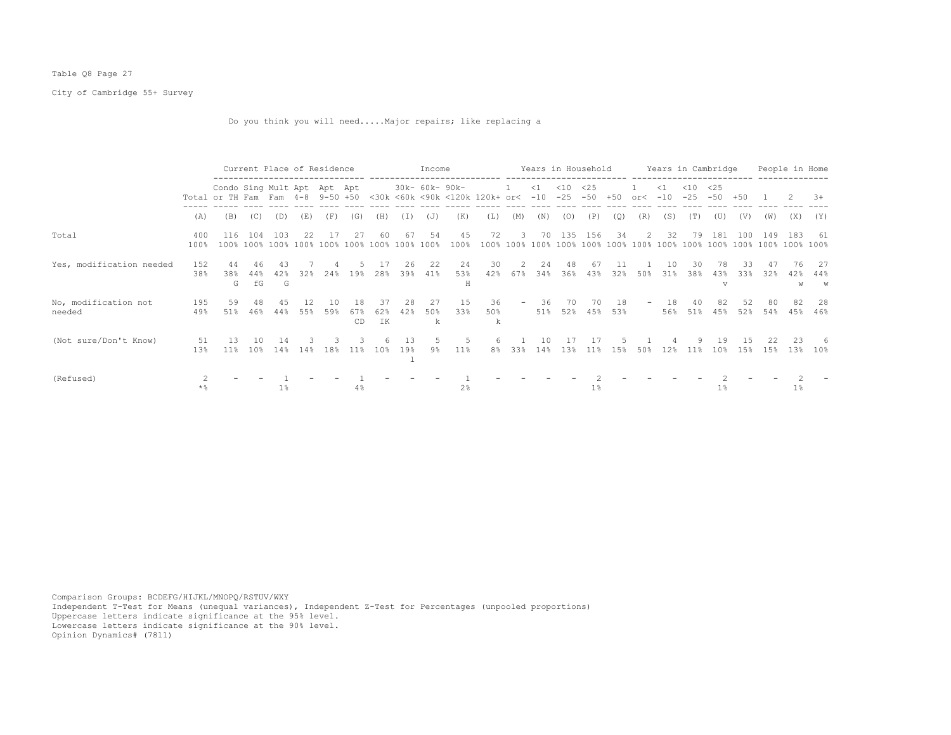## Table Q8 Page 27

City of Cambridge 55+ Survey

Do you think you will need.....Major repairs; like replacing a

|                                |             |                                                                 | Current Place of Residence |                |             |              |                 |                      |                | Income          |                |                                    |                   |               | Years in Household |              |            |           |                   | Years in Cambridge |                           |             |             | People in Home |                       |
|--------------------------------|-------------|-----------------------------------------------------------------|----------------------------|----------------|-------------|--------------|-----------------|----------------------|----------------|-----------------|----------------|------------------------------------|-------------------|---------------|--------------------|--------------|------------|-----------|-------------------|--------------------|---------------------------|-------------|-------------|----------------|-----------------------|
|                                |             | Condo Sing Mult Apt Apt Apt<br>Total or TH Fam Fam 4-8 9-50 +50 |                            |                |             |              |                 |                      |                | 30k- 60k- 90k-  |                | <30k <60k <90k <120k 120k+ or< -10 | 1                 | $\leq 1$      | $<$ 10<br>$-25$    | <25<br>$-50$ | $+50$      | or<       | $\leq$ 1<br>$-10$ | $<$ 10<br>$-25$    | <25<br>$-50$              | $+50$       |             | 2              | $3+$                  |
|                                | (A)         | (B)                                                             | (C)                        | (D)            | (E)         | (F)          | (G)             | (H)                  | (I)            | (J)             | (K)            | (L)                                | (M)               | (N)           | (0)                | (P)          | (Q)        | (R)       | (S)               | (T)                | (U)                       | (V)         | (W)         | (X)            | (Y)                   |
| Total                          | 400<br>100% | 116<br>100%                                                     | 104<br>100% 100%           | 103            | 2.2<br>100% | - 17<br>100% | -27<br>100%     | 60<br>100%           | 67<br>100%     | 54<br>100%      | 45<br>100%     | 72<br>100%                         | 3<br>100%         | 70<br>8 ∩ ∩ I | 135<br>100%        | 156<br>100%  | 34<br>100% | 2<br>100% | 32<br>100%        | 79<br>100%         | 181<br>100%               | 100<br>100% | 149<br>100% | 183            | -61<br>100%           |
| Yes, modification needed       | 152<br>38%  | 44<br>38%<br>G                                                  | 46<br>44%<br>fG            | 43<br>42%<br>G | 32%         | 24%          | 19%             | 28%                  | 26<br>39%      | 22<br>41%       | 24<br>53%<br>Η | 30<br>42%                          | 2<br>67%          | 24<br>34%     | 48<br>36%          | 67<br>43%    | 32%        | 50%       | 10<br>31%         | 30<br>38%          | 78<br>43%<br>$\mathbf{v}$ | 33<br>33%   | 32%         | 76<br>42%<br>W | 27<br>44%<br>W        |
| No, modification not<br>needed | 195<br>49%  | 59<br>51%                                                       | 48<br>46%                  | -4.5<br>44%    | 12<br>55%   | 10<br>59%    | 18<br>67%<br>CD | 37<br>62%<br>IK      | 28<br>42%      | 27<br>50%<br>k. | 15<br>33%      | 36<br>50%<br>k                     | $\qquad \qquad -$ | 36<br>51%     | 70<br>52%          | 70.<br>45%   | 18<br>53%  | -         | 18<br>56%         | 40<br>51%          | 82<br>45%                 | 52<br>52%   | 80<br>54%   | 82<br>45%      | 28<br>46%             |
| (Not sure/Don't Know)          | 51<br>13%   | 13<br>11%                                                       | 1 N<br>10 <sup>8</sup>     | 14<br>14%      | 14%         | 18%          | 11 <sup>8</sup> | 6<br>10 <sup>8</sup> | 13<br>19%<br>⊥ | .5.<br>9%       | .5<br>$11\%$   | 6.<br>8%                           | 33%               | 10<br>14%     | 1.3%               | 17<br>11%    | 1.5%       | 50%       | 12%               | 11 <sup>8</sup>    | 19<br>10%                 | 1.5<br>15%  | 22<br>15%   | 23<br>13%      | -6<br>10 <sup>8</sup> |
| (Refused)                      | * 응         |                                                                 |                            | $1\%$          |             |              | 4%              |                      |                |                 | 2 <sup>°</sup> |                                    |                   |               |                    | 1%           |            |           |                   |                    | $1\%$                     |             |             | $1\%$          |                       |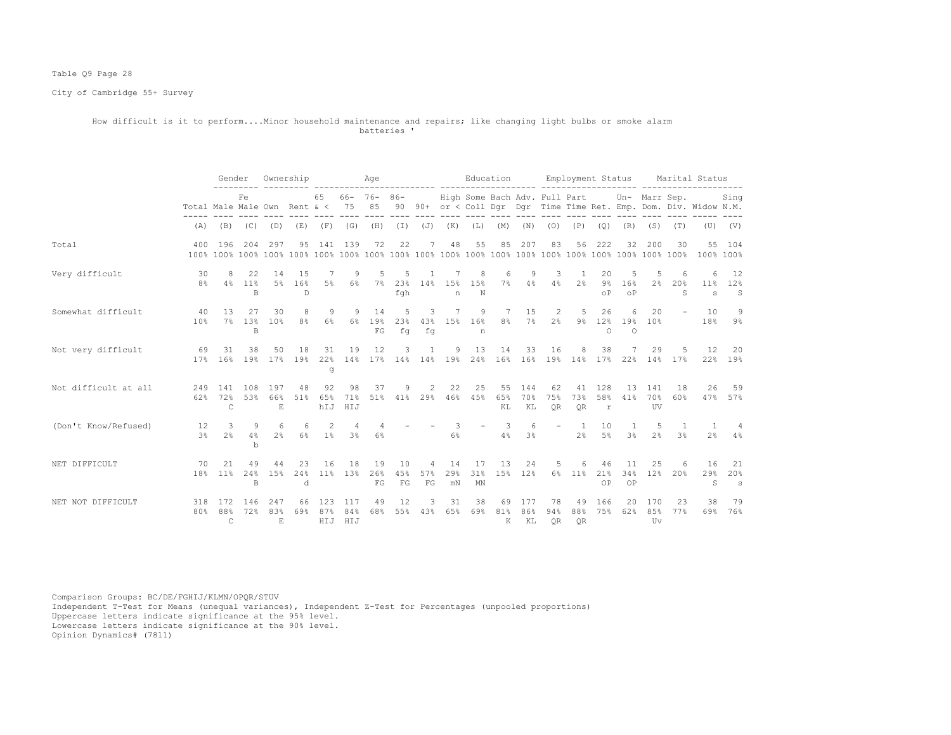## Table Q9 Page 28

City of Cambridge 55+ Survey

#### How difficult is it to perform....Minor household maintenance and repairs; like changing light bulbs or smoke alarm batteries '

|                      |                                  | Gender                     |                             |                                       | Ownership                    |                   |                     | Age                    |                 |                   |                                |                              | Education       |                  |                                               |                                  |                           | Employment Status        |                       |                      | Marital Status                                                    |                      |
|----------------------|----------------------------------|----------------------------|-----------------------------|---------------------------------------|------------------------------|-------------------|---------------------|------------------------|-----------------|-------------------|--------------------------------|------------------------------|-----------------|------------------|-----------------------------------------------|----------------------------------|---------------------------|--------------------------|-----------------------|----------------------|-------------------------------------------------------------------|----------------------|
|                      | Total Male Male Own Rent $\<$ 75 |                            | Fe                          |                                       |                              | 65                |                     | $66 - 76 - 86 -$<br>85 |                 |                   |                                |                              |                 |                  | High Some Bach Adv. Full Part                 |                                  |                           |                          |                       | Un- Marr Sep.        | 90 90+ or < Coll Dqr Dqr Time Time Ret. Emp. Dom. Div. Widow N.M. | Sing                 |
|                      | (A)                              |                            |                             | $(B)$ $(C)$ $(D)$                     | (E)                          |                   | $(F)$ (G)           | (H)                    |                 | $(I)$ $(J)$ $(K)$ |                                | (L)                          | (M)             | (N)              | (0)                                           | (P)                              | (Q)                       | (R)                      | (S)                   | (T)                  |                                                                   | $(V)$ $(V)$          |
| Total                | 400                              | 196                        | 204                         | 297                                   | 95                           |                   | 141 139             | 72                     | 22              | 7                 | 48                             | 55                           | 85              | 207              | 83                                            | 56                               | 222                       | 32                       | 200                   | 30                   | 100% 100%                                                         | 55 104               |
| Very difficult       | 30<br>8 <sup>°</sup>             | 8<br>4%                    | 22<br>$11\%$<br>$\mathbb B$ | 14                                    | 15<br>5% 16%<br>$\mathbb{D}$ | 5%                | 9<br>6%             |                        | fgh             |                   | n                              | 8<br>7% 23% 14% 15% 15%<br>N | 6<br>7%         | 9<br>4%          | 3                                             | $4\%$ $2\%$                      | 20<br>$9\%$<br>οP         | 5<br>16%<br>$\circ$ P    | 5<br>2%               | 20%<br>$\mathcal{S}$ | 6<br>s                                                            | 12<br>11% 12%<br>S   |
| Somewhat difficult   | 40<br>10%                        | 13<br>7%                   | 27<br>1.3%<br>$\mathbb B$   | 30<br>10 <sup>8</sup>                 | 8<br>8%                      | 9<br>6%           | 9<br>6%             | 14<br>19%<br>FG        | 5<br>23%<br>fq  | 3<br>fq           | 7                              | 9<br>43% 15% 16%<br>n        | 7<br>$8\,$ %    | 15<br>$7\%$      | 2                                             | 5<br>$2\%$ 9%                    | 26<br>$\Omega$            | 6<br>12% 19%<br>$\Omega$ | 20<br>10 <sup>8</sup> | $\sim$               | 10                                                                | 9<br>18% 9%          |
| Not very difficult   | 69<br>17 <sup>°</sup>            | 31<br>16%                  | 38<br>19 <sup>°</sup>       | 50<br>17%                             | 18<br>19%                    | 31<br>22%<br>đ    | 19                  | 12                     | 3               | 1                 | 9                              | 13                           | 14              | 33               | 16<br>14% 17% 14% 14% 19% 24% 16% 16% 19% 14% | 8                                | 38<br>17%                 |                          | 29                    | -5<br>22% 14% 17%    | 12                                                                | 20<br>22% 19%        |
| Not difficult at all | 249<br>62%                       | 141<br>72%<br>C            | 108<br>53%                  | 197<br>66%<br>$\mathop{\hbox{\bf E}}$ | 48<br>51%                    | 92<br>6.5%<br>hIJ | 98<br>71%<br>HIJ    | 37<br>51%              | 9               | 2                 | 22                             | 25<br>41% 29% 46% 45%        | 55<br>65%<br>KL | 144<br>70%<br>KL | 62<br>75%<br>OR                               | 41<br>73%<br>OR                  | 128<br>58%<br>$\mathbf r$ | 13<br>41%                | 141<br>70%<br>UV      | 18<br>60%            | 26                                                                | 59<br>47% 57%        |
| (Don't Know/Refused) | 12<br>3%                         | 3<br>2.8                   | 9<br>4%<br>$\mathbf b$      | -6<br>$2\%$                           | 6<br>6%                      | 2<br>$1\%$        | 4<br>$3\frac{6}{5}$ | $\overline{4}$<br>6%   |                 |                   | $\overline{\phantom{a}}$<br>6% | $\overline{\phantom{a}}$     | 3<br>4%         | 6<br>3%          |                                               | $\overline{1}$<br>2 <sup>°</sup> | 10<br>$5\%$               | <sup>1</sup><br>3%       | 5<br>2.8              | $\overline{1}$<br>3% | $\overline{1}$<br>2%                                              | $\overline{4}$<br>4% |
| NET DIFFICULT        | 70                               | 2.1<br>18% 11%             | 49<br>24%<br>$\mathbb B$    | 44<br>15%                             | 23<br>24%<br>d               | 16<br>11%         | 18<br>13%           | 19<br>26%<br>FG        | 10<br>45%<br>FG | 4<br>57%<br>FG    | 14<br>29%<br>mN                | 17<br>31%<br>MN              | 13<br>15%       | 24<br>12%        | 5                                             | 6<br>6% 11%                      | 46<br>21%<br>OP           | 11<br>34%<br>OP          | 25<br>12%             | 6<br>20%             | 16<br>29%<br>S                                                    | -21<br>20%<br>s      |
| NET NOT DIFFICULT    | 318<br>80%                       | 172<br>88%<br>$\mathsf{C}$ | 146<br>72%                  | 247<br>83%<br>E.                      | 66<br>69%                    | 123<br>87%<br>HIJ | 117<br>84%<br>HIJ   | 49<br>68%              | 12<br>55%       | 3<br>43%          | 31<br>65%                      | 38<br>69%                    | 69<br>81%<br>K  | 177<br>86%<br>KL | 78<br>94%<br><b>OR</b>                        | 49<br>88%<br>QR                  | 166<br>75%                | 20<br>62%                | 170<br>8.5%<br>Uv     | 23<br>77%            | 38                                                                | 79<br>69% 76%        |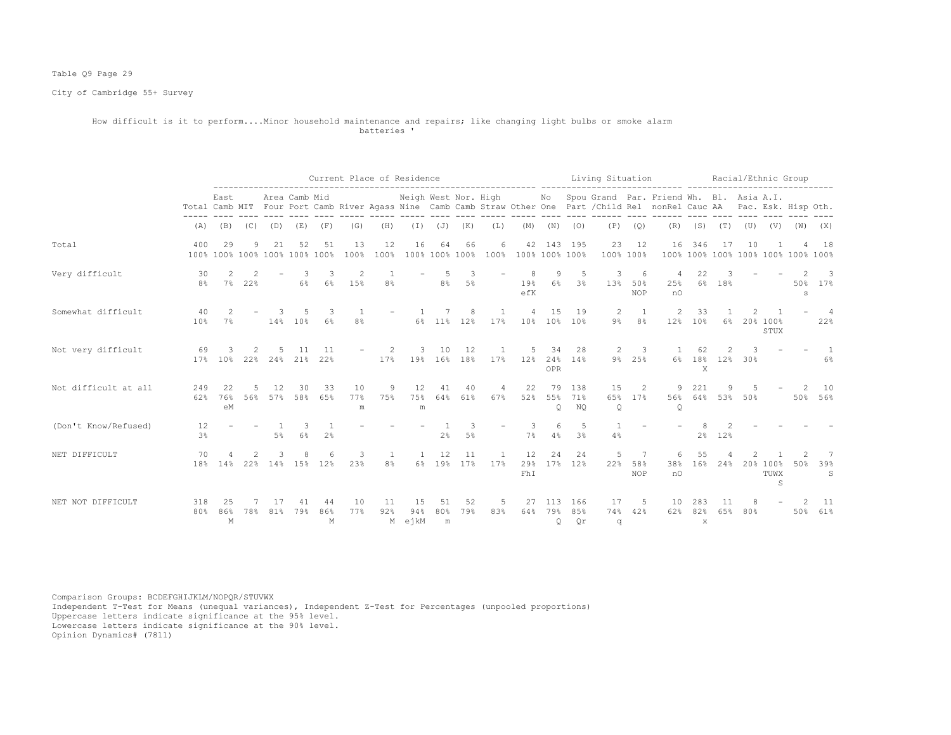## Table Q9 Page 29

City of Cambridge 55+ Survey

#### How difficult is it to perform....Minor household maintenance and repairs; like changing light bulbs or smoke alarm batteries '

|                      |                      | Current Place of Residence |     |           |                                     |                |                      |                     |                        |                |                      |                       |                     |                            |                     | Living Situation |                                | --------- ----                                                                                                                                                              |                       |                  |          | Racial/Ethnic Group                |                                    |                      |
|----------------------|----------------------|----------------------------|-----|-----------|-------------------------------------|----------------|----------------------|---------------------|------------------------|----------------|----------------------|-----------------------|---------------------|----------------------------|---------------------|------------------|--------------------------------|-----------------------------------------------------------------------------------------------------------------------------------------------------------------------------|-----------------------|------------------|----------|------------------------------------|------------------------------------|----------------------|
|                      |                      | East                       |     |           | Area Camb Mid                       |                |                      |                     | Neigh West Nor. High   |                |                      |                       |                     |                            |                     |                  |                                | No Spou Grand Par. Friend Wh. Bl. Asia A.I.<br>Total Camb MIT Four Port Camb River Agass Nine Camb Camb Straw Other One Part / Child Rel nonRel Cauc AA Pac. Esk. Hisp Oth. |                       |                  |          |                                    |                                    |                      |
|                      | (A)                  | (B)                        | (C) | (D)       | (E)                                 | (F)            | (G)                  | (H)                 | (I)                    | (J)            | (K)                  | (L)                   | (M)                 | (N)                        | (0)                 | (P)              | (Q)                            | (R)                                                                                                                                                                         |                       | (S) (T)          | (U)      | (V)                                | (W)                                | (X)                  |
| Total                | 400                  | 29                         | 9   | 21        | 52<br>100% 100% 100% 100% 100% 100% | 51             | 13<br>100%           | 12<br>100%          | 16                     | 64             | 66<br>100% 100% 100% | 6                     | 100% 100% 100% 100% | 42 143 195                 |                     | 23<br>100% 100%  | 12                             | 16                                                                                                                                                                          | 346                   | 17               | 10       |                                    | 100% 100% 100% 100% 100% 100% 100% | 18                   |
| Very difficult       | 30<br>8 <sup>°</sup> | 2<br>$7\%$                 | 22% |           | 3<br>6%                             | 6%             | 2<br>15%             | 8%                  |                        | .5<br>8%       | $\mathcal{R}$<br>5%  |                       | 19%<br>efK          | 9<br>$6\%$                 | -5<br>3%            | 3<br>13%         | 6<br>50%<br><b>NOP</b>         | 4<br>25%<br>nO                                                                                                                                                              | 22<br>$6\%$           | 18%              |          |                                    | 50%<br>s                           | 3<br>17%             |
| Somewhat difficult   | 40<br>10%            | $7\%$                      |     | 3         | 14% 10%                             | 6%             | -1<br>8 <sup>°</sup> |                     |                        |                | 8<br>6% 11% 12%      | $\mathbf{1}$<br>17%   | 4                   | 15<br>10% 10% 10%          | 19                  | 2<br>9%          | <sup>1</sup><br>8 <sup>°</sup> | 2<br>12%                                                                                                                                                                    | 33<br>10 <sup>8</sup> | $6\%$            |          | $\overline{1}$<br>20% 100%<br>STUX |                                    | 4<br>22%             |
| Not very difficult   | 69                   | 17% 10%                    | 22% | 24%       | 11<br>21%                           | 11<br>22%      |                      | 2<br>17%            | 3                      | 10             | 12<br>19% 16% 18%    | 17%                   | 5<br>12%            | 34<br><b>OPR</b>           | 28<br>24% 14%       | 2                | 3<br>9% 25%                    |                                                                                                                                                                             | 62<br>X               | 2<br>6% 18% 12%  | 3<br>30% |                                    |                                    | $\overline{1}$<br>6% |
| Not difficult at all | 249<br>62%           | 76%<br>eM                  | 56% | 12<br>57% | 30<br>58%                           | 33<br>65%      | 10<br>77%<br>m       | 9<br>75%            | 12<br>75%<br>${\rm m}$ | 41<br>64%      | 40<br>61%            | 4<br>67%              | 22<br>52%           | 79<br>55%<br>$\circ$       | 138<br>71%<br>NO    | 15<br>65%<br>Q   | 2<br>17%                       | 9.<br>56%<br>Q                                                                                                                                                              | 221                   | 9<br>64% 53% 50% | 5        |                                    | 2                                  | 10<br>50% 56%        |
| (Don't Know/Refused) | 12<br>3 <sup>°</sup> |                            |     | 5%        | 3<br>6%                             | 2 <sup>°</sup> |                      |                     |                        | 2%             | 3<br>5%              |                       | 3<br>7%             | 6<br>4%                    | 5<br>3 <sup>8</sup> | 4%               |                                |                                                                                                                                                                             | 2%                    | 12%              |          |                                    |                                    |                      |
| NET DIFFICULT        | 70<br>18%            | 14%                        | 22% | 3         | 8<br>14% 15% 12%                    |                | 3<br>23%             | 1<br>8 <sup>°</sup> | $\mathbf{1}$<br>$6\%$  | 12<br>19%      | 11<br>17%            | $\overline{1}$<br>17% | 12<br>29%<br>FhI    | 24                         | 24<br>17% 12%       | 5<br>22%         | 7<br>58%<br><b>NOP</b>         | 6<br>38%<br>n0                                                                                                                                                              | 55<br>16%             | 24%              |          | 20% 100%<br>TUWX<br>S              | 50%                                | 7<br>39%<br>S        |
| NET NOT DIFFICULT    | 318<br>80%           | 25<br>86%<br>М             | 78% | 81%       | 79%                                 | 44<br>86%<br>М | 10<br>77%            | 11<br>92%           | 15<br>94%<br>M ejkM    | 51<br>80%<br>m | 52<br>79%            | 5<br>83%              | 27<br>64%           | 113<br>79%<br>$\mathsf{Q}$ | 166<br>8.5%<br>Qr   | 17<br>74%<br>q   | -5<br>42%                      | 10<br>62%                                                                                                                                                                   | 82%<br>$\mathbf x$    | 11<br>6.5%       | 80%      |                                    | 50%                                | -11<br>61%           |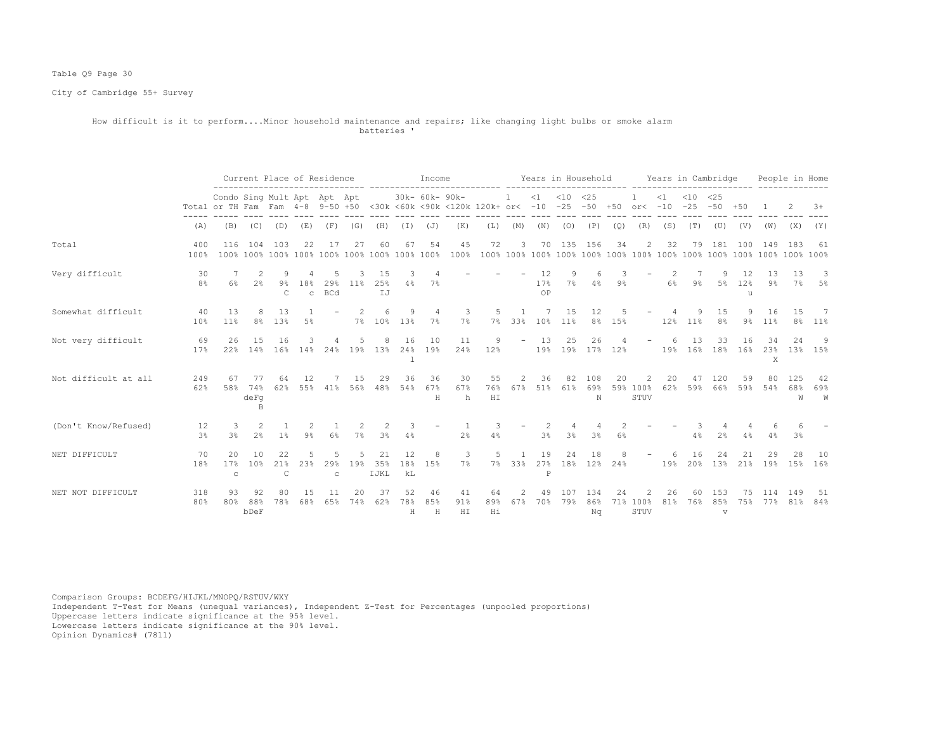## Table Q9 Page 30

City of Cambridge 55+ Survey

#### How difficult is it to perform....Minor household maintenance and repairs; like changing light bulbs or smoke alarm batteries '

|                      |                      |                                                                                                                        |                         |                              |                     | Current Place of Residence               |          |                   |                      | Income         | ___________________________ |                  |                                                                                                                                                                                                                                                                                                                                                                                                                                   |                   |                  |                              |        | Years in Household Years in Cambridge |           |                                   |                            |                    |             | People in Home      |                          |
|----------------------|----------------------|------------------------------------------------------------------------------------------------------------------------|-------------------------|------------------------------|---------------------|------------------------------------------|----------|-------------------|----------------------|----------------|-----------------------------|------------------|-----------------------------------------------------------------------------------------------------------------------------------------------------------------------------------------------------------------------------------------------------------------------------------------------------------------------------------------------------------------------------------------------------------------------------------|-------------------|------------------|------------------------------|--------|---------------------------------------|-----------|-----------------------------------|----------------------------|--------------------|-------------|---------------------|--------------------------|
|                      |                      | Condo Sing Mult Apt Apt Apt<br>Total or TH Fam Fam 4-8 9-50 +50 <30k <60k <90k <120k 120k+ or< -10 -25 -50 +50 or< -10 |                         |                              |                     |                                          |          |                   |                      | 30k- 60k- 90k- |                             |                  | $\overline{1}$                                                                                                                                                                                                                                                                                                                                                                                                                    |                   | $<1$ $<10$ $<25$ |                              |        |                                       | $\leq 1$  | $< 10 \le 25$                     | $-25 - 50 + 50$            |                    |             |                     | $3+$                     |
|                      | (A)                  | (B)                                                                                                                    | (C)                     | (D)                          | (E)                 | (F)                                      | (G)      | (H)               |                      | $(I)$ $(J)$    | (K)                         | (L)              | (M)                                                                                                                                                                                                                                                                                                                                                                                                                               |                   | $(N)$ $(O)$      | (P)                          | (Q)    | (R)                                   | (S)       | (T)                               | (U)                        | (V)                | (W)         | (X)                 | (Y)                      |
| Total                | 400<br>100%          | 116                                                                                                                    | 104                     | 103                          | 22                  | -17                                      | 27       | 60                | 67                   | 54             | 45<br>100%                  | 72               | 3                                                                                                                                                                                                                                                                                                                                                                                                                                 | 70                | 135              | 156                          | 34     | 2                                     | 32        | 79                                | 181                        | 100                | 149         | 183                 | 61                       |
| Very difficult       | 30<br>8 <sup>°</sup> | 6%                                                                                                                     | 2<br>$2\frac{6}{5}$     | -9<br>$9\%$<br>$\mathcal{C}$ | 18%<br>$\mathbf{C}$ | .5<br>29%<br><b>BCd</b>                  | 11%      | 15<br>25%<br>IJ   | -3<br>4%             | 7%             |                             |                  | $17\%$                                                                                                                                                                                                                                                                                                                                                                                                                            | 12<br>OP          | 9                | 6.<br>7% 4%                  | $9\%$  |                                       | -2.<br>6% | 7<br>9%                           | -9                         | 12<br>5% 12%<br>11 | 13<br>$9\%$ | 13                  | -3<br>7% 5%              |
| Somewhat difficult   | 40<br>10%            | 1.3<br>11 <sup>°</sup>                                                                                                 | 8                       | 13<br>8% 13%                 | 5%                  |                                          |          | 6<br>7% 10% 13%   | 9                    | 4<br>7%        | 3<br>$7\%$                  | 5                | $\overline{1}$<br>7% 33% 10% 11%                                                                                                                                                                                                                                                                                                                                                                                                  | 7                 | 15               | 12                           | 8% 15% |                                       |           | 9<br>12% 11%                      | 15<br>8 <sup>°</sup>       | 9<br>9%            | 16<br>11%   | 1.5                 | $\overline{7}$<br>8% 11% |
| Not very difficult   | 69<br>17%            | 26                                                                                                                     | 15                      | 16                           | 3                   | 4<br>22% 14% 16% 14% 24% 19% 13% 24% 19% | .5       | 8                 | 16<br>$\overline{1}$ | 10             | 11<br>24%                   | 9<br>12%         |                                                                                                                                                                                                                                                                                                                                                                                                                                   | $-13$             | 25               | 26<br>19% 19% 17% 12%        |        | $\overline{\phantom{a}}$              | -6        | 13<br>19% 16% 18% 16% 23% 13% 15% | 33                         | 16                 | 34<br>X     | 2.4                 | -9                       |
| Not difficult at all | 249<br>62%           | 67<br>58%                                                                                                              | 77<br>74%<br>depq<br>B. | 64<br>62%                    | 12                  | 7<br>55% 41% 56% 48% 54%                 | 15       | 29                | 36                   | 36<br>67%<br>H | 30<br>67%<br>h              | 55<br>76%<br>H I | 2<br>67%                                                                                                                                                                                                                                                                                                                                                                                                                          | 36<br>51%         | 82<br>61%        | 108<br>69%<br>N              | 20     | 2<br>59% 100%<br>STUV                 | 20<br>62% | 47<br>59%                         | 120<br>66%                 | 59<br>59%          | 80          | 125<br>54% 68%<br>W | 42<br>69%<br>W           |
| (Don't Know/Refused) | 12<br>3 <sup>8</sup> | - 3<br>3%                                                                                                              | $\overline{2}$<br>2%    | 1%                           | 2<br>9%             | 6%                                       | -2<br>7% | -2<br>3%          | -3<br>4%             |                | 2 <sup>°</sup>              | 4%               |                                                                                                                                                                                                                                                                                                                                                                                                                                   | -2<br>3%          | 3 <sup>°</sup>   | 3%                           | 6%     |                                       |           | 4%                                | 2%                         | 4%                 | 4%          | 3%                  |                          |
| NET DIFFICULT        | 70<br>18%            | $20^{\circ}$<br>17%<br>$\mathbb{C}$                                                                                    | 1 O<br>10 <sup>8</sup>  | 22<br>21%<br>$\mathsf{C}$    | 5<br>23%            | 5<br>29%<br>$\mathtt{C}$                 | 19%      | 21<br>35%<br>IJKL | 12<br>18%<br>kL      | 8<br>15%       | 3<br>$7\%$                  | .5               |                                                                                                                                                                                                                                                                                                                                                                                                                                   | 19<br>$\mathbb P$ | 24               | 18<br>7% 33% 27% 18% 12% 24% |        |                                       | 6<br>19%  | 16                                | 24<br>20% 13%              | 21<br>21%          | 29<br>19%   | 28                  | 10<br>15% 16%            |
| NET NOT DIFFICULT    | 318<br>80%           | 93<br>80%                                                                                                              | 92<br>88%<br>bDeF       | 80<br>78%                    | 68%                 | 65%                                      | 74%      | 37<br>62%         | 52<br>78%<br>H       | 46<br>85%<br>H | 41<br>91%<br>H I            | 64<br>89%<br>Hi  | $\mathfrak{D}_{1}^{2}(\mathfrak{D}_{1})=\mathfrak{D}_{2}^{2}(\mathfrak{D}_{2})=\mathfrak{D}_{2}^{2}(\mathfrak{D}_{1})=\mathfrak{D}_{2}^{2}(\mathfrak{D}_{2})=\mathfrak{D}_{2}^{2}(\mathfrak{D}_{1})=\mathfrak{D}_{2}^{2}(\mathfrak{D}_{1})=\mathfrak{D}_{2}^{2}(\mathfrak{D}_{1})=\mathfrak{D}_{2}^{2}(\mathfrak{D}_{1})=\mathfrak{D}_{2}^{2}(\mathfrak{D}_{1})=\mathfrak{D}_{2}^{2}(\mathfrak{D}_{1})=\mathfrak{D}_{2}^{$<br>67% | 49<br>70%         | 107<br>79%       | 134<br>86%<br>Nα             | 24     | 71% 100%<br>STUV                      | 26<br>81% | 60<br>76%                         | 1.53<br>85%<br>$\mathbf v$ | 75<br>75%          | 114<br>77%  | 149<br>81%          | 51<br>84%                |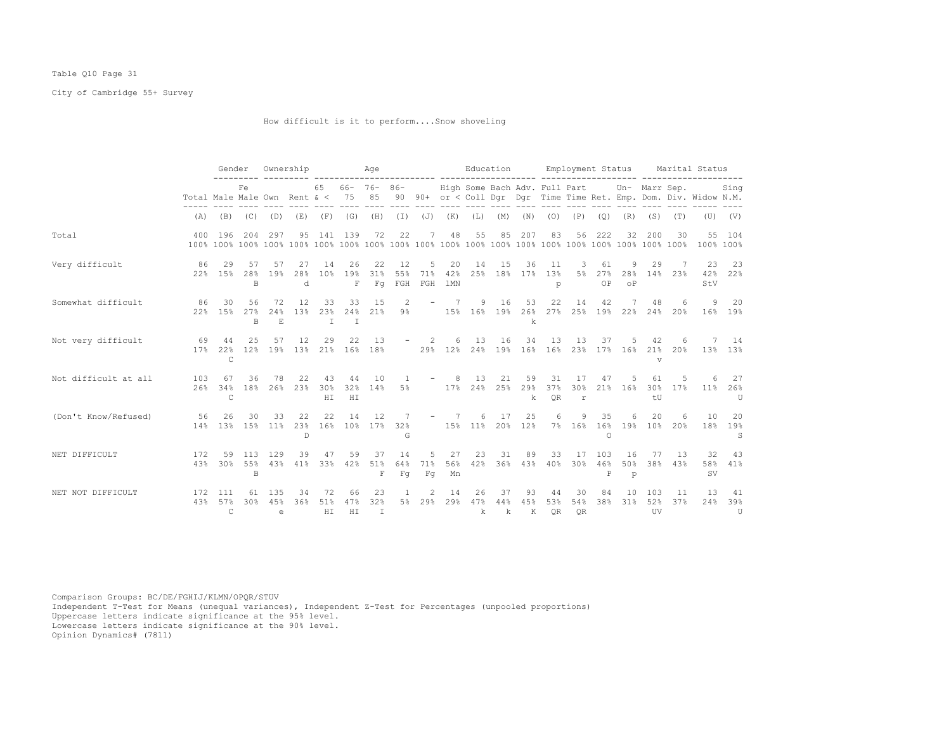## Table Q10 Page 31

City of Cambridge 55+ Survey

How difficult is it to perform....Snow shoveling

|                      |             | Gender                                                        |                 |                          | Ownership                 |                       |                 | Age                       |                  |                   |                              | Education            |                |                |                 |                           |                 |                            |                                     |            | Employment Status Marital Status                                                                                      |                       |
|----------------------|-------------|---------------------------------------------------------------|-----------------|--------------------------|---------------------------|-----------------------|-----------------|---------------------------|------------------|-------------------|------------------------------|----------------------|----------------|----------------|-----------------|---------------------------|-----------------|----------------------------|-------------------------------------|------------|-----------------------------------------------------------------------------------------------------------------------|-----------------------|
|                      |             | Fe<br>Total Male Male Own Rent $\alpha < 75$ 85<br>(A)<br>(B) |                 |                          |                           |                       |                 | $65$ $66 - 76 - 86 -$     |                  |                   |                              |                      |                |                |                 |                           |                 |                            |                                     |            | High Some Bach Adv. Full Part Un- Marr Sep. Sing<br>90 90+ or < Coll Dgr Dgr Time Time Ret. Emp. Dom. Div. Widow N.M. |                       |
|                      |             |                                                               | (C)             | (D)                      | (E)                       | (F)                   | (G)             | (H)                       |                  | $(J)$ $(J)$       | (K)                          | (L)                  | (M)            | (N)            |                 | $(O)$ $(P)$               | (Q)             | (R)                        | (S)                                 | (T)        |                                                                                                                       | $(U)$ $(V)$           |
| Total                | 400         | 196                                                           | 204             | 297                      | 95                        |                       | 141 139         | 72                        | 22               | 7                 | 48                           | 55                   | 85             | 207            | 83              | 56                        | 222             | 32                         | 200                                 | 30         | 100% 100%                                                                                                             | 55 104                |
| Very difficult       | 86          | 29<br>22% 15%                                                 | 57<br>28%<br>B  | 57<br>19%                | 27<br>28%<br>d            | 14<br>10 <sup>8</sup> | 26<br>19%<br>F  | 22<br>31%<br>Fq           | 12<br>55%<br>FGH | 5<br>71%<br>FGH   | 20<br>42%<br>1 <sub>MN</sub> | 14<br>25%            | 15<br>18%      | 36<br>17%      | 11<br>13%<br>p  | 3<br>5%                   | 61<br>27%<br>OP | 9<br>28%<br>O <sub>P</sub> | 29<br>14%                           | 23%        | 23<br>42%<br>StV                                                                                                      | 23<br>22%             |
| Somewhat difficult   | 86<br>22%   | 30<br>1.5%                                                    | 56<br>27%<br>B  | 72<br>24%<br>E.          | 12<br>13%                 | 33<br>23%<br>$\top$   | 33<br>24%<br>T  | 15<br>21%                 | 2<br>$9\%$       | $\qquad \qquad -$ | $7\phantom{0}7$              | 9<br>15% 16% 19% 26% | 16             | 53<br>k        | 22<br>27%       | 14<br>25%                 | 42              | 19% 22%                    | 48<br>24%                           | 6<br>20%   | 9                                                                                                                     | 20<br>16% 19%         |
| Not very difficult   | 69<br>17%   | 44<br>2.2%<br>$\mathcal{C}$                                   | 25<br>12%       | 57<br>19 <sup>°</sup>    | 12<br>13%                 | 29                    | 22              | 13<br>21% 16% 18%         | $ \,$            | 2                 | 6<br>29% 12%                 | 13<br>24%            | 16<br>19%      | 34             | 13<br>16% 16%   | 13<br>23%                 | 37              | 17% 16%                    | 42<br>21 <sub>8</sub><br>$\sqrt{ }$ | 6<br>2.0%  |                                                                                                                       | 14<br>13% 13%         |
| Not difficult at all | 103<br>2.6% | 67<br>34%<br>C                                                | 36<br>18%       | 78<br>26%                | 22<br>23%                 | 43<br>30%<br>HI       | 44<br>32%<br>HI | 10<br>14%                 | 5%               |                   | -8                           | 13<br>17% 24% 25%    | 21             | 59<br>29%<br>k | 31<br>37%<br>QR | 17<br>30%<br>$\mathtt{r}$ | 47              | 21% 16%                    | 61<br>30 <sub>8</sub><br>tU         | .5<br>17%  | 6                                                                                                                     | 27<br>$11\%$ 26%<br>U |
| (Don't Know/Refused) | 56<br>14%   | 26<br>1.3%                                                    | 30<br>15%       | 33<br>11%                | 22<br>23%<br>$\mathbb{D}$ | 22<br>16%             | 14              | 12<br>10% 17% 32%         | 7<br>G           |                   | -7                           | 6<br>15% 11% 20% 12% | 17             | 25             | 6               | 9<br>7% 16%               | 35<br>$\Omega$  | 6<br>16% 19%               | 20<br>10%                           | 6<br>20%   | 10<br>18%                                                                                                             | 20<br>19%<br>S        |
| NET DIFFICULT        | 172<br>43%  | 59<br>30%                                                     | 113<br>55%<br>B | 129<br>43%               | 39<br>41%                 | 47<br>33%             | 59<br>42%       | 37<br>51%<br>F            | 14<br>64%<br>Fq  | .5<br>71%<br>Fq   | 27<br>56%<br>Mn              | 23<br>42%            | 31<br>36%      | 89<br>43%      | 33<br>40%       | 17<br>30%                 | 103<br>46%<br>P | 16<br>50%<br>$\mathbf{p}$  | 77<br>38%                           | -13<br>43% | 32<br><b>SV</b>                                                                                                       | 43<br>58% 41%         |
| NET NOT DIFFICULT    | 172         | 111<br>4.3% 5.7%<br>$\mathsf{C}$                              | 61<br>30%       | 135<br>45%<br>$\epsilon$ | 34<br>36%                 | 72<br>51%<br>H I      | 66<br>47%<br>HI | 23<br>32%<br>$\mathbb{I}$ |                  | 2<br>5% 29%       | 14<br>29%                    | 26<br>47%<br>k       | 37<br>44%<br>k | 93<br>45%<br>K | 44<br>53%<br>OR | 30<br>54%<br><b>OR</b>    | 84<br>38%       | 10<br>31%                  | 103<br>52%<br>UV                    | 11<br>37%  | 13<br>24%                                                                                                             | 41<br>39%<br>U        |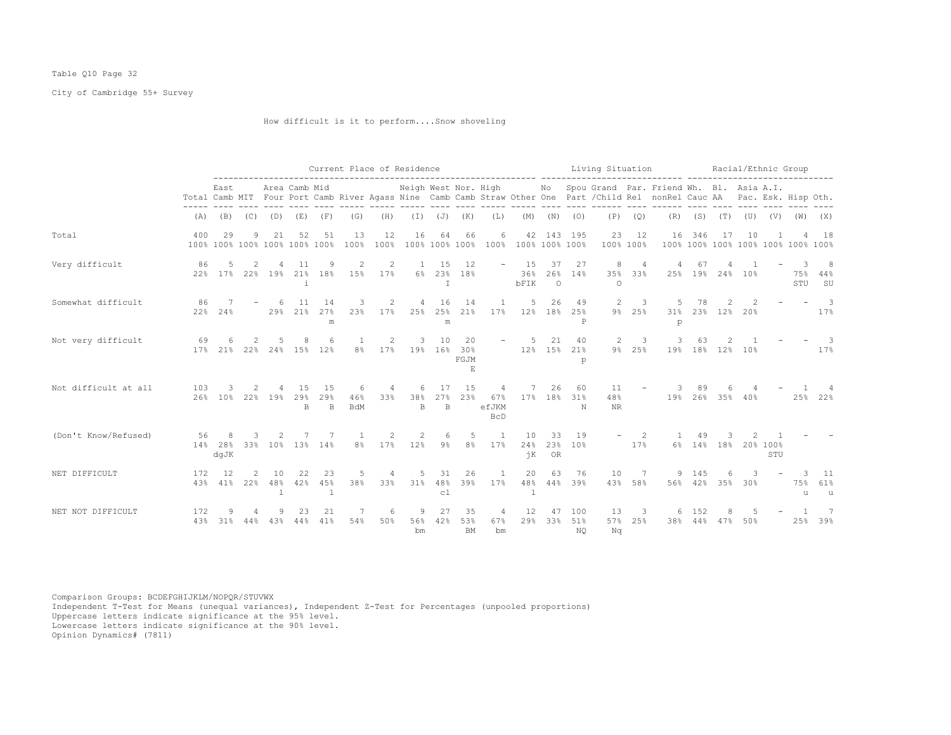## Table Q10 Page 32

City of Cambridge 55+ Survey

How difficult is it to perform....Snow shoveling

|                      |            |                                      |                       |                |                      |                      | Current Place of Residence       |                       |                          |                                      |                                 |                                 |                                    |               |                                 | Living Situation       |                       | -------- ---------                                                                                                                                                                               |                |                                   |     | Racial/Ethnic Group |                                           |                                 |
|----------------------|------------|--------------------------------------|-----------------------|----------------|----------------------|----------------------|----------------------------------|-----------------------|--------------------------|--------------------------------------|---------------------------------|---------------------------------|------------------------------------|---------------|---------------------------------|------------------------|-----------------------|--------------------------------------------------------------------------------------------------------------------------------------------------------------------------------------------------|----------------|-----------------------------------|-----|---------------------|-------------------------------------------|---------------------------------|
|                      |            | East                                 |                       |                | Area Camb Mid        |                      |                                  |                       |                          |                                      |                                 |                                 |                                    |               |                                 |                        |                       | Neigh West Nor. High Mo Spou Grand Par. Friend Wh. Bl. Asia A.I.<br>Total Camb MIT Four Port Camb River Agass Nine Camb Camb Straw Other One Part / Child Rel nonRel Cauc AA Pac. Esk. Hisp Oth. |                |                                   |     |                     |                                           |                                 |
|                      |            | $(A)$ $(B)$ $(C)$ $(D)$ $(E)$ $(F)$  |                       |                |                      |                      | (G)                              | (H)                   |                          |                                      | $(I)$ $(J)$ $(K)$               | (L)                             |                                    |               | $(M)$ $(N)$ $(O)$               |                        | $(P)$ $(Q)$           |                                                                                                                                                                                                  |                |                                   |     |                     | $(R)$ $(S)$ $(T)$ $(U)$ $(V)$ $(W)$ $(X)$ |                                 |
| Total                | 400        | 29<br>100% 100% 100% 100% 100% 100%  | 9                     | 21             | 52                   | 51                   | 13<br>100%                       | 12<br>100%            | 16                       | 64                                   | 66                              | 6                               | 100% 100% 100% 100% 100% 100% 100% |               | 42 143 195                      | 23<br>100% 100%        | 12                    |                                                                                                                                                                                                  | 16 346         | 17                                | 10  |                     | 100% 100% 100% 100% 100% 100% 100%        | 18                              |
| Very difficult       | 86         | 5<br>22% 17% 22% 19% 21% 18%         | 2                     | $\overline{4}$ | -11<br>$\perp$       | 9                    | 2<br>15%                         | 2<br>17%              | 1<br>$6\%$               | 15<br>23%<br>T                       | 12<br>18%                       |                                 | $-15$<br>36%<br>bFIK               | 37<br>$\circ$ | 27<br>26% 14%                   | 8<br>35%<br>$\Omega$   | $\overline{4}$<br>33% | $\overline{4}$                                                                                                                                                                                   | 67             | 25% 19% 24% 10%                   |     |                     | 3<br>75%<br>STU                           | 8<br>44%<br>SU                  |
| Somewhat difficult   | 86<br>22%  | 24%                                  |                       | -6             | 11<br>29% 21%        | 14<br>27%<br>m       | 3<br>23%                         | 2<br>17%              |                          | 16<br>$4\phantom{0}$<br>25% 25%<br>m | 14<br>21%                       | <sup>1</sup>                    | 5<br>17% 12% 18% 25%               | 26            | 49<br>P                         |                        | $2 \quad 3$<br>9% 25% | -5<br>p                                                                                                                                                                                          | 78             | 2<br>31% 23% 12% 20%              | 2   |                     |                                           | $\overline{\phantom{a}}$<br>17% |
| Not very difficult   | 69         | 6<br>17% 21%                         | 2<br>$22\%$           |                | 8<br>24% 15% 12%     | 6                    | -1<br>8%                         | 2<br>17%              | 3                        | 10                                   | 20<br>19% 16% 30%<br>FGJM<br>E. |                                 | $-5$<br>the contract of            | 21<br>12% 15% | 40<br>21%<br>p                  | $\overline{2}$         | 3<br>9% 25%           | 3                                                                                                                                                                                                | 63             | $\overline{2}$<br>19% 18% 12% 10% |     |                     |                                           | $\sim$ 3<br>17%                 |
| Not difficult at all | 103        | 3<br>26% 10% 22% 19% 29% 29%         | 2                     |                | 4 15<br>$\mathbb{B}$ | 15<br>$\overline{B}$ | 6<br>46%<br><b>BdM</b>           | $\overline{4}$<br>33% | 6<br>38%<br>$\mathbb{B}$ | 17<br>27%<br>$\overline{B}$          | 15<br>23%                       | 4<br>67%<br>efJKM<br><b>BcD</b> |                                    | 7 26          | 60<br>17% 18% 31%<br>$_{\rm N}$ | 11<br>48%<br><b>NR</b> |                       | -3                                                                                                                                                                                               | 89             | 6<br>19% 26% 35% 40%              |     |                     |                                           | 25% 22%                         |
| (Don't Know/Refused) | 56         | 8<br>14% 28% 33% 10% 13% 14%<br>dqJK | 3                     | 2              | 7                    | - 7                  | $\overline{1}$<br>8 <sup>°</sup> | 2<br>17%              | 2<br>12%                 | 6<br>$9\%$                           | 5<br>8 <sup>°</sup>             | $\overline{1}$<br>17%           | 10<br>jК                           | 33<br>OR      | 19<br>24% 23% 10%               |                        | $-2$<br>17%           | 1                                                                                                                                                                                                | 49             | 3<br>6% 14% 18% 20% 100%          | 2   | STU                 |                                           |                                 |
| NET DIFFICULT        | 172        | 12<br>43% 41% 22%                    | 2                     | 10             | 22<br>48% 42% 45%    | 23<br>$\overline{1}$ | 5<br>38%                         | $\overline{4}$<br>33% | 31%                      | 5 31<br>48%<br>c1                    | 26<br>39%                       | $\overline{1}$<br>17%           | 20<br>$\mathbf{1}$                 | 63            | 76<br>48% 44% 39%               | 10                     | 7<br>43% 58%          |                                                                                                                                                                                                  | 9 145          | 6<br>56% 42% 35% 30%              | 3   |                     | $\overline{\phantom{a}}$<br>11            | 11<br>75% 61%<br>u              |
| NET NOT DIFFICULT    | 172<br>43% | 9<br>31%                             | $\overline{4}$<br>44% | 9<br>43%       | 23<br>44%            | 21<br>41%            | 7<br>54%                         | 6<br>50%              | 9<br>bm                  | -27<br>56% 42%                       | 35<br>53%<br><b>BM</b>          | $\sim$ 4<br>67%<br>bm           | 12                                 | 47            | 100<br>29% 33% 51%<br>NO        | 13<br>57%<br>Nq        | 3<br>25%              | 6                                                                                                                                                                                                | 152<br>38% 44% | 8<br>47%                          | 50% |                     | 25%                                       | 7<br>39%                        |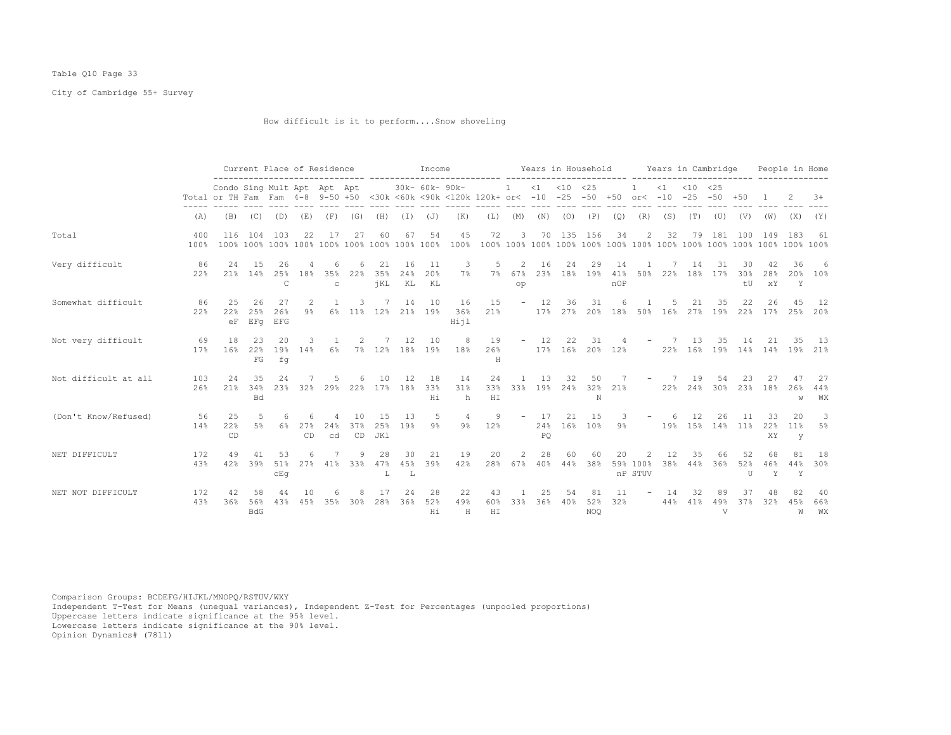## Table Q10 Page 33

City of Cambridge 55+ Survey

How difficult is it to perform....Snow shoveling

|                      |             |                                                                 |                         |                  |           | Current Place of Residence |           |                   |                 | Income          |                                                |                  |                          |                 | Years in Household |                         |                  |                                       |           | Years in Cambridge               |           |                   |                 | People in Home    |                  |
|----------------------|-------------|-----------------------------------------------------------------|-------------------------|------------------|-----------|----------------------------|-----------|-------------------|-----------------|-----------------|------------------------------------------------|------------------|--------------------------|-----------------|--------------------|-------------------------|------------------|---------------------------------------|-----------|----------------------------------|-----------|-------------------|-----------------|-------------------|------------------|
|                      |             | Condo Sing Mult Apt Apt Apt<br>Total or TH Fam Fam 4-8 9-50 +50 |                         |                  |           |                            |           |                   |                 | 30k- 60k- 90k-  | <30k <60k <90k <120k 120k+ or< -10 -25 -50 +50 |                  | $\mathbf{1}$             |                 | $<1$ $<10$ $<25$   |                         |                  | $or < -10$                            | $\leq 1$  | $< 10 \le 25$<br>$-25 - 50 + 50$ |           |                   |                 |                   | $+8$             |
|                      | (A)         | (B)                                                             | (C)                     | (D)              | (E)       | (F)                        | (G)       | (H)               | (I)             | (J)             | (K)                                            | (L)              | (M)                      | (N)             | (0)                | (P)                     | (Q)              | (R)                                   | (S)       | (T)                              | (U)       | (V)               | (W)             | (X)               | (Y)              |
| Total                | 400<br>100% | 116                                                             | 104                     | -103             | 22        | 17                         | 27        | 60                | 67              | 54              | 45<br>100%                                     | 72               | 3                        |                 | 70 135 156         |                         | 34               | 2                                     | 32        | 79                               | 181       | 100               | 149             | 183               | -61              |
| Very difficult       | 86<br>22%   | 2.4<br>21%                                                      | 1.5<br>14%              | 26<br>25%<br>C   | 18%       | 35%<br>$\mathcal{C}$       | 22%       | 21<br>35%<br>jKL  | 16<br>24%<br>KL | 11<br>20%<br>KL | 3<br>7%                                        | 5<br>7%          | 2<br>67%<br>op           | 16<br>23%       | 24                 | 29<br>18% 19%           | 14<br>41%<br>nOP | 50%                                   | 22%       | 14<br>18%                        | 31<br>17% | 30<br>30%<br>$+1$ | 28%<br>XY       | 36<br>20%<br>Y    | 6<br>10%         |
| Somewhat difficult   | 86<br>22%   | 25<br>22%<br>eF                                                 | 26<br>25%<br>EFq        | 27<br>26%<br>EFG | 2<br>9%   |                            | 3.        | 7<br>6% 11% 12%   | 14              | 10<br>21% 19%   | 16<br>36%<br>Hijl                              | 15<br>21%        | $\overline{\phantom{a}}$ | 12<br>17%       | 36                 | 31<br>$27\%$ 20%        | 18%              | 50%                                   | 16%       | 21<br>27%                        | 35<br>19% | 22<br>22%         | 26<br>17%       | 4.5<br>25%        | 12<br>20%        |
| Not very difficult   | 69<br>17%   | 18<br>16%                                                       | 23<br>22%<br>${\rm FG}$ | 20<br>19%<br>fq  | 3<br>14%  | $6\%$                      |           | 7% 12%            | 12<br>18%       | 10<br>19%       | 8<br>18%                                       | 19<br>26%<br>H   |                          | $-12$           | 22<br>17% 16%      | 31                      | 20% 12%          |                                       | 22%       | 1.3<br>16%                       | 35<br>19% | 14<br>14%         | 21<br>14%       | 35<br>19%         | - 13<br>21%      |
| Not difficult at all | 103<br>26%  | 24<br>21%                                                       | 35<br>34%<br>Bd         | 24<br>23%        | 32%       | 29%                        | 22%       | 10<br>17%         | 12<br>18%       | 18<br>33%<br>Ηi | 14<br>31%<br>h                                 | 24<br>33%<br>H I | 33%                      | 13<br>19%       | 32<br>24%          | 50<br>N                 | 32% 21%          |                                       | -7<br>22% | 19<br>24%                        | 54<br>30% | 23<br>23%         | 27<br>18%       | 26%<br>W          | 27<br>44%<br>WX  |
| (Don't Know/Refused) | 56<br>14%   | 2.5<br>22%<br>CD                                                | 5<br>5%                 | 6%               | 27%<br>CD | 24%<br>cd                  | 37%<br>CD | 1.5<br>25%<br>JK1 | 13<br>19%       | 5<br>$9\%$      | 4<br>$9\%$                                     | 9<br>12%         | $\overline{\phantom{a}}$ | 17<br>24%<br>PO | 21                 | 15<br>16% 10%           | З.<br>9%         |                                       | 19%       | 12<br>15%                        | 26<br>14% | 11<br>11%         | 33<br>22%<br>XY | 20<br>$11\%$<br>У | 3<br>5%          |
| NET DIFFICULT        | 172<br>43%  | 49<br>42%                                                       | 39%                     | 53<br>51%<br>CEq | 27%       | 41%                        | 33%       | 28<br>47%<br>L    | 30<br>45%<br>L  | 21<br>39%       | 19<br>42%                                      | 20<br>28%        | 2<br>67%                 | 28<br>40%       | 60<br>44%          | 60<br>38%               | 20               | $\mathfrak{D}$<br>59% 100%<br>nP STUV | 12<br>38% | 35<br>44%                        | 66<br>36% | 52<br>52%<br>U    | 68<br>46%<br>Y  | 81<br>44%<br>Y    | 18<br>30%        |
| NET NOT DIFFICULT    | 172<br>43%  | 42<br>36%                                                       | 58<br>56%<br><b>BdG</b> | 44<br>43%        | 45%       | 35%                        | 30%       | 28%               | 24<br>36%       | 28<br>52%<br>Hi | 22<br>49%<br>H                                 | 43<br>60%<br>H I | 33%                      | 25<br>36%       | 40%                | 81<br>52%<br><b>NOO</b> | 11<br>32%        |                                       | 44%       | 41%                              | 49%<br>V  | 37<br>37%         | 32%             | 45%<br>W          | -40<br>66%<br>WX |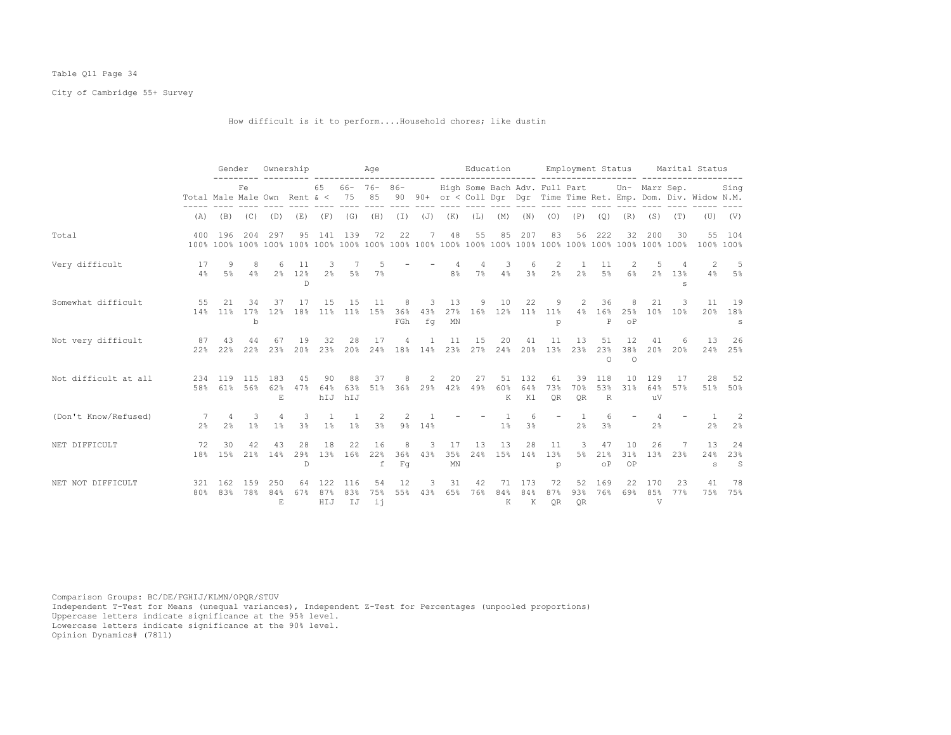## Table Q11 Page 34

City of Cambridge 55+ Survey

How difficult is it to perform....Household chores; like dustin

|                      |                              | Gender                |                          |                                  | Ownership                    |                         |                        | Aqe                      |                 |                   |                               | Education             |                                |                     |                        | Employment Status                |                            |                       |                      |                                                                   | Marital Status            |                          |
|----------------------|------------------------------|-----------------------|--------------------------|----------------------------------|------------------------------|-------------------------|------------------------|--------------------------|-----------------|-------------------|-------------------------------|-----------------------|--------------------------------|---------------------|------------------------|----------------------------------|----------------------------|-----------------------|----------------------|-------------------------------------------------------------------|---------------------------|--------------------------|
|                      | Total Male Male Own Rent & < | Fe                    |                          |                                  | 65                           | 75                      | $66 - 76 - 86 -$<br>85 |                          |                 |                   | High Some Bach Adv. Full Part |                       |                                |                     |                        |                                  |                            | Un- Marr Sep.         |                      | 90 90+ or < Coll Dqr Dqr Time Time Ret. Emp. Dom. Div. Widow N.M. | Sing                      |                          |
|                      | (A)                          |                       | $(B)$ $(C)$ $(D)$        |                                  | (E)                          |                         | $(F)$ $(G)$            | (H)                      |                 | $(I)$ $(J)$ $(K)$ |                               | (L)                   | (M)                            | (N)                 | (0)                    | (P)                              | (Q)                        | (R)                   | (S)                  | (T)                                                               |                           | $(U)$ $(V)$              |
| Total                | 400                          | 196                   | 204                      | 297                              | 95                           | 141                     | 139                    | 72                       | 22              | 7                 | 48                            | 55                    | 85                             | 207                 | 83                     | 56                               | 222                        | 32                    | 200                  | 30                                                                | 100% 100%                 | 55 104                   |
| Very difficult       | 17<br>4%                     | 9<br>5%               | 8<br>4%                  | -6                               | 11<br>2% 12%<br>$\mathbb{D}$ | 3<br>2 <sup>°</sup>     | 5%                     | .5<br>7%                 |                 |                   | $\overline{4}$<br>8%          | $\overline{4}$<br>7%  | 3<br>4%                        | 6<br>3 <sup>°</sup> | 2<br>2 <sup>°</sup>    | -1.<br>2 <sup>°</sup>            | 11<br>$5\%$                | $\mathfrak{D}$<br>6%  | 2%                   | 13%<br>s                                                          | $\mathcal{L}$<br>4%       | $-5$<br>5%               |
| Somewhat difficult   | 55                           | 21<br>14% 11%         | 34<br>17%<br>$\mathbf b$ | 37<br>12%                        | 17<br>18%                    | 1.5<br>11%              | 15<br>11%              | 11<br>15%                | 8<br>36%<br>FGh | 3<br>43%<br>fq    | 13<br>27%<br>MN               | 9                     | 10<br>16% 12%                  | 22<br>11%           | 9<br>11%<br>p          | 2<br>4%                          | 36<br>16%<br>Ρ             | 8<br>25%<br>$\circ$ P | 21<br>10%            | 3<br>10%                                                          | 11<br>20%                 | 19<br>18%<br>s           |
| Not very difficult   | 87<br>22%                    | 43<br>22%             | 44<br>22%                | 67<br>23%                        | 19<br>20%                    | 32<br>23%               | 28<br>20%              | 17<br>24%                | 4<br>18%        | 14%               | 11<br>23%                     | 15<br>27%             | 20<br>24%                      | 41<br>20%           | 11<br>13 <sup>°</sup>  | 13<br>23%                        | 51<br>23%<br>$\Omega$      | 12<br>38%<br>$\Omega$ | 41<br>20%            | 6<br>20%                                                          | 13                        | 26<br>24% 25%            |
| Not difficult at all | 58%                          | 234 119               | 115<br>61% 56%           | 183<br>62%<br>E.                 | 45<br>47%                    | 90<br>64%<br>hIJ        | 88<br>63%<br>hIJ       | 37<br>51%                | 8               | 2                 | 20                            | 27<br>36% 29% 42% 49% | 51<br>60%<br>K                 | 132<br>64%<br>K1    | 61<br>73%<br><b>OR</b> | 39<br>70%<br><b>OR</b>           | 118<br>53%<br>$\mathbb{R}$ | 10<br>31%             | 129<br>64%<br>uV     | 17<br>57%                                                         | 28                        | 52<br>51% 50%            |
| (Don't Know/Refused) | 7<br>2.8                     | $\overline{4}$<br>2.8 | 3<br>1%                  | $\overline{4}$<br>1 <sup>8</sup> | 3<br>3 <sup>°</sup>          | $\overline{1}$<br>$1\%$ | $\overline{1}$<br>1%   | 2<br>3%                  | 2               | 9% 14%            |                               |                       | $\mathbf{1}$<br>1 <sup>°</sup> | 6<br>3 <sup>°</sup> |                        | $\overline{1}$<br>2 <sup>°</sup> | 6<br>3%                    |                       | $\overline{4}$<br>2% |                                                                   | $\overline{1}$<br>2%      | -2<br>2 <sup>°</sup>     |
| NET DIFFICULT        | 72<br>18%                    | 30<br>1.5%            | 42<br>21%                | 43<br>14%                        | 28<br>29%<br>D               | 18<br>13%               | 22<br>16%              | 16<br>22%<br>$\mathbf f$ | 8<br>36%<br>Fq  | 3<br>43%          | 17<br>35%<br>MN               | 13<br>24%             | 13<br>15%                      | 28<br>14%           | 11<br>13%<br>p         | 3<br>$5\%$                       | 47<br>21%<br>$\circ$ P     | 10<br>31%<br>OP       | 26<br>13%            | $\overline{7}$<br>23%                                             | 13<br>24%<br>$\mathtt{s}$ | 24<br>23%<br>$\mathbf S$ |
| NET NOT DIFFICULT    | 321<br>80%                   | 162<br>83%            | 159<br>78%               | 250<br>84%<br>E.                 | 64<br>67%                    | 122<br>87%<br>HIJ       | 116<br>83%<br>IJ       | 54<br>75%<br>ii.         | 12<br>55%       | 3<br>43%          | 31<br>65%                     | 42<br>76%             | 71<br>84%<br>к                 | 173<br>84%<br>K     | 72<br>87%<br><b>OR</b> | 52<br>93%<br><b>OR</b>           | 169<br>76%                 | 22<br>69%             | 170<br>85%<br>V      | 23<br>77%                                                         | 41<br>75%                 | 78<br>75%                |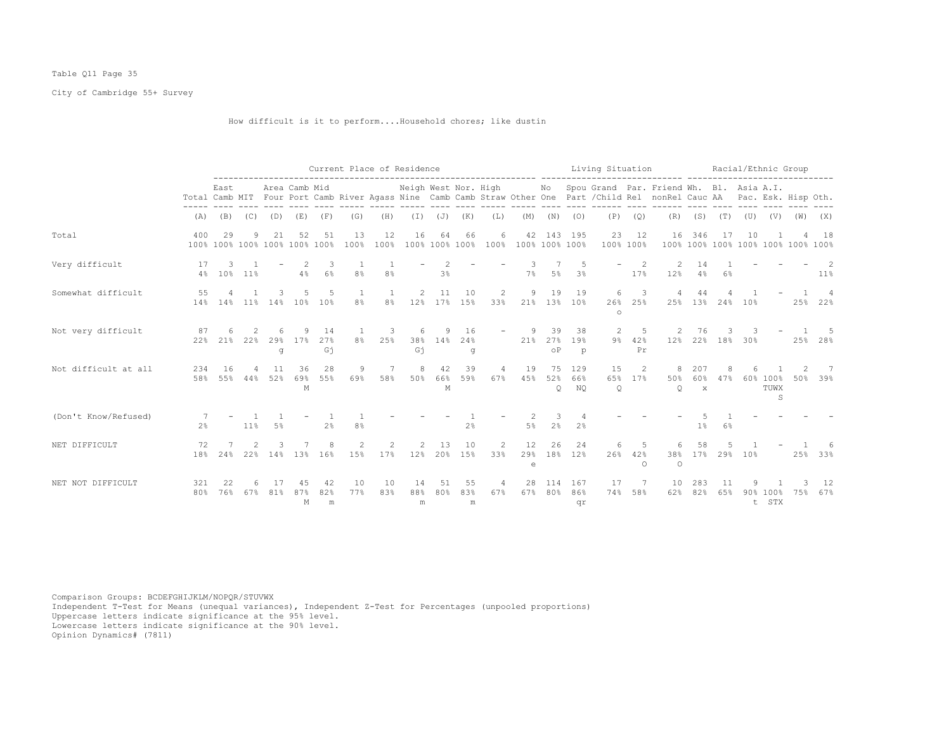## Table Q11 Page 35

City of Cambridge 55+ Survey

How difficult is it to perform....Household chores; like dustin

|                      |                |                                     |          |           |                |                 |                       |                       | Current Place of Residence |                |                      |                      |                           |                        |                             | Living Situation     |                      |                                                                                                                                                         |                      |             |     | Racial/Ethnic Group                |     |                           |
|----------------------|----------------|-------------------------------------|----------|-----------|----------------|-----------------|-----------------------|-----------------------|----------------------------|----------------|----------------------|----------------------|---------------------------|------------------------|-----------------------------|----------------------|----------------------|---------------------------------------------------------------------------------------------------------------------------------------------------------|----------------------|-------------|-----|------------------------------------|-----|---------------------------|
|                      |                | East                                |          |           | Area Camb Mid  |                 |                       |                       | Neigh West Nor. High       |                |                      |                      |                           |                        |                             |                      |                      | No Spou Grand Par. Friend Wh. Bl. Asia A.I.<br>Total Camb MIT Four Port Camb River Agass Nine Camb Camb Straw Other One Part / Child Rel nonRel Cauc AA |                      |             |     | Pac. Esk. Hisp Oth.                |     |                           |
|                      | (A)            | (B)                                 | (C)      | (D)       | (E)            | (F)             | (G)                   | (H)                   | $(\bot)$                   | (J)            | (K)                  | (L)                  | (M)                       | (N)                    | (0)                         | (P)                  | (Q)                  | (R)                                                                                                                                                     | (S)                  | (T)         | (U) | (V)                                | (W) | (X)                       |
| Total                | 400            | 29<br>100% 100% 100% 100% 100% 100% | 9        | 21        | 52             | 51              | 13<br>100%            | 12<br>100%            | 16                         | 64             | 66<br>100% 100% 100% | 6                    | 42<br>100% 100% 100% 100% |                        | 143 195                     | 23<br>100% 100%      | 12                   | 16                                                                                                                                                      | 346                  | 17          | 10  | 100% 100% 100% 100% 100% 100% 100% |     | 18                        |
| Very difficult       | 17             | 3<br>4% 10% 11%                     |          |           | 4%             | -3<br>$6\%$     | -1<br>8 <sup>°</sup>  | 8 <sup>°</sup>        |                            | 3%             |                      |                      | $7\%$                     | 5%                     | -5<br>3%                    |                      | 2<br>17%             | -2<br>12%                                                                                                                                               | 14<br>4%             | 6%          |     |                                    |     | $11\%$                    |
| Somewhat difficult   | 55             | 14% 14% 11%                         |          | 14%       | 10%            | -5<br>10%       | 1<br>8 <sup>°</sup>   | 1<br>8%               | $\overline{2}$<br>12%      | 11<br>17%      | 10<br>15%            | 2<br>33%             | 9                         | 19                     | 19<br>21% 13% 10%           | 6<br>26%<br>$\circ$  | 3<br>25%             |                                                                                                                                                         | 44<br>25% 13% 24%    |             | 10% |                                    |     | $\overline{4}$<br>25% 22% |
| Not very difficult   | 87<br>22%      | 21%                                 | 22%      | 29%<br>q  | 17%            | 14<br>27%<br>Gj | -1.<br>8 <sup>°</sup> | 3<br>25%              | 38%<br>Gj                  | 14%            | 16<br>24%<br>q       |                      | 21%                       | 39<br>27%<br>$\circ$ P | 38<br>19%<br>$\mathfrak{p}$ | 2<br>$9\%$           | -5<br>42%<br>Pr      | 12%                                                                                                                                                     | 76                   | 22% 18% 30% |     |                                    |     | - 5<br>25% 28%            |
| Not difficult at all | 234<br>58%     | 16<br>55%                           | 4<br>44% | 11<br>52% | 36<br>69%<br>М | 28<br>55%       | 9<br>69%              | 7<br>58%              | 8<br>50%                   | 42<br>66%<br>M | 39<br>59%            | 4<br>67%             | 19<br>45%                 | 75<br>52%<br>$\circ$   | 129<br>66%<br>NO            | 15<br>65%<br>$\circ$ | 2<br>17%             | 50%<br>$\circ$                                                                                                                                          | 207<br>60%<br>$\,$ X | 8<br>47%    |     | 60% 100%<br>TUWX<br>S              | 50% | - 7<br>39%                |
| (Don't Know/Refused) | 2 <sup>°</sup> |                                     | 11%      | 5%        |                | $2\%$           | 8%                    |                       |                            |                | 2%                   |                      | 5%                        | 3<br>2%                | 2 <sup>°</sup>              |                      |                      |                                                                                                                                                         | 1%                   | 6%          |     |                                    |     |                           |
| NET DIFFICULT        | 72<br>18%      | 24%                                 | 22%      |           | 14% 13%        | 16%             | $\mathfrak{D}$<br>15% | $\mathfrak{D}$<br>17% | $\mathfrak{D}$<br>12%      | -1.3<br>20%    | 10<br>15%            | $\mathcal{L}$<br>33% | 12<br>29%<br>e            | 26<br>18%              | 24<br>12%                   | 6.<br>26%            | .5<br>42%<br>$\circ$ | 38%<br>$\circ$                                                                                                                                          | 58<br>17%            | 29%         | 10% |                                    | 25% | 33%                       |
| NET NOT DIFFICULT    | 321<br>80%     | 22<br>76%                           | 67%      | 81%       | 87%<br>М       | 42<br>82%<br>m  | 10<br>77%             | 10<br>83%             | 14<br>88%<br>m             | 51<br>80%      | 55<br>83%<br>m       | 67%                  | 28<br>67%                 | 114<br>80%             | 167<br>86%<br>qr            | 17<br>74%            | 58%                  | 10<br>62%                                                                                                                                               | 283<br>82%           | 6.5%        |     | 90% 100%<br>t STX                  | 75% | 12<br>67%                 |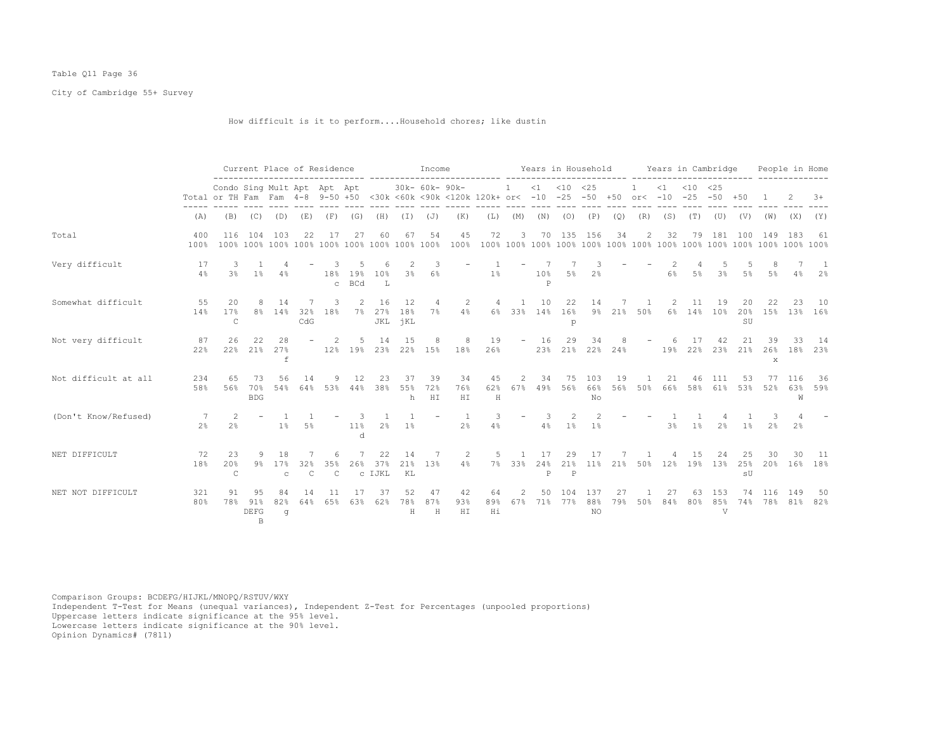## Table Q11 Page 36

City of Cambridge 55+ Survey

How difficult is it to perform....Household chores; like dustin

|                      |                |                                                                 |                                    |                           |                      | Current Place of Residence |                        |                     |                      | Income           |                                                |                 |                          |                          |                    | Years in Household |           |                  |                  | Years in Cambridge                           |                 |                 |                     | People in Home         |            |
|----------------------|----------------|-----------------------------------------------------------------|------------------------------------|---------------------------|----------------------|----------------------------|------------------------|---------------------|----------------------|------------------|------------------------------------------------|-----------------|--------------------------|--------------------------|--------------------|--------------------|-----------|------------------|------------------|----------------------------------------------|-----------------|-----------------|---------------------|------------------------|------------|
|                      |                | Condo Sing Mult Apt Apt Apt<br>Total or TH Fam Fam 4-8 9-50 +50 |                                    |                           |                      |                            |                        |                     |                      | 30k- 60k- 90k-   | <30k <60k <90k <120k 120k+ or< -10 -25 -50 +50 |                 | $\mathbf{1}$             |                          | $<1$ $<10$ $<25$   |                    |           |                  | $\leq 1$         | $< 10$ $< 25$<br>or< $-10$ $-25$ $-50$ $+50$ |                 |                 |                     |                        | $3+$       |
|                      | (A)            | (B)                                                             | (C)                                | (D)                       | (E)                  | (F)                        | (G)                    | (H)                 | (I)                  | (J)              | (K)                                            | (L)             | (M)                      | (N)                      | (0)                | (P)                | (Q)       | (R)              | (S)              | (T)                                          | (U)             | (V)             | (W)                 | (X)                    | (Y)        |
| Total                | 400<br>100%    | 116                                                             | 104                                | 103                       | 22                   | 17                         | 27                     | 60                  | 67                   | 54               | 45<br>100%                                     | 72              | 3                        | 70                       |                    | 135 156            | 34        | $\overline{2}$   | 32               | 79                                           | 181             | 100             | 149                 | 183                    | -61        |
| Very difficult       | 17<br>4%       | 3<br>3                                                          | $1\%$                              | 4%                        |                      | 3<br>18%<br>$\mathsf{C}$   | 5<br>19%<br><b>BCd</b> | 6<br>10%<br>L       | 2<br>3%              | 3<br>6%          |                                                | 1%              |                          | 10%<br>P                 | 5%                 | З<br>2.8           |           |                  | 6%               | 5%                                           | 5<br>3%         | $5\%$           | .5%                 | 4%                     | 2%         |
| Somewhat difficult   | 55<br>14%      | 20<br>17%<br>$\mathsf{C}$                                       | 8%                                 | 14<br>14%                 | 32%<br>CdG           | 3<br>18%                   | 2<br>$7\%$             | 16<br>27%           | 12<br>18%<br>JKL jKL | 4<br>7%          | 2<br>$4\%$                                     | 4               | $\overline{1}$<br>6% 33% | 10                       | 22<br>14% 16%<br>p | 14                 |           | -1<br>9% 21% 50% | 2<br>6%          | 11                                           | 19<br>14% 10%   | 20<br>20%<br>SU | 22<br>15%           | 23<br>13%              | 10<br>16%  |
| Not very difficult   | 87<br>22%      | 26<br>22%                                                       | 22<br>21%                          | 28<br>27%<br>$\mathtt{f}$ |                      | 2                          | .5<br>12% 19%          | 14                  | 15                   | 8<br>23% 22% 15% | 8<br>18%                                       | 19<br>26%       | $\overline{\phantom{a}}$ | 16<br>23%                | 29<br>21%          | 34<br>22%          | 24%       |                  | 19%              | 17<br>22%                                    | 42              | 21<br>23% 21%   | 39<br>26%<br>x      | 33.<br>18%             | 14<br>23%  |
| Not difficult at all | 234<br>58%     | 65<br>56%                                                       | 73<br>70%<br><b>BDG</b>            | 56<br>54%                 | 14<br>64%            | 9<br>53%                   | 12<br>44%              | 23<br>38%           | 37<br>55%<br>h       | 39<br>72%<br>HI  | 34<br>76%<br>HI                                | 45<br>62%<br>H  | 2<br>67%                 | 34<br>49%                | 75<br>56%          | 103<br>66%<br>No   | 19<br>56% | 50%              | 21<br>66%        | 46                                           | 111<br>58% 61%  | 53<br>53%       | 77<br>52%           | 116<br>63%<br>W        | 36<br>59%  |
| (Don't Know/Refused) | 2 <sup>°</sup> | 2.8                                                             |                                    | 1%                        | .5%                  |                            | 11%<br>d               | 2 <sup>°</sup>      | 1%                   |                  | 2 <sup>°</sup>                                 | 3<br>4%         | $\overline{\phantom{a}}$ | 3<br>4%                  | 2<br>1%            | 2<br>$1\%$         |           |                  | 3%               | 1%                                           | 2%              | 1%              | 3<br>2 <sup>°</sup> | 2%                     |            |
| NET DIFFICULT        | 72<br>18%      | 23<br>20%<br>$\mathcal{C}$                                      | 9<br>$9\%$                         | 18<br>17%<br>$\mathbb{C}$ | 32%<br>$\mathcal{C}$ | 35%<br>$\mathsf{C}$        | 26%                    | 22<br>37%<br>C IJKL | 14<br>21%<br>KL      | 13%              | 2<br>4%                                        | 5               | $\overline{1}$<br>7% 33% | 17<br>24%<br>$\mathbf P$ | 29<br>P            | 17<br>21% 11%      |           | -1               | 4<br>21% 50% 12% | 1.5                                          | 24<br>19% 13%   | 25<br>25%<br>sU | 30<br>20%           | 16%                    | -11<br>18% |
| NET NOT DIFFICULT    | 321<br>80%     | 91<br>78%                                                       | 9.5<br>91%<br>DEFG<br><sub>R</sub> | 84<br>82%<br>q            | 14<br>64%            | 11<br>65%                  | 63%                    | 37<br>62%           | 52<br>78%<br>H       | 47<br>87%<br>Н   | 42<br>93%<br>H I                               | 64<br>89%<br>Ηi | $\mathcal{L}$<br>67%     | 50<br>71%                | 104<br>77%         | 137<br>88%<br>NO   | 27<br>79% | 50%              | 27<br>84%        | 63<br>80%                                    | 153<br>85%<br>V | 74              | 116                 | 149<br>74% 78% 81% 82% | 50         |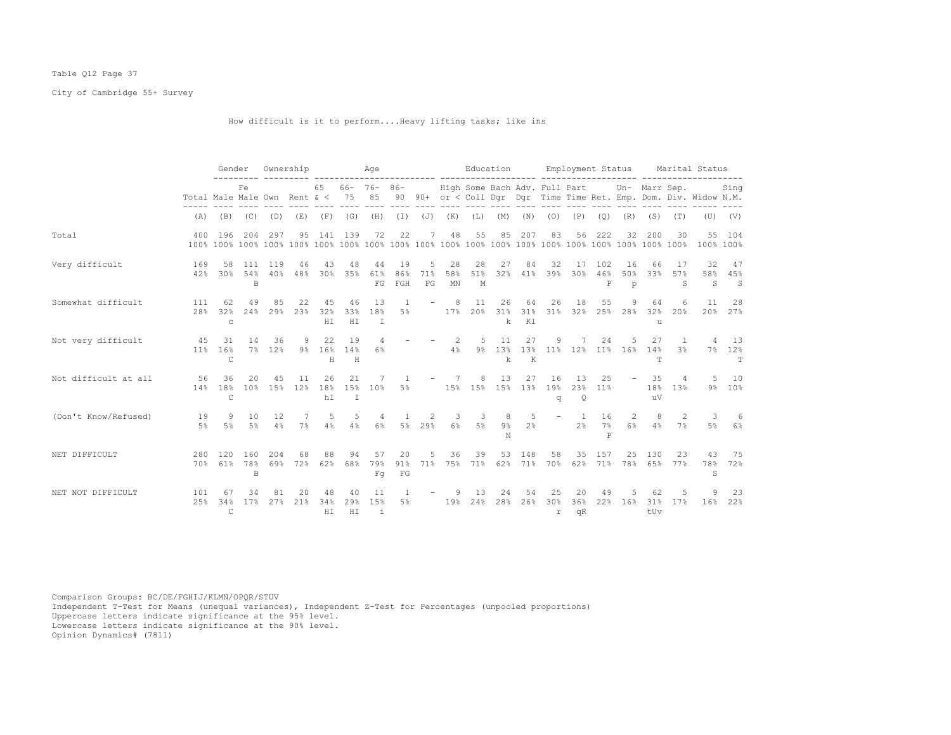## Table Q12 Page 37

City of Cambridge 55+ Survey

How difficult is it to perform....Heavy lifting tasks; like ins

|                      |              | Gender                                           |                 | Ownership  |            |                  |                           | Age                    |                                     |                |                 |                               | Education       |                     |                  | Employment Status                |                 |                             |                           |                                | Marital Status                                                    |                |
|----------------------|--------------|--------------------------------------------------|-----------------|------------|------------|------------------|---------------------------|------------------------|-------------------------------------|----------------|-----------------|-------------------------------|-----------------|---------------------|------------------|----------------------------------|-----------------|-----------------------------|---------------------------|--------------------------------|-------------------------------------------------------------------|----------------|
|                      |              | Fe<br>Total Male Male Own Rent & <<br>(B)<br>(C) |                 |            |            | 65               | 75                        | $66 - 76 - 86 -$<br>85 |                                     |                |                 | High Some Bach Adv. Full Part |                 |                     |                  |                                  |                 |                             | Un- Marr Sep.             |                                | 90 90+ or < Coll Dqr Dqr Time Time Ret. Emp. Dom. Div. Widow N.M. | Sing           |
|                      | (A)          |                                                  |                 | (D)        | (E)        | (F)              | (G)                       | (H)                    | $(\bot)$                            | ( J)           | (K)             | (L)                           | (M)             | (N)                 | (0)              | (P)                              | (Q)             | (R)                         | (S)                       | (T)                            | (U)                                                               | (V)            |
| Total                | 400          | 196                                              | 204             | 297        | 95         | 141              | 139                       | 72                     | 22                                  |                | 48              | 55                            | 85              | 207                 | 83               | 56                               | 222             | 32                          | 200                       | 30                             | $55 -$<br>100% 100%                                               | 104            |
| Very difficult       | 169<br>42%   | 58<br>30%                                        | 111<br>54%<br>B | 119<br>40% | 46<br>48%  | 43<br>30%        | 48<br>35%                 | 44<br>61%<br>FG        | 19<br>86%<br>FGH                    | 5<br>71%<br>FG | 28<br>58%<br>MN | 28<br>51%<br>M                | 27<br>32%       | 84<br>41%           | 32<br>39%        | 17<br>30%                        | 102<br>46%<br>P | 16<br>50%<br>$\mathfrak{p}$ | 66<br>33%                 | -17<br>57%<br>S                | 32<br>58%<br>S                                                    | 47<br>45%<br>S |
| Somewhat difficult   | 111<br>28%   | 62<br>32%<br>$\mathsf{C}$                        | 49<br>2.4%      | 85<br>29%  | 22<br>23%  | 45<br>32%<br>HT. | 46<br>33%<br>H I          | 13<br>18%<br>$\top$    | 1<br>5%                             |                | 8<br>17.8       | 11<br>20%                     | 26<br>31%<br>k  | 64<br>31%<br>K1     | 26<br>31%        | 18<br>32%                        | 55<br>25%       | 28%                         | 64<br>32%<br>$\mathbf{1}$ | 6<br>20%                       | 11<br>20%                                                         | 28<br>27%      |
| Not very difficult   | 45<br>$11\%$ | 31<br>16%<br>$\mathsf{C}$                        | 14<br>7%        | 36<br>12%  | 9<br>$9\%$ | 22<br>16%<br>Н   | 19<br>14%<br>H            | 6%                     |                                     |                | 4%              | -5<br>$9\%$                   | 11<br>13%<br>k  | 27<br>$\,$ K        | 9<br>13% 11% 12% |                                  | 24              | 11% 16%                     | 27<br>14%<br>T            | $\mathbf{1}$<br>3 <sup>8</sup> | $7\%$                                                             | 13<br>12%<br>т |
| Not difficult at all | 56<br>14%    | 36<br>18%<br>C                                   | 20<br>10%       | 45<br>15%  | 11<br>12%  | 26<br>18%<br>hI  | 21<br>15%<br>$\mathbb{I}$ | 10%                    | 5%                                  |                |                 | 8<br>15% 15% 15%              | 13              | 27<br>13%           | 16<br>19%<br>q   | 13<br>23%<br>Q                   | 25<br>11%       |                             | 35<br>18%<br>11V          | 4<br>13%                       | 9%                                                                | 10<br>10%      |
| (Don't Know/Refused) | 19<br>$5\%$  | 9<br>5%                                          | 10<br>5%        | 12.<br>4%  | 7%         | 5<br>4%          | 5<br>4%                   | 4<br>6%                | 5%                                  | 2<br>29%       | 3<br>6%         | -3<br>5%                      | 8<br>$9\%$<br>N | 5<br>2 <sup>8</sup> |                  | $\overline{1}$<br>2 <sup>8</sup> | 16<br>7%<br>P   | 2<br>6%                     | 8<br>4%                   | 2<br>$7\%$                     | 3<br>5%                                                           | 6<br>6%        |
| NET DIFFICULT        | 280<br>70%   | 120<br>61%                                       | 160<br>78%<br>B | 204<br>69% | 68<br>72%  | 88<br>62%        | 94<br>68%                 | 57<br>79%<br>Fq        | 20<br>$91\%$<br>$\operatorname{FG}$ | 5<br>71%       | 36              | 39<br>75% 71%                 | 53              | 148<br>62% 71%      | 58<br>70%        | 35<br>62%                        | 157<br>71%      | 25<br>78%                   | 130<br>65%                | 23<br>77%                      | 43<br>78%<br>S.                                                   | - 75<br>72%    |
| NET NOT DIFFICULT    | 101<br>2.5%  | 67<br>34%<br>$\mathsf{C}$                        | 34<br>17%       | 81<br>27%  | 20<br>21%  | 48<br>34%<br>HI  | 40<br>29%<br>HI           | 11<br>15%<br>i         | 5%                                  |                | 19%             | 13<br>24%                     | 24<br>28%       | 54<br>26%           | 25<br>30%<br>r   | 20<br>36%<br>qR                  | 49<br>22%       | 16%                         | 62<br>31%<br>tUv          | 17%                            | 16%                                                               | 23<br>22%      |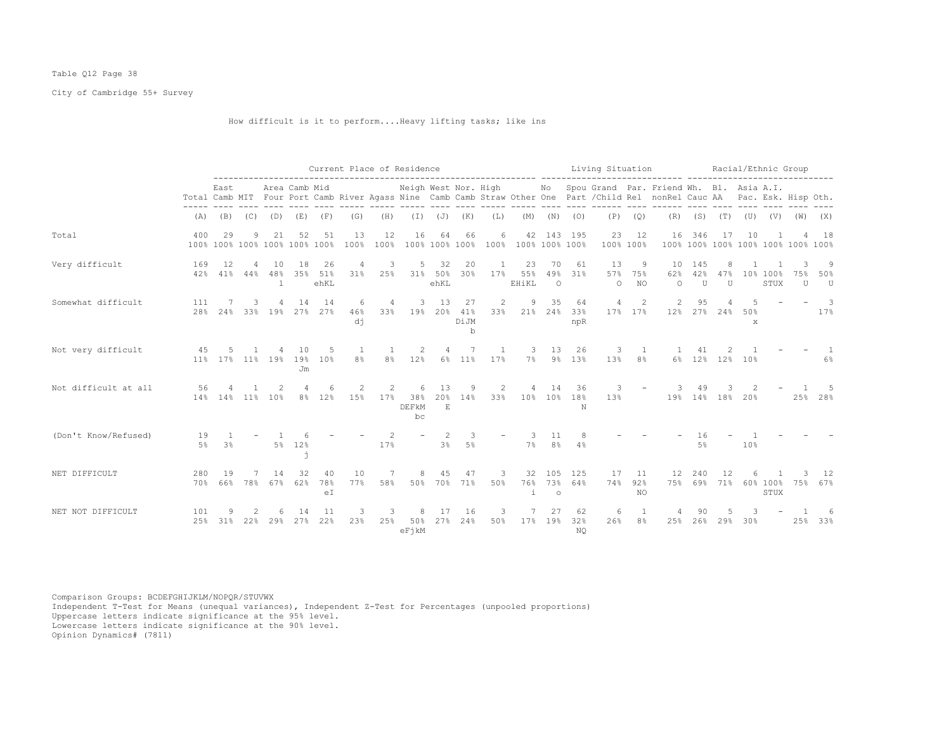## Table Q12 Page 38

City of Cambridge 55+ Survey

## How difficult is it to perform....Heavy lifting tasks; like ins

|                      |            |                      |              |           |                                     |                       | Current Place of Residence       |                          |                             |                       |                                |                       |                                    |                      |                           | Living Situation     |                        |                                                                                                                                                                                                  |                            | Racial/Ethnic Group |                 |                  |                                    |               |
|----------------------|------------|----------------------|--------------|-----------|-------------------------------------|-----------------------|----------------------------------|--------------------------|-----------------------------|-----------------------|--------------------------------|-----------------------|------------------------------------|----------------------|---------------------------|----------------------|------------------------|--------------------------------------------------------------------------------------------------------------------------------------------------------------------------------------------------|----------------------------|---------------------|-----------------|------------------|------------------------------------|---------------|
|                      |            | East                 |              |           | Area Camb Mid                       |                       |                                  |                          |                             |                       |                                |                       |                                    |                      |                           |                      |                        | Neigh West Nor. High Mo Spou Grand Par. Friend Wh. Bl. Asia A.I.<br>Total Camb MIT Four Port Camb River Agass Nine Camb Camb Straw Other One Part / Child Rel nonRel Cauc AA Pac. Esk. Hisp Oth. |                            |                     |                 |                  |                                    |               |
|                      | (A)        | (B)                  | (C)          | (D)       | (E)                                 | (F)                   | (G)                              | (H)                      | (I)                         | $(\mathbb{J})$        | (K)                            | (L)                   | (M)                                | (N)                  | (0)                       | (P)                  | (Q)                    |                                                                                                                                                                                                  | $(R)$ $(S)$ $(T)$          |                     |                 |                  | $(U)$ $(V)$ $(W)$ $(X)$            |               |
| Total                | 400        | 29                   | 9            | 21        | 52<br>100% 100% 100% 100% 100% 100% | 51                    | 13<br>100%                       | 12<br>100%               | 16                          | 64                    | 66                             | 6                     | 100% 100% 100% 100% 100% 100% 100% |                      | 42 143 195                | 23<br>100% 100%      | 12                     | 16                                                                                                                                                                                               | 346                        | 17                  | 10              |                  | 100% 100% 100% 100% 100% 100% 100% | 18            |
| Very difficult       | 169        | 12<br>42% 41% 44%    | 4            | 10<br>48% | 18                                  | 26<br>35% 51%<br>ehKL | 4<br>$31\%$                      | 3<br>25%                 | 5                           | 32<br>31% 50%<br>ehKL | 20<br>30%                      | 1<br>17%              | 23<br>55%<br>EHiKL                 | 70<br>49%<br>$\circ$ | 61<br>31%                 | 13<br>57%<br>$\circ$ | 9<br>75%<br><b>NO</b>  | 10<br>62%<br>$\circ$                                                                                                                                                                             | 145<br>42%<br>$\mathbf{U}$ | 8<br>47%<br>U       |                 | 10% 100%<br>STUX | U                                  | 9<br>50%<br>U |
| Somewhat difficult   | 111<br>28% | 7                    | 3.           |           | 14<br>24% 33% 19% 27% 27%           | 14                    | 6<br>46%<br>dj                   | $\overline{4}$<br>$33\%$ | 3                           | 13                    | 27<br>19% 20% 41%<br>DiJM<br>b | $\overline{2}$<br>33% | 9                                  | 35                   | 64<br>21% 24% 33%<br>npR  | 4                    | 2<br>17% 17%           | 2<br>12%                                                                                                                                                                                         | 95                         | $27\%$ 24%          | 50%<br>X        |                  |                                    | 3<br>17%      |
| Not very difficult   | 45         | 5<br>11% 17% 11% 19% |              |           | 10<br>19%<br>Jm                     | -5<br>10%             | $\overline{1}$<br>8 <sup>°</sup> | 8 <sup>°</sup>           | 2<br>12%                    |                       | 7<br>6% 11%                    | 1<br>17%              | 3                                  | 13                   | 26<br>7% 9% 13%           | 3                    | $\mathbf{1}$<br>13% 8% |                                                                                                                                                                                                  |                            | 6% 12% 12% 10%      |                 |                  |                                    | 6%            |
| Not difficult at all | 56         | 14% 14% 11%          |              | 10%       | 4                                   | -6<br>8% 12%          | 2<br>15%                         | 2                        | 6<br>17% 38%<br>DEFKM<br>bc | 13<br>20%<br>F        | 9<br>14%                       | 2                     | 4<br>33% 10% 10% 18%               | 14                   | 36<br>N                   | 3<br>13%             |                        |                                                                                                                                                                                                  | 49                         | 19% 14% 18% 20%     |                 |                  |                                    | 25% 28%       |
| (Don't Know/Refused) | 19<br>5%   | $\mathbf{1}$<br>3%   |              |           | 5% 12%                              |                       |                                  | 17%                      |                             | $2^{1}$<br>3%         | 3<br>5%                        |                       | -3<br>7 %                          | 11<br>8%             | 4%                        |                      |                        |                                                                                                                                                                                                  | 16<br>.5%                  |                     | 10 <sup>°</sup> |                  |                                    |               |
| NET DIFFICULT        | 280<br>70% | 19                   |              | 14        | 32<br>66% 78% 67% 62%               | 40<br>78%<br>eI       | 10<br>77%                        | 7<br>58%                 | 8                           | 45                    | 47<br>50% 70% 71%              | 3<br>50%              | i                                  | $\circ$              | 32 105 125<br>76% 73% 64% | 17<br>74%            | 11<br>92%<br>NO.       | 12                                                                                                                                                                                               | 240                        | 12                  |                 | STUX             | 75% 69% 71% 60% 100% 75%           | 12<br>67%     |
| NET NOT DIFFICULT    | 101<br>25% | 9                    | 2<br>31% 22% | 29%       | -14<br>27%                          | 11<br>22%             | 3<br>23%                         | 3<br>25%                 | 8<br>50%<br>eFikM           | 17<br>27%             | 16<br>24%                      | 3<br>50%              |                                    | 27<br>17% 19%        | 62<br>32%<br>NO.          | 6<br>26%             | 1<br>8%                | 25%                                                                                                                                                                                              | 90<br>26%                  | 29%                 | 30%             |                  |                                    | 25% 33%       |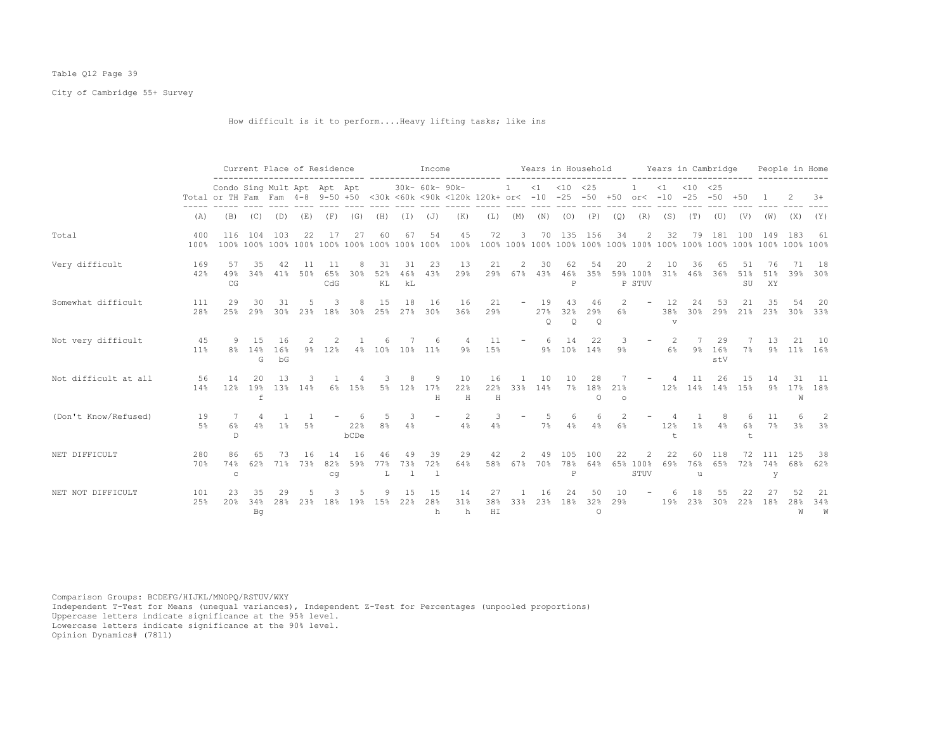## Table Q12 Page 39

City of Cambridge 55+ Survey

How difficult is it to perform....Heavy lifting tasks; like ins

|                      |             |                                                                 | Current Place of Residence |                 |            |                  |                 |                 |                 | Income                   |                                                        |                  |                          |                      | Years in Household         |                         |                      |                                                                                                                                            |                             | Years in Cambridge               |                  |                    |                 | People in Home |                |
|----------------------|-------------|-----------------------------------------------------------------|----------------------------|-----------------|------------|------------------|-----------------|-----------------|-----------------|--------------------------|--------------------------------------------------------|------------------|--------------------------|----------------------|----------------------------|-------------------------|----------------------|--------------------------------------------------------------------------------------------------------------------------------------------|-----------------------------|----------------------------------|------------------|--------------------|-----------------|----------------|----------------|
|                      |             | Condo Sing Mult Apt Apt Apt<br>Total or TH Fam Fam 4-8 9-50 +50 |                            |                 |            |                  |                 |                 |                 | 30k- 60k- 90k-           | <30k <60k <90k <120k 120k+ or< -10 -25 -50 +50 or< -10 |                  | -1                       |                      | $<1$ $<10$ $<25$           |                         |                      |                                                                                                                                            | $\leq 1$                    | $< 10$ $< 25$<br>$-25 - 50 + 50$ |                  |                    |                 |                | $+8$           |
|                      | (A)         | (B)                                                             | (C)                        | (D)             | (E)        | (F)              | (G)             | (H)             | $(\top)$        | $(\mathbb{J})$           | (K)                                                    | (L)              | (M)                      | (N)                  | $(O)$ $(P)$                |                         | (Q)                  | (R)                                                                                                                                        | (S)                         | (T)                              | (U)              | (V)                | (W)             | (X)            | (Y)            |
| Total                | 400<br>100% | 116                                                             | 104                        | -103            | 22         | 17               | 27              | 60              | 67              | 54                       | 45<br>100%                                             | 72               | 3                        |                      | 70 135 156                 |                         | 34                   | 2                                                                                                                                          | 32                          | 79                               | 181              | 100                | 149             | 183            | 61             |
| Very difficult       | 169<br>42%  | 57<br>49%<br>CG                                                 | 35<br>34%                  | 42<br>41%       | 11<br>50%  | 11<br>65%<br>CdG | 30 <sub>8</sub> | 31<br>52%<br>KL | 31<br>46%<br>kL | 23<br>43%                | 13<br>29%                                              | 21<br>29%        | $\overline{c}$<br>67%    | 30<br>43%            | 62<br>46%<br>P             | 54<br>35%               | 20                   | 2<br>59% 100%<br>P STUV                                                                                                                    | 10<br>31%                   | 36<br>46%                        | 65<br>36%        | 51<br>51%<br>SU    | 76<br>51%<br>XY | 71<br>39%      | 18<br>30%      |
| Somewhat difficult   | 111<br>28%  | 29<br>25%                                                       | 30<br>29%                  | 31<br>30%       | 23%        | 18%              | 8<br>30%        | 15<br>25%       | 18<br>27%       | 16<br>30%                | 16<br>36%                                              | 21<br>29%        |                          | 19<br>27%<br>$\circ$ | 43<br>32%<br>$\circ$       | 46<br>29%<br>$\circ$    | $\overline{c}$<br>6% | $\overline{\phantom{a}}$                                                                                                                   | 12<br>38%<br>$\overline{V}$ | 24<br>30%                        | 53<br>29%        | 21<br>21%          | 35<br>23%       | 54<br>30%      | 20<br>33%      |
| Not very difficult   | 45<br>11%   | 9<br>8%                                                         | 15<br>14%<br>G             | 16<br>16%<br>bG |            | 9% 12%           |                 | 4% 10%          | $10\%$          | $11\%$                   | $9\%$                                                  | 11<br>15%        | $\overline{\phantom{a}}$ | 6<br>9%              | 14                         | 22<br>10% 14%           | 3<br>$9\%$           | $\overline{\phantom{a}}$                                                                                                                   | 2<br>6%                     | 9%                               | 29<br>16%<br>stV | 7%                 | 13<br>$9\%$     | 21<br>$11\%$   | 10<br>16%      |
| Not difficult at all | 56<br>14%   | 14<br>12%                                                       | 20<br>19%<br>$\mathbf f$   | 13<br>13%       | 14%        | 6%               | 15%             | 5%              | 12%             | 9<br>17%<br>Н            | 10<br>22%<br>$\,$ H                                    | 16<br>22%<br>H   | 33%                      | 10<br>14%            | 10                         | 28<br>7% 18%<br>$\circ$ | 21%<br>$\circ$       |                                                                                                                                            | 12%                         | 11<br>14% 14% 15%                | 26               | 15                 | 14<br>$9\%$     | 31<br>17%<br>W | - 11<br>18%    |
| (Don't Know/Refused) | 19<br>5%    | 6%<br>D                                                         | 4%                         | $1\%$           | 5%         |                  | 22%<br>bCDe     | .5<br>8%        | 3<br>4%         | $\overline{\phantom{a}}$ | 2<br>4%                                                | 4%               |                          | 7%                   | 6<br>4%                    | 6<br>4%                 | 6%                   |                                                                                                                                            | 12%<br>$^{\dagger}$         | 1%                               | 8<br>4%          | 6%<br>$^{\dagger}$ | 11<br>7%        | 3 <sup>8</sup> | -2<br>3%       |
| NET DIFFICULT        | 280<br>70%  | 86<br>74%<br>$\mathtt{C}$                                       | 62%                        | 73<br>71%       | -16<br>73% | 14<br>82%<br>cq  | -16<br>59%      | 46<br>77%<br>L  | 49<br>73%<br>1  | 39<br>72%<br>-1          | 29<br>64%                                              | 42<br>58%        | $\mathcal{P}$<br>67%     | 49<br>70%            | 105<br>78%<br>$\, {\bf P}$ | 100<br>64%              | 22                   | $\mathfrak{D}_{1}^{2}(\mathfrak{D}_{1})=\mathfrak{D}_{2}^{2}(\mathfrak{D}_{2})=\mathfrak{D}_{2}^{2}(\mathfrak{D}_{1})$<br>65% 100%<br>STUV | 22<br>69%                   | 60<br>76%<br>u                   | 118<br>65%       | 72<br>72%          | 111<br>74%<br>У | 125<br>68%     | 38<br>62%      |
| NET NOT DIFFICULT    | 101<br>25%  | 23<br>20%                                                       | 35<br>34%<br>Βq            | 29<br>28%       | 23%        | 18%              | 19%             | 15%             | 15<br>22%       | 15<br>28%<br>h           | 14<br>31%<br>h                                         | 27<br>38%<br>H I | 33%                      | 16<br>23%            | 24<br>18%                  | 50<br>32%<br>$\circ$    | 10<br>29%            |                                                                                                                                            | 19%                         | 23%                              | 55<br>30%        | 22<br>22%          | 18%             | 28%<br>W       | 21<br>34%<br>W |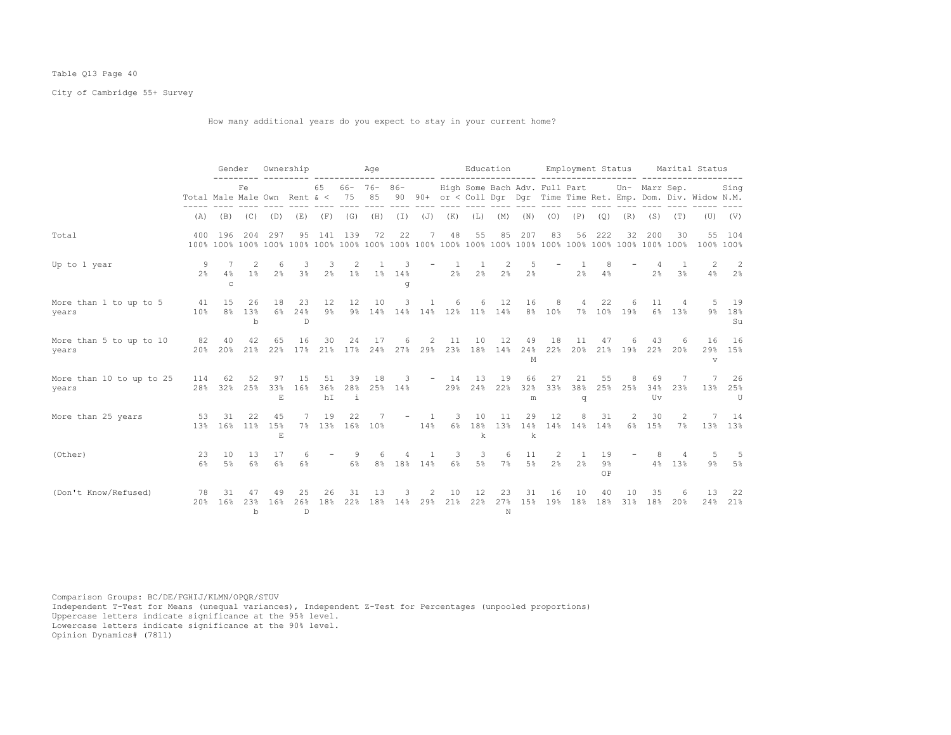## Table Q13 Page 40

City of Cambridge 55+ Survey

How many additional years do you expect to stay in your current home?

|                                   |                                  | Gender               |                  | Ownership           |                 |                       |            | Age          |                  |               |                | Education                       |                     |                     |                                  | Employment Status                |                |                  |                 |                                             | Marital Status                                                            |                      |
|-----------------------------------|----------------------------------|----------------------|------------------|---------------------|-----------------|-----------------------|------------|--------------|------------------|---------------|----------------|---------------------------------|---------------------|---------------------|----------------------------------|----------------------------------|----------------|------------------|-----------------|---------------------------------------------|---------------------------------------------------------------------------|----------------------|
|                                   | Total Male Male Own Rent $\< 75$ |                      | Fe               |                     |                 | 65 66- 76- 86-        |            | 85           |                  |               |                |                                 |                     |                     |                                  |                                  |                |                  |                 | High Some Bach Adv. Full Part Un- Marr Sep. | Sing<br>90 90+ or < Coll Dgr Dgr Time Time Ret. Emp. Dom. Div. Widow N.M. |                      |
|                                   | (A)                              | (B)                  | (C)              | (D)                 | (E)             |                       | $(F)$ (G)  | (H)          | $(\top)$         | (J)           | (K)            | (L)                             | (M)                 | (N)                 | (0)                              | (P)                              | (Q)            | (R)              | (S)             | (T)                                         |                                                                           | $(U)$ $(V)$          |
| Total                             | 400                              | 196                  | 204              | 297                 | 95              | 141                   | 139        | 72           | 22               | 7             | 48             | 55                              | 85                  | 207                 | 83                               | 56                               | 222            | 32               | 200             | 30                                          | 100% 100%                                                                 | 55 104               |
| Up to 1 year                      | 9<br>2.8                         | 7<br>4%<br>C         | 2<br>$1\%$       | 6<br>$2\frac{6}{5}$ | 3<br>$3\%$      | 3<br>2%               | 2<br>$1\%$ | -1.<br>$1\%$ | 3<br>14%<br>q    |               | 2 <sup>8</sup> | -1<br>2%                        | 2<br>2 <sup>8</sup> | 5<br>2 <sup>°</sup> |                                  | 2 <sup>°</sup>                   | 8<br>4%        |                  | 2 <sup>°</sup>  | 3 <sup>°</sup>                              | 2<br>4%                                                                   | 2<br>2 <sup>8</sup>  |
| More than 1 to up to 5<br>years   | 41<br>10 <sup>8</sup>            | 15<br>8 <sup>°</sup> | 26<br>13%<br>$b$ | 18<br>6%            | 23<br>24%<br>D. | 12<br>$9\%$           | 12         | 10           | 3                | -1            | 6              | 6<br>9% 14% 14% 14% 12% 11% 14% | 12                  | 16                  | 8<br>8% 10%                      | 4                                | 22             | -6<br>7% 10% 19% | 11              | 4<br>6% 13%                                 |                                                                           | 5 19<br>9% 18%<br>Su |
| More than 5 to up to 10<br>years  | 82<br>20%                        | 40<br>20%            | 42<br>21%        | 65<br>22%           | 16              | 30<br>17% 21% 17% 24% | 24         | 17           | 6                | 2             | 11             | 10<br>27% 29% 23% 18% 14%       | 12                  | 49<br>24%<br>M      | 18<br>22%                        | 11<br>20%                        | 47             | 6<br>21% 19%     | 43              | 6<br>22% 20%                                | 16<br>$\mathbf{v}$                                                        | 16<br>29% 15%        |
| More than 10 to up to 25<br>years | 114<br>28 <sup>8</sup>           | 62<br>32%            | 52<br>25%        | 97<br>33%<br>E      | 15<br>16%       | 51<br>36%<br>hI       | 39<br>-i   | 18           | 3<br>28% 25% 14% |               | $-14$          | 13<br>29% 24% 22%               | 19                  | 66<br>32%<br>m      | 27<br>33%                        | 21<br>38%<br>q                   | 55             | 8<br>25% 25%     | 69<br>34%<br>Uv | 7<br>23%                                    |                                                                           | 7 26<br>13% 25%<br>U |
| More than 25 years                | 53<br>13%                        | 31<br>16%            | 2.2.<br>11%      | 45<br>15%<br>E      | 7               | 19<br>7% 13% 16% 10%  | 22         | 7            |                  | $-1$ 1<br>14% | 3              | 10<br>k                         | 11                  | 29<br>k             | 12<br>6% 18% 13% 14% 14% 14% 14% | 8                                | 31             | 2                | 30<br>6% 15%    | 2<br>$7\%$                                  | $7^{\circ}$                                                               | 14<br>13% 13%        |
| (Other)                           | 23<br>6%                         | 10<br>5%             | 13<br>6%         | 17<br>6%            | 6%              |                       | -9<br>6%   |              | 8% 18% 14%       |               | 3<br>$6\%$     | 3<br>5%                         | 6<br>7%             | 11<br>$5\%$         | 2<br>$2\%$                       | $\overline{1}$<br>2 <sup>8</sup> | 19<br>9%<br>OP |                  | 8<br>4%         | 4<br>13%                                    | -5<br>9%                                                                  | -5<br>5%             |
| (Don't Know/Refused)              | 78<br>20%                        | 31<br>16%            | 47<br>23%<br>b   | 49<br>16%           | 25<br>26%<br>D. | 26<br>18%             | 31<br>22%  | 13<br>18%    | 3                | 2<br>14% 29%  | 10<br>21%      | 12<br>22%                       | 23<br>27%<br>N      | 31<br>15%           | 16<br>19%                        | 10<br>18%                        | 40<br>18%      | 10<br>31%        | 35<br>18%       | 6<br>20%                                    | 13<br>24%                                                                 | 22<br>21%            |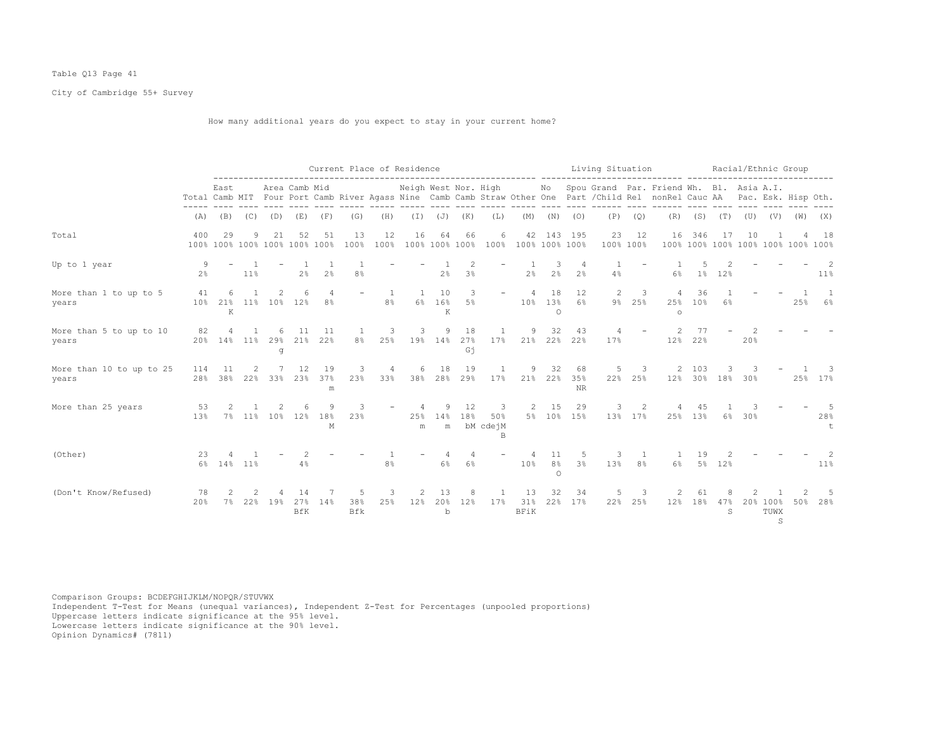## Table Q13 Page 41

City of Cambridge 55+ Survey

How many additional years do you expect to stay in your current home?

|                                   |                |            |                      |     |                                     |                                  |                      | Current Place of Residence       |                      |                          |                 |                           |                      |                        |                                  | Living Situation |               |                                                                                                                                                                             |                   | Racial/Ethnic Group |        |                       |                         |                    |
|-----------------------------------|----------------|------------|----------------------|-----|-------------------------------------|----------------------------------|----------------------|----------------------------------|----------------------|--------------------------|-----------------|---------------------------|----------------------|------------------------|----------------------------------|------------------|---------------|-----------------------------------------------------------------------------------------------------------------------------------------------------------------------------|-------------------|---------------------|--------|-----------------------|-------------------------|--------------------|
|                                   |                | East       |                      |     | Area Camb Mid                       |                                  |                      |                                  | Neigh West Nor. High |                          |                 |                           |                      |                        |                                  |                  |               | No Spou Grand Par. Friend Wh. Bl. Asia A.I.<br>Total Camb MIT Four Port Camb River Agass Nine Camb Camb Straw Other One Part / Child Rel nonRel Cauc AA Pac. Esk. Hisp Oth. |                   |                     |        |                       |                         |                    |
|                                   | (A)            |            | $(B)$ $(C)$          | (D) | (E)                                 | (F)                              | (G)                  | (H)                              |                      | $(I)$ $(J)$ $(K)$        |                 | (L)                       | (M)                  | (N)                    | (0)                              | (P)              | (Q)           |                                                                                                                                                                             | $(R)$ $(S)$ $(T)$ |                     |        |                       | $(U)$ $(V)$ $(W)$ $(X)$ |                    |
| Total                             | 400            | 29         | 9                    | 21  | 52<br>100% 100% 100% 100% 100% 100% | 51                               | 13<br>100%           | 12<br>100%                       | 16                   | 64<br>100% 100% 100%     | 66              | 6<br>100%                 | 42<br>100% 100% 100% | 143                    | 195                              | 23<br>100% 100%  | 12            | 16<br>100% 100% 100% 100% 100% 100% 100%                                                                                                                                    | 346               | 17                  | 10     |                       | Δ                       | 18                 |
| Up to 1 year                      | 2 <sup>8</sup> |            | $11\%$               |     | 2 <sup>°</sup>                      | $\overline{1}$<br>2 <sup>°</sup> | 8 <sup>°</sup>       |                                  |                      | 2%                       | 3%              |                           | 2 <sup>°</sup>       | 3<br>$2\frac{6}{6}$    | $\overline{4}$<br>2 <sup>°</sup> | 4%               |               | 6%                                                                                                                                                                          | $1\%$             | 12%                 |        |                       |                         | $11\%$             |
| More than 1 to up to 5<br>years   | 41             | 6<br>K     |                      | -2  | $\epsilon$<br>10% 21% 11% 10% 12%   | 8 <sup>°</sup>                   |                      | $\overline{1}$<br>8 <sup>°</sup> | $\mathbf{1}$<br>6%   | 10<br>16%<br>K           | 3<br>5%         |                           | 4<br>10%             | 18<br>13%<br>$\Omega$  | 12<br>$6\%$                      | 2                | - 3<br>9% 25% | 4<br>25%<br>$\circ$                                                                                                                                                         | 36<br>10%         | 6%                  |        |                       | 25%                     | <sup>1</sup><br>6% |
| More than 5 to up to 10<br>years  | 82             | 4          |                      | q   | 11<br>20% 14% 11% 29% 21% 22%       | 11                               | -1<br>8 <sup>°</sup> | 3<br>25%                         | 3                    | 9<br>19% 14%             | 18<br>27%<br>Gi | 17%                       | 9<br>21% 22% 22%     | 32                     | 43                               | 17%              |               | 12%                                                                                                                                                                         | 77<br>22%         |                     | 20%    |                       |                         |                    |
| More than 10 to up to 25<br>years | 114<br>28%     | 11         | 2                    |     | 12<br>38% 22% 33% 23%               | 19<br>37%<br>m                   | 3<br>23%             | 4<br>33%                         | 6<br>38%             | 18<br>28%                | 19<br>29%       | $\overline{1}$<br>17%     | 9                    | 32<br>21% 22%          | 68<br>35%<br><b>NR</b>           | 5                | 3<br>22% 25%  | 2                                                                                                                                                                           | 103               | 12% 30% 18% 30%     |        |                       |                         | 25% 17%            |
| More than 25 years                | 53<br>13%      |            |                      |     | 6<br>7% 11% 10% 12%                 | 9<br>18%<br>M                    | 3<br>23%             |                                  | 4<br>25%<br>m        | 14%<br>m                 | 12<br>18%       | 3<br>50%<br>bM cdejM<br>B | 2                    | 15                     | 29<br>5% 10% 15%                 | 3                | 2<br>13% 17%  |                                                                                                                                                                             | 45<br>25% 13%     |                     | 6% 30% |                       |                         | 28%                |
| (Other)                           | 23             | 6% 14% 11% |                      |     | 4%                                  |                                  |                      | 8 <sup>°</sup>                   |                      | 6%                       | $6\%$           |                           | 10%                  | 11<br>$8\,$<br>$\circ$ | -5<br>3%                         | 3<br>13%         | 8%            | $6\%$                                                                                                                                                                       | 19                | 5% 12%              |        |                       |                         | 11%                |
| (Don't Know/Refused)              | 78<br>20%      | $7\%$      | $\mathcal{L}$<br>22% | 19% | 14<br>27%<br>BfK                    | 14%                              | 5<br>38%<br>Bfk      | 3<br>25%                         | 2<br>12%             | 13<br>20%<br>$\mathbf b$ | 8<br>12%        | $\overline{1}$<br>17%     | 13<br>31%<br>BFiK    | 32<br>22%              | 34<br>17%                        | 5<br>22%         | 3<br>25%      | 12%                                                                                                                                                                         | 61<br>18%         | 47%<br>S            |        | 20% 100%<br>TUWX<br>S | 50%                     | -5<br>28%          |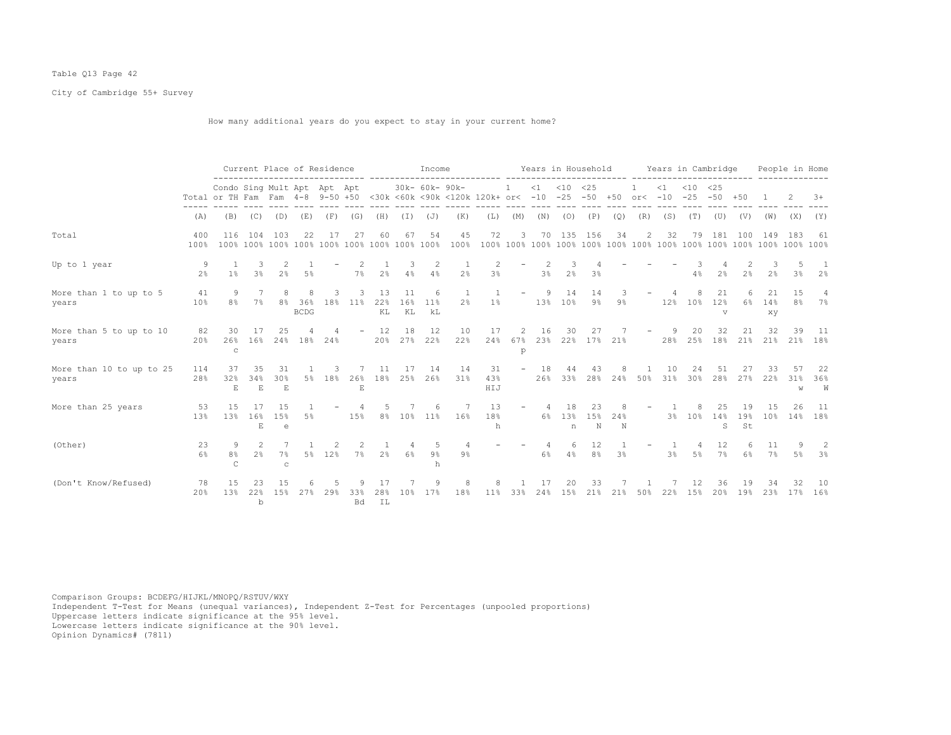## Table Q13 Page 42

City of Cambridge 55+ Survey

How many additional years do you expect to stay in your current home?

|                                   |                     |                                                                                                                |                           |                          |                       | Current Place of Residence |                     |                 |                 | Income            |                |                  |                          |                |                   | Years in Household   |                |           |           | Years in Cambridge               |                           |                 |                 | People in Home                |                      |
|-----------------------------------|---------------------|----------------------------------------------------------------------------------------------------------------|---------------------------|--------------------------|-----------------------|----------------------------|---------------------|-----------------|-----------------|-------------------|----------------|------------------|--------------------------|----------------|-------------------|----------------------|----------------|-----------|-----------|----------------------------------|---------------------------|-----------------|-----------------|-------------------------------|----------------------|
|                                   |                     | Condo Sing Mult Apt Apt Apt<br>Total or TH Fam Fam 4-8 9-50 +50 <30k <60k <90k <120k 120k+ or< -10 -25 -50 +50 |                           |                          |                       |                            |                     |                 |                 | 30k- 60k- 90k-    |                |                  | $\overline{1}$           |                | $<1$ $<10$ $<25$  |                      |                | or $<-10$ | $\leq 1$  | $< 10$ $< 25$<br>$-25 - 50 + 50$ |                           |                 |                 |                               | $3+$                 |
|                                   | (A)                 | (B)                                                                                                            | (C)                       | (D)                      | (E)                   | (F)                        | (G)                 | (H)             | ( I )           | (J)               | (K)            | (L)              | (M)                      | (N)            | (0)               | (P)                  | (Q)            | (R)       | (S)       | (T)                              | (U)                       | (V)             | (W)             | (X)                           | (Y)                  |
| Total                             | 400<br>100%         | 116                                                                                                            | 104                       | 103                      | 22                    | 17                         | 27                  |                 | 67              | 54                | 45<br>100%     | 72               | 3                        | 70             | 135               | 156                  | 34             | 2         | 32        | 79                               | 181                       | 100             | 149             | 183                           | 61                   |
| Up to 1 year                      | 9<br>2 <sup>8</sup> | $1\%$                                                                                                          | 3<br>3 <sup>°</sup>       | 2 <sup>°</sup>           | 5%                    |                            | 7%                  | 2 <sup>°</sup>  | 3<br>4%         | 2<br>4%           | 2%             | 3%               |                          | 2<br>3%        | 2 <sup>°</sup>    | 3%                   |                |           |           | 4%                               | 2%                        | 2 <sup>°</sup>  | 2%              | 3%                            | 2%                   |
| More than 1 to up to 5<br>years   | 41<br>10%           | 9<br>8 <sup>°</sup>                                                                                            | 7<br>7%                   |                          | 8% 36%<br><b>BCDG</b> | 3<br>18%                   | 11%                 | 13<br>22%<br>KL | 11<br>16%<br>KL | 6<br>11%<br>kL    | 2 <sup>°</sup> | 1%               |                          | 9<br>13%       | 14<br>10%         | 14<br>$9\frac{6}{6}$ | $9\%$          |           | 12%       | 10%                              | 21<br>12%<br>$\mathbf{V}$ | 6%              | 21<br>14%<br>XV | 1.5<br>8 <sup>°</sup>         | $\overline{4}$<br>7% |
| More than 5 to up to 10<br>years  | 82<br>20%           | 30<br>26%<br>$\mathsf{C}$                                                                                      | 16%                       | 25                       |                       | 24% 18% 24%                |                     | 12              | 18              | 12<br>20% 27% 22% | 10<br>22%      | 17<br>24%        | 67%<br>p                 | 16             | 30                | 23% 22% 17% 21%      |                |           | -9<br>28% | 20                               | 32                        | 21              | 32              | 39<br>25% 18% 21% 21% 21% 18% | 11                   |
| More than 10 to up to 25<br>years | 114<br>28%          | 37<br>32%<br>$\mathbf{E}$                                                                                      | 35<br>34%<br>$\mathbf{E}$ | 31<br>30%<br>$\mathbf E$ |                       | 5% 18%                     | 26%<br>$\mathbf{E}$ | 11<br>18%       | 17<br>25%       | 14<br>26%         | 14<br>31%      | 31<br>43%<br>HIJ | $\overline{\phantom{a}}$ | 18<br>26%      | 44<br>33%         | 43<br>28%            | 8<br>24%       | 50%       | 10<br>31% | 24<br>30%                        | 51<br>28%                 | 27<br>27%       | 33<br>22%       | 57<br>31%<br>W                | 22<br>36%<br>W       |
| More than 25 years                | 53<br>13%           | 1.5<br>13%                                                                                                     | 17<br>16%<br>E            | 15<br>15%<br>e           | 5%                    |                            | 15%                 | .5              |                 | 6<br>8% 10% 11%   | 16%            | 13<br>18%<br>h   |                          | $\overline{4}$ | 18<br>6% 13%<br>n | 23<br>15%<br>N       | 24%<br>N       |           |           | 3% 10% 14%                       | 25<br>S                   | 19<br>19%<br>St | 1.5<br>10%      | 26                            | 11<br>14% 18%        |
| (Other)                           | 23<br>6%            | 9<br>8%<br>C                                                                                                   | $\mathcal{L}$<br>2%       | $7\%$<br>$\mathbf C$     |                       | 5% 12%                     | 7%                  | 2%              | $6\%$           | .5<br>$9\%$<br>h  | $9\%$          |                  |                          | 6%             | 6<br>4%           | 12<br>8%             | 3 <sup>°</sup> |           | 3%        | 4<br>$5\%$                       | 12<br>7%                  | 6%              | 11<br>$7\%$     | 9<br>5%                       | -2<br>3%             |
| (Don't Know/Refused)              | 78<br>20%           | 1.5<br>13%                                                                                                     | 22%<br>$\mathbf b$        | 1.5%                     | 27%                   | 29%                        | 33%<br><b>Bd</b>    | 28%<br>IL       | 10%             | 17%               | 18%            | 11%              | 33%                      | 24%            | 15%               | 21%                  | 21%            | 50%       | 22%       | 15%                              | 36<br>20%                 | 19%             | 23%             | 17%                           | -10<br>16%           |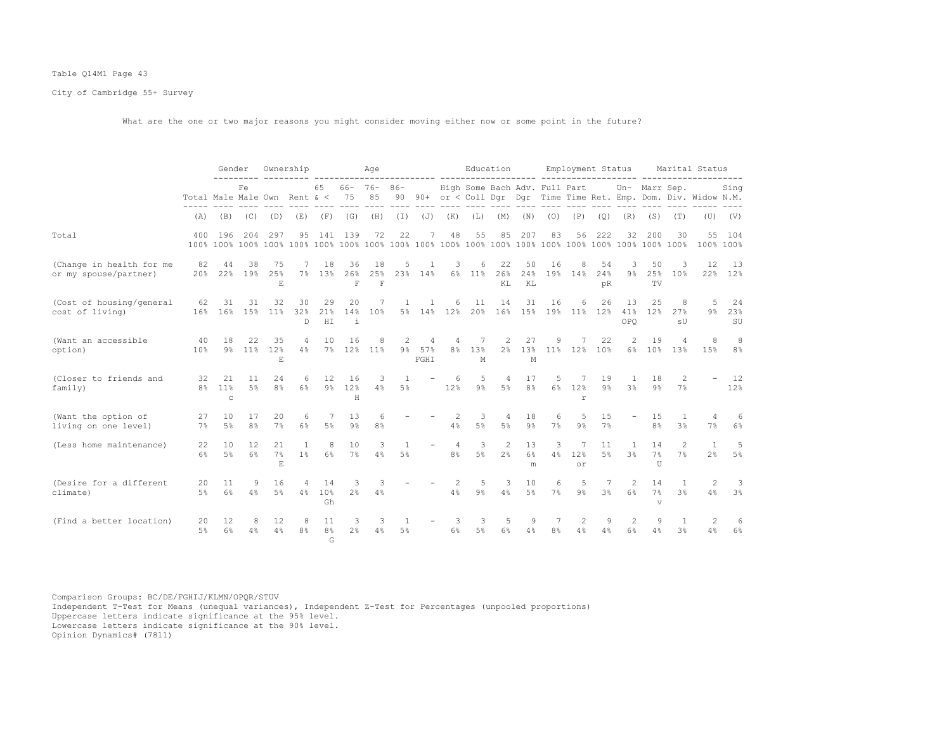## Table Q14M1 Page 43

City of Cambridge 55+ Survey

What are the one or two major reasons you might consider moving either now or some point in the future?

|                                                   |                                  | Gender                      |                      |                                          | Ownership            |                           |                           | Age                      |                                  |                                  |                                  |                     | Education                        |                               |                     | Employment Status                    |                 |                                  |                          |                                | Marital Status                                                    |                     |
|---------------------------------------------------|----------------------------------|-----------------------------|----------------------|------------------------------------------|----------------------|---------------------------|---------------------------|--------------------------|----------------------------------|----------------------------------|----------------------------------|---------------------|----------------------------------|-------------------------------|---------------------|--------------------------------------|-----------------|----------------------------------|--------------------------|--------------------------------|-------------------------------------------------------------------|---------------------|
|                                                   | Total Male Male Own Rent $\<$ 75 |                             | Fe                   |                                          |                      | 65                        | $66 - 76 - 86 -$          | 85                       |                                  |                                  |                                  |                     |                                  | High Some Bach Adv. Full Part |                     |                                      |                 |                                  | Un- Marr Sep.            |                                | 90 90+ or < Coll Dqr Dqr Time Time Ret. Emp. Dom. Div. Widow N.M. | Sing                |
|                                                   | (A)                              | (B)                         | (C)                  | (D)                                      | (E)                  | (F)                       | (G)                       | (H)                      | (I)                              | (J)                              | (K)                              | (L)                 | (M)                              | (N)                           | (0)                 | (P)                                  | (Q)             | (R)                              | (S)                      | (T)                            | (U)                                                               | (V)                 |
| Total                                             |                                  | 400 196                     | 204                  | 297                                      | 95                   | 141                       | 139                       | 72                       | 22                               | 7                                | 48                               | 55                  | 85                               | 207                           | 83                  | 56                                   | 222             | 32                               | 200                      | 30                             | 55<br>100% 100%                                                   | 104                 |
| (Change in health for me<br>or my spouse/partner) | 82<br>20%                        | -44                         | 38<br>22% 19%        | 75<br>25%<br>$\mathbf E$                 | 7<br>7%              | 18<br>13 <sup>°</sup>     | 36<br>26%<br>$\mathbf F$  | 18<br>25%<br>$\mathbf F$ | 5                                | $\mathbf{1}$<br>23% 14%          | 3                                | 6<br>6% 11%         | 22<br>26%<br>KL                  | 50<br>24%<br>KL               | 16                  | 8<br>19% 14%                         | 54<br>24%<br>pR | -3<br>9%                         | 50<br>25%<br>TV          | 3<br>10%                       | 12                                                                | - 13<br>22% 12%     |
| (Cost of housing/general<br>cost of living)       | 62<br>16%                        | 31<br>16 <sup>°</sup>       | 31<br>15%            | 32<br>11%                                | 30<br>32%<br>D.      | 29<br>21%<br>H I          | 20<br>14%<br>$\mathbf{1}$ | 7<br>10%                 | $\overline{1}$                   | $\overline{1}$                   | 6<br>5% 14% 12%                  | 11<br>20%           | 14<br>16%                        | 31<br>15%                     | 16<br>19%           | 6<br>11%                             | 26<br>12%       | 13<br>41%<br>OPO                 | 2.5<br>12%               | 8<br>27%<br>sU                 | 5<br>$9\%$                                                        | -24<br>23%<br>SU    |
| (Want an accessible<br>option)                    | 40<br>10%                        | 18<br>9%                    | 22.2                 | 35<br>11% 12%<br>$\mathop{\hbox{\bf E}}$ | $\overline{4}$<br>4% | 10                        | 16<br>7% 12% 11%          | 8                        | $\mathcal{L}$                    | $\overline{4}$<br>9% 57%<br>FGHI | $\overline{4}$                   | 7<br>8% 13%<br>М    | 2                                | 27<br>2% 13% 11% 12%<br>M     | 9                   | 7                                    | 22<br>10%       | $\mathcal{L}$                    | 19                       | $\overline{4}$<br>6% 10% 13%   | 8<br>15%                                                          | 8<br>8 <sup>°</sup> |
| (Closer to friends and<br>family()                | 32                               | 21<br>8% 11%<br>$\mathbb C$ | 11<br>5 <sup>°</sup> | 2.4<br>8 <sup>°</sup>                    | 6<br>6%              | 12<br>$9\%$               | 16<br>12%<br>H            | 3<br>4%                  | $\overline{1}$<br>5 <sup>°</sup> |                                  | -6<br>12%                        | 5<br>$9\%$          | 4<br>$5\%$                       | 17<br>8 <sup>°</sup>          | 5<br>$6\%$          | $\overline{7}$<br>12%<br>$\mathbf r$ | 19<br>$9\%$     | -1<br>3%                         | 18<br>9 <sup>°</sup>     | $\mathcal{L}$<br>7%            |                                                                   | 12<br>12%           |
| (Want the option of<br>living on one level)       | 27<br>7%                         | 10<br>.5%                   | 17<br>8 <sup>°</sup> | 20<br>7%                                 | 6<br>6%              | 7<br>5%                   | 13<br>$9\frac{6}{6}$      | 6<br>8 <sup>°</sup>      |                                  |                                  | 4%                               | 3<br>5 <sup>°</sup> | $\overline{4}$<br>5 <sup>°</sup> | 18<br>9%                      | 6<br>7%             | 5<br>9%                              | 15<br>7%        |                                  | 15<br>8 <sup>°</sup>     | $\mathbf{1}$<br>3 <sup>8</sup> | 4<br>7%                                                           | 6<br>$6\%$          |
| (Less home maintenance)                           | 22<br>6%                         | 10<br>5%                    | 12.<br>6%            | 21<br>7%<br>E.                           | $\overline{1}$<br>1% | 8<br>6%                   | 10<br>7%                  | 3<br>4%                  | $\overline{1}$<br>$5\%$          |                                  | $\overline{4}$<br>8 <sup>°</sup> | 3<br>$5\%$          | 2<br>2 <sup>°</sup>              | 13<br>6%<br>m                 | 3<br>4%             | $\overline{7}$<br>12%<br>or          | 11<br>5%        | $\overline{1}$<br>3 <sup>8</sup> | 14<br>7%<br>U            | 2<br>7%                        | $\mathbf{1}$<br>2 <sup>°</sup>                                    | 5<br>5%             |
| (Desire for a different<br>climate)               | 20<br>5%                         | 11<br>6%                    | 9<br>4%              | 16<br>5%                                 | 4<br>4%              | 14<br>10%<br>Gh           | 3<br>2 <sup>°</sup>       | 3<br>4%                  |                                  |                                  | 4%                               | 5<br>$9\frac{6}{6}$ | 3<br>4%                          | 10<br>5%                      | 6<br>7%             | 5<br>$9\%$                           | 7<br>3%         | 2<br>6%                          | 14<br>7%<br>$\mathbf{v}$ | $\mathbf{1}$<br>3 <sup>8</sup> | 2<br>4%                                                           | 3<br>3%             |
| (Find a better location)                          | 20<br>5%                         | 12<br>6%                    | 8<br>4%              | 12<br>4%                                 | 8<br>8 <sup>°</sup>  | 11<br>8 <sup>°</sup><br>G | 3<br>2.8                  | 3<br>4%                  | $\overline{1}$<br>5%             |                                  | 3<br>6%                          | 3<br>5 <sup>8</sup> | 5<br>6%                          | 9<br>4%                       | 7<br>8 <sup>°</sup> | 2<br>4%                              | 9<br>4%         | 2<br>6%                          | 9<br>4%                  | $\mathbf{1}$<br>3%             | 2<br>4%                                                           | 6<br>6%             |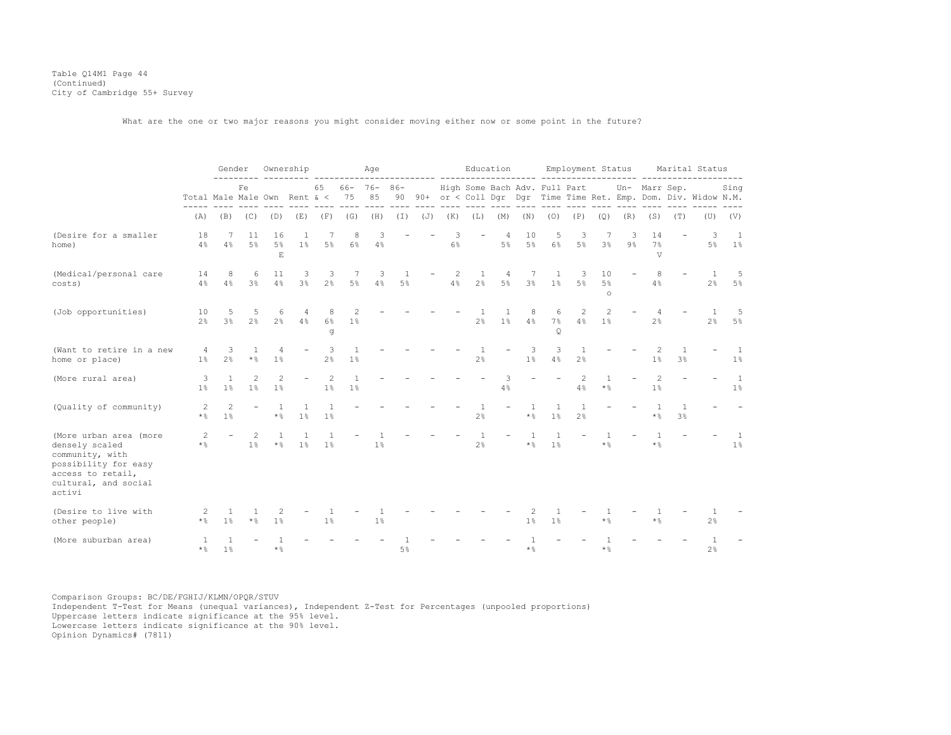Table Q14M1 Page 44 (Continued) City of Cambridge 55+ Survey

What are the one or two major reasons you might consider moving either now or some point in the future?

|                                                                                                                                            |                                  | Gender                           |                      |                                         | Ownership             |                       |                      | Age                    |                    |     |            |                     | Education  |                 |                               | Employment Status    |                           |         |                     |                       | Marital Status                                                    |                         |
|--------------------------------------------------------------------------------------------------------------------------------------------|----------------------------------|----------------------------------|----------------------|-----------------------------------------|-----------------------|-----------------------|----------------------|------------------------|--------------------|-----|------------|---------------------|------------|-----------------|-------------------------------|----------------------|---------------------------|---------|---------------------|-----------------------|-------------------------------------------------------------------|-------------------------|
|                                                                                                                                            | Total Male Male Own Rent $\<$ 75 |                                  | Fe                   |                                         |                       | 65                    |                      | $66 - 76 - 86 -$<br>85 |                    |     |            |                     |            |                 | High Some Bach Adv. Full Part |                      |                           |         | Un- Marr Sep.       |                       | 90 90+ or < Coll Dqr Dqr Time Time Ret. Emp. Dom. Div. Widow N.M. | Sing                    |
|                                                                                                                                            | (A)                              | (B)                              | (C)                  | (D)                                     | (E)                   | (F)                   | (G)                  | (H)                    | (I)                | (J) | (K)        | (L)                 | (M)        | (N)             | (0)                           | (P)                  | (Q)                       | (R)     | (S)                 | (T)                   | (U)                                                               | (V)                     |
| (Desire for a smaller<br>home)                                                                                                             | 18<br>4%                         | 7<br>4%                          | 11<br>5 <sup>°</sup> | 16<br>5%<br>$\mathbf E$                 | 1<br>1 <sup>°</sup>   | 5%                    | 8<br>6%              | 3<br>4%                |                    |     | 3<br>$6\%$ |                     | 4<br>$5\%$ | 10<br>$5\%$     | 5<br>$6\%$                    | 3<br>$5\%$           | 3%                        | 3<br>9% | 14<br>7%<br>V       |                       | 3<br>5%                                                           | $\overline{1}$<br>$1\%$ |
| (Medical/personal care<br>costs)                                                                                                           | 14<br>4%                         | 8<br>4%                          | 6<br>3 <sup>°</sup>  | 11<br>4%                                | 3<br>3 <sup>°</sup>   | 3<br>$2\frac{6}{9}$   | - 7<br>$5\%$         | 3<br>4%                | $\mathbf{1}$<br>5% |     | 2<br>4%    | 1<br>2%             | 4<br>5%    | 7<br>3%         | 1<br>1%                       | 3<br>$5\%$           | 10<br>5%<br>$\circ$       |         | 8<br>4%             |                       | 1<br>2%                                                           | $-5$<br>$5\%$           |
| (Job opportunities)                                                                                                                        | 10<br>2 <sup>°</sup>             | 5<br>3 <sup>°</sup>              | 5<br>$2\frac{6}{9}$  | 6<br>$2\frac{6}{9}$                     | 4<br>4%               | 8<br>$6\%$<br>g       | 2<br>1 <sup>°</sup>  |                        |                    |     |            | 2 <sup>°</sup>      | 1<br>1%    | 8<br>4%         | 6<br>7%<br>Q                  | 2<br>4%              | 2<br>1 <sup>°</sup>       |         | 2 <sup>°</sup>      |                       | -1.<br>2%                                                         | 5<br>5%                 |
| (Want to retire in a new<br>home or place)                                                                                                 | 4<br>1 <sup>°</sup>              | 3<br>2%                          | * %                  | 1%                                      |                       | 3<br>2%               | $\mathbf{1}$<br>1%   |                        |                    |     |            | $\mathbf{1}$<br>2%  |            | 3<br>1%         | 3<br>4%                       | $\mathbf{1}$<br>2%   |                           |         | 2<br>1 <sup>°</sup> | $\mathbf{1}$<br>$3\%$ |                                                                   | 1<br>$1\%$              |
| (More rural area)                                                                                                                          | 3<br>1 <sup>°</sup>              | $\mathbf{1}$<br>$1\%$            | 2<br>1 <sup>°</sup>  | $\overline{c}$<br>1%                    |                       | $\overline{c}$<br>1%  | $\overline{1}$<br>1% |                        |                    |     |            |                     | 3<br>4%    |                 |                               | $\overline{c}$<br>4% | $\mathbf{1}$<br>$\star$ % |         | 1 <sup>8</sup>      |                       |                                                                   | <sup>1</sup><br>$1\%$   |
| (Quality of community)                                                                                                                     | $\overline{c}$<br>$\star$ %      | $\mathfrak{D}$<br>1 <sup>°</sup> |                      | $\mathbf{1}$<br>$\star$ %               | 1%                    | 1%                    |                      |                        |                    |     |            | 1<br>$2\frac{6}{9}$ |            | -1<br>$\star$ % | $1\%$                         | $\mathbf{1}$<br>2%   |                           |         | $\star$ %           | $\mathbf{1}$<br>3%    |                                                                   |                         |
| (More urban area (more<br>densely scaled<br>community, with<br>possibility for easy<br>access to retail,<br>cultural, and social<br>activi | 2<br>$\star$ %                   |                                  | 2<br>1%              | $\overline{1}$<br>$\star$ $\frac{6}{6}$ | $\mathbf{1}$<br>$1\%$ | $\mathbf{1}$<br>$1\%$ |                      | 1 <sup>°</sup>         |                    |     |            | $2\frac{6}{9}$      |            | $\star$ %       | $\mathbf{1}$<br>1%            |                      | $\star$ %                 |         | $*$ %               |                       |                                                                   | $\overline{1}$<br>$1\%$ |
| (Desire to live with<br>other people)                                                                                                      | -2<br>$\star$ %                  | 1 <sup>8</sup>                   | $\star$ %            | 2<br>1%                                 |                       | 1%                    |                      | 1%                     |                    |     |            |                     |            | $1\%$           | 1 <sup>°</sup>                |                      | $\star$ %                 |         | $\star$ %           |                       | 2 <sup>°</sup>                                                    |                         |
| (More suburban area)                                                                                                                       | 1<br>$\star$ %                   | 1 <sup>°</sup>                   |                      | $\star$ %                               |                       |                       |                      |                        | $5\%$              |     |            |                     |            | $\star$ %       |                               |                      | $\star$ %                 |         |                     |                       | $2\frac{6}{6}$                                                    |                         |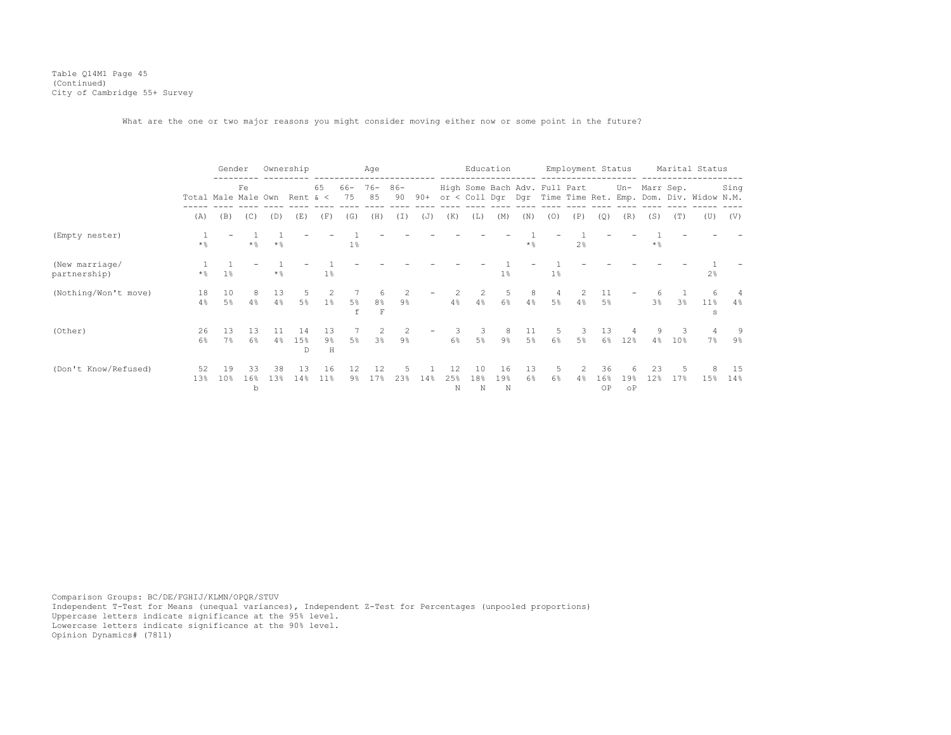Table Q14M1 Page 45 (Continued) City of Cambridge 55+ Survey

What are the one or two major reasons you might consider moving either now or some point in the future?

|                                |                     | Gender                |                | Ownership |                |                  |                         | Age                                |                                 |       |                |                | Education      |           |                     | Employment Status             |                  |                  |                |                | Marital Status                                             |            |
|--------------------------------|---------------------|-----------------------|----------------|-----------|----------------|------------------|-------------------------|------------------------------------|---------------------------------|-------|----------------|----------------|----------------|-----------|---------------------|-------------------------------|------------------|------------------|----------------|----------------|------------------------------------------------------------|------------|
|                                | Total Male Male Own |                       | Fe             |           | Rent $\<$      | 65               | 66-<br>75               | $76 -$<br>85                       | $86 -$<br>90                    | $90+$ |                |                |                |           |                     | High Some Bach Adv. Full Part |                  | Un-              | Marr Sep.      |                | or < Coll Dgr Dgr Time Time Ret. Emp. Dom. Div. Widow N.M. | Sing       |
|                                | (A)                 | (B)                   | (C)            | (D)       | (E)            | (F)              | (G)                     | (H)                                | (I)                             | (J)   | (K)            | (L)            | (M)            | (N)       | (0)                 | (P)                           | (Q)              | (R)              | (S)            | (T)            | (U)                                                        | (V)        |
| (Empty nester)                 | $*$ %               |                       | $\star$ %      | $*$ &     |                |                  | 1%                      |                                    |                                 |       |                |                |                | $\star$ % |                     | 2 <sup>8</sup>                |                  |                  | $\star$ %      |                |                                                            |            |
| (New marriage/<br>partnership) | $\star$ %           | $1\%$                 |                | $\star$ % |                | $1\%$            |                         |                                    |                                 |       |                |                | 1 <sup>°</sup> |           | 1%                  |                               |                  |                  |                |                | 2 <sup>°</sup>                                             |            |
| (Nothing/Won't move)           | 18<br>4%            | 10<br>5%              | 8<br>4%        | 13<br>4%  | 5<br>$5\%$     | 2<br>1%          | 5%                      | 6<br>8 <sup>°</sup><br>$\mathbf F$ | $\mathcal{L}$<br>$9\frac{6}{9}$ |       | 4%             | 2<br>4%        | 5<br>6%        | 8<br>4%   | 4<br>5 <sup>°</sup> | $\mathcal{L}$<br>4%           | 11<br>5%         |                  | 3 <sup>°</sup> | 3 <sup>8</sup> | 6<br>$11\%$<br>s                                           | $4\%$      |
| (Other)                        | 26<br>6%            | 13<br>7%              | 13<br>6%       | 4%        | 14<br>15%<br>D | 13<br>$9\%$<br>H | 5%                      | $3\frac{6}{9}$                     | 2<br>9%                         |       | 6%             | 3<br>$5\%$     | $9\frac{6}{9}$ | 11<br>5%  | -5<br>$6\%$         | $5\%$                         | 13<br>$6\%$      | 12%              | 4%             | 10%            | $7\%$                                                      | 9%         |
| (Don't Know/Refused)           | 52<br>13%           | 19<br>10 <sub>8</sub> | 33<br>16%<br>b | 38<br>13% | 13<br>14%      | 16<br>$11\%$     | $12 \overline{ }$<br>9% | 12<br>17%                          | 23%                             | 14%   | 12<br>25%<br>N | 10<br>18%<br>N | 16<br>19%<br>N | 13<br>6%  | 5<br>6%             | 2<br>4%                       | 36<br>16%<br>OP. | 19%<br>$\circ$ P | 23<br>12%      | 17%            | 15%                                                        | -15<br>14% |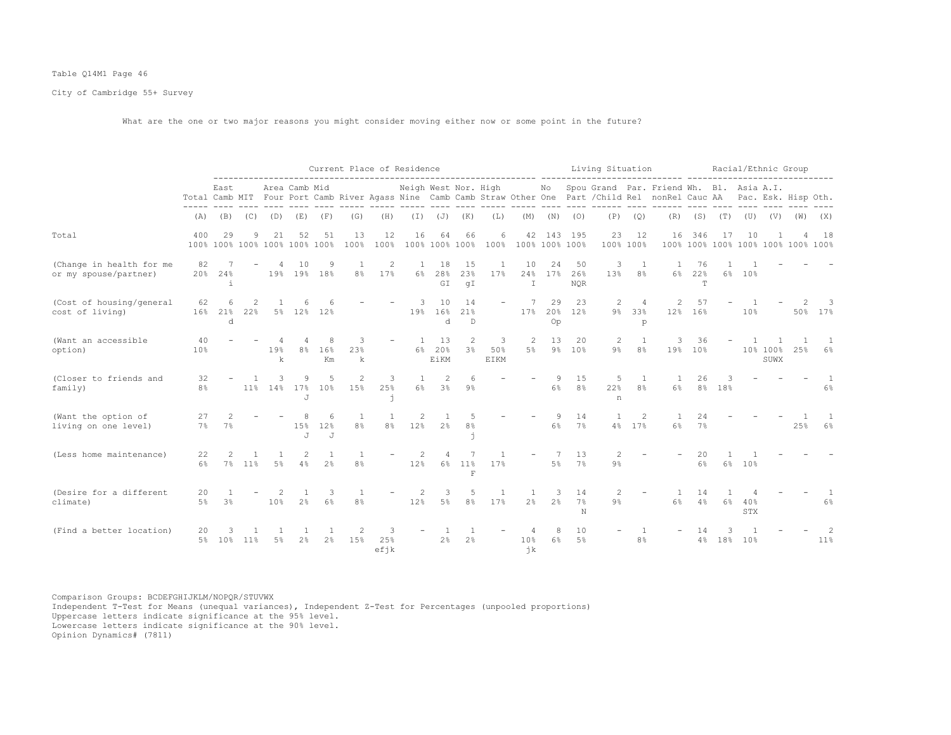## Table Q14M1 Page 46

City of Cambridge 55+ Survey

What are the one or two major reasons you might consider moving either now or some point in the future?

|                                                   |                       |                   |          |                                     |                       |                       | Current Place of Residence                                                                                                                                                                                                                                                                                                                                                                                                        |                     |                       |                                |                     |                   | ---------------------- ------ |                     |                              | Living Situation        |                                  |                                                                                                                                                                             |                                           |                   | Racial/Ethnic Group |                  |     |              |
|---------------------------------------------------|-----------------------|-------------------|----------|-------------------------------------|-----------------------|-----------------------|-----------------------------------------------------------------------------------------------------------------------------------------------------------------------------------------------------------------------------------------------------------------------------------------------------------------------------------------------------------------------------------------------------------------------------------|---------------------|-----------------------|--------------------------------|---------------------|-------------------|-------------------------------|---------------------|------------------------------|-------------------------|----------------------------------|-----------------------------------------------------------------------------------------------------------------------------------------------------------------------------|-------------------------------------------|-------------------|---------------------|------------------|-----|--------------|
|                                                   |                       | East              |          |                                     | Area Camb Mid         |                       |                                                                                                                                                                                                                                                                                                                                                                                                                                   |                     | Neigh West Nor. High  |                                |                     |                   |                               |                     |                              | and come concer         |                                  | No Spou Grand Par. Friend Wh. Bl. Asia A.I.<br>Total Camb MIT Four Port Camb River Agass Nine Camb Camb Straw Other One Part / Child Rel nonRel Cauc AA Pac. Esk. Hisp Oth. |                                           | and and some some |                     |                  |     |              |
|                                                   | (A)                   | (B)               | (C)      | (D)                                 | (E)                   | (F)                   | (G)                                                                                                                                                                                                                                                                                                                                                                                                                               | (H)                 |                       | $(J)$ $(J)$                    | (K)                 | ---- -----<br>(L) | $- - - - - -$<br>(M)          | (N)                 | (0)                          | (P)                     | (Q)                              | ---- ------<br>(R)                                                                                                                                                          | (S)                                       | (T)               |                     | $(V)$ $(V)$      | (W) | (X)          |
| Total                                             | 400                   | 29                | 9        | 21<br>100% 100% 100% 100% 100% 100% | 52                    | 51                    | 13<br>100%                                                                                                                                                                                                                                                                                                                                                                                                                        | 12<br>100%          | 16                    | 64<br>100% 100% 100%           | 66                  | 6<br>100%         |                               |                     | 42 143 195<br>100% 100% 100% | 23                      | 12<br>100% 100%                  | 16                                                                                                                                                                          | 346<br>100% 100% 100% 100% 100% 100% 100% | -17               | 10                  |                  |     | 18           |
| (Change in health for me<br>or my spouse/partner) | 82<br>20%             | 24%<br>$\pm$      |          | 19%                                 | 10<br>19%             | 9<br>18%              | 1<br>8%                                                                                                                                                                                                                                                                                                                                                                                                                           | 2<br>17%            | 1<br>6%               | 18<br>28%<br>GI                | 15<br>23%<br>αI     | -1<br>17%         | 10<br>24%<br>$\mathbb{I}$     | 24<br>17%           | 50<br>26%<br><b>NQR</b>      | 3<br>13%                | $\overline{1}$<br>8%             | $\overline{1}$<br>6%                                                                                                                                                        | 76<br>22%<br>T                            | 6%                | 10%                 |                  |     |              |
| (Cost of housing/general<br>cost of living)       | 62                    | 6<br>16% 21%<br>d | 2<br>22% |                                     | 6<br>5% 12% 12%       | 6                     |                                                                                                                                                                                                                                                                                                                                                                                                                                   |                     | 3<br>19%              | 10<br>16%<br>d                 | 14<br>21%<br>D      |                   | 17%                           | 29<br>Op            | 23<br>20% 12%                | $\mathbf{2}$            | 4<br>9% 33%<br>p                 | 2<br>12%                                                                                                                                                                    | 57<br>16%                                 |                   | 10%                 |                  |     | 50% 17%      |
| (Want an accessible<br>option)                    | 40<br>10 <sub>8</sub> |                   |          | 19%<br>k                            | 8 <sup>°</sup>        | 8<br>16%<br>Km        | 3<br>23%<br>k                                                                                                                                                                                                                                                                                                                                                                                                                     |                     | $\overline{1}$<br>6%  | 13<br>20%<br>EiKM              | 2<br>3%             | 3<br>50%<br>EIKM  | 2<br>5%                       | 13<br>$9\%$         | 20<br>10%                    | 2<br>9%                 | $\overline{1}$<br>8 <sup>°</sup> | 3<br>19%                                                                                                                                                                    | 36<br>10%                                 |                   |                     | 10% 100%<br>SUWX | 25% | -1.<br>$6\%$ |
| (Closer to friends and<br>family)                 | 32<br>8 <sup>°</sup>  |                   | 11%      | 3                                   | 9<br>14% 17% 10%<br>J | -5                    | 2<br>15%                                                                                                                                                                                                                                                                                                                                                                                                                          | 3<br>25%<br>j       | $\mathbf{1}$<br>6%    | $\overline{2}$<br>3%           | 6<br>$9\%$          |                   |                               | 9<br>$6\%$          | 15<br>8 <sup>°</sup>         | .5<br>22%<br>n          | $\overline{1}$<br>8 <sup>°</sup> | -1<br>6%                                                                                                                                                                    | 26                                        | Κ<br>8% 18%       |                     |                  |     | 6%           |
| (Want the option of<br>living on one level)       | 27<br>7%              | 7%                |          |                                     | 8<br>15%<br>J         | 6<br>12%<br>J         | 1<br>8%                                                                                                                                                                                                                                                                                                                                                                                                                           | 1<br>8 <sup>°</sup> | 2<br>12%              | $\mathbf{1}$<br>2 <sup>°</sup> | 5<br>8 <sup>°</sup> |                   |                               | 9<br>6%             | 14<br>7%                     | 4%                      | 2<br>17%                         | 6%                                                                                                                                                                          | 24<br>7%                                  |                   |                     |                  | 25% | $6\%$        |
| (Less home maintenance)                           | 22<br>6%              | 7%                | 11%      | 5%                                  | $\overline{2}$<br>4%  | $\overline{1}$<br>2.8 | 1<br>8%                                                                                                                                                                                                                                                                                                                                                                                                                           |                     | $\overline{c}$<br>12% | $6\%$                          | 11%<br>$\mathbb{F}$ | 17%               |                               | $5\%$               | 13<br>7%                     | $\overline{c}$<br>$9\%$ |                                  |                                                                                                                                                                             | 20<br>6%                                  |                   | 6% 10%              |                  |     |              |
| (Desire for a different<br>climate)               | 20<br>$5\%$           | 3 <sup>8</sup>    |          | 10%                                 | 2 <sup>°</sup>        | 3<br>6%               | 1<br>8 <sup>°</sup>                                                                                                                                                                                                                                                                                                                                                                                                               |                     | 2<br>12%              | 3<br>5%                        | 5<br>8 <sup>°</sup> | 17%               | 2 <sup>°</sup>                | 3<br>2 <sup>°</sup> | 14<br>7%<br>N                | 2<br>9%                 |                                  | 6%                                                                                                                                                                          | 14<br>4%                                  | 6%                | 40%<br>STX          |                  |     | 6%           |
| (Find a better location)                          | 20<br>5%              | З<br>10%          | 11%      | $5\%$                               | 2%                    | 2 <sup>°</sup>        | $\mathfrak{D}_{1}^{2}(\mathfrak{D}_{1})=\mathfrak{D}_{2}^{2}(\mathfrak{D}_{2})=\mathfrak{D}_{2}^{2}(\mathfrak{D}_{1})=\mathfrak{D}_{2}^{2}(\mathfrak{D}_{2})=\mathfrak{D}_{2}^{2}(\mathfrak{D}_{1})=\mathfrak{D}_{2}^{2}(\mathfrak{D}_{1})=\mathfrak{D}_{2}^{2}(\mathfrak{D}_{1})=\mathfrak{D}_{2}^{2}(\mathfrak{D}_{1})=\mathfrak{D}_{2}^{2}(\mathfrak{D}_{1})=\mathfrak{D}_{2}^{2}(\mathfrak{D}_{1})=\mathfrak{D}_{2}^{$<br>15% | 25%<br>efjk         |                       | 2%                             | 2 <sup>°</sup>      |                   | 4<br>10 <sup>°</sup><br>jk    | 8<br>6%             | 10<br>$5\%$                  |                         | 8 <sup>°</sup>                   |                                                                                                                                                                             |                                           | 3<br>4% 18%       | 10%                 |                  |     | 11%          |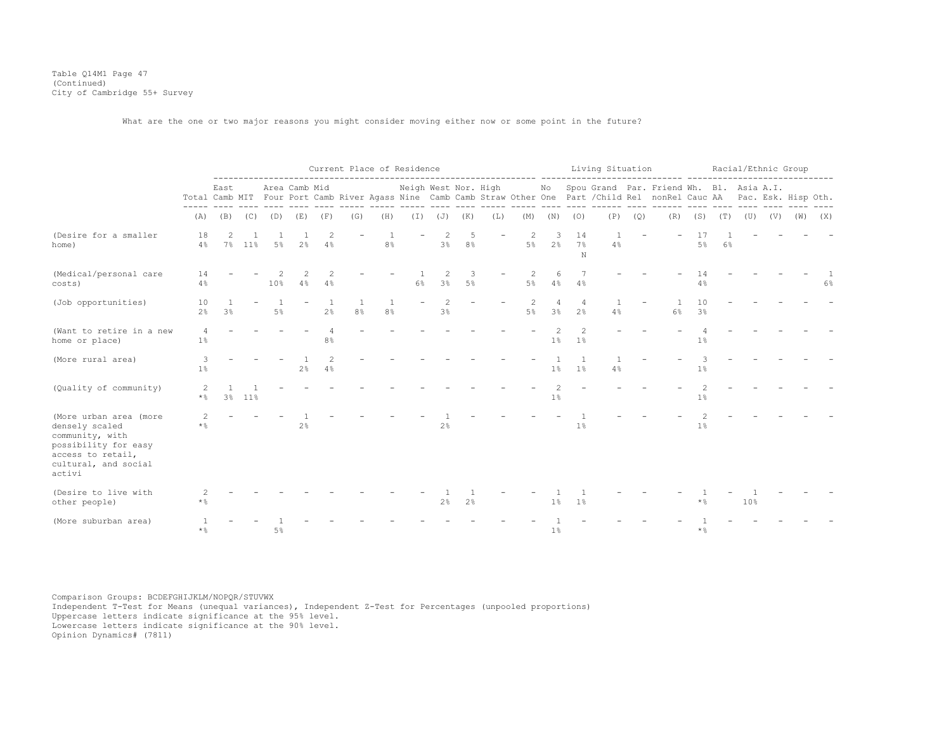Table Q14M1 Page 47 (Continued) City of Cambridge 55+ Survey

What are the one or two major reasons you might consider moving either now or some point in the future?

|                                                                                                                                            |                      |      |        |       |                |                      |     | Current Place of Residence |       |                                  |                   |     |                         |                                  |                       | Living Situation |     | adalah sebesarkan da                                                                                                                                                                                            |                         |       | Racial/Ethnic Group |     |             |    |
|--------------------------------------------------------------------------------------------------------------------------------------------|----------------------|------|--------|-------|----------------|----------------------|-----|----------------------------|-------|----------------------------------|-------------------|-----|-------------------------|----------------------------------|-----------------------|------------------|-----|-----------------------------------------------------------------------------------------------------------------------------------------------------------------------------------------------------------------|-------------------------|-------|---------------------|-----|-------------|----|
|                                                                                                                                            |                      | East |        |       | Area Camb Mid  |                      |     |                            |       |                                  |                   |     |                         |                                  |                       | ---- ------      |     | Neigh West Nor. High Mo Spou Grand Par. Friend Wh. Bl. Asia A.I.<br>Total Camb MIT Four Port Camb River Agass Nine Camb Camb Straw Other One Part / Child Rel nonRel Cauc AA Pac. Esk. Hisp Oth.<br>---- ------ |                         |       |                     |     |             |    |
|                                                                                                                                            | (A)                  | (B)  | (C)    | (D)   | (E)            | (F)                  | (G) | (H)                        |       |                                  | $(I)$ $(J)$ $(K)$ | (L) | (M)                     | (N)                              | (0)                   | (P)              | (Q) | (R)                                                                                                                                                                                                             | (S)                     | (T)   | (U)                 | (V) | $(W)$ $(X)$ |    |
| (Desire for a smaller<br>home)                                                                                                             | 18<br>4%             |      | 7% 11% | 5%    | 2 <sup>°</sup> | $\overline{c}$<br>4% |     | 8 <sup>°</sup>             |       | $\overline{c}$<br>3 <sup>°</sup> | 5<br>8%           |     | $\overline{2}$<br>$5\%$ | 3<br>2 <sup>8</sup>              | 14<br>7%<br>N         | 4%               |     |                                                                                                                                                                                                                 | 5%                      | $6\%$ |                     |     |             |    |
| (Medical/personal care<br>costs)                                                                                                           | 14<br>4%             |      |        | 10%   | 2<br>4%        | 2<br>4%              |     |                            | $6\%$ | $\mathcal{L}$<br>3%              | 3<br>5%           |     | 5%                      | 6<br>4%                          | 4%                    |                  |     |                                                                                                                                                                                                                 | 14<br>$4\%$             |       |                     |     |             | 6% |
| (Job opportunities)                                                                                                                        | 10<br>2 <sup>°</sup> | 3%   |        | $5\%$ |                | 2%                   | 8%  | 8 <sup>°</sup>             |       | 3%                               |                   |     | $5\%$                   | $\overline{4}$<br>3 <sup>°</sup> | $\overline{4}$<br>2.8 | 4%               |     | 6%                                                                                                                                                                                                              | 10<br>3%                |       |                     |     |             |    |
| (Want to retire in a new<br>home or place)                                                                                                 | 4<br>1%              |      |        |       |                | 8 <sup>°</sup>       |     |                            |       |                                  |                   |     |                         | $\mathcal{P}$<br>$1\%$           | $\mathcal{P}$<br>1%   |                  |     |                                                                                                                                                                                                                 | 1%                      |       |                     |     |             |    |
| (More rural area)                                                                                                                          | 3<br>$1\%$           |      |        |       | $2\frac{6}{6}$ | $\mathcal{L}$<br>4%  |     |                            |       |                                  |                   |     |                         | $1\%$                            | 1 <sup>°</sup>        | 4%               |     |                                                                                                                                                                                                                 | 3<br>1%                 |       |                     |     |             |    |
| (Quality of community)                                                                                                                     | 2<br>$\star$ %       |      | 3% 11% |       |                |                      |     |                            |       |                                  |                   |     |                         | $\mathcal{D}$<br>$1\%$           |                       |                  |     |                                                                                                                                                                                                                 | $\overline{c}$<br>$1\%$ |       |                     |     |             |    |
| (More urban area (more<br>densely scaled<br>community, with<br>possibility for easy<br>access to retail,<br>cultural, and social<br>activi | 2<br>$\star$ %       |      |        |       | 2 <sup>°</sup> |                      |     |                            |       | 2%                               |                   |     |                         |                                  | 1 <sup>°</sup>        |                  |     |                                                                                                                                                                                                                 | $\mathfrak{D}$<br>1%    |       |                     |     |             |    |
| (Desire to live with<br>other people)                                                                                                      | * %                  |      |        |       |                |                      |     |                            |       | 2%                               | 2%                |     |                         | $1\%$                            | 1 <sup>°</sup>        |                  |     |                                                                                                                                                                                                                 | $*$ $\frac{6}{6}$       |       | 10%                 |     |             |    |
| (More suburban area)                                                                                                                       | $*$ %                |      |        | $5\%$ |                |                      |     |                            |       |                                  |                   |     |                         | 1%                               |                       |                  |     |                                                                                                                                                                                                                 | $*$ %                   |       |                     |     |             |    |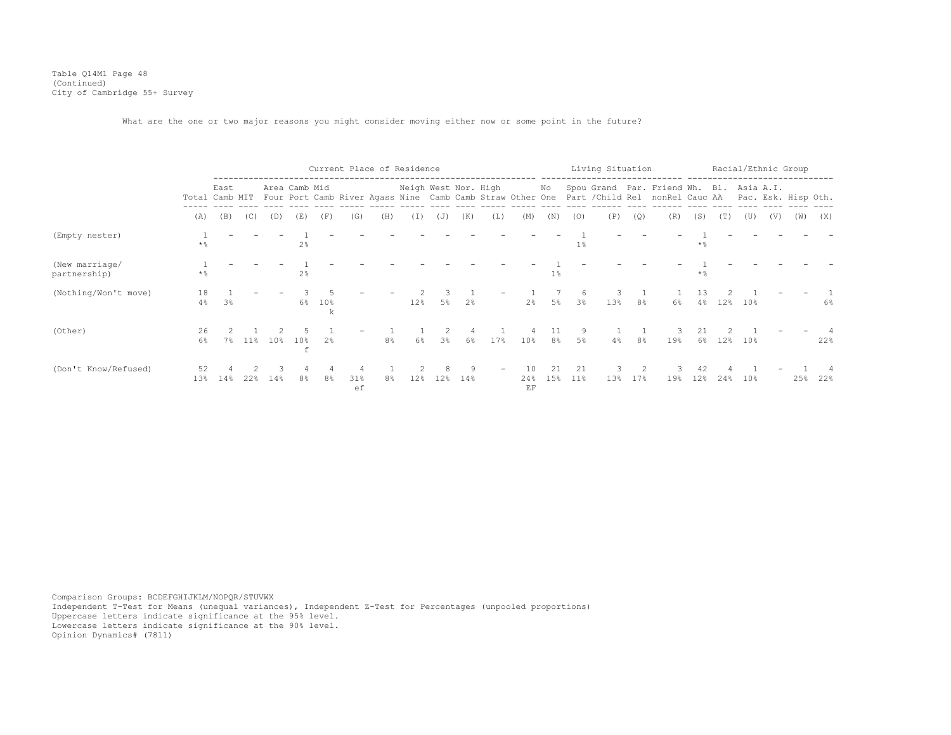Table Q14M1 Page 48 (Continued) City of Cambridge 55+ Survey

What are the one or two major reasons you might consider moving either now or some point in the future?

|                                |                   |                |        |     |                      |                |           | Current Place of Residence |                      |       |          |     |                 |           |                | Living Situation |                |                                                                                                                                       |                       |     |     |     | Racial/Ethnic Group |     |
|--------------------------------|-------------------|----------------|--------|-----|----------------------|----------------|-----------|----------------------------|----------------------|-------|----------|-----|-----------------|-----------|----------------|------------------|----------------|---------------------------------------------------------------------------------------------------------------------------------------|-----------------------|-----|-----|-----|---------------------|-----|
|                                | Total Camb MIT    | East           |        |     | Area Camb Mid        |                |           |                            | Neigh West Nor. High |       |          |     |                 | No        |                |                  |                | Spou Grand Par. Friend Wh. Bl. Asia A.I.<br>Four Port Camb River Agass Nine Camb Camb Straw Other One Part / Child Rel nonRel Cauc AA |                       |     |     |     | Pac. Esk. Hisp Oth. |     |
|                                | (A)               | (B)            | (C)    | (D) | (E)                  | (F)            | (G)       | (H)                        | (I)                  | (J)   | (K)      | (L) | (M)             | (N)       | (0)            | (P)              | (Q)            | (R)                                                                                                                                   | (S)                   | (T) | (U) | (V) | (W)                 | (X) |
| (Empty nester)                 | $\star$ %         |                |        |     | 2 <sup>°</sup>       |                |           |                            |                      |       |          |     |                 |           | 1 <sup>°</sup> |                  |                |                                                                                                                                       | * %                   |     |     |     |                     |     |
| (New marriage/<br>partnership) | $*$ $\frac{6}{9}$ |                |        |     | 2 <sup>8</sup>       |                |           |                            |                      |       |          |     |                 | $1\%$     |                |                  |                |                                                                                                                                       | $\star$ $\frac{6}{9}$ |     |     |     |                     |     |
| (Nothing/Won't move)           | 18<br>4%          | 3 <sup>°</sup> |        |     | $6\%$                | 10%<br>k       |           |                            | 12%                  | $5\%$ | 2%       |     | $2\frac{6}{9}$  | 5%        | -6<br>3%       | 13%              | 8 <sup>°</sup> | 6%                                                                                                                                    | 13<br>4%              | 12% | 10% |     |                     | 6%  |
| (Other)                        | 26<br>$6\%$       | $7\%$          | $11\%$ | 10% | 10 <sub>8</sub><br>f | 2 <sup>°</sup> |           | 8 <sup>°</sup>             | 6%                   | 3%    | 6%       | 17% | 10%             | $8\,$     | 5%             | 4%               | 8%             | 19%                                                                                                                                   | 6%                    | 12% | 10% |     |                     | 22% |
| (Don't Know/Refused)           | 52<br>13%         | 14%            | 22%    | 14% | 8 <sup>°</sup>       | 8%             | 31%<br>ef | 8%                         | 12%                  | 12%   | 9<br>14% |     | 10<br>24%<br>EF | 21<br>15% | 21<br>$11\%$   | 13%              | 17%            | 19%                                                                                                                                   | 42<br>12%             | 24% | 10% |     | 25%                 | 22% |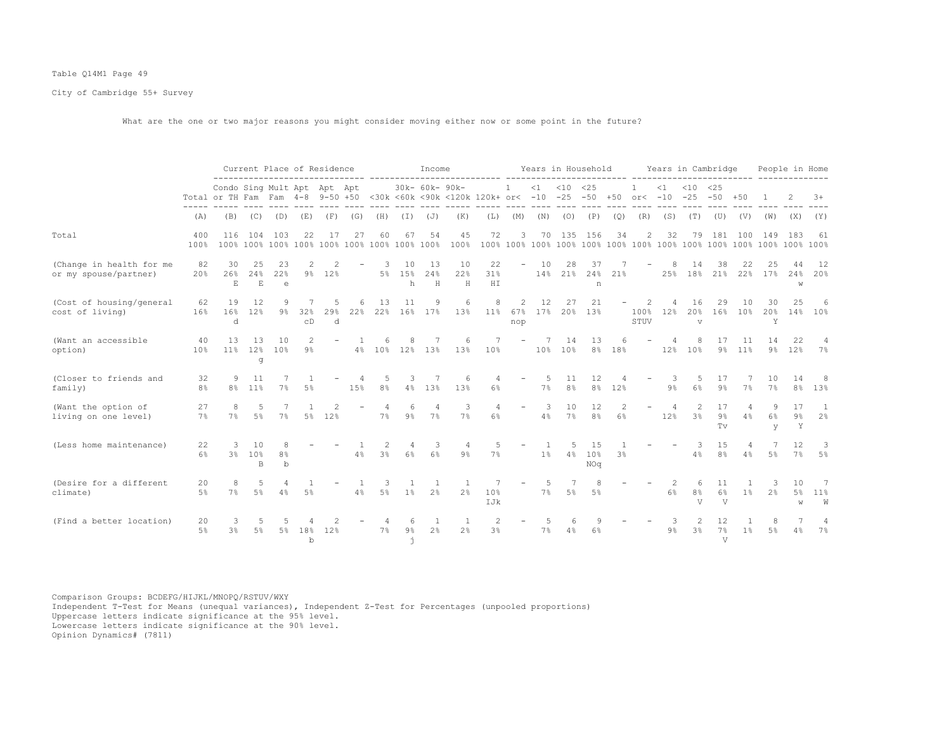## Table Q14M1 Page 49

City of Cambridge 55+ Survey

What are the one or two major reasons you might consider moving either now or some point in the future?

|                                                   |             |                                                                 |                             |                                    |                     | Current Place of Residence |          |                     |                   | Income                    |                       |                                        |                          |                      | Years in Household   |                      |                |                   |                       | Years in Cambridge                     |                          |                      |                     | People in Home   |                                  |
|---------------------------------------------------|-------------|-----------------------------------------------------------------|-----------------------------|------------------------------------|---------------------|----------------------------|----------|---------------------|-------------------|---------------------------|-----------------------|----------------------------------------|--------------------------|----------------------|----------------------|----------------------|----------------|-------------------|-----------------------|----------------------------------------|--------------------------|----------------------|---------------------|------------------|----------------------------------|
|                                                   |             | Condo Sing Mult Apt Apt Apt<br>Total or TH Fam Fam 4-8 9-50 +50 |                             |                                    |                     |                            |          |                     |                   | 30k- 60k- 90k-            |                       | <30k <60k <90k <120k 120k+ or< -10 -25 | 1                        | $\leq 1$             | $< 10$ $< 25$        | $-50 + 50$           |                | 1                 | $\leq 1$              | $< 10$ $< 25$<br>or< $-10$ $-25$ $-50$ |                          | $+50$                |                     |                  | $3+$                             |
|                                                   | (A)         | (B)                                                             | (C)                         | (D)                                | (E)                 | (F)                        | (G)      | (H)                 | (T)               | (J)                       | (K)                   | (L)                                    | (M)                      | (N)                  | (O)                  | (P)                  | (Q)            | (R)               | (S)                   | (T)                                    | (U)                      | (V)                  | (W)                 | (X)              | (Y)                              |
| Total                                             | 400<br>100% | 116                                                             | 104                         | 103                                | 22                  | 17                         | 27       | 60                  | 67                | 54                        | 45<br>100%            | 72                                     | 3                        |                      | 70 135               | 156                  | 34             | $\mathbf{2}$      | 32                    | 79                                     | 181                      | 100                  | 149                 | 183              | 61                               |
| (Change in health for me<br>or my spouse/partner) | 82<br>20%   | 30<br>26%<br>E                                                  | 25<br>2.4%<br>$\mathbf E$   | 23<br>22%<br>e                     | 9%                  | 12%                        |          | 3                   | 10<br>5% 15%<br>h | 13<br>24%<br>$\, {\rm H}$ | 10<br>2.2%<br>$\rm H$ | 22<br>31%<br>H I                       |                          | 10                   | 28<br>14% 21%        | 37<br>24%<br>n       | 21%            |                   | 25%                   | 14<br>18%                              | 38<br>21%                | 22<br>22%            | 17%                 | 44<br>2.4%<br>W  | 12<br>20%                        |
| (Cost of housing/general<br>cost of living)       | 62<br>16%   | 19<br>16%<br>d                                                  | 12<br>12%                   | 9<br>9%                            | 32%<br>CD           | .5<br>29%<br>d             | 6<br>22% | 13                  | 11                | 9<br>22% 16% 17%          | 6<br>13%              | 8<br>$11\%$                            | 2<br>67%<br>nop          | 12<br>17%            | 27                   | 21<br>20% 13%        |                | 2<br>100%<br>STUV | 12%                   | 16<br>20%<br>$\overline{\mathbf{V}}$   | 29<br>16%                | 10<br>10%            | 30<br>2.0%<br>Y     | 25<br>14%        | 6<br>10 <sup>8</sup>             |
| (Want an accessible<br>option)                    | 40<br>10%   | 13                                                              | 13<br>q                     | 10<br>11% 12% 10%                  | $\mathcal{L}$<br>9% |                            |          | 6                   | 8                 | 7<br>4% 10% 12% 13%       | - 6<br>13%            | 7<br>10%                               | $\overline{\phantom{a}}$ | 7<br>10 <sup>8</sup> | 14<br>10%            | 13<br>8%             | 18%            |                   | 4<br>12%              | 8<br>10%                               | 17<br>$9\%$              | 11<br>11%            | 14<br>9%            | 22.2<br>12%      | $\overline{4}$<br>7%             |
| (Closer to friends and<br>family)                 | 32<br>8%    | 9<br>8%                                                         | 11<br>11%                   | 7%                                 | .5%                 |                            | 15%      | 5<br>8%             | 3                 | 7<br>4% 13%               | 6<br>13%              | 4<br>6%                                |                          | 5<br>7%              | 11<br>8 <sup>°</sup> | 12<br>8%             | 12%            |                   | 3<br>$9\%$            | 5<br>6%                                | 17<br>9 <sup>°</sup>     | 7%                   | 10<br>7%            | 14<br>8%         | 8<br>13%                         |
| (Want the option of<br>living on one level)       | 27<br>7%    | 8<br>7%                                                         | $5\%$                       | 7%                                 | $5\%$               | 12%                        |          | 4<br>7%             | 6<br>$9\%$        | $\overline{4}$<br>7%      | 3<br>7%               | $\overline{4}$<br>6%                   | $\overline{\phantom{a}}$ | 3<br>4%              | 10<br>7%             | 12<br>8%             | 6%             |                   | $\overline{4}$<br>12% | $\mathfrak{D}$<br>3%                   | 17<br>9%<br>Tv           | $\overline{4}$<br>4% | 9<br>6%<br>V        | 17<br>$9\%$<br>Y | $\overline{1}$<br>2 <sup>°</sup> |
| (Less home maintenance)                           | 22<br>6%    | 3                                                               | 10<br>3% 10%<br>$\mathbb B$ | 8<br>8 <sup>°</sup><br>$\mathbf b$ |                     |                            | 4%       | 2<br>3 <sup>°</sup> | 4<br>6%           | 3<br>$6\%$                | 9%                    | 5<br>7%                                |                          | 1%                   | 5                    | 1.5<br>4% 10%<br>NOq | 3 <sup>8</sup> |                   |                       | 3.<br>4%                               | 1.5<br>8 <sup>°</sup>    | 4<br>4%              | .5%                 | 12<br>7%         | 3<br>5%                          |
| (Desire for a different<br>climate)               | 20<br>5%    | 8<br>7%                                                         | 5<br>$5\%$                  | 4%                                 | 5%                  |                            | 4%       | 3<br>$5\%$          | $1\%$             | 2 <sup>°</sup>            | 2%                    | 10%<br>IJk                             |                          | 5<br>7%              | 5%                   | 8<br>.5%             |                |                   | 2<br>6%               | 6<br>8%<br>$\overline{V}$              | 11<br>6%<br>$\mathbf{V}$ | 1 <sup>°</sup>       | 3<br>2 <sup>°</sup> | 10<br>5%<br>W    | -7<br>$11\%$<br>W                |
| (Find a better location)                          | 20<br>$5\%$ | 3<br>3%                                                         | 5<br>$5\%$                  | 5%                                 | 18%<br>$\mathbf b$  | 12%                        |          | 7%                  | 6<br>$9\%$<br>j.  | 1<br>2 <sup>°</sup>       | $\overline{1}$<br>2%  | $\overline{2}$<br>3%                   |                          | 5<br>7%              | 4%                   | 6%                   |                |                   | -3<br>$9\%$           | 2<br>3%                                | 12<br>7%<br>$\mathbf{V}$ | $1\%$                | 8<br>5%             | 4%               | 7%                               |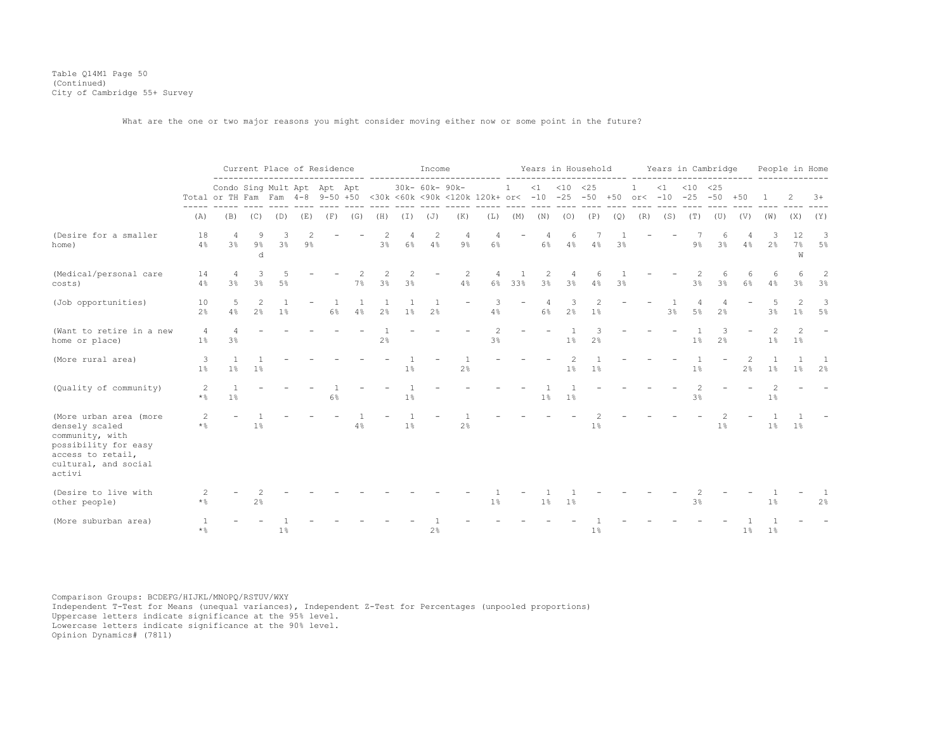Table Q14M1 Page 50 (Continued) City of Cambridge 55+ Survey

What are the one or two major reasons you might consider moving either now or some point in the future?

|                                                                                                                                            |                 |                             |                 | Current Place of Residence |     |       |     |         |         | Income         |                                                                                                     |         |                          |                |               | Years in Household |     |     |          |                | Years in Cambridge |                               |                | People in Home      |                     |
|--------------------------------------------------------------------------------------------------------------------------------------------|-----------------|-----------------------------|-----------------|----------------------------|-----|-------|-----|---------|---------|----------------|-----------------------------------------------------------------------------------------------------|---------|--------------------------|----------------|---------------|--------------------|-----|-----|----------|----------------|--------------------|-------------------------------|----------------|---------------------|---------------------|
|                                                                                                                                            |                 | Condo Sing Mult Apt Apt Apt |                 |                            |     |       |     |         |         | 30k- 60k- 90k- | Total or TH Fam Fam 4-8 9-50 +50 <30k <60k <90k <120k 120k+ or< -10 -25 -50 +50 or< -10 -25 -50 +50 |         | 1                        | $\leq 1$       | $< 10$ $< 25$ |                    |     |     | $\leq 1$ | $< 10$ $< 25$  |                    |                               |                | 2                   | $3+$                |
|                                                                                                                                            | (A)             | (B)                         | (C)             | (D)                        | (E) | (F)   | (G) | (H)     | (I)     | (J)            | (K)                                                                                                 | (L)     | (M)                      | (N)            | (0)           | (P)                | (Q) | (R) | (S)      | (T)            | (U)                | (V)                           | (W)            | (X)                 | (Y)                 |
| (Desire for a smaller<br>home)                                                                                                             | 18<br>4%        | 3 <sup>°</sup>              | 9<br>$9\%$<br>d | 3<br>3 <sup>°</sup>        | 9%  |       |     | 3%      | 6%      | 2<br>4%        | $\overline{4}$<br>$9\%$                                                                             | 4<br>6% | $\overline{\phantom{m}}$ | 4<br>6%        | 6<br>4%       | 4%                 | 3%  |     |          | $9\%$          | 3%                 | 4%                            | 2 <sup>°</sup> | 12<br>7%<br>W       | 3<br>5%             |
| (Medical/personal care<br>costs)                                                                                                           | 14<br>4%        | 4<br>3%                     | 3<br>3%         | $5\%$                      |     |       | 7%  | 2<br>3% | 2<br>3% |                | 2<br>4%                                                                                             | 4<br>6% | $\mathbf{1}$<br>33%      | 2<br>3%        | 3%            | 4%                 | 3%  |     |          | 3 <sup>8</sup> | 3 <sup>°</sup>     | $6\%$                         | 4%             | 3 <sup>8</sup>      | 2<br>3%             |
| (Job opportunities)                                                                                                                        | 10<br>2%        | 5<br>4%                     | 2%              | 1 <sup>°</sup>             |     | $6\%$ | 4%  | 2%      | 1%      | 2 <sup>°</sup> |                                                                                                     | 4%      |                          | 6%             | 2%            | 1%                 |     |     | 3%       | 5%             | 2%                 |                               | 3%             | $1\%$               | 3<br>5%             |
| (Want to retire in a new<br>home or place)                                                                                                 | 4<br>1%         | 3%                          |                 |                            |     |       |     | 2%      |         |                |                                                                                                     | 3%      |                          |                | 1%            | 2%                 |     |     |          | 1%             | 2%                 |                               | 1%             | $\mathcal{L}$<br>1% |                     |
| (More rural area)                                                                                                                          | 3<br>1%         | 1 <sup>°</sup>              | $1\%$           |                            |     |       |     |         | 1%      |                | 2%                                                                                                  |         |                          |                | 1%            | 1%                 |     |     |          | 1 <sup>°</sup> |                    | $\mathcal{D}_{1}^{(1)}$<br>2% | 1 <sup>°</sup> | 1 <sup>°</sup>      | 1<br>2 <sup>°</sup> |
| (Quality of community)                                                                                                                     | 2<br>$\star$ %  | 1 <sup>°</sup>              |                 |                            |     | $6\%$ |     |         | 1%      |                |                                                                                                     |         |                          | 1 <sup>°</sup> | 1%            |                    |     |     |          | 2<br>3%        |                    |                               | 2<br>1%        |                     |                     |
| (More urban area (more<br>densely scaled<br>community, with<br>possibility for easy<br>access to retail,<br>cultural, and social<br>activi | 2<br>$\star$ %  |                             | $1\%$           |                            |     |       | 4%  |         | $1\%$   |                | 2 <sup>°</sup>                                                                                      |         |                          |                |               | 1%                 |     |     |          |                | 1%                 |                               | $1\%$          | $1\%$               |                     |
| (Desire to live with<br>other people)                                                                                                      | * 음             |                             | 2%              |                            |     |       |     |         |         |                |                                                                                                     | 1%      |                          | 1%             | $1\%$         |                    |     |     |          | 3%             |                    |                               | 1%             |                     | 2%                  |
| (More suburban area)                                                                                                                       | -1<br>$\star$ % |                             |                 | 1%                         |     |       |     |         |         | 2%             |                                                                                                     |         |                          |                |               | 1%                 |     |     |          |                |                    | 1 <sup>°</sup>                | 1 <sup>°</sup> |                     |                     |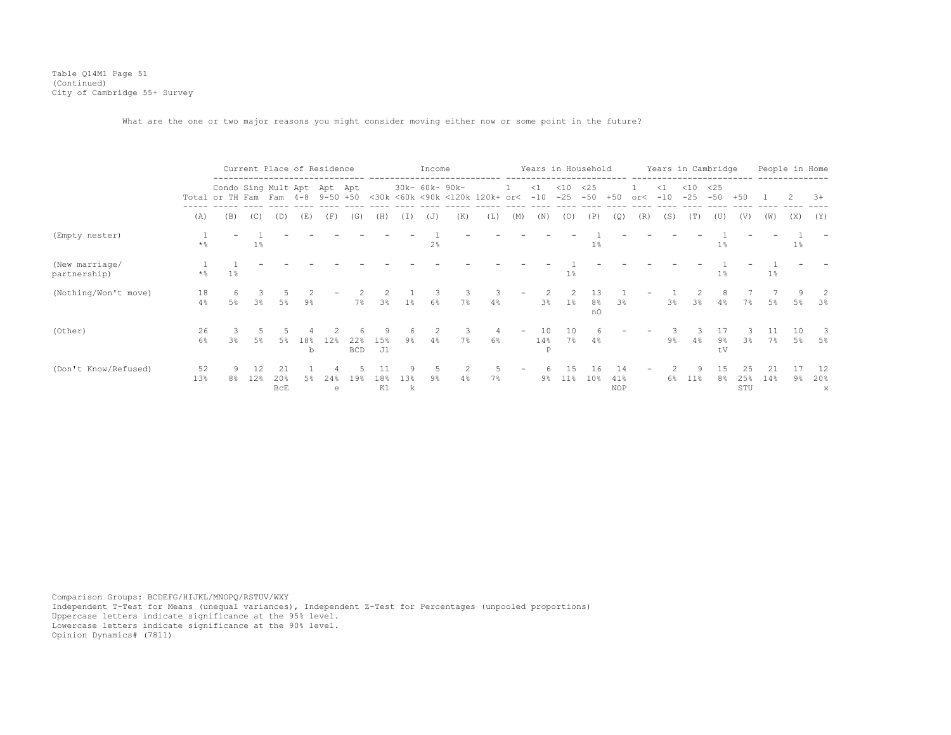Table Q14M1 Page 51 (Continued) City of Cambridge 55+ Survey

What are the one or two major reasons you might consider moving either now or some point in the future?

|                                |                       |                                                        |                      |                         |          | Current Place of Residence |                   |                |                | Income         |                |                                |     |                | Years in Household |                       |                         |     | Years in Cambridge |                 |              |                  | People in Home |       |                |
|--------------------------------|-----------------------|--------------------------------------------------------|----------------------|-------------------------|----------|----------------------------|-------------------|----------------|----------------|----------------|----------------|--------------------------------|-----|----------------|--------------------|-----------------------|-------------------------|-----|--------------------|-----------------|--------------|------------------|----------------|-------|----------------|
|                                |                       | Condo Sing Mult Apt Apt Apt<br>Total or TH Fam Fam 4-8 |                      |                         |          | $9 - 50 + 50$              |                   |                |                |                | 30k- 60k- 90k- | <30k <60k <90k <120k 120k+ or< |     | <1<br>$-10$    | $<$ 10<br>$-25$    | <25<br>$-50$          | $+50$                   | or< | $\leq$ 1<br>$-10$  | $<$ 10<br>$-25$ | <25<br>$-50$ | $+50$            |                |       | $3+$           |
|                                | (A)                   | (B)                                                    | (C)                  | (D)                     | (E)      | (F)                        | (G)               | (H)            | ( ± )          | (J)            | (K)            | (L)                            | (M) | (N)            | (0)                | (P)                   | (Q)                     | (R) | (S)                | (T)             | (U)          | (V)              | (W)            | (X)   | $(\Upsilon)$   |
| (Empty nester)                 | $\star$ %             |                                                        | $1\%$                |                         |          |                            |                   |                |                | 2 <sup>°</sup> |                |                                |     |                |                    | $1\%$                 |                         |     |                    |                 | 1%           |                  |                | $1\%$ |                |
| (New marriage/<br>partnership) | $\star$ $\frac{6}{9}$ | 1%                                                     |                      |                         |          |                            |                   |                |                |                |                |                                |     |                | $1\%$              |                       |                         |     |                    |                 | 1%           |                  | $1\%$          |       |                |
| (Nothing/Won't move)           | 18<br>4%              | -6<br>5%                                               | З.<br>3 <sup>°</sup> | 5%                      | 9%       |                            | 7%                | 3 <sup>°</sup> | 1 <sup>°</sup> | 6%             | 7%             | 4%                             |     | 3%             | $1\%$              | 8%<br>nO              | 3 <sup>°</sup>          |     | 3%                 | 3 <sup>°</sup>  | 8<br>4%      | 7%               | 5%             | 5%    | -2.<br>3%      |
| (Other)                        | 26<br>6%              | 3%                                                     | $5\%$                | 5%                      | 18%<br>b | 12%                        | 22%<br><b>BCD</b> | 15%<br>J1      | $9\%$          | 4%             | 7%             | $6\%$                          |     | 10<br>14%<br>P | 10<br>7%           | 4%                    |                         |     | 9%                 | 4%              | 9%<br>tV     | 3 <sup>°</sup>   | 7%             | 5%    | 5%             |
| (Don't Know/Refused)           | 52<br>13%             | 8 <sup>°</sup>                                         | 12%                  | 21<br>20%<br><b>BCE</b> |          | 24%<br>e                   | 19%               | 18%<br>K1      | 13%<br>k       | 9 <sup>°</sup> | 4%             | 7%                             |     | 9%             | $11\%$             | 16<br>10 <sup>8</sup> | 14<br>41%<br><b>NOP</b> |     | $6\%$              | 11%             | 15<br>8%     | 25<br>25%<br>STU | 21<br>14%      | 9%    | 12<br>20%<br>X |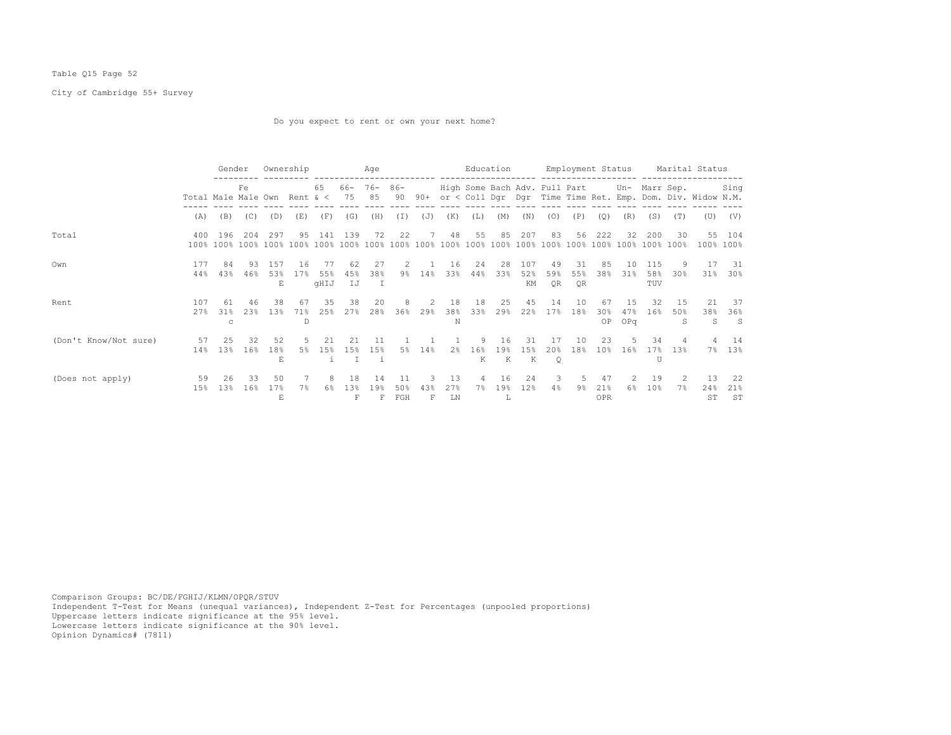## Table Q15 Page 52

City of Cambridge 55+ Survey

Do you expect to rent or own your next home?

|                       |                                     | Gender         |            | Ownership        |                |                  |                            | Aqe                       |                  |                     |                  |                      | Education      |                  |                                             |                  |                             |                   |                   |                     | Employment Status Marital Status                                  |                           |
|-----------------------|-------------------------------------|----------------|------------|------------------|----------------|------------------|----------------------------|---------------------------|------------------|---------------------|------------------|----------------------|----------------|------------------|---------------------------------------------|------------------|-----------------------------|-------------------|-------------------|---------------------|-------------------------------------------------------------------|---------------------------|
|                       | Total Male Male Own Rent $\<$ 75 85 |                | Fe.        |                  |                | 65 -             | 66- 76- 86-                |                           |                  |                     |                  |                      |                |                  | High Some Bach Adv. Full Part Un- Marr Sep. |                  |                             |                   |                   |                     | 90 90+ or < Coll Dqr Dqr Time Time Ret. Emp. Dom. Div. Widow N.M. | Sing                      |
|                       | (A)                                 | (B)            | (C)        | (D)              | (E)            | (F)              | (G)                        | (H)                       | (T)              | (J)                 | (K)              | (L)                  | (M)            | (N)              | (0)                                         | (P)              | (0)                         | (R)               | (S)               | (T)                 | (U)                                                               | (V)                       |
| Total                 | 400                                 | 196            | 204        | 297              | 9.5            | 141              | 139                        | 72                        | 22               | $7^{\circ}$         | 48               | 55                   | 85             | 207              | 83                                          | 56               | 222                         | 32                | 200               | 30                  | 55                                                                | 104<br>100% 100%          |
| Own                   | 177<br>44%                          | 84<br>43%      | -93<br>46% | 1.57<br>53%<br>E | 16<br>17%      | 55%<br>qHIJ      | 62<br>45%<br>IJ            | 27<br>38%<br>$\mathbb{I}$ | 2<br>9%          | 14%                 | 16<br>33%        | 24<br>44%            | 28<br>33%      | 107<br>52%<br>КM | 49<br>59%<br>0R                             | -31<br>55%<br>OR | 85<br>38%                   | 10<br>31%         | 115<br>58%<br>TUV | 9.<br>30%           | 31%                                                               | 17 31<br>$30\%$           |
| Rent                  | 107<br>2.7%                         | 61<br>31%<br>C | 46<br>2.3% | 38<br>13%        | 67<br>71%<br>D | 35<br>25%        | 38<br>27%                  | 20<br>28%                 | 8<br>36%         | <sup>2</sup><br>29% | 18<br>38%<br>N   | 18<br>33%            | 25<br>29%      | 45<br>22%        | 14<br>17%                                   | 10<br>18%        | 67<br>30 <sup>8</sup><br>OP | 1.5<br>47%<br>OPq | 32<br>16%         | 1.5<br>50%<br>S     | 21<br>38%<br>S.                                                   | 37<br>36%<br>$\mathbf{S}$ |
| (Don't Know/Not sure) | 57<br>14%                           | - 25<br>1.3%   | 32<br>16%  | 52<br>18%<br>E.  | -5<br>5%       | 2.1<br>15%<br>i. | 21<br>1.5%<br>$\mathbb{I}$ | 11<br>15%<br>- i          | 5%               | 14%                 | 2 <sup>8</sup>   | 9<br>16%<br>K        | 16<br>19%<br>K | 31<br>1.5%<br>K  | 17<br>2.0%<br>$\circ$                       | 10<br>18%        | 23<br>10 <sup>8</sup>       | -5<br>16%         | 34<br>17%<br>U    | 4<br>13%            | 7%                                                                | 4 14<br>13%               |
| (Does not apply)      | 59<br>15%                           | 26<br>13%      | 33<br>16%  | 50<br>17%<br>E.  |                | 8<br>6%          | 18<br>1.3%                 | 14<br>19%<br>F            | 11<br>50%<br>FGH | 3<br>43%<br>F       | 13<br>2.7%<br>LN | $\overline{4}$<br>7% | 16<br>19%<br>L | 24<br>12%        | $\overline{\mathbf{3}}$<br>4%               | 5<br>9%          | 47<br>21%<br>OPR            | -2.<br>6%         | 19<br>10%         | $\mathcal{L}$<br>7% | -13<br>24%<br>ST                                                  | -22<br>21%<br>ST          |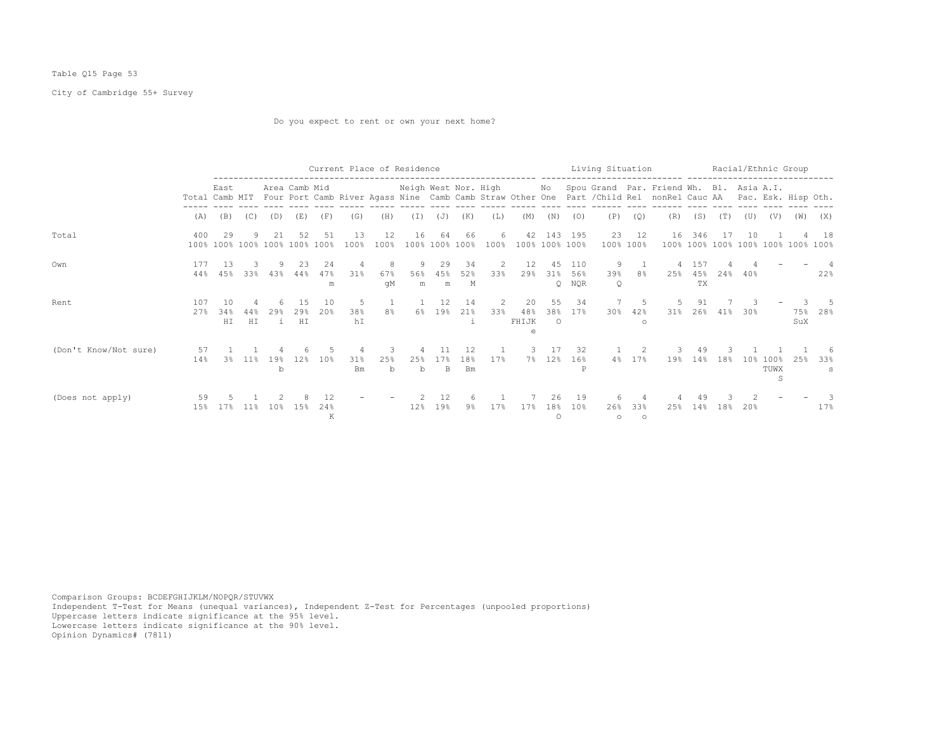## Table Q15 Page 53

# City of Cambridge 55+ Survey

Do you expect to rent or own your next home?

|                       |             |                  |                 |                          |               |                | Current Place of Residence |                    |                      |                 |                        |           | -------------------  |                        |                   | Living Situation |                     |                                                                                                                                                                             |                  |     |     | Racial/Ethnic Group      |     |             |
|-----------------------|-------------|------------------|-----------------|--------------------------|---------------|----------------|----------------------------|--------------------|----------------------|-----------------|------------------------|-----------|----------------------|------------------------|-------------------|------------------|---------------------|-----------------------------------------------------------------------------------------------------------------------------------------------------------------------------|------------------|-----|-----|--------------------------|-----|-------------|
|                       |             | East             |                 |                          | Area Camb Mid |                |                            |                    | Neigh West Nor. High |                 |                        |           |                      |                        |                   |                  |                     | No Spou Grand Par. Friend Wh. Bl. Asia A.I.<br>Total Camb MIT Four Port Camb River Agass Nine Camb Camb Straw Other One Part / Child Rel nonRel Cauc AA Pac. Esk. Hisp Oth. |                  |     |     |                          |     |             |
|                       | (A)         | (B)              | (C)             | (D)                      | (E)           | (F)            | (G)                        | (H)                | (I)                  | (J)             | (K)                    | (L)       | (M)                  | (N)                    | (0)               | (P)              | (Q)                 | (R)                                                                                                                                                                         | (S)              | (T) | (U) | (V)                      | (W) | (X)         |
| Total                 | 400<br>100% | 29               |                 | 100% 100% 100% 100% 100% | 52            | 51             | 13<br>100%                 | 12<br>100%         | 16                   | 64<br>100% 100% | 66<br>100%             | 6<br>100% | 42<br>100% 100% 100% | 143                    | 195               | 23               | 12<br>100% 100%     | 16<br>$100\%$                                                                                                                                                               | 346              |     | 10  | 100% 100% 100% 100% 100% |     | -18<br>100% |
| Own                   | 177<br>44%  | 13<br>4.5%       | 33%             | 43%                      | 23<br>44%     | 24<br>47%<br>m | 31%                        | 8<br>67%<br>qM     | 9<br>56%<br>m        | 29<br>45%<br>m  | 34<br>52%<br>Μ         | 2<br>33%  | 12<br>29%            | 4.5<br>31%<br>$\Omega$ | 110<br>56%<br>NQR | 9<br>39%<br>Q    | 8%                  | 25%                                                                                                                                                                         | 157<br>45%<br>TX | 24% | 40% |                          |     | 22%         |
| Rent                  | 107<br>27%  | 10<br>34%<br>H I | H I             | 29<br>$\mathbf{1}$       | 29<br>HI      | 1 N<br>2.0%    | .5<br>38%<br>hΙ            | $\mathbf{1}$<br>8% | 6%                   | 12<br>19%       | 14<br>$21\%$<br>i      | $33\%$    | 20<br>48%<br>FHIJK   | 55<br>38%<br>$\circ$   | 34<br>17%         | 30%              | 5<br>42%<br>$\circ$ | $31\%$                                                                                                                                                                      | 91<br>26%        | 41% | 30% |                          | SuX | 75% 28%     |
| (Don't Know/Not sure) | 57<br>14%   | 3%               | $11\%$          | 19%<br>b                 | 12.8          | 10%            | 31%<br>Bm                  | 25%<br>b           | 25%<br>b             | 17%<br>B.       | 12<br>18%<br><b>Bm</b> | 17%       | 3.                   | 17<br>7% 12%           | 32<br>$16\%$<br>P |                  | 2<br>4% 17%         | 19%                                                                                                                                                                         | 49<br>14%        | 18% | 10% | 100%<br>TUWX<br>S        | 25% | 33%<br>s    |
| (Does not apply)      | 59<br>15%   | 17%              | 11 <sup>8</sup> | 10 <sup>8</sup>          | 1.5%          | 24%<br>K       |                            |                    | 12%                  | 19%             | 9%                     | 17%       | 17%                  | 26.<br>18%<br>$\circ$  | 19<br>10%         | 26%<br>$\circ$   | 33%<br>$\circ$      | 25%                                                                                                                                                                         | 49<br>14%        | 18% | 20% |                          |     | 17%         |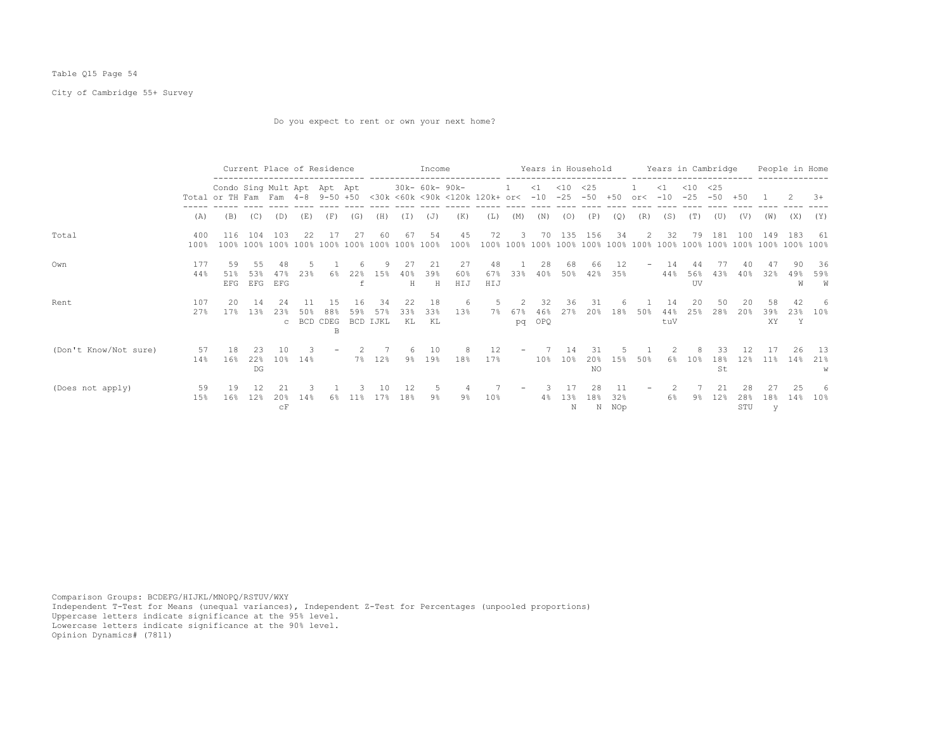## Table Q15 Page 54

City of Cambridge 55+ Survey

Do you expect to rent or own your next home?

|                       |             |                                                                 |                  |                                 | Current Place of Residence |                |                 |                        |                 | Income          |                  |                                    |                            |                  | Years in Household |                   |              |                          |                   | Years in Cambridge<br>_________________________ |                   |                  |                       | People in Home  |                  |
|-----------------------|-------------|-----------------------------------------------------------------|------------------|---------------------------------|----------------------------|----------------|-----------------|------------------------|-----------------|-----------------|------------------|------------------------------------|----------------------------|------------------|--------------------|-------------------|--------------|--------------------------|-------------------|-------------------------------------------------|-------------------|------------------|-----------------------|-----------------|------------------|
|                       |             | Condo Sing Mult Apt Apt Apt<br>Total or TH Fam Fam 4-8 9-50 +50 |                  |                                 |                            |                |                 |                        |                 | 30k- 60k- 90k-  |                  | <30k <60k <90k <120k 120k+ or< -10 |                            | $\leq 1$         | $<$ 10<br>$-25$    | <25<br>$-50 + 50$ |              | or<                      | $\leq 1$<br>$-10$ | $<$ 10<br>$-25$                                 | <25<br>$-50 + 50$ |                  |                       |                 | $3+$             |
|                       | (A)         | (B)                                                             | (C)              | (D)                             | (E)                        | (F)            | (G)             | (H)                    | (I)             | (J)             | (K)              | (L)                                | (M)                        | (N)              | (0)                | (P)               | (Q)          | (R)                      | (S)               | (T)                                             | (U)               | (V)              | (W)                   | (X)             | (Y)              |
| Total                 | 400<br>100% | 116                                                             | 104              | 103                             | 22                         | - 17           | 27              | 60                     | 67              | -54             | 45<br>100%       | 72                                 | 3                          |                  | 70 135 156         |                   | 34           | 2                        | - 32              | 79                                              | 181               | 100              | 149                   | -183            | -61              |
| Own                   | 177<br>44%  | 59<br>51%<br>EFG                                                | 55<br>53%<br>EFG | 48<br>47%<br>EFG                | 2.3%                       | 6%             | 22%             | 9<br>15%               | 27<br>40%<br>H  | -21<br>39%<br>H | 27<br>60%<br>HIJ | 48<br>67%<br>HIJ                   | 33%                        | 28<br>40%        | 68<br>50%          | 66<br>42%         | 12.<br>35%   | $\overline{\phantom{0}}$ | -14<br>44%        | 56%<br>UV                                       | 77<br>43%         | 40<br>40%        | 47<br>32%             | 90.<br>49%<br>W | - 36<br>59%<br>W |
| Rent                  | 107<br>27%  | 20.<br>17%                                                      | -14<br>13%       | 24<br>23%<br>$\mathbb{C}$       | 50%<br>BCD CDEG            | 15<br>88%<br>B | 16<br>59%       | -34<br>57%<br>BCD IJKL | 22<br>33%<br>KL | 18<br>33%<br>KL | 6<br>13%         | - 5<br>7%                          | $\mathcal{L}$<br>67%<br>pq | 32<br>46%<br>OPQ | 36<br>27%          | -31<br>20%        | 18%          | 50%                      | 14<br>44%<br>tuV  | 20<br>25%                                       | 50<br>28%         | 20<br>20%        | 58<br>39%<br>XY.      | 42<br>23%<br>Y  | -6<br>$10\%$     |
| (Don't Know/Not sure) | 57<br>14%   | 18<br>16%                                                       | 23<br>22%<br>DG  | 10<br>10 <sup>8</sup>           | 14%                        |                |                 | 7% 12%                 | 6<br>$9\%$      | 10<br>$19\%$    | 8<br>18%         | 12<br>17%                          | $\overline{\phantom{a}}$   | $10\%$           | 14<br>10%          | -31<br>20%<br>NO  | 1.5%         | 50%                      | 6%                | 8<br>10 <sup>8</sup>                            | 33<br>18%<br>St   | 12.<br>12%       | 17<br>11 <sup>8</sup> | 26<br>14%       | 13<br>21%<br>W   |
| (Does not apply)      | 59<br>15%   | 19<br>16%                                                       | 12%              | 20%<br>$\mathrm{c}\,\mathrm{F}$ | 14%                        | 6%             | 11 <sub>8</sub> | 17%                    | 12<br>18%       | 9%              | 9%               | 10 <sup>8</sup>                    |                            | $4\%$            | 13%<br>Ν           | 28<br>18%         | 32%<br>N NOp |                          | 6%                | 9%                                              | 21<br>12%         | 28<br>28%<br>STU | 18%<br>У              | 25<br>14%       | -6<br>10%        |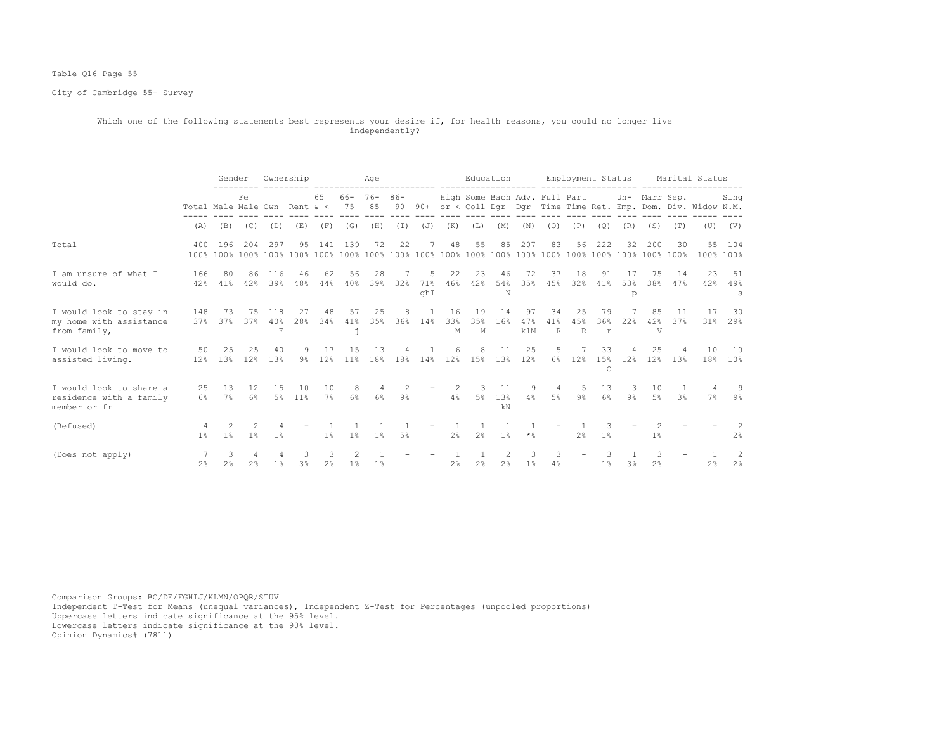## Table Q16 Page 55

City of Cambridge 55+ Survey

#### Which one of the following statements best represents your desire if, for health reasons, you could no longer live independently?

|                                                                    |                              | Gender              |                         |                           | Ownership      |                     |                | Age              |          |                           |                |                | Education                                   |                  |                      |                           |                | Employment Status       |                   |           | Marital Status                                                 |                     |
|--------------------------------------------------------------------|------------------------------|---------------------|-------------------------|---------------------------|----------------|---------------------|----------------|------------------|----------|---------------------------|----------------|----------------|---------------------------------------------|------------------|----------------------|---------------------------|----------------|-------------------------|-------------------|-----------|----------------------------------------------------------------|---------------------|
|                                                                    | Total Male Male Own Rent & < |                     | Fe                      |                           |                | 65                  | 75 85          | $66 - 76 - 86 -$ | 90       |                           |                |                | High Some Bach Adv. Full Part Un- Marr Sep. |                  |                      |                           |                |                         |                   |           | 90+ or < Coll Dgr Dgr Time Time Ret. Emp. Dom. Div. Widow N.M. | Sing                |
|                                                                    | (A)                          | (B)                 | (C)                     | (D)                       | (E)            | (F)                 | (G)            | (H)              | (I)      | (J)                       | (K)            | (L)            | (M)                                         | (N)              | (O)                  | (P)                       | (Q)            | (R)                     | (S)               | (T)       |                                                                | $(U)$ $(V)$         |
| Total                                                              | 400                          | 196                 | 204                     | 297                       | 95             |                     | 141 139        | 72               | 22       | 7                         | 48             | 55             | 85                                          | 207              | 83                   | 56                        | 222            | 32                      | 200               | 30        | 100% 100%                                                      | 55 104              |
| I am unsure of what I<br>would do.                                 | 166<br>42%                   | 80<br>41%           | 86<br>42%               | 116<br>39%                | 46<br>48%      | 62<br>44%           | 56<br>40%      | 28<br>39%        | 32%      | 5<br>71%<br>ghI           | 22<br>46%      | 23<br>42%      | 46<br>54%<br>N                              | 72<br>35%        | 37<br>45%            | 18<br>32%                 | 91<br>41%      | 17<br>53%<br>p          | 75<br>38%         | 14<br>47% | 23<br>42%                                                      | 51<br>49%<br>s      |
| I would look to stay in<br>my home with assistance<br>from family, | 148                          | - 73<br>37% 37%     | 75<br>37%               | 118<br>40%<br>$\mathbf E$ | 27<br>28%      | 48<br>34%           | 57<br>41%<br>È | 25<br>35%        | 8        | $\overline{1}$<br>36% 14% | 16<br>33%<br>М | 19<br>35%<br>M | 14<br>16%                                   | 97<br>47%<br>klM | 34<br>41%<br>R       | 25<br>45%<br>$\mathbb{R}$ | 79<br>36%<br>r | 22%                     | 85<br>42%<br>V    | 11<br>37% | 17<br>31%                                                      | 30<br>29%           |
| I would look to move to<br>assisted living.                        | 50 25<br>12%                 | 13%                 | 25<br>12%               | 40<br>13%                 | 9<br>9%        | 17<br>12%           | 15<br>11%      | 13<br>18%        | 4<br>18% | 14%                       | 6<br>12%       | 8<br>15%       | 11<br>13%                                   | 25<br>12%        | 5                    | 6% 12%                    | 33<br>$\circ$  | 15% 12%                 | 25<br>12.8        | 13%       | 10                                                             | 10<br>$18\%$ $10\%$ |
| I would look to share a<br>residence with a family<br>member or fr | 25                           | 13<br>6% 7%         | $12 \overline{ }$<br>6% | 15                        | 10<br>5% 11%   | 10<br>$7\%$         | 8<br>6%        | 4<br>$6\%$       | 2<br>9%  |                           | $4\,$ $\,$     | 3              | 11<br>5% 13%<br>kN                          | 9<br>4%          | $\overline{4}$<br>5% | 5<br>9월 1                 | 13             | $\overline{\mathbf{3}}$ | 10<br>6% 9% 5% 3% |           | $7\%$                                                          | -9<br>9%            |
| (Refused)                                                          | 1 <sup>8</sup>               | 2<br>1 <sup>8</sup> | 1 <sup>8</sup>          | 1%                        |                | 1 <sup>8</sup>      | 1 <sup>8</sup> | 1 <sup>8</sup>   | $5\%$    |                           | 2.8            | 1<br>2.8       | 1 <sup>8</sup>                              | $\star$ %        |                      | 2%                        | $1\%$          |                         | 1%                |           |                                                                | 2.8                 |
| (Does not apply)                                                   | 2 <sup>8</sup>               | 3<br>2 <sup>°</sup> | 2 <sup>°</sup>          | $1\%$                     | 3 <sup>8</sup> | 3<br>2 <sup>8</sup> | 1 <sup>°</sup> | $1\%$            |          |                           | 2 <sup>°</sup> | 2 <sup>°</sup> | $\mathcal{L}$<br>2%                         | 3<br>$1\%$       | 3<br>4%              |                           | 1 <sup>°</sup> | 3 <sup>°</sup>          | 2 <sup>°</sup>    |           | 2 <sup>°</sup>                                                 | 2<br>2%             |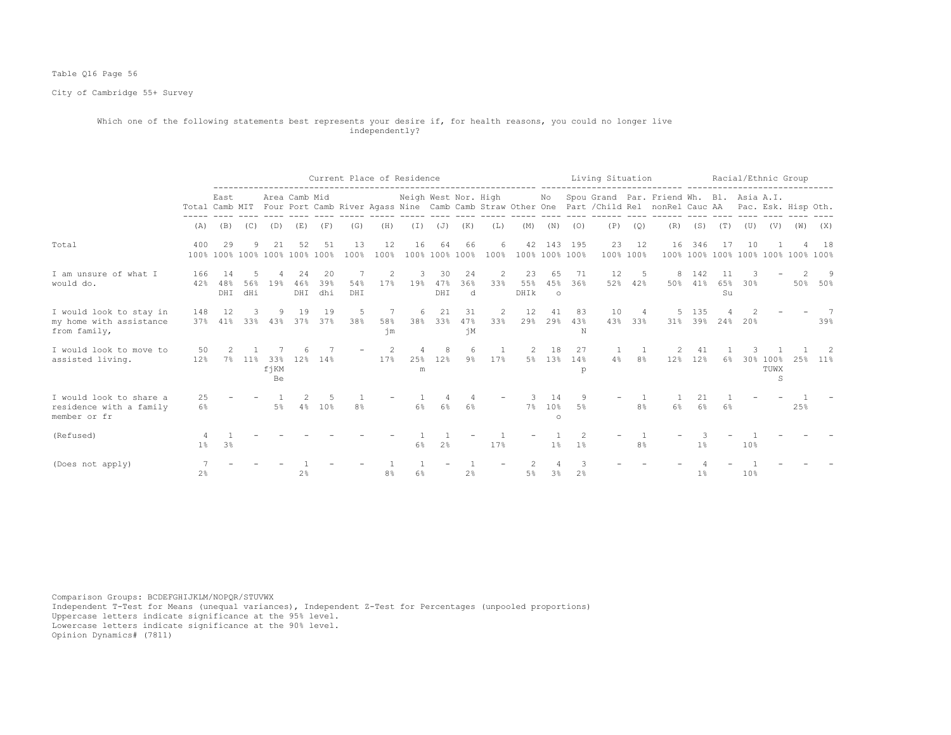## Table Q16 Page 56

City of Cambridge 55+ Survey

#### Which one of the following statements best represents your desire if, for health reasons, you could no longer live independently?

|                                                                    |                |                                     |                 |                   |                  |                   |                  |                | Current Place of Residence |                   |                      |           |                      |                      |                | Living Situation |                 |                                                                                                                                                                             |                |                                    |                 | Racial/Ethnic Group   |     |         |
|--------------------------------------------------------------------|----------------|-------------------------------------|-----------------|-------------------|------------------|-------------------|------------------|----------------|----------------------------|-------------------|----------------------|-----------|----------------------|----------------------|----------------|------------------|-----------------|-----------------------------------------------------------------------------------------------------------------------------------------------------------------------------|----------------|------------------------------------|-----------------|-----------------------|-----|---------|
|                                                                    |                | East                                |                 |                   | Area Camb Mid    |                   |                  |                | Neigh West Nor. High       |                   |                      |           |                      |                      |                |                  |                 | No Spou Grand Par. Friend Wh. Bl. Asia A.I.<br>Total Camb MIT Four Port Camb River Agass Nine Camb Camb Straw Other One Part / Child Rel nonRel Cauc AA Pac. Esk. Hisp Oth. |                |                                    |                 |                       |     |         |
|                                                                    | (A)            | (B)                                 | (C)             | (D)               | (E)              | (F)               | (G)              | (H)            | (I)                        | (J)               | (K)                  | (L)       | (M)                  | (N)                  | (0)            | (P)              | (Q)             | (R)                                                                                                                                                                         | (S)            | (T)                                | (U)             | (V)                   | (W) | (X)     |
| Total                                                              | 400            | 29<br>100% 100% 100% 100% 100% 100% |                 | 21                | 52               | 51                | 13<br>100%       | 12<br>100%     | 16                         | 64                | 66<br>100% 100% 100% | 6<br>100% | 42<br>100% 100% 100% | 143                  | 195            | 23               | 12<br>100% 100% | 16                                                                                                                                                                          | 346            | 100% 100% 100% 100% 100% 100% 100% | 10              |                       |     | 18      |
| I am unsure of what I<br>would do.                                 | 166<br>42%     | 14<br>48%<br>DHI                    | 5<br>56%<br>dHi | 19%               | 24<br>46%<br>DHI | -20<br>39%<br>dhi | -7<br>54%<br>DHI | 2<br>17%       | 3<br>19%                   | -30<br>47%<br>DHI | 24<br>36%<br>d       | 2<br>33%  | 23<br>55%<br>DHIK    | 65<br>45%<br>$\circ$ | - 71<br>36%    | 12               | 5<br>52% 42%    | 8                                                                                                                                                                           | 142<br>50% 41% | 65%<br>Su                          | 30%             |                       |     | 50% 50% |
| I would look to stay in<br>my home with assistance<br>from family, | 148<br>37%     | 12<br>41%                           | 3<br>33%        | 43%               | 19               | 19<br>37% 37%     | 5<br>38%         | 7<br>58%<br>ήm | 6<br>38%                   | 21<br>33%         | 31<br>47%<br>ήM      | 2<br>33%  | 12<br>29%            | 41<br>29%            | 83<br>43%<br>N | 10<br>43%        | 4<br>33%        | 5<br>31%                                                                                                                                                                    | 135            | 39% 24%                            | 20%             |                       |     | 39%     |
| I would look to move to<br>assisted living.                        | 50<br>12%      | $7\%$                               | $11\%$          | 33%<br>fjKM<br>Be | 12%              | 14%               |                  | 17%            | 25%<br>m                   | 8<br>12%          | $9\%$                | 17%       | 5%                   | 18<br>13%            | 27<br>14%<br>p | 4%               | 8%              | 12%                                                                                                                                                                         | 12%            | $6\%$                              |                 | 30% 100%<br>TUWX<br>S | 25% | $11\%$  |
| I would look to share a<br>residence with a family<br>member or fr | 25<br>6%       |                                     |                 | 5%                | 4%               | 10%               | 8 <sup>°</sup>   |                | 6%                         | $6\%$             | $6\%$                |           | $7\%$                | 14<br>10%<br>$\circ$ | .5%            |                  | 8%              | 6%                                                                                                                                                                          | 6%             | 6%                                 |                 |                       | 25% |         |
| (Refused)                                                          | $1\%$          | 3 <sup>°</sup>                      |                 |                   |                  |                   |                  |                | 6%                         | 2%                |                      | 17%       |                      | $1\%$                | 1 <sup>°</sup> |                  | 8%              |                                                                                                                                                                             | 1%             |                                    | 10 <sub>8</sub> |                       |     |         |
| (Does not apply)                                                   | 2 <sup>8</sup> |                                     |                 |                   | 2 <sup>°</sup>   |                   |                  | 8%             | 6%                         |                   | 2 <sup>°</sup>       |           | 5%                   | $3\%$                | 2 <sup>°</sup> |                  |                 |                                                                                                                                                                             | 1%             |                                    | 10%             |                       |     |         |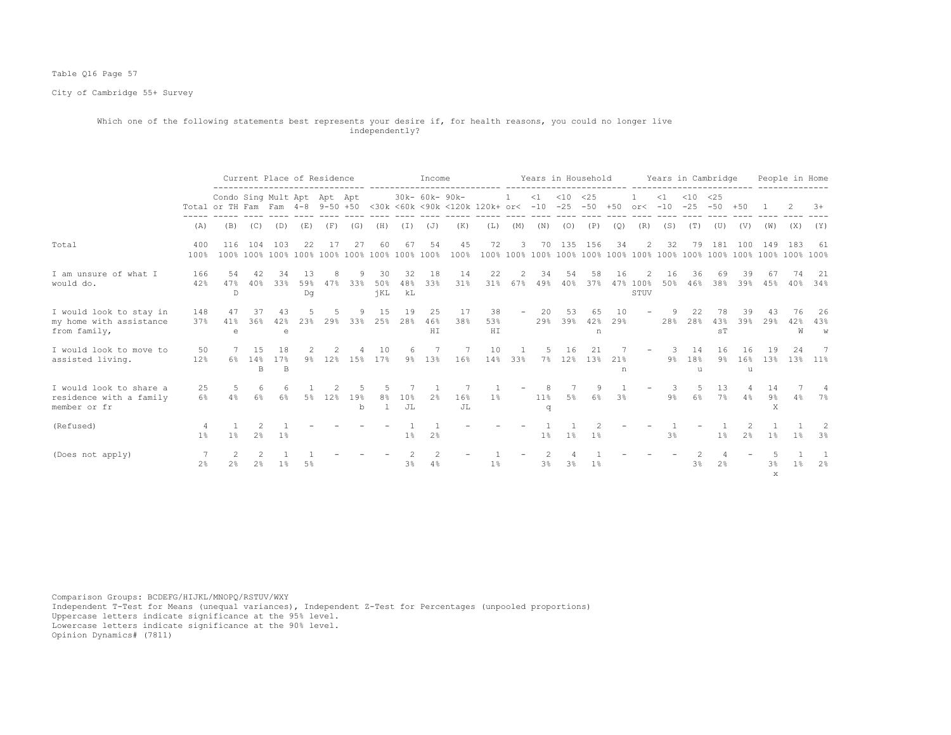## Table Q16 Page 57

City of Cambridge 55+ Survey

#### Which one of the following statements best represents your desire if, for health reasons, you could no longer live independently?

|                                                                    |                |                                                                 |                  | Current Place of Residence |            |          |                    |                                      |                 | Income          |            |                                                        |              | Years in Household            |           |                |           |                  |                                  |                | Years in Cambridge |                |                    | People in Home |                    |
|--------------------------------------------------------------------|----------------|-----------------------------------------------------------------|------------------|----------------------------|------------|----------|--------------------|--------------------------------------|-----------------|-----------------|------------|--------------------------------------------------------|--------------|-------------------------------|-----------|----------------|-----------|------------------|----------------------------------|----------------|--------------------|----------------|--------------------|----------------|--------------------|
|                                                                    |                | Condo Sing Mult Apt Apt Apt<br>Total or TH Fam Fam 4-8 9-50 +50 |                  |                            |            |          |                    |                                      |                 | 30k- 60k- 90k-  |            | <30k <60k <90k <120k 120k+ or< -10 -25 -50 +50 or< -10 | <b>1</b>     | $<1$ $<10$ $<25$              |           |                |           |                  | $\leq 1$                         | $< 10$ $< 25$  | $-25 - 50 + 50$    |                |                    |                | $3+$               |
|                                                                    | (A)            |                                                                 |                  | $(B)$ $(C)$ $(D)$          |            |          | (E) (F) (G)        |                                      |                 | (H) (I) (J)     | (K)        |                                                        |              | $(L)$ $(M)$ $(N)$ $(O)$ $(P)$ |           |                | (Q)       |                  |                                  |                | (R) (S) (T) (U)    | (V)            | (W)                | (X)            | (Y)                |
| Total                                                              | 400<br>100%    | 116                                                             | 104              | 103                        | 22         | 17       | 27                 | 60                                   | 67              | 54              | 45<br>100% | 72                                                     | $\mathbf{3}$ | 70                            | 135       | 156            | 34        | 2                | 32                               | 79             | 181                | 100            | 149                | 183            | 61                 |
| I am unsure of what I<br>would do.                                 | 166<br>42%     | .54<br>47%<br>$\mathbb{D}$                                      | 42               | -34<br>40% 33%             | -1.3<br>Dq |          | 59% 47% 33%        | 30<br>$50\%$<br>jKL                  | 32<br>48%<br>kL | 18<br>33%       | 14<br>31%  | 22                                                     | 2            | 34<br>31% 67% 49% 40% 37%     | 54        | 58             | 16        | 47% 100%<br>STUV | -16<br>50%                       | 36             | -69<br>46% 38% 39% | -39            | 4.5%               | 74             | - 21<br>$40\%$ 34% |
| I would look to stay in<br>my home with assistance<br>from family, | 148<br>37%     | 47<br>41%<br>$\epsilon$                                         | 37<br>36%        | 43<br>42%<br>e             | 23%        | 5<br>29% | 9<br>33%           | 15                                   | 19<br>25% 28%   | 25<br>46%<br>HI | 17<br>38%  | 38<br>53%<br>HI                                        |              | 20<br>$ -$<br>29%             | 53<br>39% | 65<br>42%<br>n | 10<br>29% |                  | -9                               | 22<br>28% 28%  | 78<br>43%<br>ST    | 39<br>39%      | 43<br>29%          | 76<br>42%<br>W | 26<br>43%<br>W     |
| I would look to move to<br>assisted living.                        | 50<br>12%      | 6%                                                              | 1.5<br>14%<br>R. | 18<br>17%<br>$\mathbb{B}$  |            |          | 9% 12% 15% 17%     | 10                                   |                 | 9% 13%          | 16%        | 10<br>14%                                              | 33%          | $7\%$                         | 16        | 21<br>12% 13%  | 21%<br>n  |                  | 9%                               | 14<br>18%<br>u | 16<br>9%           | 16<br>16%<br>u | 19<br>13%          | 24<br>1.3%     | 11%                |
| I would look to share a<br>residence with a family<br>member or fr | 25<br>6%       | -5<br>4%                                                        | 6<br>6%          | -6<br>6%                   | 5%         | 12%      | 19%<br>$\mathbf b$ | -5<br>8 <sup>°</sup><br>$\mathbf{1}$ | 10%<br>JL       | 2%              | 16%<br>JL  | $1\%$                                                  |              | 11%<br>q                      | 5%        | 9<br>6%        | 3%        |                  | $\overline{\phantom{a}}$ 3<br>9% | 6%             | $5 \t 13$          | 7% 4%          | 14<br>9%<br>X      |                | $4\%$ 7%           |
| (Refused)                                                          | -4<br>1%       | 1%                                                              | 2 <sup>°</sup>   | $1\%$                      |            |          |                    |                                      | $1\%$           | 2 <sup>°</sup>  |            |                                                        |              | $1\%$                         | $1\%$     | $1\%$          |           |                  | 3%                               |                | 1%                 | 2%             | 1%                 | 1%             | 3%                 |
| (Does not apply)                                                   | 2 <sup>8</sup> | 2 <sup>°</sup>                                                  | 2 <sup>°</sup>   | 1%                         | 5%         |          |                    |                                      | 3%              | 4%              |            | 1%                                                     |              | 3%                            | 3%        | 1 <sup>°</sup> |           |                  |                                  | 3%             | 2 <sup>°</sup>     |                | 3%<br>$\mathbf{x}$ | 1%             | 2%                 |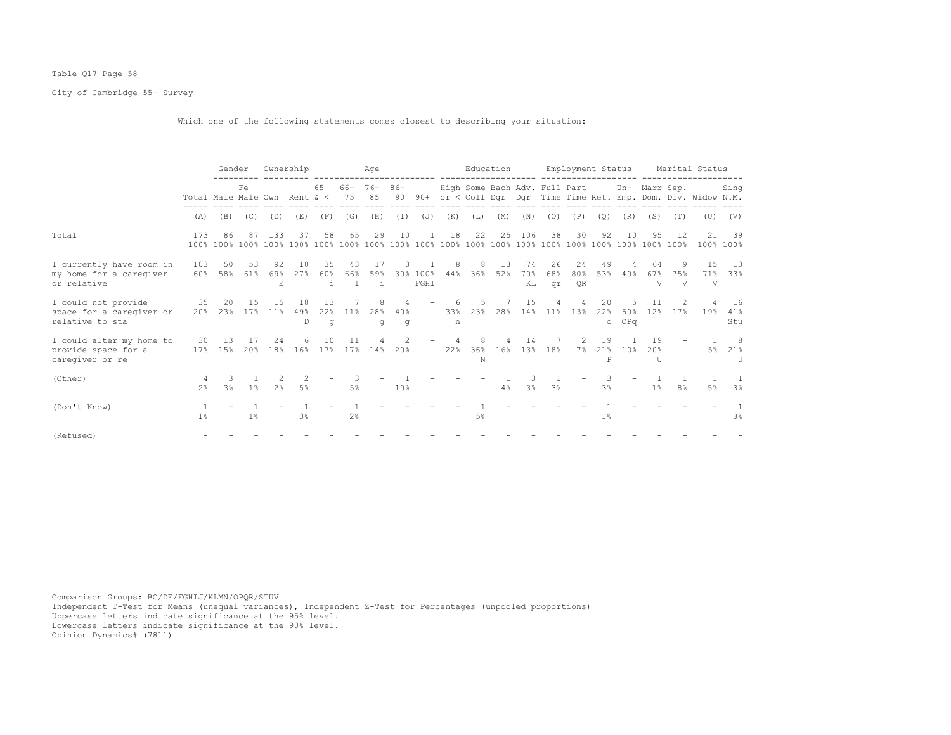## Table Q17 Page 58

# City of Cambridge 55+ Survey

Which one of the following statements comes closest to describing your situation:

|                                                                    |                              | Gender              |            |                 | Ownership      |                 |                      | Age            |               |                  |          |           | Education   |                 |                               |                        | Employment Status    |                 |                              |                | Marital Status                                             |                  |
|--------------------------------------------------------------------|------------------------------|---------------------|------------|-----------------|----------------|-----------------|----------------------|----------------|---------------|------------------|----------|-----------|-------------|-----------------|-------------------------------|------------------------|----------------------|-----------------|------------------------------|----------------|------------------------------------------------------------|------------------|
|                                                                    | Total Male Male Own Rent & < |                     | Fe         |                 |                | 65              | $66 - 76 -$<br>75 85 |                | $86 -$<br>90  | $90+$            |          |           |             |                 | High Some Bach Adv. Full Part |                        |                      |                 | Un- Marr Sep.                |                | or < Coll Dgr Dgr Time Time Ret. Emp. Dom. Div. Widow N.M. | Sing             |
|                                                                    | (A)                          | (B)                 | (C)        | (D)             | (E)            | (F)             | (G)                  | (H)            | (T)           | (J)              | (K)      | (L)       | (M)         | (N)             | (0)                           | (P)                    | (Q)                  | (R)             | (S)                          | (T)            | (U)                                                        | (V)              |
| Total                                                              | 173                          | 86                  | 87         | 133             | 37             | 58              | 65                   | 29             | 10            |                  | 18       | 22        | 25          | 106             | 38                            | 30                     | 92                   | 10              | 95                           | 12.            | 21                                                         | 39<br>100% 100%  |
| I currently have room in<br>my home for a caregiver<br>or relative | 103<br>60%                   | 50<br>58%           | 53<br>61%  | 92<br>69%<br>E. | 10<br>2.7%     | 35<br>60%<br>i. | 43<br>66%<br>T       | 17<br>59%<br>i | 3.            | 30% 100%<br>FGHI | 8<br>44% | 8<br>36%  | -1.3<br>52% | 74<br>70%<br>KL | 26<br>68%<br>qr               | 24<br>80%<br><b>OR</b> | 49<br>53%            | 40%             | 64<br>67%<br>$\overline{V}$  | 75%<br>V       | 1.5<br>$\overline{V}$                                      | 13<br>71% 33%    |
| I could not provide<br>space for a caregiver or<br>relative to sta | 35<br>20%                    | -20<br>23%          | 1.5<br>17% | 1.5<br>11%      | 18<br>49%<br>D | 13<br>22%<br>q  | 11%                  | 8<br>28%<br>q  | 4<br>40%<br>g |                  | 33%<br>n | 5.<br>23% | 28%         | 15<br>14%       | 4<br>11%                      | 13%                    | 20<br>22%<br>$\circ$ | 50%<br>OPq      | 12%                          | 17%            | 19%                                                        | 16<br>41%<br>Stu |
| I could alter my home to<br>provide space for a<br>caregiver or re | 30<br>17 <sup>°</sup>        | -13<br>15%          | 17<br>20%  | 2.4<br>18%      | 6<br>16%       | 10<br>17%       | 11<br>17%            | 14%            | 20%           |                  | 22%      | 36%<br>N  | 16%         | 14<br>13%       | 18%                           | $\mathfrak{D}$<br>7%   | 19<br>21%<br>Þ       | 10 <sup>8</sup> | 19<br>$20$ %<br>$\mathbb{I}$ |                | 5%                                                         | - 8<br>21%<br>TT |
| (Other)                                                            | 2.8                          | 3<br>3 <sup>8</sup> | $1\%$      | 2 <sup>°</sup>  | 5 <sup>°</sup> |                 | 5%                   |                | 10%           |                  |          |           | 4%          | 3 <sup>°</sup>  | 3 <sup>°</sup>                |                        | 3 <sup>°</sup>       |                 | $1\%$                        | 8 <sup>°</sup> | 5%                                                         | 3%               |
| (Don't Know)                                                       | 1 <sup>°</sup>               |                     | $1\%$      |                 | 3 <sup>°</sup> |                 | 2 <sup>8</sup>       |                |               |                  |          | 5%        |             |                 |                               |                        | $1\%$                |                 |                              |                |                                                            | 3 <sup>8</sup>   |
| (Refused)                                                          |                              |                     |            |                 |                |                 |                      |                |               |                  |          |           |             |                 |                               |                        |                      |                 |                              |                |                                                            |                  |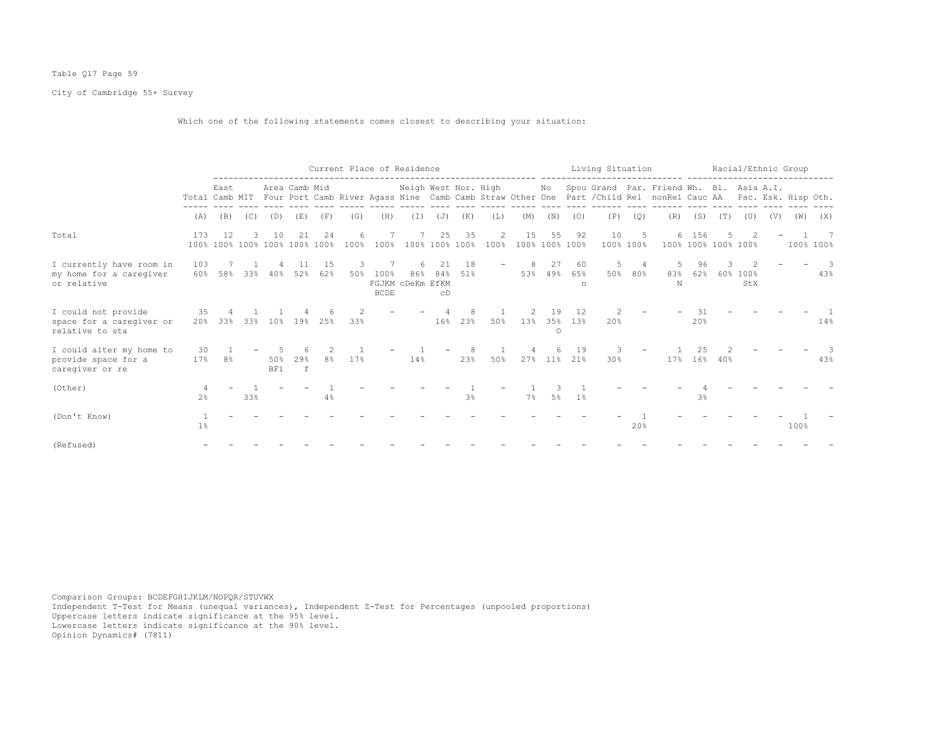## Table Q17 Page 59

City of Cambridge 55+ Survey

Which one of the following statements comes closest to describing your situation:

|                                                                    |                     |                                     |     |            |                      |           |           |                     | Current Place of Residence   |                      |           |           |                      |               |                   | Living Situation |                 |                                                                                                                                       |                |          | Racial/Ethnic Group |     |      |                     |
|--------------------------------------------------------------------|---------------------|-------------------------------------|-----|------------|----------------------|-----------|-----------|---------------------|------------------------------|----------------------|-----------|-----------|----------------------|---------------|-------------------|------------------|-----------------|---------------------------------------------------------------------------------------------------------------------------------------|----------------|----------|---------------------|-----|------|---------------------|
|                                                                    | Total Camb MIT      | East                                |     |            | Area Camb Mid        |           |           |                     | Neigh West Nor. High         |                      |           |           |                      | No            |                   |                  |                 | Spou Grand Par. Friend Wh. Bl. Asia A.I.<br>Four Port Camb River Agass Nine Camb Camb Straw Other One Part / Child Rel nonRel Cauc AA |                |          |                     |     |      | Pac. Esk. Hisp Oth. |
|                                                                    | (A)                 | (B)                                 | (C) | (D)        | (E)                  | (F)       | (G)       | (H)                 | $(\top)$                     | (J)                  | (K)       | (L)       | (M)                  | (N)           | (0)               | (P)              | (Q)             | (R)                                                                                                                                   | (S)            | (T)      | (U)                 | (V) | (W)  | (X)                 |
| Total                                                              | 173                 | 12<br>100% 100% 100% 100% 100% 100% | 3.  | 10         | 21                   | 24        | 6<br>100% | 100%                |                              | 25<br>100% 100% 100% | 35        | 2<br>100% | 15<br>100% 100% 100% | 55            | 92                | 10               | -5<br>100% 100% | 100% 100% 100% 100%                                                                                                                   | 6 156          |          |                     |     |      | - 7<br>100% 100%    |
| I currently have room in<br>my home for a caregiver<br>or relative | 103<br>60%          | 58%                                 | 33% | 40%        | 11<br>52%            | 15<br>62% | 3<br>50%  | 100%<br><b>BCDE</b> | 6<br>86%<br>FGJKM cDeKm EfKM | 21<br>84%<br>CD      | 18<br>51% |           | 8<br>53%             | 27<br>49%     | 60<br>65%<br>n    | 5<br>50%         | 4<br>80%        | 5<br>83%<br>$_{\rm N}$                                                                                                                | 96<br>62%      | 3<br>60% | 100%<br>StX         |     |      | -3<br>43%           |
| I could not provide<br>space for a caregiver or<br>relative to sta | 35<br>20%           | 33%                                 | 33% | 10%        | 19%                  | 25%       | 33%       |                     |                              | 16%                  | 23%       | 50%       | 13%                  | 19<br>$\circ$ | 12<br>35% 13%     | 20%              |                 |                                                                                                                                       | 31<br>20%      |          |                     |     |      | 14%                 |
| I could alter my home to<br>provide space for a<br>caregiver or re | 30<br>17%           | 8%                                  |     | 50%<br>BFi | 29 <sub>8</sub><br>f | 8%        | 17%       |                     | 14%                          |                      | 23%       | 50%       |                      | 6             | 19<br>27% 11% 21% | 3<br>30%         |                 | 17%                                                                                                                                   | 2.5            | 16% 40%  |                     |     |      | 43%                 |
| (Other)                                                            | 4<br>2 <sup>°</sup> |                                     | 33% |            |                      | 4%        |           |                     |                              |                      | 3%        |           | 7%                   | 5%            | $1\%$             |                  |                 |                                                                                                                                       | 3 <sup>°</sup> |          |                     |     |      |                     |
| (Don't Know)                                                       | $1\%$               |                                     |     |            |                      |           |           |                     |                              |                      |           |           |                      |               |                   |                  | 20%             |                                                                                                                                       |                |          |                     |     | 100% |                     |
| (Refused)                                                          |                     |                                     |     |            |                      |           |           |                     |                              |                      |           |           |                      |               |                   |                  |                 |                                                                                                                                       |                |          |                     |     |      |                     |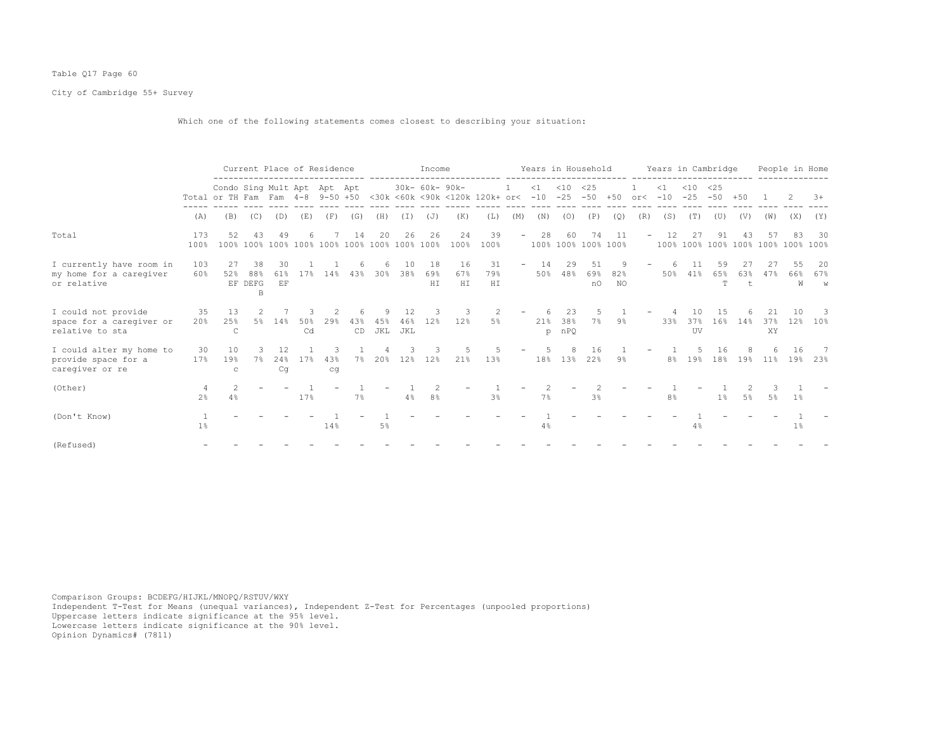## Table Q17 Page 60

City of Cambridge 55+ Survey

Which one of the following statements comes closest to describing your situation:

|                                                                    |                       |                                                                 |                           | Current Place of Residence |            |                |              |                 |                  | Income           |                  |                                                                    |                          | Years in Household |                  |                           |                  |                          | Years in Cambridge |               |                                          |           |                 |                | People in Home                  |
|--------------------------------------------------------------------|-----------------------|-----------------------------------------------------------------|---------------------------|----------------------------|------------|----------------|--------------|-----------------|------------------|------------------|------------------|--------------------------------------------------------------------|--------------------------|--------------------|------------------|---------------------------|------------------|--------------------------|--------------------|---------------|------------------------------------------|-----------|-----------------|----------------|---------------------------------|
|                                                                    |                       | Condo Sing Mult Apt Apt Apt<br>Total or TH Fam Fam 4-8 9-50 +50 |                           |                            |            |                |              |                 |                  | 30k- 60k- 90k-   |                  | <30k <60k <90k <120k 120k+ or< -10 -25 -50 +50 or< -10 -25 -50 +50 | $1 -$                    | $<1$ $<10$ $<25$   |                  |                           |                  |                          | $\leq 1$           | $< 10 \le 25$ |                                          |           |                 |                | $3+$                            |
|                                                                    | (A)                   | (B)                                                             | (C)                       | (D)                        | (E)        | (F)            | (G)          | (H)             | ( I )            | (J)              | (K)              | (L)                                                                | (M)                      | (N)                | (0)              | (P)                       | (Q)              | (R)                      | (S)                | (T)           | (U)                                      | (V)       | (W)             | (X)            | (Y)                             |
| Total                                                              | 173<br>100%           | 52                                                              | 43                        | -49                        | 6          | 7              | 14           | 20              | 26               | 26               | 24<br>100%       | 39<br>100%                                                         | $\sim$                   | 28                 | 60               | 74<br>100% 100% 100% 100% | 11               | $ \,$                    | 12                 | 27            | 91<br>100% 100% 100% 100% 100% 100% 100% | 43        | 57              | 83             | -30                             |
| I currently have room in<br>my home for a caregiver<br>or relative | 103<br>60%            | 27<br>52%                                                       | 38<br>88%<br>EF DEFG<br>B | 30<br>61%<br>EF            | 17%        |                | 6<br>14% 43% | 6               | 10<br>30% 38%    | 18<br>69%<br>HI  | 16<br>67%<br>H I | 31<br>79%<br>H I                                                   | $\overline{\phantom{a}}$ | 14                 | 29<br>50% 48%    | 51<br>69%<br>nO           | - 9<br>82%<br>NO | $\overline{\phantom{0}}$ | 6<br>50%           | 11<br>41%     | 59<br>65%<br>T.                          | 27<br>63% | 27<br>47%       | 55<br>66%<br>W | - 20<br>67%<br>W                |
| I could not provide<br>space for a caregiver or<br>relative to sta | 35<br>20%             | 13<br>25%<br>C                                                  | 2                         | 5% 14%                     | 50%<br>Cd  | 2<br>29%       | 43%<br>CD    | 9<br>45%<br>JKL | 12<br>46%<br>JKL | 3<br>12%         | -3<br>12%        | -2<br>5%                                                           |                          | 21%<br>p           | 23<br>38%<br>nPO | 5<br>$7\%$                | 9%               |                          | 33%                | UV            | 15<br>37% 16% 14%                        |           | 21<br>37%<br>XY | 12%            | -3<br>10%                       |
| I could alter my home to<br>provide space for a<br>caregiver or re | 30<br>17 <sup>°</sup> | 10<br>19%<br>$\mathbf C$                                        |                           | 12<br>Cq                   | $24\%$ 17% | 3<br>43%<br>cq | $7\%$        |                 |                  | 3<br>20% 12% 12% | 21%              | -5<br>13%                                                          | $\overline{\phantom{a}}$ | .5.                | 8                | 16<br>18% 13% 22%         | 9%               |                          |                    | 5.            | 16                                       |           | 6               | 16             | 7<br>8% 19% 18% 19% 11% 19% 23% |
| (Other)                                                            | 4<br>2 <sup>8</sup>   | 4%                                                              |                           |                            | 17%        |                | 7%           |                 | 4%               | $8\,$ $\,$       |                  | 3%                                                                 |                          | 7%                 |                  | 3%                        |                  |                          | 8 <sup>°</sup>     |               | $1\%$                                    | 5%        | 5%              | 1%             |                                 |
| (Don't Know)                                                       | 1 <sup>°</sup>        |                                                                 |                           |                            |            | 14%            |              | 5%              |                  |                  |                  |                                                                    |                          | 4%                 |                  |                           |                  |                          |                    | 4%            |                                          |           |                 | $1\%$          |                                 |
| (Refused)                                                          |                       |                                                                 |                           |                            |            |                |              |                 |                  |                  |                  |                                                                    |                          |                    |                  |                           |                  |                          |                    |               |                                          |           |                 |                |                                 |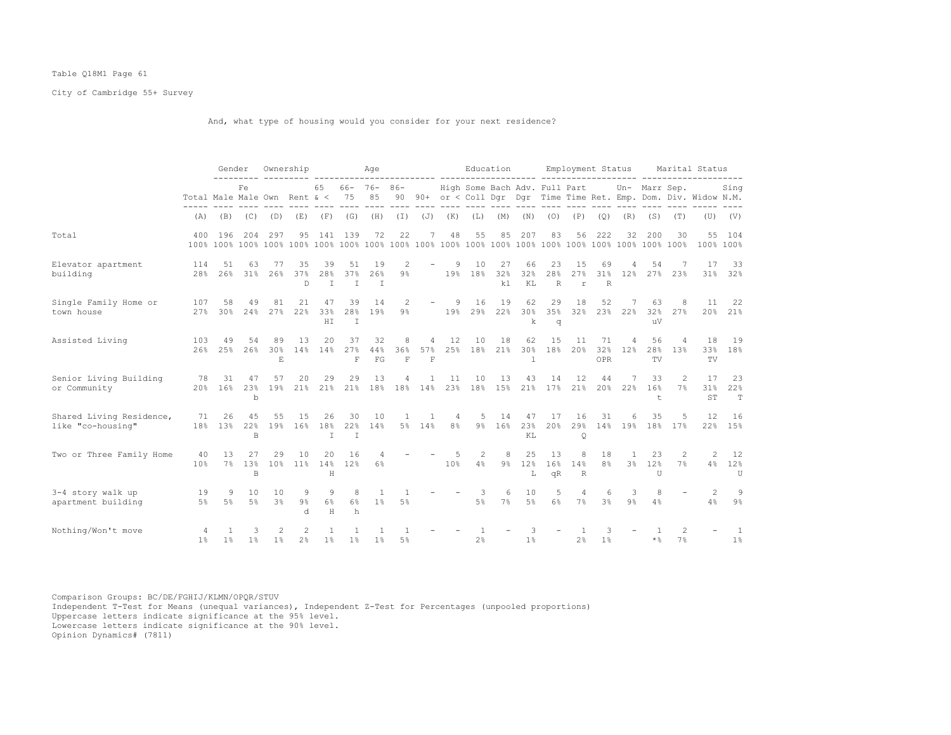## Table Q18M1 Page 61

City of Cambridge 55+ Survey

And, what type of housing would you consider for your next residence?

|                                               |                                  | Gender        |                              |                                     | Ownership                        |                  |                          | Age                            |                         |                         |                     | Education            |                 |                      |                           |                          |                      | Employment Status     |                                             |                     | Marital Status                                                    |                      |
|-----------------------------------------------|----------------------------------|---------------|------------------------------|-------------------------------------|----------------------------------|------------------|--------------------------|--------------------------------|-------------------------|-------------------------|---------------------|----------------------|-----------------|----------------------|---------------------------|--------------------------|----------------------|-----------------------|---------------------------------------------|---------------------|-------------------------------------------------------------------|----------------------|
|                                               | Total Male Male Own Rent $\<$ 75 |               | Fe                           |                                     |                                  | 65               |                          | $66 - 76 - 86 -$<br>85         |                         |                         |                     |                      |                 |                      |                           |                          |                      |                       | High Some Bach Adv. Full Part Un- Marr Sep. |                     | 90 90+ or < Coll Dqr Dqr Time Time Ret. Emp. Dom. Div. Widow N.M. | Sing                 |
|                                               | (A)                              | (B)           | (C)                          | (D)                                 | (E)                              |                  | $(F)$ $(G)$              | (H)                            | $(\bot)$                | (J)                     | (K)                 | (L)                  | (M)             | (N)                  | (0)                       | (P)                      | (Q)                  | (R)                   | (S)                                         | (T)                 | (U)                                                               | (V)                  |
| Total                                         | 400                              | 196           | 204                          | 297                                 | 95                               | 141              | 139                      | 72                             | 22                      | 7                       | 48                  | 55                   | 85              | 207                  | 83                        | 56                       | 222                  | 32                    | 200                                         | 30                  | 55                                                                | 104<br>100% 100%     |
| Elevator apartment<br>building                | 114<br>28%                       | 51<br>26%     | 63<br>31%                    | 77<br>26%                           | 35<br>37%<br>D.                  | 39<br>28%<br>T   | 51<br>37%<br>T           | 19<br>26%<br>T                 | 2<br>9 <sup>°</sup>     |                         | 9                   | 10<br>19% 18%        | 27<br>32%<br>k1 | 66<br>32%<br>KL      | 23<br>28%<br>$\mathbb{R}$ | 15<br>27%<br>$\mathbf r$ | 69<br>$\mathbb{R}$   | 31% 12%               | 54<br>27%                                   | 23%                 | 17<br>31%                                                         | 33<br>32%            |
| Single Family Home or<br>town house           | 107<br>27%                       | 58<br>30%     | 49<br>24%                    | 81<br>27%                           | 21<br>22%                        | 47<br>33%<br>HT. | 39<br>$\mathbb{I}$       | 14<br>28% 19%                  | 2<br>$9\%$              |                         | - 9                 | 16<br>19% 29% 22%    | 19              | 62<br>30%<br>k       | 29<br>$\alpha$            | 18                       | 52                   | -7<br>35% 32% 23% 22% | 63<br>11V                                   | - 8<br>32% 27%      | 11                                                                | 22<br>20% 21%        |
| Assisted Living                               | 103                              | 49            | 54<br>26% 25% 26%            | 89<br>30%<br>$\mathop{}\mathcal{E}$ | 13<br>14%                        | 20<br>14%        | 37<br>27%<br>$\mathbf F$ | 32<br>44%<br>FG                | 8<br>36%<br>$\mathbf F$ | 4<br>57%<br>$\mathbf F$ | 12                  | 10<br>25% 18%        | 18<br>21%       | 62<br>30%<br>1       | 15<br>18%                 | 11<br>20%                | 71<br>32%<br>OPR     | $\overline{4}$<br>12% | 56<br>28%<br>TV                             | 4<br>13%            | 18<br>TV                                                          | 19<br>33% 18%        |
| Senior Living Building<br>or Community        | 78                               | 31<br>20% 16% | 47<br>23%<br>b               | 57<br>19%                           | 20                               | 29<br>21% 21%    | 29                       | 13<br>21% 18% 18% 14%          | 4                       | $\mathbf{1}$            | 11<br>23%           | 10<br>18%            | 13<br>15%       | 43<br>21%            | 14                        | 12<br>17% 21%            | 44                   | 7<br>20% 22%          | 33<br>16%<br>t                              | $\mathcal{L}$<br>7% | 17<br>31%<br>ST                                                   | 23<br>22%<br>T       |
| Shared Living Residence,<br>like "co-housing" | 71                               | 26            | 45<br>18% 13% 22%<br>B       | 55                                  | 15<br>19% 16%                    | 26<br>18%<br>T   | 30<br>22%<br>T           | 10<br>14%                      | $\overline{1}$          | - 1<br>5% 14%           | 4<br>8 <sup>°</sup> | 5                    | 14<br>9% 16%    | 47<br>23%<br>KL      | 17<br>20%                 | 16<br>29%<br>$\circ$     | 31                   | 6<br>14% 19%          | 35<br>18%                                   | 5<br>17%            | 12<br>22%                                                         | 16<br>15%            |
| Two or Three Family Home                      | 40<br>10%                        | 13            | 27<br>7% 13%<br><sub>R</sub> | 29                                  | 10<br>10% 11% 14%                | 20<br>H          | 16<br>12%                | 4<br>$6\%$                     |                         |                         | .5<br>10%           | $\overline{2}$<br>4% | 8<br>$9\%$      | 25<br>12%<br>L       | 13<br>16%<br>qR           | 8<br>14%<br>R            | 18<br>8 <sup>°</sup> | $\overline{1}$        | 23<br>3% 12%<br>U                           | 2<br>7%             | 2<br>4%                                                           | 12<br>12%<br>U       |
| 3-4 story walk up<br>apartment building       | 19<br>5%                         | 9<br>5%       | 10<br>5%                     | 10<br>3 <sup>°</sup>                | 9<br>$9\%$<br>d.                 | 9<br>$6\%$<br>H  | 8<br>6%<br>h             | <sup>1</sup><br>1 <sup>8</sup> | 5%                      |                         |                     | 3<br>5%              | 6<br>7%         | 10<br>5 <sup>8</sup> | -5<br>$6\%$               | $\overline{4}$<br>7%     | 6<br>3 <sup>8</sup>  | 3<br>9 <sup>°</sup>   | 8<br>4%                                     |                     | $\mathcal{L}$<br>4%                                               | 9<br>$9\%$           |
| Nothing/Won't move                            | 4<br>1 <sup>°</sup>              | 1%            | 3<br>$1\%$                   | 2<br>1%                             | $\overline{c}$<br>2 <sup>°</sup> | 1%               | 1%                       | 1 <sup>°</sup>                 | 5%                      |                         |                     | 2%                   |                 | 1%                   |                           | 2 <sup>°</sup>           | 3<br>1%              |                       | $\star$ %                                   | 7%                  |                                                                   | -1<br>1 <sup>°</sup> |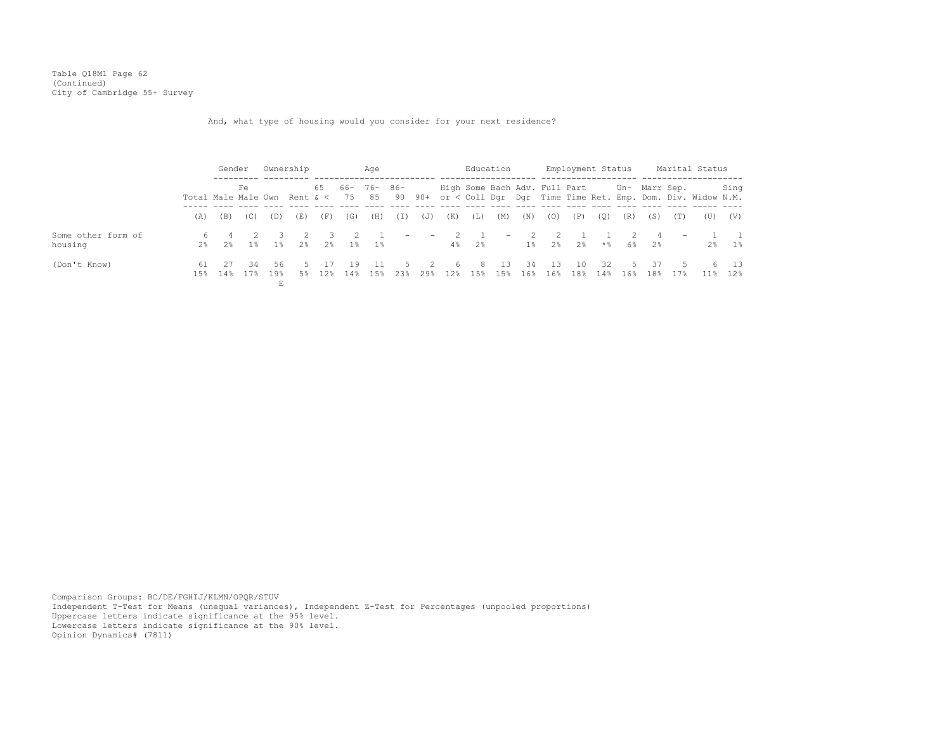Table Q18M1 Page 62 (Continued) City of Cambridge 55+ Survey

And, what type of housing would you consider for your next residence?

|                               |                                        |                     | Gender     |                     | Ownership |             |                | Age                   |                          |                 |            |             | Education                |                |                               | Employment Status |             |                      |                      |                          | Marital Status                                                 |                         |
|-------------------------------|----------------------------------------|---------------------|------------|---------------------|-----------|-------------|----------------|-----------------------|--------------------------|-----------------|------------|-------------|--------------------------|----------------|-------------------------------|-------------------|-------------|----------------------|----------------------|--------------------------|----------------------------------------------------------------|-------------------------|
|                               | Total Male Male Own Rent $\<$ 75 85 90 |                     | Fe         |                     |           |             |                | $65$ $66 - 76 - 86 -$ |                          |                 |            |             |                          |                | High Some Bach Adv. Full Part |                   |             |                      | Un- Marr Sep.        |                          | 90+ or < Coll Dgr Dgr Time Time Ret. Emp. Dom. Div. Widow N.M. | Sing                    |
|                               | (A)                                    | (B)                 | (C)        | (D)                 | (E)       | (F)         | (G)            | (H)                   | (T)                      | (J)             | (K)        | (L)         | (M)                      | (N)            | (0)                           | (P)               | (0)         | (R)                  | (S)                  | (T)                      | (U)                                                            | (V)                     |
| Some other form of<br>housing |                                        | $2\%$ $2\%$         | $1\,$ $\,$ | 1%                  | $2\,$     | -3          | $\overline{2}$ | $2\%$ 1% 1%           | $\overline{\phantom{m}}$ | $\sim$ $-$      | $\sim$ 2   | $4\%$ $2\%$ | $\overline{\phantom{a}}$ | $\overline{2}$ | $\overline{2}$<br>1% 2% 2%    |                   | * %         | $\overline{2}$<br>6% | $\overline{4}$<br>2% | $\overline{\phantom{a}}$ | $2\%$                                                          | $\overline{1}$<br>1%    |
| (Don't Know)                  | 61                                     | 27<br>$1.5%$ $1.4%$ | -34        | -56<br>17% 19%<br>Ε | 5<br>5%   | - 17<br>12% | 19<br>14%      | - 11<br>1.5%          | .5.<br>23%               | $\sim$ 2<br>29% | - 6<br>12% | - 8<br>15%  | - 13<br>15%              | -34<br>16%     | 13<br>16%                     | 10<br>18%         | - 32<br>14% | 16%                  | - 37<br>$5 -$<br>18% | .5.<br>17%               | 11%                                                            | 6 13<br>12 <sup>8</sup> |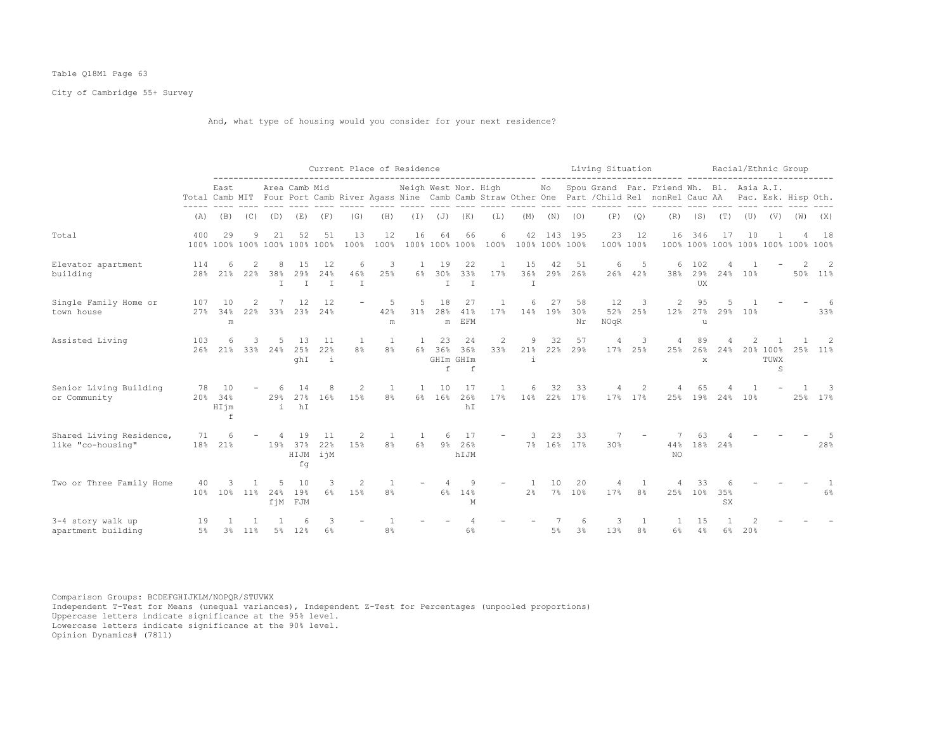## Table Q18M1 Page 63

City of Cambridge 55+ Survey

## And, what type of housing would you consider for your next residence?

|                                               |                       |                                     |          |                           |                          |                            |                          | Current Place of Residence     |                      |                           |                             |                       | _________________________________  | --------- |                  | Living Situation  |                 |                                                                                                                                                                          |                           |                                          |         | Racial/Ethnic Group   |     |                                     |
|-----------------------------------------------|-----------------------|-------------------------------------|----------|---------------------------|--------------------------|----------------------------|--------------------------|--------------------------------|----------------------|---------------------------|-----------------------------|-----------------------|------------------------------------|-----------|------------------|-------------------|-----------------|--------------------------------------------------------------------------------------------------------------------------------------------------------------------------|---------------------------|------------------------------------------|---------|-----------------------|-----|-------------------------------------|
|                                               |                       | East                                |          |                           | Area Camb Mid            |                            |                          |                                | Neigh West Nor. High |                           |                             |                       |                                    | No        |                  |                   |                 | Spou Grand Par. Friend Wh. Bl. Asia A.I.<br>Total Camb MIT Four Port Camb River Agass Nine Camb Camb Straw Other One Part / Child Rel nonRel Cauc AA Pac. Esk. Hisp Oth. |                           |                                          |         |                       |     |                                     |
|                                               | (A)                   | (B)                                 | (C)      | (D)                       | (E)                      | (F)                        | (G)                      | (H)                            | $(\bot)$             | (J)                       | (K)                         | (L)                   | (M)                                | (N)       | (O)              | (P)               | (Q)             | (R)                                                                                                                                                                      | (S)                       | (T)                                      | (U)     | (V)                   | (W) | (X)                                 |
| Total                                         | 400                   | 29<br>100% 100% 100% 100% 100% 100% | 9        | 21                        | 52                       | 51                         | 13<br>100%               | 12<br>100%                     | 16                   | 64                        | 66                          | 6                     | 100% 100% 100% 100% 100% 100% 100% | 42 143    | 195              | 23                | 12<br>100% 100% | 16                                                                                                                                                                       | 346                       | 17<br>100% 100% 100% 100% 100% 100% 100% | 10      |                       |     | 18                                  |
| Elevator apartment<br>building                | 114<br>28%            | 21%                                 | 2<br>22% | 8<br>38%<br>$\mathbb{I}$  | 15<br>29%<br>$\mathbb T$ | -12<br>24%<br>$\mathbb{I}$ | 6<br>46%<br>$\mathbb{I}$ | 3<br>25%                       | 1<br>$6\%$           | 19<br>30%<br>$\mathbf{I}$ | 22<br>33%<br>$\mathbb T$    | 17%                   | 15<br>36%<br>$\mathbb{I}$          | 42        | 51<br>29% 26%    | 6<br>26%          | 5<br>42%        | 6<br>38%                                                                                                                                                                 | 102<br>29%<br>UX          |                                          | 24% 10% |                       | 50% | 2<br>$11\%$                         |
| Single Family Home or<br>town house           | 107<br>27%            | 10<br>34%<br>m                      | 22%      | 33%                       | 12<br>23%                | 12<br>24%                  |                          | 5<br>42%<br>m                  | 5<br>31%             | 18<br>28%<br>${\rm m}$    | 27<br>41%<br>EFM            | $\overline{1}$<br>17% | 6<br>14%                           | 27<br>19% | 58<br>30%<br>Nr  | 12<br>52%<br>NOqR | 3<br>25%        | 2<br>12%                                                                                                                                                                 | 95<br>27%<br>u            | 29%                                      | 10%     |                       |     | 33%                                 |
| Assisted Living                               | 103<br>26%            | 21%                                 | 3<br>33% | .5<br>24%                 | -1.3<br>25%<br>ghI       | 11<br>22%<br>$\mathbf{i}$  | 8%                       | $\mathbf{1}$<br>8 <sup>°</sup> | $\overline{1}$<br>6% | 23<br>36%<br>f            | 24<br>36%<br>GHIm GHIm<br>f | 2<br>33%              | 9<br>21%<br>j.                     | 32<br>22% | 57<br>29%        | 4<br>17%          | 3<br>25%        | 4<br>25%                                                                                                                                                                 | 89<br>26%<br>$\mathbf{x}$ | 24%                                      |         | 20% 100%<br>TUWX<br>S | 25% | -2<br>11%                           |
| Senior Living Building<br>or Community        | 78                    | 10<br>20% 34%<br>HIjm<br>f          |          | 6<br>29 <sub>8</sub><br>i | 14<br>27%<br>hI          | 8<br>16%                   | 2<br>15%                 | 8 <sup>°</sup>                 | $\overline{1}$       | 10<br>6% 16%              | 17<br>26%<br>hI             | 17%                   | 6<br>14%                           | 32        | 33<br>22% 17%    | 4                 | 2<br>17% 17%    | $\overline{4}$<br>25%                                                                                                                                                    | 65<br>19%                 | 24%                                      | 10%     |                       |     | $\overline{\phantom{a}}$<br>25% 17% |
| Shared Living Residence,<br>like "co-housing" | 71<br>18 <sup>°</sup> | 6<br>21%                            |          | 19%                       | 19<br>37%<br>fg          | 11<br>22%<br>HIJM ijM      | 2<br>15%                 | -1<br>8 <sup>°</sup>           | -1<br>6%             | 6<br>9%                   | 17<br>26%<br>hIJM           |                       |                                    | 23        | 33<br>7% 16% 17% | 30%               |                 | 44%<br>NO.                                                                                                                                                               | 63<br>18%                 | 24%                                      |         |                       |     | 28%                                 |
| Two or Three Family Home                      | 40<br>10%             | 10%                                 | $11\%$   | .5<br>24%                 | 10<br>19%<br>fjM FJM     | 3<br>6%                    | 2<br>15%                 | 8 <sup>°</sup>                 |                      | 6%                        | 9<br>14%<br>M               |                       | 2 <sup>°</sup>                     | 10<br>7%  | 20<br>10%        | 17%               | 8 <sup>°</sup>  | 25%                                                                                                                                                                      | 33<br>10%                 | 35%<br><b>SX</b>                         |         |                       |     | 6%                                  |
| 3-4 story walk up<br>apartment building       | 19<br>5%              |                                     | 3% 11%   |                           | 5% 12%                   | 6%                         |                          | 8%                             |                      |                           | 6%                          |                       |                                    | 5%        | 3 <sup>°</sup>   | 13%               | 8 <sup>°</sup>  | 6%                                                                                                                                                                       | 15<br>4%                  | 6%                                       | 20%     |                       |     |                                     |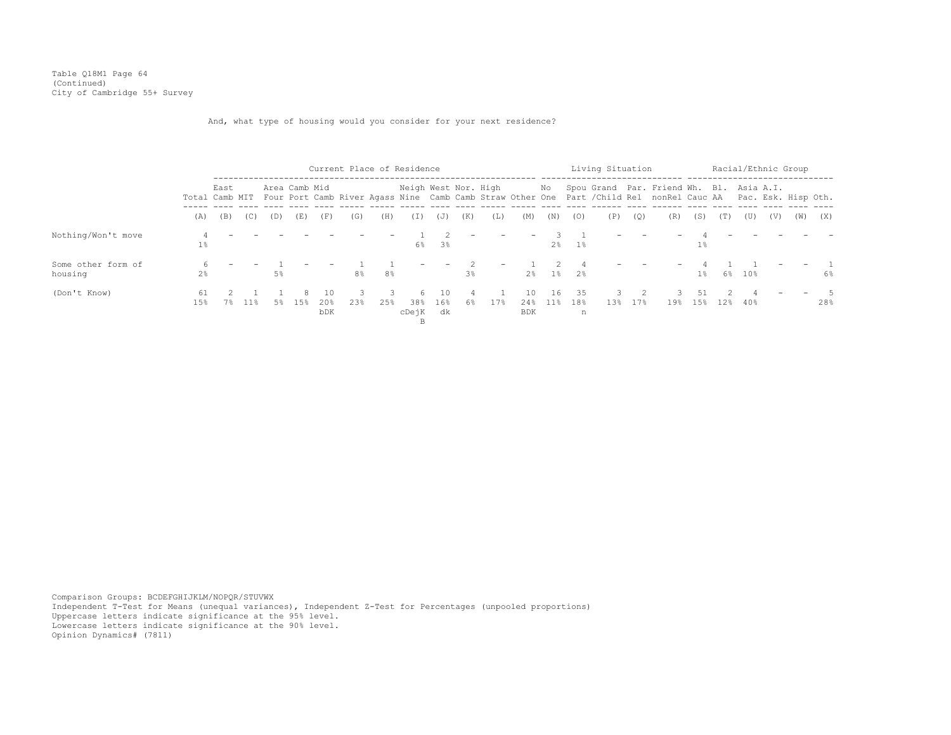Table Q18M1 Page 64 (Continued) City of Cambridge 55+ Survey

And, what type of housing would you consider for your next residence?

|                               |                |      |     |     |               |                                | Current Place of Residence |          |                         |                 |     |     |                         |              |                 | Living Situation |     |                                                                                                                                                                          |           |     |        |     | Racial/Ethnic Group |       |
|-------------------------------|----------------|------|-----|-----|---------------|--------------------------------|----------------------------|----------|-------------------------|-----------------|-----|-----|-------------------------|--------------|-----------------|------------------|-----|--------------------------------------------------------------------------------------------------------------------------------------------------------------------------|-----------|-----|--------|-----|---------------------|-------|
|                               |                | East |     |     | Area Camb Mid |                                |                            |          | Neigh West Nor. High    |                 |     |     |                         | No           |                 |                  |     | Spou Grand Par. Friend Wh. Bl. Asia A.I.<br>Total Camb MIT Four Port Camb River Agass Nine Camb Camb Straw Other One Part / Child Rel nonRel Cauc AA Pac. Esk. Hisp Oth. |           |     |        |     |                     |       |
|                               | (A)            | (B)  | (C) | (D) | (E)           | (F)                            | (G)                        | (H)      | (I)                     | (J)             | (K) | (L) | (M)                     | (N)          | (0)             | (P)              | (Q) | (R)                                                                                                                                                                      | (S)       | (T) | (U)    | (V) | (W)                 | (X)   |
| Nothing/Won't move            | $1\%$          |      |     |     |               |                                |                            |          | 6%                      | 3%              |     |     |                         | $2\,$        | $1\%$           |                  |     |                                                                                                                                                                          | $1\%$     |     |        |     |                     |       |
| Some other form of<br>housing | $2\frac{6}{9}$ |      |     | 5%  |               |                                | 8 <sup>°</sup>             | 8%       |                         |                 | 3%  |     | 2 <sup>8</sup>          | $1\,$ s      | 2%              |                  |     |                                                                                                                                                                          | $1\%$     |     | 6% 10% |     |                     | $6\%$ |
| (Don't Know)                  | 61<br>15%      | 7%   | 11% | 5%  | 8.<br>1.5%    | - 10<br>20%<br>b <sub>DK</sub> | 23%                        | 3<br>25% | 6.<br>38%<br>cDejK<br>B | 10<br>16%<br>dk | 6%  | 17% | 10<br>24%<br><b>BDK</b> | 16<br>$11\%$ | -35<br>18%<br>n | 13%              | 17% | 19 <sub>8</sub>                                                                                                                                                          | 51<br>15% | 12% | 40%    |     |                     | 28%   |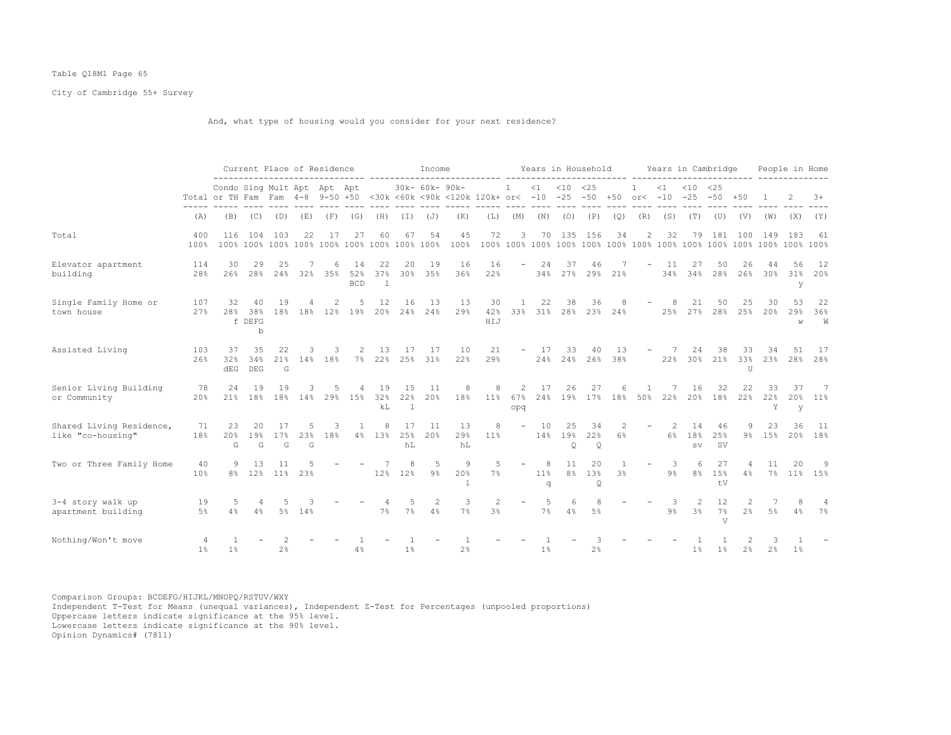## Table Q18M1 Page 65

City of Cambridge 55+ Survey

And, what type of housing would you consider for your next residence?

|                                               |                                  |                                                                                                                                    | Current Place of Residence |                            |                 |              |                         |                             |                 | Income               |                          |                      |                          |                | Years in Household        |                           |              |                          |            | Years in Cambridge     |                              |                    |                |                | People in Home   |
|-----------------------------------------------|----------------------------------|------------------------------------------------------------------------------------------------------------------------------------|----------------------------|----------------------------|-----------------|--------------|-------------------------|-----------------------------|-----------------|----------------------|--------------------------|----------------------|--------------------------|----------------|---------------------------|---------------------------|--------------|--------------------------|------------|------------------------|------------------------------|--------------------|----------------|----------------|------------------|
|                                               |                                  | Condo Sing Mult Apt Apt Apt<br>Total or TH Fam Fam 4-8 9-50 +50 <30k <60k <90k <120k 120k+ or< -10 -25 -50 +50 or< -10 -25 -50 +50 |                            |                            |                 |              |                         |                             |                 | 30k- 60k- 90k-       |                          |                      | $1 \quad$                |                | $<1$ $<10$ $<25$          |                           |              | $\mathbf{1}$             | <1         | $< 10$ $< 25$          |                              |                    |                |                | $3+$             |
|                                               | (A)                              | (B)                                                                                                                                | (C)                        | (D)                        | (E)             | (F)          | (G)                     | (H)                         | (I)             | (J)                  | (K)                      | (L)                  | (M)                      | (N)            | (0)                       | (P)                       | (Q)          | (R)                      | (S)        | (T)                    | (U)                          | (V)                | (W)            | (X)            | (Y)              |
| Total                                         | 400<br>100%                      | 116                                                                                                                                |                            | 104 103                    | 22              | 17           | 27                      | 60                          | 67              | 54                   | 45<br>100%               | 72                   | 3                        |                | 70 135 156                |                           | 34           | 2                        | 32         | 79                     | 181                          | 100                | 149            | 183            | -61              |
| Elevator apartment<br>building                | 114<br>28%                       | 30<br>26%                                                                                                                          | 29<br>28 <sup>8</sup>      | 25<br>24%                  | 32%             | 6<br>35%     | 14<br>52%<br><b>BCD</b> | 22<br>37%<br>$\overline{1}$ | 20              | 19<br>30% 35%        | 16<br>36%                | 16<br>22%            | $\overline{\phantom{a}}$ | 24<br>34%      | 37<br>27%                 | 46<br>29%                 | 21%          | $\overline{\phantom{a}}$ | -11<br>34% | 27<br>34%              | 50<br>28%                    | 26<br>26%          | 44<br>30%      | 56<br>31%<br>У | - 12<br>20%      |
| Single Family Home or<br>town house           | 107<br>27%                       | 32<br>28%                                                                                                                          | 40<br>38%<br>f DEFG<br>b   | 19                         |                 | 2            | -5<br>18% 18% 12% 19%   | 12                          | 16              | 13<br>20% 24% 24%    | 13<br>29%                | 30<br>42%<br>HIJ     | 1                        | 22             | 38<br>33% 31% 28%         | 36                        | 8<br>23% 24% |                          | 8<br>25%   | 21<br>27%              | 50<br>28%                    | 25<br>25%          | 30<br>2.0%     | 53<br>29%<br>W | 22<br>36%<br>W   |
| Assisted Living                               | 103<br>26%                       | 37<br>32%<br>dEG                                                                                                                   | 35<br>34%<br><b>DEG</b>    | 22<br>21%<br>G             |                 | 3<br>14% 18% | 2<br>$7\%$              | 13                          | 17<br>22% 25%   | 17<br>31%            | 10<br>22%                | 21<br>29%            | $ \,$                    | 17             | 33<br>24% 24% 26%         | 40                        | 13<br>38%    | $-$                      | 7          | 24<br>22% 30% 21% 33%  | 38                           | 33<br>$\mathbb{I}$ | 34<br>23%      | 51<br>28%      | 17<br>28%        |
| Senior Living Building<br>or Community        | 78<br>20%                        | 24<br>21%                                                                                                                          | 19                         | 19                         | 18% 18% 14% 29% |              | 15%                     | 19<br>32%<br>kL             | 15<br>22%<br>1  | 11<br>20%            | 8<br>18%                 | 8<br>11%             | 2<br>67%<br>opq          | 17             | 26<br>24% 19% 17% 18% 50% | 27                        |              |                          | 7<br>22%   | 16                     | 32<br>20% 18%                | 22<br>22%          | 33<br>22%<br>Υ | 37<br>V        | - 7<br>20% 11%   |
| Shared Living Residence,<br>like "co-housing" | 71<br>18%                        | 23<br>20%<br>G                                                                                                                     | 20<br>19 <sup>°</sup><br>G | 17<br>17%<br>${\mathbb G}$ | 23%<br>G        | 3<br>18%     | 1                       | 8<br>4% 13%                 | 17<br>25%<br>hL | 11<br>20%            | 13<br>29%<br>hL          | 8<br>11%             | $\sim$                   | 10             | 25<br>14% 19%<br>Q        | 34<br>22%<br>$\mathsf{Q}$ | 2<br>6%      | $\overline{\phantom{a}}$ | 2<br>6%    | 14<br>18%<br><b>SV</b> | 46<br>25%<br>SV              | 9                  | 23<br>9% 15%   | 36             | - 11<br>20% 18%  |
| Two or Three Family Home                      | 40<br>10%                        | 9                                                                                                                                  | 13<br>8% 12% 11% 23%       | 11                         |                 |              |                         |                             | 8<br>12% 12%    | -5<br>9%             | 9<br>20%<br>$\mathbb{I}$ | 5<br>7%              |                          | 8<br>11%<br>q  | 11<br>8%                  | 20<br>13%<br>$\circ$      | -1<br>3%     | $\overline{\phantom{a}}$ | -3<br>9%   | 6.<br>8%               | 27<br>15%<br>tV              | 4<br>4%            | 11             | 20             | -9<br>7% 11% 15% |
| 3-4 story walk up<br>apartment building       | 19<br>5%                         | -5<br>4%                                                                                                                           | 4<br>4%                    | 5                          | 5% 14%          |              |                         | 7%                          | 5<br>7%         | $\overline{2}$<br>4% | 3<br>7%                  | $\overline{2}$<br>3% | $\overline{\phantom{a}}$ | 5<br>7%        | 6<br>4%                   | 8<br>5%                   |              |                          | 3<br>9%    | 2<br>3%                | $12 \overline{ }$<br>7%<br>V | 2 <sup>8</sup>     | $5\%$          | 4%             | 4<br>7%          |
| Nothing/Won't move                            | $\overline{4}$<br>1 <sup>°</sup> | 1%                                                                                                                                 |                            | 2%                         |                 |              | 4%                      |                             | $1\%$           |                      | 2 <sup>°</sup>           |                      |                          | 1 <sup>°</sup> |                           | 2%                        |              |                          |            | 1 <sup>°</sup>         | $1\%$                        | 2%                 | 2%             | $1\%$          |                  |

Comparison Groups: BCDEFG/HIJKL/MNOPQ/RSTUV/WXY Independent T-Test for Means (unequal variances), Independent Z-Test for Percentages (unpooled proportions) Uppercase letters indicate significance at the 95% level. Lowercase letters indicate significance at the 90% level.

Opinion Dynamics# (7811)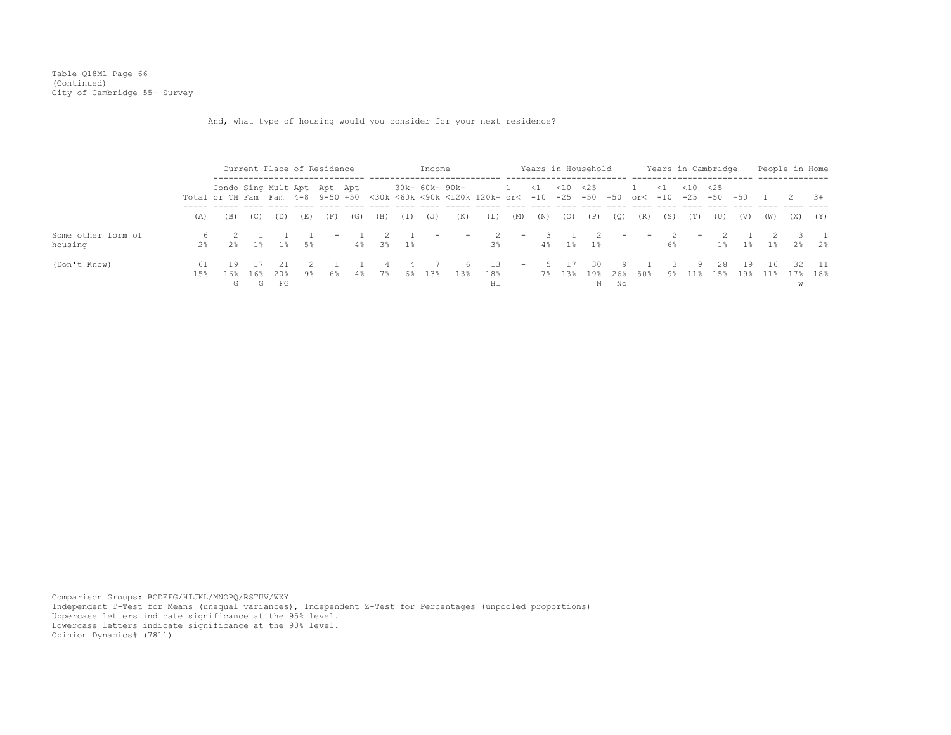Table Q18M1 Page 66 (Continued) City of Cambridge 55+ Survey

And, what type of housing would you consider for your next residence?

|                               |            |                                                                                                                                    | Current Place of Residence |                       |          |                          |     |          |          | Income                   |                       |                   |                                                       |        |      | Years in Household         |           |           |                               |            | Years in Cambridge |                 |       |             | People in Home            |
|-------------------------------|------------|------------------------------------------------------------------------------------------------------------------------------------|----------------------------|-----------------------|----------|--------------------------|-----|----------|----------|--------------------------|-----------------------|-------------------|-------------------------------------------------------|--------|------|----------------------------|-----------|-----------|-------------------------------|------------|--------------------|-----------------|-------|-------------|---------------------------|
|                               |            | Condo Sing Mult Apt Apt Apt<br>Total or TH Fam Fam 4-8 9-50 +50 <30k <60k <90k <120k 120k+ or< -10 -25 -50 +50 or< -10 -25 -50 +50 |                            |                       |          |                          |     |          |          |                          | 30k- 60k- 90k-        |                   | 1 < 1 < 10 < 25                                       |        |      |                            |           |           | 1 < 1 < 10 < 25               |            |                    |                 |       | 2 3+        |                           |
|                               | (A)        | (B)                                                                                                                                | (C)                        | (D)                   | (E)      | (F)                      | (G) | (H)      | (I)      | (J)                      | (K)                   | (L)               | (M)                                                   | (N)    | (0)  | (P)                        | (Q)       | (R)       | (S)                           | (T)        | (U)                | (V)             | (W)   | (X)         | (Y)                       |
| Some other form of<br>housing | $2\%$      | 2.8                                                                                                                                |                            |                       | 18 18 58 | $\overline{\phantom{0}}$ |     | 4% 3% 1% |          | $\overline{\phantom{0}}$ | <b>Service</b>        | $\sim$ 2<br>$3\%$ |                                                       | $-3$ 1 |      | $\overline{2}$<br>4% 1% 1% |           |           | $ -$ 2 $-$<br>6%              |            |                    | 2 1<br>1% 1% 1% |       |             | $\overline{3}$ 1<br>2% 2% |
| (Don't Know)                  | 61<br>1.5% | 19<br>16%<br>G                                                                                                                     | 16%                        | 2.1<br>20%<br>G<br>FG | 9%       | 6%                       | 4%  | 7%       | -4<br>6% | 13%                      | 6 <sup>6</sup><br>13% | 13<br>18%<br>ΗI   | $\mathcal{L}_{\rm{max}}$ and $\mathcal{L}_{\rm{max}}$ |        | 5 17 | 30<br>7% 13% 19%<br>N      | 26%<br>No | 91<br>50% | $\overline{\mathbf{3}}$<br>9% | -9.<br>11% | 28<br>15%          | 19              | $-16$ | 19% 11% 17% | 32 11<br>18%              |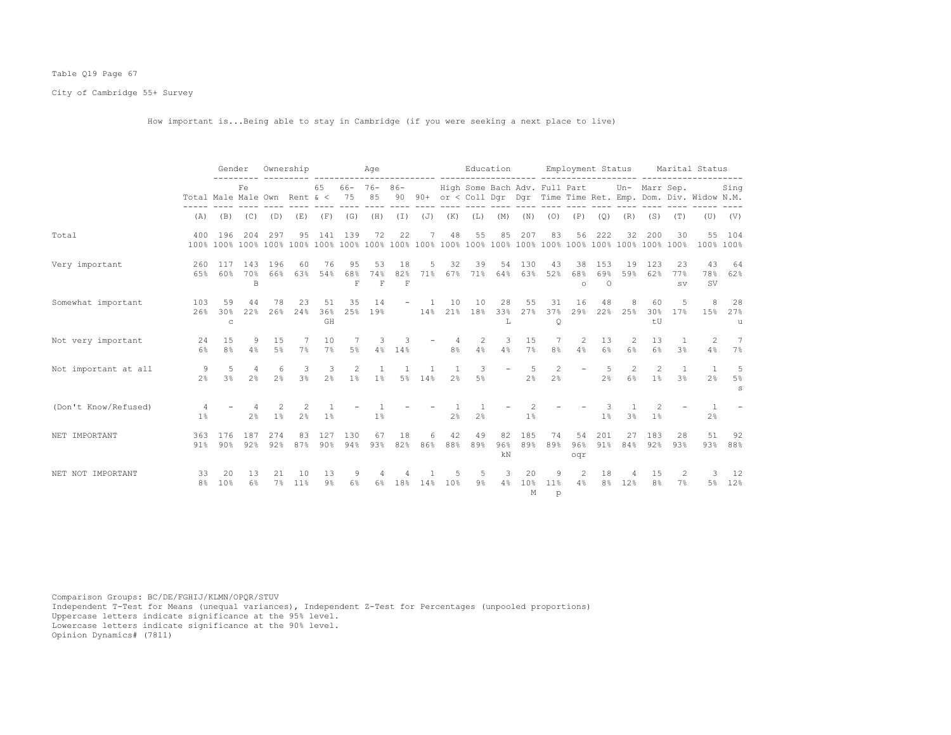# Table Q19 Page 67

City of Cambridge 55+ Survey

How important is...Being able to stay in Cambridge (if you were seeking a next place to live)

|                      |                                                                    | Gender                    |                     | Ownership            |                                 |                      |                                      | Age                                  |                                      |                          |                                | Education      |                 |                      |                               |                      | Employment Status      |                     |                             |                                | Marital Status                                                    |                              |
|----------------------|--------------------------------------------------------------------|---------------------------|---------------------|----------------------|---------------------------------|----------------------|--------------------------------------|--------------------------------------|--------------------------------------|--------------------------|--------------------------------|----------------|-----------------|----------------------|-------------------------------|----------------------|------------------------|---------------------|-----------------------------|--------------------------------|-------------------------------------------------------------------|------------------------------|
|                      | Fe<br>Total Male Male Own Rent $\<$ 75<br>$(B)$ $(C)$ $(D)$<br>(A) |                           |                     |                      |                                 | 65                   |                                      | $66 - 76 - 86 -$<br>85               |                                      |                          |                                |                |                 |                      | High Some Bach Adv. Full Part |                      |                        |                     | Un- Marr Sep.               |                                | 90 90+ or < Coll Dqr Dqr Time Time Ret. Emp. Dom. Div. Widow N.M. | Sing                         |
|                      |                                                                    |                           |                     |                      | (E)                             | (F)                  | (G)                                  | (H)                                  |                                      | $(I)$ $(J)$ $(K)$        |                                | (L)            | (M)             | (N)                  | (0)                           | (P)                  | (Q)                    | (R)                 | (S)                         | (T)                            |                                                                   | $(U)$ $(V)$                  |
| Total                | 400                                                                | 196                       | 204                 | 297                  | 95                              | 141                  | 139                                  | 72                                   | 22                                   | 7                        | 48                             | 55             | 85              | 207                  | 83                            | 56                   | 222                    | 32                  | 200                         | 30                             | 100% 100%                                                         | 55 104                       |
| Very important       | 260<br>6.5%                                                        | 117                       | 143<br>60% 70%<br>B | 196<br>66%           | 60<br>6.3%                      | 76<br>54%            | 95<br>68%<br>$\overline{\mathrm{F}}$ | 53<br>74%<br>$\overline{\mathrm{F}}$ | 18<br>82%<br>$\overline{\mathrm{F}}$ | 5<br>71%                 | 32<br>67%                      | 39<br>71%      | 54<br>64%       | 130<br>63%           | 43<br>52%                     | 38<br>68%<br>$\circ$ | 153<br>69%<br>$\Omega$ | 19<br>59%           | 123<br>62%                  | 23<br>77%<br><b>SV</b>         | 43<br>78%<br>SV                                                   | 64<br>62%                    |
| Somewhat important   | 103<br>26%                                                         | 59<br>30%<br>$\mathsf{C}$ | 44<br>22%           | 78<br>26%            | 23<br>24%                       | 51<br>36%<br>GH      | 35<br>25%                            | 14<br>19%                            |                                      |                          | 10<br>14% 21%                  | 10<br>18%      | 28<br>33%<br>L  | 55<br>27%            | 31<br>37%<br>$\circ$          | 16<br>29%            | 48                     | 8<br>22% 25%        | 60<br>30 <sub>8</sub><br>tU | .5<br>17%                      | 8                                                                 | 28<br>15% 27%<br>u           |
| Not very important   | 24<br>6%                                                           | 15<br>8 <sup>°</sup>      | 9<br>4%             | 15<br>5%             | 7%                              | 10<br>7%             | 5%                                   | 3<br>4%                              | 14%                                  |                          | 4<br>8 <sup>°</sup>            | 2<br>4%        | 3<br>4%         | 15<br>7%             | 7<br>8%                       | $\mathcal{L}$<br>4%  | 13<br>$6\%$            | $\mathcal{L}$<br>6% | 13<br>6 <sup>°</sup>        | $\mathbf{1}$<br>3 <sup>°</sup> | $\mathcal{L}$<br>4%                                               | 7<br>7%                      |
| Not important at all | 9<br>$2\frac{6}{9}$                                                | 5<br>3 <sup>°</sup>       | 4<br>2 <sup>°</sup> | -6<br>2 <sup>°</sup> | 3<br>3 <sup>°</sup>             | 3<br>2 <sup>°</sup>  | 2<br>1%                              | <sup>1</sup><br>1 <sup>°</sup>       |                                      | $\overline{1}$<br>5% 14% | <sup>1</sup><br>2 <sup>°</sup> | 3<br>$5\%$     |                 | -5<br>$2\frac{6}{6}$ | 2<br>2 <sup>°</sup>           |                      | -5<br>2 <sup>°</sup>   | 2<br>6%             | 2<br>1 <sup>°</sup>         | $\overline{1}$<br>3.8          | $\overline{1}$<br>2%                                              | -5<br>$5\%$<br>$\mathcal{S}$ |
| (Don't Know/Refused) | $\overline{4}$<br>1 <sup>°</sup>                                   |                           | 2 <sup>°</sup>      | $1\%$                | $\mathcal{L}$<br>2 <sup>°</sup> | 1%                   |                                      | 1%                                   |                                      |                          | 2 <sup>°</sup>                 | 2 <sup>°</sup> |                 | 1%                   |                               |                      | $1\%$                  | 3 <sup>°</sup>      | 1 <sup>8</sup>              |                                | 2 <sup>°</sup>                                                    |                              |
| NET IMPORTANT        | 363<br>91%                                                         | 176<br>90%                | 187<br>92%          | 274<br>92%           | 83<br>87%                       | 127<br>$90\%$        | 130<br>94%                           | 67<br>93%                            | 18<br>82%                            | 6<br>86%                 | 42<br>88%                      | 49<br>89%      | 82<br>96%<br>kN | 185<br>89%           | 74<br>89%                     | 54<br>96%<br>oqr     | 201<br>91%             | 27<br>84%           | 183<br>92%                  | 28<br>93%                      | 51<br>93%                                                         | 92<br>88%                    |
| NET NOT IMPORTANT    | 33<br>8%                                                           | 20<br>10%                 | 13<br>6%            | 21<br>7%             | 10<br>11%                       | 13<br>9 <sub>8</sub> | 9<br>6%                              | $6\%$                                | 18%                                  | 14%                      | 10%                            | 5<br>$9\%$     | 3<br>4%         | 20<br>10%<br>M       | 9<br>11 <sup>°</sup><br>p     | 2<br>4%              | 18<br>8 <sup>°</sup>   | 12%                 | 15<br>8 <sup>°</sup>        | 2<br>7%                        | 3<br>5%                                                           | - 12<br>12%                  |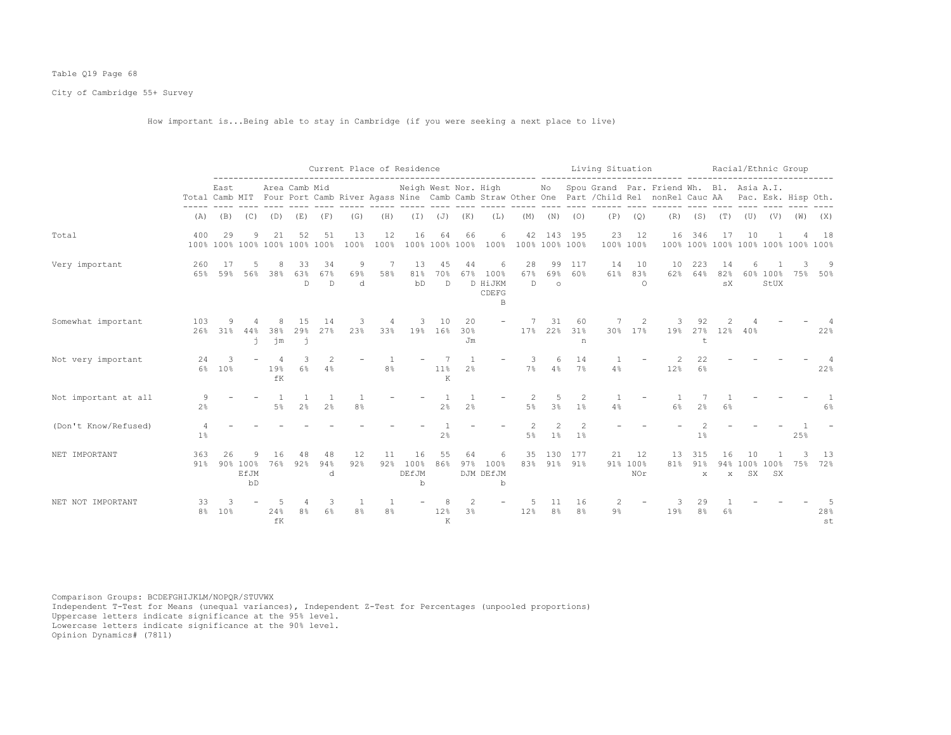# Table Q19 Page 68

City of Cambridge 55+ Survey

How important is...Being able to stay in Cambridge (if you were seeking a next place to live)

|                      |                      |                 |                        |           |                                |                |                | Current Place of Residence |                                    |                           |                      |                                    | -------------------- ------ |                        |                       | Living Situation |                       |                                                                                                                                                      | .                    |                               | Racial/Ethnic Group |                        |                               |           |
|----------------------|----------------------|-----------------|------------------------|-----------|--------------------------------|----------------|----------------|----------------------------|------------------------------------|---------------------------|----------------------|------------------------------------|-----------------------------|------------------------|-----------------------|------------------|-----------------------|------------------------------------------------------------------------------------------------------------------------------------------------------|----------------------|-------------------------------|---------------------|------------------------|-------------------------------|-----------|
|                      |                      | East            |                        |           | Area Camb Mid                  |                |                |                            | Neigh West Nor. High               |                           |                      |                                    |                             | No                     |                       |                  |                       | Spou Grand Par. Friend Wh. Bl. Asia A.I.<br>Total Camb MIT Four Port Camb River Agass Nine Camb Camb Straw Other One Part / Child Rel nonRel Cauc AA |                      |                               |                     |                        | Pac. Esk. Hisp Oth.           |           |
|                      | (A)                  | (B)             | (C)                    | (D)       | (E)                            | (F)            | (G)            | (H)                        | $(\top)$                           | (J)                       | (K)                  | (L)                                | (M)                         | (N)                    | (0)                   | (P)              | (Q)                   | (R)                                                                                                                                                  | (S)                  | (T)                           | (U)                 | (V)                    | (W)                           | (X)       |
| Total                | 400<br>100%          | 29              | 9                      | 21        | 52<br>100% 100% 100% 100% 100% | 51             | 13<br>100%     | 12<br>100%                 | 16                                 | 64                        | 66<br>100% 100% 100% | 6<br>100%                          | 42                          | 143                    | 195<br>100% 100% 100% | 23               | 12<br>100% 100%       | 16<br>100%                                                                                                                                           | 346                  | 17                            | 10                  |                        | 100% 100% 100% 100% 100% 100% | 18        |
| Very important       | 260<br>65%           | 17<br>59%       | 5<br>56%               | 38%       | 33<br>63%<br>D.                | 34<br>67%<br>D | 9<br>69%<br>d. | 7<br>58%                   | 13<br>81%<br>bD                    | 45<br>70%<br>$\mathsf{D}$ | 44<br>67%            | 6<br>100%<br>D HiJKM<br>CDEFG<br>B | 28<br>67%<br>$\mathbb{D}$   | 99<br>69%<br>$\circ$   | 117<br>60%            | 14<br>61%        | 10<br>83%<br>$\Omega$ | 10<br>62%                                                                                                                                            | 223<br>64%           | 14<br>82%<br>${\tt s}{\tt X}$ | 6                   | 60% 100%<br>StUX       | 75%                           | 9<br>50%  |
| Somewhat important   | 103<br>26%           | 9<br>31%        | 44%<br>j.              | 38%<br>jm | 15<br>29%<br>j                 | 14<br>27%      | 23%            | 33%                        | 19%                                | 10<br>16%                 | 20<br>30%<br>Jm      |                                    | 17%                         | 31<br>22%              | 60<br>31%<br>n        | 30%              | 17%                   | 19%                                                                                                                                                  | 27%<br>t             | $12\%$                        | 40%                 |                        |                               | 22%       |
| Not very important   | 24<br>$6\%$          | 3<br>10%        |                        | 19%<br>fK | 6 <sup>°</sup>                 | 4%             |                | 8 <sup>°</sup>             |                                    | 11%<br>K                  | 1<br>2 <sup>°</sup>  |                                    | 7%                          | 6<br>4%                | 14<br>7%              | 4%               |                       | 12%                                                                                                                                                  | 22<br>6%             |                               |                     |                        |                               | 22%       |
| Not important at all | $2\frac{6}{6}$       |                 |                        | $5\%$     | 2 <sup>°</sup>                 | 2 <sup>°</sup> | 8 <sup>°</sup> |                            |                                    | 2 <sup>°</sup>            | 2%                   |                                    | $5\%$                       | .5<br>3%               | 2<br>1%               | 4%               |                       | $6\%$                                                                                                                                                | 2 <sup>°</sup>       | 6%                            |                     |                        |                               | $6\%$     |
| (Don't Know/Refused) | $1\%$                |                 |                        |           |                                |                |                |                            |                                    | 2%                        |                      |                                    | $5\%$                       | $\mathcal{D}$<br>$1\%$ | 1 <sup>°</sup>        |                  |                       |                                                                                                                                                      | 1%                   |                               |                     |                        | 25%                           |           |
| NET IMPORTANT        | 363<br>91%           | 26              | 90% 100%<br>EfJM<br>bD | 76%       | 92%                            | 48<br>94%<br>d | 12<br>92%      | 11<br>92%                  | 16<br>100%<br>DEfJM<br>$\mathbf b$ | 55<br>86%                 | 64<br>97%            | 6<br>100%<br>DJM DEfJM<br>b        | 35<br>83%                   | 130                    | 177<br>91% 91%        | 21               | 12<br>91% 100%<br>NOr | 13<br>81%                                                                                                                                            | 315<br>91%<br>X      | 16<br>94%<br>$\mathbf x$      | 10<br>SX            | 100% 100%<br><b>SX</b> | 75%                           | 13<br>72% |
| NET NOT IMPORTANT    | 33<br>8 <sup>°</sup> | 10 <sup>8</sup> |                        | 24%<br>fK | 8 <sup>°</sup>                 | 3<br>6%        | 8 <sup>°</sup> | 8 <sup>°</sup>             |                                    | 12%<br>K                  | $\mathfrak{D}$<br>3% |                                    | 12%                         | 11<br>8 <sup>°</sup>   | 16<br>8 <sup>°</sup>  | 2<br>$9\%$       |                       | 19%                                                                                                                                                  | 29<br>8 <sup>°</sup> | 6%                            |                     |                        |                               | 28%<br>st |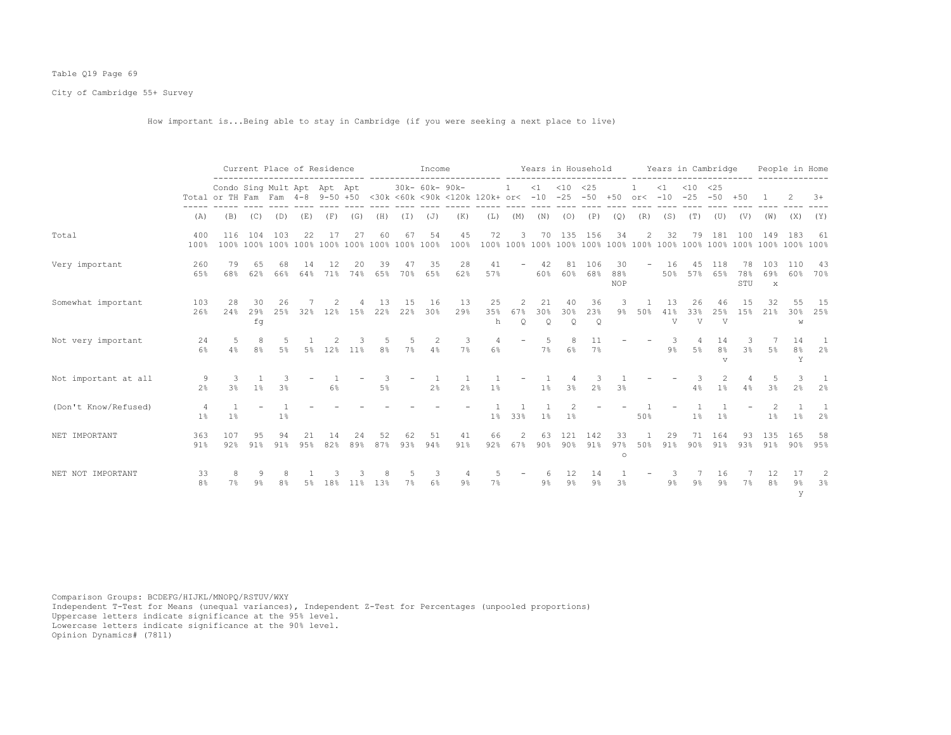# Table Q19 Page 69

City of Cambridge 55+ Survey

How important is...Being able to stay in Cambridge (if you were seeking a next place to live)

|                      |                      |                                                                                                                        |                       | Current Place of Residence |            |           |                 |            |           | Income              |                |                |                                      |                           |                      |                           |                         |                          |                             |                             | Years in Household Years in Cambridge  |                  |                            | People in Home   |                                |
|----------------------|----------------------|------------------------------------------------------------------------------------------------------------------------|-----------------------|----------------------------|------------|-----------|-----------------|------------|-----------|---------------------|----------------|----------------|--------------------------------------|---------------------------|----------------------|---------------------------|-------------------------|--------------------------|-----------------------------|-----------------------------|----------------------------------------|------------------|----------------------------|------------------|--------------------------------|
|                      |                      | Condo Sing Mult Apt Apt Apt<br>Total or TH Fam Fam 4-8 9-50 +50 <30k <60k <90k <120k 120k+ or< -10 -25 -50 +50 or< -10 |                       |                            |            |           |                 |            |           | 30k- 60k- 90k-      |                |                | $\mathbf{1}$                         |                           | $<1$ $<10$ $<25$     |                           |                         |                          | $\leq 1$                    | $< 10$ $< 25$               | $-25 - 50 + 50$                        |                  |                            |                  | $3+$                           |
|                      | (A)                  | (B)                                                                                                                    | (C)                   | (D)                        | (E)        | (F)       | (G)             | (H)        | (I)       | (J)                 | (K)            | (L)            | (M)                                  | (N)                       | (0)                  | (P)                       | (Q)                     | (R)                      | (S)                         | (T)                         | (U)                                    | (V)              | (W)                        | (X)              | (Y)                            |
| Total                | 400<br>100%          | 116                                                                                                                    | 104                   | 103                        | 22         | 17        | 27              | 60         | 67        | 54                  | 45<br>100%     | 72             | 3                                    | 70                        |                      | 135 156                   | 34                      | $\mathbf{2}^{\prime}$    | 32                          | 79                          | 181                                    | 100              | 149                        | 183              | 61                             |
| Very important       | 260<br>65%           | 79<br>68%                                                                                                              | 65<br>62%             | 68<br>66%                  | 14<br>64%  | 12<br>71% | 20<br>74%       | 39<br>65%  | 47<br>70% | 35<br>65%           | 28<br>62%      | 41<br>57%      |                                      | -42<br>60%                | 81<br>60%            | 106<br>68%                | 30<br>88%<br><b>NOP</b> | $\overline{\phantom{0}}$ | 16<br>50%                   | 4.5                         | 118<br>57% 65%                         | 78<br>78%<br>STU | 103<br>69%<br>$\mathbf{x}$ | 110<br>60%       | -43<br>70%                     |
| Somewhat important   | 103<br>26%           | 28<br>2.4%                                                                                                             | 30<br>29%<br>fq       | 26<br>25%                  |            | 32% 12%   | 15%             | 13<br>22%  | 15<br>22% | 16<br>30%           | 13<br>29%      | 25<br>35%<br>h | $\mathcal{D}$<br>67%<br>$\mathsf{Q}$ | 21<br>30%<br>$\mathsf{Q}$ | 40<br>30%<br>Q       | 36<br>23%<br>$\mathsf{Q}$ | $9\%$                   | 50%                      | 13<br>41%<br>$\overline{V}$ | 26<br>33%<br>$\overline{V}$ | 46<br>2.5%<br>$\overline{V}$           | 15<br>15%        | 32<br>21%                  | 55<br>30%<br>W   | 15<br>25%                      |
| Not very important   | 24<br>6%             |                                                                                                                        | 8%                    | 5%                         |            | 5% 12%    | $11\%$          | 8%         | 7%        | 2<br>4%             | 3<br>7%        | 6%             |                                      | 5<br>7%                   | $6\%$                | 11<br>$7\%$               |                         |                          | 9%                          | 5%                          | 14<br>8 <sup>°</sup><br>$\overline{V}$ | 3%               | 5%                         | 14<br>8%<br>Y    | - 1<br>2%                      |
| Not important at all | 9<br>2 <sup>8</sup>  | 3<br>3%                                                                                                                | $\mathbf{1}$<br>$1\%$ | 3 <sup>8</sup>             |            | 6%        |                 | 3<br>$5\%$ |           | 1<br>2 <sup>°</sup> | 2 <sup>°</sup> | 1%             |                                      | 1%                        | 3%                   | 3<br>2 <sup>°</sup>       | 3%                      |                          |                             | 3<br>4%                     | 2<br>1%                                | 4%               | 5<br>3%                    | -3<br>2%         | $\mathbf{1}$<br>2 <sup>8</sup> |
| (Don't Know/Refused) | $1\%$                | $1\%$                                                                                                                  |                       | $1\%$                      |            |           |                 |            |           |                     |                | $1\%$          | 33%                                  | 1%                        | 1%                   |                           |                         | 50%                      |                             | 1 <sup>°</sup>              | 1 <sup>°</sup>                         |                  | 1 <sup>°</sup>             | $1\%$            | 2%                             |
| NET IMPORTANT        | 363<br>91%           | 107<br>92%                                                                                                             | 95<br>91%             | 94<br>91%                  | 21<br>9.5% | 14<br>82% | 24<br>89%       | 52<br>87%  | 62<br>93% | 51<br>94%           | 41<br>91%      | 66<br>92%      | 2<br>67%                             | 63<br>90%                 | 121<br>90%           | 142<br>91%                | 33<br>97%<br>$\circ$    | 50%                      | 29<br>91%                   | 71<br>$90\%$                | 164<br>91%                             | -93<br>93%       | 135<br>91%                 | 165<br>90%       | 58<br>95%                      |
| NET NOT IMPORTANT    | 33<br>8 <sup>°</sup> | 7%                                                                                                                     | 9<br>9%               | 8<br>8 <sup>°</sup>        | 5%         | 18%       | 11 <sup>8</sup> | 13%        | 7%        | 3<br>6%             | 9%             | 7%             |                                      | $9\%$                     | 12<br>9 <sup>°</sup> | 14<br>9%                  | 3%                      |                          | -3<br>$9\%$                 | 9%                          | 16<br>9%                               | 7%               | 12<br>8%                   | 17<br>$9\%$<br>У | 2<br>3%                        |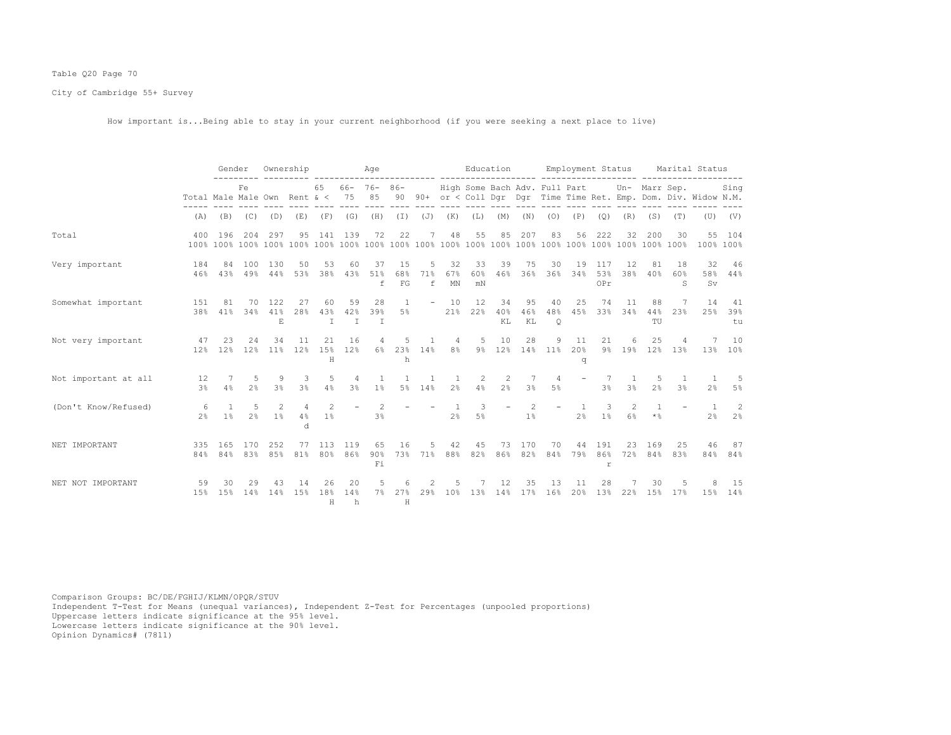# Table Q20 Page 70

City of Cambridge 55+ Survey

How important is...Being able to stay in your current neighborhood (if you were seeking a next place to live)

|                      |                      | Gender                                                    |                   |                            | Ownership                            |                |                                  | Age                              |                                      |                          |                                  | Education                                   |                          |                     |                                        | Employment Status   |                       |                                  |                         |                      | Marital Status                                                    |                     |
|----------------------|----------------------|-----------------------------------------------------------|-------------------|----------------------------|--------------------------------------|----------------|----------------------------------|----------------------------------|--------------------------------------|--------------------------|----------------------------------|---------------------------------------------|--------------------------|---------------------|----------------------------------------|---------------------|-----------------------|----------------------------------|-------------------------|----------------------|-------------------------------------------------------------------|---------------------|
|                      |                      | Fe.<br>Total Male Male Own Rent $\< 75$ 85<br>$(B)$ $(C)$ |                   |                            |                                      | 65             |                                  | $66 - 76 - 86 -$                 |                                      |                          |                                  | High Some Bach Adv. Full Part Un- Marr Sep. |                          |                     |                                        |                     |                       |                                  |                         |                      | 90 90+ or < Coll Dqr Dqr Time Time Ret. Emp. Dom. Div. Widow N.M. | Sing                |
|                      | (A)                  |                                                           |                   | (D)                        | (E)                                  | (F)            | (G)                              | (H)                              | $(\bot)$                             | $(\mathbb{J})$           | (K)                              | (L)                                         | (M)                      | (N)                 | (0)                                    | (P)                 | (Q)                   | (R)                              | (S)                     | (T)                  |                                                                   | $(U)$ $(V)$         |
| Total                | 400                  | 196                                                       | 204               | 297                        | 95                                   | 141            | 139                              | 72                               | 22                                   |                          | 48                               | 55                                          | 85                       | 207                 | 83                                     | 56                  | 222                   | 32                               | 200                     | 30                   | 100% 100%                                                         | 55 104              |
| Very important       | 184<br>46%           | 84<br>43%                                                 | 100               | 130<br>49% 44%             | 50<br>53%                            | 53<br>38%      | 60<br>43%                        | 37<br>51%<br>f                   | 15<br>68%<br>$\mathbb{F} \mathbb{G}$ | 5<br>71%<br>f            | 32<br>67%<br>MN                  | 33<br>60%<br>mN                             | 39<br>46%                | 75                  | 30<br>36% 36% 34%                      | 19                  | 117<br>53%<br>OPr     | 12<br>38%                        | 81<br>40%               | 18<br>60%<br>S       | 32<br>Sv                                                          | 46<br>58% 44%       |
| Somewhat important   | 151                  | 81<br>38% 41%                                             | 70<br>34%         | 122<br>41%<br>E.           | 27<br>28%                            | 60<br>43%<br>T | 59<br>42%<br>T                   | 28<br>39%<br>T                   | $\mathbf{1}$<br>5%                   |                          | $-10$                            | 12<br>21% 22%                               | 34<br>40%<br>KL          | 95<br>46%<br>KL     | 40<br>48%<br>$\circ$                   | 25<br>45%           | 74                    | 11<br>33% 34%                    | 88<br>44%<br>TU         | 7<br>23%             | 14                                                                | 41<br>25% 39%<br>tu |
| Not very important   | 47                   | 23                                                        | 24<br>12% 12% 12% | 34                         | 11<br>11% 12%                        | 21<br>H        | 16<br>15% 12%                    | 4                                | 5<br>6% 23% 14%<br>h                 | $\mathbf{1}$             | $\overline{4}$<br>8%             | - 5                                         | 10                       | 28                  | 9<br>9% 12% 14% 11% 20% 9% 19% 12% 13% | 11<br>q             | 21                    | 6                                | 25                      | 4                    | 7                                                                 | 10<br>13% 10%       |
| Not important at all | 12<br>3 <sup>8</sup> | 7<br>4%                                                   | 2%                | 5 9<br>3 <sup>8</sup>      | 3<br>3 <sup>8</sup>                  | 5<br>4%        | $\overline{4}$<br>3 <sup>8</sup> | $\overline{1}$<br>1 <sup>8</sup> | $\mathbf{1}$                         | $\mathbf{1}$<br>5% 14%   | $\overline{1}$<br>2 <sup>°</sup> | 2<br>4%                                     | 2<br>2.8                 | 7<br>3 <sup>°</sup> | $\overline{4}$<br>.5%                  |                     | 7<br>3 <sup>8</sup>   | $\overline{1}$<br>3 <sup>8</sup> | -5<br>2%                | $\overline{1}$<br>3% | $\overline{1}$<br>2%                                              | $\sqrt{2}$<br>5%    |
| (Don't Know/Refused) | - 6<br>2.8           | $\overline{1}$<br>1 <sup>8</sup>                          | 5 <sup>5</sup>    | $\overline{2}$<br>$2\%$ 1% | $\overline{4}$<br>4%<br><sub>d</sub> | 2<br>$1\%$     | $\overline{\phantom{a}}$         | 2<br>3%                          |                                      | $\overline{\phantom{a}}$ | $\overline{1}$<br>2 <sup>°</sup> | 3<br>5%                                     | $\overline{\phantom{a}}$ | 2<br>1%             | $\overline{\phantom{a}}$               | 1<br>2 <sup>°</sup> | 3<br>1%               | 2<br>6%                          | $\overline{1}$<br>$*$ & |                      | $\mathbf{1}$<br>2%                                                | 2<br>2 <sup>8</sup> |
| NET IMPORTANT        | 335<br>84%           | 165<br>84%                                                | 170<br>83%        | 252<br>85%                 | 77<br>81%                            | 113<br>80%     | 119<br>86%                       | 65<br>90%<br>Fi                  | 16                                   | 5<br>73% 71%             | 42                               | 45<br>88% 82%                               | 73<br>86%                | 170<br>82%          | 70<br>84%                              | 44<br>79%           | 191<br>86%<br>r       | 23<br>72%                        | 169<br>84%              | 25<br>83%            | 46<br>84%                                                         | 87<br>84%           |
| NET NOT IMPORTANT    | 59<br>1.5%           | 30<br>15%                                                 | 29<br>14%         | 43<br>14%                  | 14<br>15%                            | 26<br>18%<br>H | 20<br>14%<br>h                   | 5<br>7월                          | 6<br>27%<br>H                        | 2<br>29%                 | 5<br>10%                         | 7<br>13%                                    | 12<br>14%                | 35<br>17%           | 13<br>16%                              | 11<br>20%           | 28<br>13 <sup>°</sup> | 22%                              | 30<br>15%               | 5<br>17%             | 15%                                                               | 15<br>14%           |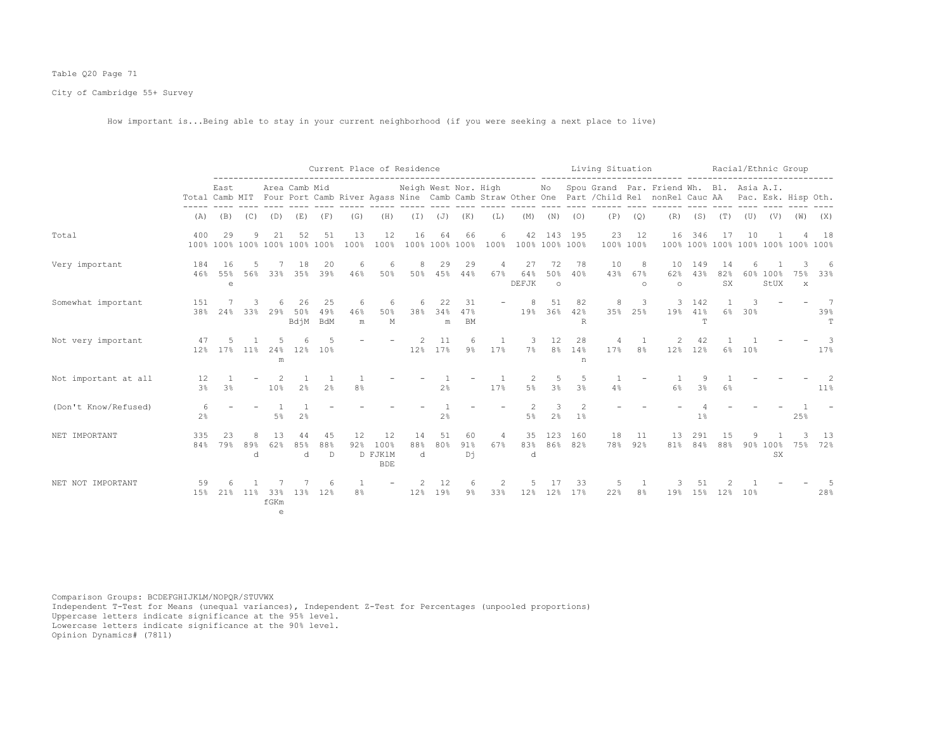# Table Q20 Page 71

City of Cambridge 55+ Survey

How important is...Being able to stay in your current neighborhood (if you were seeking a next place to live)

|                      |                      |                                                       |          |                           |                   |                  |                     |                                     | Current Place of Residence |                        |                        |           |                      |                      |                                 | Living Situation |                     |                                                                                                                                                      |                   |                 |          | Racial/Ethnic Group                |               |               |
|----------------------|----------------------|-------------------------------------------------------|----------|---------------------------|-------------------|------------------|---------------------|-------------------------------------|----------------------------|------------------------|------------------------|-----------|----------------------|----------------------|---------------------------------|------------------|---------------------|------------------------------------------------------------------------------------------------------------------------------------------------------|-------------------|-----------------|----------|------------------------------------|---------------|---------------|
|                      |                      | East                                                  |          |                           | Area Camb Mid     |                  |                     |                                     | Neigh West Nor. High       |                        |                        |           |                      | No                   |                                 |                  |                     | Spou Grand Par. Friend Wh. Bl. Asia A.I.<br>Total Camb MIT Four Port Camb River Agass Nine Camb Camb Straw Other One Part / Child Rel nonRel Cauc AA |                   |                 |          | Pac. Esk. Hisp Oth.                |               |               |
|                      | (A)                  | (B)                                                   | (C)      | (D)                       | (E)               | (F)              | (G)                 | (H)                                 | $(\top)$                   | (J)                    | (K)                    | (L)       | (M)                  | (N)                  | (0)                             | (P)              | (Q)                 | (R)                                                                                                                                                  | (S)               | (T)             | (U)      | (V)                                | (W)           | (X)           |
| Total                | 400                  | 29<br>100% 100% 100% 100% 100% 100%                   | 9        | 2.1                       | 52                | 51               | 13<br>100%          | 12<br>100%                          | 16                         | 64                     | 66<br>100% 100% 100%   | 6<br>100% | 42<br>100% 100% 100% | 143                  | 195                             | 23               | 12<br>100% 100%     | 16                                                                                                                                                   | 346               | 17              | 10       | 100% 100% 100% 100% 100% 100% 100% |               | 18            |
| Very important       | 184<br>46%           | 16<br>55%<br>$\mathrel{\mathop{\mathrm{e}}\nolimits}$ | 56%      | 33%                       | 18<br>35%         | 20<br>39%        | 46%                 | 6<br>50%                            | 8<br>50%                   | 29<br>45%              | 29<br>44%              | 67%       | 27<br>64%<br>DEFJK   | 72<br>50%<br>$\circ$ | 78<br>40%                       | 10<br>43%        | 8<br>67%<br>$\circ$ | 10<br>62%<br>$\circ$                                                                                                                                 | 149<br>43%        | 14<br>82%<br>SX |          | 60% 100%<br>StUX                   | 75%<br>$\,$ X | 6<br>33%      |
| Somewhat important   | 151<br>38%           | 24%                                                   | 33%      | 29%                       | 26<br>50%<br>BdjM | 25<br>49%<br>BdM | 6<br>46%<br>m       | 6<br>50%<br>М                       | 38%                        | 22<br>34%<br>${\rm m}$ | 31<br>47%<br><b>BM</b> |           | -8<br>19%            | 51<br>36%            | 82<br>42%<br>R                  | 8<br>35%         | 3<br>25%            | 19%                                                                                                                                                  | 3 142<br>41%<br>T | 6%              | 3<br>30% |                                    |               | 7<br>39%<br>T |
| Not very important   | 47<br>12%            | 17%                                                   | $11\%$   | 24%<br>m                  | 12%               | 10%              |                     |                                     | 2<br>12%                   | 11<br>17%              | 6<br>$9\%$             | 17%       | 7%                   | 12<br>$8\%$          | 28<br>14%<br>n                  | 17%              | 8%                  | 12%                                                                                                                                                  | 42<br>12%         | $6\%$           | 10%      |                                    |               | 3<br>17%      |
| Not important at all | 12<br>3 <sup>°</sup> | 3 <sup>°</sup>                                        |          | 10%                       | 2 <sup>°</sup>    | 2 <sup>°</sup>   | 8 <sup>°</sup>      |                                     |                            | 2%                     |                        | 17%       | $5\%$                | 5<br>3%              | 5<br>3 <sup>8</sup>             | 4%               |                     | 6%                                                                                                                                                   | 3%                | 6%              |          |                                    |               | $11\%$        |
| (Don't Know/Refused) | 6<br>$2\frac{6}{9}$  |                                                       |          | $5\%$                     | 2%                |                  |                     |                                     |                            | 2%                     |                        |           | 5%                   | 3<br>2%              | $\mathcal{L}$<br>1 <sup>°</sup> |                  |                     |                                                                                                                                                      | 1%                |                 |          |                                    | 25%           |               |
| NET IMPORTANT        | 335<br>84%           | 23<br>79%                                             | 89%<br>d | 13<br>62%                 | 85%<br>d          | 45<br>88%<br>D   | 12<br>92%           | 12<br>100%<br>D FJK1M<br><b>BDE</b> | 14<br>88%<br>d             | 51<br>80%              | 60<br>91%<br>Dή        | 4<br>67%  | 35<br>83%<br>d       | 123                  | 160<br>86% 82%                  | 18<br>78%        | 11<br>92%           | 13<br>81%                                                                                                                                            | 291<br>84%        | 1.5<br>88%      |          | 90% 100%<br>SX                     | 75%           | 13<br>72%     |
| NET NOT IMPORTANT    | 59<br>15%            | 21%                                                   | $11\%$   | 33%<br>fGKm<br>$\epsilon$ | 13%               | 6<br>12%         | 1<br>8 <sup>°</sup> | $\overline{\phantom{m}}$            | 12%                        | 12<br>19%              | 6<br>$9\%$             | 2<br>33%  | 12%                  | 17<br>12%            | 33<br>17%                       | 5<br>22%         | 8%                  | 19%                                                                                                                                                  | 15%               | 12%             | 10%      |                                    |               | 28%           |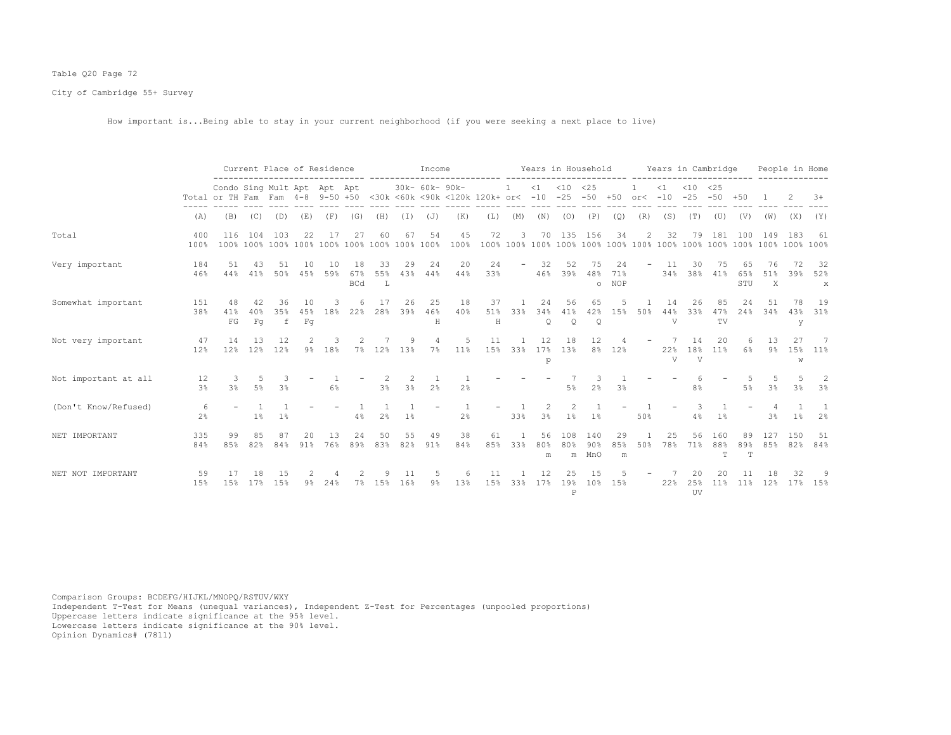# Table Q20 Page 72

City of Cambridge 55+ Survey

How important is...Being able to stay in your current neighborhood (if you were seeking a next place to live)

|                      |                     |                                                                                                                                    | Current Place of Residence |                |                      |           | Income                  |                          |           |                |                |                         |                          |                | Years in Household Years in Cambridge |                      |                  |       |                     |                           | People in Home  |                  |                                        |            |                             |
|----------------------|---------------------|------------------------------------------------------------------------------------------------------------------------------------|----------------------------|----------------|----------------------|-----------|-------------------------|--------------------------|-----------|----------------|----------------|-------------------------|--------------------------|----------------|---------------------------------------|----------------------|------------------|-------|---------------------|---------------------------|-----------------|------------------|----------------------------------------|------------|-----------------------------|
|                      |                     | Condo Sing Mult Apt Apt Apt<br>Total or TH Fam Fam 4-8 9-50 +50 <30k <60k <90k <120k 120k+ or< -10 -25 -50 +50 or< -10 -25 -50 +50 |                            |                |                      |           |                         |                          |           | 30k- 60k- 90k- |                |                         | $\mathbf{1}$             |                | $<1$ $<10$ $<25$                      |                      |                  |       |                     | $<1$ $<10$ $<25$          |                 |                  |                                        |            | $3+$                        |
|                      | (A)                 | (B)                                                                                                                                |                            | $(C)$ $(D)$    | (E)                  |           | $(F)$ (G)               | (H)                      |           | $(I)$ $(J)$    | (K)            | (L)                     | (M)                      |                | $(N)$ $(O)$ $(P)$                     |                      | (Q)              | (R)   | (S)                 | (T)                       | (U)             | (V)              | (W)                                    | (X)        | (Y)                         |
| Total                | 400<br>100%         | 116                                                                                                                                | 104                        | 103            | 22                   | 17        | 27                      | 60                       | 67        | 54             | 45             | 72                      | 3                        |                | 70 135 156                            |                      | 34               | 2     | 32                  | 79                        | 181             | 100              | 149                                    | 183        | -61                         |
| Very important       | 184<br>46%          | 51<br>44%                                                                                                                          | 43<br>41%                  | 51<br>50%      | 10<br>45%            | 10<br>59% | 18<br>67%<br><b>BCd</b> | 33<br>55%<br>$T_{\rm c}$ | 29<br>43% | 24<br>44%      | 20<br>44%      | 24<br>33%               | $\overline{\phantom{a}}$ | 32<br>46%      | 52<br>39%                             | 75<br>48%<br>$\circ$ | 24<br>71%<br>NOP | $ \,$ | - 11<br>34%         | 30                        | 75<br>38% 41%   | 65<br>65%<br>STU | 76<br>51%<br>$\boldsymbol{\mathsf{X}}$ | 72<br>39%  | - 32<br>52%<br>$\mathbf{x}$ |
| Somewhat important   | 151<br>38%          | 48<br>41%<br>${\rm FG}$                                                                                                            | 40%<br>F <sub>G</sub>      | 36<br>35%<br>f | 10<br>F <sub>G</sub> | 45% 18%   | 22%                     | 17<br>28%                | 26<br>39% | 25<br>46%<br>Н | 18<br>40%      | 37<br>51%<br>$_{\rm H}$ | $\mathbf{1}$<br>33%      | 24<br>34%<br>Q | 56<br>41%<br>$\mathsf{Q}$             | 65<br>42%<br>Q       | 15%              | 50%   | 14<br>44%<br>V      | 26<br>33%                 | 85<br>47%<br>TV | 2.4<br>24%       | 51<br>34%                              | 78<br>У    | 19<br>43% 31%               |
| Not very important   | 47<br>12%           | 14<br>12%                                                                                                                          | 13<br>12%                  | 12<br>12%      |                      | 9% 18%    | 7%                      | 12%                      | 13%       | $7\%$          | .5<br>11%      | 11<br>15%               | 33%                      | 12<br>17%<br>p | 18<br>13%                             | 12                   | 8% 12%           |       | 22%<br>$\mathbf{V}$ | 14<br>18%<br>$\mathbf{V}$ | 20<br>11%       | 6%               | 1.3<br>$9\%$                           | 27<br>W    | $\overline{7}$<br>15% 11%   |
| Not important at all | 12<br>3%            | 3<br>3%                                                                                                                            | -5<br>5%                   | 3.<br>3%       |                      | 6%        |                         | 3%                       | 2<br>3%   | 2 <sup>°</sup> | 2 <sup>°</sup> |                         |                          |                | 5%                                    | 2 <sup>°</sup>       | 3%               |       |                     | 8 <sup>°</sup>            |                 | -5<br>5%         | .5<br>3%                               | 3%         | -2<br>3 <sup>8</sup>        |
| (Don't Know/Refused) | 6<br>2 <sup>8</sup> |                                                                                                                                    | $1\%$                      | 1 <sup>°</sup> |                      |           | 4%                      | 2%                       | $1\%$     | $\equiv$       | 2%             |                         | 33%                      | 2<br>3%        | 2<br>1%                               | $1\%$                |                  | 50%   |                     | 4%                        | 1%              |                  | 3 <sup>°</sup>                         | $1\%$      | 2%                          |
| NET IMPORTANT        | 335<br>84%          | 99<br>85%                                                                                                                          | 85<br>82%                  | 87<br>84%      | 20<br>91%            | 13<br>76% | 24<br>89%               | 50<br>83%                | 55<br>82% | 49<br>91%      | 38<br>84%      | 61<br>85%               | 33%                      | 56<br>80%<br>m | 108<br>80%                            | 140<br>90%<br>m MnO  | 29<br>85%<br>m   | 50%   | 25<br>78%           | 56<br>71%                 | 160<br>88%<br>т | 89<br>89%<br>T   | 127<br>85%                             | 150<br>82% | - 51<br>84%                 |
| NET NOT IMPORTANT    | 59<br>15%           | 17<br>15%                                                                                                                          | 17%                        | 15<br>15%      | 9%                   | 24%       | 7%                      | 15%                      | 11<br>16% | $9\%$          | 13%            | 15%                     | 33%                      | 12<br>17%      | 19%<br>$\, {\bf P}$                   | 1.5<br>10%           | 15%              |       | 22%                 | 25%<br>UV                 | 20<br>11%       | 11%              | 12%                                    | 32<br>17%  | 15%                         |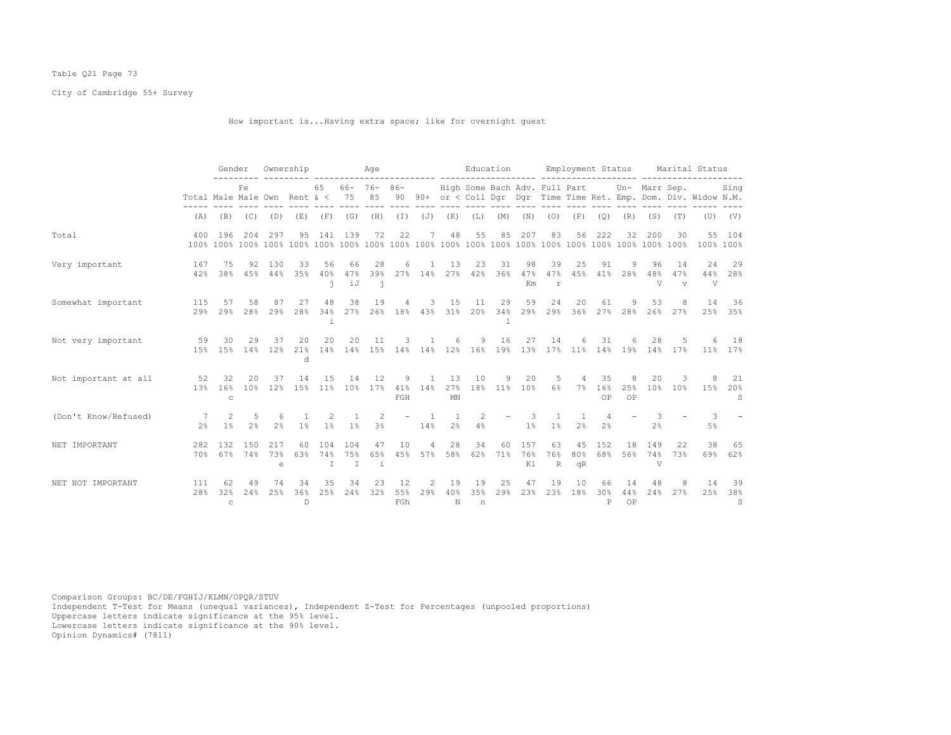# Table Q21 Page 73

City of Cambridge 55+ Survey

How important is...Having extra space; like for overnight guest

|                      |                              | Gender                    |                       |                          | Ownership                 |                            |                            | Age                             |                  |                                  |                                | Education                                                            |              |                      |                          |                 |                     | Employment Status    |                     |                             | Marital Status                                                    |                     |
|----------------------|------------------------------|---------------------------|-----------------------|--------------------------|---------------------------|----------------------------|----------------------------|---------------------------------|------------------|----------------------------------|--------------------------------|----------------------------------------------------------------------|--------------|----------------------|--------------------------|-----------------|---------------------|----------------------|---------------------|-----------------------------|-------------------------------------------------------------------|---------------------|
|                      | Total Male Male Own Rent & < |                           | Fe                    |                          |                           | 65                         | 75                         | $66 - 76 - 86 -$<br>85          |                  |                                  |                                | High Some Bach Adv. Full Part                                        |              |                      |                          |                 |                     |                      | Un- Marr Sep.       |                             | 90 90+ or < Coll Dqr Dqr Time Time Ret. Emp. Dom. Div. Widow N.M. | Sing                |
|                      | (A)                          | (B)                       |                       | $(C)$ $(D)$              | (E)                       | (F)                        | (G)                        | (H)                             |                  | $(I)$ $(J)$ $(K)$                |                                | (L)                                                                  | (M)          | (N)                  | (0)                      | (P)             | (Q)                 | (R)                  | (S)                 | (T)                         |                                                                   | $(U)$ $(V)$         |
| Total                | 400                          | 196                       | 204                   | 297                      | 95                        |                            | 141 139                    | 72                              | 22               |                                  | 48                             | 55                                                                   | 85           | 207                  | 83                       | 56              | 222                 | 32                   | 200                 | 30                          |                                                                   | 55 104<br>100% 100% |
| Very important       | 167<br>42%                   | 75<br>38%                 | 92<br>45%             | 130<br>44%               | 33<br>35%                 | 56<br>40%<br>÷.            | 66<br>47%<br>iJ            | 28<br>39%<br>$\mathbf{\dot{1}}$ | 6                | $\overline{1}$<br>27% 14%        | 13<br>27%                      | 23<br>42%                                                            | 31<br>36%    | 98<br>47%<br>Km      | 39<br>47%<br>$\mathbf r$ | 25<br>45%       | 91<br>41%           | 9<br>28%             | 96<br>48%<br>V      | 14<br>47%<br>$\overline{V}$ | 24<br>44%<br>V                                                    | 29<br>28%           |
| Somewhat important   | 115<br>29%                   | 57<br>29%                 | 58<br>28%             | 87<br>29%                | 27<br>28%                 | 48<br>34%<br>i             | 38<br>27%                  | 19                              | 4                | 3                                | 15<br>26% 18% 43% 31%          | 11<br>20%                                                            | 29<br>34%    | 59<br>29%            | 24                       | 20              | 61                  | 9<br>29% 36% 27% 28% | 53<br>26%           | 8<br>27%                    | 14                                                                | 36<br>25% 35%       |
| Not very important   | 59<br>15%                    | 30                        | 29                    | 37<br>15% 14% 12%        | 20<br>d                   | 20                         | 20                         | 11                              | 3                | 1                                | 6                              | 9<br>21% 14% 14% 15% 14% 14% 12% 16% 19% 13% 17% 11% 14% 19% 14% 17% | 16           | 27                   | 14                       | 6               | 31                  | 6                    | 28                  | 5                           | 6                                                                 | 18<br>11% 17%       |
| Not important at all | 52<br>1.3%                   | 32<br>16%<br>$\mathbb C$  | 20<br>10 <sup>8</sup> | 37<br>12%                | 14<br>15%                 | 1.5<br>11 <sup>°</sup>     | 14<br>10%                  | 12<br>17%                       | 9<br>41%<br>FGH  | -1.<br>14%                       | 13<br>27%<br>MN                | 10                                                                   | 9<br>18% 11% | 20<br>10%            | $\overline{5}$<br>6%     | 4<br>7%         | 35<br>16%<br>OP     | 8<br>25%<br>OP       | 20<br>10%           | 3<br>10%                    | 8                                                                 | 21<br>15% 20%<br>S  |
| (Don't Know/Refused) | -7<br>2 <sup>°</sup>         | 2<br>1%                   | 5<br>$2\frac{6}{9}$   | -6<br>2 <sup>8</sup>     | $\mathbf{1}$<br>$1\%$     | 2<br>1%                    | $\overline{1}$<br>1%       | 2<br>3 <sup>°</sup>             |                  | $\overline{1}$<br>14%            | <sup>1</sup><br>2 <sup>°</sup> | 2<br>4%                                                              |              | -3<br>1 <sup>°</sup> | -1<br>$1\%$              | 2 <sup>°</sup>  | 4<br>2 <sup>°</sup> |                      | 3<br>2 <sup>°</sup> |                             | 3<br>$5\%$                                                        |                     |
| NET IMPORTANT        | 282<br>70%                   | 132<br>67%                | 150<br>74%            | 217<br>73%<br>$\epsilon$ | 60<br>63%                 | 104<br>74%<br>$\mathbb{I}$ | 104<br>75%<br>$\mathbb{I}$ | 47<br>65%<br>i                  | 10<br>45%        | 4<br>57%                         | 28<br>58%                      | 34<br>62%                                                            | 60<br>71%    | 157<br>76%<br>K1     | 63<br>76%<br>R           | 45<br>80%<br>qR | 152<br>68%          | 18<br>56%            | 149<br>74%<br>V     | 22<br>73%                   | 38<br>69%                                                         | 65<br>62%           |
| NET NOT IMPORTANT    | 111<br>28%                   | 62<br>32%<br>$\mathsf{C}$ | 49<br>24%             | 74<br>2.5%               | 34<br>36%<br>$\mathbb{D}$ | 35<br>25%                  | 34<br>24%                  | 23<br>32%                       | 12<br>55%<br>FGh | $\mathcal{L}$<br>29 <sub>8</sub> | 19<br>40%<br>N                 | 19<br>35%<br>n                                                       | 25<br>29%    | 47<br>23%            | 19<br>23%                | 10<br>18%       | 66<br>30%<br>P      | 14<br>44%<br>OP      | 48<br>24%           | 8<br>27%                    | 14<br>25%                                                         | 39<br>38%<br>S      |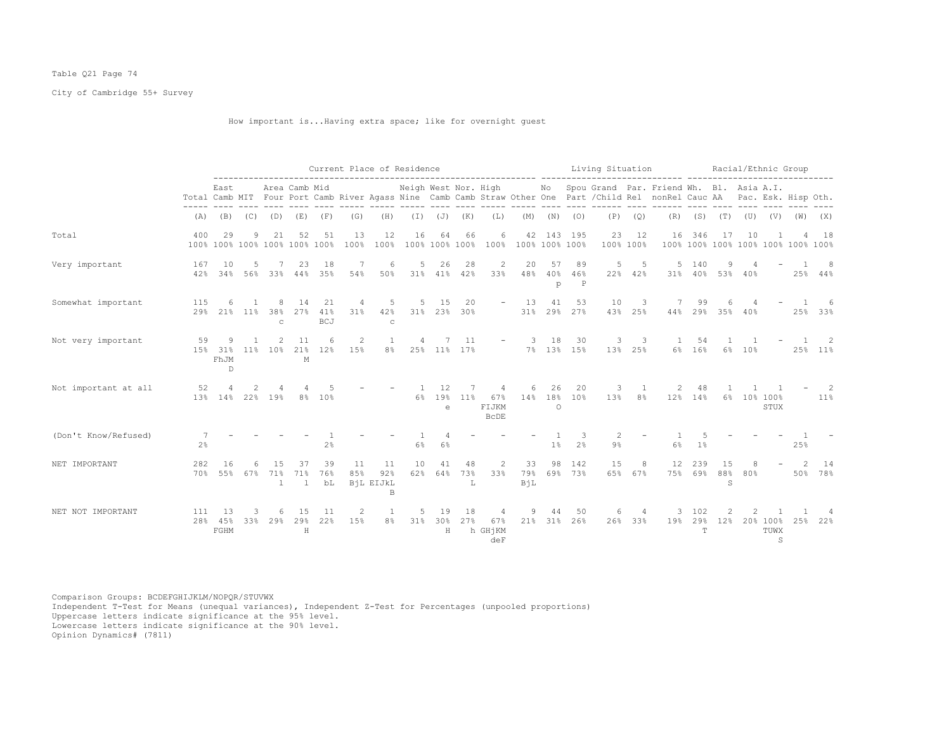# Table Q21 Page 74

City of Cambridge 55+ Survey

How important is...Having extra space; like for overnight guest

|                      |                     | Current Place of Residence<br>Neigh West Nor. High Mo Spou Grand Par. Friend Wh. Bl. Asia A.I.<br>Area Camb Mid |           |                          |                                     |                         |            |                                        |                |                            |                   |                                               |                                          |                   |                          | Living Situation |                                     |                                                                                                                              |                 |                            |        |                       | Racial/Ethnic Group           |                     |
|----------------------|---------------------|-----------------------------------------------------------------------------------------------------------------|-----------|--------------------------|-------------------------------------|-------------------------|------------|----------------------------------------|----------------|----------------------------|-------------------|-----------------------------------------------|------------------------------------------|-------------------|--------------------------|------------------|-------------------------------------|------------------------------------------------------------------------------------------------------------------------------|-----------------|----------------------------|--------|-----------------------|-------------------------------|---------------------|
|                      |                     | East                                                                                                            |           |                          |                                     |                         |            |                                        |                |                            |                   |                                               |                                          |                   |                          |                  |                                     | Total Camb MIT Four Port Camb River Agass Nine Camb Camb Straw Other One Part / Child Rel nonRel Cauc AA Pac. Esk. Hisp Oth. |                 |                            |        |                       |                               |                     |
|                      |                     |                                                                                                                 |           |                          | $(A)$ $(B)$ $(C)$ $(D)$ $(E)$ $(F)$ |                         | (G)        | (H)                                    |                |                            | $(I)$ $(J)$ $(K)$ | (L)                                           |                                          |                   | $(M)$ $(N)$ $(O)$        |                  | $(P)$ $(Q)$                         |                                                                                                                              |                 |                            |        |                       | $(R)$ (S) (T) (U) (V) (W) (X) |                     |
| Total                | 400                 | 29                                                                                                              | 9         | 21                       | 52<br>100% 100% 100% 100% 100% 100% | 51                      | 13<br>100% | 12<br>100%                             | 16             | 64                         | 66                | 6                                             | 42<br>100% 100% 100% 100% 100% 100% 100% |                   | 143 195                  | 23<br>100% 100%  | 12                                  | 16<br>100% 100% 100% 100% 100% 100% 100%                                                                                     | 346             | 17                         | 10     |                       |                               | 18                  |
| Very important       | 167<br>42%          | 10<br>34%                                                                                                       | 5         | 56% 33%                  | 23<br>44%                           | 18<br>35%               | 7<br>54%   | 6<br>50%                               | 5              | 26<br>31% 41%              | 28<br>42%         | 2<br>33%                                      | 20<br>48%                                | 57<br>$40\%$<br>p | 89<br>46%<br>$\mathbb P$ | 5                | 5<br>22% 42%                        |                                                                                                                              | 5 140           | 9<br>31% 40% 53% 40%       |        |                       |                               | -8<br>$25\%$ 44%    |
| Somewhat important   | 115<br>29%          | 6                                                                                                               | 21% 11%   | 8<br>38%<br>$\mathbf{C}$ | 14<br>27%                           | 21<br>41%<br><b>BCJ</b> | 4<br>31%   | 5<br>42%<br>$\mathbf C$                | 5              | 15                         | 20<br>31% 23% 30% | $ \,$                                         | 13                                       | 41                | 53<br>31% 29% 27%        | 10<br>43%        | 3<br>25%                            | 7<br>44%                                                                                                                     | 99              | 6<br>29% 35% 40%           |        |                       |                               | 25% 33%             |
| Not very important   | 59                  | 9<br>15% 31%<br>FhJM<br>$\mathbb{D}$                                                                            | 11%       | 2<br>10 <sup>8</sup>     | 11<br>М                             | 6<br>21% 12%            | 2<br>15%   | 1<br>8%                                | 4              | 7                          | 11<br>25% 11% 17% |                                               | -3<br>$\sim$ 100 $\mu$ m $^{-1}$         | 18                | 30<br>7% 13% 15%         | 3                | $\overline{\phantom{a}}$<br>13% 25% |                                                                                                                              | 1 54<br>6% 16%  |                            | 6% 10% |                       | $\overline{1}$                | $\sim$ 2<br>25% 11% |
| Not important at all | 52                  | 4<br>13% 14% 22% 19%                                                                                            | 2         |                          |                                     | -5<br>8% 10%            |            |                                        | $\overline{1}$ | 12<br>6% 19%<br>$\epsilon$ | 7<br>$11\%$       | $\overline{4}$<br>67%<br>FIJKM<br><b>BCDE</b> | 6                                        | 26<br>$\circ$     | 20<br>14% 18% 10%        | 3                | $\overline{1}$<br>13% 8%            | 2                                                                                                                            | 48<br>12% 14%   |                            |        | 6% 10% 100%<br>STUX   |                               | 2<br>11%            |
| (Don't Know/Refused) | 7<br>2 <sup>°</sup> |                                                                                                                 |           |                          |                                     | 2 <sup>°</sup>          |            |                                        | 6%             | 6%                         |                   |                                               |                                          | 1%                | 3<br>2 <sup>°</sup>      | 2<br>$9\%$       |                                     | 6%                                                                                                                           | 1 <sup>°</sup>  |                            |        |                       | 25%                           |                     |
| NET IMPORTANT        | 282                 | 16<br>70% 55%                                                                                                   | 6.<br>67% | 1.5<br>71%               | 37<br>71%<br>$\mathbf{1}$           | 39<br>76%<br>bL         | 11<br>85%  | 11<br>92%<br>BiL EIJkL<br>$\mathsf{B}$ | 10<br>62%      | 41<br>64%                  | 48<br>73%<br>L    | 2<br>33%                                      | 33<br>79%<br>BiL                         | 98                | 142<br>69% 73%           | 15               | 8<br>65% 67%                        | 12                                                                                                                           | 239             | 15<br>75% 69% 88% 80%<br>S | 8      |                       | $\overline{2}$                | 14<br>50% 78%       |
| NET NOT IMPORTANT    | 111<br>28%          | 13<br>45%<br>FGHM                                                                                               | 3<br>33%  | 6<br>29%                 | 15<br>29%<br>$\rm H$                | 11<br>22%               | 2<br>15%   | 1<br>8 <sup>°</sup>                    | 5<br>31%       | 19<br>30%<br>$\mathbf H$   | 18<br>27%         | 4<br>67%<br>h GHjKM<br>deF                    | 9<br>21%                                 | 44                | 50<br>31% 26%            | 6                | 26% 33%                             | 3<br>19%                                                                                                                     | 102<br>29%<br>T | 2<br>12%                   |        | 20% 100%<br>TUWX<br>S | 25%                           | 22%                 |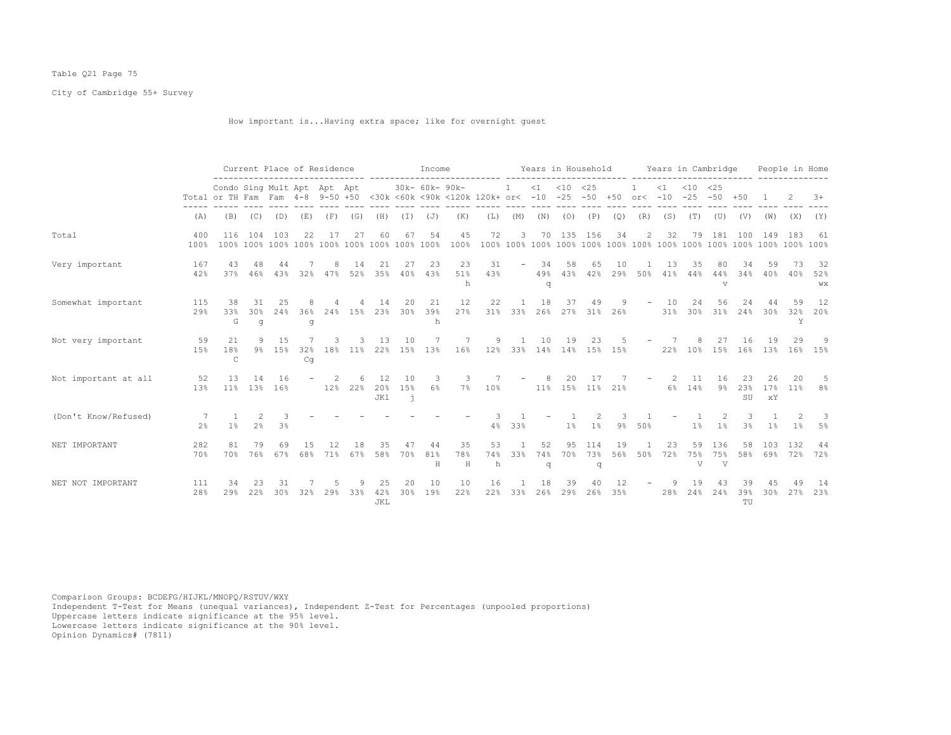# Table Q21 Page 75

City of Cambridge 55+ Survey

How important is...Having extra space; like for overnight guest

|                      |                |                                                                                                                                    | Current Place of Residence      |              |           |          |            |                  |                                  | Income           |                |                |                                         |                |                  | Years in Household |           |                          | Years in Cambridge |                                                               |                 |                   |                 | People in Home |                 |
|----------------------|----------------|------------------------------------------------------------------------------------------------------------------------------------|---------------------------------|--------------|-----------|----------|------------|------------------|----------------------------------|------------------|----------------|----------------|-----------------------------------------|----------------|------------------|--------------------|-----------|--------------------------|--------------------|---------------------------------------------------------------|-----------------|-------------------|-----------------|----------------|-----------------|
|                      |                | Condo Sing Mult Apt Apt Apt<br>Total or TH Fam Fam 4-8 9-50 +50 <30k <60k <90k <120k 120k+ or< -10 -25 -50 +50 or< -10 -25 -50 +50 |                                 |              |           |          |            |                  |                                  | 30k- 60k- 90k-   |                |                | $\mathbf{1}$                            |                | $<1$ $<10$ $<25$ |                    |           |                          |                    | $\langle 1 \rangle$ $\langle 10 \rangle$ $\langle 25 \rangle$ |                 |                   |                 |                | $+8$            |
|                      | (A)            | (B)                                                                                                                                | (C)                             | (D)          | (E)       | (F)      | (G)        | (H)              | (I)                              | (J)              | (K)            | (L)            | (M)                                     | (N)            | (0)              | (P)                | (Q)       | (R)                      | (S)                | (T)                                                           | (U)             | (V)               | (W)             | (X)            | (Y)             |
| Total                | 400<br>100%    | 116                                                                                                                                | 104                             | 103          | 22        |          | 27         | 60               | 67                               | 54               | 45<br>100%     | 72             | 3                                       | 70             | 135              | 156                | 34        | 2                        | 32                 | 79                                                            | 181             | 100               | 149             | 183            | 61              |
| Very important       | 167<br>42%     | 43<br>37%                                                                                                                          | 48<br>46%                       | 44<br>43%    | 32%       | 8<br>47% | -14<br>52% | 21<br>35%        | 27<br>40%                        | 23<br>43%        | 23<br>51%<br>h | 31<br>43%      | $\overline{\phantom{a}}$                | 34<br>49%<br>q | 58<br>43%        | 65<br>42%          | 10<br>29% | 50%                      | 13<br>41%          | 35.<br>44%                                                    | 80<br>44%<br>v  | 34<br>34%         | 59<br>40%       | 40%            | 32<br>52%<br>WX |
| Somewhat important   | 115<br>29%     | 38<br>33%<br>G                                                                                                                     | 31<br>30%<br>q                  | 25<br>24%    | 36%<br>q  | 24%      | 15%        | 14<br>23%        | 20<br>30%                        | 21<br>39%<br>h   | 12<br>27%      | 22             | 31% 33%                                 | 18<br>26%      | 37               | 49<br>27% 31% 26%  | 9.        |                          | 10<br>31%          | 24                                                            | 56              | 24<br>30% 31% 24% | 30%             | 59<br>32%<br>Y | 12<br>20%       |
| Not very important   | 59<br>15%      | 21<br>18%<br>$\mathsf{C}$                                                                                                          | 9                               | 15<br>9% 15% | 32%<br>Cq | 18%      | $11\%$     | 13               | 10                               | 7<br>22% 15% 13% | 7<br>$16\%$    | 9              | $\mathbf{1}$<br>12% 33% 14% 14% 15% 15% | 10             | 19               | 23                 |           |                          | 7<br>22%           | 8                                                             | 27              | 16<br>10% 15% 16% | 19<br>13%       | 29<br>16%      | -9<br>15%       |
| Not important at all | 52<br>13%      | 13<br>11%                                                                                                                          | 14<br>13%                       | 16<br>16%    |           | 12%      | 22%        | 12<br>20%<br>JK1 | 10<br>1.5%<br>$\mathbf{\dot{1}}$ | 3<br>6%          | 3<br>7%        | 10%            |                                         | 8<br>$11\%$    | 20.              | -17<br>15% 11% 21% |           | $\overline{\phantom{a}}$ | 2<br>6%            | 11<br>14%                                                     | 16<br>9%        | 23<br>23%<br>SU   | 26<br>17%<br>хY | 20<br>11%      | 8%              |
| (Don't Know/Refused) | 2 <sup>°</sup> | 1%                                                                                                                                 | $\mathcal{L}$<br>2 <sup>°</sup> | 3<br>3%      |           |          |            |                  |                                  |                  |                | 4%             | 33%                                     |                | 1 <sup>°</sup>   | 1%                 | 9%        | 50%                      |                    | $1\%$                                                         | 1%              | 3 <sup>°</sup>    | 1%              | $1\%$          | -3<br>5%        |
| NET IMPORTANT        | 282<br>70%     | 81<br>70%                                                                                                                          | 79<br>76%                       | 69<br>67%    | 68%       | 71%      | 67%        | 58%              | 70%                              | 44<br>81%<br>Н   | 35<br>78%<br>H | 53<br>74%<br>h | 33%                                     | 52<br>74%<br>q | 95.<br>70%       | 114<br>73%<br>q    | 19<br>56% | 50%                      | 23<br>72%          | 59<br>75%<br>V                                                | 136<br>75%<br>V | 58<br>58%         | 103<br>69%      | 132<br>72%     | 44<br>72%       |
| NET NOT IMPORTANT    | 111<br>28%     | 34<br>29%                                                                                                                          | 22%                             | 30%          | 32%       | 29%      | 33%        | 25<br>42%<br>JKL | 20<br>30%                        | 10<br>19%        | 10<br>22%      | 16<br>22%      | 33%                                     | 18<br>26%      | 39<br>29%        | 26%                | 35%       |                          | 28%                | 2.4%                                                          | 24%             | 39%<br>TU         | 30%             | 27%            | 14<br>23%       |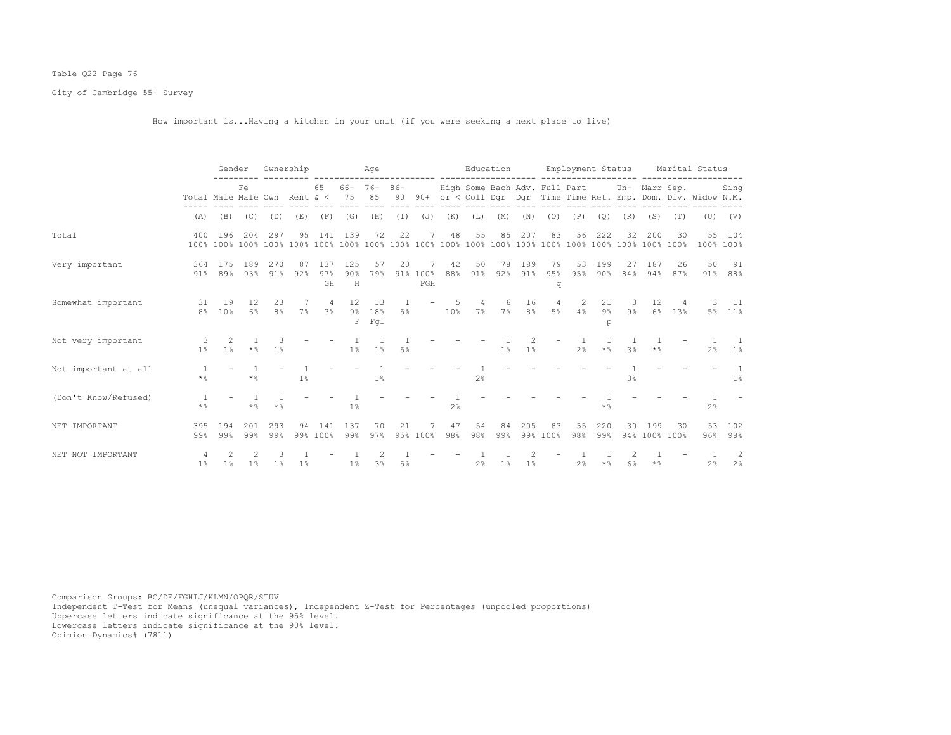# Table Q22 Page 76

City of Cambridge 55+ Survey

How important is...Having a kitchen in your unit (if you were seeking a next place to live)

|                      |                              | Gender     |             | Ownership            |                |                                  |                        | Age                       |          |                                           |                                |                         | Education |                      |                                             |                |                  | Employment Status             |                      |           | Marital Status                                                    |                     |
|----------------------|------------------------------|------------|-------------|----------------------|----------------|----------------------------------|------------------------|---------------------------|----------|-------------------------------------------|--------------------------------|-------------------------|-----------|----------------------|---------------------------------------------|----------------|------------------|-------------------------------|----------------------|-----------|-------------------------------------------------------------------|---------------------|
|                      | Total Male Male Own Rent & < |            | Fe          |                      |                | 65                               | $66 - 76 - 86 -$<br>75 | 85                        |          |                                           |                                |                         |           |                      | High Some Bach Adv. Full Part Un- Marr Sep. |                |                  |                               |                      |           | 90 90+ or < Coll Dgr Dgr Time Time Ret. Emp. Dom. Div. Widow N.M. | Sing                |
|                      | (A)                          | (B)        | (C)         | (D)                  | (E)            | (F)                              | (G)                    | (H)                       | $(\top)$ | (J)                                       | (K)                            | (L)                     | (M)       | (N)                  | (0)                                         | (P)            | (Q)              | (R)                           | (S)                  | (T)       |                                                                   | $(U)$ $(V)$         |
| Total                | 400                          | 196        | 204         | 297                  | 95             | 141                              | 139                    | 72                        | 22       |                                           | 48                             | 55                      | 85        | 207                  | 83                                          | 56             | 222              | 32                            | 200                  | 30        |                                                                   | 55 104<br>100% 100% |
| Very important       | 364<br>$91\%$                | 175<br>89% | 189<br>93%  | 270<br>91%           | 87<br>92%      | 137<br>97%<br>GH                 | 125<br>90%<br>H        | 57<br>79%                 | 20       | 91% 100%<br>$\operatorname{\mathsf{FGH}}$ | 42<br>88%                      | 50<br>91%               | 78<br>92% | 189<br>91%           | 79<br>95%<br>q                              | 53<br>95%      | 199<br>$90\%$    | 27<br>84%                     | 187<br>94%           | 26<br>87% | 50                                                                | 91<br>91% 88%       |
| Somewhat important   | 31<br>8%                     | 19<br>10%  | 12<br>$6\%$ | 23<br>8 <sup>°</sup> | 7%             | $\overline{4}$<br>3 <sup>8</sup> | 12                     | 13<br>9% 18%<br>$F$ $FqI$ | -1<br>5% | $\overline{\phantom{a}}$                  | $5^{\circ}$<br>10 <sup>8</sup> | $\overline{4}$<br>$7\%$ | 6<br>7%   | 16<br>8 <sup>°</sup> | $\overline{4}$<br>$5\%$                     | 2<br>4%        | 21<br>$9\%$<br>p | $\overline{\mathbf{3}}$<br>9% | 12<br>$6\%$          | 4<br>13%  |                                                                   | 3 11<br>5% 11%      |
| Not very important   | 3<br>1 <sup>°</sup>          | 2<br>1%    | $\star$ %   | $1\%$                |                |                                  | $1\%$                  | 1%                        | $5\%$    |                                           |                                |                         | $1\%$     | 1 <sup>°</sup>       |                                             | 2 <sup>°</sup> | $\star$ %        | 3 <sup>°</sup>                | $\star$ %            |           | 2 <sup>°</sup>                                                    | $1\%$               |
| Not important at all | $\star$ %                    |            | $\star$ %   |                      | $1\%$          |                                  |                        | $1\%$                     |          |                                           |                                | 2 <sup>8</sup>          |           |                      |                                             |                |                  | 3 <sup>°</sup>                |                      |           |                                                                   | 1%                  |
| (Don't Know/Refused) | -1<br>$\star$ %              |            | $\star$ %   | $\star$ %            |                |                                  | $1\%$                  |                           |          |                                           | 2 <sup>°</sup>                 |                         |           |                      |                                             |                | $\star$ %        |                               |                      |           | $2\frac{6}{5}$                                                    |                     |
| NET IMPORTANT        | 395<br>99%                   | 194<br>99% | 2.01<br>99% | 293<br>99%           | 94             | 141<br>99% 100%                  | 137<br>99%             | 70<br>97%                 | 2.1      | 95% 100%                                  | 47<br>98%                      | 54<br>98%               | 84<br>99% | 205                  | 83<br>99% 100%                              | 55<br>98%      | 220<br>99%       | 30                            | 199<br>94% 100% 100% | 30        | 53<br>96%                                                         | 102<br>98%          |
| NET NOT IMPORTANT    | 4<br>$1\%$                   | 1%         | $1\%$       | $1\%$                | 1 <sup>°</sup> |                                  | $1\%$                  | 3 <sup>8</sup>            | 5%       |                                           |                                | 2 <sup>8</sup>          | $1\%$     | 1 <sup>8</sup>       |                                             | 2 <sup>8</sup> | $\star$ %        | 6%                            | $\star$ %            |           | $2\%$                                                             | -2<br>2%            |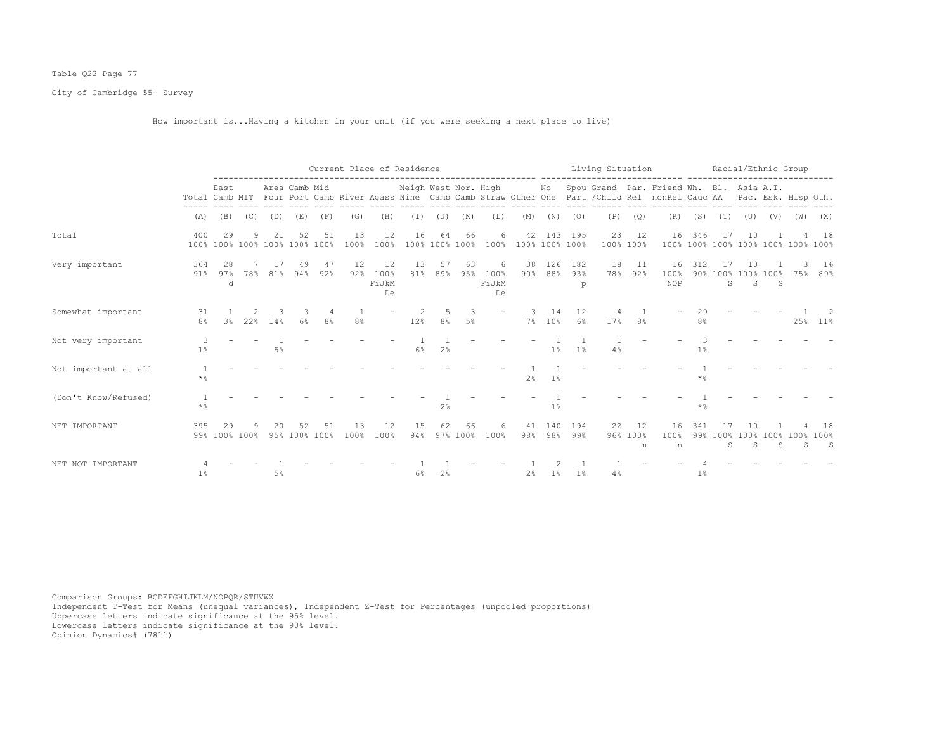# Table Q22 Page 77

City of Cambridge 55+ Survey

How important is...Having a kitchen in your unit (if you were seeking a next place to live)

|                      |                      |                                     |     |     |               |           |            |                           | Current Place of Residence |                      |                |                          |                           |              |                                                                                                                                                                                                                                                                                                                                                                                                     |     |                     | Living Situation Racial/Ethnic Group                                                                                                                                                             |                      |               |                               |     |     |                 |
|----------------------|----------------------|-------------------------------------|-----|-----|---------------|-----------|------------|---------------------------|----------------------------|----------------------|----------------|--------------------------|---------------------------|--------------|-----------------------------------------------------------------------------------------------------------------------------------------------------------------------------------------------------------------------------------------------------------------------------------------------------------------------------------------------------------------------------------------------------|-----|---------------------|--------------------------------------------------------------------------------------------------------------------------------------------------------------------------------------------------|----------------------|---------------|-------------------------------|-----|-----|-----------------|
|                      |                      | East                                |     |     | Area Camb Mid |           |            |                           |                            |                      |                |                          |                           |              |                                                                                                                                                                                                                                                                                                                                                                                                     |     |                     | Neigh West Nor. High Mo Spou Grand Par. Friend Wh. Bl. Asia A.I.<br>Total Camb MIT Four Port Camb River Agass Nine Camb Camb Straw Other One Part / Child Rel nonRel Cauc AA Pac. Esk. Hisp Oth. |                      |               |                               |     |     |                 |
|                      | (A)                  | (B)                                 | (C) | (D) | (E)           | (F)       | (G)        | (H)                       | $(\top)$                   | (J)                  | (K)            | (L)                      | (M)                       | (N)          | $\frac{1}{2} \frac{1}{2} \frac{1}{2} \frac{1}{2} \frac{1}{2} \frac{1}{2} \frac{1}{2} \frac{1}{2} \frac{1}{2} \frac{1}{2} \frac{1}{2} \frac{1}{2} \frac{1}{2} \frac{1}{2} \frac{1}{2} \frac{1}{2} \frac{1}{2} \frac{1}{2} \frac{1}{2} \frac{1}{2} \frac{1}{2} \frac{1}{2} \frac{1}{2} \frac{1}{2} \frac{1}{2} \frac{1}{2} \frac{1}{2} \frac{1}{2} \frac{1}{2} \frac{1}{2} \frac{1}{2} \frac{$<br>(0) | (P) | $- - - - -$<br>(Q)  | (R)                                                                                                                                                                                              | (S)                  | (T)           | (U)                           | (V) | (W) | (X)             |
| Total                | 400                  | 29<br>100% 100% 100% 100% 100% 100% | 9   | 21  | 52            | 51        | 13<br>100% | 12<br>100%                | 16                         | 64<br>100% 100% 100% | 66             | 6                        | 42<br>100% 100% 100% 100% |              | 143 195                                                                                                                                                                                                                                                                                                                                                                                             | 23  | 12<br>100% 100%     | 16<br>100% 100% 100% 100% 100% 100% 100%                                                                                                                                                         | 346                  | -17           | 10                            |     |     | 18              |
| Very important       | 364<br>91%           | 28<br>97%<br>d                      | 78% | 81% | 94%           | 47<br>92% | 12<br>92%  | 12<br>100%<br>FiJkM<br>De | 13<br>81%                  | 57<br>89%            | 63<br>95%      | 6<br>100%<br>FiJkM<br>De | 38<br>$90\%$              | 126<br>88%   | 182<br>93%<br>p                                                                                                                                                                                                                                                                                                                                                                                     | 18  | 11<br>78% 92%       | 16<br>100%<br>NOP                                                                                                                                                                                | 312                  | S             | 10<br>90% 100% 100% 100%<br>S | -S  | 75% | 16<br>89%       |
| Somewhat important   | 31<br>8 <sup>°</sup> | 3 <sup>8</sup>                      | 22% | 14% | 6%            | 8%        | 8%         |                           | 12%                        | 8%                   | 3<br>5%        |                          |                           | 14<br>7% 10% | 12<br>6%                                                                                                                                                                                                                                                                                                                                                                                            | 17% | 8%                  |                                                                                                                                                                                                  | 29<br>8 <sup>°</sup> |               |                               |     | 25% | $11\%$          |
| Not very important   | 3<br>1 <sup>°</sup>  |                                     |     | 5%  |               |           |            |                           | $6\%$                      | 2 <sup>°</sup>       |                |                          |                           | 1%           | 1 <sup>°</sup>                                                                                                                                                                                                                                                                                                                                                                                      | 4%  |                     |                                                                                                                                                                                                  | 1%                   |               |                               |     |     |                 |
| Not important at all | $\star$ %            |                                     |     |     |               |           |            |                           |                            |                      |                |                          | 2 <sup>8</sup>            | $1\%$        |                                                                                                                                                                                                                                                                                                                                                                                                     |     |                     |                                                                                                                                                                                                  | $*$ $\frac{6}{10}$   |               |                               |     |     |                 |
| (Don't Know/Refused) | $\star$ %            |                                     |     |     |               |           |            |                           |                            | 2%                   |                |                          |                           | 1%           |                                                                                                                                                                                                                                                                                                                                                                                                     |     |                     |                                                                                                                                                                                                  | $*$ %                |               |                               |     |     |                 |
| NET IMPORTANT        | 395                  | 29<br>99% 100% 100%                 |     |     | 95% 100% 100% | 51        | 13<br>100% | 12<br>100%                | 15<br>94%                  | 62                   | 66<br>97% 100% | 6<br>100%                | 41<br>98%                 | 140          | 194<br>98% 99%                                                                                                                                                                                                                                                                                                                                                                                      | 22  | 12<br>96% 100%<br>n | 16<br>100%<br>n                                                                                                                                                                                  | 341                  | 99% 100%<br>S | 100% 100% 100%<br>S           | S.  | S   | 18<br>100%<br>S |
| NET NOT IMPORTANT    | $1\%$                |                                     |     | 5%  |               |           |            |                           | 6%                         | 2 <sup>°</sup>       |                |                          | 2 <sup>°</sup>            | $1\%$        | 1%                                                                                                                                                                                                                                                                                                                                                                                                  | 4%  |                     |                                                                                                                                                                                                  | $1\%$                |               |                               |     |     |                 |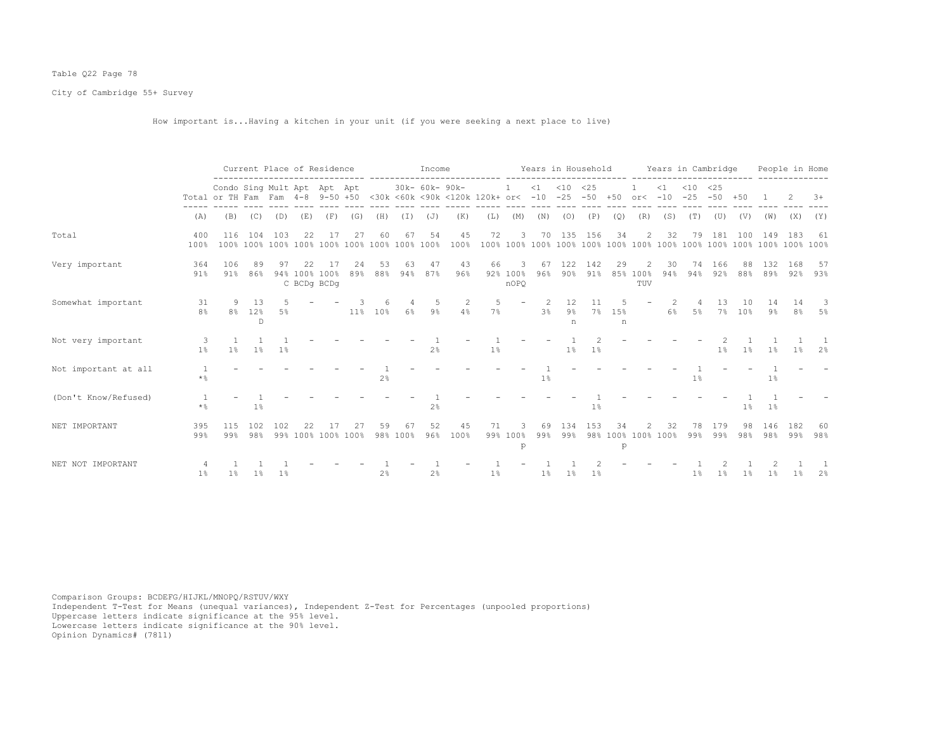# Table Q22 Page 78

City of Cambridge 55+ Survey

How important is...Having a kitchen in your unit (if you were seeking a next place to live)

|                      |                      |                                                                                                    |                   | Current Place of Residence      |                                    |                    |           |                |                | Income               |            |         |                        |           |                  |             |                           |                          |                          |               | Years in Household Years in Cambridge |           |            | People in Home         |            |
|----------------------|----------------------|----------------------------------------------------------------------------------------------------|-------------------|---------------------------------|------------------------------------|--------------------|-----------|----------------|----------------|----------------------|------------|---------|------------------------|-----------|------------------|-------------|---------------------------|--------------------------|--------------------------|---------------|---------------------------------------|-----------|------------|------------------------|------------|
|                      |                      | Condo Sing Mult Apt Apt Apt<br>Total or TH Fam Fam 4-8 9-50 +50 <30k <60k <90k <120k 120k+ or< -10 |                   |                                 |                                    |                    |           |                |                | 30k- 60k- 90k-       |            |         |                        | <1        | $< 10$ $< 25$    |             | $-25 - 50 + 50$ or< $-10$ |                          | $\leq 1$                 | $< 10$ $< 25$ | $-25 - 50 + 50$                       |           |            |                        | $3+$       |
|                      | (A)                  | (B)                                                                                                | (C)               | (D)                             | (E)                                | (F)                | (G)       | (H)            | (I)            | (J)                  | (K)        | (L)     | (M)                    | (N)       | (0)              | (P)         | (Q)                       | (R)                      | (S)                      | (T)           | (U)                                   | (V)       | (W)        | (X)                    | (Y)        |
| Total                | 400<br>100%          | 116<br>100%                                                                                        | 104               | 103<br>100% 100% 100% 100% 100% | 22                                 | 17                 | 27        | 60             | 67             | 54<br>100% 100% 100% | 45<br>100% | 72      | 3                      |           | 70 135 156       |             | 34                        | $\overline{2}$           | 32                       | 79            | 181                                   | 100       | 149        | 183                    | - 61       |
| Very important       | 364<br>91%           | 106<br>91%                                                                                         | 89<br>86%         | 97                              | 22<br>94% 100% 100%<br>C BCDq BCDq | -17                | 24<br>89% | 53<br>88%      | 63<br>94%      | 47<br>87%            | 43<br>96%  | 66      | -3<br>92% 100%<br>nOPO | 67<br>96% | 122<br>90%       | 142<br>91%  | 29                        | 2<br>85% 100%<br>TUV     | 30<br>94%                | 74            | 166<br>94% 92%                        | 88        | 132        | 168<br>88% 89% 92% 93% | 57         |
| Somewhat important   | 31<br>8 <sup>°</sup> | 9                                                                                                  | 13<br>8% 12%<br>D | 5%                              |                                    |                    |           | 11% 10%        | 6%             | -5<br>9%             | 2<br>4%    | 5<br>7% | $\sim$                 | - 2<br>3% | 12<br>$9\%$<br>n | 11          | 7% 15%<br>n               | $\overline{\phantom{a}}$ | 6% -                     |               | 13<br>5% 7% 10%                       | 10        | 14<br>9%   | 14                     | 8% 5%      |
| Not very important   | -3<br>$1\%$          | $1\%$                                                                                              | $1\%$             | 1%                              |                                    |                    |           |                |                | $2\frac{6}{5}$       |            | 1%      |                        |           | $1\%$            | $1\%$       |                           |                          |                          |               | $1\%$                                 | $1\%$     | 1%         | $1\%$                  | 2%         |
| Not important at all | $\star$ %            |                                                                                                    |                   |                                 |                                    |                    |           | 2%             |                |                      |            |         |                        | 1%        |                  |             |                           |                          |                          | 1%            |                                       |           | $1\%$      |                        |            |
| (Don't Know/Refused) | $\star$ %            |                                                                                                    | $1\%$             |                                 |                                    |                    |           |                |                | 2 <sup>°</sup>       |            |         |                        |           |                  | $1\%$       |                           |                          |                          |               |                                       | $1\%$     | 1%         |                        |            |
| NET IMPORTANT        | 395<br>99%           | 115<br>99%                                                                                         | 102<br>98%        | 102                             | 22                                 | 99% 100% 100% 100% |           | 59             | 67<br>98% 100% | 52<br>96%            | 45<br>100% | 71      | 99% 100%<br>p          | 69<br>99% | 134<br>99%       | 1.53        | 34<br>p                   |                          | 32<br>98% 100% 100% 100% | 78<br>99%     | 179<br>99%                            | 98<br>98% | 146<br>98% | 182<br>99%             | -60<br>98% |
| NET NOT IMPORTANT    | 4<br>$1\%$           | $1\%$                                                                                              | $1\%$             | 1%                              |                                    |                    |           | 2 <sup>°</sup> |                | 2 <sup>°</sup>       |            | $1\%$   |                        | $1\%$     |                  | $1\%$ $1\%$ |                           |                          |                          | $1\%$         | $1\%$                                 | $1\%$     | 1%         | $1\%$                  | 2%         |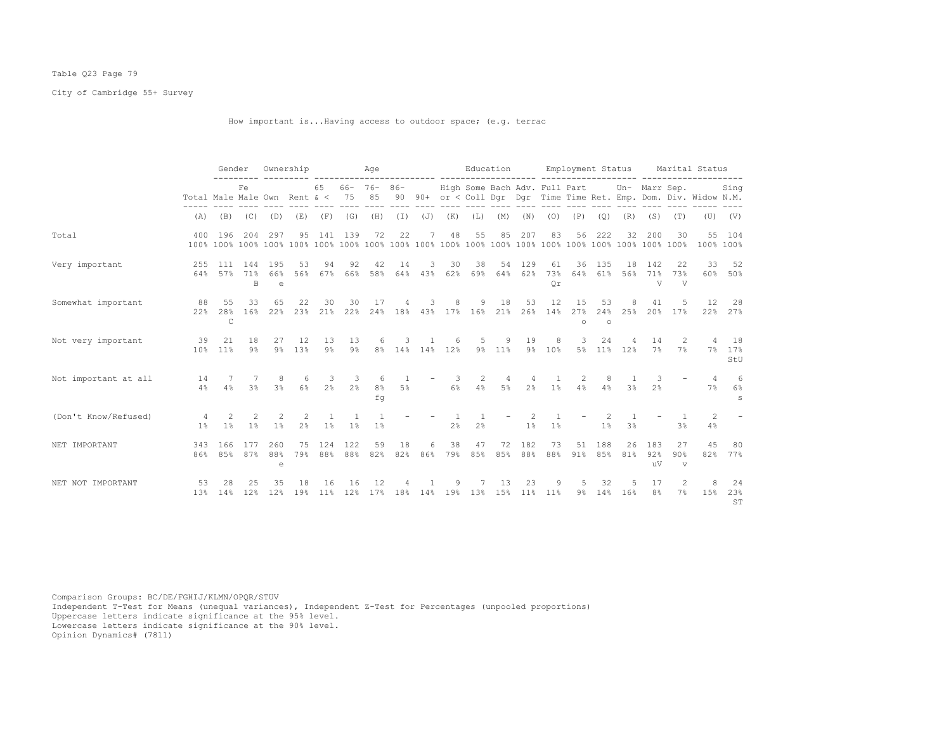# Table Q23 Page 79

City of Cambridge 55+ Survey

How important is...Having access to outdoor space; (e.g. terrac

|                      |                              | Gender                    |                     |                      | Ownership           |                                |                   | Age                              |                         |                |                | Education                     |                         |                |                         |                      |                | Employment Status                |                            |                           | Marital Status                                                 |                          |
|----------------------|------------------------------|---------------------------|---------------------|----------------------|---------------------|--------------------------------|-------------------|----------------------------------|-------------------------|----------------|----------------|-------------------------------|-------------------------|----------------|-------------------------|----------------------|----------------|----------------------------------|----------------------------|---------------------------|----------------------------------------------------------------|--------------------------|
|                      | Total Male Male Own Rent & < |                           | Fe                  |                      |                     | 65                             | $66 - 76 -$<br>75 | 85                               | $86 -$<br>90            |                |                | High Some Bach Adv. Full Part |                         |                |                         |                      |                |                                  | Un- Marr Sep.              |                           | 90+ or < Coll Dqr Dqr Time Time Ret. Emp. Dom. Div. Widow N.M. | Sing                     |
|                      | (A)                          | (B)                       |                     | $(C)$ $(D)$          | (E)                 | (F)                            | (G)               | (H)                              | $(\top)$                | $(J)$ $(K)$    |                | (L)                           | (M)                     | (N)            | (0)                     | (P)                  | (Q)            | (R)                              | (S)                        | (T)                       | (U)                                                            | (V)                      |
| Total                | 400                          | 196                       | 204                 | 297                  | 95                  | 141                            | 139               | 72                               | 22                      |                | 48             | 55                            | 85                      | 207            | 83                      | 56                   | 222            | 32                               | 200                        | 30                        |                                                                | 55 104<br>100% 100%      |
| Very important       | 255<br>64%                   | 111<br>57%                | 144<br>71%<br>B     | 195<br>66%<br>e      | 53<br>56%           | 94<br>67%                      | 92<br>66%         | 42<br>58%                        | 14<br>64%               | 3<br>43%       | 30<br>62%      | 38<br>69%                     | 54<br>64%               | 129<br>62%     | 61<br>73%<br>Or         | 36<br>64%            | 135<br>61%     | 18<br>56%                        | 142<br>71%<br>$\mathbf{V}$ | 22<br>73%<br>$\mathbf{V}$ | 33<br>60%                                                      | 52<br>50%                |
| Somewhat important   | 88<br>2.2%                   | 55<br>28%<br>$\mathsf{C}$ | 33<br>16%           | 65<br>22%            | 22<br>23%           | 30<br>21%                      | 30<br>22%         | 17<br>24%                        | 4                       | 3              | 8              | 9<br>18% 43% 17% 16% 21%      | 18                      | 53<br>26%      | 12<br>14%               | 15<br>27%<br>$\circ$ | 53<br>$\circ$  | 8<br>24% 25%                     | 41<br>20%                  | .5<br>17%                 | 12                                                             | 28<br>22% 27%            |
| Not very important   | 39<br>10%                    | 21<br>11 <sup>8</sup>     | 18<br>9%            | 27                   | 12<br>9% 13%        | 13<br>$9\%$                    | 13<br>$9\%$       | 6                                | 3                       | 8% 14% 14% 12% | 6              | $5 -$                         | 9<br>9% 11%             | 19<br>$9\%$    | 8<br>10%                | 3<br>5 <sup>8</sup>  | 24             | 11% 12%                          | 14<br>7%                   | 2<br>7%                   | 4<br>$7\%$                                                     | 18<br>17%<br>StU         |
| Not important at all | 14<br>4%                     | -7<br>4%                  | 3 <sup>8</sup>      | 8<br>3 <sup>8</sup>  | 6<br>6%             | 3<br>2%                        | -3<br>2%          | 6<br>8 <sup>°</sup><br>fq        | $\overline{1}$<br>$5\%$ |                | -3<br>$6\%$    | 2<br>4%                       | $\overline{4}$<br>$5\%$ | 2 <sup>°</sup> | $\overline{1}$<br>$1\%$ | $\mathcal{L}$<br>4%  | 8<br>4%        | $\overline{1}$<br>3 <sup>8</sup> | 3<br>2.8                   |                           | $\overline{4}$<br>7%                                           | 6<br>6%<br>$\mathcal{S}$ |
| (Don't Know/Refused) | 4<br>$1\%$                   | 2<br>1 <sup>°</sup>       | 2<br>1 <sup>°</sup> | -2<br>1 <sup>8</sup> | 2<br>2 <sup>°</sup> | $\mathbf{1}$<br>1 <sup>°</sup> | 1%                | $\overline{1}$<br>1 <sup>°</sup> |                         |                | 2 <sup>°</sup> | 2%                            |                         | 1%             | 1%                      |                      | 1 <sup>°</sup> | 3 <sup>°</sup>                   |                            | 3%                        | 2<br>4%                                                        |                          |
| NET IMPORTANT        | 343<br>86%                   | 166<br>85%                | 177<br>87%          | 260<br>88%<br>e      | 75<br>79%           | 124<br>88%                     | 122<br>88%        | 59<br>82%                        | 18<br>82%               | 6<br>86%       | 38<br>79%      | 47<br>85%                     | 72<br>85%               | 182<br>88%     | 73<br>88%               | 51<br>91%            | 188<br>85%     | 26<br>81%                        | 183<br>92%<br>uV           | 27<br>90%<br>$\mathbf{v}$ | 45<br>82%                                                      | 80<br>77%                |
| NET NOT IMPORTANT    | 53<br>13%                    | 28<br>14%                 | 25<br>12%           | 35<br>12%            | 18<br>19%           | 16<br>11%                      | 16<br>12%         | 12<br>17%                        | 18%                     | 14%            | 9<br>19%       | 13%                           | 13<br>15%               | 23<br>11%      | 9<br>11%                | 5<br>$9\%$           | 32<br>14%      | .5<br>16%                        | 17<br>8%                   | $\mathcal{L}$<br>7%       | 8<br>15%                                                       | 24<br>23%<br>ST          |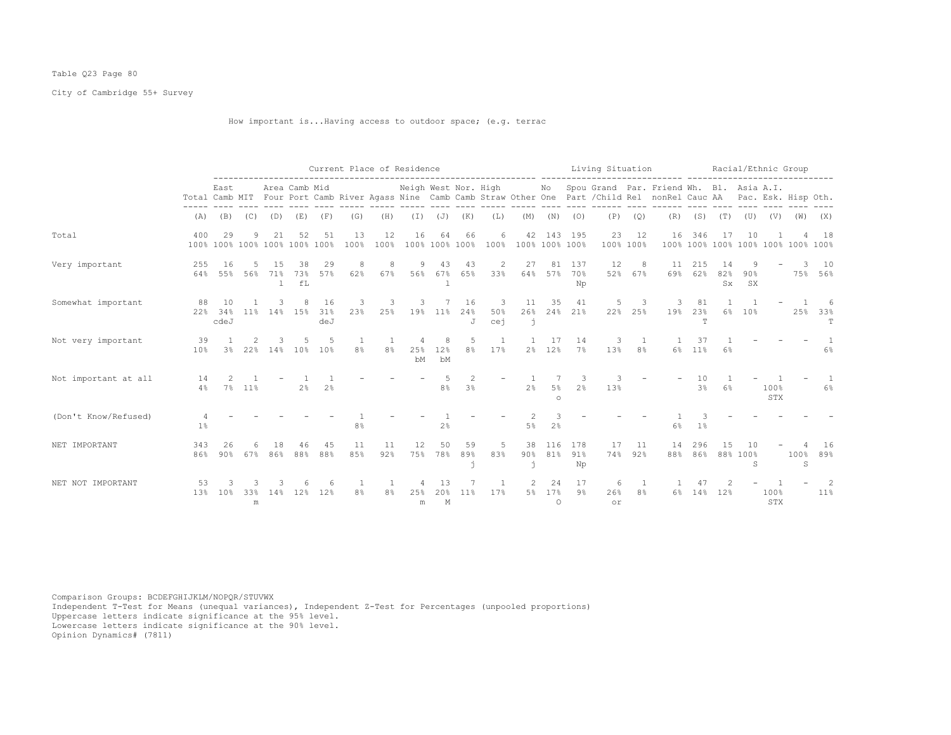# Table Q23 Page 80

City of Cambridge 55+ Survey

# How important is...Having access to outdoor space; (e.g. terrac

|                      |            |                                     |                 |          |                 |                  |                |                       | Current Place of Residence |                |                      |                 |                      |                      |                      | Living Situation |                 |                                                                                                                                                         |                      |                      | Racial/Ethnic Group                      |             |           |                |
|----------------------|------------|-------------------------------------|-----------------|----------|-----------------|------------------|----------------|-----------------------|----------------------------|----------------|----------------------|-----------------|----------------------|----------------------|----------------------|------------------|-----------------|---------------------------------------------------------------------------------------------------------------------------------------------------------|----------------------|----------------------|------------------------------------------|-------------|-----------|----------------|
|                      |            | East                                |                 |          | Area Camb Mid   |                  |                |                       | Neigh West Nor. High       |                |                      |                 |                      |                      |                      |                  |                 | No Spou Grand Par. Friend Wh. Bl. Asia A.I.<br>Total Camb MIT Four Port Camb River Agass Nine Camb Camb Straw Other One Part / Child Rel nonRel Cauc AA |                      |                      | Pac. Esk. Hisp Oth.                      |             |           |                |
|                      | (A)        | (B)                                 | (C)             | (D)      | (E)             | (F)              | (G)            | (H)                   | $(\top)$                   | (J)            | (K)                  | (L)             | (M)                  | (N)                  | (0)                  | (P)              | (Q)             | (R)                                                                                                                                                     | (S)                  | (T)                  | (U)                                      | (V)         | (W)       | (X)            |
| Total                | 400        | 29<br>100% 100% 100% 100% 100% 100% | 9               | 21       | 52              | 51               | 13<br>100%     | 12<br>100%            | 16                         | 64             | 66<br>100% 100% 100% | 6<br>100%       | 42<br>100% 100% 100% | 143                  | 195                  | 23               | 12<br>100% 100% | 16                                                                                                                                                      | 346                  | 17                   | 10<br>100% 100% 100% 100% 100% 100% 100% |             |           | 18             |
| Very important       | 255<br>64% | 16<br>55%                           | 56%             | 71%<br>1 | 38<br>73%<br>fL | 29<br>57%        | 8<br>62%       | 8<br>67%              | 9<br>56%                   | 43<br>67%<br>1 | 43<br>65%            | 2<br>33%        | 27<br>64%            | 81<br>57%            | 137<br>70%<br>Np     | 12<br>52%        | 8<br>67%        | 11<br>69%                                                                                                                                               | 215<br>62%           | 14<br>82%<br>$S_{X}$ | 90%<br>SX                                |             |           | 10<br>75% 56%  |
| Somewhat important   | 88<br>22%  | 10<br>34%<br>cdeJ                   | 11 <sup>8</sup> | 14%      | 15%             | 16<br>31%<br>deJ | 3<br>23%       | 3<br>25%              | 3<br>19%                   | $11\%$         | 16<br>24%<br>J.      | 3<br>50%<br>cej | 11<br>26%<br>-ń      | 35                   | 41<br>24% 21%        | 5<br>22%         | 3<br>25%        | 3<br>19%                                                                                                                                                | 81<br>23%<br>T       | 6%                   | 10 <sup>8</sup>                          |             | 25%       | -6<br>33%<br>T |
| Not very important   | 39<br>10%  | 3 <sup>°</sup>                      | 22%             | 14%      | 10%             | 10%              | 8 <sup>°</sup> | -1.<br>8 <sup>°</sup> | 25%<br>bM                  | 8<br>12%<br>bM | .5<br>8%             | 17%             | 2 <sup>°</sup>       | -17<br>12%           | 14<br>7%             | 3<br>13%         | 8 <sup>°</sup>  | 6%                                                                                                                                                      | 37<br>11%            | 6%                   |                                          |             |           | $6\%$          |
| Not important at all | 14<br>4%   | 7%                                  | 11%             |          | 2 <sup>°</sup>  | 2%               |                |                       |                            | 8%             | 3%                   |                 | 2 <sup>°</sup>       | 5%<br>$\circ$        | -3<br>2 <sup>°</sup> | 13%              |                 |                                                                                                                                                         | 10<br>3 <sup>8</sup> | 6%                   |                                          | 100%<br>STX |           | 6%             |
| (Don't Know/Refused) | $1\%$      |                                     |                 |          |                 |                  | 8 <sup>°</sup> |                       |                            | 2%             |                      |                 | 5%                   | 2%                   |                      |                  |                 | 6%                                                                                                                                                      | 1%                   |                      |                                          |             |           |                |
| NET IMPORTANT        | 343<br>86% | 26<br>90%                           | 67%             | 86%      | 88%             | 45<br>88%        | 11<br>85%      | 11<br>92%             | 12.<br>75%                 | 50<br>78%      | .59<br>89%           | 5<br>83%        | 38<br>90%            | 116<br>81%           | 178<br>91%<br>Np     | 17<br>74%        | 11<br>92%       | 14<br>88%                                                                                                                                               | 296<br>86%           | 15                   | 88% 100%<br>S                            |             | 100%<br>S | 16<br>89%      |
| NET NOT IMPORTANT    | 53<br>13%  | 10 <sup>8</sup>                     | 33%<br>m        | 14%      | 12%             | 12%              | 8 <sup>°</sup> | 8%                    | 25%<br>m                   | 13<br>20%<br>M | 11 <sup>8</sup>      | 17%             | 5%                   | 24<br>17%<br>$\circ$ | 17<br>$9\%$          | 6<br>26%<br>or   | 8 <sup>°</sup>  | 6%                                                                                                                                                      | 14%                  | 12%                  |                                          | 100%<br>STX |           | 2<br>11%       |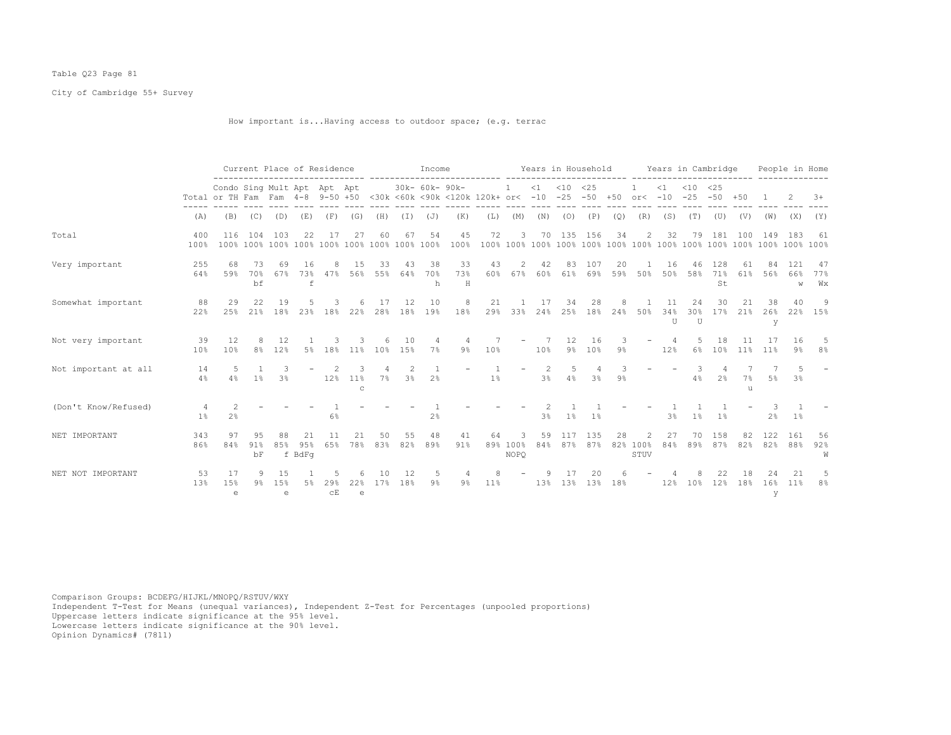# Table Q23 Page 81

City of Cambridge 55+ Survey

How important is...Having access to outdoor space; (e.g. terrac

|                      |                     |                                                                                                                | Current Place of Residence |                 |                     |                                                           |                     |           |           | Income         |                |           |                              |                     |                         |                |       | Years in Household Years in Cambridge |                   |                              |                      |                 |                | People in Home  |                  |
|----------------------|---------------------|----------------------------------------------------------------------------------------------------------------|----------------------------|-----------------|---------------------|-----------------------------------------------------------|---------------------|-----------|-----------|----------------|----------------|-----------|------------------------------|---------------------|-------------------------|----------------|-------|---------------------------------------|-------------------|------------------------------|----------------------|-----------------|----------------|-----------------|------------------|
|                      |                     | Condo Sing Mult Apt Apt Apt<br>Total or TH Fam Fam 4-8 9-50 +50 <30k <60k <90k <120k 120k+ or< -10 -25 -50 +50 |                            |                 |                     |                                                           |                     |           |           | 30k- 60k- 90k- |                |           | 1                            |                     | $<1$ $<10$ $<25$        |                |       | or<                                   | $\leq 1$<br>$-10$ | $< 10$ $< 25$                | $-25 - 50 + 50$      |                 |                |                 | $3+$             |
|                      | (A)                 | (B)                                                                                                            | (C)                        | (D)             | (E)                 | (F)                                                       | (G)                 | (H)       | $(\top)$  | (J)            | (K)            | (L)       | (M)                          | (N)                 | (0)                     | (P)            | (Q)   | (R)                                   | (S)               | (T)                          | (U)                  | (V)             | (W)            | (X)             | (Y)              |
| Total                | 400<br>100%         | 116                                                                                                            | 104                        | 103             | 22                  | 17                                                        | 27                  | 60        | 67        | 54             | 45<br>100%     | 72        | 3                            | 70                  | 135                     | 156            | 34    | $\overline{2}$                        | 32                | 79                           | 181                  | 100             | 149            | 183             | 61               |
| Very important       | 255<br>64%          | 68<br>59%                                                                                                      | 73<br>70%<br>bf            | 69<br>67%       | 16<br>f             | 73% 47%                                                   | 1.5<br>56%          | 33<br>55% | 43<br>64% | 38<br>70%<br>h | 33<br>73%<br>H | 43        | 2<br>60% 67%                 | 42<br>60%           | 83                      | 107<br>61% 69% | 20    | 59% 50%                               | 16<br>50%         | 46                           | 128<br>58% 71%<br>St | 61<br>61%       | 56%            | 121<br>66%<br>W | -47<br>77%<br>Wх |
| Somewhat important   | 88<br>22%           | 29<br>25%                                                                                                      | 22<br>21%                  | 19<br>18%       | 23%                 | 18%                                                       | 22%                 | 28%       | 12<br>18% | 10<br>19%      | 18%            | 21<br>29% | 33%                          | 17<br>24%           | 34<br>25%               | 28<br>18%      | 24%   | 50%                                   | 34%<br>$T$        | 24<br>30 <sup>8</sup><br>TT. | 30<br>17%            | 21<br>21%       | 38<br>26%<br>У | 40<br>22%       | 9<br>15%         |
| Not very important   | 39<br>10%           | 12<br>10%                                                                                                      | 8<br>8 <sup>°</sup>        | 12<br>12%       | 5%                  | 18%                                                       | $11\%$              | 10%       | 10<br>15% | 7%             | $9\%$          | 10%       |                              | 10%                 | $12 \overline{ }$<br>9% | 16<br>10%      | 9%    |                                       | 12%               | 6%                           | 18<br>10%            | 11 <sup>°</sup> | 11%            | 16<br>9%        | .5<br>8%         |
| Not important at all | 14<br>4%            | 4%                                                                                                             | 1%                         | 3 <sup>°</sup>  |                     | 12%                                                       | $11\%$<br>$\Gamma$  | $7\%$     | 3%        | 2%             |                | $1\%$     |                              | $\mathcal{L}$<br>3% | 5<br>4%                 | 3%             | $9\%$ |                                       |                   | 4%                           | 2%                   | 7%<br>u         | 5%             | 3%              |                  |
| (Don't Know/Refused) | 4<br>1 <sup>°</sup> | 2 <sup>°</sup>                                                                                                 |                            |                 |                     | 6%                                                        |                     |           |           | 2 <sup>°</sup> |                |           |                              | $3\%$               | $1\%$                   | 1 <sup>8</sup> |       |                                       | 3%                | 1%                           | 1%                   |                 | 2%             | $1\%$           |                  |
| NET IMPORTANT        | 343<br>86%          | 97<br>84%                                                                                                      | 9.5<br>91%<br>bF           | 88<br>85%       | 21<br>95%<br>f BdFq | 11<br>65%                                                 | 21<br>78%           | 50<br>83% | 55<br>82% | 48<br>89%      | 41<br>91%      | 64        | 3<br>89% 100%<br><b>NOPO</b> | 59<br>84%           | 117<br>87%              | 135<br>87%     | 28    | 2<br>82% 100%<br>STUV                 | 27<br>84%         | 70<br>89%                    | 158<br>87%           | 82<br>82%       | 122<br>82%     | 161<br>88%      | 56<br>92%<br>W   |
| NET NOT IMPORTANT    | 53<br>13%           | 17<br>15%<br>e                                                                                                 | 9<br>9%                    | 15<br>1.5%<br>e |                     | $29$ <sup>2</sup><br>$\mathbb{C}\, \overline{\mathbb{E}}$ | 22%<br>$\mathsf{e}$ | 17%       | 12<br>18% | $9\%$          | $9\%$          | 11%       |                              | 13%                 | 13%                     | 20<br>13%      | 18%   |                                       | 12%               | 10 <sup>8</sup>              | 12%                  | 18%             | 16%<br>У       | 21<br>11%       | 8 <sup>°</sup>   |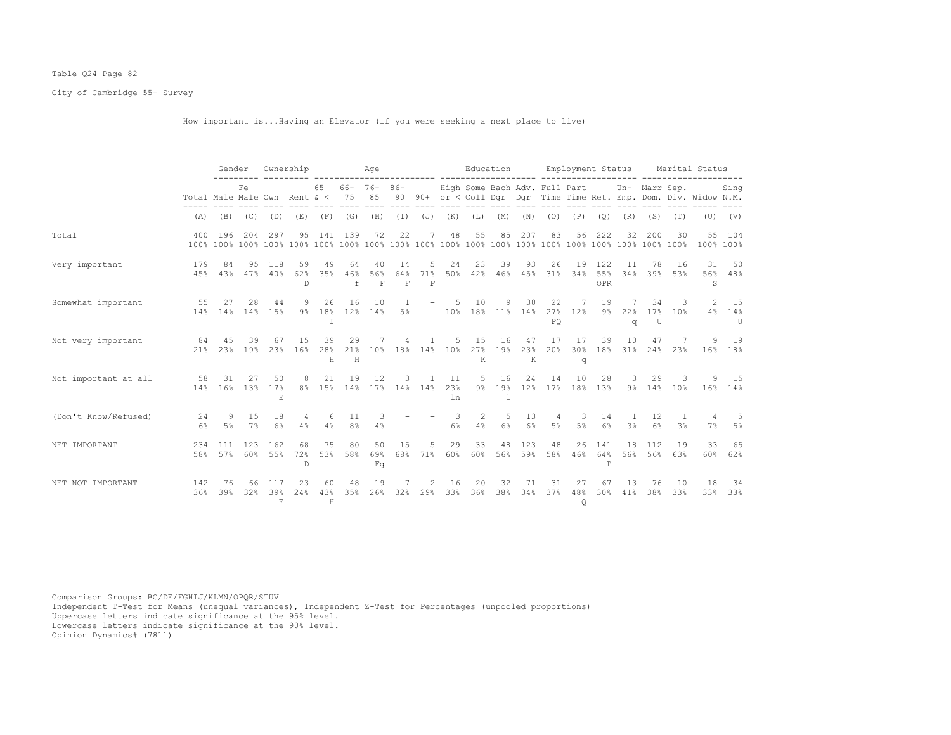# Table Q24 Page 82

City of Cambridge 55+ Survey

How important is...Having an Elevator (if you were seeking a next place to live)

|                      |                                     | Gender                  |                       |                           | Ownership       |                |                      | Age                       |                |                |                                | Education                            |           |                |                              | Employment Status |                            |                                  |                           |                         | Marital Status                                                    |                       |
|----------------------|-------------------------------------|-------------------------|-----------------------|---------------------------|-----------------|----------------|----------------------|---------------------------|----------------|----------------|--------------------------------|--------------------------------------|-----------|----------------|------------------------------|-------------------|----------------------------|----------------------------------|---------------------------|-------------------------|-------------------------------------------------------------------|-----------------------|
|                      | Total Male Male Own Rent $\< 75$ 85 |                         | Fe.                   |                           |                 | 65             |                      | $66 - 76 - 86 -$          |                |                |                                | High Some Bach Adv. Full Part        |           |                |                              |                   |                            |                                  | Un- Marr Sep.             |                         | 90 90+ or < Coll Dqr Dqr Time Time Ret. Emp. Dom. Div. Widow N.M. | Sing                  |
|                      |                                     | $(A)$ $(B)$ $(C)$ $(D)$ |                       |                           |                 | $(E)$ $(F)$    | (G)                  |                           |                |                |                                | (H) (I) (J) (K) (L)                  | (M)       | (N)            | (0)                          | (P)               | (Q)                        | (R)                              | (S)                       | (T)                     |                                                                   | $(U)$ $(V)$           |
| Total                | 400                                 | 196                     | 204                   | 297                       | 95              | 141            | 139                  | 72                        | 22             |                | 48                             | 55                                   | 85        | 207            | 83                           | 56                | 222                        | 32                               | 200                       | 30                      |                                                                   | 55 104<br>100% 100%   |
| Very important       | 179<br>45%                          | 84                      | 95<br>43% 47%         | 118<br>40%                | 59<br>62%<br>D. | 49<br>35%      | 64<br>46%<br>f       | 40<br>56%<br>F            | 14<br>64%<br>F | 5<br>71%<br>F  | 24                             | 23<br>50% 42% 46% 45% 31%            | 39        | 93             | 26                           | 19<br>34%         | 122<br>55%<br>OPR          | 11<br>34%                        | 78<br>39%                 | -16<br>53%              | 31<br>S                                                           | 50<br>56% 48%         |
| Somewhat important   | 55                                  | 27<br>14% 14%           | 28                    | 44<br>14% 15%             | 9<br>9%         | 26<br>T        | 16                   | 10                        | $\mathbf{1}$   |                | $-5$                           | 10<br>18% 12% 14% 5% 10% 18% 11% 14% | 9         | 30             | 22<br>PO.                    | 7<br>27% 12%      | 19<br>$9\%$                | q                                | 34<br>22% 17% 10%<br>U    | $\overline{\mathbf{3}}$ |                                                                   | 2 15<br>4% 14%<br>U   |
| Not very important   | 84<br>21 <sup>8</sup>               | 45<br>2.3%              | 39<br>19 <sup>°</sup> | 67<br>23%                 | 15<br>16%       | 39<br>28%<br>H | 29<br>H              | 21% 10%                   | 4              | $\mathbf{1}$   | 5                              | 15<br>18% 14% 10% 27% 19%<br>K       | 16        | 47<br>23%<br>K | 17<br>20%                    | 17<br>$\sigma$    | 39                         | 10                               | 47<br>30% 18% 31% 24% 23% | 7                       |                                                                   | 9 19<br>16% 18%       |
| Not important at all | 58                                  | 31<br>14% 16%           | 27<br>13%             | 50<br>17%<br>E.           | 8<br>$8\,$      | 21             | 19                   | 12<br>15% 14% 17% 14% 14% | $3 -$          | $\overline{1}$ | 11<br>23%<br>ln                | - 5                                  | 16        | 24             | 14<br>9% 19% 12% 17% 18% 13% | 10                | 28                         | $\overline{\mathbf{3}}$          | 29<br>9% 14% 10%          | $\mathbf{3}$            |                                                                   | 9 15<br>$16\%$ $14\%$ |
| (Don't Know/Refused) | 24<br>6%                            | 9<br>5%                 | 15<br>7%              | 18<br>6%                  | 4<br>4%         | 6<br>4%        | 11<br>8 <sup>°</sup> | 3<br>4%                   |                |                | $\overline{\phantom{a}}$<br>6% | 2<br>4%                              | 5<br>6%   | 13<br>6%       | 4<br>$5\%$                   | 3<br>5%           | 14<br>$6\%$                | $\overline{1}$<br>3 <sup>°</sup> | 12<br>$6\%$               | -1<br>3 <sup>°</sup>    | 4<br>7%                                                           | 5%                    |
| NET IMPORTANT        | 234<br>58%                          | 111<br>57%              | 123<br>60%            | 162<br>55%                | 68<br>72%<br>D  | 75<br>53%      | 80<br>58%            | 50<br>69%<br>Fq           | 15<br>68%      | 5<br>71%       | 29<br>60%                      | 33<br>60%                            | 48<br>56% | 123<br>59%     | 48<br>58%                    | 26<br>46%         | 141<br>64%<br>$\, {\bf P}$ | 18<br>56%                        | 112<br>56%                | 19<br>63%               | 33<br>60%                                                         | 65<br>62%             |
| NET NOT IMPORTANT    | 142<br>36%                          | 76<br>39%               | 66<br>32%             | 117<br>39%<br>$F_{\rm c}$ | 23<br>24%       | 60<br>43%<br>H | 48<br>35%            | 19<br>26%                 | 32%            | 2<br>29%       | 16<br>33%                      | 20<br>36%                            | 32<br>38% | 71<br>34%      | 31<br>37%                    | 27<br>48%<br>Q    | 67<br>30%                  | 1.3<br>41%                       | 76<br>38%                 | 10<br>33%               | 18<br>33%                                                         | 34<br>33%             |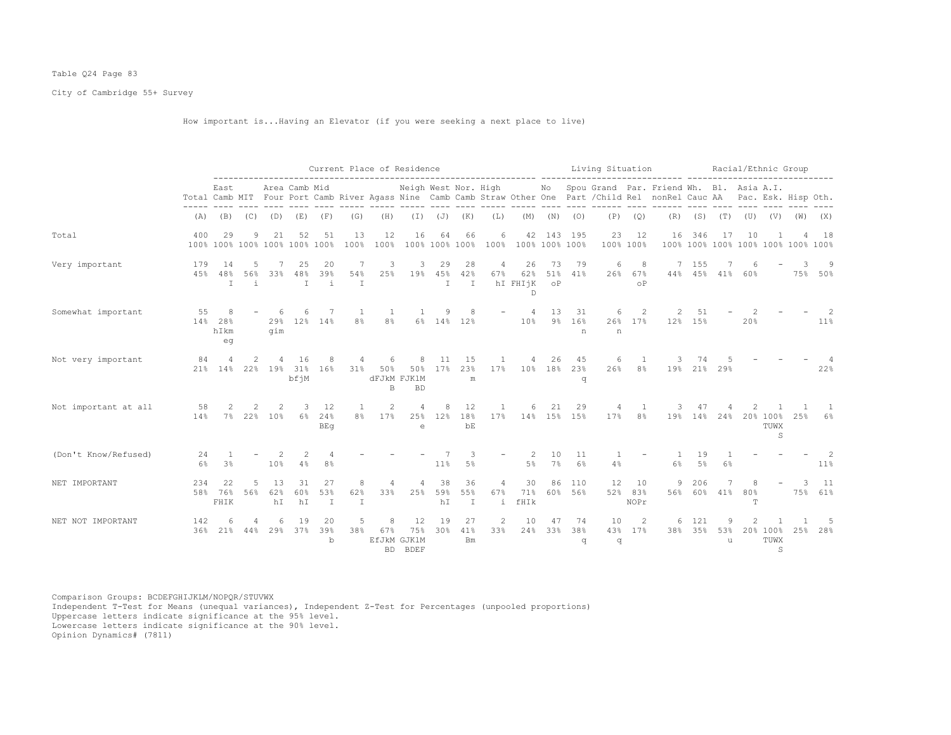# Table Q24 Page 83

City of Cambridge 55+ Survey

How important is...Having an Elevator (if you were seeking a next place to live)

|                      |               |                                     |                    |                   |                           |                           | Current Place of Residence |                         |                                      |                    |                           |                       |                            |                 |                        | Living Situation      |                       | --------------------                                                                                                                                                                             |                   |               | Racial/Ethnic Group                                        |                       |     |               |
|----------------------|---------------|-------------------------------------|--------------------|-------------------|---------------------------|---------------------------|----------------------------|-------------------------|--------------------------------------|--------------------|---------------------------|-----------------------|----------------------------|-----------------|------------------------|-----------------------|-----------------------|--------------------------------------------------------------------------------------------------------------------------------------------------------------------------------------------------|-------------------|---------------|------------------------------------------------------------|-----------------------|-----|---------------|
|                      |               | East                                |                    |                   | Area Camb Mid             |                           |                            |                         |                                      |                    |                           |                       |                            |                 |                        |                       |                       | Neigh West Nor. High Mo Spou Grand Par. Friend Wh. Bl. Asia A.I.<br>Total Camb MIT Four Port Camb River Agass Nine Camb Camb Straw Other One Part / Child Rel nonRel Cauc AA Pac. Esk. Hisp Oth. |                   |               |                                                            |                       |     |               |
|                      | (A)           |                                     | $(B)$ $(C)$        | (D)               |                           | $(E)$ $(F)$               | (G)                        | (H)                     | ----- ----- ---- ---- ----           | $(I)$ $(J)$ $(K)$  |                           | (L)                   |                            |                 | $(M)$ $(N)$ $(O)$      | ----- ---- ---- ----- | $(P)$ $(Q)$           | ---- ------                                                                                                                                                                                      |                   |               | ---- ---- ---- ----<br>$(R)$ $(S)$ $(T)$ $(U)$ $(V)$ $(W)$ |                       |     | (X)           |
| Total                | 400           | 29<br>100% 100% 100% 100% 100% 100% | 9                  | 21                | 52                        | 51                        | 13<br>100%                 | 12<br>100%              | 16                                   | 64                 | 66<br>100% 100% 100%      | 6                     | 42<br>100% 100% 100% 100%  |                 | 143 195                | 23                    | 12<br>100% 100%       | 16                                                                                                                                                                                               | 346               | 17            | 10<br>100% 100% 100% 100% 100% 100% 100%                   |                       |     | 18            |
| Very important       | 179<br>45%    | 14<br>48%<br>T                      | 5<br>56%<br>i      | 33%               | 25<br>48%<br>$\mathbb{I}$ | 20<br>39%<br>j.           | 7<br>54%<br>$\mathbb{I}$   | 3<br>25%                | 3                                    | 29<br>19% 45%<br>T | 28<br>42%<br>T            | $\overline{4}$<br>67% | 26<br>62%<br>hI FHIjK<br>D | 73<br>$\circ$ P | 79<br>51% 41%          | 6<br>26%              | 8<br>67%<br>$\circ$ P |                                                                                                                                                                                                  | 7 155             | 7             | 44% 45% 41% 60%                                            |                       | 3   | 9<br>75% 50%  |
| Somewhat important   | 55            | 8<br>14% 28%<br>hIkm<br>eq          |                    | - 6<br>29%<br>qim | 6                         | 7<br>12% 14%              | 1<br>8 <sup>°</sup>        | 1<br>8 <sup>°</sup>     | 1                                    | 9<br>6% 14%        | 8<br>12%                  |                       | 4<br>10%                   | 13<br>$9\%$     | 31<br>16%<br>n         | 6<br>26%<br>n         | 2<br>17%              | $\mathcal{L}$<br>12%                                                                                                                                                                             | 51<br>15%         |               | 20%                                                        |                       |     | 11%           |
| Not very important   | 84<br>21%     | 14%                                 | 2<br>22%           | 19%               | -16<br>31%<br>bfiM        | -8<br>16%                 | 4<br>31%                   | 6<br>50%<br>$\mathbb B$ | 8<br>50%<br>dFJkM FJK1M<br><b>BD</b> | 11<br>17%          | 15<br>23%<br>m            | 17%                   |                            | 26              | 45<br>10% 18% 23%<br>q | 6<br>26%              | 1<br>- 8%             | 3                                                                                                                                                                                                | 74<br>19% 21% 29% |               |                                                            |                       |     | 22%           |
| Not important at all | 58<br>14%     | 2                                   | 7% 22%             | 2<br>10%          | 3<br>6%                   | 12<br>24%<br>BEq          | 1<br>8 <sup>°</sup>        | 2<br>17%                | 4<br>e                               | 8<br>25% 12%       | 12<br>18%<br>bE           | 1<br>17%              | 6<br>14% 15% 15%           | 21              | 29                     | 4<br>17%              | 8%                    | З                                                                                                                                                                                                | 47<br>19% 14% 24% |               |                                                            | 20% 100%<br>TUWX<br>S | 25% | 6%            |
| (Don't Know/Refused) | 24<br>6%      | 3 <sup>8</sup>                      |                    | -2<br>10%         | 2<br>4%                   | 4<br>8 <sup>°</sup>       |                            |                         |                                      | 11%                | 3<br>5%                   |                       | 5%                         | 10<br>$7\%$     | 11<br>6%               | 1<br>4%               |                       | 6%                                                                                                                                                                                               | 19<br>5%          | 6%            |                                                            |                       |     | 2<br>$11\%$   |
| NET IMPORTANT        | 234<br>58%    | 22<br>76%<br>FHIK                   | 5<br>56%           | 13<br>62%<br>hI   | 31<br>60%<br>hI           | 27<br>53%<br>$\mathbb{I}$ | 8<br>62%<br>$\mathbb{I}$   | 33%                     | 4<br>25%                             | 38<br>59%<br>hΙ    | 36<br>55%<br>$\mathbb{I}$ | 4<br>67%<br>i.        | 30<br>71%<br>fHIk          | 86              | 110<br>60% 56%         | 12                    | 10<br>52% 83%<br>NOPr | 9<br>56%                                                                                                                                                                                         | 206               | 7<br>60% 41%  | 8<br>80%<br>T                                              |                       | 3   | 11<br>75% 61% |
| NET NOT IMPORTANT    | 142<br>$36\%$ | 6                                   | 4<br>$21\%$ $44\%$ | 29%               | 19<br>37%                 | 20<br>39%<br>b            | 5<br>38%                   | 8<br>67%                | 12<br>75%<br>EfJkM GJK1M<br>BD BDEF  | 19<br>30%          | 27<br>41%<br><b>Bm</b>    | 2<br>33%              | 10<br>24%                  | 47<br>33%       | 74<br>38%<br>q         | 10<br>43%<br>q        | 2<br>17%              | 6<br>38%                                                                                                                                                                                         | 121<br>35%        | 9<br>53%<br>u |                                                            | 20% 100%<br>TUWX<br>S | 25% | -5<br>28%     |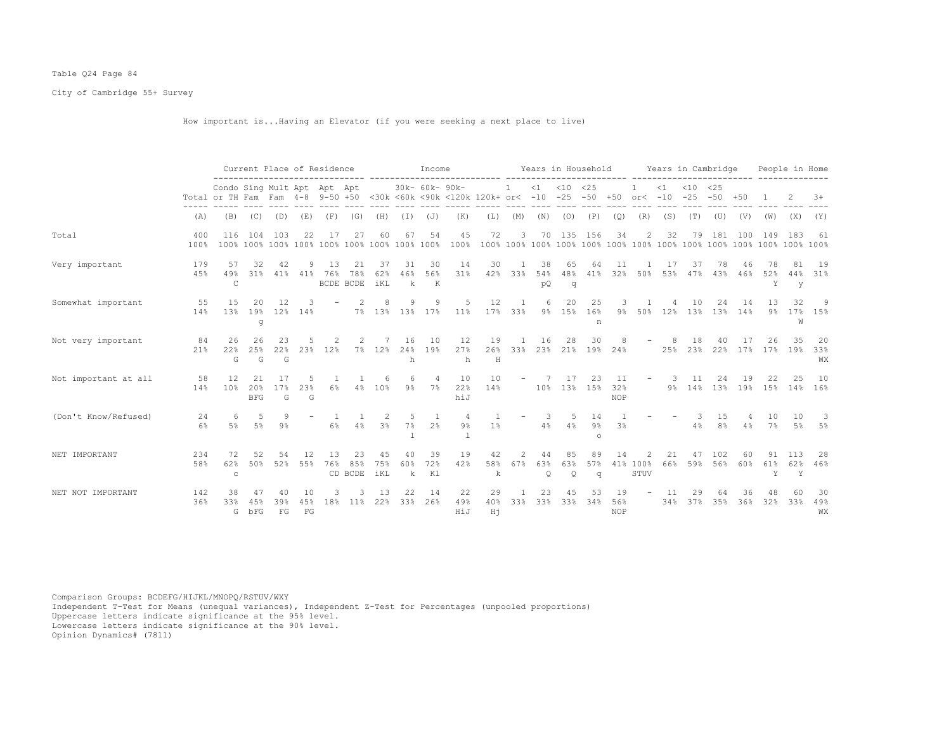# Table Q24 Page 84

City of Cambridge 55+ Survey

How important is...Having an Elevator (if you were seeking a next place to live)

|                      |             |                                                                                                                         |                         |                 | Current Place of Residence |           |                        |                                 |                | Income          |                         |                 |              |                     |                        | Years in Household     |                         |                          | Years in Cambridge |               |                      |           |                | People in Home  |                  |
|----------------------|-------------|-------------------------------------------------------------------------------------------------------------------------|-------------------------|-----------------|----------------------------|-----------|------------------------|---------------------------------|----------------|-----------------|-------------------------|-----------------|--------------|---------------------|------------------------|------------------------|-------------------------|--------------------------|--------------------|---------------|----------------------|-----------|----------------|-----------------|------------------|
|                      |             | Condo Sing Mult Apt Apt Apt<br>Total or TH Fam Fam 4-8 9-50 +50 <30k <60k <90k <120k 120k+ or< -10<br>(A)<br>(B)<br>(C) |                         |                 |                            |           |                        |                                 |                | 30k- 60k- 90k-  |                         |                 | $\mathbf{1}$ | $\leq 1$            | $< 10$ $< 25$<br>$-25$ | $-50$                  | $+50$                   | or $<-10$                | $\leq 1$           | $< 10$ $< 25$ | $-25 - 50 + 50$      |           |                |                 | $+8$             |
|                      |             |                                                                                                                         |                         | (D)             | (E)                        | (F)       | (G)                    | (H)                             | (I)            | (J)             | (K)                     | (L)             | (M)          | (N)                 | (0)                    | (P)                    | (Q)                     | (R)                      | (S)                | (T)           | (U)                  | (V)       | (W)            | (X)             | (Y)              |
| Total                | 400<br>100% | 116                                                                                                                     | 104                     | 103             | 22.2                       | 17        | 27                     |                                 | 67             | 54              | 45<br>100%              | 72              | 3            | 70                  |                        | 135 156                | 34                      | 2                        | 32                 | 79            | 181                  | 100       | 149            | 183             | 61               |
| Very important       | 179<br>45%  | 57<br>49%<br>$\mathsf{C}$                                                                                               | 32<br>31%               | 42<br>41%       | 41%                        | 13<br>76% | 21<br>78%<br>BCDE BCDE | 37<br>62%<br>iKL                | 31<br>46%<br>k | 30<br>56%<br>К  | 14<br>31%               | 30<br>42%       | 33%          | 38<br>54%<br>pQ     | 65<br>48%<br>q         | 64<br>41%              | 11<br>32%               | 50%                      | 17<br>53%          | 37<br>47%     | 78<br>43%            | 46<br>46% | 78<br>52%<br>Y | 81<br>44%<br>y  | 19<br>31%        |
| Somewhat important   | 55<br>14%   | 15<br>13%                                                                                                               | 20<br>19%<br>g          | 12<br>12%       | 14%                        |           |                        | 8<br>7% 13%                     | 9<br>13%       | 9<br>17%        | 11%                     | 12<br>17%       | 33%          | $\sqrt{2}$<br>$9\%$ | 20<br>15%              | 25<br>16%<br>n         | 9%                      | 50%                      | 12%                | 13%           | 24<br>13%            | 14<br>14% | 13<br>$9\%$    | 32<br>17%<br>W  | -9<br>15%        |
| Not very important   | 84<br>21%   | 26<br>22%<br>G                                                                                                          | 26<br>25%<br>G          | 23<br>22%<br>G  | 23%                        | 12%       | 7%                     | 12%                             | 16<br>24%<br>h | 10<br>19%       | 12<br>27%<br>h          | 19<br>26%<br>H  | 33%          | 16                  | 28                     | 30<br>23% 21% 19%      | 24%                     |                          | 25%                | 18<br>23%     | 22%                  | 17%       | 26<br>17%      | 35<br>19%       | -20<br>33%<br>WΧ |
| Not important at all | 58<br>14%   | 12<br>10%                                                                                                               | 21<br>20%<br><b>BFG</b> | 17%<br>G        | 23%<br>G                   | 6%        | 4%                     | 10%                             | $9\%$          | 4<br>7%         | 10<br>22%<br>hiJ        | 10<br>14%       |              | 10%                 | 17                     | 23<br>13% 15%          | 11<br>32%<br><b>NOP</b> | $\overline{\phantom{m}}$ | 3<br>9%            | 11<br>14%     | 24<br>13%            | 19<br>19% | 22<br>15%      | 25<br>14%       | 10<br>16%        |
| (Don't Know/Refused) | 24<br>6%    | 6<br>.5%                                                                                                                | 5<br>.5%                | 9<br>9%         |                            | 6%        | 4%                     | $\mathcal{L}$<br>$3\frac{6}{6}$ | -5<br>7%       | 2 <sup>°</sup>  | $\overline{4}$<br>$9\%$ | $1\%$           |              | 3<br>4%             | 5<br>$4\%$             | 14<br>$9\%$<br>$\circ$ | 3%                      |                          |                    | З.<br>4%      | 15<br>8 <sup>°</sup> | 4%        | 10<br>$7\%$    | 10<br>5%        | -3<br>5%         |
| NET IMPORTANT        | 234<br>58%  | 72<br>62%<br>$\mathtt{C}$                                                                                               | 52<br>50%               | 54<br>52%       | 55%                        | 13<br>76% | 85%<br>CD BCDE         | 75%<br>iKL                      | 40<br>60%<br>k | 39<br>72%<br>K1 | 19<br>42%               | 42<br>58%<br>k  | 67%          | 44<br>63%<br>Q      | 63%<br>$\mathsf{Q}$    | 89<br>57%<br>$\sigma$  | 14                      | 41% 100%<br>STUV         | 21<br>66%          | 59%           | 102<br>56%           | 60<br>60% | 91<br>61%<br>Y | 113<br>62%<br>Y | -28<br>46%       |
| NET NOT IMPORTANT    | 142<br>36%  | 38<br>33%<br>G                                                                                                          | 45%<br>bFG              | 40<br>39%<br>FG | 45%<br>FG                  | 18%       | 11%                    | 13<br>22%                       | 22<br>33%      | 14<br>26%       | 22<br>49%<br>HiJ        | 29<br>40%<br>Hi | 33%          | 23<br>33%           | 33%                    | 34%                    | 19<br>56%<br><b>NOP</b> |                          | 11<br>34%          | 37%           | 64<br>35%            | 36%       | 32%            | 33%             | -30<br>49%<br>WX |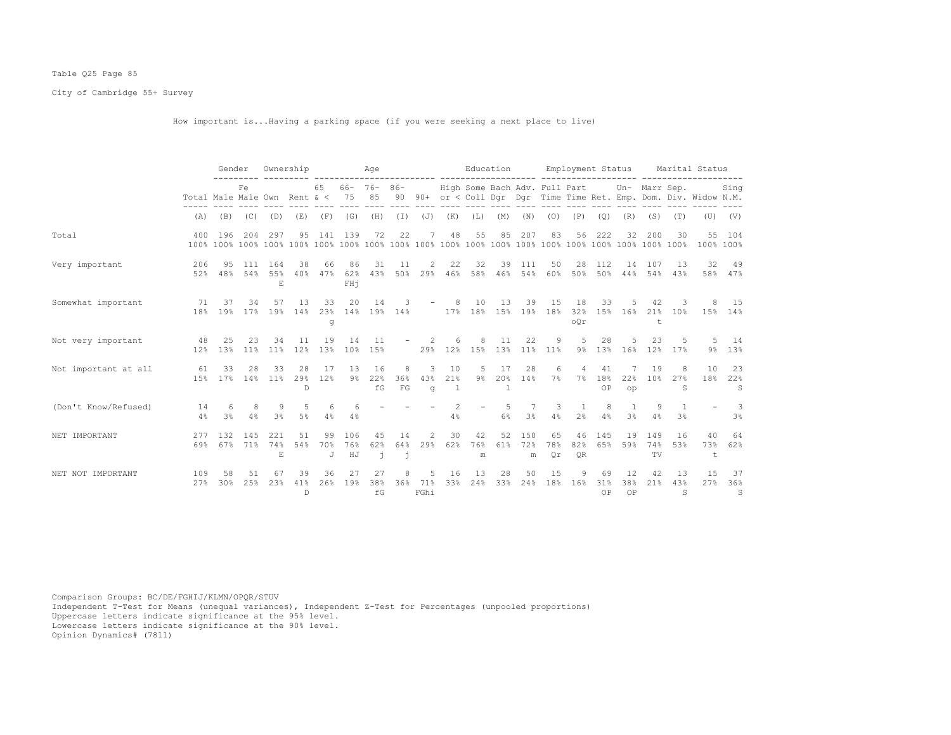# Table Q25 Page 85

City of Cambridge 55+ Survey

How important is...Having a parking space (if you were seeking a next place to live)

|                       |                                           | Gender              |                       |                             | Ownership                 |                |                  | Age                       |                             |                          |                           | Education                 |                           |                 |                                             |                      |                    | Employment Status     |                       |                                  | Marital Status                                                    |                       |
|-----------------------|-------------------------------------------|---------------------|-----------------------|-----------------------------|---------------------------|----------------|------------------|---------------------------|-----------------------------|--------------------------|---------------------------|---------------------------|---------------------------|-----------------|---------------------------------------------|----------------------|--------------------|-----------------------|-----------------------|----------------------------------|-------------------------------------------------------------------|-----------------------|
|                       | Total Male Male Own Rent $\alpha < 75$ 85 |                     | Fe.                   |                             |                           |                |                  | 65 66- 76- 86-            |                             |                          |                           |                           |                           |                 | High Some Bach Adv. Full Part Un- Marr Sep. |                      |                    |                       |                       |                                  | 90 90+ or < Coll Dqr Dqr Time Time Ret. Emp. Dom. Div. Widow N.M. | Sing                  |
|                       | (A)                                       |                     | $(B)$ $(C)$ $(D)$     |                             | (E)                       |                | $(F)$ $(G)$      | (H)                       | $(\top)$                    | $(J)$ $(K)$              |                           | (L)                       |                           | $(M)$ $(N)$     | (0)                                         | (P)                  | (Q)                | (R)                   | (S)                   | (T)                              |                                                                   | $(U)$ $(V)$           |
| Total                 | 400                                       | 196                 | 204                   | 297                         | 95                        | 141            | 139              | 72                        | 22                          | 7                        | 48                        | 55                        | 85                        | 207             | 83                                          | 56                   | 222                | 32                    | 200                   | 30                               |                                                                   | 55 104<br>100% 100%   |
| Very important        | 206<br>52%                                | 95<br>48%           | 111<br>54%            | 164<br>55%<br>E.            | 38<br>40%                 | 66<br>47%      | 86<br>62%<br>FHi | 31<br>43%                 | 11                          | 2                        | 22                        | 32<br>50% 29% 46% 58% 46% | 39                        | 111<br>54%      | 50<br>60%                                   | 28<br>50%            | 112<br>50%         | 14<br>44%             | 107<br>54%            | 13<br>43%                        |                                                                   | 32 49<br>58% 47%      |
| Somewhat important    | 71<br>18%                                 | 37<br>19%           | 34                    | 57                          | 13<br>17% 19% 14%         | 33<br>g        | 20               | 14<br>23% 14% 19% 14%     | 3                           | $\overline{\phantom{a}}$ | 8                         | 10                        | 13                        | 39              | 15<br>17% 18% 15% 19% 18%                   | 18<br>oOr            | 33                 | -5<br>32% 15% 16%     | 42<br>$^{\dagger}$    | -3                               | 21% 10% 15% 14%                                                   | 15                    |
| Not very important 48 | 12%                                       | 25<br>13%           | 23<br>11%             | 34<br>11%                   | 11<br>12%                 | 19<br>13%      | 14<br>10%        | 11<br>15%                 |                             | $\mathcal{L}$            | 6                         | 8<br>29% 12% 15%          | 11<br>13%                 | 22<br>11%       | 9<br>$11\%$                                 | 5<br>9 <sup>°</sup>  | 28                 | 13% 16%               | 23<br>12%             | .5<br>17%                        | 9%                                                                | 5 14<br>13%           |
| Not important at all  | 61                                        | 33                  | 28<br>15% 17% 14% 11% | 33                          | 28<br>29%<br>$\mathbb{D}$ | 17<br>12%      | 13<br>9월         | 16<br>22%<br>fG           | 8<br>36%<br>FG              | 3<br>43%<br>$\alpha$     | 10<br>21%<br>$\mathbf{1}$ | 5<br>$9\%$                | 17<br>20%<br>$\mathbf{1}$ | 28<br>14%       | 6<br>7%                                     | $\overline{4}$       | 41<br>7% 18%<br>OP | 22%<br>$_{\text{OD}}$ | 19<br>10 <sup>9</sup> | -8<br>27%<br>S                   | 10<br>18%                                                         | 23<br>22%<br>S        |
| (Don't Know/Refused)  | 14<br>4%                                  | 6<br>3 <sup>8</sup> | 8<br>4%               | -9<br>3 <sup>8</sup>        | .5<br>5%                  | 6<br>4%        | -6<br>4%         |                           |                             |                          | $\overline{2}$<br>4%      | $\sim$                    | .5<br>6%                  | 7<br>3%         | 3<br>4%                                     | $\overline{1}$<br>2% | 8<br>4%            | $\overline{1}$<br>3%  | 9<br>4%               | $\overline{1}$<br>3 <sup>°</sup> |                                                                   | $-3$<br>3%            |
| NET IMPORTANT         | 2.77<br>69%                               | 132<br>67%          | 145<br>71%            | 2.2.1<br>74%<br>$\mathbf E$ | .51<br>54%                | 99<br>70%<br>J | 106<br>76%<br>HJ | 45<br>62%<br>$\mathbf{1}$ | 14<br>64%<br>$\overline{1}$ | 2<br>29%                 | 30<br>62%                 | 42<br>76%<br>m            | 52<br>61%                 | 150<br>72%<br>m | 65<br>78%<br>Qr                             | 46<br>82%<br>QR      | 145<br>65%         | 19<br>59%             | 149<br>74%<br>TV      | 16<br>53%                        | 40<br>73%<br>t                                                    | 64<br>62%             |
| NET NOT IMPORTANT     | 109<br>2.7%                               | 58<br>30%           | 51<br>25%             | 67<br>23%                   | 39<br>41%<br>$\mathbb{D}$ | 36<br>26%      | 27<br>19%        | 27<br>38%<br>f G          | 8                           | 5<br>36% 71%<br>FGhi     | 16<br>33%                 | 13<br>24%                 | 28<br>33%                 | 50<br>24%       | 15<br>18%                                   | 9<br>16%             | 69<br>31%<br>OP    | 12<br>38%<br>OP       | 42<br>21%             | 13<br>43%<br>S                   | 15<br>27%                                                         | 37<br>36%<br>$\sim$ S |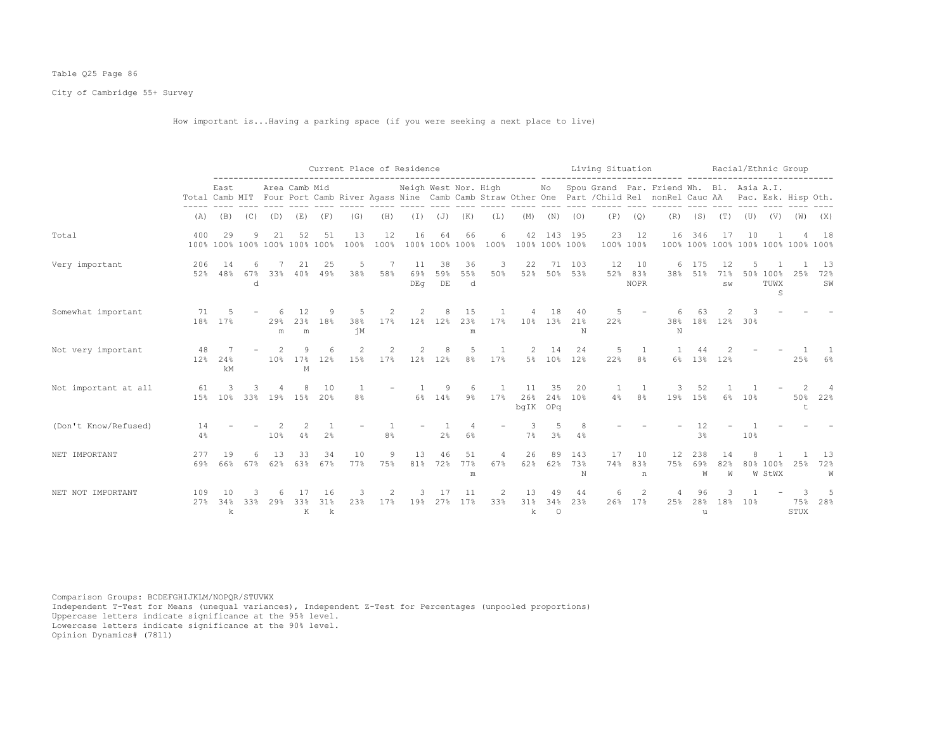# Table Q25 Page 86

City of Cambridge 55+ Survey

How important is...Having a parking space (if you were seeking a next place to live)

|                      |            |                      |               |           |                                     |                |                | Current Place of Residence                                                                                                                                                                                                                                                                                                                                                                                                        |                      |                      |                |           |                       |                       |                 | Living Situation |                          |                                                                                                                                                         |                      |                 |                 | Racial/Ethnic Group                          |                                    |                   |
|----------------------|------------|----------------------|---------------|-----------|-------------------------------------|----------------|----------------|-----------------------------------------------------------------------------------------------------------------------------------------------------------------------------------------------------------------------------------------------------------------------------------------------------------------------------------------------------------------------------------------------------------------------------------|----------------------|----------------------|----------------|-----------|-----------------------|-----------------------|-----------------|------------------|--------------------------|---------------------------------------------------------------------------------------------------------------------------------------------------------|----------------------|-----------------|-----------------|----------------------------------------------|------------------------------------|-------------------|
|                      |            | East                 |               |           | Area Camb Mid                       |                |                |                                                                                                                                                                                                                                                                                                                                                                                                                                   | Neigh West Nor. High |                      |                |           |                       |                       |                 |                  |                          | No Spou Grand Par. Friend Wh. Bl. Asia A.I.<br>Total Camb MIT Four Port Camb River Agass Nine Camb Camb Straw Other One Part / Child Rel nonRel Cauc AA |                      |                 |                 |                                              | Pac. Esk. Hisp Oth.                |                   |
|                      | (A)        | (B)                  | (C)           | (D)       | (E)                                 | (F)            | (G)            | (H)                                                                                                                                                                                                                                                                                                                                                                                                                               |                      | $(I)$ $(J)$ $(K)$    |                | (L)       | (M)                   | (N)                   | (0)             | (P)              | (Q)                      | (R)                                                                                                                                                     |                      | $(S)$ $(T)$     |                 | $(\mathbb{U})$ $(\mathbb{V})$ $(\mathbb{W})$ |                                    | (X)               |
| Total                | 400        | 29                   | 9             | 21        | 52<br>100% 100% 100% 100% 100% 100% | 51             | 13<br>100%     | 12<br>100%                                                                                                                                                                                                                                                                                                                                                                                                                        | 16                   | 64<br>100% 100% 100% | 66             | 6<br>100% | 42<br>100% 100% 100%  |                       | 143 195         | 23<br>100% 100%  | 12                       | 16                                                                                                                                                      | 346                  | 17              | 10              |                                              | 100% 100% 100% 100% 100% 100% 100% | 18                |
| Very important       | 206<br>52% | 14<br>48%            | 6<br>67%<br>d | 33%       | 21<br>40%                           | 25<br>49%      | 5<br>38%       | -7<br>58%                                                                                                                                                                                                                                                                                                                                                                                                                         | 11<br>69%<br>DEG     | 38<br>59%<br>DE      | 36<br>55%<br>d | 3<br>50%  | 22<br>52%             | 71                    | 103<br>50% 53%  | 12<br>52%        | 10<br>83%<br><b>NOPR</b> | 6<br>38%                                                                                                                                                | 175<br>51%           | 12<br>71%<br>SW |                 | 50% 100%<br>TUWX<br>S                        | 25%                                | - 13<br>72%<br>SW |
| Somewhat important   | 71<br>18%  | 17%                  |               | 29%<br>m  | 12<br>2.3%<br>${\rm m}$             | 18%            | 5<br>38%<br>ήM | $\mathfrak{D}_{1}^{2}(\mathfrak{D}_{1})=\mathfrak{D}_{2}^{2}(\mathfrak{D}_{2})=\mathfrak{D}_{2}^{2}(\mathfrak{D}_{1})=\mathfrak{D}_{2}^{2}(\mathfrak{D}_{2})=\mathfrak{D}_{2}^{2}(\mathfrak{D}_{1})=\mathfrak{D}_{2}^{2}(\mathfrak{D}_{1})=\mathfrak{D}_{2}^{2}(\mathfrak{D}_{1})=\mathfrak{D}_{2}^{2}(\mathfrak{D}_{2})=\mathfrak{D}_{2}^{2}(\mathfrak{D}_{1})=\mathfrak{D}_{2}^{2}(\mathfrak{D}_{1})=\mathfrak{D}_{2}^{$<br>17% |                      | 12% 12%              | 15<br>23%<br>m | 17%       | 10%                   | 18<br>13%             | 40<br>21%<br>N  | 22%              |                          | 38%<br>N                                                                                                                                                | 18%                  | 12%             | 30%             |                                              |                                    |                   |
| Not very important   | 48<br>12%  | 24%<br>kM            |               | 10%       | 17%<br>М                            | 12%            | 2<br>15%       | 17%                                                                                                                                                                                                                                                                                                                                                                                                                               | 12%                  | 12%                  | 5<br>8%        | 17%       | $5\%$                 | 14<br>10 <sup>°</sup> | 24<br>12%       | 5<br>22%         | 8%                       | 6%                                                                                                                                                      | 44<br>13%            | 12%             |                 |                                              | 25%                                | 6%                |
| Not important at all | 61<br>15%  | 3<br>10 <sup>°</sup> | 33%           |           | 19% 15%                             | 1 O<br>20%     | 8%             |                                                                                                                                                                                                                                                                                                                                                                                                                                   | $6\%$                | 14%                  | $9\%$          | 17%       | 11<br>26%<br>bqIK OPq | 35<br>24%             | 20<br>10%       | 4%               | 8 <sup>°</sup>           | 19%                                                                                                                                                     | 52<br>15%            | 6%              | 10%             |                                              | 50%<br>t                           | 4<br>22%          |
| (Don't Know/Refused) | 14<br>4%   |                      |               | 10%       | 4%                                  | 2 <sup>°</sup> |                | 8%                                                                                                                                                                                                                                                                                                                                                                                                                                |                      | 2%                   | 6%             |           | 7%                    | 5<br>3 <sup>°</sup>   | 4%              |                  |                          |                                                                                                                                                         | 12<br>3 <sup>8</sup> |                 | 10%             |                                              |                                    |                   |
| NET IMPORTANT        | 277<br>69% | 19<br>66%            | 6<br>67%      | 13<br>62% | 33<br>63%                           | 34<br>67%      | 10<br>77%      | 9<br>75%                                                                                                                                                                                                                                                                                                                                                                                                                          | 13<br>81%            | 46<br>72%            | 51<br>77%<br>m | Δ<br>67%  | 26<br>62%             | 89<br>62%             | 143<br>73%<br>N | 17<br>74%        | 10<br>83%<br>n           | 12<br>75%                                                                                                                                               | 238<br>69%<br>W      | 14<br>82%<br>W  |                 | 80% 100%<br>W StWX                           | 25%                                | 13<br>72%<br>W    |
| NET NOT IMPORTANT    | 109<br>27% | 34%<br>k             | 33%           | 29%       | 33%<br>K                            | 16<br>31%<br>k | 23%            | 17%                                                                                                                                                                                                                                                                                                                                                                                                                               | 19%                  | 27%                  | 11<br>17%      | 33%       | 13<br>31%<br>k        | 49<br>34%<br>$\circ$  | 44<br>23%       | 6<br>26%         | 2<br>17%                 | 25%                                                                                                                                                     | 28%<br>u             | 18%             | 10 <sup>8</sup> |                                              | 75%<br>STUX                        | -5<br>28%         |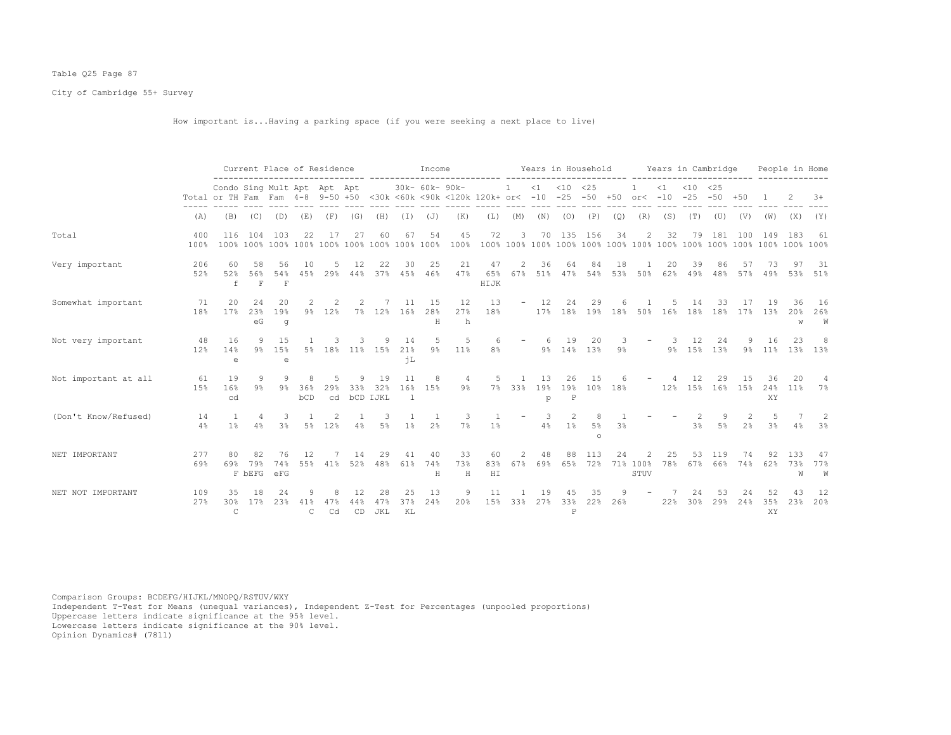# Table Q25 Page 87

City of Cambridge 55+ Survey

How important is...Having a parking space (if you were seeking a next place to live)

|                      |             |                                                                                                    | Current Place of Residence |                          |                     |           |                 |                              |                 | Income         |                |                   |              |                | Years in Household            |                       |           |                  |           | Years in Cambridge     |            |                |                 | People in Home  |                |
|----------------------|-------------|----------------------------------------------------------------------------------------------------|----------------------------|--------------------------|---------------------|-----------|-----------------|------------------------------|-----------------|----------------|----------------|-------------------|--------------|----------------|-------------------------------|-----------------------|-----------|------------------|-----------|------------------------|------------|----------------|-----------------|-----------------|----------------|
|                      |             | Condo Sing Mult Apt Apt Apt<br>Total or TH Fam Fam 4-8 9-50 +50 <30k <60k <90k <120k 120k+ or< -10 |                            |                          |                     |           |                 |                              |                 | 30k- 60k- 90k- |                |                   | $\mathbf{1}$ | $\leq 1$       | $< 10$ $< 25$<br>$-25$        | $-50$                 | $+50$     | or $<-10$        | $\leq 1$  | $< 10$ $< 25$<br>$-25$ | $-50 + 50$ |                |                 |                 | $+8$           |
|                      | (A)         | (B)                                                                                                | (C)                        | (D)                      | (E)                 | (F)       | (G)             | (H)                          | (I)             | (J)            | (K)            | (L)               | (M)          | (N)            | (0)                           | (P)                   | (Q)       | (R)              | (S)       | (T)                    | (U)        | (V)            | (W)             | (X)             | (Y)            |
| Total                | 400<br>100% | 116                                                                                                | 104                        | 103                      | 22.                 | 17        | 27              |                              | 67              | 54             | 45<br>100%     | 72                | 3            | 70             | 135                           | 156                   | 34        | 2                | 32        | 79                     | 181        | 100            | 149             | 183             | 61             |
| Very important       | 206<br>52%  | 60<br>52%<br>f                                                                                     | 58<br>56%<br>$\mathbf F$   | 56<br>54%<br>$\mathbf F$ | 10<br>45%           | 29%       | 12<br>44%       | 22<br>37%                    | 30<br>45%       | 25<br>46%      | 21<br>47%      | 47<br>65%<br>HIJK | 2<br>67%     | 36<br>51%      | 64<br>47%                     | 84<br>54%             | 18<br>53% | 50%              | 20<br>62% | 39<br>49%              | 86<br>48%  | 57<br>57%      | 49%             | 53%             | - 31<br>51%    |
| Somewhat important   | 71<br>18%   | 20<br>17%                                                                                          | 24<br>23%<br>eG            | 20<br>19%<br>q           | $9\%$               | 12%       |                 | 7% 12%                       | 11<br>16%       | 15<br>28%<br>Н | 12<br>27%<br>h | 13<br>18%         | $-$          | 12<br>17%      | 24                            | 29<br>18% 19%         | 18%       | 50%              | 16%       | 14<br>18%              | 33<br>18%  | 17%            | 13%             | 20%<br>W        | 16<br>26%<br>W |
| Not very important   | 48<br>12%   | 16<br>14%<br>e                                                                                     | 9<br>$9\%$                 | 1.5<br>15%<br>e          |                     | 5% 18%    |                 | 11% 15%                      | 14<br>21%<br>ήL | 5<br>$9\%$     | 5<br>$11\%$    | 6<br>8%           |              | 6              | 19<br>9% 14% 13%              | 20                    | 9%        |                  | 9%        | 15%                    | 24<br>13%  | 9%             | 16<br>11%       | 23<br>13%       | 8<br>13%       |
| Not important at all | 61<br>15%   | 19<br>16%<br>cd                                                                                    | 9<br>$9\%$                 | $9\%$                    | 36%<br>bCD          | 29%<br>cd | 33%             | 19<br>32%<br><b>bCD IJKL</b> | 11<br>16%<br>-1 | 8<br>15%       | 4<br>$9\%$     | 5<br>7%           | 33%          | 13<br>19%<br>p | 26<br>19%<br>$\, {\mathbb P}$ | 15<br>10%             | 18%       |                  | 12%       | 12<br>15%              | 29<br>16%  | 1.5<br>15%     | 36<br>24%<br>XY | 20<br>11%       | 4<br>7%        |
| (Don't Know/Refused) | 14<br>4%    | $1\%$                                                                                              | 4%                         | 3<br>3 <sup>°</sup>      | $5\%$               | 12%       | 4%              | 3<br>$5\%$                   | $1\%$           | 2 <sup>°</sup> | 7%             | $1\%$             |              | 3<br>4%        | 2<br>1%                       | 8<br>$5\%$<br>$\circ$ | 3%        |                  |           | 3%                     | 5%         | 2 <sup>°</sup> | 5<br>3%         | 4%              | 2<br>3%        |
| NET IMPORTANT        | 277<br>69%  | 69%                                                                                                | 79%<br>F <b>bEFG</b>       | 76<br>74%<br>eFG         | 12.<br>55%          | 41%       | 14<br>52%       | 29<br>48%                    | 41<br>61%       | 40<br>74%<br>Н | 33<br>73%<br>H | 60<br>83%<br>H I  | 2<br>67%     | 48<br>69%      | 65%                           | 72%                   | 24        | 71% 100%<br>STUV | 25<br>78% | 67%                    | 119<br>66% | 74%            | 62%             | 133<br>73%<br>W | 47<br>77%<br>W |
| NET NOT IMPORTANT    | 109<br>27%  | 35<br>30%<br>$\mathsf{C}$                                                                          | 18<br>17%                  | 24<br>23%                | 41%<br>$\mathsf{C}$ | 47%<br>Cd | 12<br>44%<br>CD | 28<br>47%<br>JKL             | 25<br>37%<br>KL | 13<br>24%      | 9<br>20%       | 11<br>15%         | 33%          | 19<br>27%      | 33%<br>$\, {\bf P}$           | 35<br>22%             | 26%       |                  | 22%       | 30%                    | 53<br>29%  | 24<br>24%      | 52<br>35%<br>XY | 43<br>23%       | 12<br>20%      |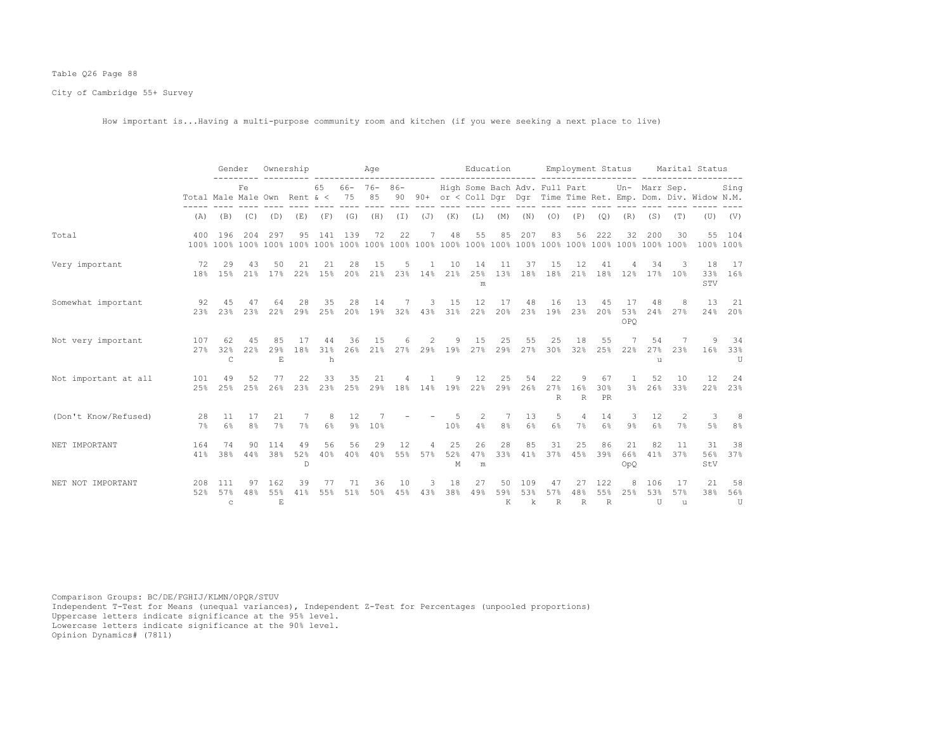# Table Q26 Page 88

City of Cambridge 55+ Survey

How important is...Having a multi-purpose community room and kitchen (if you were seeking a next place to live)

|                      |                              | Gender                    |                      |                           | Ownership      |                |           | Aqe                    |           |                         |                         | Education                     |                     |                           |                           |                          |                            | Employment Status       |                            |                      | Marital Status                                                    |                           |
|----------------------|------------------------------|---------------------------|----------------------|---------------------------|----------------|----------------|-----------|------------------------|-----------|-------------------------|-------------------------|-------------------------------|---------------------|---------------------------|---------------------------|--------------------------|----------------------------|-------------------------|----------------------------|----------------------|-------------------------------------------------------------------|---------------------------|
|                      | Total Male Male Own Rent & < |                           | Fe                   |                           |                | 65             | 75        | $66 - 76 - 86 -$<br>85 |           |                         |                         | High Some Bach Adv. Full Part |                     |                           |                           |                          |                            |                         | Un- Marr Sep.              |                      | 90 90+ or < Coll Dqr Dqr Time Time Ret. Emp. Dom. Div. Widow N.M. | Sing                      |
|                      | (A)                          | (B)                       |                      | $(C)$ $(D)$               | (E)            | (F)            | (G)       | (H)                    |           |                         |                         | $(L)$ $(J)$ $(K)$ $(L)$       | (M)                 | (N)                       | (0)                       | (P)                      | (Q)                        | (R)                     | (S)                        | (T)                  | (U)                                                               | (V)                       |
| Total                | 400                          | 196                       | 2.04                 | 297                       | 95             |                | 141 139   | 72                     | 22        | 7                       | 48                      | 55                            | 85                  | 207                       | 83                        | 56                       | 222                        | 32                      | 200                        | 30                   | 55<br>100% 100%                                                   | 104                       |
| Very important       | 72                           | 29                        | 43<br>18% 15% 21%    | 50<br>17%                 | 21<br>22%      | 21<br>15%      | 28<br>20% | 15<br>21%              | 5         | $\mathbf{1}$<br>23% 14% | 10<br>21%               | 14<br>25%<br>m                | 11                  | 37                        | 15<br>13% 18% 18%         | 12<br>21%                | 41<br>18%                  | 12%                     | 34<br>17 <sup>°</sup>      | 3<br>10 <sup>8</sup> | 18<br>33%<br>STV                                                  | 17<br>16%                 |
| Somewhat important   | 92<br>23%                    | 45<br>23%                 | 47<br>23%            | 64<br>22%                 | 28<br>29%      | 35<br>25%      | 28        | 14<br>20% 19%          | 7         | 3<br>32% 43%            | 15<br>31%               | 12<br>22%                     | 17<br>20%           | 48                        | 16<br>23% 19%             | 13<br>23%                | 45<br>20%                  | 17<br>53%<br>OPO        | 48                         | 8<br>24% 27%         | 13                                                                | 21<br>24% 20%             |
| Not very important   | 107<br>2.7%                  | 62<br>32%<br>$\mathsf{C}$ | 45<br>22%            | 85<br>29%<br>$E_{\rm c}$  | 17<br>18%      | 44<br>31%<br>h | 36        | 15<br>26% 21%          | 6         | 2                       | 9                       | 15<br>27% 29% 19% 27%         | 25<br>29%           | 55<br>27%                 | 25<br>30%                 | 18<br>32%                | 55                         | 7<br>25% 22%            | 54<br>27%<br>11            | 7<br>23%             | 9                                                                 | 34<br>16% 33%<br>U        |
| Not important at all | 101<br>25%                   | 49<br>25%                 | 52<br>25%            | 77<br>26%                 | 22.2<br>23%    | 33<br>23%      | 35<br>25% | 21<br>29%              | 4         | 18% 14%                 | 9<br>19%                | 12<br>22%                     | 25<br>29%           | 54<br>26%                 | 22<br>27%<br>$\mathbb{R}$ | 9<br>16%<br>R            | 67<br>30%<br>PR            | $\overline{1}$<br>$3\%$ | 52<br>26%                  | 10<br>33%            | 12                                                                | 24<br>22% 23%             |
| (Don't Know/Refused) | 28<br>7%                     | 11<br>6%                  | 17<br>8 <sup>°</sup> | 21<br>7%                  | 7<br>7%        | 8<br>$6\%$     | 12        | 9% 10%                 |           |                         | $-5$<br>10 <sup>°</sup> | 2<br>4%                       | 7<br>8 <sup>°</sup> | 13<br>$6\%$               | 5<br>$6\%$                | $\overline{4}$<br>7%     | 14<br>$6\%$                | -3<br>$9\%$             | 12<br>6%                   | 2<br>$7\%$           | 3<br>$5\%$                                                        | 8<br>8%                   |
| NET IMPORTANT        | 164<br>41%                   | 74<br>38%                 | 90<br>44%            | 114<br>38%                | 49<br>52%<br>D | 56<br>40%      | 56<br>40% | 29<br>40%              | 12<br>55% | 4<br>57%                | 25<br>52%<br>М          | 26<br>47%<br>m                | 28<br>33%           | 85                        | 31<br>41% 37%             | 25<br>45%                | 86<br>39%                  | 21<br>66%<br>OpQ        | 82<br>41%                  | 11<br>37%            | 31<br>56%<br>StV                                                  | 38<br>37%                 |
| NET NOT IMPORTANT    | 208<br>52%                   | 111<br>57%<br>$\mathbf C$ | 97<br>48%            | 162<br>55%<br>$\mathbf E$ | 39<br>41%      | 77<br>55%      | 71<br>51% | 36<br>50%              | 10<br>45% | 3<br>43%                | 18<br>38%               | 27<br>49%                     | 50<br>59%<br>K      | 109<br>53%<br>$\mathbf k$ | 47<br>57%<br>$\mathbb{R}$ | 27<br>48%<br>$\mathbb R$ | 122<br>55%<br>$\mathbb{R}$ | 8<br>25%                | 106<br>53%<br>$\mathbf{U}$ | 17<br>57%<br>11      | 21<br>38%                                                         | 58<br>56%<br>$\mathbf{U}$ |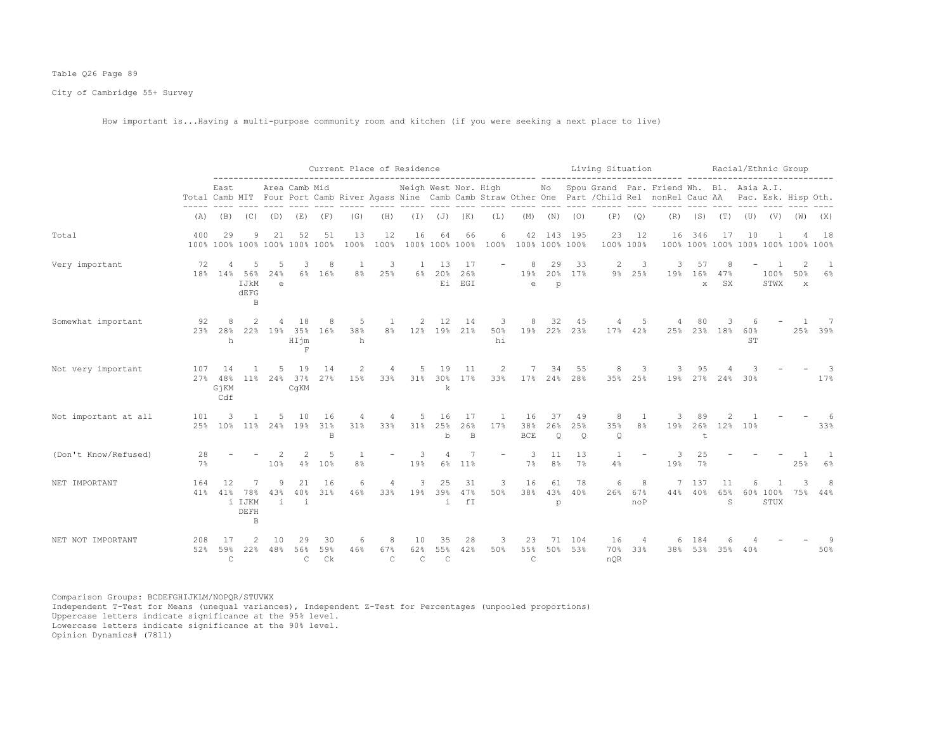# Table Q26 Page 89

City of Cambridge 55+ Survey

How important is...Having a multi-purpose community room and kitchen (if you were seeking a next place to live)

|                      |            |                            |                                 |                |                                     |                 | Current Place of Residence |                           |                           |                              |                      |                          |                            |                      |                              | Living Situation                                                                                                                                                                                 |                                | ------- ------------------------------ |                           |                            |           |                  | Racial/Ethnic Group                  |                         |
|----------------------|------------|----------------------------|---------------------------------|----------------|-------------------------------------|-----------------|----------------------------|---------------------------|---------------------------|------------------------------|----------------------|--------------------------|----------------------------|----------------------|------------------------------|--------------------------------------------------------------------------------------------------------------------------------------------------------------------------------------------------|--------------------------------|----------------------------------------|---------------------------|----------------------------|-----------|------------------|--------------------------------------|-------------------------|
|                      |            | East                       |                                 |                | Area Camb Mid                       |                 |                            |                           |                           |                              |                      |                          |                            |                      |                              | Neigh West Nor. High Mo Spou Grand Par. Friend Wh. Bl. Asia A.I.<br>Total Camb MIT Four Port Camb River Agass Nine Camb Camb Straw Other One Part / Child Rel nonRel Cauc AA Pac. Esk. Hisp Oth. |                                |                                        |                           |                            |           |                  |                                      |                         |
|                      | (A)        |                            | $(B)$ $(C)$                     | (D)            | (E)                                 | (F)             | (G)                        | (H)                       |                           | $(I)$ $(J)$ $(K)$            |                      | (L)                      | (M)                        | (N)                  | (0)                          | (P)                                                                                                                                                                                              | (Q)                            | (R)                                    |                           | $(S)$ $(T)$ $(U)$          |           | (V)              | (W)                                  | (X)                     |
| Total                | 400        | 29                         | 9                               | 21             | 52<br>100% 100% 100% 100% 100% 100% | 51              | 13<br>100%                 | 12<br>100%                | 16                        | 64<br>100% 100% 100%         | 66                   | 6<br>100%                |                            |                      | 42 143 195<br>100% 100% 100% | 23                                                                                                                                                                                               | 12<br>100% 100%                | 16                                     | 346                       | 17                         | 10        |                  | 100% 100% 100% 100% 100% 100% 100%   | 18                      |
| Very important       | 72         | $\overline{4}$<br>18% 14%  | -5<br>56%<br>IJkM<br>dEFG<br>B  | -5<br>24%<br>e | 3<br>6%                             | -8<br>16%       | <sup>1</sup><br>8%         | 3<br>25%                  | $\overline{1}$<br>6%      | 13<br>20%                    | -17<br>26%<br>Ei EGI |                          | 8<br>19%<br>e              | 29<br>p              | 33<br>20% 17%                | 2                                                                                                                                                                                                | 3<br>9% 25%                    | 3<br>19%                               | 57<br>16%<br>$\mathbf{x}$ | 8<br>47%<br>SX             |           | 100%<br>STWX     | $\mathcal{L}$<br>50%<br>$\mathbf{x}$ | $\overline{1}$<br>$6\%$ |
| Somewhat important   | 92<br>23%  | 28%<br>h                   | 2.2%                            | 19%            | 18<br>35%<br>HIjm<br>F              | 8<br>16%        | 5<br>38%<br>h              | 1<br>8%                   | 2                         | 12<br>12% 19%                | 14<br>21%            | 3<br>50%<br>hi           | 8<br>19%                   | 32                   | 45<br>22% 23%                | 4                                                                                                                                                                                                | 5<br>17% 42%                   | 25%                                    | 80                        | 3<br>23% 18%               | 60%<br>ST |                  |                                      | - 7<br>25% 39%          |
| Not very important   | 107<br>27% | -14<br>48%<br>GjKM<br>Cdf  | 11 <sup>8</sup>                 | 5.<br>24%      | 19<br>37%<br>CqKM                   | 14<br>27%       | 2<br>15%                   | 4<br>33%                  | 5                         | 19<br>31% 30%<br>k           | 11<br>17%            | $\overline{2}$<br>33%    | 17% 24% 28%                | 34                   | 55                           | 8                                                                                                                                                                                                | 3<br>35% 25%                   | 19%                                    | 9.5                       | 27% 24% 30%                |           |                  |                                      | 17%                     |
| Not important at all | 101<br>25% | 3<br>$10\%$                | 1                               | .5.            | 10<br>11% 24% 19%                   | 16<br>31%<br>B  | 4<br>31%                   | 4<br>33%                  | 5                         | 16<br>31% 25%<br>$\mathbf b$ | 17<br>26%<br>B       | 1<br>17%                 | 16<br>38%<br><b>BCE</b>    | 37<br>26%<br>$\circ$ | 49<br>25%<br>$\circ$         | 8<br>35%<br>$\circ$                                                                                                                                                                              | $\mathbf{1}$<br>8 <sup>°</sup> | 19%                                    | 89<br>26%<br>$\pm$        |                            | 12% 10%   |                  |                                      | 33%                     |
| (Don't Know/Refused) | 28<br>7%   |                            |                                 | 10%            | 4%                                  | 5<br>10%        | -1<br>8 <sup>°</sup>       | $\overline{\phantom{a}}$  | 3<br>19%                  | 6%                           | 11%                  | $\overline{\phantom{a}}$ | 3<br>7%                    | 11<br>8 <sup>°</sup> | 13<br>$7\%$                  | 1<br>4%                                                                                                                                                                                          | $\overline{\phantom{a}}$       | 3<br>19%                               | 25<br>7%                  |                            |           |                  | 25%                                  | 6%                      |
| NET IMPORTANT        | 164<br>41% | 12<br>41%                  | 7<br>78%<br>i IJKM<br>DEFH<br>B | 9<br>43%<br>i. | 21<br>40%<br>i                      | 16<br>31%       | 6<br>46%                   | 4<br>33%                  | 3<br>19%                  | 25<br>39%<br>i               | 31<br>47%<br>fI      | 3<br>50%                 | 16<br>38%                  | 61<br>43%<br>p       | 78<br>40%                    | 6<br>26%                                                                                                                                                                                         | 8<br>67%<br>noP                | 7<br>44%                               | 137<br>40%                | 11<br>65%<br>$\mathcal{S}$ | 6         | 60% 100%<br>STUX | 75%                                  | 8<br>44%                |
| NET NOT IMPORTANT    | 208<br>52% | -17<br>59%<br>$\mathsf{C}$ | 22%                             | 10<br>48%      | 29<br>56%<br>C.                     | 30<br>59%<br>Ck | 6<br>46%                   | 8<br>67%<br>$\mathcal{C}$ | 10<br>62%<br>$\mathsf{C}$ | 35<br>55%<br>$\mathsf{C}$    | 28<br>42%            | 3<br>50%                 | 23<br>55%<br>$\mathcal{C}$ | 71<br>50%            | 104<br>53%                   | 16<br>70%<br>nOR                                                                                                                                                                                 | $\overline{4}$<br>33%          | 38%                                    | 184<br>53%                | 35%                        | 40%       |                  |                                      | 50%                     |

Comparison Groups: BCDEFGHIJKLM/NOPQR/STUVWX Independent T-Test for Means (unequal variances), Independent Z-Test for Percentages (unpooled proportions) Uppercase letters indicate significance at the 95% level. Lowercase letters indicate significance at the 90% level.

Opinion Dynamics# (7811)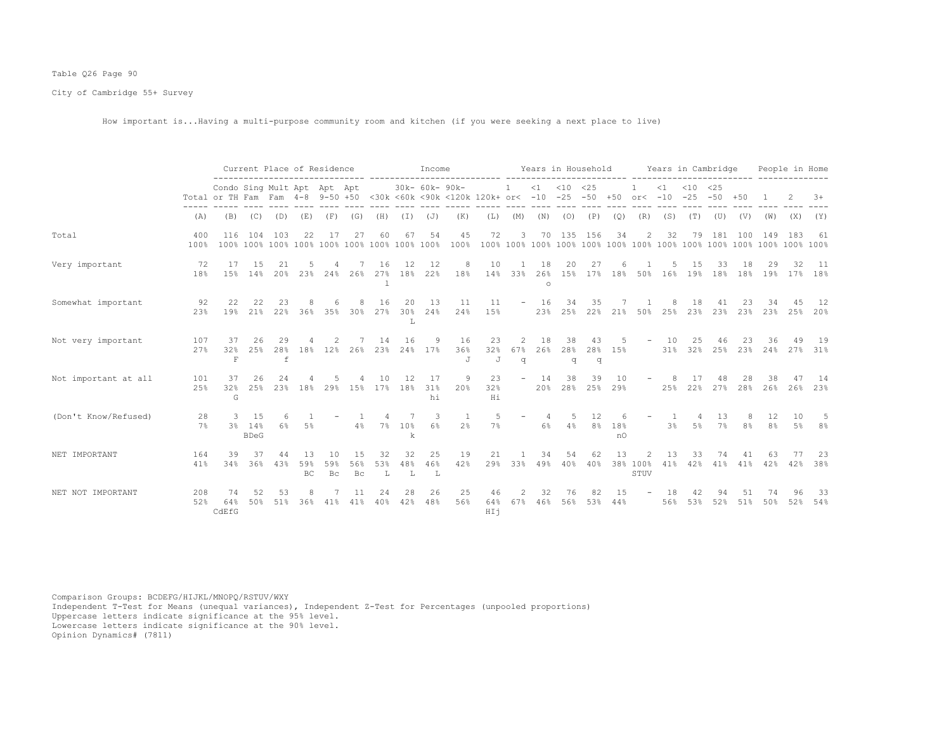# Table Q26 Page 90

City of Cambridge 55+ Survey

How important is...Having a multi-purpose community room and kitchen (if you were seeking a next place to live)

|                      |             | Current Place of Residence<br>Condo Sing Mult Apt Apt Apt<br>Total or TH Fam Fam 4-8 9-50 +50 <30k <60k <90k <120k 120k+ or< -10 -25 |                              |                |           |                         |                  |                |                | Income          |                     |                  |                           |                      |                | Years in Household    |           |                                    |            | Years in Cambridge |                   |                |               | People in Home |             |
|----------------------|-------------|--------------------------------------------------------------------------------------------------------------------------------------|------------------------------|----------------|-----------|-------------------------|------------------|----------------|----------------|-----------------|---------------------|------------------|---------------------------|----------------------|----------------|-----------------------|-----------|------------------------------------|------------|--------------------|-------------------|----------------|---------------|----------------|-------------|
|                      |             |                                                                                                                                      |                              |                |           |                         |                  |                |                | 30k- 60k- 90k-  |                     |                  | 1                         | $\leq 1$             | $< 10$ $< 25$  | $-50 + 50$ or< $-10$  |           |                                    | $\leq 1$   | $<$ 10<br>$-25$    | <25<br>$-50 + 50$ |                |               |                | $3+$        |
|                      | (A)         | (B)                                                                                                                                  | (C)                          | (D)            | (E)       | (F)                     | (G)              | (H)            | $(\top)$       | (J)             | (K)                 | (L)              | (M)                       |                      | $(N)$ $(O)$    | (P)                   | (Q)       | (R)                                | (S)        | (T)                | (U)               | (V)            |               | $(W)$ $(X)$    | (Y)         |
| Total                | 400<br>100% | 116                                                                                                                                  | 104                          | 103            | 22        | 17                      | 27               | 60             | 67             | 54              | 45<br>100%          | 72               | 3                         | 70                   |                | 135 156               | 34        | 2                                  | 32         | 79                 | 181               | 100            | 149           | 183            | 61          |
| Very important       | 72<br>18%   | 17<br>15%                                                                                                                            | 15<br>14%                    | 21<br>20%      | 23%       | 24%                     | 26%              | 16<br>27%      | 12<br>18%      | 12<br>22%       | 8<br>18%            | 10               | $\overline{1}$<br>14% 33% | 18<br>26%<br>$\circ$ | 20             | 27<br>15% 17% 18% 50% |           |                                    | 16%        | 15<br>19%          | 33<br>18%         | 18<br>18%      | 29<br>19%     | 32<br>17%      | - 11<br>18% |
| Somewhat important   | 92<br>23%   | 22<br>19%                                                                                                                            | 22<br>21%                    | 23<br>22%      | 36%       | 35%                     | 30%              | 16<br>27%      | 20<br>30%<br>L | 13<br>24%       | 11<br>24%           | 11<br>15%        | $\sim$                    | 16<br>23%            | 34<br>25%      | 35<br>22%             |           | 21% 50%                            | 25%        | 18<br>23%          | 41<br>23%         | 23%            | 23%           | 25%            | 12<br>20%   |
| Not very important   | 107<br>27%  | 37<br>32%<br>$\,$ F                                                                                                                  | 26<br>25%                    | 29<br>28%<br>f | 18%       | 12%                     | 26%              | 14<br>23%      | 16<br>24%      | 9<br>17%        | 16<br>36%<br>J      | 23<br>32%<br>J   | 2<br>67%<br>q             | 18<br>26%            | 38<br>28%<br>q | 43<br>28%<br>q        | 15%       | $ \,$                              | 10<br>31%  | 25<br>32%          | 46                | 23<br>25% 23%  | 36<br>24%     | 49<br>27%      | 19<br>31%   |
| Not important at all | 101<br>25%  | 37<br>32%<br>G                                                                                                                       | 26<br>25%                    | 2.4<br>23%     | 18%       | 29%                     | 15%              | 10<br>17%      | 12<br>18%      | 17<br>31%<br>hi | 9<br>20%            | 23<br>32%<br>Hi  | $\overline{\phantom{a}}$  | 14<br>20%            | 38             | 39<br>28% 25%         | 10<br>29% |                                    | 25%        | 22%                | 27%               | 28%            | 38<br>26%     | 26%            | 14<br>23%   |
| (Don't Know/Refused) | 28<br>$7\%$ | $\mathcal{R}$                                                                                                                        | 1.5<br>3% 14%<br><b>BDeG</b> | 6<br>6%        | 5%        |                         | 4%               | $7\%$          | 7<br>10%<br>k  | 3<br>6%         | 1<br>2 <sup>°</sup> | 5<br>7%          | $\overline{\phantom{m}}$  | 4<br>6%              | 5<br>4%        | 12<br>8%              | 18%<br>n0 |                                    | -1.<br>3%  | 4<br>$5\%$         | 13<br>7%          | 8 <sup>°</sup> | 12<br>8%      | 10<br>5%       | -5<br>8%    |
| NET IMPORTANT        | 164<br>41%  | 39<br>34%                                                                                                                            | 36%                          | 44<br>43%      | 59%<br>BC | 10<br>59%<br>$\rm_{Bc}$ | 1.5<br>56%<br>Bc | 32<br>53%<br>L | 32<br>48%<br>L | 25<br>46%<br>L  | 19<br>42%           | 21<br>29%        | 33%                       | 34<br>49%            | 54<br>40%      | 62<br>40%             | 13        | $\mathfrak{D}$<br>38% 100%<br>STUV | 13<br>41%  | 33<br>42%          | 74<br>41%         | 41             | 63<br>41% 42% | 42%            | -23<br>38%  |
| NET NOT IMPORTANT    | 208<br>52%  | 74<br>64%<br>CdEfG                                                                                                                   | 50%                          | 53<br>51%      | 36%       | 41%                     | 41%              | 24<br>40%      | 28<br>42%      | 26<br>48%       | 25<br>56%           | 46<br>64%<br>HIj | 2<br>67%                  | 32<br>46%            | 76<br>56%      | 82<br>53%             | 15<br>44% |                                    | -18<br>56% | 53%                | 52%               | 51<br>51%      | 50%           | 52%            | -33<br>54%  |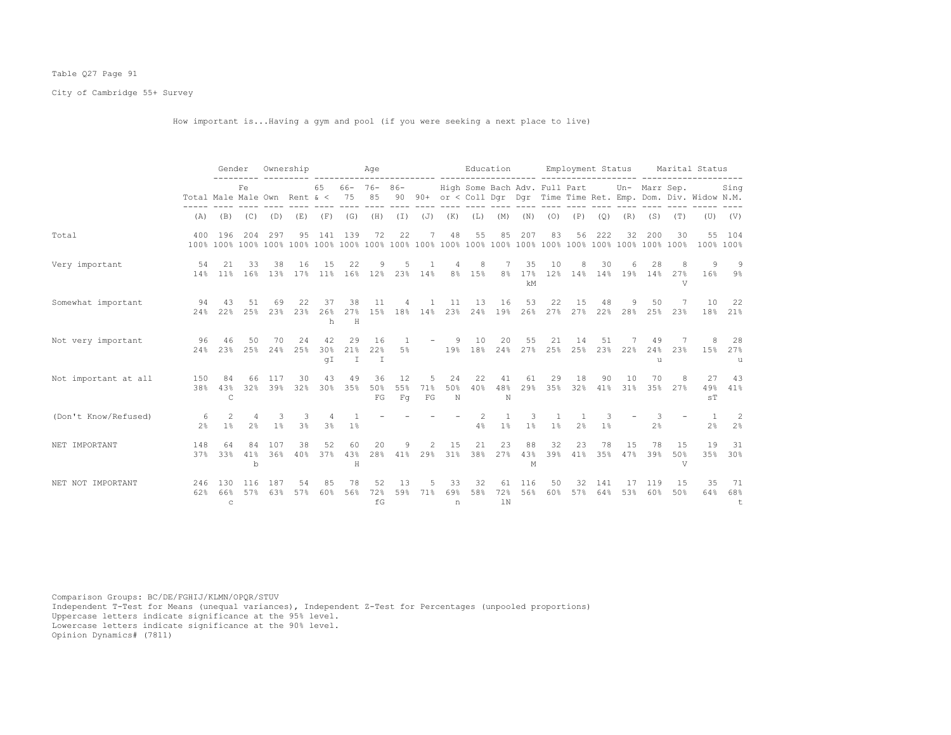# Table Q27 Page 91

City of Cambridge 55+ Survey

How important is...Having a gym and pool (if you were seeking a next place to live)

|                      |                                  | Gender          |                                  |            | Ownership  |                     |                | Age                    |                             |                |                                  | Education                     |                    |                 |                         |                                |                     | Employment Status    |                           |                       | Marital Status                                                    |                  |
|----------------------|----------------------------------|-----------------|----------------------------------|------------|------------|---------------------|----------------|------------------------|-----------------------------|----------------|----------------------------------|-------------------------------|--------------------|-----------------|-------------------------|--------------------------------|---------------------|----------------------|---------------------------|-----------------------|-------------------------------------------------------------------|------------------|
|                      | Total Male Male Own Rent $\<$ 75 |                 | Fe.                              |            |            | 65                  |                | $66 - 76 - 86 -$<br>85 |                             |                |                                  | High Some Bach Adv. Full Part |                    |                 |                         |                                |                     |                      | Un- Marr Sep.             |                       | 90 90+ or < Coll Dqr Dqr Time Time Ret. Emp. Dom. Div. Widow N.M. | Sing             |
|                      | (A)                              |                 | $(B)$ $(C)$ $(D)$                |            | (E)        |                     | $(F)$ $(G)$    | (H)                    | $(\top)$                    | $(J)$ $(K)$    |                                  | (L)                           | (M)                | (N)             | (0)                     | (P)                            | (Q)                 | (R)                  | (S)                       | (T)                   |                                                                   | $(U)$ $(V)$      |
| Total                | 400                              | 196             | 204                              | 297        | 95         | 141                 | 139            | 72                     | 22                          | 7              | 48                               | 55                            | 85                 | 207             | 83                      | 56                             | 222                 | 32                   | 200                       | 30                    |                                                                   | 55 104           |
| Very important       | 54                               | 2.1<br>14% 11%  | 33<br>16%                        | 38<br>13%  | 16<br>17%  | 15<br>11%           | 22             | 9<br>16% 12%           | 5                           | 1<br>23% 14%   | $\overline{4}$<br>8 <sup>°</sup> | 8<br>15%                      | 7<br>$8\,$ $\,$    | 35<br>17%<br>kM | 10                      | 8                              | 30                  | 6                    | 28<br>12% 14% 14% 19% 14% | 8<br>27%<br>V         | 9<br>16%                                                          | -9<br>9%         |
| Somewhat important   | 94<br>24%                        | 43<br>2.2%      | 51<br>25%                        | 69<br>23%  | 22<br>23%  | 37<br>26%<br>h      | 38<br>H        | 11<br>27% 15% 18% 14%  | 4                           | $\overline{1}$ | 11<br>23%                        | 13                            | 16<br>24% 19%      | 53<br>26%       | 22                      | 15                             | 48                  | 9<br>27% 27% 22% 28% | 50<br>25%                 | 7<br>23%              | 10                                                                | 22<br>18% 21%    |
| Not very important   | 96<br>24%                        | 46<br>2.3%      | 50<br>25%                        | 70<br>24%  | 24<br>2.5% | 42<br>30%<br>qI     | 29<br>21%<br>T | 16<br>22%<br>$\top$    | $\overline{1}$<br>5%        |                | -9<br>$\sim$ 100 $\mu$ m $^{-1}$ | 10<br>19% 18% 24%             | 20                 | 55<br>27%       | 21<br>25%               | 14                             | 51                  | 25% 23% 22%          | 49<br>24%<br>$\mathbf{1}$ | 23%                   | 8<br>15%                                                          | 28<br>27%<br>11  |
| Not important at all | 150<br>38%                       | 84<br>43%<br>C  | 66<br>32%                        | 117<br>39% | 30<br>32%  | 43<br>30%           | 49<br>35%      | 36<br>50%<br>FG        | 12<br>55%<br>F <sub>G</sub> | 5<br>71%<br>FG | 24<br>50%<br>N                   | 22<br>40%                     | 41<br>48%<br>N     | 61<br>29%       | 29<br>35%               | 18<br>32%                      | 90                  | 10<br>41% 31%        | 70                        | 8<br>35% 27%          | 27<br>49%<br>sT                                                   | 43<br>41%        |
| (Don't Know/Refused) | -6<br>2 <sup>8</sup>             | 2<br>1%         | $\overline{4}$<br>2 <sup>8</sup> | 3<br>1%    | 3<br>3%    | 4<br>3 <sup>°</sup> | $1\%$          |                        |                             |                |                                  | $\mathcal{L}$<br>4%           | $\mathbf{1}$<br>1% | 3<br>$1\%$      | $\overline{1}$<br>$1\%$ | $\mathbf{1}$<br>2 <sup>°</sup> | 3<br>1 <sup>°</sup> |                      | 3<br>2 <sup>°</sup>       |                       | $\overline{1}$<br>2%                                              | -2<br>2%         |
| NET IMPORTANT        | 148<br>37%                       | 64<br>33%       | 84<br>41%<br>b                   | 107<br>36% | 38<br>40%  | 52<br>37%           | 60<br>43%<br>H | 20<br>28%              | 9                           | $\overline{c}$ | 15<br>41% 29% 31%                | 21<br>38%                     | 23<br>27%          | 88<br>43%<br>М  | 32<br>39%               | 23<br>41%                      | 78<br>35%           | 15<br>47%            | 78<br>39%                 | 15<br>50%<br>$\nabla$ | 19<br>35%                                                         | 31<br>30%        |
| NET NOT IMPORTANT    | 246<br>62%                       | 130<br>66%<br>C | 116<br>57%                       | 187<br>63% | 54<br>57%  | 85<br>60%           | 78<br>56%      | 52<br>72%<br>fG        | 13<br>59%                   | 5<br>71%       | 33<br>69%<br>n                   | 32<br>58%                     | 61<br>72%<br>1N    | 116<br>56%      | 50<br>60%               | 32<br>57%                      | 141<br>64%          | 17<br>53%            | 119<br>60%                | 15<br>50%             | 35<br>64%                                                         | 71<br>68%<br>$+$ |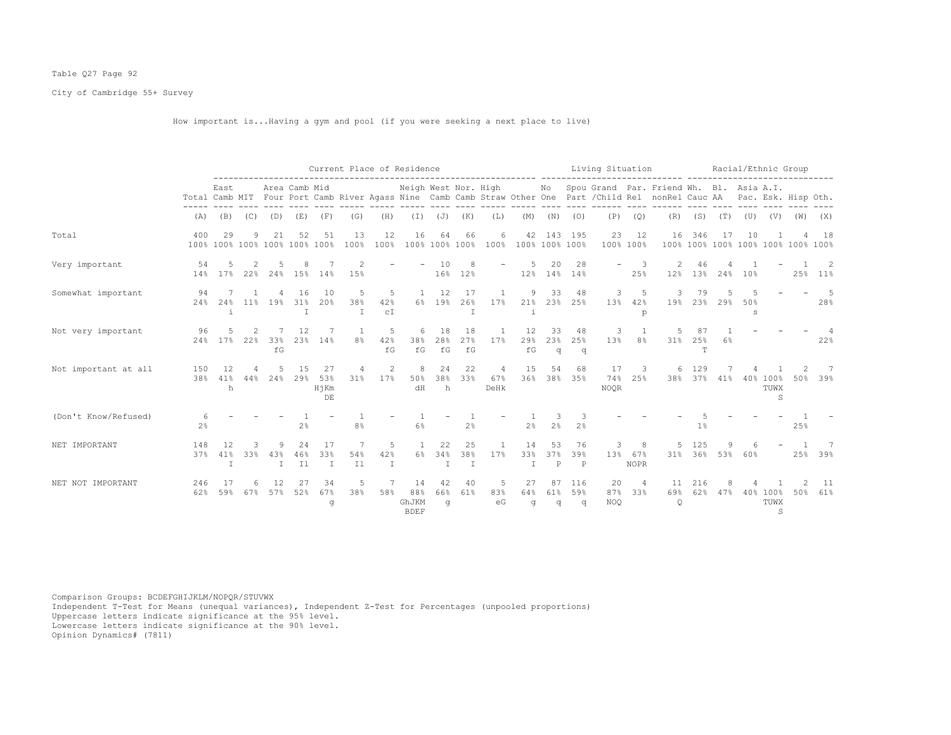# Table Q27 Page 92

City of Cambridge 55+ Survey

How important is...Having a gym and pool (if you were seeking a next place to live)

|                      |            |                                     | Current Place of Residence<br>Neigh West Nor. High<br>Area Camb Mid |                     |                              |                           |                |                           |                                   |                           |                 |                     |                                          |                           |                           | Living Situation  |                         |                                                                                                                                                         |                 |             |                     | Racial/Ethnic Group                          |     |             |
|----------------------|------------|-------------------------------------|---------------------------------------------------------------------|---------------------|------------------------------|---------------------------|----------------|---------------------------|-----------------------------------|---------------------------|-----------------|---------------------|------------------------------------------|---------------------------|---------------------------|-------------------|-------------------------|---------------------------------------------------------------------------------------------------------------------------------------------------------|-----------------|-------------|---------------------|----------------------------------------------|-----|-------------|
|                      |            | East                                |                                                                     |                     |                              |                           |                |                           |                                   |                           |                 |                     |                                          |                           |                           |                   |                         | No Spou Grand Par. Friend Wh. Bl. Asia A.I.<br>Total Camb MIT Four Port Camb River Agass Nine Camb Camb Straw Other One Part / Child Rel nonRel Cauc AA |                 |             |                     | Pac. Esk. Hisp Oth.                          |     |             |
|                      | (A)        | (B)                                 | (C)                                                                 | (D)                 | (E)                          | (F)                       | (G)            | (H)                       |                                   | $(I)$ $(J)$ $(K)$         |                 | (L)                 | (M)                                      | (N)                       | (0)                       | (P)               | (Q)                     | (R)                                                                                                                                                     |                 | $(S)$ $(T)$ |                     | $(\mathbb{U})$ $(\mathbb{V})$ $(\mathbb{W})$ |     | (X)         |
| Total                | 400        | 29<br>100% 100% 100% 100% 100% 100% | 9                                                                   | 21                  | 52                           | 51                        | 13<br>100%     | 12<br>100%                | 16                                | 64                        | 66              | 6                   | 42<br>100% 100% 100% 100% 100% 100% 100% |                           | 143 195                   | 23<br>100% 100%   | 12                      | 16                                                                                                                                                      | 346             | 17          | 10                  | 100% 100% 100% 100% 100% 100% 100%           |     | 18          |
| Very important       | 54<br>14%  | 17%                                 | 22%                                                                 | 24%                 | 15%                          | 14%                       | 15%            |                           |                                   | 10<br>16%                 | 8<br>12%        |                     | 5<br>12%                                 | 20                        | 28<br>14% 14%             |                   | 3<br>25%                | 12%                                                                                                                                                     | 13 <sup>°</sup> | 24%         | 10%                 |                                              | 25% | 2<br>$11\%$ |
| Somewhat important   | 94<br>24%  | 24%<br>i.                           |                                                                     | 11% 19%             | 16<br>31%<br>T               | 1 O<br>20%                | .5<br>38%<br>T | 5<br>42%<br>C I           | $\overline{1}$<br>6%              | 12<br>19%                 | 17<br>26%       | 17%                 | 9<br>21%                                 | 33<br>23%                 | 48<br>25%                 | 3<br>13%          | .5<br>42%<br>p          | 3<br>19%                                                                                                                                                | 79<br>23%       | 29%         | 50%<br>$\mathbf{s}$ |                                              |     | -5<br>28%   |
| Not very important   | 96<br>24%  | 17%                                 | 22%                                                                 | 33%<br>fG           | 12<br>23%                    | 14%                       | 8 <sup>°</sup> | .5<br>42%<br>fG           | 6<br>38%<br>$\verb f  \mathbb{G}$ | 18<br>28%<br>fG           | 18<br>27%<br>fG | 17%                 | 12<br>29%<br>fG                          | 33<br>23%<br>q            | 48<br>25%<br>q            | 3<br>13%          | 8%                      | 31%                                                                                                                                                     | 25%<br>T        | 6%          |                     |                                              |     | 22%         |
| Not important at all | 150<br>38% | 12<br>41%<br>h                      | 44%                                                                 | 24%                 | 15<br>29%                    | 27<br>53%<br>HjKm<br>DE   | 31%            | 2<br>17%                  | 8<br>50%<br>dH                    | 24<br>38%<br>h            | 22<br>33%       | 4<br>67%<br>DeHk    | 15<br>36%                                | 54<br>38%                 | 68<br>35%                 | 17<br>74%<br>NOQR | 3<br>25%                | 6.<br>38%                                                                                                                                               | 129<br>37%      | 41%         |                     | 40% 100%<br>TUWX<br>S                        | 50% | 7<br>39%    |
| (Don't Know/Refused) | 2%         |                                     |                                                                     |                     | $2\frac{6}{6}$               |                           | 8 <sup>°</sup> |                           | 6%                                |                           | 2 <sup>°</sup>  |                     | 2%                                       | 3<br>2 <sup>°</sup>       | 2 <sup>°</sup>            |                   |                         |                                                                                                                                                         | 1%              |             |                     |                                              | 25% |             |
| NET IMPORTANT        | 148<br>37% | 12<br>41%<br>I                      | 33%                                                                 | 43%<br>$\mathbb{I}$ | 2.4<br>46%<br>I <sub>1</sub> | 17<br>33%<br>$\mathbb{I}$ | 7<br>54%<br>I1 | 5<br>42%<br>$\mathbbm{I}$ | $\overline{1}$<br>6%              | 22<br>34%<br>$\mathbb{I}$ | 25<br>38%<br>I  | $\mathbf{1}$<br>17% | 14<br>33%<br>T                           | 53<br>37%<br>$\, {\bf P}$ | 76<br>39%<br>$\mathbb{P}$ | 3<br>13%          | 8<br>67%<br><b>NOPR</b> | 31%                                                                                                                                                     | 125<br>36%      | 53%         | 60%                 |                                              | 25% | 39%         |
| NET NOT IMPORTANT    | 246<br>62% | -17<br>59%                          | 67%                                                                 | 57%                 | 52%                          | 34<br>67%<br>q            | 5<br>38%       | 7<br>58%                  | 14<br>88%<br>GhJKM<br><b>BDEF</b> | 42<br>66%<br>q            | 40<br>61%       | 5<br>83%<br>eG      | 27<br>64%<br>q                           | 87<br>61%<br>q            | 116<br>59%<br>q           | 20<br>87%<br>NOQ  | $\overline{4}$<br>33%   | 11<br>69%<br>$\circ$                                                                                                                                    | 216<br>62%      | 47%         |                     | 40% 100%<br>TUWX<br>S                        | 50% | 11<br>61%   |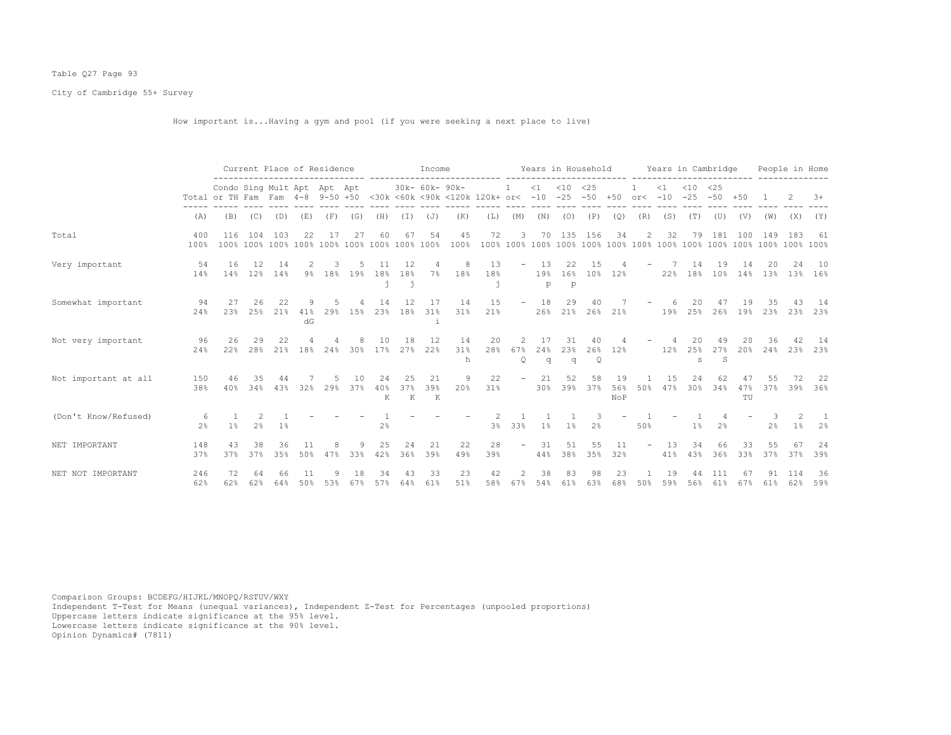# Table Q27 Page 93

City of Cambridge 55+ Survey

How important is...Having a gym and pool (if you were seeking a next place to live)

|                      |                     | Current Place of Residence<br>Condo Sing Mult Apt Apt Apt |                                 |               |                 |     |           |                                |                | Income                              |                |                                                        |                                                                                                                               |                         |                            |                           |                  |                          |           |               | Years in Household Years in Cambridge |                 |                     |            | People in Home                    |
|----------------------|---------------------|-----------------------------------------------------------|---------------------------------|---------------|-----------------|-----|-----------|--------------------------------|----------------|-------------------------------------|----------------|--------------------------------------------------------|-------------------------------------------------------------------------------------------------------------------------------|-------------------------|----------------------------|---------------------------|------------------|--------------------------|-----------|---------------|---------------------------------------|-----------------|---------------------|------------|-----------------------------------|
|                      |                     | Total or TH Fam Fam 4-8 9-50 +50                          |                                 |               |                 |     |           |                                |                | 30k- 60k- 90k-                      |                | <30k <60k <90k <120k 120k+ or< -10 -25 -50 +50 or< -10 | 1                                                                                                                             |                         | $<1$ $<10$ $<25$           |                           |                  | $\mathbf{1}$             | $\leq 1$  | $< 10$ $< 25$ | $-25 - 50 + 50$                       |                 | $\overline{1}$      | 2          | $3+$                              |
|                      | (A)                 | (B)                                                       | (C)                             | (D)           | (E)             | (F) | (G)       | (H)                            | ( I )          | (J)                                 | (K)            | (L)                                                    | (M)                                                                                                                           | (N)                     | (0)                        | (P)                       | (Q)              | (R)                      | (S)       | (T)           | (U)                                   | (V)             | (W)                 | (X)        | (Y)                               |
| Total                | 400<br>100%         | 116                                                       | 104                             | 103           | 22              | 17  | 27        | 60                             | 67             | 54                                  | 45<br>100%     | 72                                                     | $\overline{\mathbf{3}}$                                                                                                       |                         | 70 135 156                 |                           | 34               | 2                        | 32        | 79            | 181                                   | 100             | 149                 | -183       | -61                               |
| Very important       | 54<br>14%           | 16<br>14%                                                 | 12<br>12%                       | 14<br>14%     |                 |     |           | 11<br>9% 18% 19% 18% 18%<br>j. | 12<br>÷        | 4<br>$7\%$                          | 8<br>18%       | 13<br>18%<br>$\mathbf{\dot{1}}$                        |                                                                                                                               | $-13$<br>p              | 22<br>19% 16% 10% 12%<br>p | 15                        |                  | $\overline{\phantom{a}}$ | - 7       | 14            | 19<br>22% 18% 10% 14% 13% 13% 16%     | 14              | 20                  | 24         | 10                                |
| Somewhat important   | 94<br>24%           | 27<br>23%                                                 | 26                              | 22<br>25% 21% | 9.<br>41%<br>dG | 29% |           | 14                             | 12             | 17<br>15% 23% 18% 31%<br>$\ddot{1}$ | 14<br>31%      | 15<br>21%                                              |                                                                                                                               | $- 18$                  | 29<br>26% 21% 26% 21%      | 40                        |                  |                          | -6        | 20            | 47                                    | 19              | 35                  | 43         | 14<br>19% 25% 26% 19% 23% 23% 23% |
| Not very important   | 96<br>24%           | 26<br>22%                                                 | 29<br>28%                       | 22<br>21%     | 18%             | 24% | 30%       | 10<br>17%                      | 18<br>27%      | 12<br>22%                           | 14<br>31%<br>h | 20<br>28%                                              | 2<br>67%<br>$\mathsf{Q}$                                                                                                      | 17<br>24%<br>q          | 31<br>23%<br>q             | 40<br>26%<br>$\mathsf{Q}$ | 12%              |                          |           | 20<br>S       | 49<br>12% 25% 27% 20%<br>S            | 20              | 36                  | 42         | 14<br>24% 23% 23%                 |
| Not important at all | 150<br>38%          | 46<br>40%                                                 | 35<br>34%                       |               | 43% 32% 29%     |     | 10<br>37% | 24<br>40%<br>K                 | 25<br>37%<br>K | 21<br>39%<br>K                      | 9<br>20%       | 22<br>31%                                              |                                                                                                                               | 21<br>$\sim$ $-$<br>30% | 52                         | 58<br>39% 37%             | 19<br>56%<br>NoP | 50%                      | 15<br>47% | 24            | 62<br>30% 34%                         | 47<br>47%<br>TU | 55                  | 72         | 22<br>37% 39% 36%                 |
| (Don't Know/Refused) | 6<br>2 <sup>8</sup> | $1\%$                                                     | $\mathcal{L}$<br>2 <sup>°</sup> | 1%            |                 |     |           | $2\%$                          |                |                                     |                |                                                        | 3% 33%                                                                                                                        | $1\%$                   | $1\%$                      | 2%                        |                  | 50%                      |           | 1%            | 2 <sup>°</sup>                        |                 | 3<br>2 <sup>°</sup> | $1\,$      | 2 <sup>8</sup>                    |
| NET IMPORTANT        | 148<br>37%          | 43<br>37%                                                 | 38<br>37%                       | 36<br>35%     | 11<br>50%       | 47% | 9<br>33%  | 25<br>42%                      | 24<br>36%      | 21<br>39%                           | 22<br>49%      | 28<br>39%                                              | $\overline{\phantom{a}}$                                                                                                      | 31<br>44%               | 51                         | 55<br>38% 35%             | 11<br>32%        | $ \,$                    | 13<br>41% | 34<br>43%     | 66<br>36%                             | 33<br>33%       | 55<br>37%           | 67<br>37%  | 24<br>39%                         |
| NET NOT IMPORTANT    | 246<br>62%          | 72<br>62%                                                 | 62%                             | 66            | 11<br>64% 50%   | 53% | 18<br>67% | 34<br>57%                      | 43<br>$64\%$   | 33<br>61%                           | 23<br>51%      | 42<br>58%                                              | $\mathfrak{D}_{1}^{2}(\mathfrak{D}_{1})=\mathfrak{D}_{2}^{2}(\mathfrak{D}_{2})=\mathfrak{D}_{2}^{2}(\mathfrak{D}_{1})$<br>67% | 38<br>54%               | 83<br>61%                  | 98<br>63%                 | 23<br>68%        | 50%                      | 19<br>59% | 56%           | 111<br>61%                            | 67<br>67%       | 91<br>61%           | 114<br>62% | 36<br>59%                         |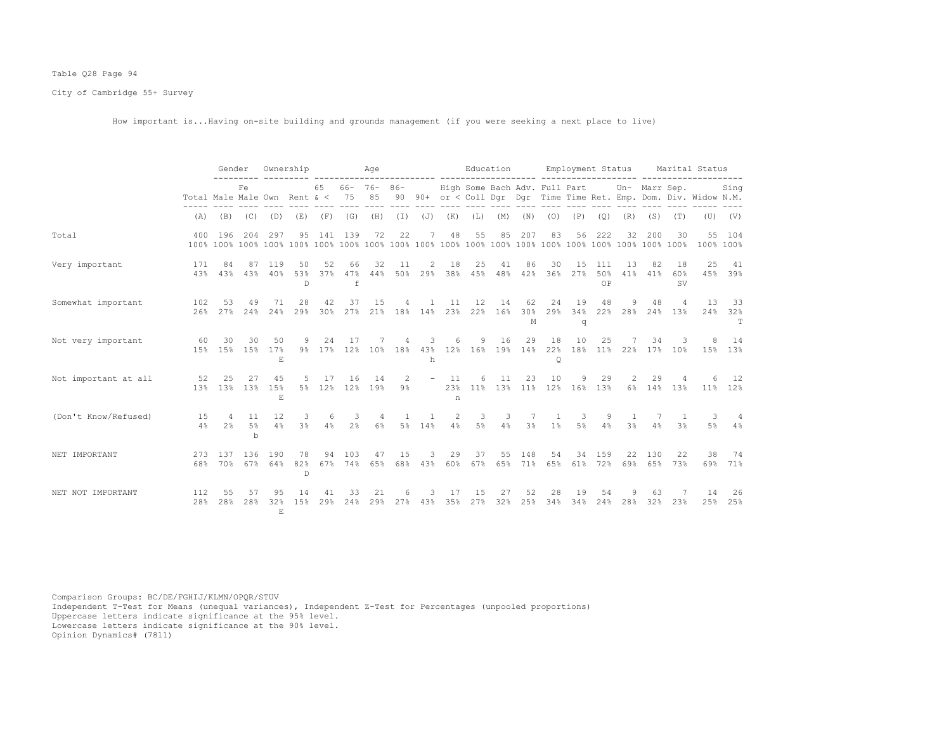# Table Q28 Page 94

City of Cambridge 55+ Survey

How important is...Having on-site building and grounds management (if you were seeking a next place to live)

|                      |                              | Gender                |                         | Ownership       |                     |              |                      | Age                    |              |                        |                |                               | Education |                     |                                        |                |                  | Employment Status        |            |                                | Marital Status                                                    |                      |
|----------------------|------------------------------|-----------------------|-------------------------|-----------------|---------------------|--------------|----------------------|------------------------|--------------|------------------------|----------------|-------------------------------|-----------|---------------------|----------------------------------------|----------------|------------------|--------------------------|------------|--------------------------------|-------------------------------------------------------------------|----------------------|
|                      | Total Male Male Own Rent & < |                       | Fe.                     |                 |                     | 65           | 75                   | $66 - 76 - 86 -$<br>85 |              |                        |                |                               |           |                     | High Some Bach Adv. Full Part          |                |                  |                          |            | Un- Marr Sep.                  | 90 90+ or < Coll Dgr Dgr Time Time Ret. Emp. Dom. Div. Widow N.M. | Sing                 |
|                      | (A)                          | (B)                   |                         | $(C)$ $(D)$     | (E)                 | (F)          | (G)                  | (H)                    |              | $(I)$ $(J)$ $(K)$      |                | (L)                           | (M)       | (N)                 | (0)                                    | (P)            | (Q)              | (R)                      | (S)        | (T)                            |                                                                   | $(U)$ $(V)$          |
| Total                |                              | 400 196               | 204                     | 297             | 95                  |              | 141 139              | 72                     | 22           | 7                      | 48             | 55                            | 85        | 207                 | 83                                     | 56             | 222              | 32                       | 200        | 30                             | 100% 100%                                                         | 55 104               |
| Very important       | 171<br>43%                   | 84<br>43%             | 87<br>43%               | 119<br>40%      | 50<br>53%<br>D      | 52<br>$37\%$ | 66<br>47%<br>f       | 32<br>44%              | 11           | 2<br>50% 29%           | 18             | 25<br>38% 45%                 | 41        | 86<br>48% 42%       | 30<br>36%                              | 15<br>27%      | 111<br>50%<br>OP | 13<br>41%                | 82<br>41%  | 18<br>60%<br><b>SV</b>         | 25                                                                | 41<br>45% 39%        |
| Somewhat important   | 102<br>26%                   | 53<br>27%             | 49<br>24%               | 71<br>24%       | 28<br>29%           | 42<br>30%    | 37<br>27%            | 15<br>21%              | 4            | 1                      | 11             | 12<br>18% 14% 23% 22%         | 14<br>16% | 62<br>30%<br>M      | 24<br>29%                              | 19<br>34%<br>q | 48               | 9<br>22% 28% 24% 13%     | 48         | $\overline{4}$                 | 13                                                                | 33<br>24% 32%        |
| Not very important   | 60<br>1.5%                   | 30<br>1.5%            | 30<br>15%               | 50<br>17%<br>E  | 9<br>$9\%$          | 24<br>17%    | 17                   | 12% 10%                | 4            | 3<br>h                 | 6              | 9                             | 16        | 29                  | 18<br>18% 43% 12% 16% 19% 14% 22%<br>Q | 10             | 25               | 7<br>18% 11% 22% 17% 10% | 34         | 3                              | 8                                                                 | 14<br>15% 13%        |
| Not important at all | 52                           | 25<br>1.3% 1.3%       | 27<br>13%               | 45<br>15%<br>E  | 5<br>$5\%$          | 17<br>12%    | 16                   | 14<br>12% 19%          | 2<br>$9\%$   |                        | 11<br>23%<br>n | 6                             | 11        | 23                  | 10<br>11% 13% 11% 12% 16%              | 9              | 29<br>13%        | 2                        | 29         | 4<br>6% 14% 13%                | $6 \overline{6}$                                                  | 12<br>11% 12%        |
| (Don't Know/Refused) | 15<br>4%                     | $\overline{4}$<br>2.8 | 11<br>5%<br>$\mathbf b$ | 12<br>4%        | 3<br>3 <sup>°</sup> | -6<br>4%     | -3<br>2 <sup>°</sup> | 4<br>$6\%$             | $\mathbf{1}$ | $\mathbf{1}$<br>5% 14% | 2<br>4%        | $\overline{\mathbf{3}}$<br>5% | 3<br>4%   | 7<br>$3\frac{6}{9}$ | 1<br>$1\%$                             | 3<br>$5\%$     | 9<br>4%          | <sup>1</sup><br>3%       | -7<br>4%   | $\mathbf{1}$<br>3 <sup>8</sup> | 3<br>5%                                                           | $\overline{4}$<br>4% |
| NET IMPORTANT        | 273<br>68%                   | 137<br>70%            | 136<br>67%              | 190<br>64%      | 78<br>82%<br>D      | 94<br>67%    | 103<br>74%           | 47<br>65%              | 15<br>68%    | 3<br>43%               | 29<br>60%      | 37<br>67%                     | 55        | 148<br>65% 71%      | 54<br>65%                              | 34<br>61%      | 159<br>72%       | 22<br>69%                | 130<br>65% | 22<br>73%                      | 38                                                                | 74<br>69% 71%        |
| NET NOT IMPORTANT    | 112<br>28%                   | 55<br>28%             | 57<br>28%               | 95<br>32%<br>E. | 14<br>15%           | 41<br>29%    | 33<br>24%            | 21<br>29%              | 6<br>27%     | 3<br>43%               | 17<br>35%      | 15<br>27%                     | 27<br>32% | 52<br>25%           | 28<br>34%                              | 19<br>34%      | 54<br>24%        | 9<br>28%                 | 63<br>32%  | 23%                            | 14                                                                | 26<br>25% 25%        |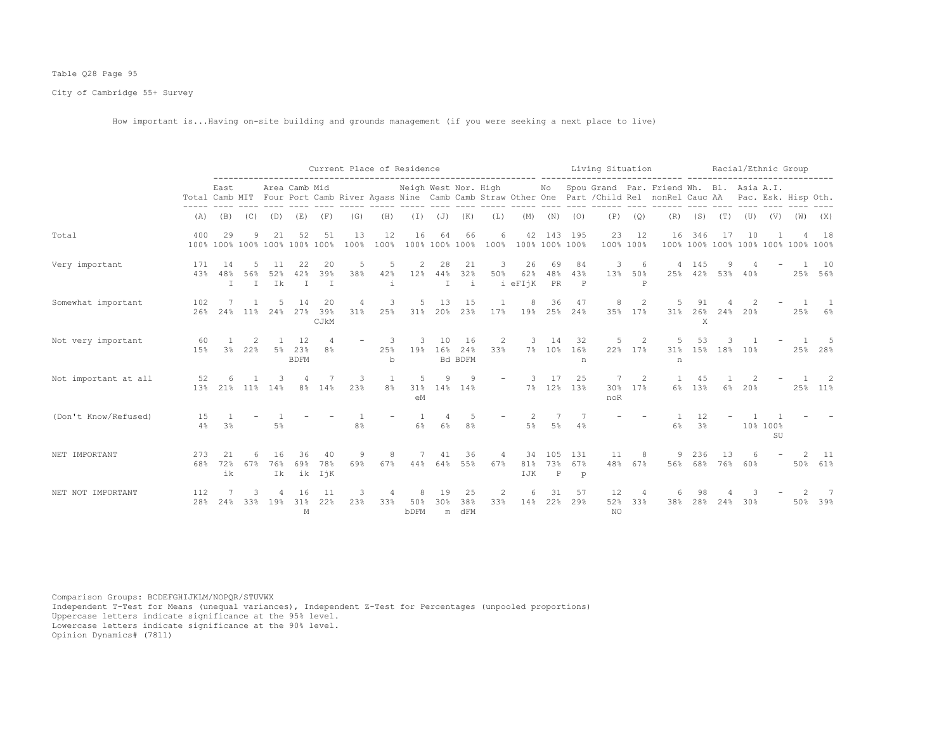# Table Q28 Page 95

City of Cambridge 55+ Survey

How important is...Having on-site building and grounds management (if you were seeking a next place to live)

|                      |            |                     |          |           |                                     |                           |            | Current Place of Residence |                      |                          |                      |                       |                      |                            |                            | Living Situation       |                 |                                                                                                                                                      |           |                  |                 | Racial/Ethnic Group |                                    |           |
|----------------------|------------|---------------------|----------|-----------|-------------------------------------|---------------------------|------------|----------------------------|----------------------|--------------------------|----------------------|-----------------------|----------------------|----------------------------|----------------------------|------------------------|-----------------|------------------------------------------------------------------------------------------------------------------------------------------------------|-----------|------------------|-----------------|---------------------|------------------------------------|-----------|
|                      |            | East                |          |           | Area Camb Mid                       |                           |            |                            | Neigh West Nor. High |                          |                      |                       |                      | No                         |                            |                        |                 | Spou Grand Par. Friend Wh. Bl. Asia A.I.<br>Total Camb MIT Four Port Camb River Agass Nine Camb Camb Straw Other One Part / Child Rel nonRel Cauc AA |           |                  |                 |                     | Pac. Esk. Hisp Oth.                |           |
|                      | (A)        | (B)                 | (C)      | (D)       | (E)                                 | (F)                       | (G)        | (H)                        | $(\top)$             | $(\mathbb{J})$           | (K)                  | (L)                   | (M)                  | (N)                        | (0)                        | (P)                    | (Q)             | (R)                                                                                                                                                  |           | $(S)$ $(T)$      | (U)             | (V)                 | (W)                                | (X)       |
| Total                | 400        | 29                  | 9        | 21        | 52<br>100% 100% 100% 100% 100% 100% | 51                        | 13<br>100% | 12<br>100%                 | 16                   | 64                       | 66<br>100% 100% 100% | 6<br>100%             | 42<br>100% 100% 100% |                            | 143 195                    | 23                     | 12<br>100% 100% | 16                                                                                                                                                   | 346       | 17               | 10              |                     | 100% 100% 100% 100% 100% 100% 100% | 18        |
| Very important       | 171<br>43% | 48%<br>$\mathbb{I}$ | 56%<br>I | 52%<br>Ik | 42%<br>$\mathbb{I}$                 | 20<br>39%<br>$\mathbb{I}$ | 5<br>38%   | 5<br>42%<br>i              | 12%                  | 28<br>44%<br>$\mathbf I$ | 21<br>32%<br>i       | 3<br>50%              | 26<br>62%<br>i eFIjK | 69<br>48%<br>PR            | 84<br>43%<br>$\mathbb P$   | 3<br>13%               | 6<br>50%<br>P   |                                                                                                                                                      | 4 145     | 9<br>25% 42% 53% | $40\%$          |                     | 25%                                | 10<br>56% |
| Somewhat important   | 102<br>26% | 24%                 | $11\%$   | 24%       | 14<br>27%                           | 20<br>39%<br>CJkM         | 4<br>31%   | 3<br>25%                   | 5<br>31%             | 13<br>20%                | 15<br>23%            | 17%                   | 19%                  | 36<br>25%                  | 47<br>24%                  | 8<br>35%               | 2<br>17%        | 31%                                                                                                                                                  | 26%<br>X  | 24%              | 20%             |                     | 25%                                | 6%        |
| Not very important   | 60<br>15%  | 3 <sup>°</sup>      | 22%      | 5%        | 12<br>23%<br><b>BDFM</b>            | $\overline{4}$<br>8%      |            | 3.<br>25%<br>b             | 3<br>19%             | 10<br>16%                | 16<br>24%<br>Bd BDFM | 2<br>33%              |                      | 14<br>7% 10% 16%           | 32<br>n                    | 5.                     | 2<br>22% 17%    | 31%<br>n                                                                                                                                             | 53<br>15% | 18%              | 10 <sup>8</sup> |                     | 25%                                | -5<br>28% |
| Not important at all | 52<br>13%  | 21%                 | 11%      | 14%       | 8 <sup>°</sup>                      | 14%                       | 3<br>23%   | 1<br>8 <sup>°</sup>        | 5<br>31%<br>eM       | 9                        | 9<br>14% 14%         |                       | $\mathcal{L}$        | 17<br>7% 12% 13%           | 25                         | 7<br>noR               | 2<br>30% 17%    | $6\%$                                                                                                                                                | 45<br>13% | $6\%$            | 20%             |                     | 25%                                | 2<br>11%  |
| (Don't Know/Refused) | 15<br>4%   | 3 <sup>°</sup>      |          | 5%        |                                     |                           | 8%         |                            | $\mathbf{1}$<br>6%   | 4<br>6%                  | .5<br>8%             |                       | 2<br>$5\%$           | 7<br>$5\%$                 | -7<br>4%                   |                        |                 | 6%                                                                                                                                                   | 12<br>3%  |                  |                 | 10% 100%<br>SU      |                                    |           |
| NET IMPORTANT        | 273<br>68% | 72%<br>ik           | 67%      | 76%<br>Ik | 36<br>69%                           | 40<br>78%<br>ik IjK       | 9<br>69%   | 8<br>67%                   | 44%                  | 41<br>64%                | 36<br>55%            | $\overline{4}$<br>67% | 34<br>81%<br>IJK     | 105<br>73%<br>$\mathbb{P}$ | 131<br>67%<br>$\mathbf{p}$ | 11<br>48%              | 8<br>67%        | 56%                                                                                                                                                  | 236       | 13<br>68% 76%    | 60%             |                     | 50%                                | 11<br>61% |
| NET NOT IMPORTANT    | 112<br>28% | 24%                 | 33%      | 19%       | 16<br>31%<br>$\mathbb M$            | -11<br>22%                | 23%        | 33%                        | 8<br>50%<br>bDFM     | 19<br>30%<br>m           | 25<br>38%<br>dFM     | 2<br>33%              | 14%                  | 31<br>22%                  | 57<br>29%                  | 12<br>52%<br><b>NO</b> | 33%             | 38%                                                                                                                                                  | 28%       | 24%              | 30%             |                     | 50%                                | 7<br>39%  |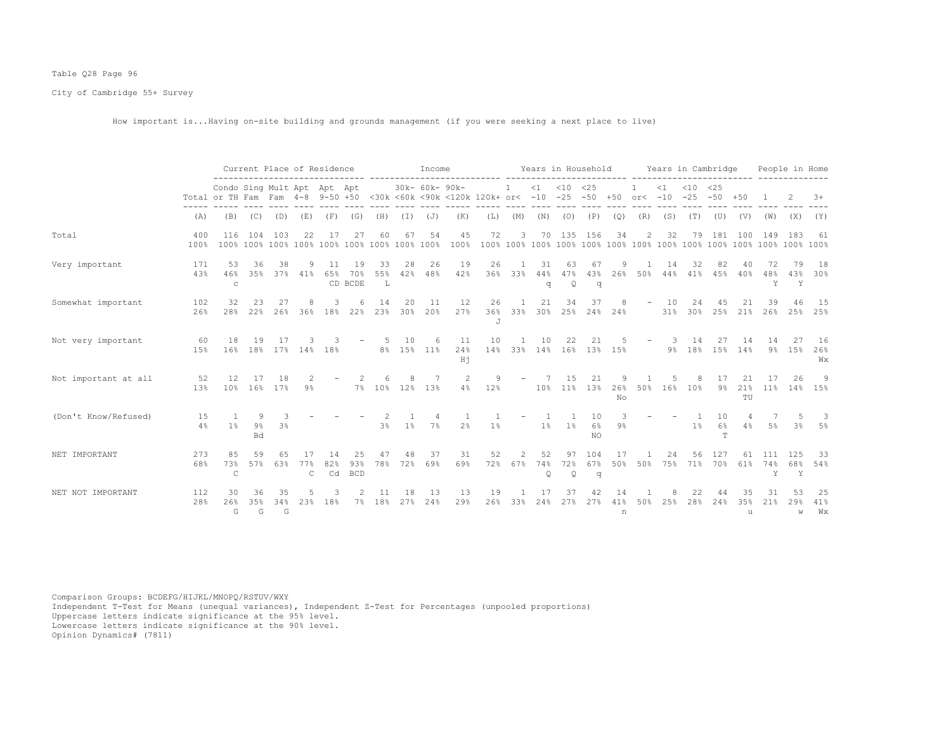# Table Q28 Page 96

City of Cambridge 55+ Survey

How important is...Having on-site building and grounds management (if you were seeking a next place to live)

|                      |                | Current Place of Residence<br>Condo Sing Mult Apt Apt Apt<br>Total or TH Fam Fam 4-8 9-50 +50 <30k <60k <90k <120k 120k+ or< -10 -25 -50 +50 or< -10 |                         |                |                     |                 |                         |                |           | Income              |                 |           |                           |                           |                           | Years in Household |                      |                          | Years in Cambridge |                                                                                  |                |                   |                       | People in Home  |                 |
|----------------------|----------------|------------------------------------------------------------------------------------------------------------------------------------------------------|-------------------------|----------------|---------------------|-----------------|-------------------------|----------------|-----------|---------------------|-----------------|-----------|---------------------------|---------------------------|---------------------------|--------------------|----------------------|--------------------------|--------------------|----------------------------------------------------------------------------------|----------------|-------------------|-----------------------|-----------------|-----------------|
|                      |                |                                                                                                                                                      |                         |                |                     |                 |                         |                |           | 30k- 60k- 90k-      |                 |           | $\overline{1}$            |                           | $<1$ $<10$ $<25$          |                    |                      |                          |                    | $\langle 1 \rangle$ $\langle 10 \rangle$ $\langle 25 \rangle$<br>$-25 - 50 + 50$ |                |                   |                       |                 | $3+$            |
|                      | (A)            | (B)                                                                                                                                                  | (C)                     | (D)            | (E)                 | (F)             | (G)                     | (H)            | ( I )     | (J)                 | (K)             | (L)       | (M)                       | (N)                       | (0)                       | (P)                | (Q)                  | (R)                      | (S)                | (T)                                                                              | (U)            | (V)               | (W)                   | (X)             | (Y)             |
| Total                | 400<br>$100\%$ | 116                                                                                                                                                  | 104                     | 103            | 22                  | 17              | 27                      | 60             | 67        | 54                  | 45<br>100%      | 72        | 3                         |                           |                           | 70 135 156         | 34                   | 2                        | 32                 | 79                                                                               | 181            | 100               | 149                   | 183             | -61             |
| Very important       | 171<br>43%     | 53<br>46%<br>$\mathbf C$                                                                                                                             | 36<br>35%               | 38             | 9<br>37% 41%        | 11<br>65%       | 19<br>70%<br>CD BCDE    | 33<br>55%<br>L | 28<br>42% | 26<br>48%           | 19<br>42%       | 26<br>36% | 33%                       | 31<br>44%<br>q            | 63<br>47%<br>Q            | 67<br>43%<br>q     | 26%                  | 50%                      | 14<br>$44\%$       | 32<br>41%                                                                        | 82<br>45%      | 40<br>40%         | 72<br>48%<br>Y        | 79<br>43%<br>Y  | 18<br>30%       |
| Somewhat important   | 102<br>26%     | 32<br>28%                                                                                                                                            | 22%                     | 27<br>26%      |                     | 36% 18%         | 22%                     | 14<br>23%      | 20<br>30% | 11<br>20%           | 12<br>27%       | 26        | $\overline{1}$<br>36% 33% | 21                        | 34                        | 37                 | 8<br>30% 25% 24% 24% | $\overline{\phantom{a}}$ | 10<br>31%          | 2.4<br>30%                                                                       | 45             | 21<br>25% 21%     | 39<br>26%             | 46              | 15<br>25% 25%   |
| Not very important   | 60<br>15%      | 18<br>16%                                                                                                                                            | 19<br>18%               | 17             |                     | 17% 14% 18%     |                         | .5             | 10        | 6<br>8% 15% 11%     | 11<br>24%<br>Hj | 10        | 14% 33% 14% 16% 13% 15%   | 10                        | 22                        | 21                 |                      | $\overline{\phantom{m}}$ | -3.<br>9%          | 14                                                                               | 27             | 14<br>18% 15% 14% | 14<br>9%              | -27<br>15%      | 16<br>26%<br>Wх |
| Not important at all | 52<br>13%      | 12.<br>10%                                                                                                                                           | 16%                     | 18<br>17%      | $9\%$               |                 |                         |                |           | 7<br>7% 10% 12% 13% | 2<br>4%         | 9<br>12%  |                           | 10%                       | 1.5                       | 21<br>11% 13%      | 26%<br>No            |                          | 50% 16%            | 8<br>10%                                                                         | 17<br>9%       | 21<br>21%<br>TU   | $11\%$                | 26              | 9<br>14% 15%    |
| (Don't Know/Refused) | 15<br>4%       | 1%                                                                                                                                                   | 9<br>$9\%$<br><b>Bd</b> | 3 <sup>8</sup> |                     |                 |                         | 3%             | $1\%$     | 4<br>7%             | 2 <sup>°</sup>  | $1\%$     |                           | 1%                        | $1\%$                     | 10<br>6%<br>NO     | $9\%$                |                          |                    | $\overline{1}$<br>$1\%$                                                          | 10<br>6%<br>T  | 4<br>4%           | $7\phantom{.0}$<br>5% | $3\%$           | -3<br>5%        |
| NET IMPORTANT        | 273<br>68%     | 85<br>73%<br>$\mathbb{C}$                                                                                                                            | 59<br>57%               | 65<br>63%      | 77%<br>$\mathsf{C}$ | 14<br>82%<br>Cd | 25<br>93%<br><b>BCD</b> | 47<br>78%      | 48<br>72% | 37<br>69%           | 31<br>69%       | 52<br>72% | 2<br>67%                  | 52<br>74%<br>$\mathsf{Q}$ | 97<br>72%<br>$\mathsf{Q}$ | 104<br>67%<br>q    | 17<br>50%            | 50%                      | 24<br>75%          | 56.                                                                              | 127<br>71% 70% | 61<br>61%         | 111<br>74%<br>Y       | 125<br>68%<br>Y | -33<br>54%      |
| NET NOT IMPORTANT    | 112<br>28%     | 30<br>26%<br>G                                                                                                                                       | 36<br>35%<br>G          | 35<br>34%<br>G | 23%                 | 18%             | 7%                      | 18%            | 18<br>27% | -13<br>24%          | 13<br>29%       | 19<br>26% | 33%                       | 17<br>24%                 | 37<br>27%                 | 42<br>27%          | 14<br>41%<br>n       | 50%                      | 25%                | 28%                                                                              | 24%            | 35%<br>11         | 21%                   | 29%<br>W        | 25<br>41%<br>Wx |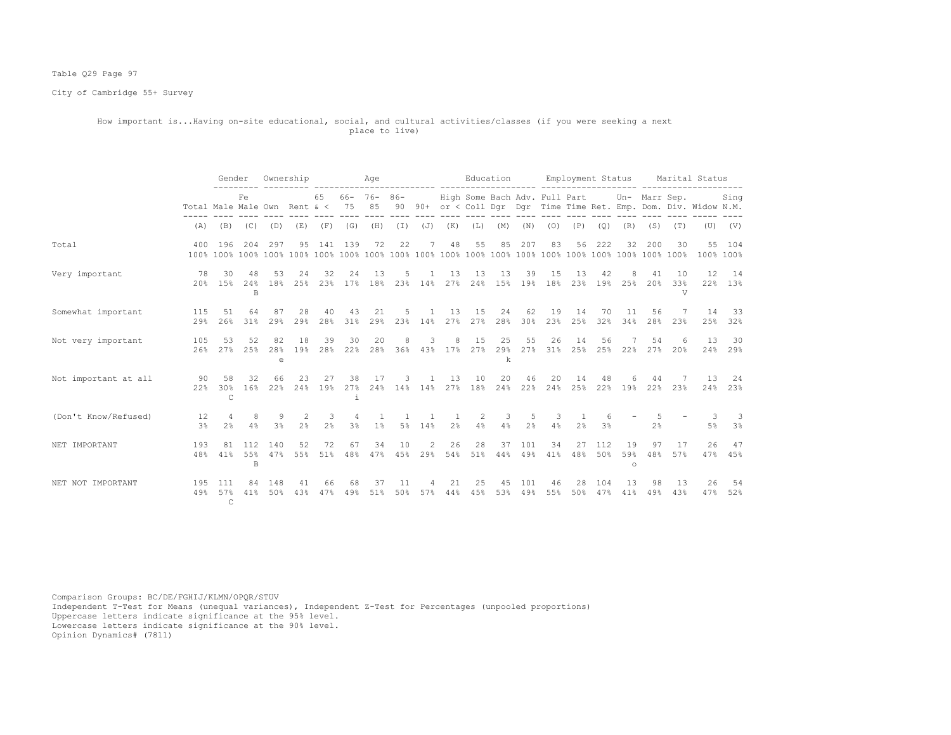# Table Q29 Page 97

City of Cambridge 55+ Survey

### How important is...Having on-site educational, social, and cultural activities/classes (if you were seeking a next place to live)

|                      |                                         | Gender                         |                    |                | Ownership                 |                                 |                      | Age                     |                |                          |                | Education                                         |                   |            |                    |                                  |             |                      |                |                        | Employment Status Marital Status                                                                                                                                        |                     |
|----------------------|-----------------------------------------|--------------------------------|--------------------|----------------|---------------------------|---------------------------------|----------------------|-------------------------|----------------|--------------------------|----------------|---------------------------------------------------|-------------------|------------|--------------------|----------------------------------|-------------|----------------------|----------------|------------------------|-------------------------------------------------------------------------------------------------------------------------------------------------------------------------|---------------------|
|                      |                                         |                                | Fe.                |                |                           |                                 |                      |                         |                |                          |                |                                                   |                   |            |                    |                                  |             |                      |                |                        | 65 66- 76- 86- High Some Bach Adv. Full Part Un- Marr Sep. Sing<br>Total Male Male Own Rent & < 75 85 90 90+ or < Coll Dqr Dqr Time Time Ret. Emp. Dom. Div. Widow N.M. |                     |
|                      | (A)                                     |                                | $(B)$ $(C)$        | (D)            | (E)                       | (F)                             | (G)                  | (H)                     |                | $(I)$ $(J)$ $(K)$        |                | (L)                                               | (M)               |            | $(N)$ $(0)$        |                                  | $(P)$ $(Q)$ | (R)                  | (S)            | (T)                    |                                                                                                                                                                         | $(U)$ $(V)$         |
| Total                |                                         | 400 196                        |                    | 204 297        | 95                        |                                 | 141 139              | 72                      | 22             | 7                        | 48             | 55                                                | 85                | 207        | 83                 | 56                               | 222         | 32                   | 200            | 30                     |                                                                                                                                                                         | 55 104<br>100% 100% |
| Very important       |                                         | 78 30                          | 48<br><sub>R</sub> | 53             | 24<br>20% 15% 24% 18% 25% | 32                              | 24<br>23% 17% 18%    | 13                      | 5              | $\mathbf{1}$             | 13             | 13<br>23% 14% 27% 24% 15% 19% 18%                 | 13                | 39         | 15                 | 13                               | 42          | -8<br>23% 19% 25%    | 41             | 10<br>20% 33%<br>V     | 12                                                                                                                                                                      | 14<br>22% 13%       |
| Somewhat important   | 115<br>$29$ <sup>2</sup>                | 51<br>26%                      | 64<br>31%          | 87<br>29%      | 28<br>29%                 | 40<br>28%                       | 43<br>31%            | 21<br>29%               | $5 -$          | -1.                      | 13             | 15<br>23% 14% 27% 27%                             | 24<br>28%         | 62<br>30%  | 19<br>23%          | 14<br>25%                        | 70<br>32%   | 11<br>34%            | 56<br>28%      | $7\phantom{.0}$<br>23% | 14                                                                                                                                                                      | 33<br>25% 32%       |
| Not very important   | 105                                     | 53                             | 52<br>26% 27% 25%  | 82<br>28%<br>e | 18<br>19%                 | 39<br>28 <sup>°</sup>           | 30<br>22%            | 20                      | 8              | 3                        | 8              | 15<br>28% 36% 43% 17% 27% 29% 27% 31% 25% 25% 22% | 25<br>$\mathbf k$ | 55         | 26                 | 14                               | 56          |                      | 54             | 6<br>27% 20%           | 13                                                                                                                                                                      | 30<br>24% 29%       |
| Not important at all | $\sim$ 0.000 $\sim$ 0.000 $\sim$<br>22% | 58<br>30%<br>$\mathcal{C}$     | 32                 | 66             | 23<br>16% 22% 24% 19%     | 27                              | 38<br>27%<br>i.      | 17                      | $\mathbf{3}$   | $\mathbf{1}$             | 13             | 10<br>24% 14% 14% 27% 18%                         | 20                | 46         | 2.0<br>24% 22% 24% | 14                               | 48          | 6<br>25% 22% 19%     | 44             | 7<br>22% 23%           | 13                                                                                                                                                                      | 24<br>24% 23%       |
| (Don't Know/Refused) | 12<br>3%                                | $\overline{4}$<br>2.8          | 4%                 | 8 -<br>9<br>3% | 2<br>2.8                  | $\mathcal{B}$<br>2 <sup>°</sup> | $\overline{4}$<br>3% | $\overline{1}$<br>$1\%$ | $\overline{1}$ | $\overline{1}$<br>5% 14% | 2 <sup>°</sup> | 2<br>4%                                           | 3<br>4%           | 5<br>2%    | $\mathbf{3}$<br>4% | $\overline{1}$<br>2 <sup>°</sup> | 6<br>3%     |                      | 2 <sup>8</sup> |                        | -3-                                                                                                                                                                     | -3<br>5% 3%         |
| NET IMPORTANT        | 193<br>48%                              | 81<br>41%                      | 112<br>B           | 140<br>55% 47% | 52<br>55%                 | 72                              | 67<br>51% 48%        | 34<br>47%               | 10             | 2<br>45% 29%             | 26             | 28<br>54% 51%                                     | 37<br>44%         | 101<br>49% | 34<br>41%          | 27<br>48%                        | 112<br>50%  | 19<br>59%<br>$\circ$ | 97<br>48%      | 17<br>57%              | 26                                                                                                                                                                      | 47<br>47% 45%       |
| NET NOT IMPORTANT    | 195                                     | 111<br>49% 57%<br>$\mathsf{C}$ | 84<br>41%          | 148<br>50%     | 41<br>43%                 | 66<br>47%                       | 68<br>49%            | 37<br>51%               | 11<br>50%      | 4<br>57%                 | 21<br>44%      | 25<br>45%                                         | 45<br>53%         | 101<br>49% | 46<br>55%          | 28<br>50%                        | 104<br>47%  | 13<br>41%            | 98<br>49%      | 13<br>43%              | 26<br>47%                                                                                                                                                               | 54<br>52%           |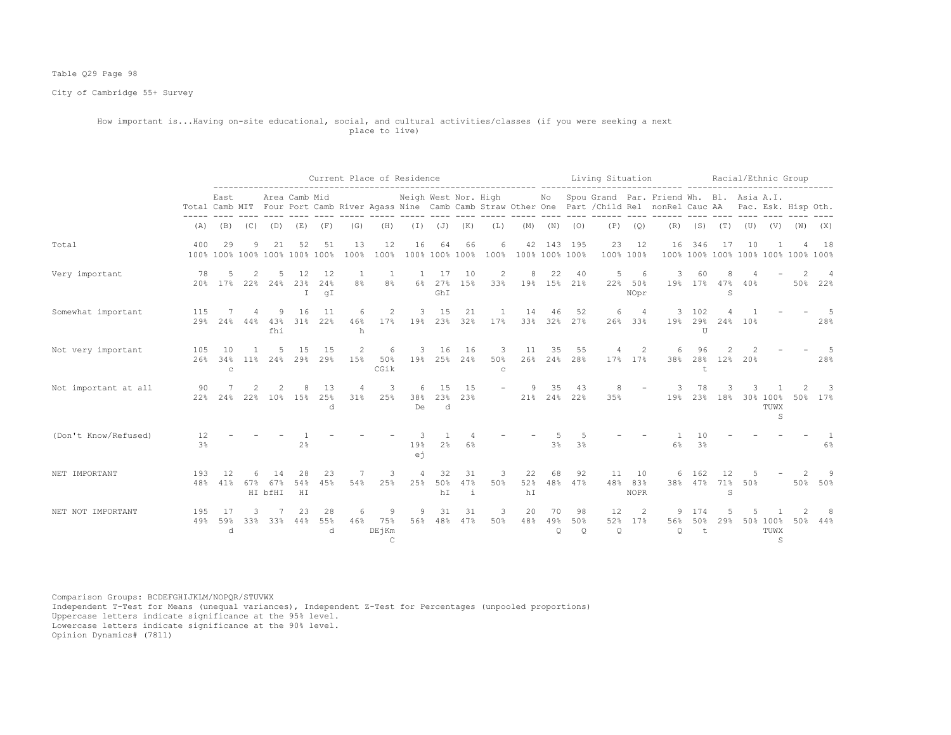# Table Q29 Page 98

City of Cambridge 55+ Survey

### How important is...Having on-site educational, social, and cultural activities/classes (if you were seeking a next place to live)

|                      |                      |                           |                       |                            |                                     |                           |                       | Current Place of Residence         |                      |                          |                |                          |                      |                   |                      | Living Situation |                           |                                                                                                                                                      |                  |                                          |            | Racial/Ethnic Group   |                     |          |
|----------------------|----------------------|---------------------------|-----------------------|----------------------------|-------------------------------------|---------------------------|-----------------------|------------------------------------|----------------------|--------------------------|----------------|--------------------------|----------------------|-------------------|----------------------|------------------|---------------------------|------------------------------------------------------------------------------------------------------------------------------------------------------|------------------|------------------------------------------|------------|-----------------------|---------------------|----------|
|                      |                      | East                      |                       |                            | Area Camb Mid                       |                           |                       |                                    | Neigh West Nor. High |                          |                |                          |                      | No                |                      |                  |                           | Spou Grand Par. Friend Wh. Bl. Asia A.I.<br>Total Camb MIT Four Port Camb River Agass Nine Camb Camb Straw Other One Part / Child Rel nonRel Cauc AA |                  |                                          |            |                       | Pac. Esk. Hisp Oth. |          |
|                      | (A)                  | (B)                       | (C)                   | (D)                        | (E)                                 | (F)                       | (G)                   | (H)                                | $(\top)$             | (J)                      | (K)            | (L)                      | (M)                  | (N)               | (0)                  | (P)              | (Q)                       | (R)                                                                                                                                                  | (S)              | (T)                                      | (U)        |                       | $(V)$ $(W)$         | (X)      |
| Total                | 400                  | 29                        | 9                     | 21                         | 52<br>100% 100% 100% 100% 100% 100% | 51                        | 13<br>100%            | 12<br>100%                         | 16                   | 64<br>100% 100% 100%     | 66             | 6<br>100%                | 42<br>100% 100% 100% |                   | 143 195              | 23<br>100%       | 12<br>100%                | 16                                                                                                                                                   | 346              | 17<br>100% 100% 100% 100% 100% 100% 100% | 10         |                       | Δ                   | 18       |
| Very important       | 78                   | 5<br>20% 17%              | 2                     | $5\overline{)}$<br>22% 24% | 12<br>I.                            | 12<br>23% 24%<br>qI       | -1.<br>8 <sup>°</sup> | 1<br>8 <sup>°</sup>                | $\mathbf{1}$<br>6%   | 17<br>27%<br>GhI         | 10<br>15%      | 2<br>33%                 | 19%                  | 22<br>15% 21%     | 40                   | 5                | 6<br>22% 50%<br>NOpr      | 3<br>19%                                                                                                                                             | 60<br>17%        | 47%<br>S                                 | 40%        |                       | 50%                 | 22%      |
| Somewhat important   | 115<br>29%           | 7<br>24%                  | $\overline{4}$<br>44% | 9<br>43%<br>fhi            | 16                                  | -11<br>31% 22%            | 6<br>46%<br>h         | 2<br>17%                           | 3                    | 15<br>19% 23%            | 21<br>32%      | 1<br>17%                 | 14<br>33%            | 46<br>32%         | 52<br>27%            | 6                | $\overline{4}$<br>26% 33% | 3<br>19%                                                                                                                                             | 102<br>29%<br>U  |                                          | $24\%$ 10% |                       |                     | 28%      |
| Not very important   | 105<br>26%           | 10<br>34%<br>$\mathsf{C}$ | $11\%$                | .5<br>24%                  | 1.5<br>29%                          | 15<br>29%                 | 2<br>15%              | 6<br>50%<br>CGik                   | 3                    | 16<br>19% 25%            | 16<br>24%      | 3<br>50%<br>$\mathbb{C}$ | 11<br>26%            | 35<br>24%         | 55<br>28%            |                  | $\mathfrak{D}$<br>17% 17% | 6<br>38%                                                                                                                                             | 96<br>28%<br>t   | 12%                                      | 20%        |                       |                     | 28%      |
| Not important at all | 90<br>22%            | 24%                       | 22%                   |                            | 10% 15%                             | 13<br>25%<br><sub>d</sub> | 4<br>31%              | 3<br>25%                           | 6<br>38%<br>De       | 15<br>23%<br>$\mathbf d$ | 15<br>23%      |                          |                      | 35<br>21% 24% 22% | 43                   | 35%              |                           | 19%                                                                                                                                                  | 23%              | 18%                                      |            | 30% 100%<br>TUWX<br>S | 50%                 | З<br>17% |
| (Don't Know/Refused) | 12<br>3 <sup>°</sup> |                           |                       |                            | 2 <sup>°</sup>                      |                           |                       |                                    | 19%<br>еi            | 2%                       | 6%             |                          |                      | 3%                | 3 <sup>8</sup>       |                  |                           | 6%                                                                                                                                                   | 1 N<br>3%        |                                          |            |                       |                     | $6\%$    |
| NET IMPORTANT        | 193<br>48%           | 12<br>41%                 | 67%                   | 14<br>67%<br>HI bfHI       | 28<br>54%<br>H I                    | 23<br>45%                 | 54%                   | 3<br>25%                           | 4<br>25%             | 32<br>50%<br>hI          | 31<br>47%<br>i | 3<br>50%                 | 22<br>52%<br>hI      | 68<br>48%         | 92<br>47%            | 11<br>48%        | 10<br>83%<br><b>NOPR</b>  | 6.<br>38%                                                                                                                                            | 162<br>47%       | 12<br>71%<br>S                           | 50%        |                       | 50%                 | 50%      |
| NET NOT IMPORTANT    | 195<br>49%           | -17<br>59%<br>d           | 3<br>33%              | 33%                        | 23<br>44%                           | 28<br>55%<br>d            | $\epsilon$<br>46%     | 9<br>75%<br>DEjKm<br>$\mathcal{C}$ | 9<br>56%             | 31<br>48%                | 31<br>47%      | 3<br>50%                 | 20<br>48%            | 70<br>49%<br>O    | 98<br>50%<br>$\circ$ | 12<br>52%<br>O   | 2<br>17%                  | 9<br>56%<br>∩                                                                                                                                        | 174<br>50%<br>t. | 5<br>29%                                 | 50%        | 100%<br>TUWX<br>S     | 50%                 | 44%      |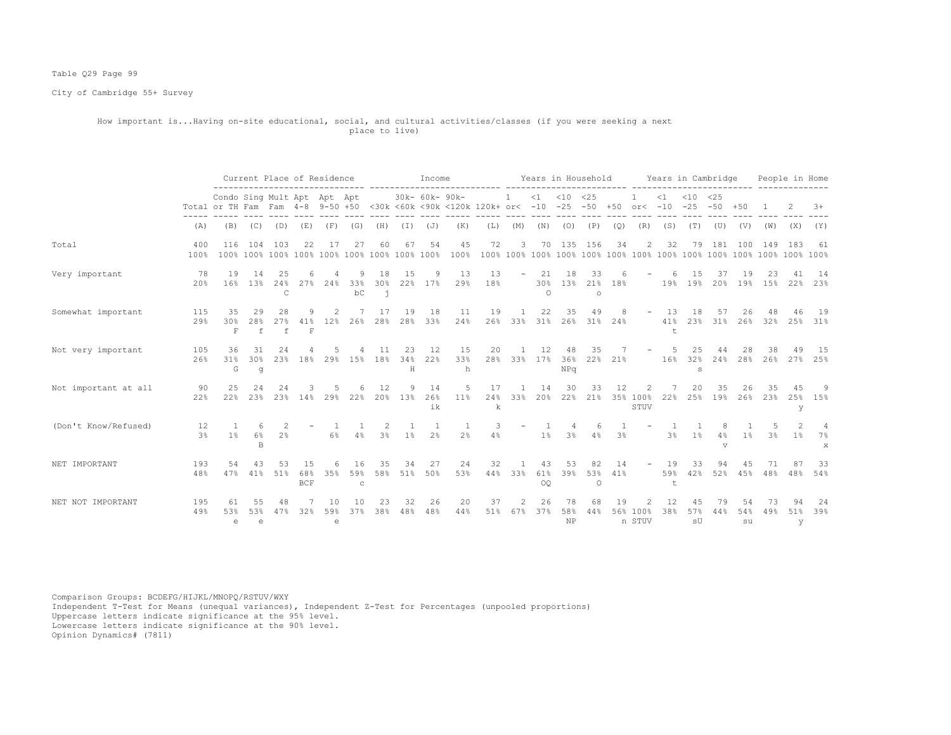# Table Q29 Page 99

City of Cambridge 55+ Survey

### How important is...Having on-site educational, social, and cultural activities/classes (if you were seeking a next place to live)

|                      |                      |                                                                                                                        |                          | Current Place of Residence |                     |                |                    | Income              |                |                 |                      |           |                          | Years in Household |                        |                                  | Years in Cambridge |                    |                     |                                  |               | People in Home  |               |                |                           |
|----------------------|----------------------|------------------------------------------------------------------------------------------------------------------------|--------------------------|----------------------------|---------------------|----------------|--------------------|---------------------|----------------|-----------------|----------------------|-----------|--------------------------|--------------------|------------------------|----------------------------------|--------------------|--------------------|---------------------|----------------------------------|---------------|-----------------|---------------|----------------|---------------------------|
|                      |                      | Condo Sing Mult Apt Apt Apt<br>Total or TH Fam Fam 4-8 9-50 +50 <30k <60k <90k <120k 120k+ or< -10 -25 -50 +50 or< -10 |                          |                            |                     |                |                    |                     |                | 30k- 60k- 90k-  |                      |           |                          |                    | $<1$ $<10$ $<25$       |                                  |                    |                    | $\leq 1$            | $< 10$ $< 25$<br>$-25 - 50 + 50$ |               |                 |               |                | $3+$                      |
|                      | (A)                  | (B)                                                                                                                    | (C)                      | (D)                        | (E)                 | (F)            | (G)                | (H)                 | (I)            | (J)             | (K)                  | (L)       | (M)                      | (N)                | (0)                    | (P)                              | (Q)                | (R)                | (S)                 | (T)                              | (U)           | (V)             | (W)           | (X)            | (Y)                       |
| Total                | 400<br>100%          | 116                                                                                                                    | 104                      | 103                        | 2.2.                | 17             | 27                 | 60                  | 67             | 54              | 45<br>100%           | 72        | 3                        |                    |                        | 70 135 156                       | 34                 | 2                  | 32                  | 79                               | 181           | 100             | 149           | 183            | -61                       |
| Very important       | 78<br>20%            | 19<br>16%                                                                                                              | 14<br>13%                | 2.5<br>24%<br>C            | 27%                 | 24%            | 33%<br>bC          | 18<br>30%<br>j.     | 15<br>22%      | 9<br>17%        | 13<br>29%            | 13<br>18% | $\overline{\phantom{a}}$ | 21<br>$\Omega$     | 18                     | 33<br>30% 13% 21% 18%<br>$\circ$ |                    |                    |                     | 15<br>19% 19% 20% 19% 15% 22%    | 37            | 19              | 23            | 41             | 14<br>23%                 |
| Somewhat important   | 115<br>29%           | 35<br>30%<br>$\mathbf F$                                                                                               | 29<br>28%<br>$\mathbf f$ | 28<br>27%<br>f             | 9<br>$\mathbf F$    | 2<br>41% 12%   | 26%                | 17<br>28%           | 19<br>28%      | 18<br>33%       | 11<br>24%            | 19<br>26% | $\mathbf{1}$<br>33%      | 22<br>31%          | 35                     | 49<br>26% 31% 24%                | 8                  |                    | $-13$<br>41%<br>$+$ | 18                               | 57<br>23% 31% | 26              | 48<br>26% 32% | 46<br>25%      | 19<br>31%                 |
| Not very important   | 105<br>26%           | 36<br>31%<br>G                                                                                                         | 30%<br>g                 | 24<br>23%                  | 18%                 | 29%            | 15%                | 11<br>18%           | 23<br>34%<br>Η | 12<br>22%       | 15<br>33%<br>h       | 20        | 28% 33% 17% 36% 22%      | 12                 | 48<br>NPq              | 35                               | 21%                |                    | 16%                 | 25<br>32%<br>s                   | 44<br>24%     | 28<br>28%       | 38<br>26%     | 49<br>27%      | - 15<br>25%               |
| Not important at all | 90<br>22%            | 25<br>22%                                                                                                              | 2.4<br>23%               | 2.4<br>23%                 | 14%                 | 29%            | 22%                | 12<br>20%           | 13%            | 14<br>26%<br>ik | 5<br>$11\%$          | 17<br>k   | 24% 33%                  | 14<br>20%          | 30                     | 33<br>22% 21%                    | 12                 | 35% 100%<br>STUV   | 22%                 | 20<br>25%                        | 35<br>19%     | 26<br>26%       | 35<br>23%     | 45<br>25%<br>У | -9<br>15%                 |
| (Don't Know/Refused) | 12<br>3 <sup>°</sup> | $1\%$                                                                                                                  | 6<br>$6\%$<br>B          | 2 <sup>°</sup>             |                     | $6\%$          | 4%                 | $\mathcal{L}$<br>3% | $1\%$          | 2 <sup>°</sup>  | -1<br>2 <sup>°</sup> | 4%        |                          | 1%                 | 3%                     | 6<br>4%                          | 3%                 |                    | 3%                  | 1%                               | 4%<br>V       | 1%              | 3%            | $1\%$          | $\overline{4}$<br>7%<br>X |
| NET IMPORTANT        | 193<br>48%           | 54<br>47%                                                                                                              | 41%                      | 53<br>51%                  | 68%<br>$_{\rm BCF}$ | 35%            | 59%<br>$\mathbb C$ | 35<br>58%           | 34<br>51%      | 27<br>50%       | 24<br>53%            | 32<br>44% | 33%                      | 43<br>61%<br>0Q    | 53<br>39%              | 82<br>53%<br>$\circ$             | 14<br>41%          |                    | 19<br>59%<br>t      | 33<br>42%                        | 94<br>52%     | 45<br>45%       | 71<br>48%     | 87<br>48%      | 33<br>54%                 |
| NET NOT IMPORTANT    | 195<br>49%           | 53%<br>e                                                                                                               | 53%<br>$\epsilon$        | 48<br>47%                  | 32%                 | 10<br>59%<br>e | 1 N<br>37%         | 23<br>38%           | 32<br>48%      | 26<br>48%       | 20<br>44%            | 37<br>51% | 67%                      | 26<br>37%          | 78<br>58%<br><b>NP</b> | 68<br>44%                        | 19                 | 56% 100%<br>n STUV | 12<br>38%           | 57%<br>sU                        | 79<br>44%     | 54<br>54%<br>su | 73<br>49%     | 94<br>51%<br>y | 24<br>39%                 |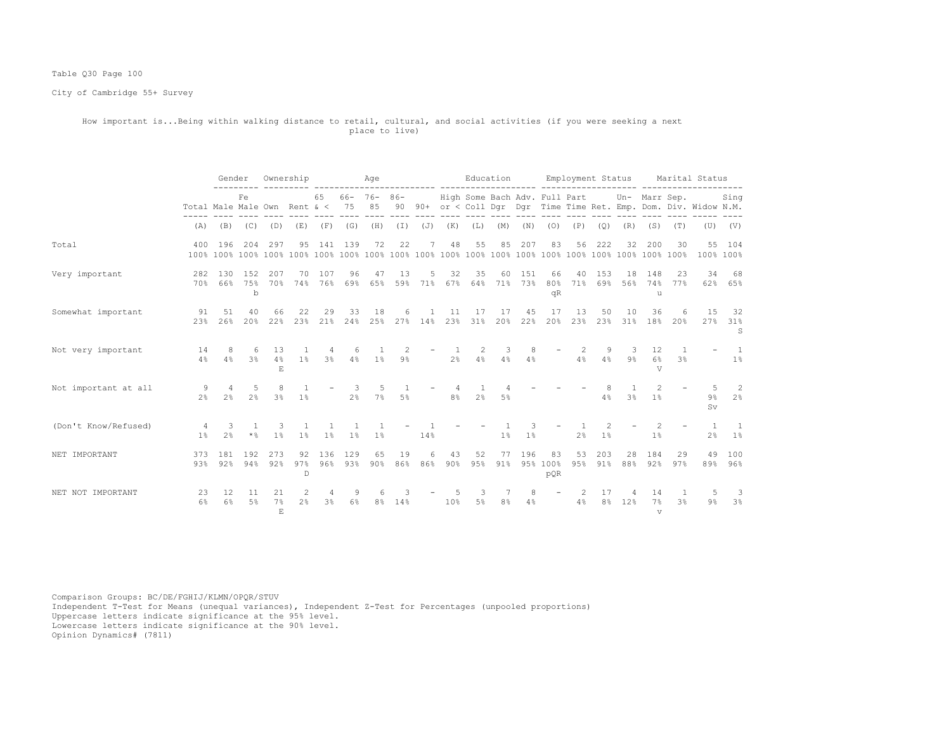# Table Q30 Page 100

City of Cambridge 55+ Survey

### How important is...Being within walking distance to retail, cultural, and social activities (if you were seeking a next place to live)

|                      |                                 | Gender                |                         | Ownership            |                                  |                     |                     | Age                    |                        |                           |                     |                               |                | Education           |                          |                |                      | Employment Status     |                          |                                | Marital Status                                                    |                         |
|----------------------|---------------------------------|-----------------------|-------------------------|----------------------|----------------------------------|---------------------|---------------------|------------------------|------------------------|---------------------------|---------------------|-------------------------------|----------------|---------------------|--------------------------|----------------|----------------------|-----------------------|--------------------------|--------------------------------|-------------------------------------------------------------------|-------------------------|
|                      | Total Male Male Own Rent & < 75 |                       | Fe                      |                      |                                  | 65                  |                     | $66 - 76 - 86 -$<br>85 |                        |                           |                     | High Some Bach Adv. Full Part |                |                     |                          |                |                      |                       | Un- Marr Sep.            |                                | 90 90+ or < Coll Dqr Dqr Time Time Ret. Emp. Dom. Div. Widow N.M. | Sing                    |
|                      | (A)                             | (B)                   |                         | $(C)$ $(D)$          | (E)                              | (F)                 | (G)                 |                        | $(H)$ $(I)$            | ( J )                     | (K)                 | (L)                           | (M)            | (N)                 | (0)                      | (P)            | (Q)                  | (R)                   | (S)                      | (T)                            | (U)                                                               | (V)                     |
| Total                | 400                             | 196                   | 204                     | 297                  | 95                               | 141                 | 139                 | 72                     | 22                     | 7                         | 48                  | 55                            | 85             | 207                 | 83                       | 56             | 222                  | 32                    | 200                      | 30                             | 100% 100%                                                         | 55 104                  |
| Very important       | 282                             | 130                   | 152<br>70% 66% 75%<br>b | 207<br>70%           | 70                               | 107                 | 96                  | 47<br>74% 76% 69% 65%  | 13                     | 5<br>59% 71%              | 32                  | 35<br>67% 64% 71%             | 60             | 151<br>73%          | 66<br>80%<br>qR          | 40<br>71%      | 153                  | 18<br>69% 56%         | 148<br>u                 | 23<br>74% 77%                  | 34                                                                | 68<br>62% 65%           |
| Somewhat important   | 91<br>23%                       | 51<br>26%             | 40<br>20%               | 66<br>22%            | 22<br>23%                        | 29                  | 33                  | 18<br>21% 24% 25%      | 6                      | $\overline{1}$<br>27% 14% | 11                  | 17<br>23% 31%                 | 17<br>20%      | 45<br>22%           | 17<br>20%                | 13             | 50                   | 10<br>23% 23% 31%     | 36<br>18%                | 6<br>20%                       | 1.5<br>27%                                                        | 32<br>31%<br>S          |
| Not very important   | 14<br>4%                        | -8<br>4%              | 6                       | 13<br>$3\%$ 4%<br>F. | 1%                               | 4<br>3%             | 6                   | $4\%$ $1\%$            | $\mathcal{L}$<br>$9\%$ |                           | 2 <sup>8</sup>      | 2<br>4%                       | 3<br>4%        | 8<br>4%             |                          | 2<br>4%        | 9<br>4%              | 3<br>9%               | 12<br>6%<br>T.Z          | $\mathbf{1}$<br>3 <sup>°</sup> |                                                                   | $\overline{1}$<br>$1\%$ |
| Not important at all | -9<br>2 <sup>8</sup>            | $\overline{4}$<br>2.8 | 5<br>2 <sup>8</sup>     | -8<br>$3\%$          | $1\%$                            |                     | 3<br>2%             | 5<br>7%                | $5\%$                  |                           | 4<br>8 <sup>°</sup> | 1<br>2 <sup>°</sup>           | $5\%$          |                     |                          |                | 4%                   | 3%                    | $\overline{2}$<br>1%     |                                | $9\%$<br>Sv.                                                      | $\overline{2}$<br>2%    |
| (Don't Know/Refused) | 4<br>1 <sup>°</sup>             | 3<br>2 <sup>°</sup>   | 1<br>$\star$ %          | -3<br>1%             | $\overline{1}$<br>1 <sup>°</sup> | 1%                  | 1<br>1 <sup>8</sup> | 1<br>$1\%$             |                        | 14%                       |                     |                               | 1%             | 3<br>1 <sup>°</sup> |                          | 2 <sup>°</sup> | $1\%$                |                       | 2<br>$1\%$               |                                | $\overline{1}$<br>2 <sup>°</sup>                                  | -1<br>1%                |
| NET IMPORTANT        | 373<br>93%                      | 181                   | 192<br>92% 94%          | 273<br>92%           | 92<br>97%<br>$\mathbb{D}$        | 136                 | 129<br>96% 93%      | 65<br>90%              | 19<br>86%              | 6<br>86%                  | 43<br>90%           | 52<br>95%                     | 77<br>91%      | 196                 | 83<br>95% 100%<br>pQR    | 53<br>95%      | 203<br>91%           | 28<br>88%             | 184<br>92%               | 29<br>97%                      | 49<br>89%                                                         | 100<br>96%              |
| NET NOT IMPORTANT    | 23<br>$6\%$                     | 12<br>6%              | 11<br>5%                | 21<br>7%<br>E.       | 2<br>2.8                         | 4<br>3 <sup>°</sup> | 9<br>6%             | 6<br>8 <sup>°</sup>    | 14%                    |                           | 10%                 | 3<br>5 <sup>°</sup>           | 8 <sup>°</sup> | 8<br>4%             | $\overline{\phantom{a}}$ | 2<br>4%        | 17<br>8 <sup>°</sup> | $\overline{4}$<br>12% | 14<br>7%<br>$\mathbf{v}$ | 1<br>3 <sup>°</sup>            | $9\%$                                                             | -3<br>3%                |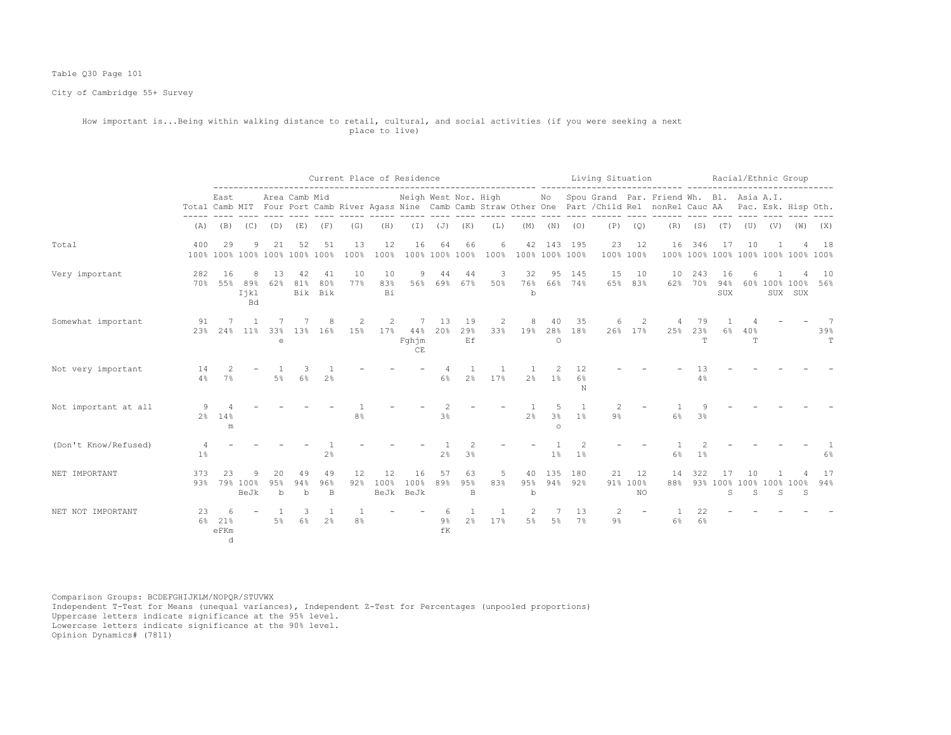# Table Q30 Page 101

City of Cambridge 55+ Survey

### How important is...Being within walking distance to retail, cultural, and social activities (if you were seeking a next place to live)

|                      |            |                                     |                               |                |                                     |                      |            | Current Place of Residence |                         |                      |                 |           |                |                                |                      | Living Situation |                      |                                                                                                                                                         |                           | Racial/Ethnic Group |          |                     |                                    |           |
|----------------------|------------|-------------------------------------|-------------------------------|----------------|-------------------------------------|----------------------|------------|----------------------------|-------------------------|----------------------|-----------------|-----------|----------------|--------------------------------|----------------------|------------------|----------------------|---------------------------------------------------------------------------------------------------------------------------------------------------------|---------------------------|---------------------|----------|---------------------|------------------------------------|-----------|
|                      |            | East                                |                               |                | Area Camb Mid                       |                      |            |                            | Neigh West Nor. High    |                      |                 |           |                |                                |                      |                  |                      | No Spou Grand Par. Friend Wh. Bl. Asia A.I.<br>Total Camb MIT Four Port Camb River Agass Nine Camb Camb Straw Other One Part / Child Rel nonRel Cauc AA |                           |                     |          |                     | Pac. Esk. Hisp Oth.                |           |
|                      | (A)        | (B)                                 | (C)                           | (D)            | (E)                                 | (F)                  | (G)        | (H)                        | (I)                     | (J)                  | (K)             | (L)       | (M)            | (N)                            | (0)                  | (P)              | (Q)                  | (R)                                                                                                                                                     | (S)                       | (T)                 | (U)      |                     | $(V)$ $(W)$                        | (X)       |
| Total                | 400        | 29                                  | -9                            | 21             | 52<br>100% 100% 100% 100% 100% 100% | 51                   | 13<br>100% | 12<br>100%                 | 16                      | 64<br>100% 100% 100% | 66              | 6<br>100% | 42             | 143<br>100% 100% 100%          | 195                  | 23               | 12<br>100% 100%      | 16<br>100%                                                                                                                                              | 346                       | 17                  | 10       |                     | Δ<br>100% 100% 100% 100% 100% 100% | 18        |
| Very important       | 282<br>70% | 16<br>55%                           | 8<br>89%<br>Ijkl<br><b>Bd</b> | 13<br>62%      | 42<br>81%                           | 41<br>80%<br>Bik Bik | 10<br>77%  | 10<br>83%<br>Βi            | 9<br>56%                | 44<br>69%            | 44<br>67%       | 3<br>50%  | 32<br>76%<br>b | 95                             | 145<br>66% 74%       | 15<br>65%        | 10<br>83%            | 10<br>62%                                                                                                                                               | 243<br>70%                | 16<br>94%<br>SUX    | 6        |                     | 60% 100% 100%<br>SUX SUX           | 10<br>56% |
| Somewhat important   | 91<br>23%  | 24%                                 | 11%                           | 33%<br>e       | 1.3%                                | 8<br>16%             | 2<br>15%   | 2<br>17%                   | 7<br>44%<br>Fqhjm<br>CE | 13<br>20%            | 19<br>29%<br>Ef | 2<br>33%  | 8<br>19%       | 40<br>28%<br>$\circ$           | 35<br>18%            | 6                | 2<br>26% 17%         | 25%                                                                                                                                                     | 79<br>23%<br>$\mathbb{T}$ | 6%                  | 40%<br>T |                     |                                    | 39%<br>T  |
| Not very important   | 14<br>4%   | $\mathcal{P}$<br>7%                 |                               | 5%             | 6%                                  | 2 <sup>°</sup>       |            |                            |                         | 6%                   | 2 <sup>°</sup>  | 17%       | 2 <sup>8</sup> | 2<br>1%                        | 12<br>6%<br>N        |                  |                      |                                                                                                                                                         | 13<br>4%                  |                     |          |                     |                                    |           |
| Not important at all | 9          | 2% 14%<br>m                         |                               |                |                                     |                      | 8%         |                            |                         | 3%                   |                 |           | 2.8            | 5<br>3 <sup>°</sup><br>$\circ$ | $\overline{1}$<br>1% | 2<br>9%          |                      | 6%                                                                                                                                                      | Q<br>3 <sup>8</sup>       |                     |          |                     |                                    |           |
| (Don't Know/Refused) | 1%         |                                     |                               |                |                                     | 2%                   |            |                            |                         | $2\%$                | 3%              |           |                | 1 <sup>°</sup>                 | 1 <sup>°</sup>       |                  |                      | 6%                                                                                                                                                      | 1 <sup>°</sup>            |                     |          |                     |                                    | 6%        |
| NET IMPORTANT        | 373<br>93% | 23                                  | 79% 100%<br>BeJk              | 20<br>95%<br>b | 49<br>94%<br>b                      | 49<br>96%<br>B       | 12<br>92%  | 12<br>100%<br>BeJk         | 16<br>100%<br>BeJk      | 57<br>89%            | 63<br>95%<br>B  | 5<br>83%  | 40<br>95%<br>b | 135<br>94%                     | 180<br>92%           | 21               | 12<br>91% 100%<br>NO | 14<br>88%                                                                                                                                               | 322                       | 17<br>93% 100%<br>S | 10<br>S  | 100% 100% 100%<br>S | S                                  | 17<br>94% |
| NET NOT IMPORTANT    | 23<br>6%   | 6<br>21%<br>$e$ FKm<br><sub>d</sub> |                               | $5\%$          | 3<br>6%                             | -1<br>2 <sup>°</sup> | 8%         |                            |                         | -6<br>9%<br>fK       | 2%              | -1<br>17% | 5%             | $5\%$                          | 13<br>7%             | 2<br>$9\%$       |                      | 6%                                                                                                                                                      | 22<br>6%                  |                     |          |                     |                                    |           |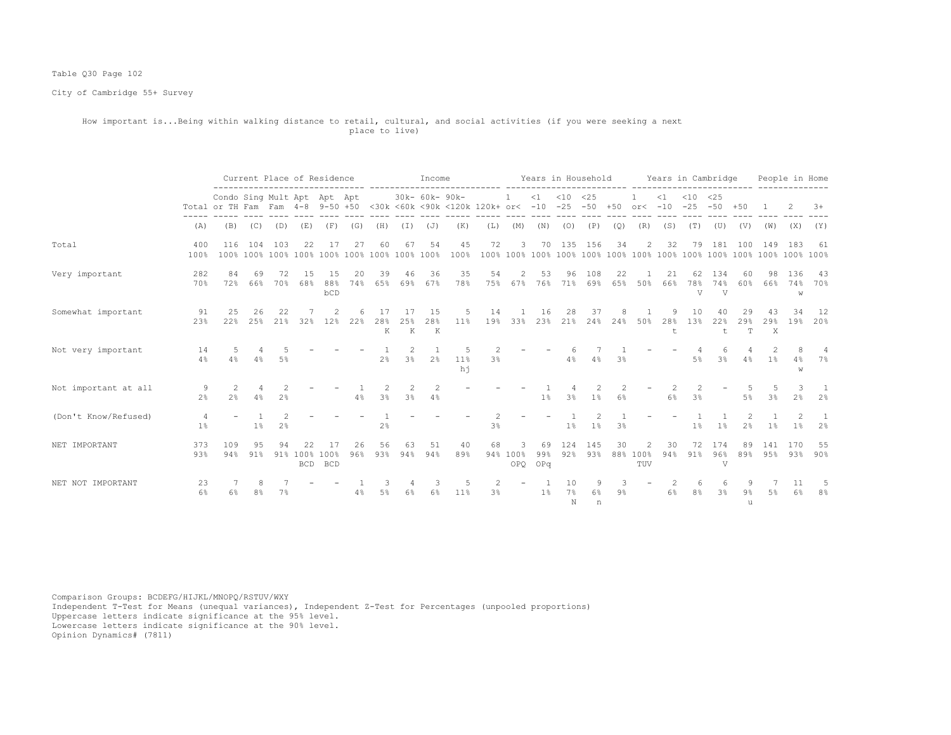# Table Q30 Page 102

City of Cambridge 55+ Survey

#### How important is...Being within walking distance to retail, cultural, and social activities (if you were seeking a next place to live)

|                      | Current Place of Residence<br>Condo Sing Mult Apt Apt Apt |             |           |                |            |                            |           |                                 |                          | Income                      |              |                                                                                         |                      |                  | Years in Household |                |       |                 |                     | Years in Cambridge |                              |                |                                     | People in Home  |                |
|----------------------|-----------------------------------------------------------|-------------|-----------|----------------|------------|----------------------------|-----------|---------------------------------|--------------------------|-----------------------------|--------------|-----------------------------------------------------------------------------------------|----------------------|------------------|--------------------|----------------|-------|-----------------|---------------------|--------------------|------------------------------|----------------|-------------------------------------|-----------------|----------------|
|                      |                                                           |             |           |                |            |                            |           |                                 |                          | 30k- 60k- 90k-              |              | Total or TH Fam Fam 4-8 9-50 +50 <30k <60k <90k <120k 120k+ or< -10 -25 -50 +50 or< -10 | $\mathbf{1}$         | $\leq 1$         | $< 10$ $< 25$      |                |       |                 | $\leq 1$            | $< 10$ $< 25$      | $-25 - 50 + 50$              |                |                                     | -2              | $3+$           |
|                      | (A)                                                       | (B)         | (C)       | (D)            | (E)        | (F)                        | (G)       | (H)                             | ( I )                    | (J)                         | (K)          | (L)                                                                                     | (M)                  | (N)              | (0)                | (P)            | (Q)   | (R)             | (S)                 | (T)                | (U)                          | (V)            | (W)                                 | (X)             | (Y)            |
| Total                | 400<br>100%                                               | 116         | 104       | 103            | 22         | 17                         | 27        | 60                              | 67                       | 54                          | 45<br>100%   | 72                                                                                      | 3                    |                  | 70 135 156         |                | 34    | 2               | 32                  | 79                 |                              | 181 100        | 149                                 | 183             | 61             |
| Very important       | 282<br>70%                                                | 84<br>72%   | 69<br>66% | 72<br>70%      | 1.5<br>68% | 15<br>88%<br>bCD           | 20<br>74% | 39                              | 46<br>65% 69%            | 36<br>67%                   | 35<br>78%    | 54                                                                                      | 2<br>75% 67%         | 53<br>76%        | 96<br>71%          | 108<br>69%     | 22    | 65% 50%         | 21<br>66%           | 62<br>78%<br>V     | 134<br>74%<br>$\overline{V}$ | 60<br>60%      | 98<br>66%                           | 136<br>74%<br>W | - 43<br>70%    |
| Somewhat important   | 91<br>23%                                                 | 2.5<br>2.2% | 26<br>25% | 22<br>21%      | 32%        | 12%                        | 22%       | 28%<br>K                        | 17<br>2.5%<br>$_{\rm K}$ | 1.5<br>28%<br>$\mathbbm{K}$ | 5.<br>11%    | 14<br>19%                                                                               | 33%                  | 16<br>23%        | 21%                | 37<br>24%      | 24%   | 50%             | 28%<br>$^{\dagger}$ | 10<br>1.3%         | 22%<br>$\mathbf t$           | 29<br>29%<br>T | $29$ %<br>$\boldsymbol{\mathsf{X}}$ | 34<br>19%       | 12<br>20%      |
| Not very important   | 14<br>4%                                                  | 4%          | 4%        | 5%             |            |                            |           | 2%                              | $\mathfrak{D}$<br>3%     | 2%                          | $11\%$<br>hi | 3%                                                                                      |                      |                  | 6<br>4%            | 4%             | 3%    |                 |                     | 5%                 | 6<br>3 <sup>°</sup>          | 4%             | 1%                                  | 4%<br>W         | 7%             |
| Not important at all | 9<br>2 <sup>8</sup>                                       | 2%          | 4%        | 2.8            |            |                            | 4%        | $\mathcal{L}$<br>3 <sup>8</sup> | 2<br>3%                  | 2<br>4%                     |              |                                                                                         |                      | $1\%$            | 3%                 | 1 <sup>°</sup> | 6%    |                 | 6%                  | 2.<br>3%           |                              | 5%             | .5<br>3 <sup>8</sup>                | 2 <sup>8</sup>  | 2 <sup>8</sup> |
| (Don't Know/Refused) | 1%                                                        |             | $1\%$     | 2 <sup>°</sup> |            |                            |           | 2%                              |                          |                             |              | 3%                                                                                      |                      |                  | $1\%$              | $1\%$          | 3%    |                 |                     | 1%                 | 1%                           | 2%             | 1%                                  | $1\%$           | 2%             |
| NET IMPORTANT        | 373<br>93%                                                | 109<br>94%  | 95<br>91% | 94<br>91%      | 22         | 17<br>100% 100%<br>BCD BCD | 26<br>96% | 56<br>93%                       | 63<br>94%                | 51<br>94%                   | 40<br>89%    | 68                                                                                      | 3<br>94% 100%<br>OPQ | 69<br>99%<br>OPq | 124<br>92%         | 145<br>93%     | 30    | 88% 100%<br>TUV | 30<br>94%           | 72<br>91%          | 174<br>96%<br>V              | 89<br>89%      | 141<br>95%                          | 170<br>93%      | 55<br>$90\%$   |
| NET NOT IMPORTANT    | 23<br>6%                                                  |             |           | 7%             |            |                            | 4%        | 5%                              | 6%                       | 6%                          | 11%          | 3 <sup>°</sup>                                                                          |                      | $1\%$            | 10<br>$7\%$<br>N   | 6%<br>n        | $9\%$ |                 | 6%                  | 8%                 | 3%                           | 9%<br>u        | .5%                                 | -11<br>6%       | 8%             |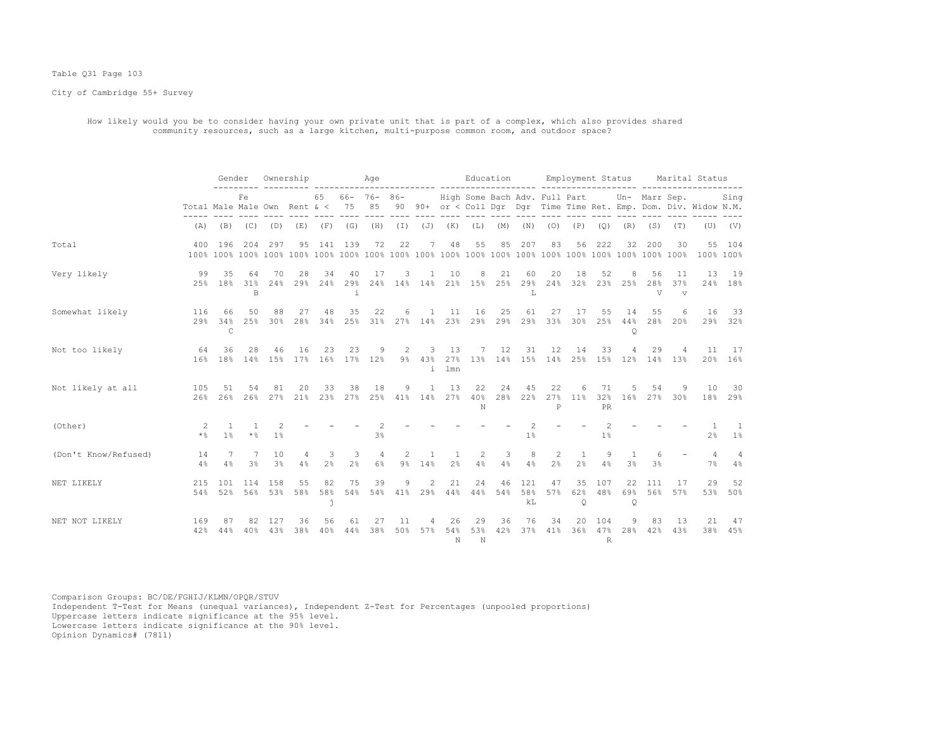#### Table Q31 Page 103

City of Cambridge 55+ Survey

 How likely would you be to consider having your own private unit that is part of a complex, which also provides shared community resources, such as a large kitchen, multi-purpose common room, and outdoor space?

|                      |                | Gender Ownership                 |                             |                     |                                                                       |                     | and a strike a strike a strike a strike a strike a strike a strike a strike a strike a strike a strike a strik |                      |           |                          |                                |                | Education                                            |                  |                     |                                  |                     |                                |                     |                      | Employment Status Marital Status                                                                     |                         |
|----------------------|----------------|----------------------------------|-----------------------------|---------------------|-----------------------------------------------------------------------|---------------------|----------------------------------------------------------------------------------------------------------------|----------------------|-----------|--------------------------|--------------------------------|----------------|------------------------------------------------------|------------------|---------------------|----------------------------------|---------------------|--------------------------------|---------------------|----------------------|------------------------------------------------------------------------------------------------------|-------------------------|
|                      |                |                                  | Fe                          |                     |                                                                       |                     | 65 66- 76- 86- High Some Bach Adv. Full Part Un- Marr Sep.                                                     |                      |           |                          |                                |                |                                                      |                  |                     |                                  |                     |                                |                     |                      | Total Male Male Own Rent & < 75 85 90 90+ or < Coll Dqr Dqr Time Time Ret. Emp. Dom. Div. Widow N.M. | Sing                    |
|                      |                |                                  | $(A)$ $(B)$ $(C)$ $(D)$     |                     | (E)                                                                   |                     | (F) (G) (H) (I) (J)                                                                                            |                      |           |                          | $(K)$ $(L)$                    |                | (M)                                                  |                  | $(N)$ $(O)$         | (P)                              | (Q)                 | (R)                            | (S)                 | (T)                  |                                                                                                      | $(V)$ $(V)$             |
| Total                |                | 400 196                          |                             | 204 297             |                                                                       |                     | 95 141 139                                                                                                     | 72                   | 22        | $7\phantom{.0}$          | 48                             | 55             | 85                                                   | 207              | 83                  |                                  | 56 222              | 32                             | 200                 | 30                   | 100% 100%                                                                                            | 55 104                  |
| Very likely          | 99             | 35<br>2.5% 1.8%                  | 64<br>31%<br>$\mathbb B$    | 70                  | 28<br>24% 29% 24% 29% 24% 14% 14% 21% 15% 25% 29% 24% 32% 23% 25% 28% | 34                  | 40<br>i                                                                                                        | 17                   | 3         | $\mathbf{1}$             | 10                             | 8              | 21                                                   | 60<br>L          | 20                  | 18                               | 52                  | 8                              | 56<br>$\nabla$      | 11<br>37%<br>$\tau$  | 13                                                                                                   | 19<br>24% 18%           |
| Somewhat likely      | 116            | 66<br>29% 34%<br>$\mathsf{C}$    | 50                          | 88                  | 27<br>25% 30% 28% 34%                                                 | 48                  | 35<br>25%                                                                                                      | 22                   | 6         | $\mathbf{1}$             | 11<br>31% 27% 14% 23% 29%      | 16             | 25<br>29%                                            | 61<br>29%        | 27<br>33%           | 17<br>30%                        | 55                  | 14<br>25% 44%<br>Q             | 55<br>28%           | 6<br>20%             | 16                                                                                                   | 33<br>29% 32%           |
| Not too likely       | 64             | 36<br>16% 18%                    | 28                          | 46                  | 16<br>14% 15% 17% 16% 17% 12%                                         | 23                  | 23                                                                                                             | 9                    | 2         | 3<br>i                   | 13<br>lmn                      | 7              | 12<br>9% 43% 27% 13% 14% 15% 14% 25% 15% 12% 14% 13% | 31               | 12                  | 14                               | 33                  | 4                              | 29                  | 4                    | 11                                                                                                   | 17<br>20% 16%           |
| Not likely at all    | 105            | 51<br>26% 26%                    | 54                          | 81                  | 20<br>26% 27% 21% 23% 27% 25% 41% 14% 27% 40% 28% 22% 27% 11%         | 33                  | 38                                                                                                             | 18                   | 9         | $\mathbf{1}$             | 13                             | 22<br>N        | 24                                                   | 45               | 22<br>$\mathsf{P}$  | 6                                | 71<br>PR            | 5                              | 54                  | 9<br>32% 16% 27% 30% | 10                                                                                                   | 30<br>18% 29%           |
| (Other)              | 2<br>$\star$ & | $\overline{1}$<br>1 <sup>8</sup> | $\overline{1}$<br>$\star$ % | 2<br>1 <sup>8</sup> |                                                                       |                     |                                                                                                                | 3%                   |           |                          |                                |                |                                                      | 1 <sup>°</sup>   |                     |                                  | 1 <sup>8</sup>      |                                |                     |                      | 2.8                                                                                                  | $\overline{1}$<br>$1\%$ |
| (Don't Know/Refused) | 14<br>4%       | 7<br>4%                          | 7<br>3 <sup>8</sup>         | 10<br>3%            | $\overline{4}$<br>4%                                                  | 3<br>2 <sup>°</sup> | 3<br>2 <sup>°</sup>                                                                                            | $\overline{4}$<br>6% | 2         | $\overline{1}$<br>9% 14% | $\mathbf{1}$<br>2 <sup>°</sup> | 2<br>4%        | 3<br>4%                                              | 8<br>4%          | 2<br>2 <sup>°</sup> | $\overline{1}$<br>2 <sup>°</sup> | 9<br>4%             | $\mathbf{1}$<br>3 <sup>°</sup> | 6<br>3 <sup>°</sup> |                      | 4<br>7%                                                                                              | $\overline{4}$<br>4%    |
| NET LIKELY           | 215            | 101                              | 114<br>54% 52% 56% 53%      | 158                 | 55<br>58%                                                             | 82<br>58%<br>j      | 75                                                                                                             | 39                   | 9         | 2                        | 21<br>54% 54% 41% 29% 44% 44%  | 24             | 46<br>54%                                            | 121<br>58%<br>kL | 47<br>57%           | 35<br>$\circ$                    | 107<br>62% 48%      | 22<br>$\circ$                  | 111                 | 17<br>69% 56% 57%    | 29                                                                                                   | 52<br>53% 50%           |
| NET NOT LIKELY       | 169<br>42%     | 87<br>44%                        | 82<br>40%                   | 127<br>43%          | 36<br>38%                                                             | 56<br>40%           | 61<br>44%                                                                                                      | 27<br>38%            | 11<br>50% | 4<br>57%                 | 26<br>54%<br>N                 | 29<br>53%<br>N | 36<br>42%                                            | 76<br>37%        | 34                  | 20<br>41% 36% 47%                | 104<br>$\mathbb{R}$ | 9<br>28%                       | 83<br>42%           | 13<br>43%            | 21<br>38%                                                                                            | 47<br>45%               |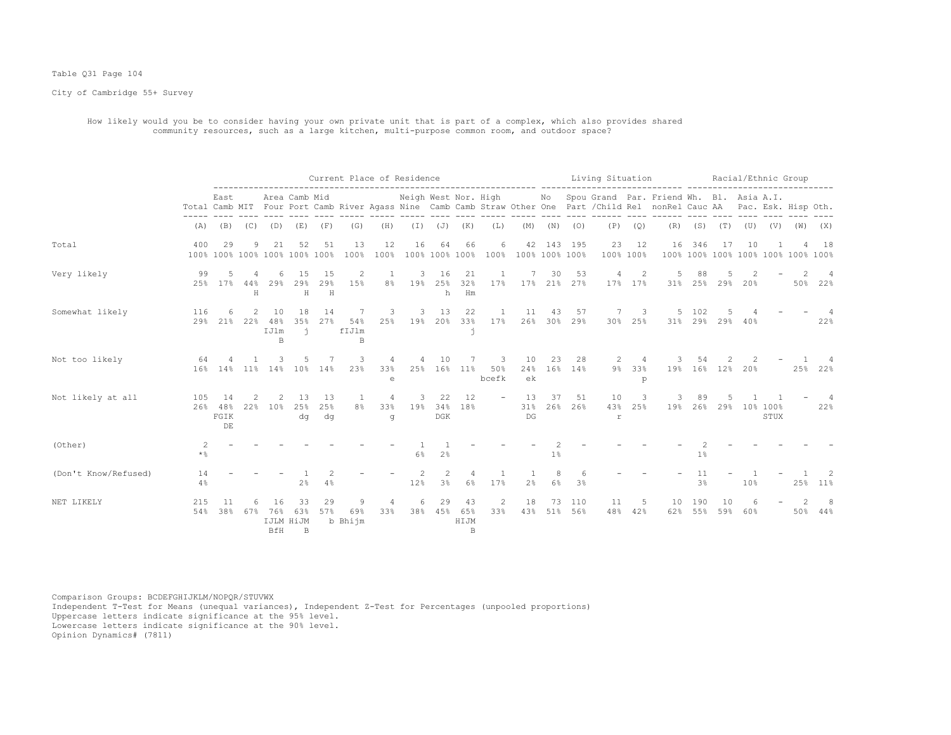#### Table Q31 Page 104

City of Cambridge 55+ Survey

 How likely would you be to consider having your own private unit that is part of a complex, which also provides shared community resources, such as a large kitchen, multi-purpose common room, and outdoor space?

|                      |                |                         |               |                         |                                     |                           |                         | Current Place of Residence |                      |                           |                                     |                       |                      |                   |                      | Living Situation |                 |                                                                                                                                                           |                |                                          |     | Racial/Ethnic Group |     |              |
|----------------------|----------------|-------------------------|---------------|-------------------------|-------------------------------------|---------------------------|-------------------------|----------------------------|----------------------|---------------------------|-------------------------------------|-----------------------|----------------------|-------------------|----------------------|------------------|-----------------|-----------------------------------------------------------------------------------------------------------------------------------------------------------|----------------|------------------------------------------|-----|---------------------|-----|--------------|
|                      | Total Camb MIT | East                    |               |                         | Area Camb Mid                       |                           |                         |                            | Neigh West Nor. High |                           |                                     |                       |                      | No                |                      |                  |                 | Spou Grand Par. Friend Wh. Bl. Asia A.I.<br>Four Port Camb River Agass Nine Camb Camb Straw Other One Part / Child Rel nonRel Cauc AA Pac. Esk. Hisp Oth. |                |                                          |     |                     |     |              |
|                      | (A)            | (B)                     | (C)           | (D)                     | (E)                                 | (F)                       | (G)                     | (H)                        |                      | $(J)$ $(J)$               | (K)                                 | (L)                   | (M)                  | (N)               | (0)                  | (P)              | (Q)             | (R)                                                                                                                                                       |                | $(S)$ $(T)$                              | (U) | (V)                 | (W) | (X)          |
| Total                | 400            | 29                      | 9             | 21                      | 52<br>100% 100% 100% 100% 100% 100% | 51                        | 13<br>100%              | 12<br>100%                 | 16                   | 64                        | 66<br>100% 100% 100%                | 6<br>100%             | 42<br>100% 100% 100% | 143               | 195                  | 23               | 12<br>100% 100% | 16                                                                                                                                                        | 346            | 17<br>100% 100% 100% 100% 100% 100% 100% | 10  |                     |     | 18           |
| Very likely          | 99<br>25%      | 5<br>17%                | 4<br>44%<br>H | 6<br>29%                | 1.5<br>29%<br>H                     | 15<br>29%<br>$\mathbf{H}$ | 2<br>15%                | 1<br>8%                    | 3<br>19%             | 16<br>25%<br>h            | 21<br>32%<br>Hm                     | <sup>1</sup><br>17%   | 17%                  | 30                | 53<br>21% 27%        | 4                | 2<br>17% 17%    | $\overline{5}$<br>31%                                                                                                                                     | 88<br>25%      | 5<br>29%                                 | 20% |                     | 50% | 22%          |
| Somewhat likely      | 116<br>29%     | 6<br>21%                | 22%           | 10<br>48%<br>IJlm<br>B. | 18<br>35%<br>$\ddot{\mathbf{1}}$    | 14<br>27%                 | -7<br>54%<br>fIJlm<br>B | 3<br>25%                   | 3<br>19%             | 13<br>20%                 | 22<br>33%<br>j.                     | -1<br>17%             | 11                   | 43<br>26% 30% 29% | 57                   | 7<br>30%         | 3<br>25%        | 31%                                                                                                                                                       | 5 102<br>29%   | 5<br>29%                                 | 40% |                     |     | 22%          |
| Not too likely       | 64<br>16%      | 14%                     | 11%           | 14%                     | 10%                                 | 14%                       | 3<br>23%                | 4<br>33%<br>e              | 4<br>25%             | 10<br>16%                 | 11%                                 | 3<br>50%<br>bcefk     | 10<br>24%<br>ek      | 23<br>16%         | 28<br>14%            | 2                | 9% 33%<br>p     | 19%                                                                                                                                                       | 54             | 16% 12%                                  | 20% |                     | 25% | 22%          |
| Not likely at all    | 105<br>26%     | 14<br>48%<br>FGIK<br>DE | 2.2%          | 2<br>10 <sup>8</sup>    | 13<br>25%<br>dq                     | 13<br>25%<br>da           | -1<br>8%                | 4<br>33%<br>q              | 3<br>19%             | 22<br>34%<br>$_{\rm DGK}$ | 12<br>18%                           |                       | 13<br>31%<br>$DG$    | 37<br>26%         | 51<br>26%            | 10<br>43%<br>r   | 3<br>25%        | 19%                                                                                                                                                       | 89<br>26%      | 29%                                      |     | 10% 100%<br>STUX    |     | 4<br>22%     |
| (Other)              | 2<br>$\star$ % |                         |               |                         |                                     |                           |                         |                            | 6%                   | 2%                        |                                     |                       |                      | 1 <sup>°</sup>    |                      |                  |                 |                                                                                                                                                           | 1 <sup>°</sup> |                                          |     |                     |     |              |
| (Don't Know/Refused) | 14<br>4%       |                         |               |                         | 2 <sup>°</sup>                      | 4%                        |                         |                            | 12%                  | 3%                        | 4<br>6%                             | 17%                   | 2 <sup>°</sup>       | 8<br>$6\%$        | -6<br>3 <sup>8</sup> |                  |                 |                                                                                                                                                           | 11<br>3%       |                                          | 10% |                     |     | 25% 11%      |
| NET LIKELY           | 215<br>54%     | -11<br>38%              | 67%           | 16<br>76%<br>BfH        | 33<br>63%<br>IJLM HiJM<br>B.        | 29<br>57%                 | 9<br>69%<br>b Bhijm     | 4<br>33%                   | 6<br>38%             | 29<br>45%                 | 43<br>65%<br>HIJM<br>$\overline{B}$ | $\overline{c}$<br>33% | 18<br>43%            | 73                | 110<br>51% 56%       | 11<br>48%        | 5<br>42%        | 10<br>62%                                                                                                                                                 | 190<br>55%     | 10<br>59%                                | 60% |                     |     | 8<br>50% 44% |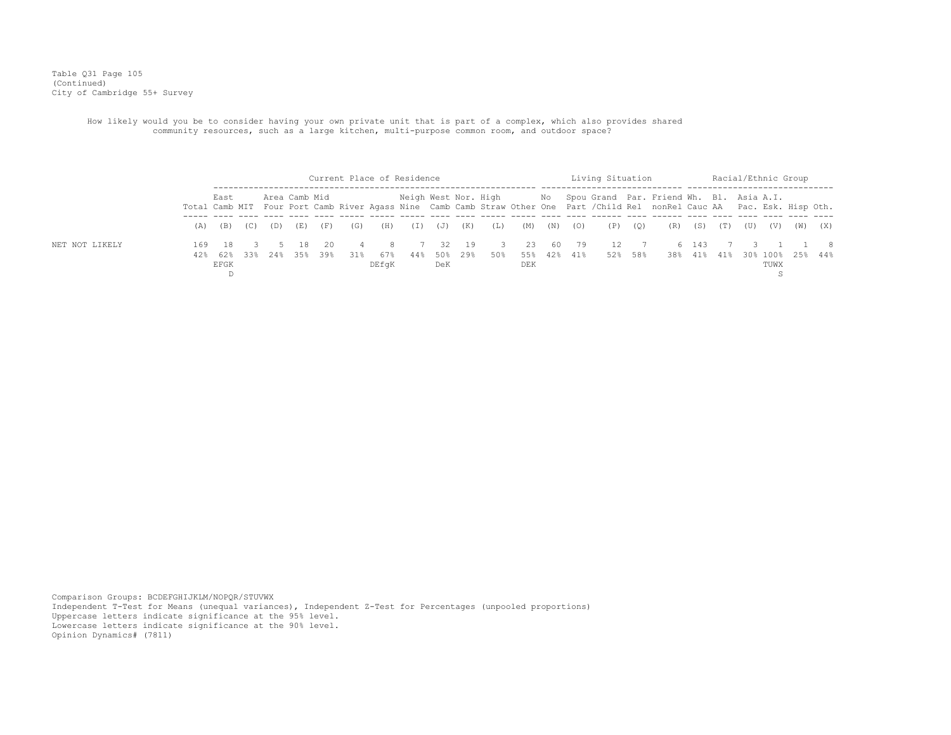Table Q31 Page 105 (Continued) City of Cambridge 55+ Survey

> How likely would you be to consider having your own private unit that is part of a complex, which also provides shared community resources, such as a large kitchen, multi-purpose common room, and outdoor space?

|                |     |                     |     |     |                |              | Current Place of Residence |            |     |     |              |                                 |                   |     |     | Living Situation |             |                                                                                                                                                                                                  |       |             |     |      | Racial/Ethnic Group |             |
|----------------|-----|---------------------|-----|-----|----------------|--------------|----------------------------|------------|-----|-----|--------------|---------------------------------|-------------------|-----|-----|------------------|-------------|--------------------------------------------------------------------------------------------------------------------------------------------------------------------------------------------------|-------|-------------|-----|------|---------------------|-------------|
|                |     | East                |     |     | Area Camb Mid  |              |                            |            |     |     |              |                                 |                   |     |     |                  |             | Neigh West Nor. High Mo Spou Grand Par. Friend Wh. Bl. Asia A.I.<br>Total Camb MIT Four Port Camb River Agass Nine Camb Camb Straw Other One Part / Child Rel nonRel Cauc AA Pac. Esk. Hisp Oth. |       |             |     |      |                     |             |
|                |     | $(A)$ $(B)$         | (C) | (D) | (E)            | (F)          | (G)                        | (H)        | (I) | (J) | (K)          | (L)                             | (M)               | (N) | (O) |                  | $(P)$ $(Q)$ | (R)                                                                                                                                                                                              | (S)   | (T)         | (U) | (V)  | (W)                 | (X)         |
| NET NOT LIKELY | 169 | - 18<br>42% 62% 33% |     |     | -18<br>24% 35% | - 2.0<br>39% | 31%                        | 4 8<br>67% | 44% | 50% | 32 19<br>29% | $\overline{\phantom{a}}$<br>50% | 23<br>55% 42% 41% | 60  | 79  | 12<br>52% 58%    |             |                                                                                                                                                                                                  | 6 143 | 38% 41% 41% |     |      | 30% 100% 25% 44%    | $1 \quad 8$ |
|                |     | EFGK                |     |     |                |              |                            | DEfqK      |     | DeK |              |                                 | DEK               |     |     |                  |             |                                                                                                                                                                                                  |       |             |     | TUWX |                     |             |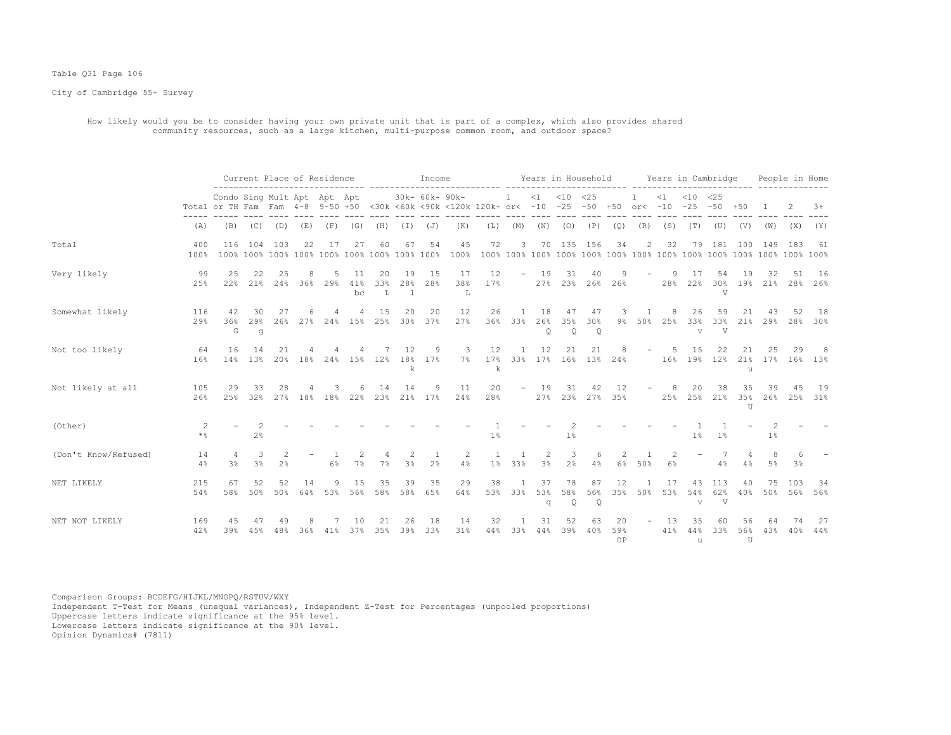#### Table Q31 Page 106

City of Cambridge 55+ Survey

 How likely would you be to consider having your own private unit that is part of a complex, which also provides shared community resources, such as a large kitchen, multi-purpose common room, and outdoor space?

|                      |             |                             |                     |                       |          | Current Place of Residence   |                 |                |                   | Income         |                                                                                 |           |                       |                |                           | Years in Household            |                 |                     |            | Years in Cambridge               |                 |                              |           | People in Home            |                     |
|----------------------|-------------|-----------------------------|---------------------|-----------------------|----------|------------------------------|-----------------|----------------|-------------------|----------------|---------------------------------------------------------------------------------|-----------|-----------------------|----------------|---------------------------|-------------------------------|-----------------|---------------------|------------|----------------------------------|-----------------|------------------------------|-----------|---------------------------|---------------------|
|                      |             | Condo Sing Mult Apt Apt Apt |                     |                       |          |                              |                 |                |                   | 30k- 60k- 90k- | Total or TH Fam Fam 4-8 9-50 +50 <30k <60k <90k <120k 120k+ or< -10 -25 -50 +50 |           | 1                     |                | $<1$ $<10$ $<25$          |                               |                 | $\mathbf{1}$        | $\leq 1$   | $< 10 \le 25$<br>or< -10 -25 -50 |                 | $+50$                        |           |                           | $+8$                |
|                      | (A)         | (B)                         | (C)                 | (D)                   | (E)      | (F)                          | (G)             | (H)            | $(\top)$          | (J)            | (K)                                                                             | (L)       | (M)                   | (N)            | (0)                       | (P)                           | (Q)             | (R)                 | (S)        | (T)                              | (U)             | (V)                          | (W)       | (X)                       | (Y)                 |
| Total                | 400<br>100% | 116                         | 104                 | 103                   | 22       | 17                           | 27              | 60             | 67                | 54             | 45<br>100%                                                                      | 72        | 3                     |                |                           | 70 135 156                    | 34              | $\overline{2}$      | 32         |                                  | 79 181          | 100                          | 149       | 183                       | 61                  |
| Very likely          | 99<br>25%   | 25<br>22%                   | 22                  | 25<br>21% 24% 36% 29% |          | 5                            | 11<br>41%<br>bc | 20<br>33%<br>L | 19<br>28%<br>- 1  | 15<br>28%      | 17<br>38%<br>L                                                                  | 12<br>17% | $ \,$                 | 19             | 31                        | 40<br>27% 23% 26% 26%         |                 |                     | -9<br>28%  | 17<br>22%                        | 54<br>V         | 19                           | 32        | 51<br>30% 19% 21% 28% 26% | 16                  |
| Somewhat likely      | 116<br>29%  | 42<br>36%<br>G              | 30<br>29%<br>g      | 27<br>26%             | 6<br>27% | 24%                          | 15%             | 15<br>25%      | 20<br>30%         | 20<br>37%      | 12<br>27%                                                                       | 26<br>36% | $\overline{1}$<br>33% | 18<br>26%<br>Q | 47<br>35%<br>$\mathsf{Q}$ | 47<br>30%<br>Q                | 3<br>9%         | $\mathbf{1}$<br>50% | 8<br>25%   | 26<br>33%<br>$\mathbf{v}$        | 59<br>33%<br>V  | 21<br>21%                    | 43<br>29% | 52<br>28%                 | 18<br>30%           |
| Not too likely       | 64<br>16%   | 16<br>14%                   | 14<br>13%           | 21<br>20%             | 18%      |                              |                 | 24% 15% 12%    | 12<br>$\mathbf k$ | 9<br>18% 17%   | 3<br>$7\%$                                                                      | 12<br>k   | $\overline{1}$        | 12             | 21                        | 21<br>17% 33% 17% 16% 13% 24% |                 |                     | -5         | 1.5<br>16% 19%                   | 22<br>12%       | 21<br>21%<br>$\overline{1}$  | 25        | 29<br>17% 16% 13%         | -8                  |
| Not likely at all    | 105<br>26%  | 29<br>25%                   | 33                  | 28<br>32% 27%         |          | 3<br>18% 18% 22% 23% 21% 17% |                 | 14             | 14                | 9              | 11<br>24%                                                                       | 20<br>28% | $ \,$                 | 19<br>27%      | 31                        | 42<br>23% 27% 35%             | 12              |                     | 8<br>25%   | 20                               | 38<br>25% 21%   | 35<br>35%<br>TT <sub>1</sub> | 39        | 45                        | - 19<br>26% 25% 31% |
| (Other)              | 2<br>$*$ &  |                             | 2%                  |                       |          |                              |                 |                |                   |                |                                                                                 | 1%        |                       |                | $1\%$                     |                               |                 |                     |            | 1 <sup>°</sup>                   | $1\%$           |                              | $1\%$     |                           |                     |
| (Don't Know/Refused) | 14<br>4%    | 4<br>3 <sup>°</sup>         | 3<br>3 <sup>°</sup> | 2 <sup>°</sup>        |          | $6\%$                        | $7\frac{6}{6}$  | 4<br>7%        | 2<br>3%           | 2 <sup>°</sup> | 2<br>4%                                                                         |           | 1% 33%                | 2<br>3%        | 3<br>2%                   | 6<br>4%                       | 2<br>6%         | 50%                 | 2<br>6%    | $\overline{\phantom{m}}$         | 7<br>4%         | 4<br>4%                      | 8<br>5%   | 6<br>3 <sup>8</sup>       |                     |
| NET LIKELY           | 215<br>54%  | 67<br>58%                   | 52<br>50%           | 52<br>50%             | 14       | 9<br>64% 53%                 | 15<br>56%       | 35<br>58%      | 39<br>58%         | 35<br>65%      | 29<br>64%                                                                       | 38<br>53% | -1<br>33%             | 37<br>53%<br>q | 78<br>58%<br>Q            | 87<br>56%<br>$\mathsf{Q}$     | 12<br>35%       | - 1<br>50%          | 17<br>53%  | 43<br>54%<br>$\overline{V}$      | 113<br>62%<br>V | 40<br>40%                    | 75<br>50% | 103                       | 34<br>56% 56%       |
| NET NOT LIKELY       | 169<br>42%  | 45<br>39%                   | 47<br>45%           | 49<br>48%             | 8<br>36% | 41%                          | 10<br>37%       | 21<br>35%      | 26<br>39%         | 18<br>33%      | 14<br>31%                                                                       | 32<br>44% | 33%                   | 31<br>44%      | 52<br>39%                 | 63<br>40%                     | 20<br>59%<br>OP |                     | -13<br>41% | 35<br>44%<br>u                   | 60<br>33%       | 56<br>56%<br>U               | 64<br>43% | 74<br>40%                 | 27<br>44%           |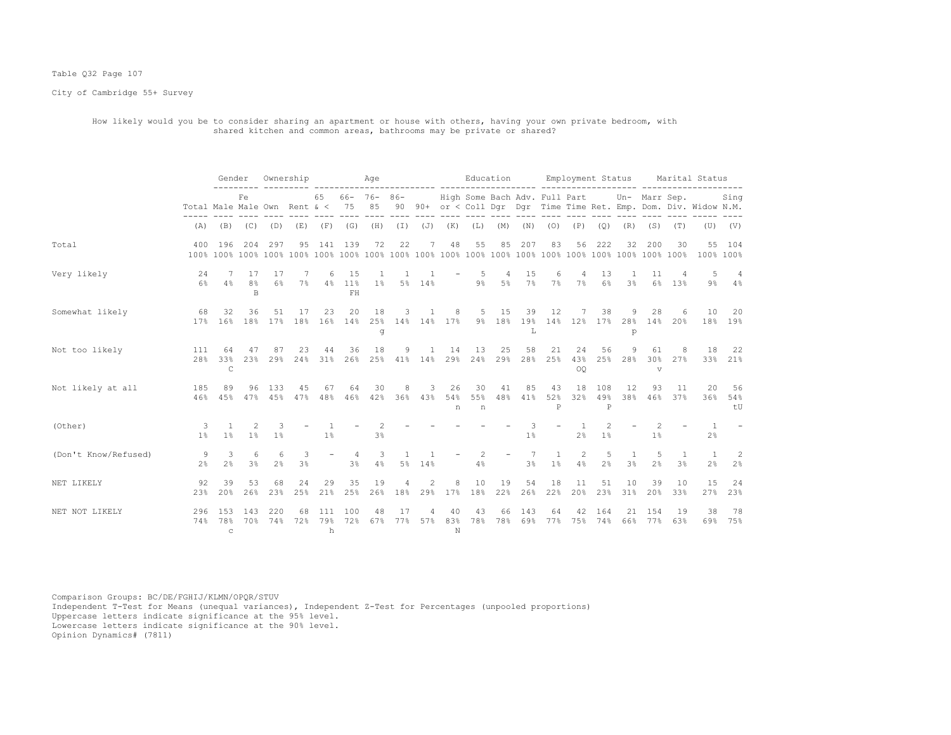# Table Q32 Page 107

City of Cambridge 55+ Survey

 How likely would you be to consider sharing an apartment or house with others, having your own private bedroom, with shared kitchen and common areas, bathrooms may be private or shared?

|                      |                              | Gender                           |                                | Ownership                  |           |           | ___________________________   | Age                    |                      |                     |                | Education                     |            |                     | ------ ------------              | Employment Status |                     |                       |                                          |                     | Marital Status                                                    |                        |
|----------------------|------------------------------|----------------------------------|--------------------------------|----------------------------|-----------|-----------|-------------------------------|------------------------|----------------------|---------------------|----------------|-------------------------------|------------|---------------------|----------------------------------|-------------------|---------------------|-----------------------|------------------------------------------|---------------------|-------------------------------------------------------------------|------------------------|
|                      | Total Male Male Own Rent & < |                                  | Fe                             |                            |           | 65        | 75                            | $66 - 76 - 86 -$<br>85 |                      |                     |                | High Some Bach Adv. Full Part |            |                     |                                  |                   |                     |                       | Un- Marr Sep.                            |                     | 90 90+ or < Coll Dqr Dqr Time Time Ret. Emp. Dom. Div. Widow N.M. | Sing                   |
|                      | (A)                          |                                  | $(B)$ $(C)$                    | (D)                        | (E)       | (F)       | (G)                           | (H)                    |                      | $(I)$ $(J)$ $(K)$   |                | (L)                           | (M)        | (N)                 | (0)                              | (P)               | (Q)                 | (R)                   | (S)                                      | (T)                 |                                                                   | $(U)$ $(V)$            |
| Total                | 400                          | 196                              | 204                            | 297                        | 95        |           | 141 139                       | 72                     | 22                   | 7                   | 48             | 55                            | 85         | 207                 | 83                               | 56                | 222                 | 32                    | 200                                      | 30                  | 100% 100%                                                         | 55 104                 |
| Very likely          | 24<br>6%                     | -7<br>4%                         | 17<br>8 <sup>°</sup><br>$\,$ B | 17<br>6%                   | -7<br>7%  | 6         | 15<br>4% 11%<br>FH            | -1<br>$1\%$            | $\mathbf{1}$         | 5% 14%              |                | 5<br>$9\%$                    | 4<br>$5\%$ | 15<br>7%            | 6<br>7%                          | 4<br>$7\%$        | 13<br>6%            | -1<br>3 <sup>°</sup>  | 11<br>$6\%$                              | 4<br>13%            | 5                                                                 | 4<br>$9\frac{6}{3}$ 4% |
| Somewhat likely      | 68<br>17%                    | 32<br>16%                        | 36                             | 51<br>18% 17% 18%          | 17        | 23        | 20<br>16% 14%                 | 18<br>q                | 3<br>25% 14% 14% 17% |                     | 8              | 5                             | 15         | 39<br>L             | 12                               |                   | 38                  | 9<br>p                | 28<br>9% 18% 19% 14% 12% 17% 28% 14% 20% |                     | 10                                                                | 20<br>18% 19%          |
| Not too likely       | 111<br>28 <sup>8</sup>       | 64<br>33%<br>$\mathsf{C}$        | 47                             | 87<br>23% 29%              | 23<br>24% | 44<br>31% | 36<br>26%                     | 18<br>25%              | 9<br>41%             | 14%                 | 14<br>29%      | 13<br>24%                     | 25<br>29%  | 58<br>28%           | 21<br>25%                        | 24<br>43%<br>OO   | 56<br>25%           | 9<br>28%              | 61<br>30%<br>$\overline{V}$              | 8<br>27%            | 18                                                                | 22<br>33% 21%          |
| Not likely at all    | 185<br>46%                   | 89<br>45%                        | 96                             | 133<br>47% 45% 47%         | 45        | 67<br>48% | 64<br>46%                     | 30                     | 8<br>42% 36%         | 3<br>43%            | 26<br>54%<br>n | 30<br>55%<br>n                | 41<br>48%  | 85<br>41%           | 43<br>52%<br>P                   | 18<br>32%         | 108<br>49%<br>P     | 12<br>38%             | 93                                       | 11<br>46% 37%       | 20<br>36%                                                         | 56<br>54%<br>tU        |
| (Other)              | 3<br>1 <sup>8</sup>          | $\overline{1}$<br>1 <sup>8</sup> | 2<br>1 <sup>°</sup>            | 3<br>1%                    |           | 1%        |                               | 3 <sup>°</sup>         |                      |                     |                |                               |            | 1 <sup>°</sup>      |                                  | 2%                | 2<br>$1\%$          |                       | 1%                                       |                     | $\overline{1}$<br>2 <sup>°</sup>                                  |                        |
| (Don't Know/Refused) | 9<br>$2\frac{6}{9}$          | 3<br>2 <sup>°</sup>              | 6<br>3 <sup>8</sup>            | 6<br>2 <sup>°</sup>        | 3<br>3%   |           | 4<br>3 <sup>°</sup>           | 3<br>4%                | 1<br>$5\%$           | $\mathbf{1}$<br>14% |                | 2<br>4%                       |            | 7<br>3 <sup>°</sup> | $\overline{1}$<br>1 <sup>°</sup> | 2<br>4%           | 5<br>2 <sup>°</sup> | -1.<br>3 <sup>°</sup> | 5<br>2 <sup>°</sup>                      | 1<br>3 <sup>°</sup> | $\overline{1}$<br>2 <sup>°</sup>                                  | 2<br>2 <sup>°</sup>    |
| NET LIKELY           | 92<br>23%                    | 39<br>20%                        | 53<br>26%                      | 68<br>23%                  | 24<br>25% | 29        | 35<br>21% 25% 26% 18% 29% 17% | 19                     | 4                    | 2                   | 8              | 10<br>18%                     | 19         | 54                  | 18<br>22% 26% 22%                | 11<br>20%         | 51<br>23%           | 10<br>31%             | 39<br>20%                                | 10<br>33%           | 15<br>27%                                                         | 24<br>23%              |
| NET NOT LIKELY       | 296                          | 153<br>$\mathbf C$               | 143                            | 220<br>74% 78% 70% 74% 72% | 68        | 111<br>h  | 100<br>79% 72%                | 48<br>67%              | 17                   | 4<br>77% 57%        | 40<br>83%<br>N | 43                            | 66         | 143                 | 64<br>78% 78% 69% 77%            | 42                | 164<br>75% 74%      | 21                    | 154<br>66% 77%                           | 19<br>63%           | 38                                                                | 78<br>69% 75%          |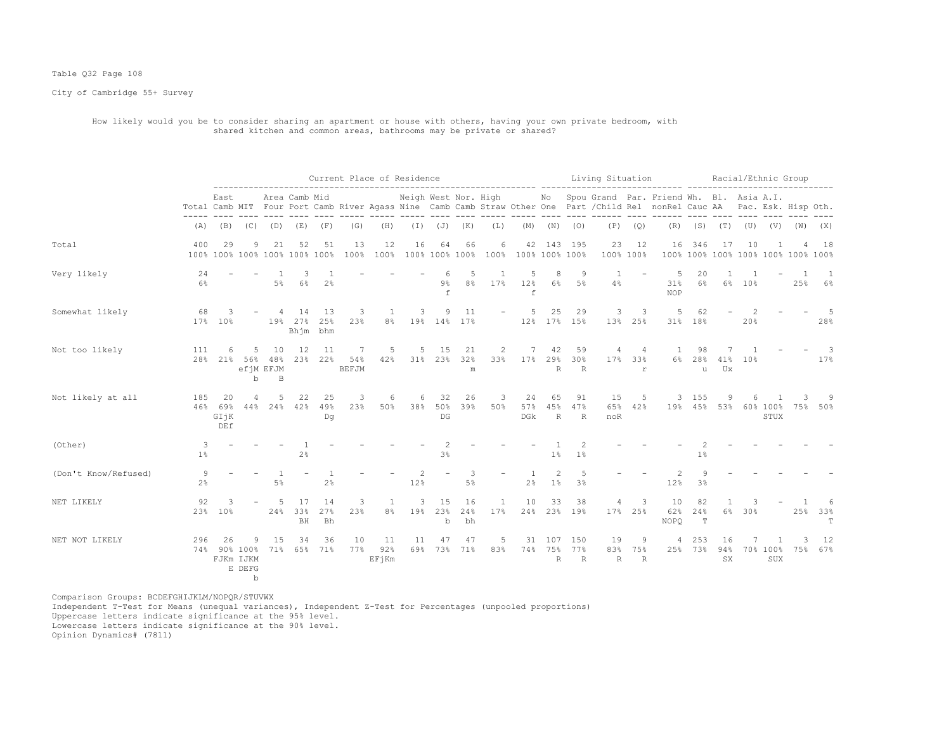# Table Q32 Page 108

City of Cambridge 55+ Survey

#### How likely would you be to consider sharing an apartment or house with others, having your own private bedroom, with shared kitchen and common areas, bathrooms may be private or shared?

|                      |                        |                                  |                    |                                        |                                     |                 |                           |                                  | Current Place of Residence |                      |                        |           |                         |                              |                     | Living Situation         |                          |                                                                                                                                                                             |                          |                 | Racial/Ethnic Group   |                 |                                    |                    |
|----------------------|------------------------|----------------------------------|--------------------|----------------------------------------|-------------------------------------|-----------------|---------------------------|----------------------------------|----------------------------|----------------------|------------------------|-----------|-------------------------|------------------------------|---------------------|--------------------------|--------------------------|-----------------------------------------------------------------------------------------------------------------------------------------------------------------------------|--------------------------|-----------------|-----------------------|-----------------|------------------------------------|--------------------|
|                      |                        | East                             |                    |                                        | Area Camb Mid                       |                 |                           |                                  | Neigh West Nor. High       |                      |                        |           |                         |                              | $\cdots$            |                          | $\cdots$                 | No Spou Grand Par. Friend Wh. Bl. Asia A.I.<br>Total Camb MIT Four Port Camb River Agass Nine Camb Camb Straw Other One Part / Child Rel nonRel Cauc AA Pac. Esk. Hisp Oth. |                          |                 |                       |                 |                                    |                    |
|                      | (A)                    | (B)                              | (C)                | (D)                                    | (E)                                 | (F)             | (G)                       | (H)                              | (I)                        | (J)                  | (K)                    | (L)       | (M)                     | (N)                          | (0)                 | (P)                      | (Q)                      | (R)                                                                                                                                                                         | (S)                      | (T)             | (U)                   | (V)             | (W)                                | (X)                |
| Total                | 400                    | 29                               | 9                  | 21                                     | 52<br>100% 100% 100% 100% 100% 100% | 51              | 13<br>100%                | 12<br>100%                       | 16                         | 64<br>100% 100% 100% | 66                     | 6<br>100% |                         | 42 143 195<br>100% 100% 100% |                     | 23                       | 12<br>100% 100%          | 16                                                                                                                                                                          | 346                      | 17              | 10                    |                 | 100% 100% 100% 100% 100% 100% 100% | 18                 |
| Very likely          | 24<br>6%               |                                  |                    | 5%                                     | 3<br>6%                             | 2 <sup>°</sup>  |                           |                                  |                            | 6<br>$9\%$<br>f      | 5<br>8%                | 1<br>17%  | 5<br>12%<br>$\mathbf f$ | 8<br>6%                      | 9<br>5%             | 1<br>4%                  |                          | -5<br>31%<br><b>NOP</b>                                                                                                                                                     | 20<br>6%                 | 1               | 6% 10%                |                 | $\mathbf{1}$<br>25%                | 1<br>6%            |
| Somewhat likely      | 68                     | 3<br>17% 10%                     |                    |                                        | 14<br>19% 27%<br>Bhjm bhm           | -13<br>25%      | 3<br>23%                  | $\overline{1}$<br>8 <sup>°</sup> | 3                          | 9<br>19% 14% 17%     | 11                     |           | .5                      | 25<br>12% 17% 15%            | 29                  | 3                        | 3<br>13% 25%             | 5<br>31%                                                                                                                                                                    | 62<br>18%                |                 | $\overline{c}$<br>20% |                 |                                    | 5<br>28%           |
| Not too likely       | 111<br>28 <sup>8</sup> | 6                                | 5<br>21% 56%<br>b  | 10<br>48%<br>efiM EFJM<br>$\, {\bf B}$ | 12<br>23%                           | 11<br>22%       | -7<br>54%<br><b>BEFJM</b> | 5<br>42%                         | 5<br>31%                   | 15<br>23%            | 21<br>32%<br>${\rm m}$ | 2<br>33%  | 17%                     | 42<br>29%<br>R               | 59<br>30%<br>R      | 4<br>17%                 | 4<br>33%<br>$\mathtt{r}$ | -1<br>$6\%$                                                                                                                                                                 | 98<br>28%<br>u           | 41%<br>Ux       | 10%                   |                 |                                    | 3<br>17%           |
| Not likely at all    | 185<br>46%             | 20<br>69%<br>GIjK<br>DEf         | 4<br>44%           | 5<br>24%                               | 22<br>42%                           | 25<br>49%<br>Dq | 3<br>23%                  | 6<br>50%                         | 6<br>38%                   | 32<br>50%<br>DG      | 26<br>39%              | 3<br>50%  | 24<br>57%<br>DGk        | 65<br>45%<br>$\mathbb{R}$    | 91<br>47%<br>R      | 15<br>65%<br>noR         | 5<br>42%                 |                                                                                                                                                                             | 3 155<br>19% 45%         | 9<br>53%        | 60% 100%              | STUX            | 75%                                | 9<br>50%           |
| (Other)              | 3<br>$1\%$             |                                  |                    |                                        | 2%                                  |                 |                           |                                  |                            | 3%                   |                        |           |                         | $1\%$                        | 1 <sup>°</sup>      |                          |                          |                                                                                                                                                                             | 1%                       |                 |                       |                 |                                    |                    |
| (Don't Know/Refused) | 9<br>2 <sup>8</sup>    |                                  |                    | $5\%$                                  |                                     | 2%              |                           |                                  | $\overline{c}$<br>12%      |                      | 3<br>5%                |           | 2 <sup>°</sup>          | $\overline{2}$<br>$1\%$      | 5<br>3 <sup>°</sup> |                          |                          | 2<br>12%                                                                                                                                                                    | 9<br>3 <sup>8</sup>      |                 |                       |                 |                                    |                    |
| NET LIKELY           | 92<br>23%              | Р<br>10 <sup>8</sup>             |                    | 5<br>24%                               | 17<br>33%<br>BH                     | 14<br>27%<br>Bh | 3<br>23%                  | 1<br>8%                          | 3<br>19%                   | 15<br>23%<br>b       | 16<br>24%<br>bh        | 1<br>17%  | 10<br>24%               | 33                           | 38<br>23% 19%       | 4<br>17%                 | 3<br>25%                 | 10<br>62%<br>NOPQ                                                                                                                                                           | 82<br>24%<br>$\mathbb T$ | 6%              | 30%                   |                 | 25%                                | 33%<br>$\mathbf T$ |
| NET NOT LIKELY       | 296                    | -26<br>74% 90% 100%<br>FJKm IJKM | 9<br>E DEFG<br>$b$ | 15<br>71%                              | 34                                  | 36<br>65% 71%   | 10<br>77%                 | 11<br>92%<br>EFjKm               | 11<br>69%                  | 47<br>73%            | 47<br>71%              | 5<br>83%  | 31<br>74%               | 107<br>75%<br>R              | 150<br>77%<br>R     | 19<br>83%<br>$\mathbb R$ | 9<br>75%<br>$\mathbb R$  | 4<br>25%                                                                                                                                                                    | 253<br>73%               | 16<br>94%<br>SX |                       | 70% 100%<br>SUX | 3<br>75%                           | 12<br>67%          |

Comparison Groups: BCDEFGHIJKLM/NOPQR/STUVWX Independent T-Test for Means (unequal variances), Independent Z-Test for Percentages (unpooled proportions) Uppercase letters indicate significance at the 95% level.

Lowercase letters indicate significance at the 90% level.

Opinion Dynamics# (7811)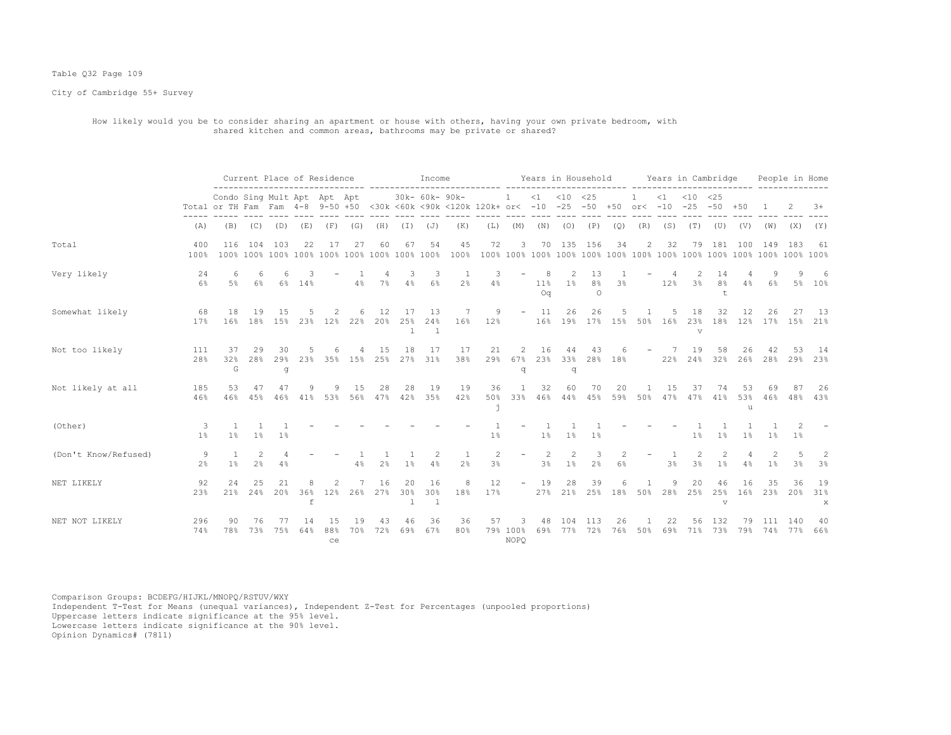# Table Q32 Page 109

City of Cambridge 55+ Survey

 How likely would you be to consider sharing an apartment or house with others, having your own private bedroom, with shared kitchen and common areas, bathrooms may be private or shared?

|                      |                     |                             |                      |                |           | Current Place of Residence |            |                |                           | Income                     |                                                                                 |           |                            |                               |                                                                                                                                 | Years in Household        |           |                         |           | Years in Cambridge           |                                                                                                                                 |                 |           | People in Home      |                |
|----------------------|---------------------|-----------------------------|----------------------|----------------|-----------|----------------------------|------------|----------------|---------------------------|----------------------------|---------------------------------------------------------------------------------|-----------|----------------------------|-------------------------------|---------------------------------------------------------------------------------------------------------------------------------|---------------------------|-----------|-------------------------|-----------|------------------------------|---------------------------------------------------------------------------------------------------------------------------------|-----------------|-----------|---------------------|----------------|
|                      |                     | Condo Sing Mult Apt Apt Apt |                      |                |           |                            |            |                |                           | 30k- 60k- 90k-             | Total or TH Fam Fam 4-8 9-50 +50 <30k <60k <90k <120k 120k+ or< -10 -25 -50 +50 |           | $\mathbf{1}$               |                               | $<1$ $<10$ $<25$                                                                                                                |                           |           |                         | $\leq 1$  | $<$ 10<br>$or < -10 -25 -50$ | <25                                                                                                                             | $+50$           |           |                     | $3+$           |
|                      | (A)                 | (B)                         | (C)                  | (D)            | (E)       | (F)                        | (G)        | (H)            | (I)                       | (J)                        | (K)                                                                             | (L)       | (M)                        | (N)                           | (0)                                                                                                                             | (P)                       | (Q)       | (R)                     | (S)       | (T)                          | (U)                                                                                                                             | (V)             | (W)       | (X)                 | (Y)            |
| Total                | 400<br>100%         | 116                         | 104                  | 103            | 22        | 17                         | 27         | 60             | 67                        | 54                         | 45<br>100%                                                                      | 72        | 3                          | 70                            |                                                                                                                                 | 135 156                   | 34        | 2                       | 32        | 79                           | 181                                                                                                                             | 100             | 149       | 183                 | -61            |
| Very likely          | 24<br>6%            | 6<br>5%                     | 6<br>$6\%$           | 6<br>6%        | 14%       |                            | 4%         | $7\%$          | 3<br>4%                   | 3<br>$6\%$                 | -1<br>2 <sup>°</sup>                                                            | 3<br>4%   |                            | 8<br>$11\%$<br>O <sub>0</sub> | $\mathfrak{D}_{1}^{2}(\mathfrak{D}_{1})=\mathfrak{D}_{2}^{2}(\mathfrak{D}_{2})=\mathfrak{D}_{2}^{2}(\mathfrak{D}_{1})$<br>$1\%$ | 13<br>8%<br>$\circ$       | 3%        |                         | 12%       | 3 <sup>°</sup>               | 14<br>8 <sup>°</sup><br>t                                                                                                       | 4%              | $6\%$     |                     | 6<br>5% 10%    |
| Somewhat likely      | 68<br>17%           | 18<br>16%                   | 19<br>18%            | 15<br>15%      | .5<br>23% | 2<br>$12\%$                | 6<br>22%   | 12<br>20%      | 17<br>25%<br>$\perp$      | -13<br>24%<br>$\mathbf{1}$ | 7<br>16%                                                                        | 9<br>12%  | $\overline{\phantom{a}}$   | - 11<br>16%                   | 26                                                                                                                              | 26<br>19% 17%             | 15%       | 50%                     | .5<br>16% | 18<br>23%<br>$\triangledown$ | 32<br>18%                                                                                                                       | 12<br>12%       | 26<br>17% | 27<br>15%           | - 13<br>21%    |
| Not too likely       | 111<br>28%          | 37<br>32%<br>G              | 29<br>28%            | 30<br>29%<br>g | 23%       |                            | 35% 15%    | 15<br>25%      | 18<br>27%                 | 17<br>31%                  | 17<br>38%                                                                       | 21<br>29% | $\overline{c}$<br>67%<br>đ | 16<br>23%                     | 44<br>33%<br>q                                                                                                                  | 43                        | 28% 18%   |                         | 22%       | 19<br>24%                    | 58<br>32%                                                                                                                       | 26<br>26%       | 42<br>28% | 53<br>29%           | 14<br>23%      |
| Not likely at all    | 185<br>46%          | 53<br>46%                   | 47<br>45%            | 47<br>46%      | 9<br>41%  | 9<br>53%                   | 1.5<br>56% | 28<br>47%      | 28<br>42%                 | 19<br>35%                  | 19<br>42%                                                                       | 36<br>50% | $\overline{1}$<br>33%      | 32<br>46%                     | 60                                                                                                                              | 70<br>44% 45%             | 20        | $\mathbf{1}$<br>59% 50% | 15<br>47% | 37<br>47%                    | 74<br>41%                                                                                                                       | 53<br>53%<br>11 | 69<br>46% | 87                  | 26<br>48% 43%  |
| (Other)              | 3<br>1 <sup>°</sup> | $1\%$                       | $1\%$                | 1 <sup>°</sup> |           |                            |            |                |                           |                            |                                                                                 | 1%        |                            | $1\%$                         | $1\%$                                                                                                                           | 1%                        |           |                         |           | 1 <sup>°</sup>               | $1\%$                                                                                                                           | 1%              | 1%        | 2<br>1 <sup>°</sup> |                |
| (Don't Know/Refused) | 9<br>2 <sup>°</sup> | $1\%$                       | $\mathfrak{D}$<br>2% | 4%             |           |                            | 4%         | 2 <sup>°</sup> | $1\%$                     | 2<br>4%                    | -1<br>2 <sup>°</sup>                                                            | 2<br>3%   | $\overline{\phantom{0}}$   | $\overline{2}$<br>3%          | $\mathfrak{D}$<br>1%                                                                                                            | 3<br>2%                   | 6%        |                         | 3%        | $\mathcal{D}$<br>3%          | $\mathfrak{D}_{1}^{2}(\mathfrak{D}_{1})=\mathfrak{D}_{2}^{2}(\mathfrak{D}_{2})=\mathfrak{D}_{2}^{2}(\mathfrak{D}_{1})$<br>$1\%$ | 4%              | 2<br>1%   | 3%                  | 2<br>3%        |
| NET LIKELY           | 92<br>23%           | 24<br>21%                   | 25<br>24%            | 21<br>20%      | 36%<br>f  | 2<br>12%                   | 26%        | 16<br>27%      | 20<br>30%<br>$\mathbf{1}$ | 16<br>30%<br>$\mathbf{1}$  | 8<br>18%                                                                        | 12<br>17% | $\overline{\phantom{a}}$   | 19                            | 28                                                                                                                              | 39<br>27% 21% 25% 18% 50% |           |                         | 9<br>28%  | 20<br>25%                    | 46<br>25%<br>v                                                                                                                  | 16<br>16%       | 35<br>23% | 36<br>20%           | 19<br>31%<br>X |
| NET NOT LIKELY       | 296<br>74%          | 90<br>78%                   | 76<br>73%            | 75%            | 14<br>64% | 15<br>88%<br>ce            | 19<br>70%  | 43<br>72%      | 46<br>69%                 | 36<br>67%                  | 36<br>80%                                                                       | 57        | З<br>79% 100%<br>NOPO      | 48<br>69%                     | 104<br>77%                                                                                                                      | 113<br>72%                | 26<br>76% | 50%                     | 22<br>69% | 56<br>71%                    | 132<br>73%                                                                                                                      | 79%             | 74%       | 140<br>77%          | 40<br>66%      |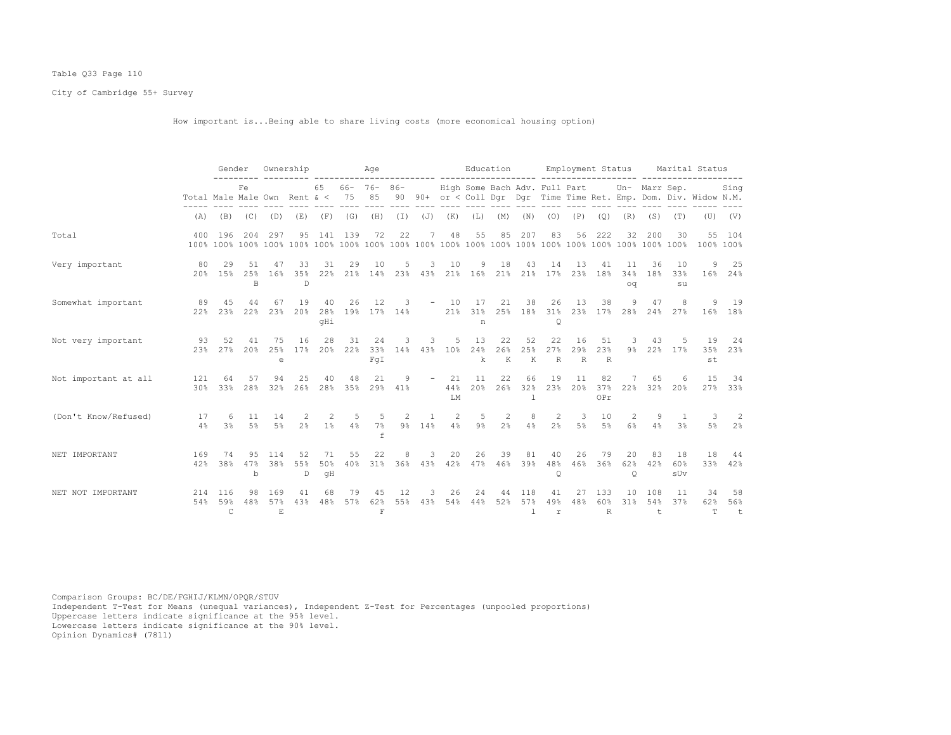# Table Q33 Page 110

City of Cambridge 55+ Survey

How important is...Being able to share living costs (more economical housing option)

|                      |                              | Gender                     |                          |                           | Ownership                       |                     |               | Age                                  |           |                          |                   |                               | Education      |                            |                           | Employment Status |                            |                      |                     |                    | Marital Status                                                    |                   |
|----------------------|------------------------------|----------------------------|--------------------------|---------------------------|---------------------------------|---------------------|---------------|--------------------------------------|-----------|--------------------------|-------------------|-------------------------------|----------------|----------------------------|---------------------------|-------------------|----------------------------|----------------------|---------------------|--------------------|-------------------------------------------------------------------|-------------------|
|                      | Total Male Male Own Rent & < |                            | Fe                       |                           |                                 | 65                  | 75            | $66 - 76 - 86 -$<br>85               |           |                          |                   | High Some Bach Adv. Full Part |                |                            |                           |                   |                            |                      |                     | Un- Marr Sep.      | 90 90+ or < Coll Dqr Dqr Time Time Ret. Emp. Dom. Div. Widow N.M. | Sing              |
|                      | (A)                          | (B)                        |                          | $(C)$ $(D)$               | (E)                             |                     | $(F)$ (G)     | (H)                                  |           |                          | $(I)$ $(J)$ $(K)$ | (L)                           | (M)            |                            | $(N)$ $(O)$ $(P)$         |                   | (Q)                        | (R)                  | (S)                 | (T)                |                                                                   | $(V)$ $(V)$       |
| Total                | 400                          | 196                        | 204                      | 297                       | 95                              | 141                 | 139           | 72                                   | 22        | 7                        | 48                | 55                            | 85             | 207                        | 83                        | 56                | 222                        | 32                   | 200                 | 30                 | 55                                                                | 104<br>100% 100%  |
| Very important       | 80                           | 29<br>20% 15%              | 51<br>25%<br>R           | 47<br>16%                 | 33<br>35%<br>$\Box$             | 31<br>22%           | 29            | 10<br>21% 14% 23% 43%                | 5         | 3                        | 10                | 9<br>21% 16% 21% 21% 17%      | 18             | 43                         | 14                        | 13<br>23%         | 41<br>18%                  | 11<br>34%<br>OQ      | 36<br>18%           | 10<br>33%<br>su    | 9                                                                 | 25<br>16% 24%     |
| Somewhat important   | 89<br>2.2%                   | 4.5<br>2.3%                | 44<br>22%                | 67<br>23%                 | 19<br>20%                       | 40<br>28%<br>qHi    | 26            | 12<br>19% 17% 14%                    | 3         | $-$                      | 10<br>21%         | 17<br>31%<br>n                | 21<br>25%      | 38<br>18%                  | 26<br>31%<br>$\circ$      | 13<br>23%         | 38                         | 9<br>17% 28%         | 47<br>24%           | 8<br>27%           | 9                                                                 | 19<br>16% 18%     |
| Not very important   | 93<br>2.3%                   | 52<br>2.7%                 | 41<br>20%                | 75<br>25%<br>e            | 16<br>17%                       | 28                  | 31<br>20% 22% | 24<br>33%<br>FqI                     | 3<br>14%  | 3<br>43%                 | 5<br>10%          | 13<br>24%<br>k                | 22<br>26%<br>К | 52<br>25%<br>$\;$ K        | 22<br>27%<br>R            | 16<br>29%<br>R    | 51<br>23%<br>R             | 3<br>$9\%$           | 43                  | 5<br>22% 17%       | 19<br>35%<br>st                                                   | 24<br>23%         |
| Not important at all | 121<br>30%                   | 64<br>33%                  | 57<br>28%                | 94<br>32%                 | 25<br>26%                       | 40<br>28%           | 48<br>35%     | 21<br>29%                            | 9<br>41%  |                          | 21<br>44%<br>LM   | 11<br>20%                     | 22<br>26%      | 66<br>32%                  | 19<br>23%                 | 11<br>20%         | 82<br>37%<br>OPr           | 22%                  | 65<br>32%           | 6<br>20%           | 15<br>27%                                                         | 34<br>33%         |
| (Don't Know/Refused) | 17<br>4%                     | 6<br>3 <sup>°</sup>        | 11<br>$5\%$              | 14<br>5%                  | $\mathcal{L}$<br>2 <sup>°</sup> | $\mathcal{L}$<br>1% | .5<br>4%      | -5<br>7%<br>f                        | 2         | $\overline{1}$<br>9% 14% | 2<br>4%           | -5<br>9%                      | 2<br>2%        | 8<br>4%                    | 2<br>2 <sup>°</sup>       | 3<br>$5\%$        | 10<br>5%                   | 2<br>6%              | 9<br>4%             | $\mathbf{1}$<br>3% | 3<br>5%                                                           | 2<br>2%           |
| NET IMPORTANT        | 169<br>42%                   | 74<br>38%                  | 95<br>47%<br>$\mathbf b$ | 114<br>38%                | 52<br>55%<br>D                  | 71<br>50%<br>qH     | 55<br>40%     | 22<br>31%                            | 8         | 3<br>36% 43%             | 20<br>42%         | 26<br>47%                     | 39<br>46%      | 81<br>39%                  | 40<br>48%<br>Q            | 26<br>46%         | 79<br>36%                  | 20<br>62%<br>$\circ$ | 83<br>42%           | 18<br>60%<br>sUv   | 18                                                                | 44<br>33% 42%     |
| NET NOT IMPORTANT    | 214<br>54%                   | 116<br>59%<br>$\mathsf{C}$ | 98<br>48%                | 169<br>57%<br>$F_{\rm c}$ | 41<br>43%                       | 68<br>48%           | 79<br>57%     | 45<br>62%<br>$\overline{\mathrm{F}}$ | 12<br>55% | 3<br>43%                 | 26<br>54%         | 24<br>44%                     | 44<br>52%      | 118<br>57%<br>$\mathbb{R}$ | 41<br>49%<br>$\mathtt{r}$ | 27<br>48%         | 133<br>60%<br>$\mathbb{R}$ | 10<br>31%            | 108<br>54%<br>$\pm$ | 11<br>37%          | 34<br>62%<br>T.                                                   | 58<br>56%<br>$-t$ |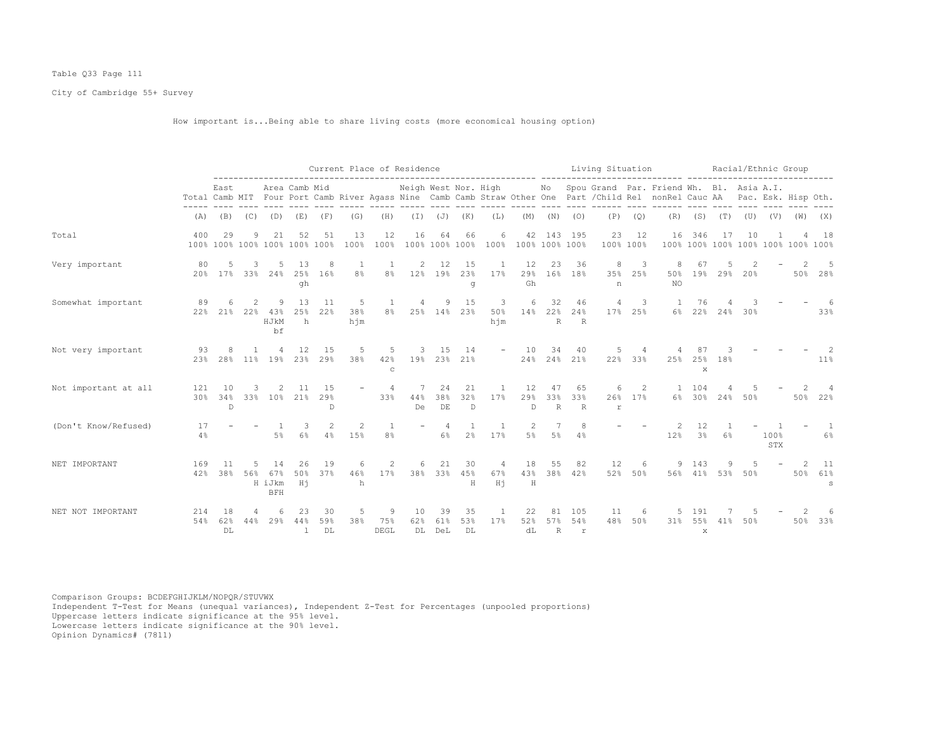# Table Q33 Page 111

City of Cambridge 55+ Survey

How important is...Being able to share living costs (more economical housing option)

|                      |            |                                     |                          |                                   |                           |                            | Current Place of Residence |                         |                 |                      |                   |                       |                                    |                           |                   |                         |                                     | Living Situation<br>------ --------                                                                                                                                                              |                      | Racial/Ethnic Group |     |             |                                    |                      |
|----------------------|------------|-------------------------------------|--------------------------|-----------------------------------|---------------------------|----------------------------|----------------------------|-------------------------|-----------------|----------------------|-------------------|-----------------------|------------------------------------|---------------------------|-------------------|-------------------------|-------------------------------------|--------------------------------------------------------------------------------------------------------------------------------------------------------------------------------------------------|----------------------|---------------------|-----|-------------|------------------------------------|----------------------|
|                      |            | East                                |                          |                                   | Area Camb Mid             |                            |                            |                         |                 |                      |                   |                       |                                    |                           |                   |                         |                                     | Neigh West Nor. High Mo Spou Grand Par. Friend Wh. Bl. Asia A.I.<br>Total Camb MIT Four Port Camb River Agass Nine Camb Camb Straw Other One Part / Child Rel nonRel Cauc AA Pac. Esk. Hisp Oth. |                      |                     |     |             |                                    |                      |
|                      | (A)        | (B)                                 | (C)                      | (D)                               | (E)                       | (F)                        | (G)                        | (H)                     | $(\bot)$        | $(\mathbb{J})$       | (K)               | (L)                   | (M)                                | (N)                       | (0)               | (P)                     | (Q)                                 | (R)                                                                                                                                                                                              | (S)                  | (T)                 | (U) | (V)         | (W)                                | (X)                  |
| Total                | 400        | 29<br>100% 100% 100% 100% 100% 100% | 9                        | 21                                | 52                        | 51                         | 13<br>100%                 | 12<br>100%              | 16              | 64                   | 66                | 6                     | 100% 100% 100% 100% 100% 100% 100% |                           | 42 143 195        | 23                      | 12<br>100% 100%                     | 16                                                                                                                                                                                               | 346                  | 17                  | 10  |             | 100% 100% 100% 100% 100% 100% 100% | 18                   |
| Very important       | 80         | 5<br>20% 17% 33% 24% 25% 16%        | 3 <sup>1</sup>           | -5                                | 13<br>qh                  | -8                         | -1<br>8%                   | -1<br>8%                | 2               | 12<br>12% 19%        | 15<br>23%<br>g    | 1<br>17%              | 12<br>29%<br>Gh                    | 23                        | 36<br>16% 18%     | 8<br>35%<br>n           | 3<br>25%                            | 8<br>50%<br>NO.                                                                                                                                                                                  | 67                   | 19% 29% 20%         |     |             |                                    | 5<br>50% 28%         |
| Somewhat important   | 89<br>22%  |                                     | $\mathcal{L}$<br>21% 22% | -9<br>43%<br>HJkM<br>bf           | 13<br>25%<br>h            | 11<br>22%                  | 5<br>38%<br>hjm            | $\mathbf{1}$<br>8%      | $\overline{4}$  | 9                    | 15<br>25% 14% 23% | -3<br>50%<br>hjm      | 6<br>14% 22%                       | 32<br>$R_{\parallel}$     | 46<br>24%<br>R    | 4                       | $\overline{\phantom{a}}$<br>17% 25% | $\overline{1}$                                                                                                                                                                                   | 76<br>6% 22% 24% 30% |                     |     |             |                                    | 33%                  |
| Not very important   | 93<br>23%  | 8<br>28%                            | 1<br>$11\%$              | 19%                               | 12<br>23%                 | 15<br>29%                  | 5<br>38%                   | 5<br>42%<br>$\mathbf C$ | 3               | 15<br>19% 23%        | 14<br>21%         |                       | 10                                 | 34                        | 40<br>24% 24% 21% | 5                       | 22% 33%                             | 25%                                                                                                                                                                                              | 25%<br>$\mathbf{x}$  | 18%                 |     |             |                                    | $11\%$               |
| Not important at all | 121<br>30% | 10<br>34%<br>$\mathbb{D}$           | 3<br>33%                 | -2.<br>10%                        | -11<br>21%                | 1.5<br>29%<br>$\mathbb{D}$ | $\overline{\phantom{a}}$   | $\overline{4}$<br>33%   | 7<br>44%<br>De  | 24<br>38%<br>DE      | 21<br>32%<br>D    | $\overline{1}$<br>17% | 12<br>29%<br>$\mathbb{D}$          | 47<br>33%<br>$\mathbb{R}$ | 65<br>33%<br>R    | 6<br>26%<br>$\mathbf r$ | 2<br>17%                            | $\overline{1}$                                                                                                                                                                                   | 104<br>6% 30%        | 24%                 | 50% |             | 50%                                | 22%                  |
| (Don't Know/Refused) | 17<br>4%   |                                     |                          | 5%                                | 3<br>6%                   | 2<br>4%                    | 2<br>15%                   | $\overline{1}$<br>8%    |                 | $\overline{4}$<br>6% | 2 <sup>°</sup>    | $\overline{1}$<br>17% | 2<br>5%                            | 7<br>$5\%$                | 8<br>4%           |                         |                                     | 2<br>12%                                                                                                                                                                                         | 12<br>3%             | 6%                  |     | 100%<br>STX |                                    | $\overline{1}$<br>6% |
| NET IMPORTANT        | 169<br>42% | 11<br>38%                           | 5<br>56%                 | 14<br>67%<br>H iJkm<br><b>BFH</b> | 26<br>50%<br>Hi           | 19<br>37%                  | 6<br>46%<br>h              | 2<br>17%                | 6               | 21<br>38% 33%        | 30<br>45%<br>H    | 4<br>67%<br>Ηj        | 18<br>43%<br>H                     | 55                        | 82<br>38% 42%     | 12                      | 6<br>52% 50%                        |                                                                                                                                                                                                  | 9 143<br>56% 41% 53% | 9                   | 50% |             | $\mathcal{P}$<br>50%               | 11<br>61%<br>S       |
| NET NOT IMPORTANT    | 214<br>54% | 18<br>62%<br>DT.                    | 44%                      | 29%                               | 23<br>44%<br>$\mathbf{1}$ | 30<br>59%<br>DL            | 5<br>38%                   | 9<br>75%<br>DEGL        | 10<br>62%<br>DL | -39<br>61%<br>DeL    | 35<br>53%<br>DL   | 1<br>17%              | 22<br>52%<br>dL                    | 81<br>57%<br>R            | 105<br>54%<br>r   | 11<br>48%               | 6<br>50%                            | $31\%$                                                                                                                                                                                           | 191<br>55%<br>X      | 41%                 | 50% |             | 50%                                | 33%                  |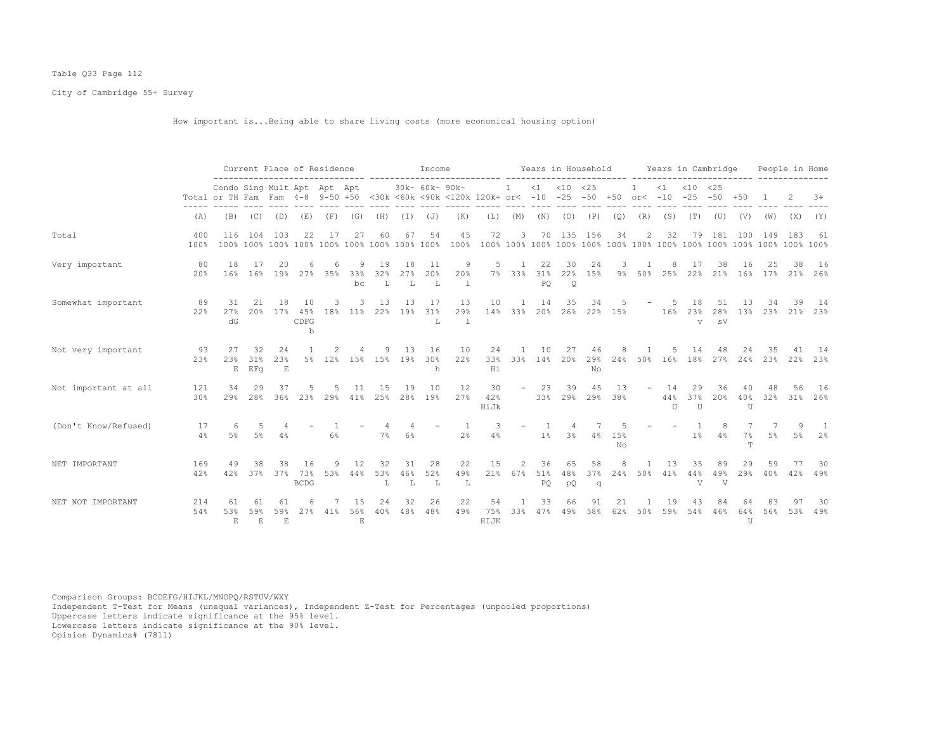# Table Q33 Page 112

City of Cambridge 55+ Survey

How important is...Being able to share living costs (more economical housing option)

|                      |             |                                                                 |                  |                             | Current Place of Residence |                 |                     |                 |                 | Income               |                                        |                   |                          |                 | Years in Household   |                 |            |                          |                           | Years in Cambridge          |                 |                       |                | People in Home |                |
|----------------------|-------------|-----------------------------------------------------------------|------------------|-----------------------------|----------------------------|-----------------|---------------------|-----------------|-----------------|----------------------|----------------------------------------|-------------------|--------------------------|-----------------|----------------------|-----------------|------------|--------------------------|---------------------------|-----------------------------|-----------------|-----------------------|----------------|----------------|----------------|
|                      |             | Condo Sing Mult Apt Apt Apt<br>Total or TH Fam Fam 4-8 9-50 +50 |                  |                             |                            |                 |                     |                 |                 | 30k- 60k- 90k-       | <30k <60k <90k <120k 120k+ or< -10 -25 |                   | -1.                      | $\leq 1$        | $< 10$ $< 25$        | $-50$           | $+50$      | $or < -10$               | $\leq 1$                  | $< 10 \le 25$<br>$-25 - 50$ |                 | $+50$                 |                |                | $+8$           |
|                      | (A)         | (B)                                                             | (C)              | (D)                         | (E)                        | (F)             | (G)                 | (H)             | (I)             | (J)                  | (K)                                    | (L)               | (M)                      | (N)             | (0)                  | (P)             | (Q)        | (R)                      | (S)                       | (T)                         | (U)             | (V)                   | (W)            | (X)            | (Y)            |
| Total                | 400<br>100% | 116<br>100%                                                     | 104<br>100% 100% | 103                         | 22                         | 17<br>100% 100% | 27<br>100%          | 60              | 67              | 54<br>100% 100% 100% | 45<br>$100$ <sup>*</sup>               | 72<br>100%        | 3                        | 70              | 135                  | 156             | 34         | 2                        | 32                        | 79                          | 181             | 100                   | 149            | 183            | 61             |
| Very important       | 80<br>20%   | 18<br>16%                                                       | 17<br>16%        | 20<br>19 <sub>8</sub>       | 27%                        | 35%             | 9.<br>33%<br>bc     | 19<br>32%<br>T, | 18<br>27%<br>T. | 11<br>20%<br>L       | 9<br>20%                               | 5<br>$7\%$        | -1<br>33%                | 22<br>31%<br>PO | 30<br>22%<br>$\circ$ | 24<br>15%       | 3<br>$9\%$ | 50%                      | 8<br>25%                  | 17<br>22%                   | 38<br>21%       | 16<br>16%             | 17%            | 38<br>21%      | 16<br>26%      |
| Somewhat important   | 89<br>22%   | 31<br>27%<br>dG                                                 | 21<br>20%        | 18<br>17%                   | 10<br>45%<br>CDFG<br>b     | 18%             | 3<br>$11\%$         | 13<br>22%       | 13<br>19%       | 17<br>31%<br>L       | 13<br>29%<br>$\overline{1}$            | 10<br>14%         | -1<br>33%                | 14<br>20%       | 35<br>26%            | 34<br>22%       | 15%        |                          | -5<br>16%                 | 18<br>23%<br>$\overline{V}$ | 51<br>28%<br>sV | 13<br>13%             | 34<br>23%      | 39<br>21%      | -14<br>23%     |
| Not very important   | 93<br>23%   | 27<br>23%<br>E                                                  | 32<br>31%<br>EFq | 24<br>23%<br>E              |                            | 5% 12%          | 15%                 | 9<br>15%        | 13<br>19%       | 16<br>30%<br>h       | 10<br>22%                              | 24<br>33%<br>Hi   | 33%                      | 10<br>14%       | 27<br>20%            | 46<br>29%<br>No | 24%        | 50%                      | 16%                       | 14<br>18%                   | 48<br>27%       | 24%                   | 35<br>23%      | 22%            | -14<br>23%     |
| Not important at all | 121<br>30%  | 34<br>29%                                                       | 29<br>28%        | 37<br>36%                   | 23%                        | 29%             | 41%                 | 1.5<br>25%      | 19<br>28%       | 10<br>19%            | 12<br>27%                              | 30<br>42%<br>HiJk | $\overline{\phantom{a}}$ | 23<br>33%       | 39<br>29%            | 45<br>29%       | 13<br>38%  | $\overline{\phantom{m}}$ | 14<br>44%<br>$\mathbb{I}$ | 29<br>37%<br>U              | 36<br>20%       | 40%<br>U              | 32%            | 31%            | 16<br>26%      |
| (Don't Know/Refused) | 17<br>4%    | 6<br>5 <sup>8</sup>                                             | .5<br>$5\%$      | 4%                          |                            | 6%              |                     | 7%              | 6%              |                      | 2%                                     | 3<br>4%           |                          | 1%              | 3%                   | 4%              | 15%<br>No  |                          |                           | 1%                          | 4%              | 7%<br>$^{\mathrm{T}}$ | 5 <sup>°</sup> | 5%             | 2 <sup>°</sup> |
| NET IMPORTANT        | 169<br>42%  | 49<br>42%                                                       | 38<br>37%        | 38<br>37%                   | 16<br>73%<br><b>BCDG</b>   | Q<br>53%        | 12<br>44%           | 32<br>53%<br>L  | 31<br>46%<br>L  | 28<br>52%<br>L       | 22<br>49%<br>L                         | 15<br>21%         | $\mathfrak{D}$<br>67%    | 36<br>51%<br>PQ | 65<br>48%<br>pQ      | 58<br>37%<br>q  | 24%        | 50%                      | 13<br>41%                 | 35<br>44%<br>V              | 89<br>49%<br>V  | 29<br>29%             | 59<br>40%      | 42%            | 30<br>49%      |
| NET NOT IMPORTANT    | 214<br>54%  | 61<br>53%<br>$\mathbf{E}$                                       | -61<br>59%<br>E  | 61<br>59%<br>$\mathbf{F}_i$ |                            | 41%             | 56%<br>$\mathbf{E}$ | 24<br>40%       | 32<br>48%       | 26<br>48%            | 22<br>49%                              | 54<br>75%<br>HIJK | 33%                      | 33<br>47%       | 66<br>49%            | 58%             | 62%        | 50%                      | 19<br>59%                 | 54%                         | 46%             | 64%<br>U              | 56%            | 53%            | 30<br>49%      |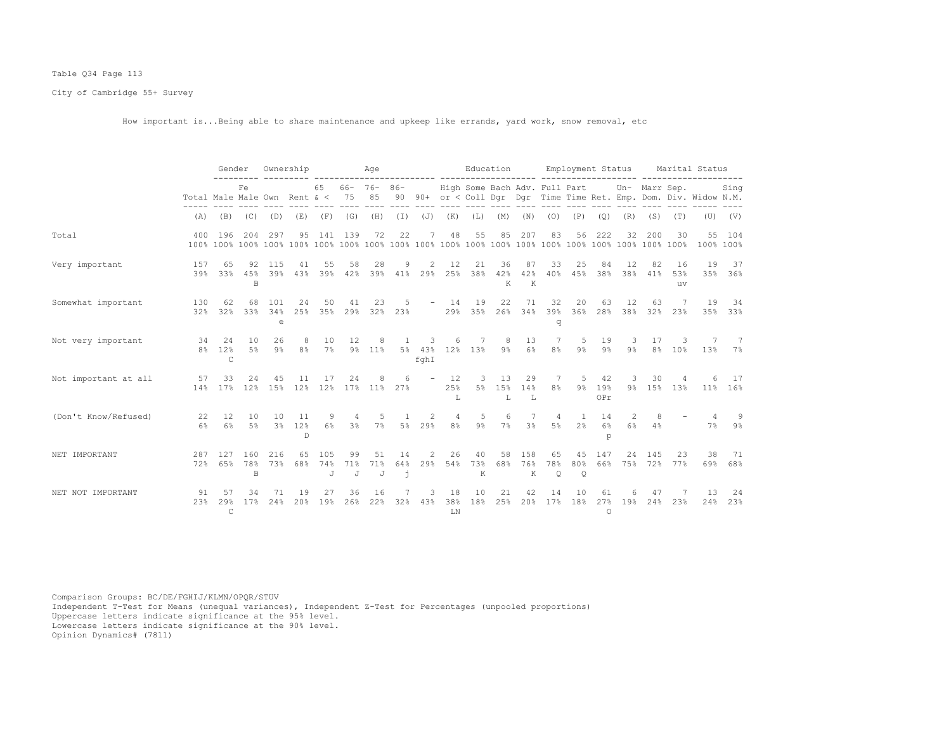# Table Q34 Page 113

City of Cambridge 55+ Survey

How important is...Being able to share maintenance and upkeep like errands, yard work, snow removal, etc

|                      |                              | Gender                    |                            | Ownership                |                           |                 |                | Age                    |                 |                          |                   |                               | Education      |                 |                      | Employment Status                |                      |                     |                        |                 | Marital Status                                                    |               |
|----------------------|------------------------------|---------------------------|----------------------------|--------------------------|---------------------------|-----------------|----------------|------------------------|-----------------|--------------------------|-------------------|-------------------------------|----------------|-----------------|----------------------|----------------------------------|----------------------|---------------------|------------------------|-----------------|-------------------------------------------------------------------|---------------|
|                      | Total Male Male Own Rent & < |                           | Fe                         |                          |                           | 65              | 75             | $66 - 76 - 86 -$<br>85 |                 |                          |                   | High Some Bach Adv. Full Part |                |                 |                      |                                  |                      |                     | Un- Marr Sep.          |                 | 90 90+ or < Coll Dgr Dgr Time Time Ret. Emp. Dom. Div. Widow N.M. | Sing          |
|                      | (A)                          | (B)                       | (C)                        | (D)                      | (E)                       | (F)             | (G)            | (H)                    |                 |                          | $(I)$ $(J)$ $(K)$ | (L)                           | (M)            | (N)             | (0)                  | (P)                              | (Q)                  | (R)                 | (S)                    | (T)             | (U)                                                               | (V)           |
| Total                | 400                          | 196                       | 204                        | 297                      | 95                        | 141             | 139            | 72                     | 22              | 7                        | 48                | 55                            | 85             | 207             | 83                   | 56                               | 222                  | 32                  | 200                    | 30              | 55<br>100% 100%                                                   | 104           |
| Very important       | 157<br>39%                   | 65<br>33%                 | 92<br>4.5%<br><sub>B</sub> | 115<br>39%               | 41<br>43%                 | 55<br>39%       | 58<br>42%      | 28<br>39%              | 9<br>41%        | 2<br>29%                 | 12<br>25%         | 21<br>38%                     | 36<br>42%<br>К | 87<br>42%<br>K  | 33<br>40%            | 25<br>45%                        | 84<br>38%            | 12<br>38%           | 82<br>41%              | 16<br>53%<br>uv | 19                                                                | 37<br>35% 36% |
| Somewhat important   | 130<br>32%                   | 62<br>32%                 | 68<br>33%                  | 101<br>34%<br>$\epsilon$ | 24<br>25%                 | 50<br>35%       | 41<br>29%      | 23<br>32%              | 5<br>23%        | $\overline{\phantom{m}}$ | 14<br>29%         | 19<br>35%                     | 22<br>26%      | 71<br>34%       | 32<br>39%<br>q       | 20<br>36%                        | 63<br>28%            | 12<br>38%           | 63<br>32%              | 7<br>23%        | 19<br>35%                                                         | 34<br>33%     |
| Not very important   | 34<br>8 <sup>°</sup>         | 24<br>12%<br>C            | 10<br>5%                   | 26<br>$9\%$              | 8<br>8 <sup>°</sup>       | 10<br>7%        | 12             | 8<br>9% 11%            | 1               | 3<br>fghI                | 6                 | 7<br>5% 43% 12% 13%           | 8<br>$9\%$     | 13<br>6%        | 7<br>8 <sup>°</sup>  | 5<br>$9\%$                       | 19<br>$9\%$          | 3<br>9 <sup>°</sup> | 17<br>8%               | 3<br>10%        | 13%                                                               | -7<br>$7\%$   |
| Not important at all | 57<br>14%                    | 33<br>17%                 | 24<br>12%                  | 45<br>15%                | 11<br>12%                 | 12%             | 24             | 17% 11%                | 6<br>27%        |                          | 12<br>25%<br>т.   | 3<br>5%                       | 13<br>15%<br>L | 29<br>14%<br>L  | 7<br>8%              | 5<br>$9\%$                       | 42<br>19%<br>OPr     | 3<br>9%             | 30<br>15%              | 13%             | $11\%$                                                            | 17<br>16%     |
| (Don't Know/Refused) | 22<br>6%                     | 12<br>6%                  | 10<br>$5\%$                | 10<br>$3\%$              | 11<br>12%<br>$\mathbb{D}$ | 9<br>$6\%$      | 3 <sup>°</sup> | 7%                     | 5%              | 29%                      | 4<br>8%           | 5<br>$9\%$                    | 6<br>7%        | 3 <sup>°</sup>  | 4<br>$5\%$           | $\overline{1}$<br>2 <sup>°</sup> | 14<br>6%<br>p        | $\mathcal{L}$<br>6% | 8<br>4%                |                 | 7%                                                                | 9<br>$9\%$    |
| NET IMPORTANT        | 287<br>72%                   | 127<br>6.5%               | 160<br>78%<br>B            | 216<br>73%               | 65<br>68%                 | 105<br>74%<br>J | 99<br>71%<br>J | 51<br>71%<br>J         | 14<br>64%<br>j. | 2<br>29%                 | 26<br>54%         | 40<br>73%<br>К                | 58<br>68%      | 158<br>76%<br>К | 65<br>78%<br>$\circ$ | 45<br>$\circ$                    | 147                  | 24                  | 145<br>80% 66% 75% 72% | 23<br>77%       | 38<br>69%                                                         | 71<br>68%     |
| NET NOT IMPORTANT    | 91<br>2.3%                   | 57<br>29%<br>$\mathsf{C}$ | 34<br>17%                  | 71<br>24%                | 19<br>20%                 | 27<br>19%       | 36<br>26%      | 16<br>22%              | 32%             | 3<br>43%                 | 18<br>38%<br>LN   | 10<br>18%                     | 21<br>25%      | 42<br>20%       | 14<br>17%            | 10<br>18%                        | 61<br>27%<br>$\circ$ | 19%                 | 47<br>24%              | 23%             | 13<br>24%                                                         | 24<br>23%     |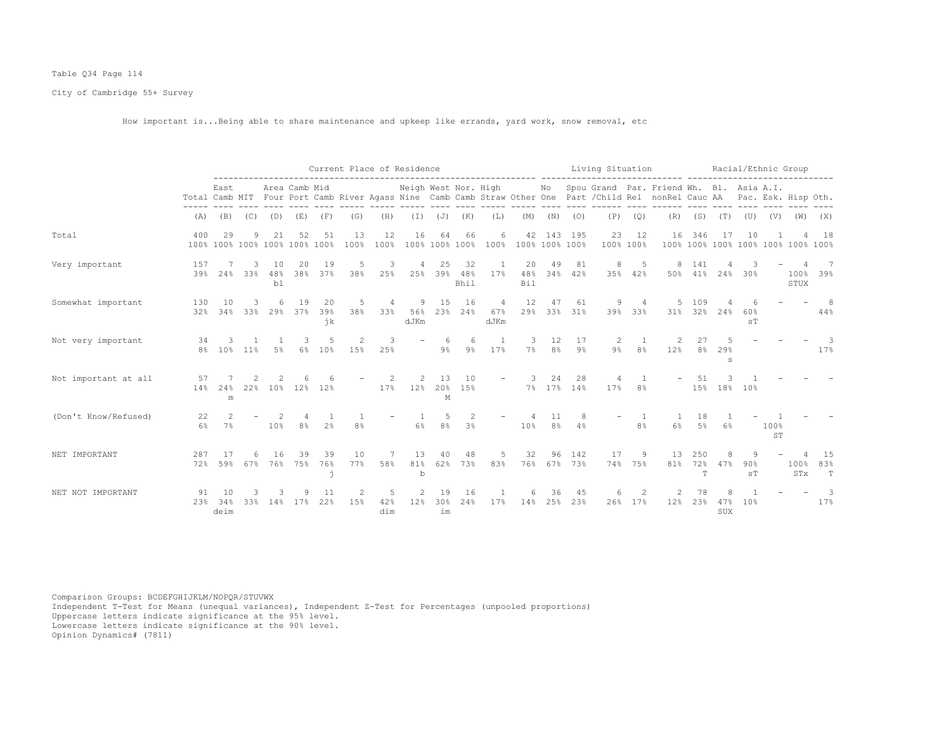# Table Q34 Page 114

City of Cambridge 55+ Survey

How important is...Being able to share maintenance and upkeep like errands, yard work, snow removal, etc

|                      |                      |             |             |                 |                                     |                  |                |                  | Current Place of Residence       |                   |                      |                               |                      |                       |                  | Living Situation |                |                                                                                                                                                         |                 |                                          |                       | Racial/Ethnic Group                          |                     |                          |
|----------------------|----------------------|-------------|-------------|-----------------|-------------------------------------|------------------|----------------|------------------|----------------------------------|-------------------|----------------------|-------------------------------|----------------------|-----------------------|------------------|------------------|----------------|---------------------------------------------------------------------------------------------------------------------------------------------------------|-----------------|------------------------------------------|-----------------------|----------------------------------------------|---------------------|--------------------------|
|                      |                      | East        |             |                 | Area Camb Mid                       |                  |                |                  | Neigh West Nor. High             |                   |                      |                               |                      |                       |                  |                  |                | No Spou Grand Par. Friend Wh. Bl. Asia A.I.<br>Total Camb MIT Four Port Camb River Agass Nine Camb Camb Straw Other One Part / Child Rel nonRel Cauc AA |                 |                                          |                       |                                              | Pac. Esk. Hisp Oth. |                          |
|                      | (A)                  |             | $(B)$ $(C)$ | (D)             | (E)                                 | (F)              | (G)            | (H)              |                                  | $(I)$ $(J)$ $(K)$ |                      | (L)                           | (M)                  | (N)                   | (0)              | (P)              | (Q)            | (R)                                                                                                                                                     |                 | $(S)$ $(T)$                              |                       | $(\mathbb{U})$ $(\mathbb{V})$ $(\mathbb{W})$ |                     | (X)                      |
| Total                | 400                  | 29          | 9           | 21              | 52<br>100% 100% 100% 100% 100% 100% | 51               | 13<br>100%     | 12<br>100%       | 16                               | 64                | 66<br>100% 100% 100% | 6<br>100%                     | 42<br>100% 100% 100% |                       | 143 195          | 23<br>100% 100%  | 12             | 16                                                                                                                                                      | 346             | 17<br>100% 100% 100% 100% 100% 100% 100% | 10                    |                                              |                     | 18                       |
| Very important       | 157<br>39%           | 24%         | 33%         | 10<br>48%<br>b1 | 20<br>38%                           | 19<br>37%        | 5<br>38%       | 3<br>25%         | 25%                              | 25<br>39%         | 32<br>48%<br>Bhil    | 17%                           | 20<br>48%<br>Bil     | 49                    | 81<br>34% 42%    | 8<br>35%         | 5<br>42%       | 8<br>50%                                                                                                                                                | -141<br>41%     | 24%                                      | 30%                   |                                              | 100%<br>STUX        | 39%                      |
| Somewhat important   | 130<br>32%           | 10<br>34%   | 33%         | 29%             | 19<br>37%                           | -20<br>39%<br>ήk | 5<br>38%       | 4<br>33%         | 9<br>56%<br>dJKm                 | 15<br>23%         | 16<br>24%            | $\overline{4}$<br>67%<br>dJKm | 12<br>29%            | 47                    | 61<br>33% 31%    | 9<br>39%         | 33%            | 31%                                                                                                                                                     | 109<br>32%      | 24%                                      | 60%<br>S <sub>T</sub> |                                              |                     | - 8<br>44%               |
| Not very important   | 34<br>8 <sup>°</sup> | 10%         | 11%         | 5%              | 6%                                  | 10%              | 2<br>15%       | 3<br>25%         |                                  | 6<br>$9\%$        | 6<br>$9\%$           | 17%                           | 7%                   | 12<br>$8\%$           | 17<br>$9\%$      | 2<br>9%          | 8 <sup>°</sup> | 12%                                                                                                                                                     | 8 <sup>8</sup>  | 29%<br>S                                 |                       |                                              |                     | 3<br>17%                 |
| Not important at all | 57<br>14%            | 24%<br>m    | 22%         |                 | 10% 12%                             | 12%              |                | 17%              | $\mathcal{L}$<br>12 <sup>°</sup> | 13<br>20%<br>M    | 10<br>15%            |                               | 3                    | 24                    | 28<br>7% 17% 14% | 17%              | 8%             |                                                                                                                                                         | .51<br>15%      |                                          | 18% 10%               |                                              |                     |                          |
| (Don't Know/Refused) | 22<br>6%             | 2<br>7%     |             | 10%             | 8 <sup>°</sup>                      | 2 <sup>°</sup>   | 8 <sup>°</sup> |                  | 6%                               | 5<br>8%           | 2<br>3%              |                               | 10%                  | -11<br>8 <sup>°</sup> | 4%               |                  | 8%             | 6%                                                                                                                                                      | 18<br>5%        | 6%                                       |                       | 100%<br><b>ST</b>                            |                     |                          |
| NET IMPORTANT        | 287<br>72%           | 59%         | 67%         | 76%             | 39<br>75%                           | 39<br>76%        | 10<br>77%      | 58%              | 13<br>81%<br>$\mathbf b$         | 40<br>62%         | 48<br>73%            | 5<br>83%                      | 32<br>76%            | 96                    | 142<br>67% 73%   | 17<br>74%        | 9<br>75%       | 13<br>81%                                                                                                                                               | 250<br>72%<br>T | 47%                                      | 90%<br>ST             |                                              | 100%<br>STx         | 15<br>83%<br>$\mathbb T$ |
| NET NOT IMPORTANT    | 91<br>23%            | 34%<br>deim | 33%         | 14%             | 17%                                 | 22%              | 15%            | .5<br>42%<br>dim | $\overline{2}$<br>12%            | 19<br>30%<br>im   | 16<br>24%            | 17%                           | 14%                  | 36<br>25%             | 45<br>23%        | 26%              | 17%            | 12%                                                                                                                                                     | 23%             | 47%<br>SUX                               | 10%                   |                                              |                     | 3<br>17%                 |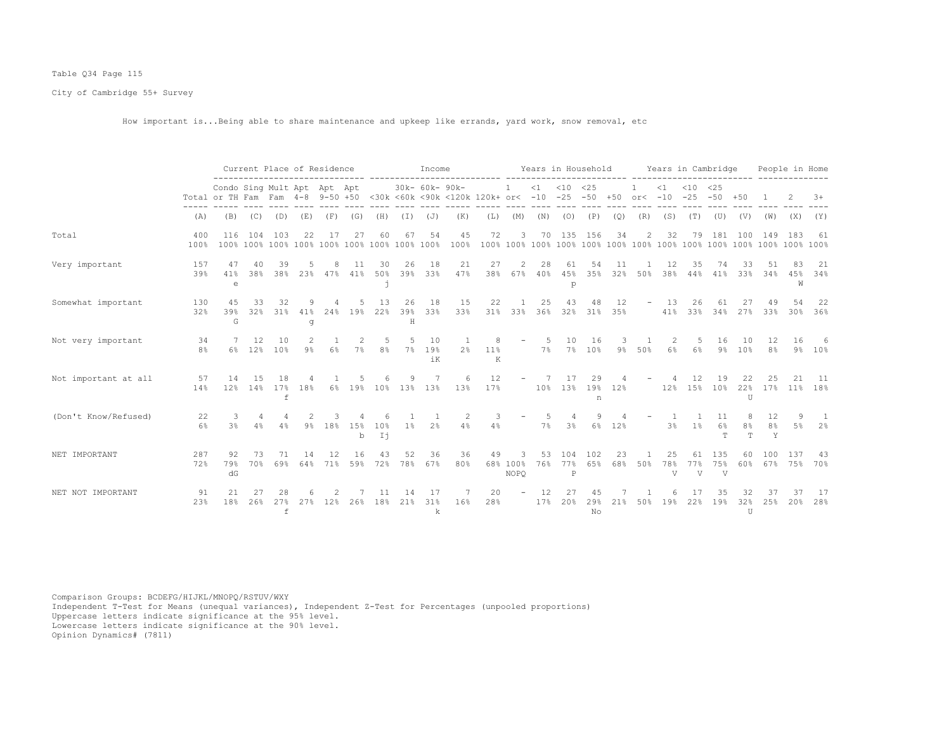# Table Q34 Page 115

City of Cambridge 55+ Survey

How important is...Being able to share maintenance and upkeep like errands, yard work, snow removal, etc

|                      |             |                                                                                                                        |            |                           | Current Place of Residence |           |           |                      |                | Income          |                |                  |                          |           |                            | Years in Household         |           |                |                | Years in Cambridge        |                   |                       |                           | People in Home |             |
|----------------------|-------------|------------------------------------------------------------------------------------------------------------------------|------------|---------------------------|----------------------------|-----------|-----------|----------------------|----------------|-----------------|----------------|------------------|--------------------------|-----------|----------------------------|----------------------------|-----------|----------------|----------------|---------------------------|-------------------|-----------------------|---------------------------|----------------|-------------|
|                      |             | Condo Sing Mult Apt Apt Apt<br>Total or TH Fam Fam 4-8 9-50 +50 <30k <60k <90k <120k 120k+ or< -10 -25 -50 +50 or< -10 |            |                           |                            |           |           |                      |                | 30k- 60k- 90k-  |                |                  | $\overline{1}$           |           | $<1$ $<10$ $<25$           |                            |           |                | $\leq 1$       | $<$ 10<br>$-25$           | <25<br>$-50 + 50$ |                       |                           |                | $+8$        |
|                      | (A)         | (B)                                                                                                                    | (C)        | (D)                       | (E)                        | (F)       | (G)       | (H)                  | (I)            | ( J )           | (K)            | (L)              | (M)                      |           | $(N)$ $(O)$                | (P)                        | (Q)       | (R)            | (S)            | (T)                       | (U)               | (V)                   |                           | $(W)$ $(X)$    | (Y)         |
| Total                | 400<br>100% | 116                                                                                                                    | 104        | 103                       | 2.2.                       | 17        | 27        |                      | 67             | 54              | 45<br>100%     | 72               | 3                        | 70        | 135                        | 156                        | 34        | $\overline{2}$ | 32             | 79                        | 181               | 100                   | 149                       | 183            | 61          |
| Very important       | 157<br>39%  | 47<br>41%<br>$\epsilon$                                                                                                | 40<br>38%  | 39<br>38%                 | 23%                        | 8<br>47%  | 11<br>41% | 30<br>50%<br>h       | 26<br>39%      | 18<br>33%       | 21<br>47%      | 27<br>38%        | 2<br>67%                 | 28<br>40% | 61<br>45%<br>p             | 54<br>35%                  | 11<br>32% | 50%            | 12<br>38%      | 35<br>44%                 | 74<br>41%         | 33<br>33%             | 34%                       | 45%<br>W       | 21<br>34%   |
| Somewhat important   | 130<br>32%  | 4.5<br>39%<br>G                                                                                                        | 33<br>32%  | 32<br>31%                 | 41%<br>q                   | 24%       | 19%       | 13<br>22%            | 26<br>39%<br>H | 18<br>33%       | 15<br>33%      | 22               | 31% 33%                  | 25<br>36% | 43                         | 48<br>32% 31%              | 12<br>35% | $ \,$          | 13<br>41%      | 26<br>33%                 | 34%               | 27%                   | 33%                       | 30%            | 22<br>36%   |
| Not very important   | 34<br>8%    | 6%                                                                                                                     | 12.<br>12% | 10<br>10%                 | 9%                         | 6%        | $7\%$     | .5<br>8 <sup>°</sup> | $7\%$          | 10<br>19%<br>iK | 2 <sup>8</sup> | 8<br>$11\%$<br>K | $\overline{\phantom{a}}$ | -5.<br>7% | 10                         | 16<br>7% 10%               | $9\%$     | 50%            | 6%             | .5<br>6%                  | 16<br>$9\%$       | 10<br>10 <sup>°</sup> | 12<br>8 <sup>°</sup>      | 16<br>$9\%$    | 6<br>10%    |
| Not important at all | 57<br>14%   | 14<br>12%                                                                                                              | 1.5<br>14% | 18<br>17%<br>$\mathsf{f}$ | 18%                        | $6\%$     |           |                      |                | 19% 10% 13% 13% | 6<br>13%       | 12<br>17%        | $\overline{\phantom{a}}$ | 7         | 17                         | 29<br>10% 13% 19% 12%<br>n |           |                | 12%            | 12                        | 19<br>15% 10%     | 22%<br>$\overline{U}$ | 17%                       | $11\%$         | - 11<br>18% |
| (Don't Know/Refused) | 22<br>6%    | 3%                                                                                                                     | 4<br>4%    | 4%                        | $9\%$                      | 18%       | 15%<br>b  | 10%<br>Ii            | $1\%$          | 2%              | 2<br>4%        | 4%               |                          | 7%        | 4<br>3 <sup>°</sup>        | 9<br>$6\%$                 | 12%       |                | 3 <sup>°</sup> | 1%                        | 11<br>$6\%$<br>T. | 8<br>8%<br>T.         | 12<br>8 <sup>°</sup><br>Y | 5%             | -1<br>2%    |
| NET IMPORTANT        | 287<br>72%  | 92<br>79%<br>dG                                                                                                        | 73<br>70%  | 71<br>69%                 | 14<br>64%                  | 12<br>71% | 16<br>59% | 72%                  | 52<br>78%      | 36<br>67%       | 36<br>80%      | 49               | 68% 100%<br>NOPO         | 53<br>76% | 104<br>77%<br>$\, {\bf P}$ | 102<br>65%                 | 23<br>68% | 50%            | 25<br>78%<br>V | 61<br>77%<br>$\mathbf{V}$ | 135<br>75%<br>V   | 60                    | 100<br>60% 67% 75%        | 137            | -43<br>70%  |
| NET NOT IMPORTANT    | 91<br>23%   | 2.1<br>18%                                                                                                             | 26%        | 27%<br>$\mathtt{f}$       | 27%                        | 12%       | 26%       | 18%                  | 21%            | 31%<br>k        | 16%            | 20<br>28%        |                          | 12<br>17% | 20%                        | 29%<br>No                  | 21%       | 50%            | 19%            | 22%                       | 19%               | 32%<br>$\mathbf{U}$   | 25%                       | 20%            | 17<br>28%   |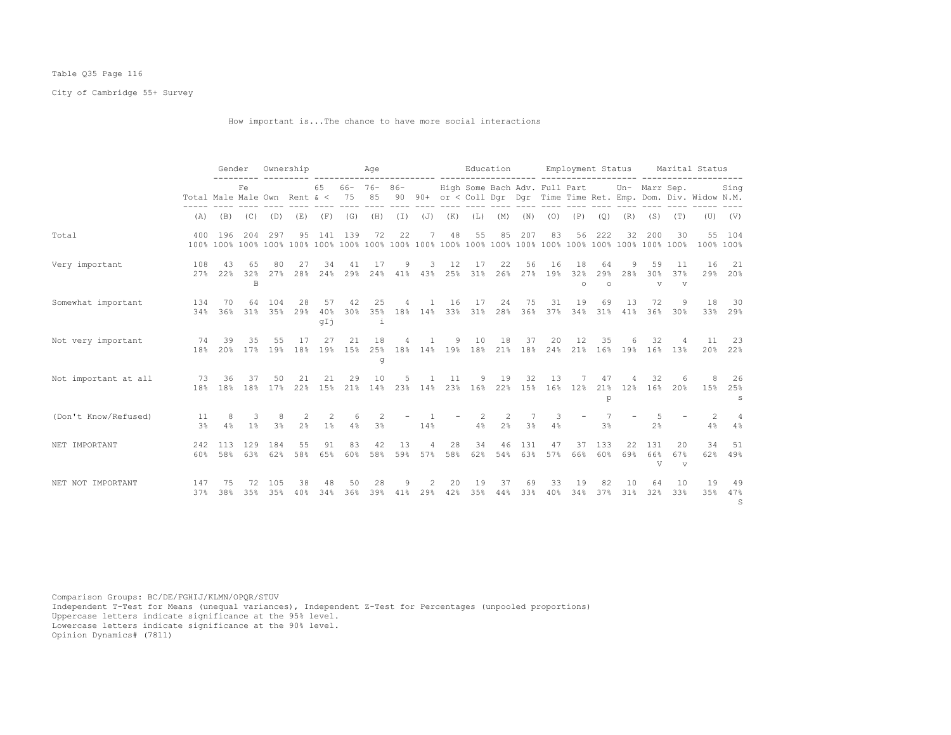# Table Q35 Page 116

City of Cambridge 55+ Survey

How important is...The chance to have more social interactions

|                      |                              | Gender     |                     |                   | Ownership           |                     |                   | Age                    |           |                   |           | Education                         |                     |                |           | Employment Status     |                      |           |                              |                           | Marital Status                                                    |                 |
|----------------------|------------------------------|------------|---------------------|-------------------|---------------------|---------------------|-------------------|------------------------|-----------|-------------------|-----------|-----------------------------------|---------------------|----------------|-----------|-----------------------|----------------------|-----------|------------------------------|---------------------------|-------------------------------------------------------------------|-----------------|
|                      | Total Male Male Own Rent & < |            | Fe                  |                   |                     | 65                  | 75                | $66 - 76 - 86 -$<br>85 |           |                   |           | High Some Bach Adv. Full Part     |                     |                |           |                       |                      |           | Un- Marr Sep.                |                           | 90 90+ or < Coll Dqr Dqr Time Time Ret. Emp. Dom. Div. Widow N.M. | Sing            |
|                      | (A)                          | (B)        |                     | $(C)$ $(D)$       | (E)                 | (F)                 | (G)               | (H)                    |           | $(I)$ $(J)$ $(K)$ |           | (L)                               | (M)                 | (N)            | (0)       | (P)                   | (Q)                  | (R)       | (S)                          | (T)                       |                                                                   | $(U)$ $(V)$     |
| Total                | 400                          | 196        | 204                 | 297               | 95                  | 141 139             |                   | 72                     | 22        | 7                 | 48        | 55                                | 85                  | 207            | 83        | 56                    | 222                  | 32        | 200                          | 30                        | 100% 100%                                                         | 55 104          |
| Very important       | 108<br>2.7%                  | 43<br>22%  | 65<br>32%<br>B      | 80<br>27%         | 27<br>28%           | 34<br>24%           | 41<br>29%         | 17<br>24%              | 9<br>41%  | 3<br>43%          | 12<br>25% | 17<br>31%                         | 22<br>26%           | 56<br>27%      | 16<br>19% | 18<br>32%<br>$\circ$  | 64<br>29%<br>$\circ$ | 9<br>28%  | 59<br>30%<br>$\triangledown$ | 11<br>37%<br>$\mathbf{v}$ | 16                                                                | 21<br>29% 20%   |
| Somewhat important   | 134<br>34%                   | 70<br>36%  | 64                  | 104<br>$31\%$ 35% | 28<br>29%           | 57<br>40%<br>qIj    | 42<br>30%         | 25<br>i                | 4         | $\overline{1}$    | 16        | 17<br>35% 18% 14% 33% 31% 28%     | 24                  | 75<br>36%      | 31        | 19<br>37% 34% 31%     | 69                   | 13<br>41% | 72<br>36%                    | 9<br>30%                  | 18                                                                | 30<br>33% 29%   |
| Not very important   | 74<br>18%                    | 39<br>20%  | 35                  | 55<br>17% 19%     | 17                  | 27                  | 21<br>18% 19% 15% | 18<br>g                | 4         | 1                 | 9         | 10<br>25% 18% 14% 19% 18% 21% 18% | 18                  | 37             | 20        | 12<br>24% 21% 16% 19% | 35                   | 6         | 32                           | 4<br>16% 13%              | 11                                                                | 23<br>20% 22%   |
| Not important at all | 73<br>18%                    | 36<br>18%  | 37<br>18%           | 50<br>17%         | 21<br>22%           | 21<br>15%           | 29<br>21%         | 10<br>14%              | 5         | 23% 14%           | 11<br>23% | 9<br>16%                          | 19<br>22%           | 32<br>15%      | 13<br>16% | 7<br>12 <sup>8</sup>  | 47<br>21%<br>p       | 4<br>12%  | 32<br>16%                    | 6<br>20%                  | 8<br>15%                                                          | 26<br>25%<br>S  |
| (Don't Know/Refused) | 11<br>3 <sup>°</sup>         | 8<br>4%    | 3<br>1 <sup>°</sup> | -8<br>3%          | 2<br>2 <sup>°</sup> | 2<br>1 <sup>°</sup> | 6<br>4%           | 2<br>3 <sup>°</sup>    |           | 14%               |           | 2<br>4%                           | 2<br>2 <sup>°</sup> | 3 <sup>°</sup> | 3<br>4%   |                       | 3 <sup>°</sup>       |           | 2 <sup>°</sup>               |                           | 2<br>4%                                                           | 4<br>4%         |
| NET IMPORTANT        | 242<br>60%                   | 113<br>58% | 129<br>63%          | 184<br>62%        | 55<br>58%           | 91<br>65%           | 83<br>60%         | 42<br>58%              | 13<br>59% | 4<br>57%          | 28<br>58% | 34<br>62%                         | 46<br>54%           | 131<br>63%     | 47<br>57% | 37<br>66%             | 133<br>60%           | 22<br>69% | 131<br>66%<br>V              | 20<br>67%<br>$\mathbf{v}$ | 34<br>62%                                                         | 51<br>49%       |
| NET NOT IMPORTANT    | 147<br>37%                   | 75<br>38%  | 72<br>35%           | 105<br>35%        | 38<br>40%           | 48<br>34%           | 50<br>36%         | 28<br>39%              | 9<br>41%  | 2<br>29%          | 20<br>42% | 19<br>35%                         | 37<br>44%           | 69<br>33%      | 33<br>40% | 19<br>34%             | 82<br>37%            | 10<br>31% | 64<br>32%                    | 10<br>33%                 | 19<br>35%                                                         | -49<br>47%<br>S |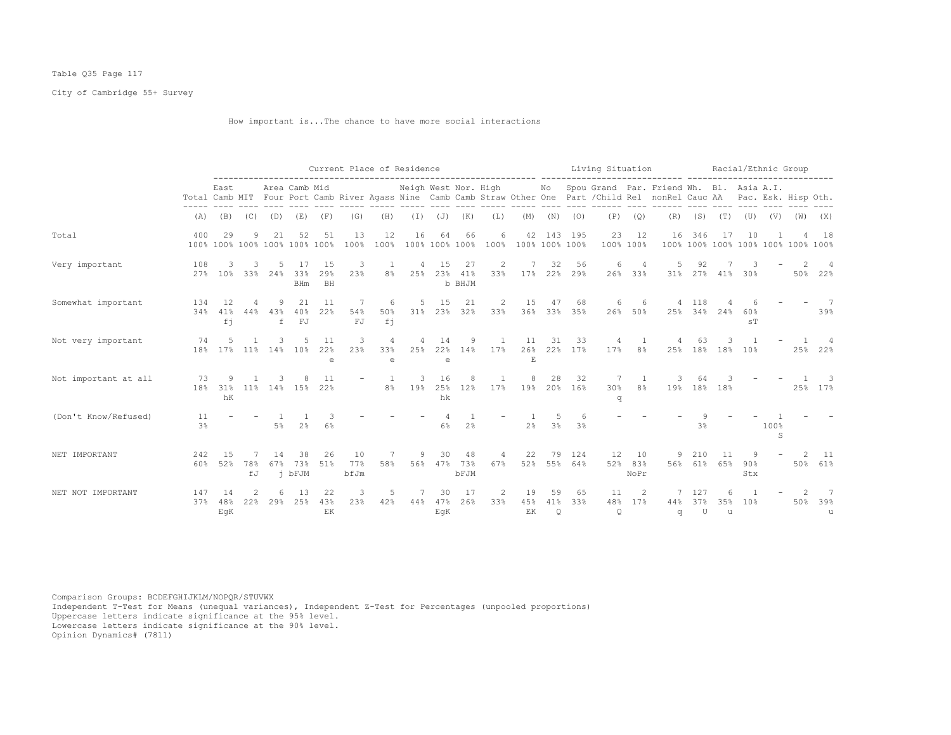# Table Q35 Page 117

City of Cambridge 55+ Survey

How important is...The chance to have more social interactions

|                      |             |                      |           |                         |                                     |                         | Current Place of Residence |                                                      |                      |                         |                      |                       |                 |                      |                           | Living Situation     |                       |                                                                                                                                                                             |                 |             | Racial/Ethnic Group   |                     |                                    |               |
|----------------------|-------------|----------------------|-----------|-------------------------|-------------------------------------|-------------------------|----------------------------|------------------------------------------------------|----------------------|-------------------------|----------------------|-----------------------|-----------------|----------------------|---------------------------|----------------------|-----------------------|-----------------------------------------------------------------------------------------------------------------------------------------------------------------------------|-----------------|-------------|-----------------------|---------------------|------------------------------------|---------------|
|                      |             | East                 |           |                         | Area Camb Mid                       |                         |                            |                                                      | Neigh West Nor. High |                         |                      |                       |                 |                      |                           |                      |                       | No Spou Grand Par. Friend Wh. Bl. Asia A.I.<br>Total Camb MIT Four Port Camb River Agass Nine Camb Camb Straw Other One Part / Child Rel nonRel Cauc AA Pac. Esk. Hisp Oth. |                 |             |                       |                     |                                    |               |
|                      | (A)         | (B)                  | (C)       | (D)                     | (E)                                 | (F)                     | (G)                        | (H)                                                  | (I)                  | ( J )                   | (K)                  | (L)                   | (M)             | (N)                  | (0)                       | (P)                  | (Q)                   | (R)                                                                                                                                                                         | (S)             | (T)         | (U)                   | (V)                 | (W)                                | (X)           |
| Total                | 400         | 29                   | 9         | 21                      | 52<br>100% 100% 100% 100% 100% 100% | 51                      | 13<br>100%                 | 12<br>100%                                           | 16                   | 64                      | 66<br>100% 100% 100% | 6<br>100%             | 42              |                      | 143 195<br>100% 100% 100% | 23                   | 12<br>100% 100%       | 16                                                                                                                                                                          | 346             | 17          | 10                    |                     | 100% 100% 100% 100% 100% 100% 100% | 18            |
| Very important       | 108<br>27%  | 3<br>10 <sup>8</sup> | 3         | 33% 24%                 | -17<br>33%<br><b>BHm</b>            | -15<br>29%<br><b>BH</b> | 3<br>23%                   | 1<br>8%                                              | 4                    | 15<br>25% 23%           | 27<br>41%<br>b BHJM  | -2<br>33%             |                 | 32                   | 56<br>17% 22% 29%         | 6<br>26%             | 33%                   | .5<br>$31\%$                                                                                                                                                                | 92              | 27% 41% 30% |                       |                     |                                    | 50% 22%       |
| Somewhat important   | 134<br>34%  | 12<br>41%<br>fi      | 4<br>44%  | 9<br>43%<br>$\mathbf f$ | 21<br>40%<br>FJ                     | -11<br>22%              | 7<br>54%<br>FJ             | 6<br>50%<br>fj                                       | 5                    | 15                      | 21<br>31% 23% 32%    | 2<br>33%              | 15<br>36%       | 47                   | 68<br>33% 35%             | 6<br>26%             | 6<br>50%              | 25%                                                                                                                                                                         | 118<br>34%      | 24%         | 60%<br>S <sub>T</sub> |                     |                                    | 39%           |
| Not very important   | 74<br>18%   | 17%                  | $11\%$    | 14%                     | 10%                                 | 11<br>22%<br>e          | 3<br>23%                   | 4<br>33%<br>$\mathrel{\mathop{\mathrm{e}}\nolimits}$ | 4<br>25%             | 14<br>22%<br>$\epsilon$ | 9<br>14%             | $\overline{1}$<br>17% | 11<br>26%<br>E  | 31                   | 33<br>22% 17%             | 17%                  | 8%                    | 25%                                                                                                                                                                         | 63<br>18%       | 3<br>18%    | 10%                   |                     |                                    | 25% 22%       |
| Not important at all | 73<br>18%   | 31%<br>hK            | 11%       |                         | 14% 15%                             | 11<br>22%               |                            | 8 <sup>°</sup>                                       | 3<br>19%             | 16<br>25%<br>hk         | 8<br>12%             | 17%                   | 19%             | 28                   | 32<br>20% 16%             | 30%<br>q             | 8%                    | 19%                                                                                                                                                                         | 64              | 18% 18%     |                       |                     | 25%                                | 3<br>17%      |
| (Don't Know/Refused) | 11<br>$3\%$ |                      |           | 5%                      | 2 <sup>°</sup>                      | -3<br>6%                |                            |                                                      |                      | 6%                      | 2%                   |                       | 2 <sup>°</sup>  | .5<br>3 <sup>°</sup> | -6<br>3 <sup>°</sup>      |                      |                       |                                                                                                                                                                             | 3 <sup>8</sup>  |             |                       | 100%<br>$\mathbb S$ |                                    |               |
| NET IMPORTANT        | 242<br>60%  | -1.5<br>52%          | 78%<br>fJ | 14<br>67%               | 38<br>73%<br>j bFJM                 | 26<br>51%               | 10<br>77%<br>bfJm          | 58%                                                  | 9<br>56%             | 30<br>47%               | 48<br>73%<br>bFJM    | 4<br>67%              | 22<br>52%       | 79<br>55%            | 124<br>64%                | 12                   | 10<br>52% 83%<br>NoPr | 9<br>56%                                                                                                                                                                    | 210<br>61%      | 65%         | 90%<br>Stx            |                     | 50%                                | 11<br>61%     |
| NET NOT IMPORTANT    | 147<br>37%  | 14<br>48%<br>EqK     | 22%       | 29%                     | 13<br>25%                           | 22<br>43%<br>EK         | 23%                        | 42%                                                  | 44%                  | 30<br>47%<br>EqK        | 17<br>26%            | 2<br>33%              | 19<br>45%<br>ΕK | 59<br>41%<br>$\circ$ | 65<br>33%                 | 11<br>48%<br>$\circ$ | 2<br>17%              | 44%<br>q                                                                                                                                                                    | 127<br>37%<br>U | 35%<br>u    | 10 <sup>8</sup>       |                     | 50%                                | 7<br>39%<br>u |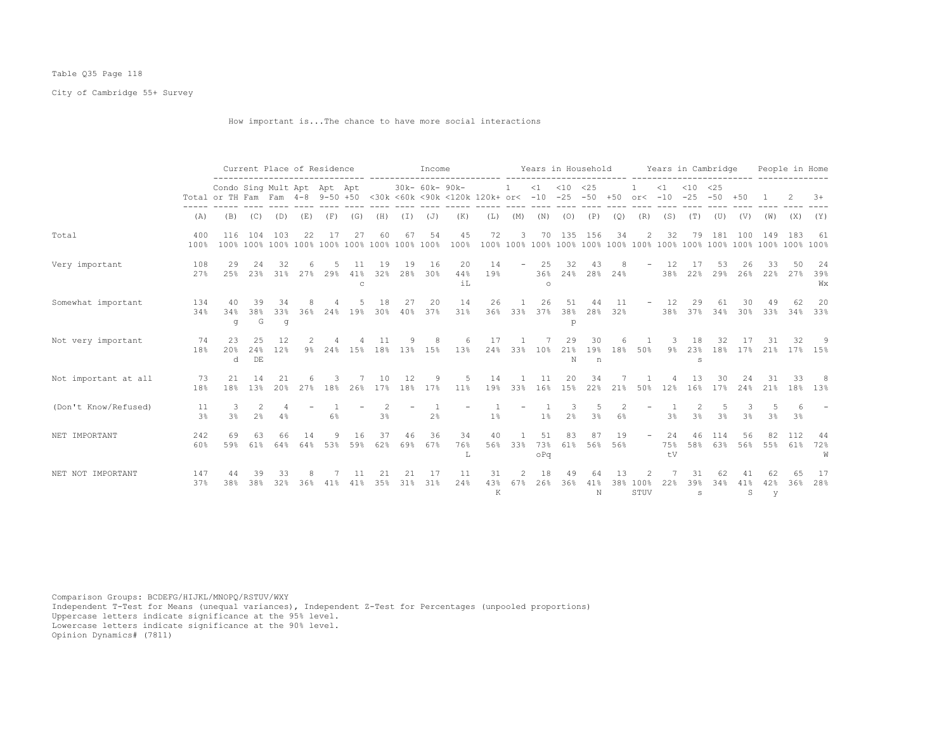# Table Q35 Page 118

City of Cambridge 55+ Survey

How important is...The chance to have more social interactions

|                      |                      | Current Place of Residence<br>Condo Sing Mult Apt Apt Apt                       |                     |                       |             |           |                      |                     |           | Income         |                     |                     |                           |                  |                       |                |           | Years in Household Years in Cambridge |                   |                           |                 |               |                   | People in Home |                 |
|----------------------|----------------------|---------------------------------------------------------------------------------|---------------------|-----------------------|-------------|-----------|----------------------|---------------------|-----------|----------------|---------------------|---------------------|---------------------------|------------------|-----------------------|----------------|-----------|---------------------------------------|-------------------|---------------------------|-----------------|---------------|-------------------|----------------|-----------------|
|                      |                      | Total or TH Fam Fam 4-8 9-50 +50 <30k <60k <90k <120k 120k+ or< -10 -25 -50 +50 |                     |                       |             |           |                      |                     |           | 30k- 60k- 90k- |                     |                     | -1                        |                  | $<1$ $<10$ $<25$      |                |           | or $<-10$                             | $\leq 1$          | $< 10$ $< 25$             | $-25 - 50 + 50$ |               |                   |                | $3+$            |
|                      | (A)                  | (B)                                                                             | (C)                 | (D)                   | (E)         | (F)       | (G)                  | (H)                 |           | $(I)$ $(J)$    | (K)                 | (L)                 | (M)                       | (N)              | (0)                   | (P)            | (Q)       | (R)                                   | (S)               | (T)                       | (U)             | (V)           | (W)               | (X)            | (Y)             |
| Total                | 400<br>100%          | 116                                                                             | 104                 | 103                   | 22          | 17        | 27                   | 60                  | 67        | 54             | 45<br>100%          | 72                  | 3                         | 70               | 135                   | 156            | 34        | 2                                     | 32                | 79                        | 181             | 100           | 149               | 183            | 61              |
| Very important       | 108<br>27%           | 29<br>2.5%                                                                      | 24<br>23%           | 32                    | 31% 27% 29% |           | 41%<br>$\mathcal{C}$ | 19<br>32%           | 19        | 16<br>28% 30%  | 20<br>44%<br>$i$ T. | 14<br>19%           |                           | 25<br>$\circ$    | 32<br>36% 24% 28% 24% | 43             |           |                                       | 12<br>38%         | 17<br>22%                 | 53              | 26            | 33<br>29% 26% 22% | 50<br>27%      | 24<br>39%<br>Wх |
| Somewhat important   | 134<br>34%           | 40<br>34%<br>g                                                                  | 39<br>38%<br>G      | 34<br>33%<br>$\sigma$ | 36%         | 24%       | 19%                  | 18<br>30%           | 27<br>40% | 20<br>37%      | 14<br>31%           | 26                  | $\overline{1}$<br>36% 33% | 26<br>37%        | 51<br>38%<br>p        | 44<br>28%      | 11<br>32% | $\overline{\phantom{0}}$              | 12<br>38%         | 29                        | 61<br>37% 34%   | 30<br>30%     | 49<br>33%         | 62             | 20<br>34% 33%   |
| Not very important   | 74<br>18%            | 23<br>20%<br>d                                                                  | 25<br>24%<br>DE     | 12<br>12%             |             | $9\%$ 24% | 15%                  |                     |           | 18% 13% 15%    | 13%                 | 17<br>24%           | 33%                       | 10%              | 29<br>21%<br>N        | 30<br>19%<br>n | 18%       | 50%                                   | $9\%$             | 18<br>23%<br>S            | 32.<br>18%      | 17%           | 21%               |                | 17% 15%         |
| Not important at all | 73<br>18%            | 21<br>18%                                                                       | 14<br>13%           | 21<br>20%             |             | 27% 18%   |                      | 10<br>26% 17%       | 12        | 9<br>18% 17%   | 5<br>11%            | 14<br>19%           | 33%                       | 11<br>16%        | 20<br>15%             | 34<br>22%      | 21%       | 50%                                   | 12%               | 13<br>16%                 | 30              | 24<br>17% 24% | 31<br>21%         | 33             | -8<br>18% 13%   |
| (Don't Know/Refused) | 11<br>3 <sup>°</sup> | 3%                                                                              | 2<br>2 <sup>°</sup> | 4%                    |             | 6%        |                      | $\mathcal{L}$<br>3% |           | 2 <sup>°</sup> |                     | $1\%$               |                           | 1 <sup>°</sup>   | 2 <sup>°</sup>        | 3%             | 6%        |                                       | 3%                | 3 <sup>°</sup>            | 3%              | 3%            | 3%                | 3%             |                 |
| NET IMPORTANT        | 242<br>60%           | 69<br>59%                                                                       | 63<br>61%           | 66<br>64%             | 14<br>64%   | 9<br>53%  | 16<br>59%            | 37<br>62%           | 46<br>69% | 36<br>67%      | 34<br>76%<br>L      | 40<br>56%           | 33%                       | 51<br>73%<br>oPq | 83                    | 87<br>61% 56%  | 19<br>56% | $\sim$                                | 24<br>75%<br>$+V$ | 46                        | 114<br>58% 63%  | 56            | 82<br>56% 55%     | 112<br>61%     | 44<br>72%<br>W  |
| NET NOT IMPORTANT    | 147<br>37%           | 44<br>38%                                                                       | 39<br>38%           | 33<br>32%             | 36%         | 41%       | 11<br>41%            | 35%                 | 21<br>31% | 17<br>31%      | 11<br>24%           | 31<br>43%<br>$\,$ K | 2<br>67%                  | 18<br>26%        | 49<br>36%             | 41%<br>N       | 13<br>38% | 2<br>100%<br>STUV                     | 22%               | 31<br>39%<br>$\mathtt{s}$ | 62<br>34%       | 41%<br>S      | 42%<br>y          | 65<br>36%      | 17<br>28%       |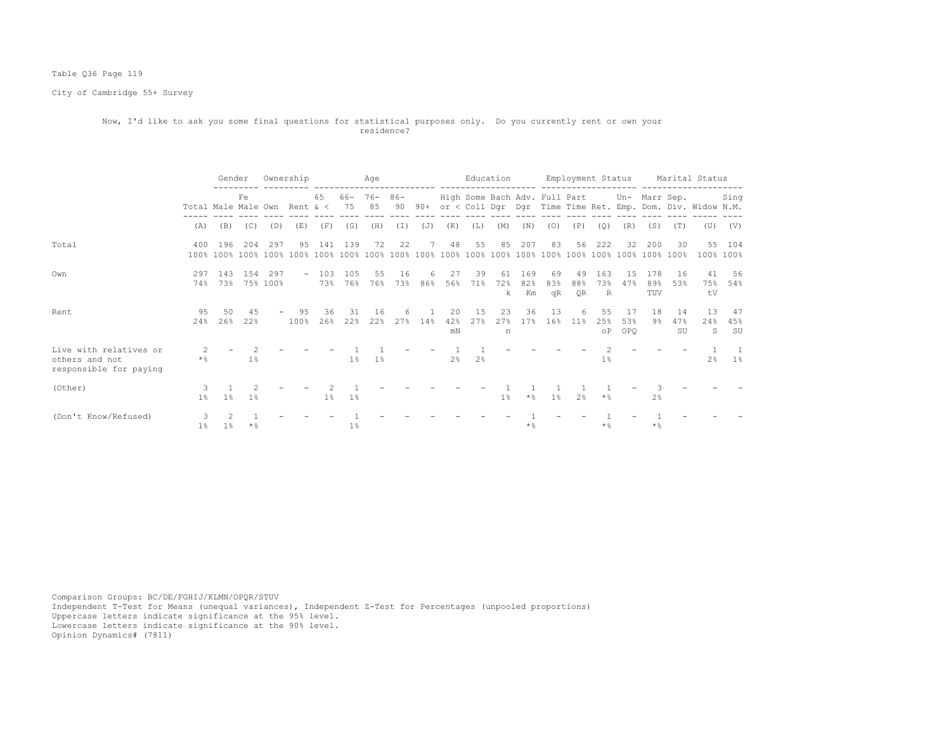# Table Q36 Page 119

City of Cambridge 55+ Survey

#### Now, I'd like to ask you some final questions for statistical purposes only. Do you currently rent or own your residence?

|                                                                    |                              | Gender         |                      |     | Ownership                |            |                | Age            |           |          |                 | Education      |                |                  |                                             |                 |                        |                         |                   |                 | Employment Status Marital Status                               |                     |
|--------------------------------------------------------------------|------------------------------|----------------|----------------------|-----|--------------------------|------------|----------------|----------------|-----------|----------|-----------------|----------------|----------------|------------------|---------------------------------------------|-----------------|------------------------|-------------------------|-------------------|-----------------|----------------------------------------------------------------|---------------------|
|                                                                    | Total Male Male Own Rent & < |                | Fe.                  |     |                          | 65         | 66- 76-<br>75  | 85             | 86-<br>90 |          |                 |                |                |                  | High Some Bach Adv. Full Part Un- Marr Sep. |                 |                        |                         |                   |                 | 90+ or < Coll Dgr Dgr Time Time Ret. Emp. Dom. Div. Widow N.M. | Sing                |
|                                                                    | (A)                          | (B)            | (C)                  | (D) | (E)                      | (F)        | (G)            | (H)            | (I)       | (J)      | (K)             | (L)            | (M)            | (N)              | (0)                                         | (P)             | (Q)                    | (R)                     | (S)               | (T)             | (U)                                                            | (V)                 |
| Total                                                              | 400                          | 196            | 204                  | 297 | 95                       | 141        | 139            | 72             | 22        | 7        | 48              | 55             | 85             | 207              | 83                                          | 56              | 222                    | 32                      | 200               | 30              |                                                                | 55 104<br>100% 100% |
| Own                                                                | 297<br>74%                   | 143            | 1.54<br>73% 75% 100% | 297 | $\overline{\phantom{a}}$ | 103<br>73% | 105<br>76%     | 55<br>76%      | 16<br>73% | 6<br>86% | 27<br>56%       | 39<br>71%      | 61<br>72%<br>k | 169<br>82%<br>Km | 69<br>83%<br>qR                             | 49<br>88%<br>0R | 163<br>73%<br>R        | 1.5<br>47%              | 178<br>89%<br>TUV | -16<br>53%      | 41<br>75%<br>tV                                                | 56<br>54%           |
| Rent                                                               | 95<br>24%                    | 50<br>26%      | 45<br>22%            |     | 95<br>$ -$<br>100%       | 36<br>26%  | 31<br>22%      | 16<br>22%      | 6<br>27%  | 14%      | 20<br>42%<br>mN | 15<br>27%      | 23<br>27%<br>n | 36<br>17%        | 13<br>16%                                   | 6<br>11%        | 55<br>25%<br>$\circ$ P | 17<br>53%<br><b>OPO</b> | 18<br>9%          | 14<br>47%<br>SU | 13<br>24%<br>S                                                 | 47<br>45%<br>SU     |
| Live with relatives or<br>others and not<br>responsible for paying | $\star$ %                    |                | 1%                   |     |                          |            | $1\%$          | 1 <sup>°</sup> |           |          | 2 <sup>°</sup>  | 2 <sup>°</sup> |                |                  |                                             |                 | $1\%$                  |                         |                   |                 | 2%                                                             | -1<br>$1\,$ s       |
| (Other)                                                            | $1\%$                        | 1 <sup>°</sup> | $1\%$                |     |                          | $1\%$      | $1\%$          |                |           |          |                 |                | $1\%$          | $\star$ %        | $1\%$                                       | 2 <sup>8</sup>  | $*$ %                  |                         | 2 <sup>8</sup>    |                 |                                                                |                     |
| (Don't Know/Refused)                                               | 3<br>$1\%$                   | 1 <sup>°</sup> | $\star$ %            |     |                          |            | 1 <sup>°</sup> |                |           |          |                 |                |                | $\star$ &        |                                             |                 | $\star$ &              |                         | $*$ &             |                 |                                                                |                     |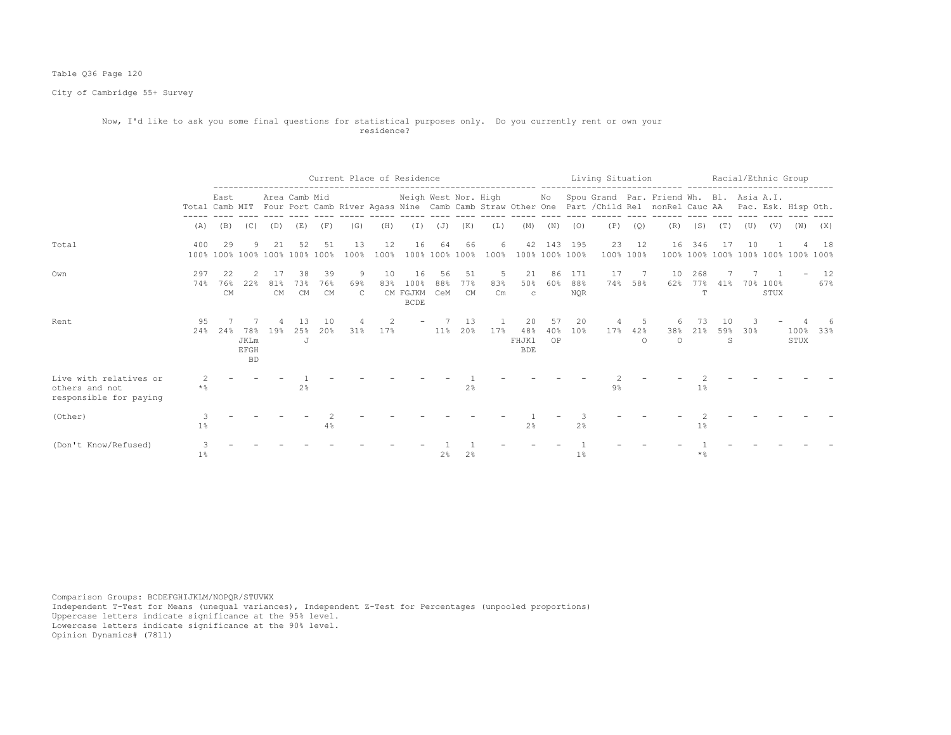# Table Q36 Page 120

City of Cambridge 55+ Survey

#### Now, I'd like to ask you some final questions for statistical purposes only. Do you currently rent or own your residence?

|                                                                    |                |                                     |                                         |           |                 |                 |                          | Current Place of Residence |                                       |                      |                        |                 |                                  |                |                          |       |                            | Living Situation Racial/Ethnic Group                                                                                                                                                             |                    |         |         |                                    |                 |           |
|--------------------------------------------------------------------|----------------|-------------------------------------|-----------------------------------------|-----------|-----------------|-----------------|--------------------------|----------------------------|---------------------------------------|----------------------|------------------------|-----------------|----------------------------------|----------------|--------------------------|-------|----------------------------|--------------------------------------------------------------------------------------------------------------------------------------------------------------------------------------------------|--------------------|---------|---------|------------------------------------|-----------------|-----------|
|                                                                    |                | East                                |                                         |           | Area Camb Mid   |                 |                          |                            |                                       |                      |                        |                 |                                  |                |                          |       |                            | Neigh West Nor. High Mo Spou Grand Par. Friend Wh. Bl. Asia A.I.<br>Total Camb MIT Four Port Camb River Agass Nine Camb Camb Straw Other One Part / Child Rel nonRel Cauc AA Pac. Esk. Hisp Oth. |                    |         |         |                                    |                 |           |
|                                                                    | (A)            | (B)                                 | (C)                                     | (D)       | (E)             | (F)             | (G)                      | (H)                        | (I)                                   | (J)                  | (K)                    | (L)             | (M)                              | (N)            | (0)                      | (P)   | (Q)                        | (R)                                                                                                                                                                                              | (S)                | (T)     | (U)     | (V)                                | (W)             | (X)       |
| Total                                                              | 400            | 29<br>100% 100% 100% 100% 100% 100% | 9                                       |           | 52              | 51              | 13<br>100%               | 12<br>100%                 | 16                                    | 64<br>100% 100% 100% | 66                     | 6<br>100%       | 42                               | 100% 100% 100% | 143 195                  |       | 23 12<br>100% 100%         | 16                                                                                                                                                                                               | 346                |         | 10      | 100% 100% 100% 100% 100% 100% 100% |                 | 18        |
| Own                                                                | 297<br>74%     | 76%<br><b>CM</b>                    | 2.2%                                    | 81%<br>CM | 38<br>73%<br>CM | 39<br>76%<br>CM | 9<br>69%<br>$\mathbb{C}$ | 10<br>83%                  | 16<br>100%<br>CM FGJKM<br><b>BCDE</b> | 56<br>88%<br>CeM     | 51<br>77%<br><b>CM</b> | -5<br>83%<br>Cm | 21<br>50%<br>$\mathbf C$         | 86<br>60%      | 171<br>88%<br><b>NOR</b> | 17    | $7\phantom{0}7$<br>74% 58% | 10<br>62%                                                                                                                                                                                        | 268<br>T           | 77% 41% |         | 70% 100%<br>STUX                   |                 | 12<br>67% |
| Rent                                                               | 95<br>24%      | 24%                                 | 78%<br><b>JKLm</b><br>EFGH<br><b>BD</b> | 19%       | 13<br>25%<br>J  | 10<br>20%       | 31%                      | 2<br>17%                   |                                       |                      | 13<br>11% 20%          | 17%             | 20<br>48%<br>FHJKl<br><b>BDE</b> | 57<br>OP       | 20<br>40% 10%            | 4     | 5<br>17% 42%<br>$\circ$    | 38%<br>$\circ$                                                                                                                                                                                   | 73<br>21%          | 10<br>S | 59% 30% |                                    | $100\%$<br>STUX | $33\%$    |
| Live with relatives or<br>others and not<br>responsible for paying | $*$ $\approx$  |                                     |                                         |           | 2 <sup>8</sup>  |                 |                          |                            |                                       |                      | 2%                     |                 |                                  |                |                          | $9\%$ |                            |                                                                                                                                                                                                  | 1 <sup>°</sup>     |         |         |                                    |                 |           |
| (Other)                                                            | 1 <sup>°</sup> |                                     |                                         |           |                 | 4%              |                          |                            |                                       |                      |                        |                 | 2%                               |                | 2 <sup>°</sup>           |       |                            |                                                                                                                                                                                                  | 1%                 |         |         |                                    |                 |           |
| (Don't Know/Refused)                                               | 1 <sup>°</sup> |                                     |                                         |           |                 |                 |                          |                            |                                       | 2%                   | 2%                     |                 |                                  |                | 1 <sup>°</sup>           |       |                            |                                                                                                                                                                                                  | $*$ $\frac{6}{10}$ |         |         |                                    |                 |           |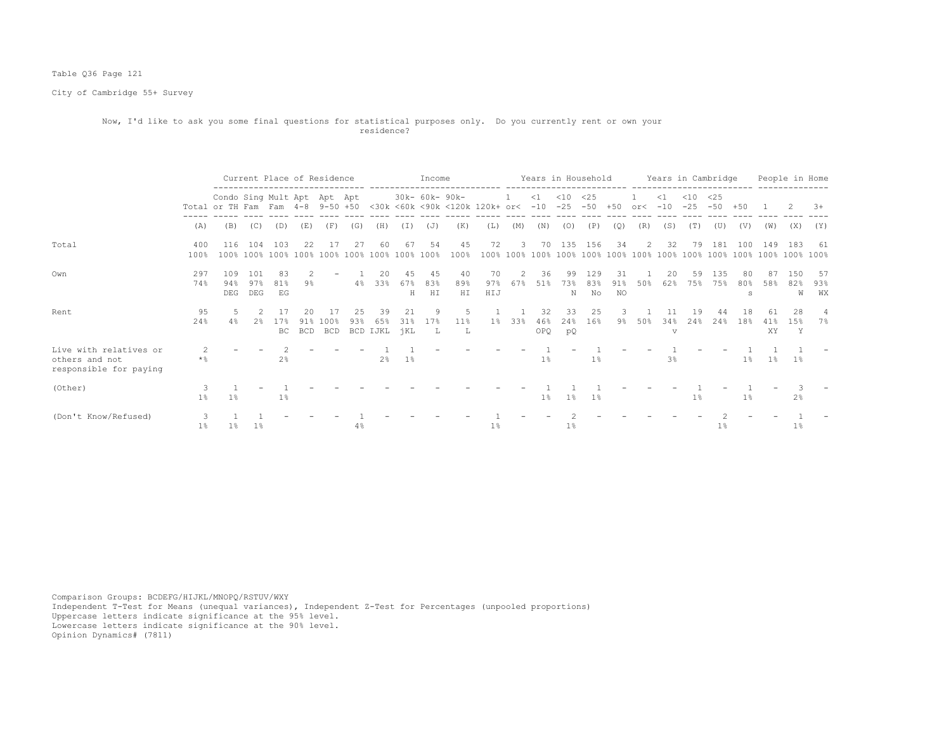# Table Q36 Page 121

City of Cambridge 55+ Survey

#### Now, I'd like to ask you some final questions for statistical purposes only. Do you currently rent or own your residence?

|                                                                    |                |                                                                 |                   |                 | Current Place of Residence |             | ---------------------------- |                       |                  | Income          |                                |                  |                      |                   | Years in Household |                  |                 |        | Years in Cambridge                                         |                 |              |                |           | People in Home  |                   |
|--------------------------------------------------------------------|----------------|-----------------------------------------------------------------|-------------------|-----------------|----------------------------|-------------|------------------------------|-----------------------|------------------|-----------------|--------------------------------|------------------|----------------------|-------------------|--------------------|------------------|-----------------|--------|------------------------------------------------------------|-----------------|--------------|----------------|-----------|-----------------|-------------------|
|                                                                    |                | Condo Sing Mult Apt Apt Apt<br>Total or TH Fam Fam 4-8 9-50 +50 |                   |                 |                            |             |                              |                       |                  | 30k- 60k- 90k-  | <30k <60k <90k <120k 120k+ or< |                  |                      | $\leq 1$<br>$-10$ | $<$ 10<br>$-25$    | <25<br>$-50$     | $+50$           | or<    | ----------- -------------------------<br>$\leq 1$<br>$-10$ | $<$ 10<br>$-25$ | <25<br>$-50$ | $+50$          |           |                 | $3+$              |
|                                                                    | (A)            | (B)                                                             | (C)               | (D)             | (E)                        | (F)         | (G)                          | (H)                   | (I)              | (J)             | (K)                            | (L)              | (M)                  | (N)               | (0)                | (P)              | (Q)             | (R)    | (S)                                                        | (T)             | (U)          | (V)            | (W)       | (X)             | (Y)               |
| Total                                                              | 400<br>100%    | 116                                                             | 104               | 103             | 2.2                        | -17         | 27                           | -60                   | 67               | 54              | 45<br>100%                     | 72               | 3                    | 70                | 135                | 156              | 34              | 2      | 32                                                         | 79              | 181          | 100            | 149       | -183            | -61               |
| Own                                                                | 297<br>74%     | 109<br>94%<br>DEG                                               | 101<br>97%<br>DEG | 83<br>81%<br>EG | 9%                         |             | $4\%$                        | 20<br>33%             | 45<br>67%<br>Н   | 45<br>83%<br>HI | 40<br>89%<br>HI                | 70<br>97%<br>HIJ | $\mathcal{L}$<br>67% | 36<br>51%         | 99<br>73%<br>N     | 129<br>83%<br>No | 31<br>91%<br>NO | 50%    | 20<br>62%                                                  | 59<br>75%       | 135<br>75%   | 80<br>80%<br>S | 87<br>58% | 150<br>82%<br>W | - 57<br>93%<br>WX |
| Rent                                                               | 95<br>24%      | -5<br>4%                                                        | 2<br>2%           | 17<br>17%<br>BC | 20<br>91%<br>BCD           | 100%<br>BCD | 25<br>93%                    | 39<br>65%<br>BCD IJKL | 21<br>31%<br>jKL | 9<br>17%<br>L   | -5<br>11 <sup>8</sup><br>т.    | 1%               | 33%                  | 32<br>46%<br>OPQ. | 33<br>24%<br>pQ    | 25<br>16%        | -3.             | 9% 50% | 11<br>34%<br>$\overline{V}$                                | 19<br>2.4%      | 44<br>2.4%   | 18<br>18%      | 61<br>XY  | 28<br>1.5%<br>Y | 4<br>7%           |
| Live with relatives or<br>others and not<br>responsible for paying | 2<br>$\star$ % |                                                                 |                   | 2 <sup>°</sup>  |                            |             |                              | 2%                    | 1%               |                 |                                |                  |                      | 1%                |                    | $1\%$            |                 |        | 3 <sup>°</sup>                                             |                 |              | $1\%$          | 1%        | $1\%$           |                   |
| (Other)                                                            | $1\%$          | $1\%$                                                           |                   | $1\%$           |                            |             |                              |                       |                  |                 |                                |                  |                      | $1\%$             | $1\%$              | 1%               |                 |        |                                                            | $1\%$           |              | $1\%$          |           | 2%              |                   |
| (Don't Know/Refused)                                               | $1\%$          | $1\,$ %                                                         | $1\%$             |                 |                            |             | $4\%$                        |                       |                  |                 |                                | $1\%$            |                      |                   | $1\%$              |                  |                 |        |                                                            |                 | 1%           |                |           | $1\%$           |                   |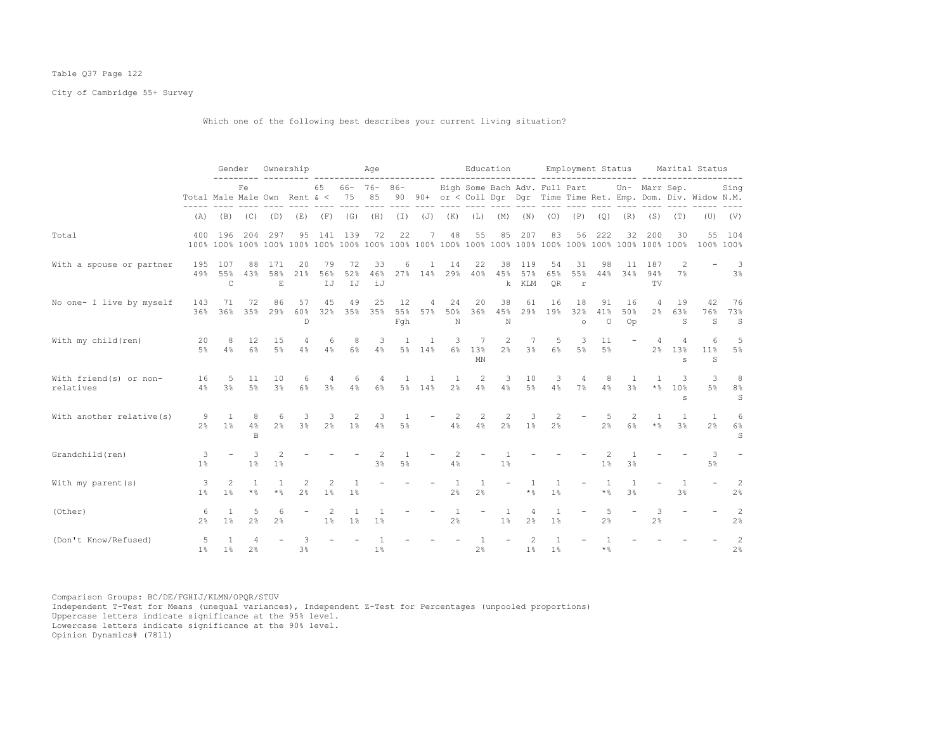# Table Q37 Page 122

City of Cambridge 55+ Survey

Which one of the following best describes your current living situation?

|                                     |                                  | Gender                     |                     |                           | Ownership           |                     |                    | Age                    |                         |                |                                | Education          |                     |                               |                        | Employment Status        |                                       |                                  |                                  |                                  | Marital Status                                                    |                          |
|-------------------------------------|----------------------------------|----------------------------|---------------------|---------------------------|---------------------|---------------------|--------------------|------------------------|-------------------------|----------------|--------------------------------|--------------------|---------------------|-------------------------------|------------------------|--------------------------|---------------------------------------|----------------------------------|----------------------------------|----------------------------------|-------------------------------------------------------------------|--------------------------|
|                                     | Total Male Male Own Rent $\<$ 75 |                            | Fe                  |                           |                     | 65                  |                    | $66 - 76 - 86 -$<br>85 |                         |                |                                |                    |                     | High Some Bach Adv. Full Part |                        |                          |                                       |                                  | Un- Marr Sep.                    |                                  | 90 90+ or < Coll Dqr Dqr Time Time Ret. Emp. Dom. Div. Widow N.M. | Sing                     |
|                                     | (A)                              |                            | $(B)$ $(C)$         | (D)                       | (E)                 |                     | $(F)$ (G)          | (H)                    | $(\top)$                |                | $(J)$ $(K)$                    | (L)                | (M)                 | (N)                           | (0)                    | (P)                      | (Q)                                   | (R)                              | (S)                              | (T)                              |                                                                   | $(U)$ $(V)$              |
| Total                               | 400                              | 196                        | 204                 | 297                       | 95                  | 141                 | 139                | 72                     | 22                      | 7              | 48                             | 55                 | 85                  | 207                           | 83                     | 56                       | 222                                   | 32                               | 200                              | 30                               | 55                                                                | 104<br>100% 100%         |
| With a spouse or partner            | 195<br>49%                       | 107<br>55%<br>$\mathsf{C}$ | 88<br>43%           | 171<br>58%<br>$\mathbf E$ | 20<br>21%           | 79<br>56%<br>IJ     | 72<br>52%<br>IJ    | 33<br>46%<br>iJ        | 6                       | -1.<br>27% 14% | 14<br>29%                      | 22<br>40%          | 38<br>45%<br>k.     | 119<br>57%<br>KLM             | 54<br>65%<br><b>OR</b> | 31<br>55%<br>$\mathbf r$ | 98<br>44%                             | 11<br>34%                        | 187<br>94%<br>TV.                | 2<br>7%                          |                                                                   | - 3<br>3%                |
| No one- I live by myself            | 143<br>36%                       | 71<br>36%                  | 72<br>35%           | 86<br>29%                 | 57<br>60%<br>D      | 45<br>32%           | 49<br>35%          | 25<br>35%              | 12<br>55%<br>Fqh        | 4<br>57%       | 24<br>50%<br>N                 | 20<br>36%          | 38<br>45%<br>N      | 61<br>29%                     | 16<br>19%              | 18<br>32%<br>$\circ$     | 91<br>41%<br>$\circ$                  | 16<br>50%<br>Op                  | $\overline{4}$<br>2 <sup>°</sup> | 19<br>63%<br>S                   | 42<br>76%<br>S                                                    | 76<br>73%<br>$\mathbf S$ |
| With my child (ren)                 | 20<br>$5\%$                      | 8<br>4%                    | 12<br>6%            | 15<br>$5\%$               | 4<br>4%             | 6<br>4%             | 8<br>6%            | 3<br>4%                | $\overline{1}$          | 1<br>5% 14%    | 3<br>$6\%$                     | 7<br>13%<br>MN     | 2<br>2 <sup>°</sup> | 3 <sup>°</sup>                | 5<br>6%                | 3<br>$5\%$               | 11<br>$5\%$                           |                                  | 4<br>$2\frac{6}{9}$              | 4<br>13%<br>$\mathbf{S}$         | 6<br>$11\%$<br>S                                                  | 5<br>5%                  |
| With friend(s) or non-<br>relatives | 16<br>$4\%$                      | -5<br>3%                   | 11<br>5%            | 10<br>3%                  | 6<br>$6\%$          | 4<br>3%             | 6<br>$4\%$         | 4<br>$6\%$             | $\mathbf{1}$            | 1<br>5% 14%    | 1<br>$2\frac{6}{9}$            | 2<br>4%            | 3<br>4%             | 10<br>$5\%$                   | 3<br>4%                | $\overline{4}$<br>7%     | 8<br>4%                               | $\overline{1}$<br>3 <sup>°</sup> | $\mathbf{1}$<br>$\star$ %        | 3<br>10%<br>s                    | 3<br>5%                                                           | $_{\rm 8}$<br>$8\,$<br>S |
| With another relative (s)           | 2 <sup>°</sup>                   | 9<br><sup>1</sup><br>$1\%$ | 8<br>4%<br>B        | 6<br>$2\%$                | 3<br>$3\%$          | 3<br>2 <sup>8</sup> | 2<br>$1\%$         | -3<br>4%               | $\overline{1}$<br>$5\%$ |                | 2<br>4%                        | 2<br>4%            | 2<br>2 <sup>°</sup> | 3<br>1 <sup>°</sup>           | 2<br>2 <sup>°</sup>    |                          | -5<br>2 <sup>°</sup>                  | 2<br>6%                          | $\mathbf{1}$<br>$\star$ %        | $\overline{1}$<br>3 <sup>8</sup> | $\overline{1}$<br>2 <sup>°</sup>                                  | 6<br>$6\%$<br>S          |
| Grandchild (ren)                    | 3<br>1 <sup>°</sup>              |                            | 3<br>1%             | 2<br>1%                   |                     |                     |                    | 2<br>3%                | 1<br>5%                 |                | 2<br>4%                        |                    | 1 <sup>°</sup>      |                               |                        |                          | 1 <sup>°</sup>                        | 3 <sup>°</sup>                   |                                  |                                  | 3<br>5%                                                           |                          |
| With my parent $(s)$                | 3<br>1 <sup>8</sup>              | 2<br>1 <sup>8</sup>        | 1<br>$\star$ %      | <sup>1</sup><br>$\star$ % | 2<br>2 <sup>°</sup> | 2<br>1%             | 1<br>$1\%$         |                        |                         |                | <sup>1</sup><br>2 <sup>°</sup> | $\mathbf{1}$<br>2% |                     | $\mathbf{1}$<br>$\star$ %     | $\overline{1}$<br>1%   |                          | 1<br>$*$ $\frac{6}{10}$               | 1<br>3 <sup>°</sup>              |                                  | $\mathbf{1}$<br>3 <sup>°</sup>   |                                                                   | 2<br>2%                  |
| (Other)                             | 6<br>2 <sup>8</sup>              | 1<br>$1\%$                 | 5<br>2%             | 6<br>2 <sup>°</sup>       |                     | 2<br>1%             | <sup>1</sup><br>1% | 1<br>1%                |                         |                | <sup>1</sup><br>2%             |                    | 1<br>1 <sup>°</sup> | $2\frac{6}{9}$                | 1<br>$1\%$             |                          | 5<br>2 <sup>°</sup>                   |                                  | 3<br>2%                          |                                  |                                                                   | 2<br>2%                  |
| (Don't Know/Refused)                | 5<br>1 <sup>°</sup>              | $1\%$                      | 4<br>2 <sup>°</sup> |                           | 3<br>$3\%$          |                     |                    | $1\%$                  |                         |                |                                | 2 <sup>°</sup>     |                     | $1\%$                         | $1\%$                  |                          | $\mathbf{1}$<br>$\star$ $\frac{6}{6}$ |                                  |                                  |                                  |                                                                   | $\overline{c}$<br>2%     |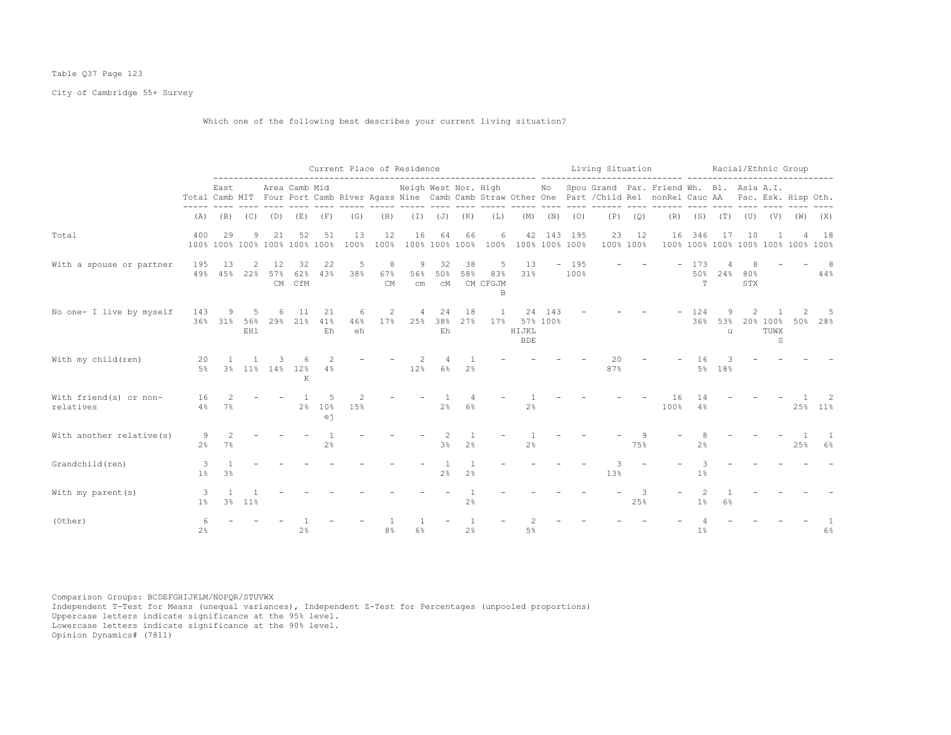# Table Q37 Page 123

City of Cambridge 55+ Survey

Which one of the following best describes your current living situation?

|                                     |                     |                        |                   |                 |                                     |                             |                | Current Place of Residence |                       |                 |                |                                         |                           |                 |                | Living Situation |                         | ------ --------------                                                                                                                                                       |                 |               | Racial/Ethnic Group |                                 |                                    |           |
|-------------------------------------|---------------------|------------------------|-------------------|-----------------|-------------------------------------|-----------------------------|----------------|----------------------------|-----------------------|-----------------|----------------|-----------------------------------------|---------------------------|-----------------|----------------|------------------|-------------------------|-----------------------------------------------------------------------------------------------------------------------------------------------------------------------------|-----------------|---------------|---------------------|---------------------------------|------------------------------------|-----------|
|                                     |                     | East                   |                   |                 | Area Camb Mid                       |                             |                |                            | Neigh West Nor. High  |                 |                |                                         |                           |                 | $- - - - -$    |                  | $\qquad \qquad - - - -$ | No Spou Grand Par. Friend Wh. Bl. Asia A.I.<br>Total Camb MIT Four Port Camb River Agass Nine Camb Camb Straw Other One Part / Child Rel nonRel Cauc AA Pac. Esk. Hisp Oth. |                 |               | $\frac{1}{2}$       |                                 |                                    |           |
|                                     | (A)                 |                        | $(B)$ $(C)$       | (D)             | (E)                                 | (F)                         | (G)            | (H)                        |                       | $(J)$ $(J)$     | (K)            | (L)                                     | (M)                       | (N)             | (0)            | (P)              | (Q)                     | (R)                                                                                                                                                                         |                 | $(S)$ $(T)$   | (U)                 | (V)                             | (W)                                | (X)       |
| Total                               | 400                 | 29                     | 9                 | 21              | 52<br>100% 100% 100% 100% 100% 100% | 51                          | 13<br>100%     | 12<br>100%                 | 16                    | 64              | 66             | 6<br>100% 100% 100% 100% 100% 100% 100% |                           |                 | 42 143 195     | 23               | 12<br>100% 100%         | 16                                                                                                                                                                          | 346             | 17            | 10                  |                                 | 100% 100% 100% 100% 100% 100% 100% | 18        |
| With a spouse or partner            | 195<br>49%          | 13                     | 2<br>45% 22%      | 12<br>57%<br>CM | 32<br>62%<br>CfM                    | 22<br>43%                   | 5<br>38%       | 8<br>67%<br><b>CM</b>      | 9<br>56%<br>cm        | 32<br>50%<br>сM | 38<br>58%      | 5<br>83%<br>CM CFGJM<br>В               | 13<br>31%                 |                 | $-195$<br>100% |                  |                         |                                                                                                                                                                             | 173<br>50%<br>T | 24%           | 80%<br>STX          |                                 |                                    | 8<br>44%  |
| No one- I live by myself            | 143                 | 9<br>36% 31%           | .5.<br>56%<br>EH1 | 6               | 11<br>29% 21%                       | 21<br>41%<br>Eh             | 6<br>46%<br>eh | 2<br>17%                   | $\overline{4}$<br>25% | 24<br>38%<br>Eh | 18<br>27%      | 1<br>17%                                | 24<br>HIJKL<br><b>BDE</b> | 143<br>57% 100% |                |                  |                         |                                                                                                                                                                             | 124<br>36%      | 9<br>53%<br>u |                     | 20% 100%<br>TUWX<br>$\mathbb S$ | 50%                                | -5<br>28% |
| With my child (ren)                 | 20<br>5%            |                        | 3% 11% 14%        |                 | 12%<br>К                            | 4%                          |                |                            | 12%                   | 6%              | 2%             |                                         |                           |                 |                | 20<br>87%        |                         |                                                                                                                                                                             | 16<br>5%        | 18%           |                     |                                 |                                    |           |
| With friend(s) or non-<br>relatives | 16<br>$4\%$         | $\mathcal{L}$<br>$7\%$ |                   |                 | 2 <sup>8</sup>                      | .5<br>10 <sup>°</sup><br>еj | 2<br>15%       |                            |                       | 2 <sup>°</sup>  | $6\%$          |                                         | 2 <sup>°</sup>            |                 |                |                  |                         | 16<br>100%                                                                                                                                                                  | 14<br>4%        |               |                     |                                 |                                    | 25% 11%   |
| With another relative (s)           | 9<br>2 <sup>°</sup> | $\mathcal{L}$<br>7%    |                   |                 |                                     | 2 <sup>°</sup>              |                |                            |                       | 3%              | 2 <sup>°</sup> |                                         | 2 <sup>°</sup>            |                 |                |                  | 75%                     |                                                                                                                                                                             | 2 <sup>°</sup>  |               |                     |                                 | 25%                                | 6%        |
| Grandchild(ren)                     | 3<br>$1\%$          | 3 <sup>°</sup>         |                   |                 |                                     |                             |                |                            |                       | 2%              | $2\frac{6}{9}$ |                                         |                           |                 |                | 13%              |                         |                                                                                                                                                                             | 3<br>1%         |               |                     |                                 |                                    |           |
| With my parent (s)                  | -3<br>$1\%$         |                        | 3% 11%            |                 |                                     |                             |                |                            |                       |                 | 2%             |                                         |                           |                 |                |                  | 25%                     |                                                                                                                                                                             | $1\%$           | 6%            |                     |                                 |                                    |           |
| (Other)                             | 2 <sup>°</sup>      |                        |                   |                 | 2 <sup>°</sup>                      |                             |                | 8%                         | 6%                    |                 | 2%             |                                         | 5%                        |                 |                |                  |                         |                                                                                                                                                                             | 1%              |               |                     |                                 |                                    | $6\%$     |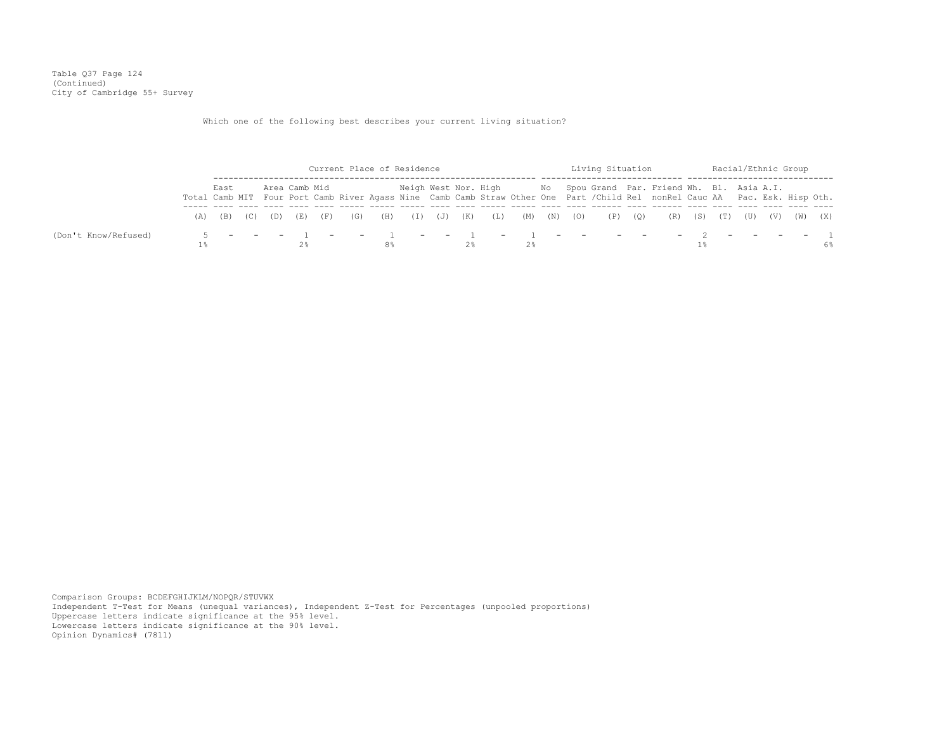Table Q37 Page 124 (Continued) City of Cambridge 55+ Survey

Which one of the following best describes your current living situation?

|                      |      |  |               |  | Current Place of Residence |  |    |  | Living Situation |                                                                                                                              |  |  | Racial/Ethnic Group |    |
|----------------------|------|--|---------------|--|----------------------------|--|----|--|------------------|------------------------------------------------------------------------------------------------------------------------------|--|--|---------------------|----|
|                      | East |  | Area Camb Mid |  |                            |  |    |  |                  | Neigh West Nor. High Mo Spou Grand Par. Friend Wh. Bl. Asia A.I.                                                             |  |  |                     |    |
|                      |      |  |               |  |                            |  |    |  |                  | Total Camb MIT Four Port Camb River Agass Nine Camb Camb Straw Other One Part / Child Rel nonRel Cauc AA Pac. Esk. Hisp Oth. |  |  |                     |    |
|                      |      |  |               |  |                            |  |    |  |                  | (A) (B) (C) (D) (E) (F) (G) (H) (I) (J) (K) (L) (M) (N) (O) (P) (Q) (R) (S) (T) (U) (V) (W) (X)                              |  |  |                     |    |
| (Don't Know/Refused) |      |  |               |  |                            |  |    |  |                  |                                                                                                                              |  |  |                     |    |
|                      |      |  |               |  |                            |  | 2% |  |                  |                                                                                                                              |  |  |                     | 6% |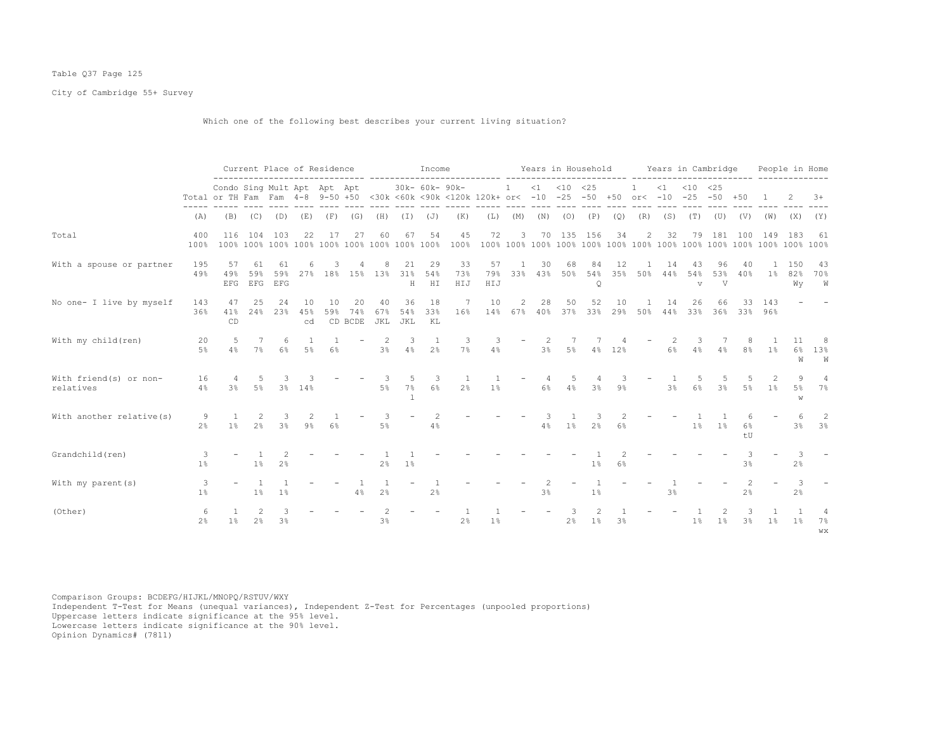# Table Q37 Page 125

City of Cambridge 55+ Survey

Which one of the following best describes your current living situation?

|                                      |                      | Current Place of Residence<br>Condo Sing Mult Apt Apt Apt                                           |                     |                      |                 |                 |                      |                  |                  | Income          |                  |                  |                            |           |               | Years in Household |                |                           |                | Years in Cambridge        |                |                |                | People in Home       |                            |
|--------------------------------------|----------------------|-----------------------------------------------------------------------------------------------------|---------------------|----------------------|-----------------|-----------------|----------------------|------------------|------------------|-----------------|------------------|------------------|----------------------------|-----------|---------------|--------------------|----------------|---------------------------|----------------|---------------------------|----------------|----------------|----------------|----------------------|----------------------------|
|                                      |                      | Total or TH Fam Fam 4-8 9-50 +50 <30k <60k <90k <120k 120k+ or< -10 -25 -50 +50 or< -10 -25 -50 +50 |                     |                      |                 |                 |                      |                  |                  | 30k- 60k- 90k-  |                  |                  | $1 \t < 1 \t < 10 \t < 25$ |           |               |                    |                | $\overline{1}$            |                | $<1$ $<10$ $<25$          |                |                |                |                      | $3+$                       |
|                                      | (A)                  | (B)                                                                                                 | (C)                 | (D)                  | (E)             | (F)             | (G)                  | (H)              | (I)              | (J)             | (K)              | (L)              | (M)                        | (N)       | (O)           | (P)                | (Q)            | (R)                       | (S)            | (T)                       | (U)            | (V)            | (W)            | (X)                  | (Y)                        |
| Total                                | 400<br>100%          | 116                                                                                                 |                     | 104 103              | 22              | 17              | 27                   | 60               | 67               | 54              | 45               | 72               | 3                          |           |               | 70 135 156         | 34             | 2                         | 32             |                           |                | 79 181 100     | 149            | 183                  | -61                        |
| With a spouse or partner             | 195<br>49%           | 57<br>49%<br><b>EFG</b>                                                                             | 61<br>59%           | 61<br>59%<br>EFG EFG |                 | 27% 18% 15% 13% |                      | 8                | 21<br>31%<br>Η   | 29<br>54%<br>HI | 33<br>73%<br>HIJ | 57<br>79%<br>HIJ | -1<br>33%                  | 30        | 68<br>43% 50% | 84<br>Q            | 12             | 54% 35% 50%               | 14<br>44%      | 43<br>54%<br>$\mathbf{V}$ | 96<br>53%<br>V | 40<br>40%      | $1\%$          | 150<br>82%<br>Wy     | -43<br>70%<br>W            |
| No one- I live by myself             | 143<br>36%           | 47<br>41%<br>CD                                                                                     | 25<br>24%           | 24<br>23%            | 10<br>45%<br>cd | 10<br>59%       | 20<br>74%<br>CD BCDE | 40<br>67%<br>JKL | 36<br>54%<br>JKL | 18<br>33%<br>KL | - 7<br>16%       | 10               | 2<br>14% 67%               | 28<br>40% | 50            | 52<br>37% 33%      | 10             | $\overline{1}$<br>29% 50% | 14<br>44%      | 26<br>33% 36%             | 66             | 33.            | 143<br>33% 96% |                      |                            |
| With my child (ren)                  | 20<br>5%             | .5<br>4%                                                                                            | 7<br>$7\%$          | 6<br>6%              | 5%              | 6%              |                      | 2<br>3%          | 3<br>4%          | 1<br>2%         | 3<br>$7\%$       | 4%               |                            | 2<br>3%   | 5%            | 4%                 | 12%            |                           | 6%             | 3<br>4%                   | 4%             | 8%             | 1%             | 11<br>6%<br>W        | 8<br>13%<br>W              |
| With friend (s) or non-<br>relatives | 16<br>4%             | 3%                                                                                                  | 5<br>$5\%$          | 3                    | 3% 14%          |                 |                      | 3<br>5%          | 5<br>$7\%$       | 3<br>$6\%$      | 2 <sup>°</sup>   | 1%               | $\overline{\phantom{m}}$   | 4<br>6%   | 5<br>4%       | 3%                 | 9 <sup>°</sup> |                           | 3 <sup>8</sup> | 5<br>6%                   | -5<br>3%       | 5%             | 1%             | 9<br>$5\%$<br>W      | $\overline{4}$<br>7%       |
| With another relative (s)            | 9<br>2 <sup>°</sup>  | $\mathbf{1}$<br>$1\%$                                                                               | 2<br>2%             | 3<br>3%              | $9\%$           | 6%              |                      | 3<br>$5\%$       |                  | 2<br>4%         |                  |                  |                            | 3<br>4%   | $1\%$         | 2%                 | $6\%$          |                           |                | $1\%$                     | 1%             | 6%<br>tU       |                | $3\%$                | -2<br>3%                   |
| Grandchild(ren)                      | 3<br>$1\%$           |                                                                                                     | $1\%$               | 2 <sup>°</sup>       |                 |                 |                      | 2 <sup>°</sup>   | $1\%$            |                 |                  |                  |                            |           |               | 1 <sup>°</sup>     | 6%             |                           |                |                           |                | 3%             |                | 3<br>2%              |                            |
| With my parent (s)                   | 3<br>1%              |                                                                                                     | $1\%$               | 1%                   |                 |                 | 4%                   | 2 <sup>°</sup>   |                  | 2%              |                  |                  |                            | 3%        |               | 1 <sup>°</sup>     |                |                           | 3 <sup>°</sup> |                           |                | 2 <sup>°</sup> |                | -3<br>2 <sup>°</sup> |                            |
| (Other)                              | -6<br>2 <sup>°</sup> | 1%                                                                                                  | 2<br>2 <sup>°</sup> | 3<br>3 <sup>8</sup>  |                 |                 |                      | 3%               |                  |                 | 2%               | $1\%$            |                            |           | 3<br>2%       | $1\%$              | 3 <sup>°</sup> |                           |                | 1 <sup>°</sup>            | 1%             | 3%             | 1%             | 1%                   | $\overline{4}$<br>7%<br>WX |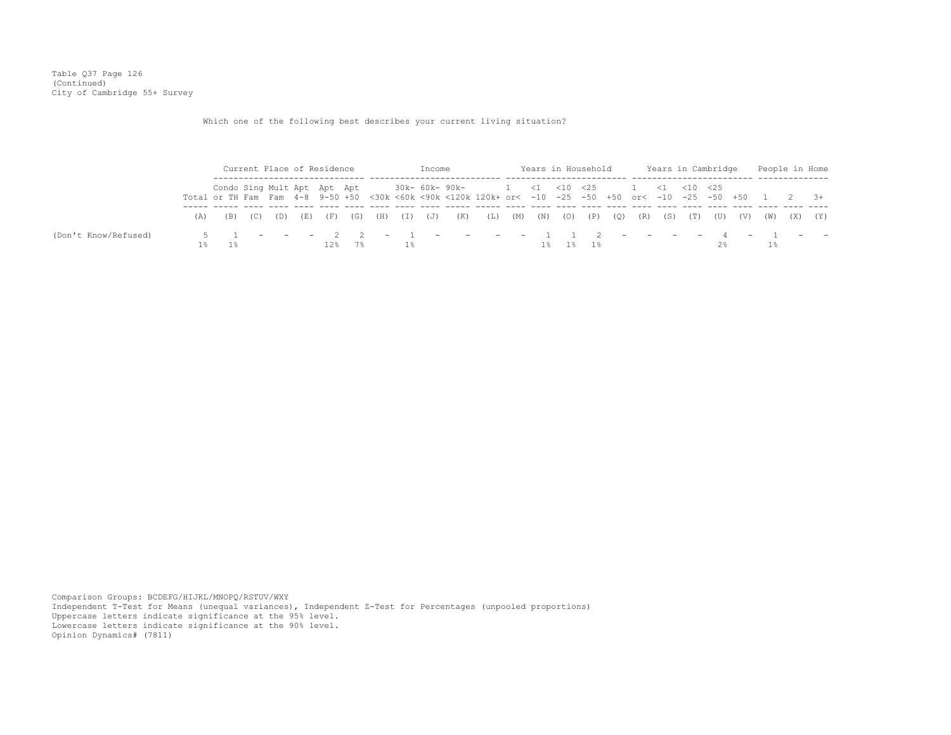Table Q37 Page 126 (Continued) City of Cambridge 55+ Survey

Which one of the following best describes your current living situation?

|                      |                                                     |                                                                                                                                                                                                                     |  |  | Current Place of Residence |  |  |             | Income |                             |  | Years in Household |             |  | Years in Cambridge | People in Home      |  |
|----------------------|-----------------------------------------------------|---------------------------------------------------------------------------------------------------------------------------------------------------------------------------------------------------------------------|--|--|----------------------------|--|--|-------------|--------|-----------------------------|--|--------------------|-------------|--|--------------------|---------------------|--|
|                      |                                                     |                                                                                                                                                                                                                     |  |  |                            |  |  |             |        |                             |  |                    |             |  |                    |                     |  |
|                      |                                                     |                                                                                                                                                                                                                     |  |  |                            |  |  |             |        |                             |  |                    |             |  |                    |                     |  |
|                      | (B)                                                 | Condo Sing Mult Apt Apt Apt 30k- 60k- 90k- $1 \le 1 \le 25$ 1 <1 <10 <25<br>Total or TH Fam Fam 4-8 9-50 +50 <30k <60k <90k <120k 120k+ or< -10 -25 -50 +50 or< -10 -25 -50 +50 1 2 3+<br>(D) (E) (F)<br>(G)<br>(C) |  |  |                            |  |  | (H) (I) (J) |        | (K) (L) (M) (N) (O) (P) (Q) |  |                    | (R) (S) (T) |  |                    | (U) (V) (W) (X) (Y) |  |
| (Don't Know/Refused) | $5$ 1 - - - 2 2 - 1 - - - - 1 1 2 - - - - 4 - 1 - - |                                                                                                                                                                                                                     |  |  |                            |  |  |             |        |                             |  |                    |             |  |                    |                     |  |
|                      |                                                     |                                                                                                                                                                                                                     |  |  | 12%                        |  |  | 1%          |        |                             |  |                    |             |  |                    |                     |  |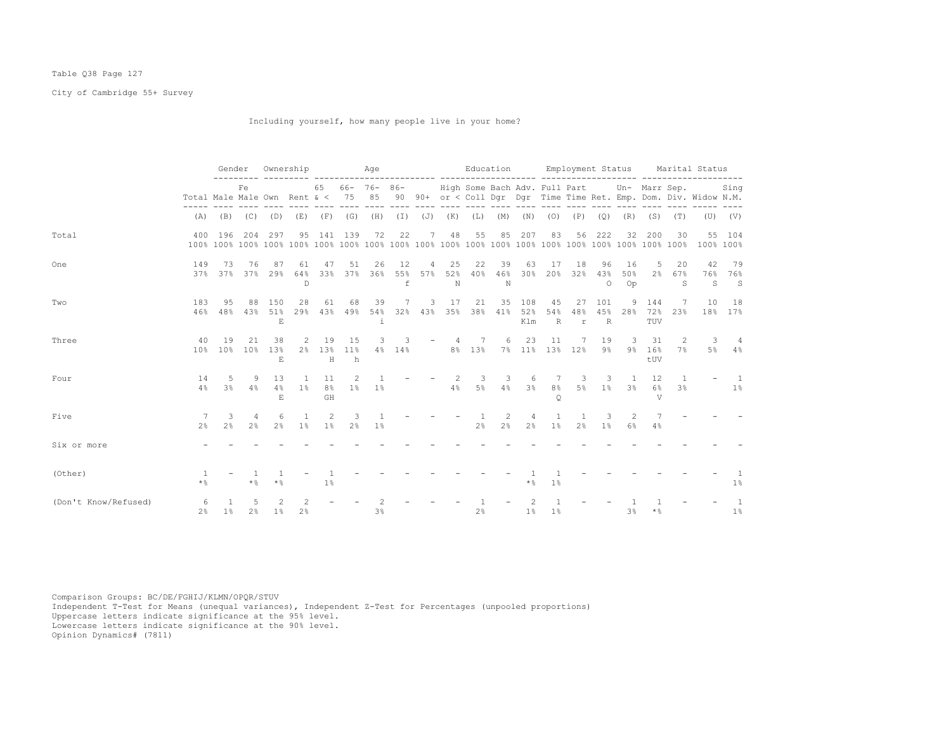# Table Q38 Page 127

City of Cambridge 55+ Survey

Including yourself, how many people live in your home?

|                      |                              | Gender                |                       |                       | Ownership                      |                            |                        | Age            |                           |          |                   | Education             |                |                   |                               |                                | Employment Status     |                      |                                             |                                | Marital Status                                                    |                              |
|----------------------|------------------------------|-----------------------|-----------------------|-----------------------|--------------------------------|----------------------------|------------------------|----------------|---------------------------|----------|-------------------|-----------------------|----------------|-------------------|-------------------------------|--------------------------------|-----------------------|----------------------|---------------------------------------------|--------------------------------|-------------------------------------------------------------------|------------------------------|
|                      | Total Male Male Own Rent & < |                       | Fe                    |                       |                                | 65                         | $66 - 76 - 86 -$<br>75 | 85             |                           |          |                   |                       |                |                   |                               |                                |                       |                      | High Some Bach Adv. Full Part Un- Marr Sep. |                                | 90 90+ or < Coll Dqr Dqr Time Time Ret. Emp. Dom. Div. Widow N.M. | Sing                         |
|                      | (A)                          | (B)                   | (C)                   | (D)                   | (E)                            |                            | $(F)$ $(G)$            | (H)            |                           |          | $(I)$ $(J)$ $(K)$ | (L)                   | (M)            | (N)               | (0)                           |                                | $(P)$ $(Q)$           | (R)                  | (S)                                         | (T)                            |                                                                   | $(U)$ $(V)$                  |
| Total                | 400                          | 196                   | 204                   | 297                   | 95                             | 141                        | 139                    | 72             | 22                        | 7        | 48                | 55                    | 85             | 207               | 83                            | 56                             | 222                   | 32                   | 200                                         | 30                             | 55                                                                | 104<br>100% 100%             |
| One                  | 149                          | 73<br>37% 37%         | 76<br>37%             | 87<br>29%             | 61<br>64%<br>$\mathbb{D}$      | 47<br>33%                  | 51<br>37%              | 26<br>36%      | 12<br>55%<br>$\mathsf{f}$ | 4<br>57% | 25<br>52%<br>N    | 22<br>40%             | 39<br>46%<br>N | 63<br>30%         | 17<br>20%                     | 18<br>32%                      | 96<br>43%<br>$\Omega$ | 16<br>50%<br>Op      | 5<br>2 <sup>°</sup>                         | 20<br>67%<br>S                 | 42<br>S                                                           | 79<br>76% 76%<br>$\mathbf S$ |
| Two                  | 183<br>46%                   | 95<br>48%             | 88<br>43%             | 150<br>51%<br>$F_{i}$ | 28<br>29%                      | 61                         | 68<br>43% 49%          | 39<br>54%      | 7                         | 3        | 17                | 21<br>32% 43% 35% 38% | 35<br>41%      | 108<br>52%<br>Klm | 45<br>54%<br>$\, {\mathbb R}$ | 27<br>48%<br>$\mathtt{r}$      | 101<br>45%<br>R       | 9<br>28%             | 144<br>72%<br>TUV                           | 7<br>23%                       | 10                                                                | 18<br>18% 17%                |
| Three                | 40<br>10 <sup>°</sup>        | 19<br>10 <sup>°</sup> | 21<br>10 <sup>°</sup> | 38<br>13%<br>$F_{i}$  | 2<br>2 <sup>°</sup>            | 19<br>13%<br>H             | 15<br>11%<br>h         | 3<br>$4\%$     | 3<br>14%                  |          | 4                 | 7<br>8% 13%           | 6              | 23<br>7% 11%      | 11                            | 7<br>13% 12%                   | 19<br>$9\%$           | 3<br>$9\%$           | 31<br>16%<br>tUV                            | 2<br>7%                        | 3<br>$5\%$                                                        | 4%                           |
| Four                 | 14<br>4%                     | -5<br>3 <sup>°</sup>  | 9<br>4%               | 13<br>4%<br>E.        | $\mathbf{1}$<br>1%             | 11<br>8 <sup>°</sup><br>GH | 2<br>$1\%$             | 1 <sup>°</sup> |                           |          | -2<br>4%          | 3<br>$5\%$            | 3<br>4%        | 6<br>3%           | 7<br>8 <sup>°</sup><br>O      | 3<br>5%                        | 3<br>1 <sup>8</sup>   | $\overline{1}$<br>3% | 12<br>$6\%$<br>V                            | $\mathbf{1}$<br>3 <sup>°</sup> |                                                                   | $\overline{1}$<br>$1\%$      |
| Five                 | 2 <sup>°</sup>               | 3<br>2 <sup>°</sup>   | 4<br>2 <sup>°</sup>   | 6<br>$2\frac{6}{9}$   | $\mathbf{1}$<br>1 <sup>°</sup> | 2<br>1%                    | 3<br>2%                | 1%             |                           |          |                   | -1<br>$2\frac{6}{9}$  | 2<br>2%        | $2\frac{6}{9}$    | -1.<br>$1\%$                  | $\mathbf{1}$<br>2 <sup>°</sup> | 3<br>1 <sup>°</sup>   | 2<br>6%              | 4%                                          |                                |                                                                   |                              |
| Six or more          |                              |                       |                       |                       |                                |                            |                        |                |                           |          |                   |                       |                |                   |                               |                                |                       |                      |                                             |                                |                                                                   |                              |
| (Other)              | $\star$ &                    |                       | $*$ %                 | $\star$ %             |                                | $1\%$                      |                        |                |                           |          |                   |                       |                | $\star$ %         | 1%                            |                                |                       |                      |                                             |                                |                                                                   | $1\%$                        |
| (Don't Know/Refused) | 6<br>2 <sup>8</sup>          | $1\%$                 | $\overline{5}$<br>2%  | $1\%$                 | $2\frac{6}{9}$                 |                            |                        | 3 <sup>8</sup> |                           |          |                   | 2%                    |                | 1%                | 1%                            |                                |                       | 3 <sup>°</sup>       | * %                                         |                                |                                                                   | $\overline{1}$<br>1%         |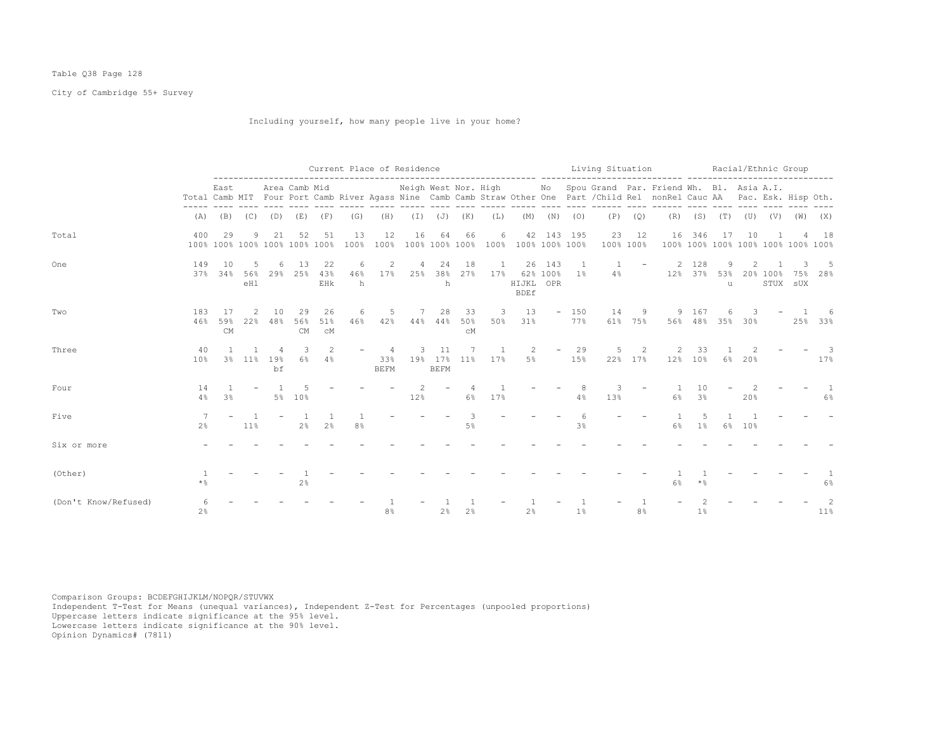# Table Q38 Page 128

City of Cambridge 55+ Survey

Including yourself, how many people live in your home?

|                      |                      |                                     |                      |           |                 |                      |               | Current Place of Residence |                      |                              |                             | ---------------------          |                          |                          |               | Living Situation |              |                                                                                                                                                                             |                          |                                          |         | Racial/Ethnic Group                          |                 |                       |
|----------------------|----------------------|-------------------------------------|----------------------|-----------|-----------------|----------------------|---------------|----------------------------|----------------------|------------------------------|-----------------------------|--------------------------------|--------------------------|--------------------------|---------------|------------------|--------------|-----------------------------------------------------------------------------------------------------------------------------------------------------------------------------|--------------------------|------------------------------------------|---------|----------------------------------------------|-----------------|-----------------------|
|                      |                      | East                                |                      |           | Area Camb Mid   |                      |               |                            | Neigh West Nor. High |                              |                             |                                |                          |                          |               |                  |              | No Spou Grand Par. Friend Wh. Bl. Asia A.I.<br>Total Camb MIT Four Port Camb River Agass Nine Camb Camb Straw Other One Part / Child Rel nonRel Cauc AA Pac. Esk. Hisp Oth. |                          |                                          |         |                                              |                 |                       |
|                      | (A)                  | (B)                                 | (C)                  | (D)       | (E)             | (F)                  | (G)           | (H)                        |                      |                              | $(I)$ $(J)$ $(K)$           | (L)                            | (M)                      | (N)                      | (0)           | (P)              | (Q)          |                                                                                                                                                                             | $(R)$ $(S)$ $(T)$        |                                          |         | $(\mathbb{U})$ $(\mathbb{V})$ $(\mathbb{W})$ |                 | (X)                   |
| Total                | 400                  | 29<br>100% 100% 100% 100% 100% 100% | 9                    | 21        | 52              | 51                   | 13<br>100%    | 12<br>100%                 | 16                   | 64                           | 66<br>100% 100% 100%        | 6<br>100%                      | 42<br>100% 100% 100%     |                          | 143 195       | 23<br>100% 100%  | 12           | 16                                                                                                                                                                          | 346                      | 17<br>100% 100% 100% 100% 100% 100% 100% | 10      |                                              |                 | 18                    |
| One                  | 149<br>37%           | 10<br>34%                           | 5<br>56%<br>eHl      | 6<br>29%  | 13<br>25%       | 22<br>43%<br>EHk     | 6<br>46%<br>h | 2<br>17%                   | 4<br>25%             | 24<br>38%<br>h               | 18<br>27%                   | 1<br>17%                       | HIJKL OPR<br><b>BDEf</b> | 26 143<br>62% 100%       | -1<br>$1\%$   | 4%               |              | 2<br>12%                                                                                                                                                                    | 128<br>$37\%$            | 9<br>53%<br>11                           |         | 20% 100%                                     | 75%<br>STUX SUX | 28%                   |
| Two                  | 183<br>46%           | 17<br>59%<br><b>CM</b>              | $\mathcal{L}$<br>22% | 10<br>48% | 29<br>56%<br>CM | 26<br>51%<br>CM      | 6<br>46%      | 42%                        |                      | -28<br>44% 44%               | 33<br>50%<br>C <sub>M</sub> | $\overline{\mathbf{3}}$<br>50% | 13<br>31%                |                          | $-150$<br>77% | 14               | 9<br>61% 75% | 9.<br>56%                                                                                                                                                                   | 167<br>48%               |                                          | 35% 30% |                                              |                 | 25% 33%               |
| Three                | 40<br>10%            |                                     | 3% 11%               | 19%<br>bf | 3<br>6%         | $\overline{2}$<br>4% |               | 33%<br><b>BEFM</b>         | 3                    | 11<br>19% 17%<br><b>BEFM</b> | 7<br>$11\%$                 | $\overline{1}$<br>17%          | 2<br>5%                  | $\overline{\phantom{a}}$ | 29<br>15%     | 5                | 2<br>22% 17% | $\mathcal{L}$                                                                                                                                                               | 33<br>12% 10%            | 6%                                       | 20%     |                                              |                 | 3<br>17%              |
| Four                 | 14<br>4%             | 3 <sup>°</sup>                      |                      | $5\%$     | 10%             |                      |               |                            | $\mathcal{L}$<br>12% |                              | 6%                          | 17%                            |                          |                          | -8<br>4%      | 3<br>13%         |              | 6%                                                                                                                                                                          | 10<br>3%                 |                                          | 20%     |                                              |                 | $6\%$                 |
| Five                 | 2 <sup>°</sup>       | $\overline{\phantom{a}}$            | $11\%$               |           | 2%              | 2%                   | 8%            |                            |                      |                              | 3<br>5%                     |                                |                          |                          | 6<br>3%       |                  |              | $6\%$                                                                                                                                                                       | $5\overline{2}$<br>$1\%$ | $6\%$                                    | 10%     |                                              |                 |                       |
| Six or more          |                      |                                     |                      |           |                 |                      |               |                            |                      |                              |                             |                                |                          |                          |               |                  |              |                                                                                                                                                                             |                          |                                          |         |                                              |                 |                       |
| (Other)              | $\star$ %            |                                     |                      |           | $2\frac{6}{9}$  |                      |               |                            |                      |                              |                             |                                |                          |                          |               |                  |              | $6\%$                                                                                                                                                                       | $\star$ %                |                                          |         |                                              |                 | $6\%$                 |
| (Don't Know/Refused) | -6<br>$2\frac{6}{6}$ |                                     |                      |           |                 |                      |               | 8%                         |                      | 2%                           | 2%                          |                                | $2\frac{6}{5}$           |                          | $1\%$         |                  | 8%           |                                                                                                                                                                             | 1%                       |                                          |         |                                              |                 | $\overline{2}$<br>11% |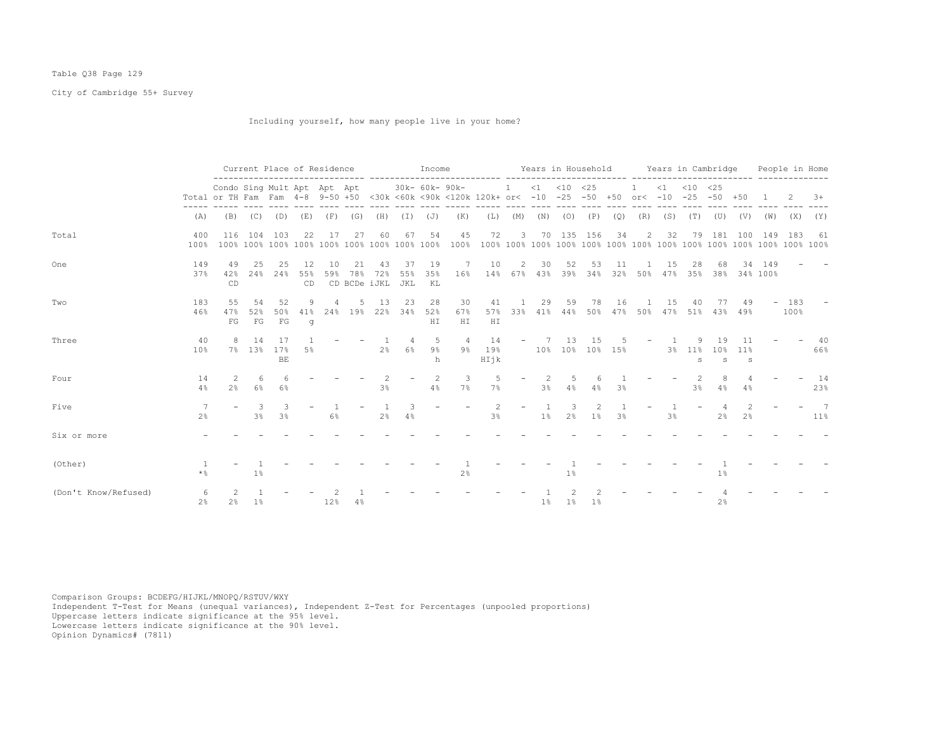# Table Q38 Page 129

City of Cambridge 55+ Survey

Including yourself, how many people live in your home?

|                      |                       |                                                                                                                                    |                   | Current Place of Residence |                 |           |                               |                     |                      | Income           |                 |                      |                          |       |                               |                        |     |                          |                                                               |                             | Years in Household Years in Cambridge                  |                                 |                |                | People in Home         |
|----------------------|-----------------------|------------------------------------------------------------------------------------------------------------------------------------|-------------------|----------------------------|-----------------|-----------|-------------------------------|---------------------|----------------------|------------------|-----------------|----------------------|--------------------------|-------|-------------------------------|------------------------|-----|--------------------------|---------------------------------------------------------------|-----------------------------|--------------------------------------------------------|---------------------------------|----------------|----------------|------------------------|
|                      |                       | Condo Sing Mult Apt Apt Apt<br>Total or TH Fam Fam 4-8 9-50 +50 <30k <60k <90k <120k 120k+ or< -10 -25 -50 +50 or< -10 -25 -50 +50 |                   |                            |                 |           |                               |                     |                      | 30k- 60k- 90k-   |                 | . _ _ _ _ _ _ _ _    |                          |       | $1 \t < 1 \t < 10 \t < 25$    |                        |     | 1                        | $\langle 1 \rangle$ $\langle 10 \rangle$ $\langle 25 \rangle$ |                             |                                                        |                                 | $\overline{1}$ |                | $3+$                   |
|                      | (A)                   |                                                                                                                                    | $(B)$ $(C)$ $(D)$ |                            | (E)             |           | $(F)$ $(G)$                   | (H)                 |                      | $(I)$ $(J)$      | (K)             | (L)                  |                          |       | $(M)$ $(N)$ $(O)$ $(P)$       |                        | (Q) | (R)                      | (S)                                                           | (T)                         | (U)                                                    | (V)                             |                | $(W)$ $(X)$    | (Y)                    |
| Total                | 400<br>100%           | 116                                                                                                                                | 104               | 103                        | 22              | 17        | 27                            | 60                  | 67                   | 54               | 45              | 72                   | 3                        | 70    |                               | 135 156                | 34  | 2                        | 32                                                            | 79                          | 181                                                    | 100                             | 149            | 183            | - 61                   |
| One                  | 149<br>37%            | 49<br>42%<br>CD.                                                                                                                   | 25                | 25<br>24% 24%              | 12<br>55%<br>CD | 10<br>59% | 21<br>78%<br>CD BCDe iJKL JKL | 43<br>72%           | 37<br>55%            | 19<br>35%<br>KL  | 7<br>16%        | 10                   | 2                        | 30    | 52                            | 53                     | 11  |                          | 15                                                            | 28                          | 68<br>14% 67% 43% 39% 34% 32% 50% 47% 35% 38% 34% 100% | 34                              | 149            |                |                        |
| Two                  | 183<br>46%            | 55<br>47%<br>FG                                                                                                                    | 54<br>52%         | 52<br>50%<br>FG FG         | 9<br>$\alpha$   | 41% 24%   | 5<br>19%                      | 13                  | 23<br>22% 34%        | 28<br>52%<br>H I | 30<br>67%<br>HI | 41<br>57%<br>H I     |                          | 29    | 59<br>33% 41% 44% 50% 47% 50% | 78                     | 16  | $\mathbf{1}$             | 15                                                            | 40                          | 77<br>47% 51% 43% 49%                                  | 49                              |                | $-183$<br>100% |                        |
| Three                | 40<br>10 <sup>8</sup> | 8                                                                                                                                  | 14                | 17<br>7% 13% 17%<br>BE     | 5%              |           |                               | 2%                  | $\overline{4}$<br>6% | -5<br>9%<br>h    | $\overline{4}$  | 14<br>9% 19%<br>HIjk | $\overline{\phantom{a}}$ | 7     | 13<br>10% 10% 10% 15%         | 15                     | -5. |                          | $-1$ 1                                                        | 9<br>3% 11%<br>$\mathbf{s}$ | 19<br>s                                                | 11<br>10% 11%<br>S              |                |                | 40<br>66%              |
| Four                 | 14<br>4%              | $\mathcal{L}$<br>2%                                                                                                                | 6<br>6%           | $\epsilon$<br>6%           |                 |           |                               | $\mathcal{L}$<br>3% |                      | 2<br>4%          | 3<br>$7\%$      | -5<br>$7\%$          |                          | 3%    | 5.<br>4%                      | 4%                     | 3%  |                          |                                                               | $\mathcal{L}$<br>3%         | 8<br>4%                                                | 4%                              |                |                | 14<br>23%              |
| Five                 | 2 <sup>°</sup>        |                                                                                                                                    | 3<br>3%           | 3<br>3%                    |                 | 6%        |                               | 2%                  | 3<br>4%              |                  |                 | 2<br>3%              | $\overline{\phantom{a}}$ | $1\%$ | 3                             | 2<br>$2\frac{6}{6}$ 1% | 3%  | $\overline{\phantom{a}}$ | 3%                                                            |                             | $\overline{a}$<br>2 <sup>°</sup>                       | $\mathcal{L}$<br>2 <sup>°</sup> |                |                | $7\phantom{0}7$<br>11% |
| Six or more          |                       |                                                                                                                                    |                   |                            |                 |           |                               |                     |                      |                  |                 |                      |                          |       |                               |                        |     |                          |                                                               |                             |                                                        |                                 |                |                |                        |
| (Other)              | - 1<br>$\star$ %      |                                                                                                                                    | $1\%$             |                            |                 |           |                               |                     |                      |                  | 2%              |                      |                          |       | $1\%$                         |                        |     |                          |                                                               |                             | 1%                                                     |                                 |                |                |                        |
| (Don't Know/Refused) | $2\frac{6}{9}$        | 2%                                                                                                                                 | 1%                |                            |                 | 12%       | 4%                            |                     |                      |                  |                 |                      |                          | $1\%$ |                               | 1% 1%                  |     |                          |                                                               |                             | 2%                                                     |                                 |                |                |                        |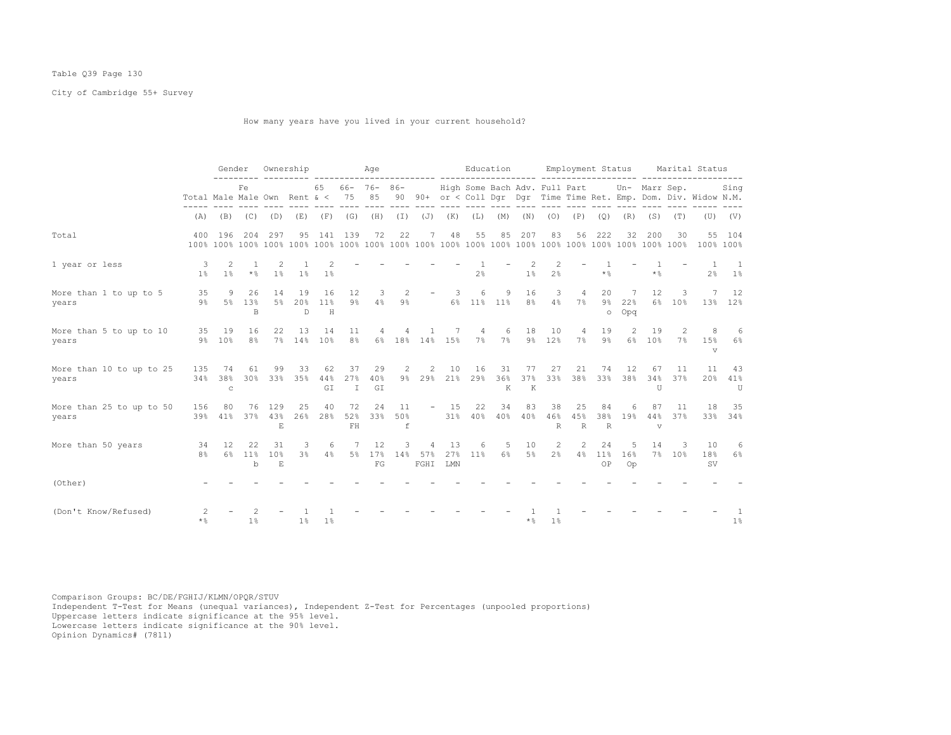# Table Q39 Page 130

City of Cambridge 55+ Survey

How many years have you lived in your current household?

|                                   |                                     | Gender                    |                            | Ownership       |                     |                 | Age                           |                    |                     |                          |                         |                            |                |                |                     |                           |                     |                     |                                             |             | Education Employment Status Marital Status                                |                                                 |
|-----------------------------------|-------------------------------------|---------------------------|----------------------------|-----------------|---------------------|-----------------|-------------------------------|--------------------|---------------------|--------------------------|-------------------------|----------------------------|----------------|----------------|---------------------|---------------------------|---------------------|---------------------|---------------------------------------------|-------------|---------------------------------------------------------------------------|-------------------------------------------------|
|                                   | Total Male Male Own Rent $\<$ 75 85 |                           | Fe.                        |                 |                     |                 | 65 66- 76- 86-<br>$- - - - -$ |                    |                     |                          |                         | and there are the state of |                |                |                     |                           |                     |                     | High Some Bach Adv. Full Part Un- Marr Sep. |             | Sing<br>90 90+ or < Coll Dqr Dqr Time Time Ret. Emp. Dom. Div. Widow N.M. |                                                 |
|                                   |                                     | $(A)$ $(B)$ $(C)$ $(D)$   |                            |                 | (E)                 |                 | $(F)$ $(G)$                   | (H)                | $(\bot)$            | $(\mathbb{J})$           | (K)                     | (L)                        | (M)            | (N)            | (0)                 | (P)                       | (Q)                 | (R)                 | (S)                                         | (T)         |                                                                           | $(U)$ $(V)$                                     |
| Total                             |                                     | 400 196                   | 204                        | 297             | 95                  |                 | 141 139                       | 72                 | 22                  | 7                        | 48                      | 55                         | 85             | 207            | 83                  | 56                        | 222                 | 32                  | 200                                         | 30          |                                                                           | 55 104<br>100% 100%                             |
| 1 year or less                    | -3<br>$1\%$                         | 2<br>$1\%$                | 1<br>$*$ &                 | -2              | 1% 1%               | $1\%$           |                               |                    |                     |                          |                         | 2 <sup>°</sup>             |                | $1\%$          | 2<br>2 <sup>°</sup> |                           | $\star$ %           |                     | $\star$ %                                   |             | $\overline{1}$                                                            | $\overline{1}$<br>$2\frac{6}{5}$ $1\frac{6}{5}$ |
| More than 1 to up to 5<br>years   | 35<br>9%                            | 9<br>5%                   | 26<br>1.3%<br><sub>B</sub> | 14<br>5%        | 19<br>20%<br>D.     | 16<br>11%<br>H  | 12<br>$9\%$                   | 3<br>4%            | 2<br>9%             | $\overline{\phantom{a}}$ | $\overline{\mathbf{3}}$ | 6<br>6% 11% 11%            | 9              | 16<br>8%       | 3<br>4%             | $\overline{4}$<br>7%      | 20<br>$\circ$       | -7<br>9% 22%<br>Opq | 12                                          | 3<br>6% 10% |                                                                           | 7 12<br>13% 12%                                 |
| More than 5 to up to 10<br>years  |                                     | 35 19<br>9% 10%           | 16<br>8 <sup>°</sup>       | 22              | 13<br>7% 14%        | 14<br>10%       | 11<br>8%                      | 4                  | 4                   | <sup>1</sup>             | 7<br>6% 18% 14% 15%     | $\overline{4}$<br>7%       | 6<br>7%        | 18             | 10<br>9% 12%        | 4<br>$7\%$                | 19<br>9%            | 2<br>6%             | 19<br>10%                                   | 2<br>7%     | 8<br>15%<br>$\mathbf v$                                                   | 6<br>6%                                         |
| More than 10 to up to 25<br>years | 135<br>34%                          | 74<br>38%<br>$\mathtt{C}$ | 61<br>30%                  | 99<br>33%       | 33<br>35%           | 62<br>44%<br>GI | 37<br>27%<br>$\mathbb{I}$     | 29<br>40%<br>GI    |                     | 2 2                      | 10<br>9% 29% 21%        | 16<br>29%                  | 31<br>36%<br>K | 77<br>37%<br>K | 27                  | 21<br>33% 38% 33% 38%     | 74                  | 12                  | 67<br>34%<br>U                              | 11<br>37%   | 11<br>20%                                                                 | 43<br>41%<br>U                                  |
| More than 25 to up to 50<br>years | 156<br>39%                          | 80<br>41%                 | 76<br>37%                  | 129<br>43%<br>E | 25<br>26%           | 40<br>28%       | 72<br>52%<br>FH               | 24<br>33%          | 11<br>50%<br>$\,$ f |                          | $-15$                   | 22<br>31% 40%              | 34<br>40%      | 83<br>40%      | 38<br>46%<br>R      | 25<br>45%<br>$\mathbb{R}$ | 84<br>38%<br>$\,$ R | 6<br>19%            | 87<br>44%<br>V                              | 11<br>37%   | 18                                                                        | 35<br>33% 34%                                   |
| More than 50 years                | 34<br>8%                            | - 12<br>6%                | 22<br>11%<br>b             | 31<br>10%<br>E  | 3<br>3 <sup>°</sup> | 6<br>4%         |                               | 12<br>5% 17%<br>FG | 3<br>14%            | 4<br>57%<br>FGHI         | 13<br>27%<br>LMN        | 6<br>$11\%$                | 5<br>$6\%$     | 10<br>$5\%$    | 2<br>2 <sup>°</sup> | 2<br>4%                   | 24<br>11%<br>OP     | 5<br>16%<br>Op      | 14                                          | 3<br>7% 10% | 10<br>18%<br><b>SV</b>                                                    | - 6<br>6%                                       |
| (Other)                           |                                     |                           |                            |                 |                     |                 |                               |                    |                     |                          |                         |                            |                |                |                     |                           |                     |                     |                                             |             |                                                                           |                                                 |
| (Don't Know/Refused)              | $\mathcal{L}$<br>$\star$ %          |                           | 1 <sup>°</sup>             |                 | 1%                  | $1\%$           |                               |                    |                     |                          |                         |                            |                | $\star$ %      | 1 <sup>°</sup>      |                           |                     |                     |                                             |             |                                                                           | $1\%$                                           |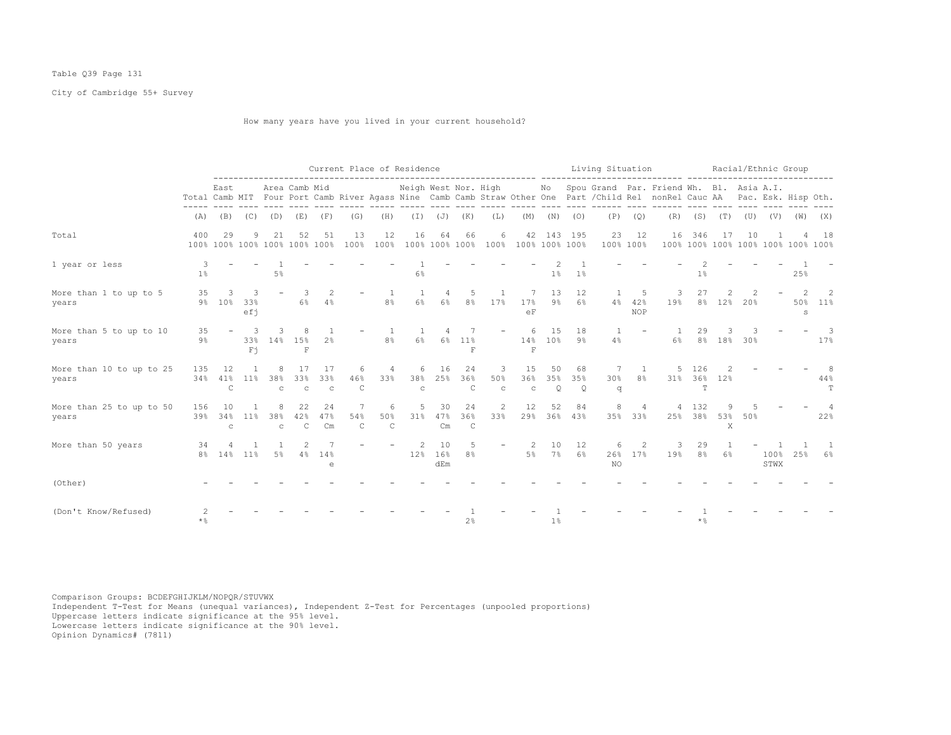# Table Q39 Page 131

City of Cambridge 55+ Survey

How many years have you lived in your current household?

|                                   |             |                           |                   |                     |                                     |                          |                          |                          | Current Place of Residence |                  |                      |                          | --------------------- ------ |                |                      | Living Situation |                           |                                                                                                                                                                             |                      |               |     | Racial/Ethnic Group |                                         |             |
|-----------------------------------|-------------|---------------------------|-------------------|---------------------|-------------------------------------|--------------------------|--------------------------|--------------------------|----------------------------|------------------|----------------------|--------------------------|------------------------------|----------------|----------------------|------------------|---------------------------|-----------------------------------------------------------------------------------------------------------------------------------------------------------------------------|----------------------|---------------|-----|---------------------|-----------------------------------------|-------------|
|                                   |             | East                      |                   |                     | Area Camb Mid                       |                          |                          |                          | Neigh West Nor. High       |                  |                      |                          |                              |                |                      |                  |                           | No Spou Grand Par. Friend Wh. Bl. Asia A.I.<br>Total Camb MIT Four Port Camb River Agass Nine Camb Camb Straw Other One Part / Child Rel nonRel Cauc AA Pac. Esk. Hisp Oth. |                      |               |     |                     |                                         |             |
|                                   | (A)         |                           | $(B)$ $(C)$       | (D)                 | (E)                                 | (F)                      | (G)                      | (H)                      | $(\top)$                   | $(\mathbb{J})$   | (K)                  | (L)                      | (M)                          | (N)            | (0)                  | (P)              | (Q)                       | (R)                                                                                                                                                                         | (S)                  | (T)           | (U) | (V)                 | (W)                                     | (X)         |
| Total                             | 400         | 29                        | 9                 | 21                  | 52<br>100% 100% 100% 100% 100% 100% | 51                       | 13<br>100%               | 12<br>100%               | 16                         | 64               | 66<br>100% 100% 100% | 6                        | 42<br>100% 100% 100% 100%    |                | 143 195              | 23               | 12<br>100% 100%           | 16                                                                                                                                                                          | 346                  | 17            | 10  |                     | 4<br>100% 100% 100% 100% 100% 100% 100% | 18          |
| 1 year or less                    | $1\%$       |                           |                   | 5 <sup>°</sup>      |                                     |                          |                          |                          | 6%                         |                  |                      |                          |                              | 1%             | 1 <sup>°</sup>       |                  |                           |                                                                                                                                                                             | 1%                   |               |     |                     | 25%                                     |             |
| More than 1 to up to 5<br>years   | 35          | 3<br>9% 10%               | 3<br>33%<br>efi   |                     | 6%                                  | 4%                       |                          | 1<br>8%                  | 6%                         | 6%               | .5<br>8 <sup>°</sup> | 17%                      | 17%<br>eF                    | 13<br>9%       | 12<br>6%             | $4\%$            | -5<br>42%<br><b>NOP</b>   | 3<br>19%                                                                                                                                                                    | 27<br>8%             | 12%           | 20% |                     | 50%<br>s                                | 2<br>$11\%$ |
| More than 5 to up to 10<br>years  | 35<br>$9\%$ | $\overline{\phantom{a}}$  | 3<br>33%<br>$F_1$ | 14%                 | 8<br>15%<br>$\mathbf F$             | 2 <sup>°</sup>           |                          | 8%                       | $6\%$                      | 6%               | 11%<br>$\mathbf F$   | $\overline{\phantom{0}}$ | 6<br>14%<br>F                | 15<br>10%      | 18<br>$9\%$          | 4%               |                           | 6%                                                                                                                                                                          | 29<br>8 <sup>°</sup> | 18%           | 30% |                     |                                         | 3<br>17%    |
| More than 10 to up to 25<br>years | 135<br>34%  | 12<br>41%<br>$\mathsf{C}$ | 11 <sup>8</sup>   | 38%<br>$\mathbb{C}$ | 17<br>33%<br>$\mathsf{C}$           | 17<br>33%<br>$\mathbf C$ | 6<br>46%<br>$\mathsf{C}$ | 4<br>33%                 | 6<br>38%<br>$\mathsf{C}$   | 16<br>25%        | 24<br>36%<br>C       | 3<br>50%<br>$\mathtt{C}$ | 15<br>36%<br>$\mathbf C$     | 50<br>35%<br>Q | 68<br>35%<br>$\circ$ | 7<br>30%<br>q    | 1<br>8 <sup>°</sup>       | 5<br>31%                                                                                                                                                                    | 126<br>36%<br>T      | 12%           |     |                     |                                         | 44%<br>T    |
| More than 25 to up to 50<br>years | 156<br>39%  | 10<br>34%<br>C            | 11%               | 38%<br>$\mathsf{C}$ | 22<br>42%<br>C                      | 24<br>47%<br>Cm          | 7<br>54%<br>$\mathsf{C}$ | 6<br>50%<br>$\mathsf{C}$ | 5<br>31%                   | 30<br>47%<br>Cm  | 24<br>36%<br>C       | $\overline{2}$<br>33%    | 12<br>29%                    | 52<br>36%      | 84<br>43%            | 8                | $\overline{4}$<br>35% 33% | $\overline{4}$                                                                                                                                                              | 132<br>25% 38%       | 9<br>53%<br>X | 50% |                     |                                         | 22%         |
| More than 50 years                | 34          | 8% 14% 11%                |                   | 5%                  | 4%                                  | 14%<br>e                 |                          |                          | 12%                        | 10<br>16%<br>dEm | .5<br>8%             |                          | 2<br>5%                      | 10<br>7%       | 12<br>6%             | 6<br>26%<br>NO.  | 2<br>17%                  | 3<br>19%                                                                                                                                                                    | 29<br>8 <sup>°</sup> | 6%            |     | 100%<br>STWX        | 25%                                     | $6\%$       |
| (Other)                           |             |                           |                   |                     |                                     |                          |                          |                          |                            |                  |                      |                          |                              |                |                      |                  |                           |                                                                                                                                                                             |                      |               |     |                     |                                         |             |
| (Don't Know/Refused)              | $\star$ %   |                           |                   |                     |                                     |                          |                          |                          |                            |                  | 2%                   |                          |                              | 1%             |                      |                  |                           |                                                                                                                                                                             | $\star$ %            |               |     |                     |                                         |             |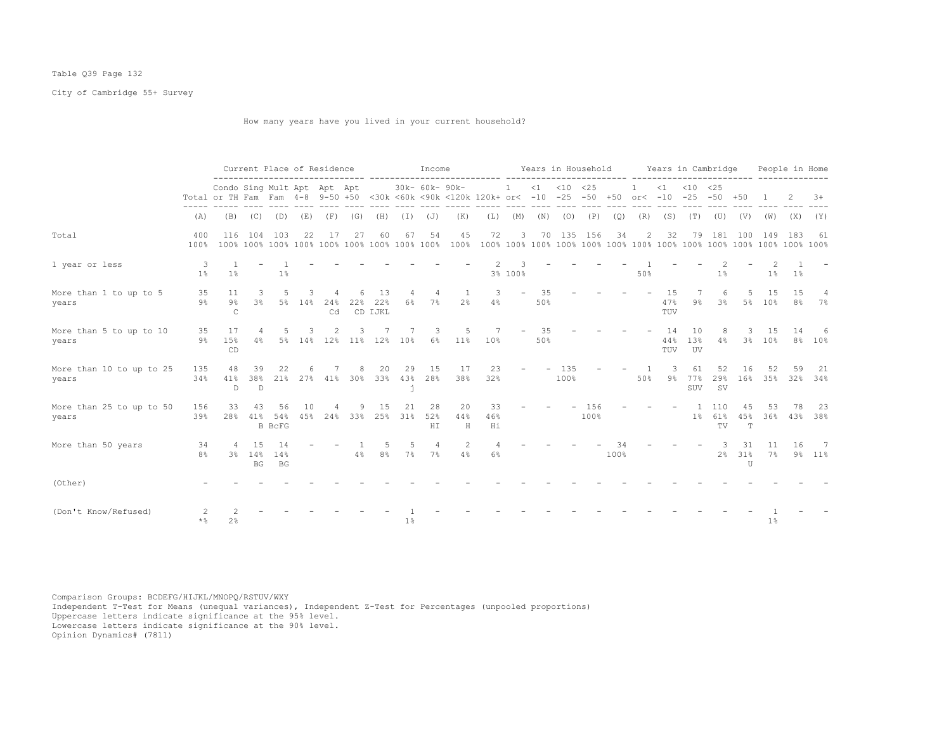# Table Q39 Page 132

City of Cambridge 55+ Survey

How many years have you lived in your current household?

|                                   |                     |                             | Current Place of Residence<br>Condo Sing Mult Apt Apt Apt<br>Total or TH Fam Fam 4-8 9-50 +50 <30k <60k <90k <120k 120k+ or< -10 -25 -50 +50 or< -10 -25 -50 +50 |                            |           |                        |          |                      |                 | Income          |                     |                 |                   | Years in Household |             |             |      |                |                  | Years in Cambridge |                              |                |              | People in Home       |                          |
|-----------------------------------|---------------------|-----------------------------|------------------------------------------------------------------------------------------------------------------------------------------------------------------|----------------------------|-----------|------------------------|----------|----------------------|-----------------|-----------------|---------------------|-----------------|-------------------|--------------------|-------------|-------------|------|----------------|------------------|--------------------|------------------------------|----------------|--------------|----------------------|--------------------------|
|                                   |                     |                             |                                                                                                                                                                  |                            |           |                        |          |                      |                 | 30k- 60k- 90k-  |                     |                 | $\mathbf{1}$      | $<1$ $<10$ $<25$   |             |             |      |                |                  | $<1$ $<10$ $<25$   |                              |                |              |                      | $3+$                     |
|                                   | (A)                 | (B)                         | (C)                                                                                                                                                              | (D)                        | (E)       | (F)                    | (G)      | (H)                  | $(\top)$        | (J)             | (K)                 | (L)             | (M)               | (N)                | (0)         | (P)         | (Q)  | (R)            | (S)              | (T)                | (U)                          | (V)            | (W)          | (X)                  | (Y)                      |
| Total                             | 400<br>100%         | 116                         | 104                                                                                                                                                              | 103                        | 22        | 17                     | 27       | 60                   | 67              | 54              | 45<br>100%          | 72              | 3                 | 70                 | 135         | 156         | 34   | $\overline{2}$ | 32               | 79                 | 181                          | 100            | 149          | 183                  | 61                       |
| 1 year or less                    | 3<br>1 <sup>°</sup> | $1\%$                       |                                                                                                                                                                  | 1%                         |           |                        |          |                      |                 |                 |                     |                 | 3% 100%           |                    |             |             |      | 50%            |                  |                    | 1%                           |                | 1%           | $1\,$ s              |                          |
| More than 1 to up to 5<br>years   | 35<br>$9\%$         | 11<br>$9\%$<br>$\mathsf{C}$ | 3<br>3 <sup>°</sup>                                                                                                                                              | 5                          | 5% 14%    | 24%<br>Cd              | 22%      | 13<br>22%<br>CD IJKL | 6%              | 4<br>7%         | 2 <sup>°</sup>      | 3<br>4%         | $\qquad \qquad -$ | 35<br>50%          |             |             |      |                | 15<br>47%<br>TUV | $9\%$              | 6<br>3%                      | 5<br>5%        | 15<br>10%    | 15<br>8 <sup>°</sup> | 4<br>7%                  |
| More than 5 to up to 10<br>years  | 35<br>$9\%$         | 17<br>15%<br>CD             | 4<br>4%                                                                                                                                                          | 5                          | 3         | 5% 14% 12% 11% 12% 10% |          |                      |                 | 3<br>$6\%$      | .5<br>11%           | 7<br>10%        |                   | 35<br>50%          |             |             |      |                | 14<br>44%<br>TUV | 10<br>13%<br>UV    | 8<br>4%                      | 3              | 15<br>3% 10% | 14                   | -6<br>8% 10%             |
| More than 10 to up to 25<br>years | 135<br>34%          | 48<br>41%<br>D              | 39<br>38%<br>D                                                                                                                                                   | 22<br>21%                  |           | 27% 41%                | 8<br>30% | 20<br>33%            | 29<br>43%<br>j. | 15<br>28%       | 17<br>38%           | 23<br>32%       |                   |                    | 135<br>100% |             |      | 50%            | 3<br>9%          | 61<br>77%<br>SUV   | 52<br>29%<br>SV <sub>s</sub> | 16<br>16%      | 52<br>35%    | 59                   | -21<br>32% 34%           |
| More than 25 to up to 50<br>years | 156<br>39%          | 33<br>28%                   | 43<br>41%                                                                                                                                                        | 56<br>54%<br><b>B</b> BCFG | 10<br>45% | 24%                    | 33%      | 15<br>25%            | 21<br>31%       | 28<br>52%<br>ΗI | 20<br>44%<br>$\,$ H | 33<br>46%<br>Ηi |                   |                    |             | 156<br>100% |      |                |                  | $1\%$              | 110<br>61%<br>TV             | 45<br>45%<br>T | 53<br>36%    | 78                   | 23<br>43% 38%            |
| More than 50 years                | 34<br>8%            | -4<br>3%                    | 15<br>14%<br>BG                                                                                                                                                  | 14<br>14%<br>BG            |           |                        | 4%       | 8 <sup>°</sup>       | $7\%$           | 4<br>$7\%$      | 4%                  | 6%              |                   |                    |             |             | 100% |                |                  |                    | 2%                           | 31<br>31%<br>U | 11<br>$7\%$  | 16                   | $\overline{7}$<br>9% 11% |
| (Other)                           |                     |                             |                                                                                                                                                                  |                            |           |                        |          |                      |                 |                 |                     |                 |                   |                    |             |             |      |                |                  |                    |                              |                |              |                      |                          |
| (Don't Know/Refused)              | $\star$ %           | 2%                          |                                                                                                                                                                  |                            |           |                        |          |                      | 1%              |                 |                     |                 |                   |                    |             |             |      |                |                  |                    |                              |                | 1%           |                      |                          |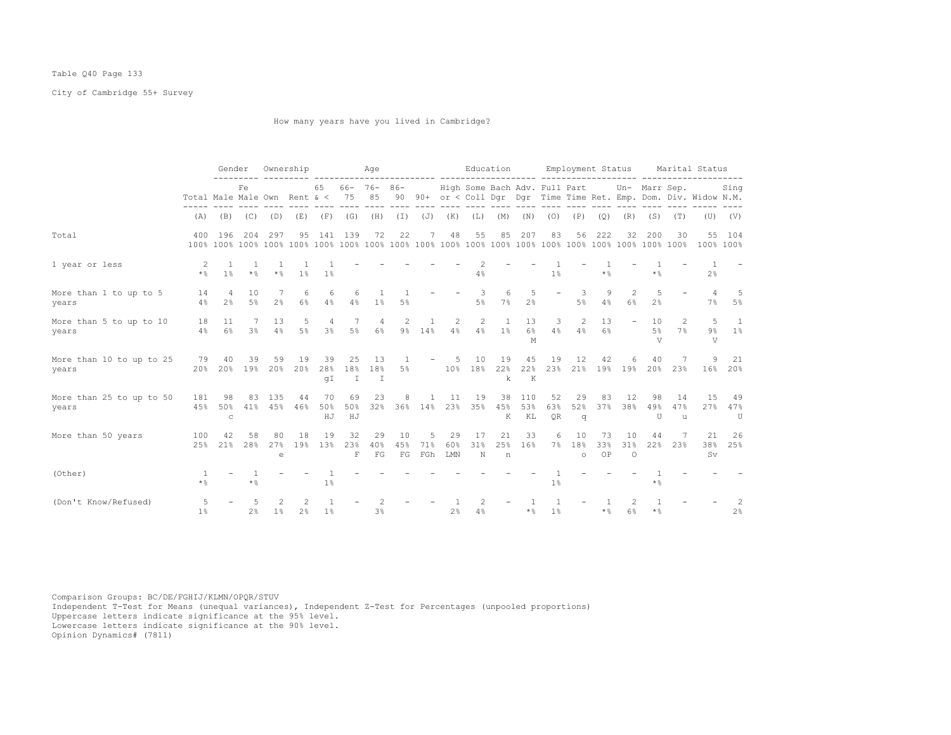# Table Q40 Page 133

City of Cambridge 55+ Survey

How many years have you lived in Cambridge?

|                                   |                              | Gender                   |                     |                | Ownership  |                                  |                           | Age                       |                                  |                 |                  |                               | Education             |                     |                 | Employment Status    |                 |                      |                     |                      | Marital Status                                                 |                      |
|-----------------------------------|------------------------------|--------------------------|---------------------|----------------|------------|----------------------------------|---------------------------|---------------------------|----------------------------------|-----------------|------------------|-------------------------------|-----------------------|---------------------|-----------------|----------------------|-----------------|----------------------|---------------------|----------------------|----------------------------------------------------------------|----------------------|
|                                   | Total Male Male Own Rent & < |                          | Fe                  |                |            | 65                               | $66 - 76 -$<br>75         | 85                        | $86-$<br>90                      |                 |                  | High Some Bach Adv. Full Part |                       |                     |                 |                      |                 |                      | Un- Marr Sep.       |                      | 90+ or < Coll Dqr Dqr Time Time Ret. Emp. Dom. Div. Widow N.M. | Sing                 |
|                                   | (A)                          | (B)                      | (C)                 | (D)            | (E)        | (F)                              | (G)                       | (H)                       | $(\bot)$                         | $(\mathbb{J})$  | (K)              | (L)                           | (M)                   | (N)                 | (0)             | (P)                  | (Q)             | (R)                  | (S)                 | (T)                  | (U)                                                            | (V)                  |
| Total                             | 400                          | 196                      | 204                 | 297            | 95         | 141                              | 139                       | 72                        | 22                               | 7               | 48               | 55                            | 85                    | 207                 | 83              | 56                   | 222             | 32                   | 200                 | 30                   | 55                                                             | 104<br>100% 100%     |
| 1 year or less                    | 2<br>$*$ &                   | 1 <sup>°</sup>           | $\star$ %           | $\star$ &      | 1%         | 1 <sup>°</sup>                   |                           |                           |                                  |                 |                  | 4%                            |                       |                     | 1 <sup>°</sup>  |                      | * %             |                      | $\star$ %           |                      | 2 <sup>°</sup>                                                 |                      |
| More than 1 to up to 5<br>years   | 14<br>4%                     | 4<br>2 <sup>°</sup>      | 10<br>$5\%$         | 2 <sup>8</sup> | 6<br>$6\%$ | 6<br>4%                          | 6<br>4%                   | 1 <sup>°</sup>            | 5%                               |                 |                  | 3<br>5%                       | 6<br>7%               | 5<br>2 <sup>°</sup> |                 | 3<br>5 <sup>°</sup>  | 9<br>4%         | 2<br>6%              | 5<br>2 <sup>°</sup> |                      | 4<br>7%                                                        | 5<br>5%              |
| More than 5 to up to 10<br>years  | 18<br>4%                     | 11<br>6%                 | 7<br>3 <sup>°</sup> | 13<br>4%       | 5<br>$5\%$ | $\overline{4}$<br>3 <sup>°</sup> | 5 <sup>°</sup>            | 4<br>6%                   | 2<br>9 <sup>°</sup>              | -1<br>14%       | 2<br>4%          | 2<br>4%                       | -1.<br>1 <sup>°</sup> | 13<br>6%<br>M       | 3<br>4%         | 2<br>4%              | 1.3<br>6%       |                      | 10<br>5%<br>V       | $\overline{2}$<br>7% | 5<br>$9\%$<br>V                                                | $\overline{1}$<br>1% |
| More than 10 to up to 25<br>years | 79<br>20%                    | 40<br>2.0%               | 39<br>19%           | 59<br>20%      | 19<br>20%  | 39<br>28%<br>qI                  | 25<br>18%<br>$\mathbb{I}$ | 13<br>18%<br>$\mathbb{I}$ | -1<br>5%                         |                 | .5<br>10%        | 10<br>18%                     | 19<br>22%<br>k        | 45<br>22%<br>K      | 19<br>23%       | 12<br>21%            | 42              | 6<br>19% 19%         | 40<br>20%           | 7<br>23%             | 9<br>16%                                                       | 21<br>20%            |
| More than 25 to up to 50<br>years | 181<br>4.5%                  | 98<br>50%<br>$\mathbb C$ | 83<br>41%           | 135<br>45%     | 44<br>46%  | 70<br>50%<br>HJ                  | 69<br>50%<br>HJ           | 23<br>32%                 | 8                                | 36% 14%         | 11<br>23%        | 19<br>35%                     | 38<br>45%<br>К        | 110<br>53%<br>KL    | 52<br>63%<br>QR | 29<br>52%<br>q       | 83<br>37%       | 12<br>38%            | 98<br>49%<br>U      | 14<br>47%<br>u       | 1.5<br>27%                                                     | 49<br>47%<br>U       |
| More than 50 years                | 100<br>25%                   | 42<br>21%                | 58<br>28%           | 80<br>27%<br>e | 18<br>19%  | 19<br>13%                        | 32<br>23%<br>F            | 29<br>40%<br>${\rm FG}$   | 10<br>45%<br>$\operatorname{FG}$ | 5<br>71%<br>FGh | 29<br>60%<br>LMN | 17<br>31%<br>N                | 21<br>25%<br>n        | 33<br>16%           | 6<br>$7\%$      | 10<br>18%<br>$\circ$ | 73<br>33%<br>OP | 10<br>31%<br>$\circ$ | 44<br>22%           | 7<br>23%             | 21<br>38%<br>Sv                                                | 26<br>25%            |
| (Other)                           | 1<br>$*$ %                   |                          | $\star$ %           |                |            | 1%                               |                           |                           |                                  |                 |                  |                               |                       |                     | $1\%$           |                      |                 |                      | $\star$ %           |                      |                                                                |                      |
| (Don't Know/Refused)              | 5<br>$1\%$                   |                          | 5<br>$2\frac{6}{9}$ | $1\%$          | 2<br>2%    | $\mathbf{1}$<br>$1\%$            |                           | 3%                        |                                  |                 | 2%               | 4%                            |                       | $*$ $\frac{6}{9}$   | $1\%$           |                      | * %             | $\mathfrak{D}$<br>6% | $*$ %               |                      |                                                                | $2\frac{6}{6}$       |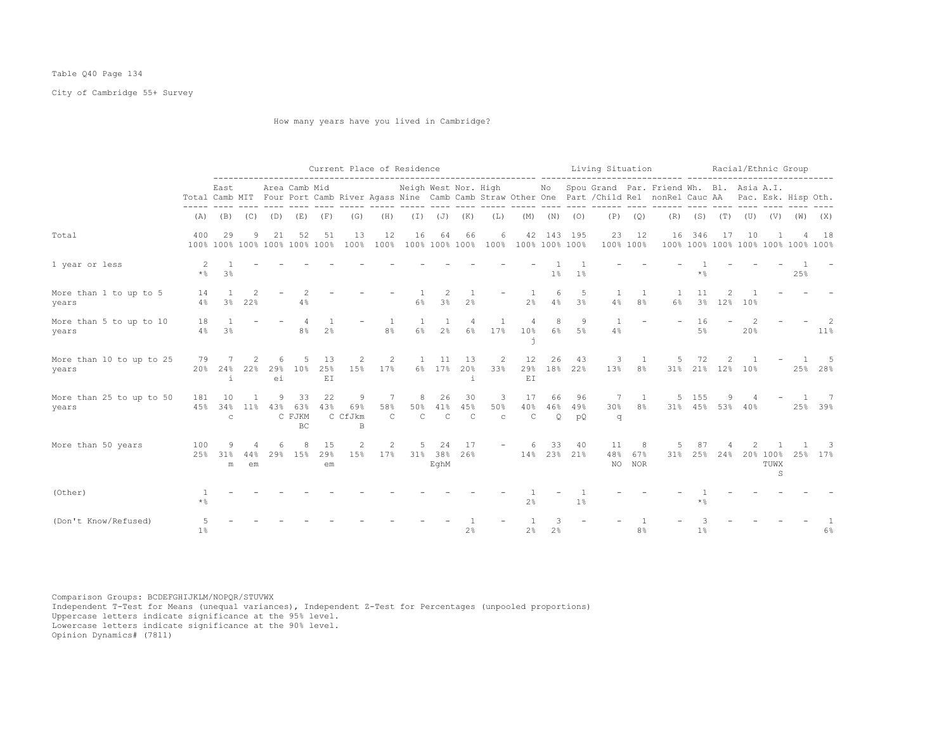# Table Q40 Page 134

City of Cambridge 55+ Survey

How many years have you lived in Cambridge?

|                                   |                |                           | Current Place of Residence<br>Neigh West Nor. High Mo Spou Grand Par. Friend Wh. Bl. Asia A.I.<br>Area Camb Mid |                      |                                     |                 |                          |                          |                          |                           |                           |                         |                                    |                      |                     | Living Situation |                     |                                                                                                                              |                          |             | Racial/Ethnic Group |                                   |                                    |                |
|-----------------------------------|----------------|---------------------------|-----------------------------------------------------------------------------------------------------------------|----------------------|-------------------------------------|-----------------|--------------------------|--------------------------|--------------------------|---------------------------|---------------------------|-------------------------|------------------------------------|----------------------|---------------------|------------------|---------------------|------------------------------------------------------------------------------------------------------------------------------|--------------------------|-------------|---------------------|-----------------------------------|------------------------------------|----------------|
|                                   |                | East                      |                                                                                                                 |                      |                                     |                 |                          |                          |                          |                           |                           |                         |                                    |                      |                     |                  |                     | Total Camb MIT Four Port Camb River Agass Nine Camb Camb Straw Other One Part / Child Rel nonRel Cauc AA Pac. Esk. Hisp Oth. |                          |             |                     |                                   |                                    |                |
|                                   | (A)            | (B)                       | (C)                                                                                                             | (D)                  | (E)                                 | (F)             | (G)                      | (H)                      | $(\top)$                 | (J)                       | (K)                       | (L)                     | (M)                                | (N)                  | (0)                 | (P)              | (Q)                 | (R)                                                                                                                          |                          | $(S)$ $(T)$ | (U)                 | (V)                               | (W)                                | (X)            |
| Total                             | 400            | 29                        | 9                                                                                                               | 21                   | 52<br>100% 100% 100% 100% 100% 100% | 51              | 13<br>100%               | 12<br>100%               | 16                       | 64                        | 66                        | 6                       | 100% 100% 100% 100% 100% 100% 100% |                      | 42 143 195          | 23               | 12<br>100% 100%     | 16                                                                                                                           | 346                      | 17          | 10                  |                                   | 100% 100% 100% 100% 100% 100% 100% | 18             |
| 1 year or less                    | 2<br>$\star$ % | 3 <sup>°</sup>            |                                                                                                                 |                      |                                     |                 |                          |                          |                          |                           |                           |                         |                                    | $1\%$                | 1 <sup>°</sup>      |                  |                     |                                                                                                                              | $*$ $\frac{6}{9}$        |             |                     |                                   | 25%                                |                |
| More than 1 to up to 5<br>years   | 14<br>4%       | 1<br>$3\frac{6}{9}$       | $\mathfrak{D}$<br>22%                                                                                           |                      | 4%                                  |                 |                          |                          | 6%                       | 3%                        | 2 <sup>°</sup>            |                         | 2 <sup>°</sup>                     | 6<br>4%              | 5<br>3 <sup>°</sup> | 4%               | 1<br>8 <sup>°</sup> | 6%                                                                                                                           | 11<br>3%                 | 2<br>12%    | 10%                 |                                   |                                    |                |
| More than 5 to up to 10<br>years  | 18<br>4%       | 3%                        |                                                                                                                 |                      | 8%                                  | 2%              |                          | 8 <sup>°</sup>           | 6%                       | 2%                        | 4<br>$6\%$                | 17%                     | 10%                                | 8<br>6 <sup>°</sup>  | 9<br>5%             | 4%               |                     |                                                                                                                              | 16<br>5%                 |             | 20%                 |                                   |                                    | -2<br>$11\%$   |
| More than 10 to up to 25<br>years | 79<br>20%      | 24%<br>i                  | 2<br>22%                                                                                                        | 6<br>29%<br>ei       | 10%                                 | 13<br>25%<br>EI | 2<br>15%                 | 2<br>17%                 | $\overline{1}$           | 11<br>6% 17%              | 13<br>20%<br>÷.           | 2<br>33%                | 12<br>29%<br>EI                    | 26                   | 43<br>18% 22%       | 3<br>13%         | 1<br>8 <sup>°</sup> | 5<br>31%                                                                                                                     | 72                       | 21% 12%     | 10%                 |                                   |                                    | 25% 28%        |
| More than 25 to up to 50<br>years | 181<br>45%     | 10<br>34%<br>$\mathsf{C}$ | 11 <sub>8</sub>                                                                                                 | 9<br>43%             | 33<br>63%<br>C FJKM<br><b>BC</b>    | 22<br>43%       | 9<br>69%<br>C CfJkm<br>B | 7<br>58%<br>$\mathsf{C}$ | 8<br>50%<br>$\mathbb{C}$ | 26<br>41%<br>$\mathsf{C}$ | 30<br>45%<br>$\mathsf{C}$ | 3<br>50%<br>$\mathbf C$ | 17<br>40%<br>$\mathsf{C}$          | 66<br>46%<br>$\circ$ | 96<br>49%<br>pO     | 7<br>30%<br>q    | 1<br>8 <sup>°</sup> |                                                                                                                              | 5 155<br>31% 45% 53% 40% | 9           |                     |                                   |                                    | - 7<br>25% 39% |
| More than 50 years                | 100<br>25%     | 9<br>31%<br>m             | 44%<br>em                                                                                                       | 6<br>29 <sub>8</sub> | 8<br>15%                            | 15<br>29%<br>em | 2<br>15%                 | 2<br>17%                 | 5                        | 24<br>31% 38%<br>EqhM     | 17<br>26%                 | $-$                     | 6                                  | 33                   | 40<br>14% 23% 21%   | 11<br>48%        | 8<br>67%<br>NO NOR  | 31%                                                                                                                          | 87<br>25%                | 24%         |                     | 20% 100%<br>TUWX<br>$\mathcal{S}$ | 25%                                | -3<br>17%      |
| (Other)                           | $\star$ %      |                           |                                                                                                                 |                      |                                     |                 |                          |                          |                          |                           |                           |                         | 2%                                 |                      | 1 <sup>°</sup>      |                  |                     |                                                                                                                              | $\star$ $\frac{6}{6}$    |             |                     |                                   |                                    |                |
| (Don't Know/Refused)              | 1 <sup>°</sup> |                           |                                                                                                                 |                      |                                     |                 |                          |                          |                          |                           | 2%                        |                         | $2\frac{6}{9}$                     | 2 <sup>°</sup>       |                     |                  | 8%                  |                                                                                                                              | 1%                       |             |                     |                                   |                                    | $6\%$          |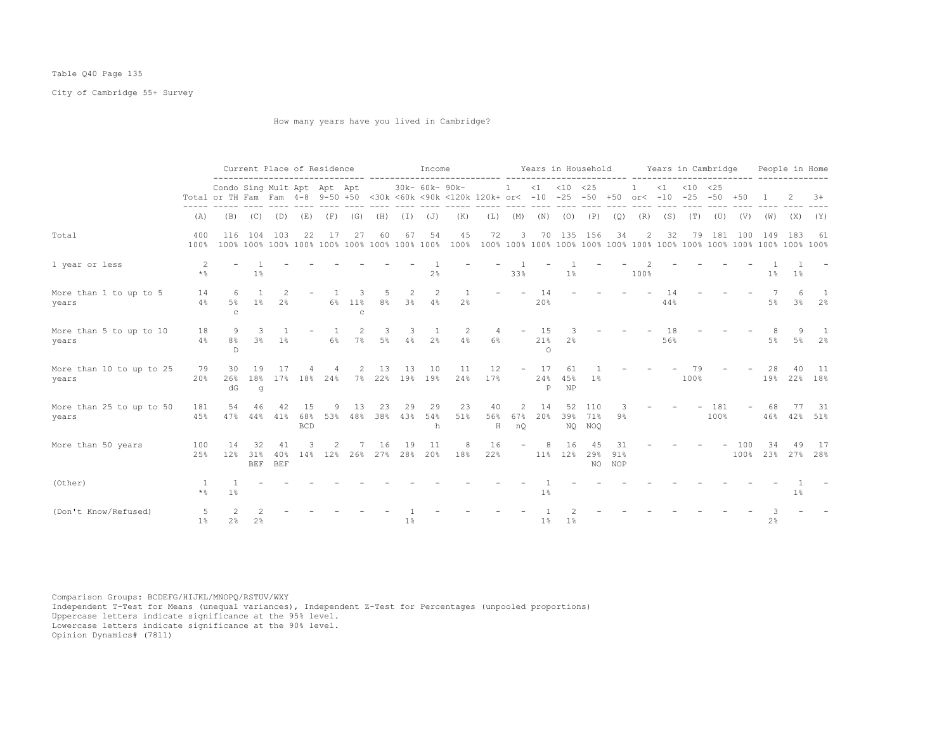# Table Q40 Page 135

City of Cambridge 55+ Survey

How many years have you lived in Cambridge?

|                                   |                           |                             |                                 |                      |                         | Current Place of Residence |                      |              |                | Income         |                                                                                 |                |                             |                       | Years in Household     |                      |                  |                |           | Years in Cambridge |                 |     |                | People in Home         |                |
|-----------------------------------|---------------------------|-----------------------------|---------------------------------|----------------------|-------------------------|----------------------------|----------------------|--------------|----------------|----------------|---------------------------------------------------------------------------------|----------------|-----------------------------|-----------------------|------------------------|----------------------|------------------|----------------|-----------|--------------------|-----------------|-----|----------------|------------------------|----------------|
|                                   |                           | Condo Sing Mult Apt Apt Apt |                                 |                      |                         |                            |                      |              |                | 30k- 60k- 90k- | Total or TH Fam Fam 4-8 9-50 +50 <30k <60k <90k <120k 120k+ or< -10 -25 -50 +50 |                | $\mathbf{1}$                |                       | $<1$ $<10$ $<25$       |                      |                  | $or < -10$     | $\leq 1$  | $< 10 \le 25$      | $-25 - 50 + 50$ |     |                | 2                      | $3+$           |
|                                   | (A)                       |                             | $(B)$ $(C)$ $(D)$               |                      | (E)                     | (F)                        | (G)                  |              | (H) (I) (J)    |                | (K)                                                                             | (L)            | (M)                         |                       | $(N)$ $(O)$            | (P)                  | (Q)              | (R)            | (S)       | (T)                | (U)             | (V) | (W)            | (X)                    | (Y)            |
| Total                             | 400<br>100%               | 116                         | 104                             | 103                  | 22                      | 17                         | 27                   | 60           | 67             | 54             | 45<br>100%                                                                      | 72             | 3                           | 70                    | 135                    | 156                  | 34               | $\overline{2}$ | 32        | 79                 | 181             | 100 | 149            | 183                    | - 61           |
| 1 year or less                    | 2<br>$\star$ %            |                             | 1 <sup>°</sup>                  |                      |                         |                            |                      |              |                | 2%             |                                                                                 |                | 33%                         |                       | 1 <sup>°</sup>         |                      |                  | 100%           |           |                    |                 |     | $1\%$          | $1\%$                  |                |
| More than 1 to up to 5<br>years   | 14<br>4%                  | -6<br>5%<br>$\mathtt{C}$    | $1\%$                           | 2<br>2 <sup>°</sup>  |                         | 6%                         | 11%<br>$\mathcal{C}$ | 5<br>8%      | 2<br>$3\%$     | 2<br>4%        | $\mathbf{1}$<br>2 <sup>°</sup>                                                  |                |                             | 14<br>20%             |                        |                      |                  |                | 14<br>44% |                    |                 |     | $5\%$          | 6<br>3%                | 2%             |
| More than 5 to up to 10<br>years  | 18<br>4%                  | 9<br>8%<br>$\mathbb{D}$     | 3<br>3 <sup>°</sup>             | 1%                   |                         | $6\%$                      | $7\%$                | 3<br>$5\%$   | 3<br>4%        | 2%             | 2<br>4%                                                                         | 6%             |                             | 15<br>21%<br>$\Omega$ | 2%                     |                      |                  |                | 18<br>56% |                    |                 |     | $5\%$          | $5\%$                  | 2%             |
| More than 10 to up to 25<br>years | 79<br>20%                 | 30<br>26%<br>dG             | 19<br>18%<br>g                  | 17                   | $17\%$ 18%              | 24%                        |                      | 13<br>7% 22% | 13             | 10<br>19% 19%  | 11<br>24%                                                                       | 12<br>17%      |                             | 17<br>24%<br>P        | 61<br>45%<br><b>NP</b> | 1%                   |                  |                |           | 100%               |                 |     | 28             | 40<br>19% 22% 18%      | 11             |
| More than 25 to up to 50<br>years | 181<br>45%                | 54<br>47%                   | 46<br>44%                       | 42<br>41%            | 15<br>68%<br><b>BCD</b> | q<br>53%                   | 13<br>48%            | 23<br>38%    | 29<br>43%      | 29<br>54%<br>h | 23<br>51%                                                                       | 40<br>56%<br>H | $\mathfrak{D}$<br>67%<br>nQ | 14<br>20%             | 52<br>39%              | 110<br>71%<br>NQ NOQ | 9%               |                |           |                    | 181<br>100%     |     | 68<br>46%      |                        | -31<br>42% 51% |
| More than 50 years                | 100<br>25%                | 14<br>12%                   | 32<br>31%                       | 41<br>40%<br>BEF BEF | $14\%$                  | 12%                        | 26%                  | 16<br>27%    | 19<br>28%      | 11<br>20%      | 18%                                                                             | 16<br>22%      |                             | 11%                   | 16<br>12%              | 4.5<br>29%<br>NO     | 31<br>91%<br>NOP |                |           |                    |                 | 100 | 34             | 49<br>100% 23% 27% 28% | -17            |
| (Other)                           | <sup>1</sup><br>$\star$ % | $1\%$                       |                                 |                      |                         |                            |                      |              |                |                |                                                                                 |                |                             | 1%                    |                        |                      |                  |                |           |                    |                 |     |                | $1\%$                  |                |
| (Don't Know/Refused)              | 5<br>1 <sup>°</sup>       | 2 <sup>°</sup>              | $\mathcal{P}$<br>2 <sup>°</sup> |                      |                         |                            |                      |              | 1 <sup>°</sup> |                |                                                                                 |                |                             | 1 <sup>°</sup>        | 1%                     |                      |                  |                |           |                    |                 |     | 2 <sup>°</sup> |                        |                |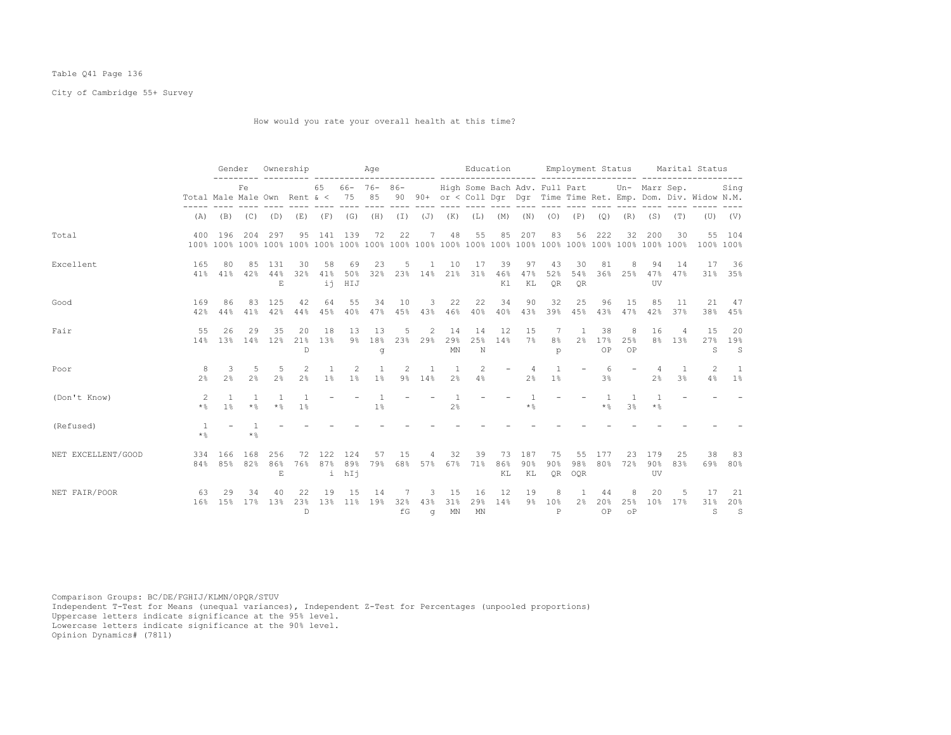# Table Q41 Page 136

City of Cambridge 55+ Survey

How would you rate your overall health at this time?

|                    |                                     | Gender             |                     | Ownership                              |                                 |                                | Aqe                     |                  |                        |                       |                                  | Education                                             |                 |                  |                             | Employment Status        |                 |                       |                  |                | Marital Status                                                    |                           |
|--------------------|-------------------------------------|--------------------|---------------------|----------------------------------------|---------------------------------|--------------------------------|-------------------------|------------------|------------------------|-----------------------|----------------------------------|-------------------------------------------------------|-----------------|------------------|-----------------------------|--------------------------|-----------------|-----------------------|------------------|----------------|-------------------------------------------------------------------|---------------------------|
|                    | Total Male Male Own Rent $\< 75$ 85 |                    | Fe                  |                                        |                                 | 65                             |                         | $66 - 76 - 86 -$ |                        |                       |                                  | High Some Bach Adv. Full Part Un- Marr Sep.           |                 |                  |                             |                          |                 |                       |                  |                | 90 90+ or < Coll Dgr Dgr Time Time Ret. Emp. Dom. Div. Widow N.M. | Sing                      |
|                    | (A)                                 |                    | $(B)$ $(C)$ $(D)$   |                                        |                                 | $(E)$ $(F)$ $(G)$              |                         | (H) (I) (J) (K)  |                        |                       |                                  | $(L)$ $(M)$ $(N)$ $(O)$ $(P)$ $(Q)$ $(R)$ $(S)$ $(T)$ |                 |                  |                             |                          |                 |                       |                  |                |                                                                   | $(U)$ $(V)$               |
| Total              | 400                                 | 196                | 204                 | 297                                    | 95                              | 141                            | 139                     | 72               | 22                     | 7                     | 48                               | 55                                                    | 85              | 207              | 83                          | 56                       | 222             | 32                    | 200              | 30             | 55<br>100% 100%                                                   | 104                       |
| Excellent          | 165<br>41 응                         | 80<br>41%          | 85<br>42%           | 131<br>44%<br>E                        | 30<br>32%                       | 58<br>41%<br>ii                | 69<br>50%<br>HIJ        | 23<br>32%        | 5                      | 1                     | 10<br>23% 14% 21%                | 17<br>31%                                             | 39<br>46%<br>K1 | 97<br>47%<br>KL  | 43<br>52%<br><b>OR</b>      | 30<br>54%<br><b>OR</b>   | 81              | 8<br>36% 25%          | 94<br>47%<br>UV  | 14<br>47%      | 17                                                                | 36<br>31% 35%             |
| Good               | 169<br>42%                          | 86<br>44%          | 83<br>41%           | 125<br>42%                             | 42<br>44%                       | 64<br>45%                      | 55<br>40%               | 34<br>47%        | 10<br>45%              | 3<br>43%              | 22<br>46%                        | 22<br>40%                                             | 34<br>40%       | 90<br>43%        | 32<br>39%                   | 25<br>45%                | 96<br>43%       | 15<br>47%             | 85<br>42%        | 11<br>37%      | 21<br>38%                                                         | 47<br>45%                 |
| Fair               | 55                                  | 26<br>14% 13%      | 29<br>14%           | 35<br>12%                              | 20<br>21%<br>D                  | 18<br>13%                      | 13<br>$9\%$             | 13<br>18%<br>q   | 5                      | 2<br>23% 29%          | 14<br>29%<br>$\texttt{MN}$       | 14<br>25%<br>N                                        | 12<br>14%       | 15<br>7%         | -7<br>8 <sup>°</sup><br>p   | 1<br>2 <sup>°</sup>      | 38<br>17%<br>OP | 8<br>25%<br>OP        | 16               | 4<br>8% 13%    | 15<br>27%<br>S                                                    | 20<br>19%<br>$\mathbf S$  |
| Poor               | -8<br>2.8                           | 3<br>2%            | 5<br>2 <sup>°</sup> | .5<br>2 <sup>°</sup>                   | $\mathcal{L}$<br>2 <sup>8</sup> | $\mathbf{1}$<br>1 <sup>°</sup> | $\mathcal{L}$<br>$1\%$  | $1\%$            | $\mathcal{L}$<br>$9\%$ | $\overline{1}$<br>14% | $\overline{1}$<br>2%             | $\mathcal{L}$<br>4%                                   |                 | 2 <sup>8</sup>   | 1 <sup>°</sup>              | $\overline{\phantom{0}}$ | 6<br>3%         |                       | 2 <sup>8</sup>   | 3 <sup>8</sup> | $\mathcal{L}$<br>4%                                               | $\overline{1}$<br>$1\%$   |
| (Don't Know)       | -2<br>$\star$ %                     | $\mathbf{1}$<br>1% | $\star$ %           | $\star$ %                              | $1\%$                           |                                |                         | 1%               |                        |                       | $\overline{1}$<br>2 <sup>°</sup> |                                                       |                 | -1<br>$\star$ %  |                             |                          | -1<br>$\star$ % | -1<br>3 <sup>8</sup>  | $\star$ %        |                |                                                                   |                           |
| (Refused)          | $*$ &                               |                    | $*$ %               |                                        |                                 |                                |                         |                  |                        |                       |                                  |                                                       |                 |                  |                             |                          |                 |                       |                  |                |                                                                   |                           |
| NET EXCELLENT/GOOD | 334                                 | 166<br>84% 85% 82% | 168                 | 256<br>86%<br>$\mathop{}\mathopen{} E$ | 72<br>76%                       | 122                            | 124<br>87% 89%<br>i hIj | 57<br>79%        | 15                     | 4<br>68% 57%          | 32<br>67%                        | 39<br>71%                                             | 73<br>86%<br>ΚL | 187<br>90%<br>KL | 75<br>90%<br>OR.            | 55<br>98%<br>OQR         | 177<br>80%      | 23<br>72%             | 179<br>90%<br>UV | 25<br>83%      | 38<br>69%                                                         | 83<br>$80\%$              |
| NET FAIR/POOR      | 63<br>16%                           | 29<br>15%          | 34<br>17%           | 40<br>13%                              | 22<br>23%<br>$\mathbb{D}$       | 19<br>13%                      | 15<br>11%               | 14<br>19%        | 7<br>32%<br>fG         | 3<br>43%<br>$\alpha$  | 15<br>31%<br>MN                  | 16<br>29%<br>MN                                       | 12<br>14%       | 19               | 8<br>9% 10%<br>$\mathsf{P}$ | -1.<br>2 <sup>°</sup>    | 44<br>20%<br>OP | 8<br>25%<br>$\circ$ P | 20<br>10%        | 5<br>17%       | 17<br>31%<br>S                                                    | 21<br>20%<br>$\mathbf{S}$ |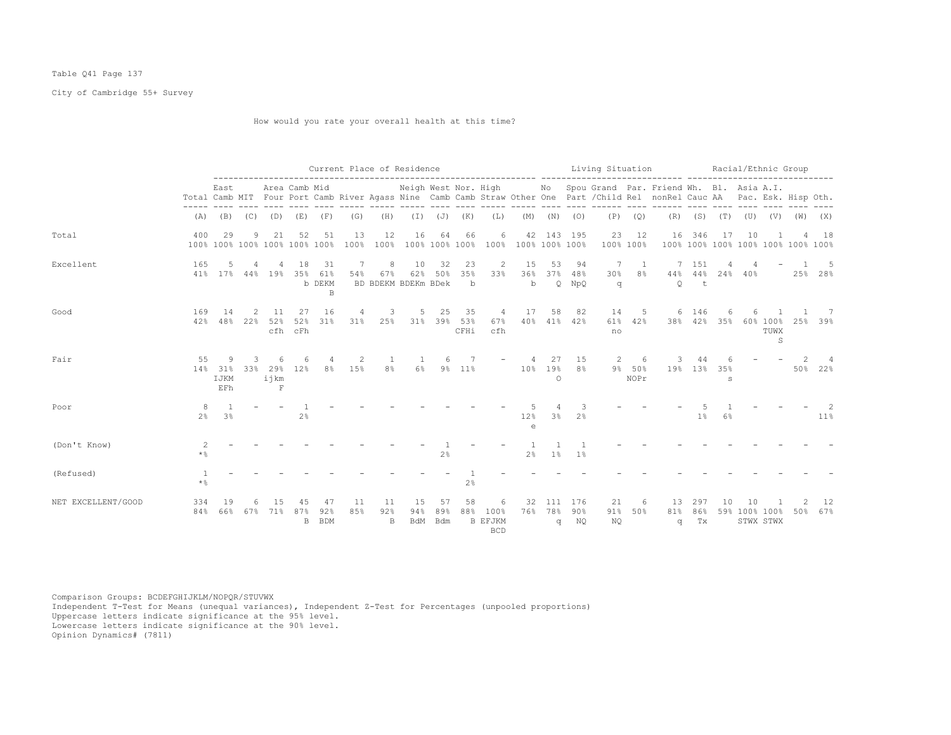# Table Q41 Page 137

City of Cambridge 55+ Survey

How would you rate your overall health at this time?

|                    |                     |                         |                      |                            |                                     |                         | Current Place of Residence |                                 |                         |                         |                          |                                           |                                    |                        |                        | Living Situation |                     |                                                                                                                                                                                                  |                   |             | Racial/Ethnic Group |                       |                                    |           |
|--------------------|---------------------|-------------------------|----------------------|----------------------------|-------------------------------------|-------------------------|----------------------------|---------------------------------|-------------------------|-------------------------|--------------------------|-------------------------------------------|------------------------------------|------------------------|------------------------|------------------|---------------------|--------------------------------------------------------------------------------------------------------------------------------------------------------------------------------------------------|-------------------|-------------|---------------------|-----------------------|------------------------------------|-----------|
|                    |                     | East                    |                      |                            | Area Camb Mid                       |                         |                            |                                 |                         |                         |                          |                                           |                                    |                        | ---- ----              |                  | $\frac{1}{2}$       | Neigh West Nor. High Mo Spou Grand Par. Friend Wh. Bl. Asia A.I.<br>Total Camb MIT Four Port Camb River Agass Nine Camb Camb Straw Other One Part / Child Rel nonRel Cauc AA Pac. Esk. Hisp Oth. |                   |             | $- - - -$           |                       |                                    |           |
|                    | (A)                 |                         | $(B)$ $(C)$          | (D)                        | (E)                                 | (F)                     | (G)                        | (H)                             |                         | $(I)$ $(J)$             | (K)                      | (L)                                       | (M)                                | (N)                    | (0)                    | (P)              | (Q)                 | (R)                                                                                                                                                                                              |                   | $(S)$ $(T)$ | (U)                 | (V)                   | (W)                                | (X)       |
| Total              | 400                 | 29                      | 9                    | 21                         | 52<br>100% 100% 100% 100% 100% 100% | 51                      | 13<br>100%                 | 12<br>100%                      | 16                      | 64                      | 66                       | 6                                         | 100% 100% 100% 100% 100% 100% 100% |                        | 42 143 195             | 23<br>100% 100%  | 12                  | 16                                                                                                                                                                                               | 346               | 17          | 10                  |                       | 100% 100% 100% 100% 100% 100% 100% | 18        |
| Excellent          | 165                 |                         |                      |                            | 18<br>41% 17% 44% 19% 35% 61%       | 31<br>b DEKM<br>B       | 7<br>54%                   | 8<br>67%<br>BD BDEKM BDEKm BDek | 10                      | 32<br>62% 50%           | 23<br>35%<br>$\mathbf b$ | 2<br>33%                                  | 15<br>36%<br>$\mathbf b$           | 53                     | 94<br>37% 48%<br>Q NpQ | 7<br>30%<br>q    | - 1<br>8%           | $44\%$<br>$\circ$                                                                                                                                                                                | 7 151<br>44%<br>t | 4           | $24\%$ $40\%$       |                       |                                    | 25% 28%   |
| Good               | 169<br>42%          | 14<br>48%               | $\mathcal{L}$<br>22% | 11<br>52%                  | 27<br>52%<br>cfh cFh                | 16<br>31%               | 4<br>31%                   | 3<br>25%                        | 5                       | 25<br>31% 39% 53%       | 35<br>CFHi               | $\overline{4}$<br>67%<br>cfh              | 17<br>40%                          | 58<br>41%              | 82<br>42%              | 14<br>61%<br>no  | 5<br>42%            | 6                                                                                                                                                                                                | 146<br>38% 42%    | 6<br>35%    |                     | 60% 100%<br>TUWX<br>S | 25%                                | 7<br>39%  |
| Fair               | 55<br>14왕           | 9<br>31%<br>IJKM<br>EFh | 3<br>33%             | 29%<br>ijkm<br>$\mathbf F$ | 12%                                 | 8 <sup>°</sup>          | 15%                        | 8 <sup>°</sup>                  | $6\%$                   | $9\%$                   | 11%                      |                                           | 10 <sup>°</sup>                    | 27<br>19%<br>$\circ$   | 15<br>8 <sup>°</sup>   | 2                | 6<br>9% 50%<br>NOPr | 19%                                                                                                                                                                                              | 13 <sup>°</sup>   | 35%<br>s    |                     |                       | 50%                                | 4<br>22%  |
| Poor               | 8<br>2 <sup>°</sup> | 3 <sup>°</sup>          |                      |                            | 2 <sup>°</sup>                      |                         |                            |                                 |                         |                         |                          |                                           | 12%<br>$\epsilon$                  | 3%                     | 2.8                    |                  |                     |                                                                                                                                                                                                  | 1%                | 6%          |                     |                       |                                    | 11%       |
| (Don't Know)       | 2<br>$\star$ %      |                         |                      |                            |                                     |                         |                            |                                 |                         | 2 <sup>°</sup>          |                          |                                           | 2 <sup>°</sup>                     | 1%                     | 1 <sup>°</sup>         |                  |                     |                                                                                                                                                                                                  |                   |             |                     |                       |                                    |           |
| (Refused)          | $\star$ %           |                         |                      |                            |                                     |                         |                            |                                 |                         |                         | $2\frac{6}{9}$           |                                           |                                    |                        |                        |                  |                     |                                                                                                                                                                                                  |                   |             |                     |                       |                                    |           |
| NET EXCELLENT/GOOD | 334<br>84%          | 19<br>66%               |                      | 67% 71%                    | 4.5<br>87%<br>B                     | 47<br>92%<br><b>BDM</b> | 11<br>85%                  | 11<br>92%<br>B                  | 15<br>94%<br><b>BdM</b> | 57<br>89%<br><b>Bdm</b> | 58<br>88%                | 6<br>100%<br><b>B EFJKM</b><br><b>BCD</b> | 32<br>76%                          | 111<br>78%<br>$\sigma$ | 176<br>$90\%$<br>NQ    | 21<br>91%<br>NQ  | 6<br>50%            | 13<br>81%<br>q                                                                                                                                                                                   | 297<br>86%<br>Tx  | 10          | 10<br>59% 100% 100% | STWX STWX             | 50%                                | 12<br>67% |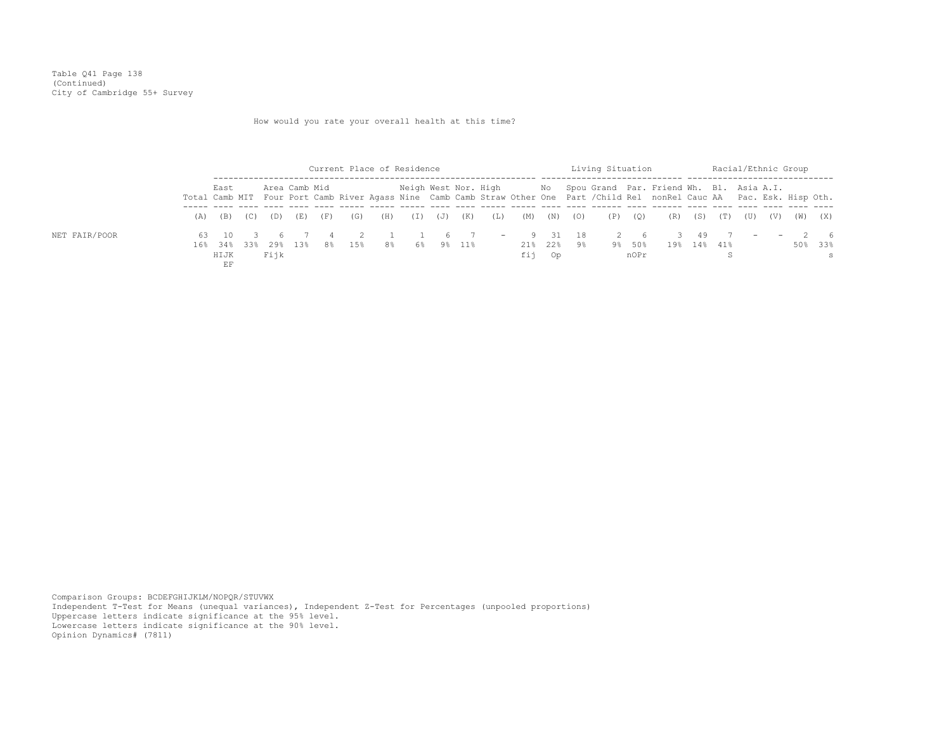Table Q41 Page 138 (Continued) City of Cambridge 55+ Survey

How would you rate your overall health at this time?

|               |                     |     |      |               |     |           |     | Current Place of Residence |     |     |               |                      |                       |     | Living Situation |                |                                                                                                                                                                                                 |             |  |         | Racial/Ethnic Group |                                      |
|---------------|---------------------|-----|------|---------------|-----|-----------|-----|----------------------------|-----|-----|---------------|----------------------|-----------------------|-----|------------------|----------------|-------------------------------------------------------------------------------------------------------------------------------------------------------------------------------------------------|-------------|--|---------|---------------------|--------------------------------------|
|               | East                |     |      | Area Camb Mid |     |           |     |                            |     |     |               |                      |                       |     |                  |                | Neigh West Nor. High Mo Spou Grand Par. Friend Wh. Bl. Asia A.I.<br>Total Camb MIT Four Port Camb River Agass Nine Camb Camb Straw Other One Part /Child Rel nonRel Cauc AA Pac. Esk. Hisp Oth. |             |  |         |                     |                                      |
|               | $(A)$ $(B)$         | (C) | (D)  | (E)           | (F) | (G)       | (H) | $(\lrcorner)$              | (J) | (K) | (L)           | (M)                  | $\cdots$ (N) $\cdots$ | (O) | (P)              | (Q)            |                                                                                                                                                                                                 | (R) (S) (T) |  | (U) (V) | (W)                 | (X)                                  |
| NET FAIR/POOR | 16% 34% 33%<br>HIJK |     | Fijk | 29% 13%       |     | 8% 15% 8% |     | 6% 9% 11%                  |     |     | 6 7 - 9 31 18 | $21\%$ 22% 9%<br>fij | Op                    |     | $2 \t 6$         | 9% 50%<br>nOPr | 3 49<br>19% 14% 41%                                                                                                                                                                             |             |  |         |                     | 7 – – 2 6<br>50% 33%<br>$\mathbf{s}$ |
|               | EF                  |     |      |               |     |           |     |                            |     |     |               |                      |                       |     |                  |                |                                                                                                                                                                                                 |             |  |         |                     |                                      |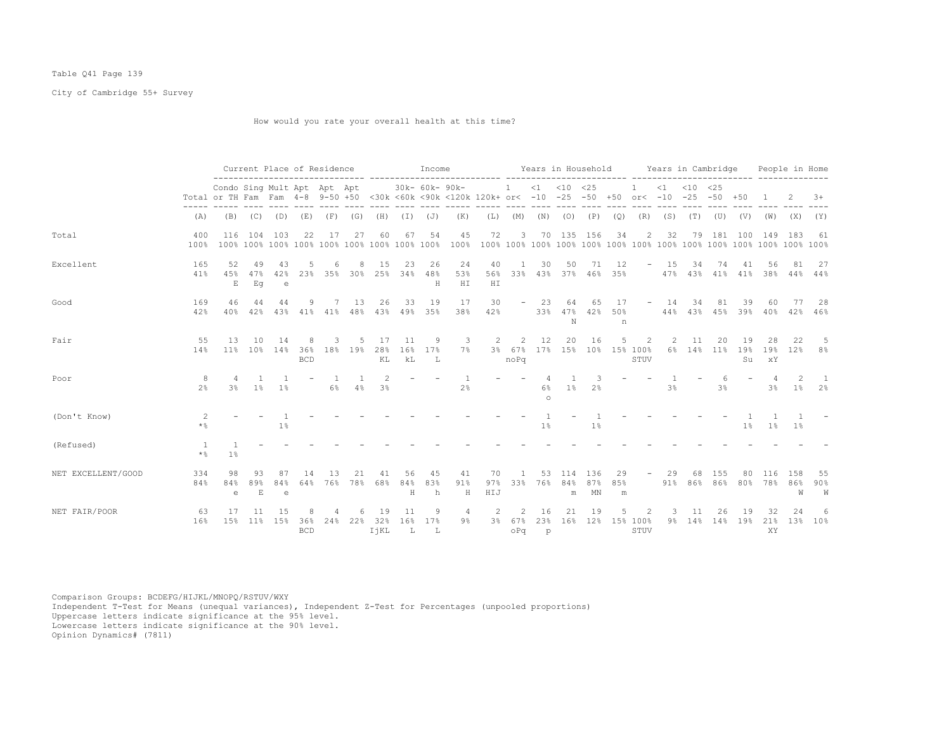## Table Q41 Page 139

City of Cambridge 55+ Survey

How would you rate your overall health at this time?

|                    |                             |                             | Current Place of Residence |                       |                        |                              |                      |                                 |                 | Income         |                                                                                                     |                  |                    |                |                  | Years in Household                |                |                          |                | Years in Cambridge        |                            |               |                        | People in Home |                      |
|--------------------|-----------------------------|-----------------------------|----------------------------|-----------------------|------------------------|------------------------------|----------------------|---------------------------------|-----------------|----------------|-----------------------------------------------------------------------------------------------------|------------------|--------------------|----------------|------------------|-----------------------------------|----------------|--------------------------|----------------|---------------------------|----------------------------|---------------|------------------------|----------------|----------------------|
|                    |                             | Condo Sing Mult Apt Apt Apt |                            |                       |                        |                              |                      |                                 |                 | 30k- 60k- 90k- | Total or TH Fam Fam 4-8 9-50 +50 <30k <60k <90k <120k 120k+ or< -10 -25 -50 +50 or< -10 -25 -50 +50 |                  | $\sim$ 1 $\sim$    |                | $<1$ $<10$ $<25$ |                                   |                |                          | $\leq 1$       | $< 10$ $< 25$             |                            |               |                        |                | $3+$                 |
|                    | (A)                         | (B)                         | (C)                        | (D)                   | (E)                    | (F)                          | (G)                  | (H)                             | (I)             | (J)            | (K)                                                                                                 |                  | $(L)$ $(M)$        |                | $(N)$ $(O)$      | (P)                               | (Q)            | (R)                      | (S)            | (T)                       | (U)                        | (V)           | (W)                    | (X)            | (Y)                  |
| Total              | 400<br>100%                 | 116                         | 104                        | 103                   | 22                     | 17                           | 27                   | 60                              | 67              | 54             | 45                                                                                                  | 72               | $\mathbf{3}$       |                |                  | 70 135 156                        | 34             | $\overline{2}$           | 32             | 79                        |                            | 181 100       | 149                    | -183           | 61                   |
| Excellent          | 165<br>41%                  | 52<br>45%<br>E              | 49<br>47%<br>Εq            | 43<br>42%<br>e        |                        |                              |                      | 15<br>23% 35% 30% 25% 34%       | 23              | 26<br>48%<br>H | 24<br>53%<br>H I                                                                                    | 40<br>56%<br>HI  | -1                 | 30             | 50               | 71<br>33% 43% 37% 46% 35%         | 12             | $\overline{\phantom{a}}$ | 15             | 34<br>47% 43% 41% 41% 38% | 74                         | 41            | 56                     | 81             | 27<br>$44\%$ $44\%$  |
| Good               | 169<br>42%                  | 46<br>$40\%$                | 44<br>42%                  | 44<br>43%             | 9                      | $7^{\circ}$<br>$41\%$ $41\%$ | 13<br>48%            | 26<br>43%                       | 33<br>49%       | 19<br>35%      | 17<br>38%                                                                                           | 30<br>42%        |                    | 23<br>33%      | 64<br>N          | 65<br>47% 42%                     | 17<br>50%<br>n |                          | $-14$          | 34<br>44% 43% 45% 39%     | 81                         | 39            | 60<br>40%              | 77<br>42%      | 28<br>46%            |
| Fair               | 55<br>14%                   | 13<br>$11\%$                | 10                         | 14<br>$10\%$ 14%      | 8<br>36%<br><b>BCD</b> | 3<br>18%                     | 19%                  | 17<br>28%<br>ΚL                 | 11<br>16%<br>kL | 9<br>17%<br>L  | 3<br>$7\%$                                                                                          | 2                | 2<br>noPq          | 12             | 20               | 16<br>3% 67% 17% 15% 10% 15% 100% | .5             | 2<br>STUV                | 2              | 11<br>6% 14% 11% 19%      | 20                         | 19<br>Su      | 28<br>19%<br>xY        | -22<br>12%     | -5<br>8 %            |
| Poor               | -8<br>2 <sup>°</sup>        | 3%                          | $1\%$                      | $\mathbf{1}$<br>$1\%$ |                        | $\mathbf{1}$<br>6%           | $\overline{1}$<br>4% | $\mathcal{L}$<br>3 <sup>°</sup> |                 |                | $\overline{1}$<br>2 <sup>°</sup>                                                                    |                  |                    | 6%<br>$\circ$  | 1%               | 3<br>2 <sup>°</sup>               |                |                          | 3 <sup>8</sup> |                           | 6<br>3 <sup>8</sup>        |               | $\overline{4}$<br>3%   | 2<br>$1\%$     | $\overline{1}$<br>2% |
| (Don't Know)       | 2<br>$\star$ %              |                             |                            | $1\%$                 |                        |                              |                      |                                 |                 |                |                                                                                                     |                  |                    | $1\%$          |                  | $1\%$                             |                |                          |                |                           |                            | $1\%$         | 1%                     | $1\%$          |                      |
| (Refused)          | $\overline{1}$<br>$\star$ % | 1%                          |                            |                       |                        |                              |                      |                                 |                 |                |                                                                                                     |                  |                    |                |                  |                                   |                |                          |                |                           |                            |               |                        |                |                      |
| NET EXCELLENT/GOOD | 334<br>84%                  | 98<br>84%<br>e              | 93<br>89%<br>E             | 87<br>84%<br>e        | 14<br>64%              | 13                           | 21<br>76% 78%        | 41<br>68%                       | 56<br>84%<br>H  | 45<br>83%<br>h | 41<br>91%<br>H                                                                                      | 70<br>97%<br>HIJ | 33%                | 53<br>76%      | 114<br>m         | 136<br>84% 87%<br>MN              | 29<br>85%<br>m | $ \,$                    | 29<br>91%      | 68                        | 155<br>86% 86% 80% 78% 86% | 80            | 116                    | 158<br>W       | 55<br>$90\%$<br>W    |
| NET FAIR/POOR      | 63<br>16%                   | 17<br>15%                   | -11<br>$11\%$              | 15<br>15%             | 36%<br><b>BCD</b>      | 24%                          | 22%                  | -19<br>32%<br>IjKL              | 11<br>16%<br>т. | 9<br>17%<br>L  | 4<br>9%                                                                                             | 2                | 2<br>3% 67%<br>oPq | 16<br>23%<br>p | 21               | 19<br>16% 12%                     |                | 2<br>15% 100%<br>STUV    | 3<br>$9\%$     | 11<br>14%                 | 26                         | 19<br>14% 19% | 32<br>21%<br><b>XY</b> | 24<br>13%      | 6<br>10%             |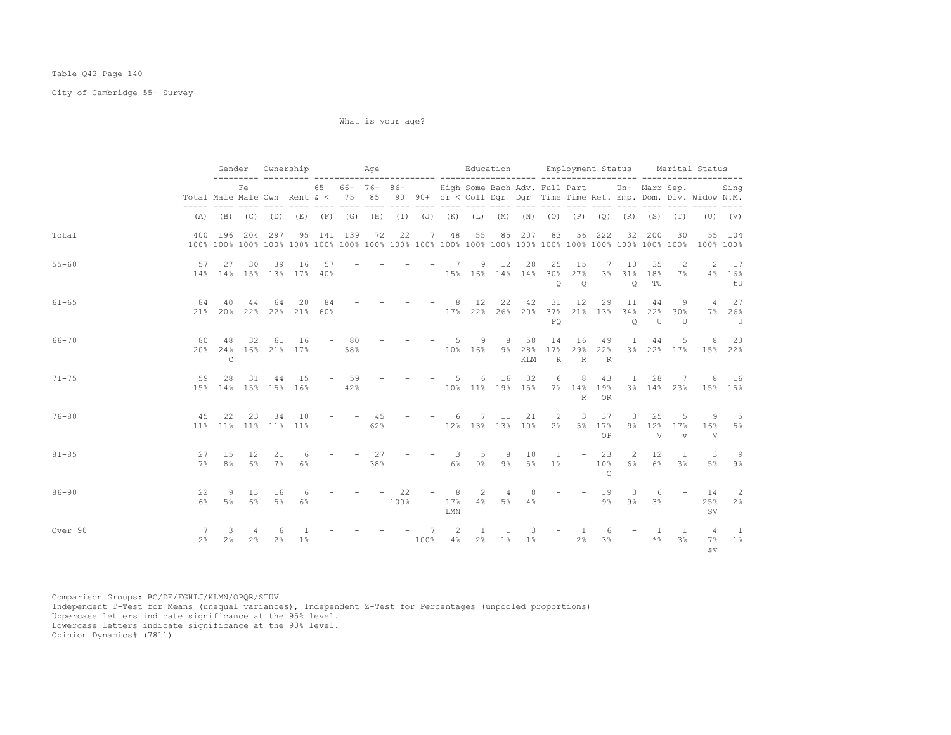## Table Q42 Page 140

City of Cambridge 55+ Survey

What is your age?

|           |                     |                     |                                  |                   |                                                                                 |            |              |           |            |                                                |                     |                      |            |                                |                    |                          |                               |                               |                           | Gender Ownership Mage Nage Education Employment Status Marital Status                                                                                                   |                                  |
|-----------|---------------------|---------------------|----------------------------------|-------------------|---------------------------------------------------------------------------------|------------|--------------|-----------|------------|------------------------------------------------|---------------------|----------------------|------------|--------------------------------|--------------------|--------------------------|-------------------------------|-------------------------------|---------------------------|-------------------------------------------------------------------------------------------------------------------------------------------------------------------------|----------------------------------|
|           |                     |                     | Fe                               |                   |                                                                                 |            |              |           |            |                                                |                     |                      |            |                                |                    |                          |                               |                               |                           | 65 66- 76- 86- High Some Bach Adv. Full Part Un- Marr Sep. Sing<br>Total Male Male Own Rent & < 75 85 90 90+ or < Coll Dgr Dgr Time Time Ret. Emp. Dom. Div. Widow N.M. |                                  |
|           |                     |                     |                                  |                   | (A) (B) (C) (D) (E) (F) (G) (H) (I) (J) (K) (L) (M) (N) (O) (P) (Q) (R) (S) (T) |            |              |           |            |                                                |                     |                      |            |                                |                    |                          |                               |                               |                           |                                                                                                                                                                         | $(U)$ $(V)$                      |
| Total     |                     |                     |                                  | 400 196 204 297   |                                                                                 | 95 141 139 |              | 72        | 22         | 48<br>7                                        | 55                  | 85                   | 207        | 83                             | 56                 | 222                      | 32                            | 200                           | 30                        |                                                                                                                                                                         | 55 104                           |
| $55 - 60$ | 57                  | - 27                | 30                               | 39                | 16<br>14% 14% 15% 13% 17% 40%                                                   | 57         |              |           |            | $-7$<br>$15\%$ $16\%$ $14\%$ $14\%$ $30\%$ 27% |                     | 9 12                 | 28         | 25<br>$\circ$                  | 15<br>$\circ$      | $7\phantom{0}$           | 10<br>3% 31%<br>$\circ$       | 35<br>18%<br>TU               | 2<br>7%                   |                                                                                                                                                                         | 2 17<br>4% 16%<br>tU             |
| $61 - 65$ | 84                  | 40                  | 44                               | 64                | 20<br>21% 20% 22% 22% 21% 60%                                                   | 84         |              |           |            | 8 <sup>8</sup><br>$17\%$ 22% 26% 20%           | 12                  | 22                   | 42         | 31<br>37%<br>PO                | 12                 | 29                       | 11<br>21% 13% 34%<br>Q        | 44<br>22%<br>U                | 9<br>30%<br>U             |                                                                                                                                                                         | 4 27<br>7% 26%<br>U              |
| 66-70     | 80.                 | 48<br>$\mathsf{C}$  | 32                               | 61                | 16<br>20% 24% 16% 21% 17%                                                       |            | $-80$<br>58% |           |            | $-5$ 9 8 58<br>10% 16% 9% 28%                  |                     |                      | KLM        | 14<br>17%<br>R                 | 16<br>$\mathbb{R}$ | - 49<br>29% 22%<br>R     | <b>1</b>                      | 44                            | 5                         | 3% 22% 17% 15% 22%                                                                                                                                                      | 8 23                             |
| $71 - 75$ | 59                  | 28                  | 31                               | 44                | 15<br>15% 14% 15% 15% 16%                                                       |            | $-59$<br>42% |           |            | $- - - 5$<br>$10\%$ 11% 19% 15% 7% 14% 19%     | 6                   | 16                   | 32         | 6 <sup>6</sup>                 | R                  | 8 43<br>0R               | 1                             |                               |                           | 28 7 8 16<br>3% 14% 23% 15% 15%                                                                                                                                         |                                  |
| $76 - 80$ | 45                  | 22                  | 23                               | 34                | 10<br>11% 11% 11% 11% 11%                                                       |            |              | 45<br>62% |            | $- 6$<br>12% 13% 13% 10%                       |                     | 7 11                 | 21         | <sup>2</sup><br>$2\frac{6}{5}$ | 3<br>5%            | 37<br>17%<br>ΟP          | $\overline{\mathbf{3}}$       | 25<br>$9\frac{8}{9}$ 12%<br>V | -5<br>17%<br>$\mathbf{v}$ | -9<br>16%<br>V                                                                                                                                                          | $-5$<br>5%                       |
| $81 - 85$ | 27<br>7%            | 15<br>8%            | 12<br>$6\%$                      | 21<br>$7\%$       | 6<br>$6\%$                                                                      |            |              | 27<br>38% |            | $\overline{\phantom{a}}$<br>6%                 | 5<br>$9\frac{6}{5}$ | 8<br>$9\%$           | 10         | $\mathbf{1}$<br>5% 1%          |                    | $-23$<br>10%<br>$\Omega$ | 2<br>6%                       | $12 \,$<br>6%                 | $\mathbf{1}$<br>3%        | 3                                                                                                                                                                       | -9<br>5% 9%                      |
| $86 - 90$ | 22<br>6%            | 9<br>5%             |                                  | 13 16<br>$6\%$ 5% | 6<br>$6\%$                                                                      |            |              |           | 22<br>100% | 8<br>17%<br>LMN                                | 2<br>$4\%$          | $\overline{4}$<br>5% | 8<br>4%    | $\overline{\phantom{a}}$       |                    | $-19$<br>9%              | $\overline{\mathbf{3}}$<br>9% | 6<br>3 <sup>8</sup>           |                           | $-14$<br>25%<br>SV.                                                                                                                                                     | $\overline{\phantom{0}}^2$<br>2% |
| Over 90   | 7<br>$2\frac{6}{5}$ | 3<br>2 <sup>°</sup> | $\overline{4}$<br>$2\frac{6}{9}$ | -6<br>2%          | 1%                                                                              |            |              | 100%      | $- - - 7$  | $\overline{2}$<br>4%                           | $\mathbf{1}$<br>2%  | 1<br>$1\%$           | 3<br>$1\%$ | $\overline{\phantom{a}}$       | 2%                 | 6<br>3%                  |                               | -1<br>$\star$ %               | $\mathbf{1}$<br>3%        | $\overline{4}$<br>$7\%$<br>SV.                                                                                                                                          | $\frac{1}{2}$<br>$1\%$           |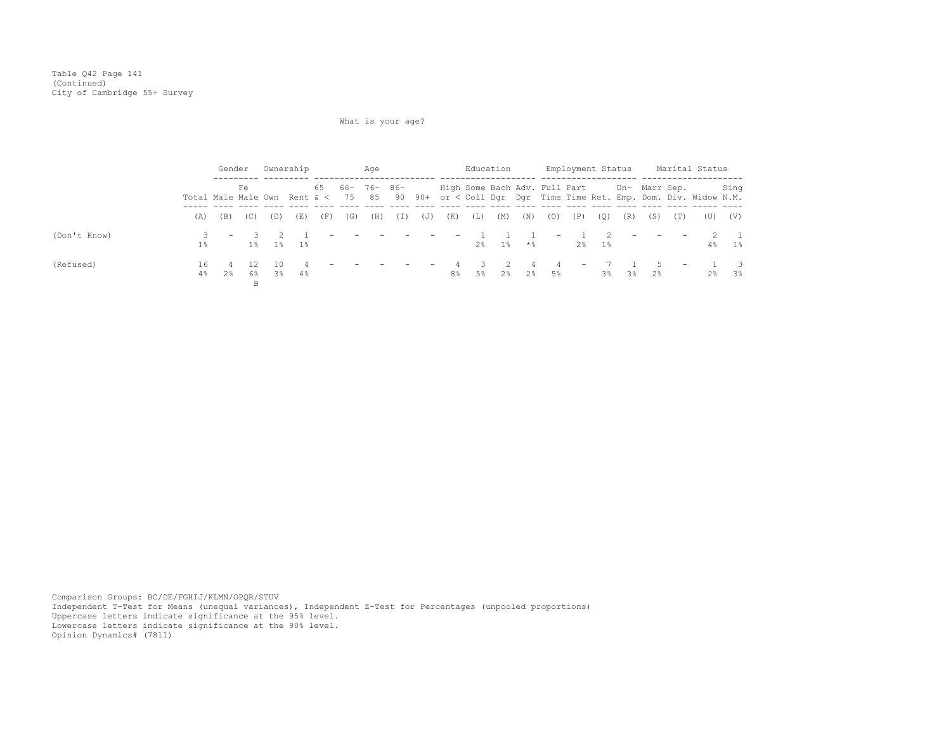# What is your age?

|              |          | Gender  |      |             | Ownership                 |                   |     | Age            |                          |            |              |                | Education |           |                                             | Employment Status        |          |                               |                               |                   | Marital Status                                                                                       |                         |
|--------------|----------|---------|------|-------------|---------------------------|-------------------|-----|----------------|--------------------------|------------|--------------|----------------|-----------|-----------|---------------------------------------------|--------------------------|----------|-------------------------------|-------------------------------|-------------------|------------------------------------------------------------------------------------------------------|-------------------------|
|              |          |         | Fe.  |             |                           |                   |     | 65 66- 76- 86- |                          |            |              |                |           |           | High Some Bach Adv. Full Part Un- Marr Sep. |                          |          |                               |                               |                   | Total Male Male Own Rent & < 75 85 90 90+ or < Coll Dgr Dgr Time Time Ret. Emp. Dom. Div. Widow N.M. | Sing                    |
|              | (A)      | (B)     | (C)  | (D)         | (E)                       | (F)               | (G) | (H)            | (I)                      | (J)        | (K)          | (L)            | (M)       | (N)       | (0)                                         | (P)                      | (0)      | (R)                           | (S)                           | (T)               | (U)                                                                                                  | (V)                     |
| (Don't Know) | $1\%$    |         | $-3$ |             | 1% 1% 1%                  | $\qquad \qquad -$ |     |                | $\overline{\phantom{m}}$ | $\sim$ $-$ |              | the control of | $2\%$ 1%  | $\star$ & | $\sim$                                      |                          | $2\%$ 1% | $\overline{\phantom{a}}$      | $\sim$ $-$                    | $\qquad \qquad -$ | $4\%$                                                                                                | $\sim$ 1<br>1%          |
| (Refused)    | 16<br>4% | 4<br>2% | 12   | 10<br>6% 3% | $\overline{4}$<br>$4\,$ % |                   |     |                |                          |            | $ -$ 4<br>8% | -3-<br>$5\%$   | $\sim$ 2  |           | 4<br>2% 2% 5%                               | $\overline{\phantom{a}}$ | 7        | $3\frac{6}{3}$ $3\frac{6}{3}$ | $1 \quad 5$<br>$2\frac{6}{5}$ | $\sim$ $-$        |                                                                                                      | $1 \quad 3$<br>$2\%$ 3% |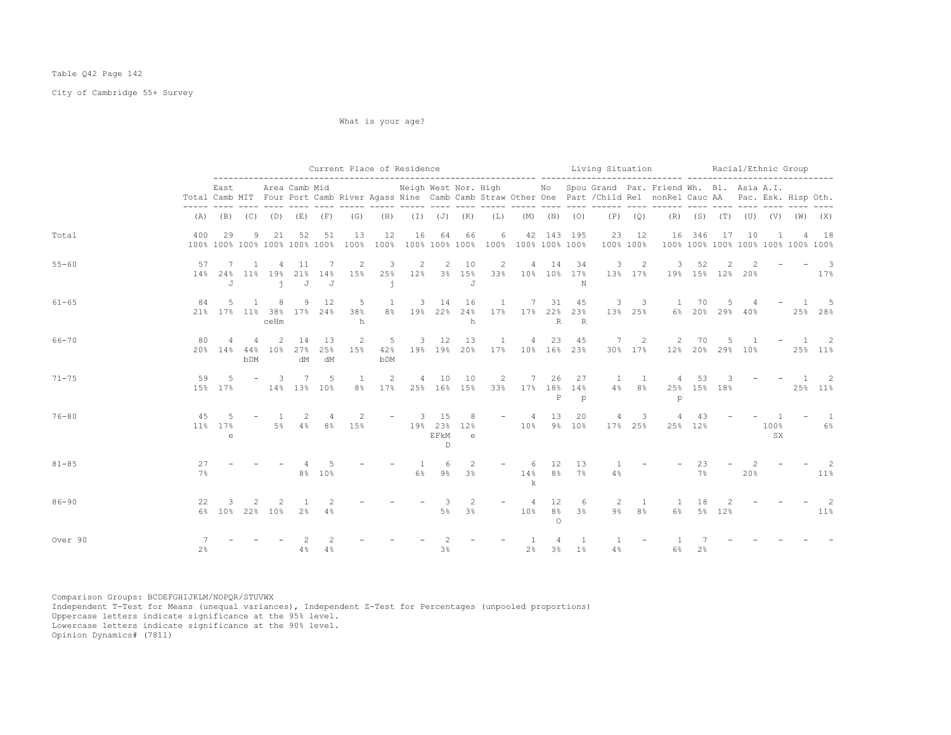## Table Q42 Page 142

City of Cambridge 55+ Survey

What is your age?

|           |          |                                     |                       |                |                     |                 | Current Place of Residence                |              |                                |                          |                     |                |                                           |                      |                                     |                           |                                    | Living Situation and Racial/Ethnic Group                                                                                                                                                                                                                                                                   |                                           |    |                |                   |             |                          |
|-----------|----------|-------------------------------------|-----------------------|----------------|---------------------|-----------------|-------------------------------------------|--------------|--------------------------------|--------------------------|---------------------|----------------|-------------------------------------------|----------------------|-------------------------------------|---------------------------|------------------------------------|------------------------------------------------------------------------------------------------------------------------------------------------------------------------------------------------------------------------------------------------------------------------------------------------------------|-------------------------------------------|----|----------------|-------------------|-------------|--------------------------|
|           |          | East                                |                       |                | Area Camb Mid       |                 |                                           |              |                                |                          |                     |                |                                           |                      |                                     |                           |                                    | Neigh West Nor. High Mo Spou Grand Par. Friend Wh. Bl. Asia A.I.<br>Total Camb MIT Four Port Camb River Agass Nine Camb Camb Straw Other One Part / Child Rel nonRel Cauc AA Pac. Esk. Hisp Oth.<br>and does these doesn today does does these these then does thence does thence does then then then then |                                           |    |                |                   |             |                          |
|           |          |                                     |                       |                |                     |                 | $(A)$ $(B)$ $(C)$ $(D)$ $(E)$ $(F)$ $(G)$ | (H)          |                                |                          |                     |                | $(I)$ $(J)$ $(K)$ $(L)$ $(M)$ $(N)$ $(O)$ |                      |                                     |                           | $(P)$ $(Q)$                        |                                                                                                                                                                                                                                                                                                            | $(R)$ $(S)$ $(T)$ $(U)$ $(V)$ $(W)$ $(X)$ |    |                |                   |             |                          |
| Total     | 400      | 29<br>100% 100% 100% 100% 100% 100% | 9                     | 21             | 52                  | 51              | 13<br>100%                                | 12           | 16                             | 64                       | 66                  | 6              |                                           |                      | 42 143 195                          | 100% 100%                 | 23 12                              | 100% 100% 100% 100% 100% 100% 100%                                                                                                                                                                                                                                                                         | 16 346                                    | 17 | 10             |                   |             | 18                       |
| $55 - 60$ | 57       | 7<br>14% 24% 11% 19% 21% 14%<br>J   | <sup>1</sup>          | $\overline{4}$ | 11<br>$\dot{1}$ J J | 7               | 2<br>15%                                  | 3<br>j.      | 25% 12% 3% 15%                 | 2 2 10                   | J                   | $\overline{2}$ | 33% 10% 10% 17%                           | 4 14                 | 34<br>N                             | 13% 17%                   | $3 \quad 2$                        | $\mathbf{3}$<br>19% 15% 12% 20%                                                                                                                                                                                                                                                                            | 52                                        | 2  |                |                   |             | $-$ 3<br>$17\%$          |
| $61 - 65$ | 84       | 5<br>21% 17% 11% 38% 17% 24%        | $\overline{1}$        | 8<br>ceHm      |                     | 9 12            | -5<br>38%<br>h                            | <sup>1</sup> | 8% 19% 22% 24% 17% 17% 22% 23% | $3 \t 14$                | 16<br>h             |                | 1 7 31 45                                 | R                    | R                                   | 3 <sup>3</sup><br>13% 25% |                                    | 1 70                                                                                                                                                                                                                                                                                                       | 6% 20% 29% 40%                            | -5 |                |                   |             | 25% 28%                  |
| $66 - 70$ | 80       | $20\%$ 14%                          | $\overline{4}$<br>bDM | 2<br>44% 10%   | 14<br>27%<br>dM     | 13<br>25%<br>dM | 2<br>15%                                  | 42%<br>bDM   | $5 - 5$                        | 3 12 13                  |                     | $\mathbf{1}$   | 19% 19% 20% 17% 10% 16% 23%               | 4 23                 | 45                                  |                           | 7 2<br>30% 17%                     | 12% 20% 29% 10%                                                                                                                                                                                                                                                                                            | 2 70                                      | 5  | $\overline{1}$ |                   |             | $-1$ 2<br>25% 11%        |
| $71 - 75$ | 59       | -5<br>15% 17%                       |                       | - 3            | 7<br>14% 13% 10%    | 5               | $\overline{1}$                            | 2            | 8% 17% 25% 16% 15%             | 4 10 10                  |                     |                | 2 7 26<br>33% 17% 18% 14%                 | $_{\rm P}$           | 27<br>p                             | $1 \quad 1$               |                                    | 4 53<br>4% 8% 25% 15% 18% 25% 11%<br>p                                                                                                                                                                                                                                                                     |                                           |    |                |                   | $3 - - - 1$ | $\overline{\phantom{a}}$ |
| $76 - 80$ | 45       | .5<br>11% 17%<br>$\epsilon$         |                       | $\sim$ 1       | -2                  | 4               | 2<br>5% 4% 8% 15%                         |              | $-3$ 15                        | 19% 23% 12%<br>EFkM<br>D | 8 <sup>8</sup><br>e |                | $-4$<br>10% 9% 10%                        | 13                   | 20                                  | $\overline{4}$            | $\overline{\mathbf{3}}$<br>17% 25% | 4                                                                                                                                                                                                                                                                                                          | 43<br>25% 12%                             |    |                | 100%<br><b>SX</b> |             | $1 - 1$<br>6%            |
| $81 - 85$ | 27<br>7% |                                     |                       |                |                     | 8% 10%          |                                           |              | -1<br>6%                       | 6                        | 2<br>$9\%$ $3\%$    |                | $- 6$<br>$\mathbf k$                      | 12                   | 13<br>14% 8% 7%                     | $\mathbf{1}$<br>4%        |                                    |                                                                                                                                                                                                                                                                                                            | 23<br>$7\%$                               |    | 20%            |                   |             | -2<br>11%                |
| $86 - 90$ | 22       | 3<br>6% 10% 22% 10% 2% 4%           |                       |                | $\overline{1}$      | 2               |                                           |              |                                | -3<br>$5\%$              | $\mathcal{L}$<br>3% |                | $\overline{4}$<br>10%                     | 12<br>8%<br>$\Omega$ | 6<br>$3\%$                          | 2                         | $\mathbf{1}$<br>$9\%$ $8\%$        | $\overline{1}$                                                                                                                                                                                                                                                                                             | 18<br>6% 5% 12%                           | 2  |                |                   |             | -2<br>$11\%$             |
| Over 90   | 2%       |                                     |                       |                | 4%                  | 4%              |                                           |              |                                | 3%                       |                     |                | 2%                                        | $\overline{4}$       | $\overline{1}$<br>$3\frac{6}{9}$ 1% | 4%                        |                                    | $6\%$                                                                                                                                                                                                                                                                                                      | 2%                                        |    |                |                   |             |                          |

Comparison Groups: BCDEFGHIJKLM/NOPQR/STUVWX Independent T-Test for Means (unequal variances), Independent Z-Test for Percentages (unpooled proportions) Uppercase letters indicate significance at the 95% level. Lowercase letters indicate significance at the 90% level.

Opinion Dynamics# (7811)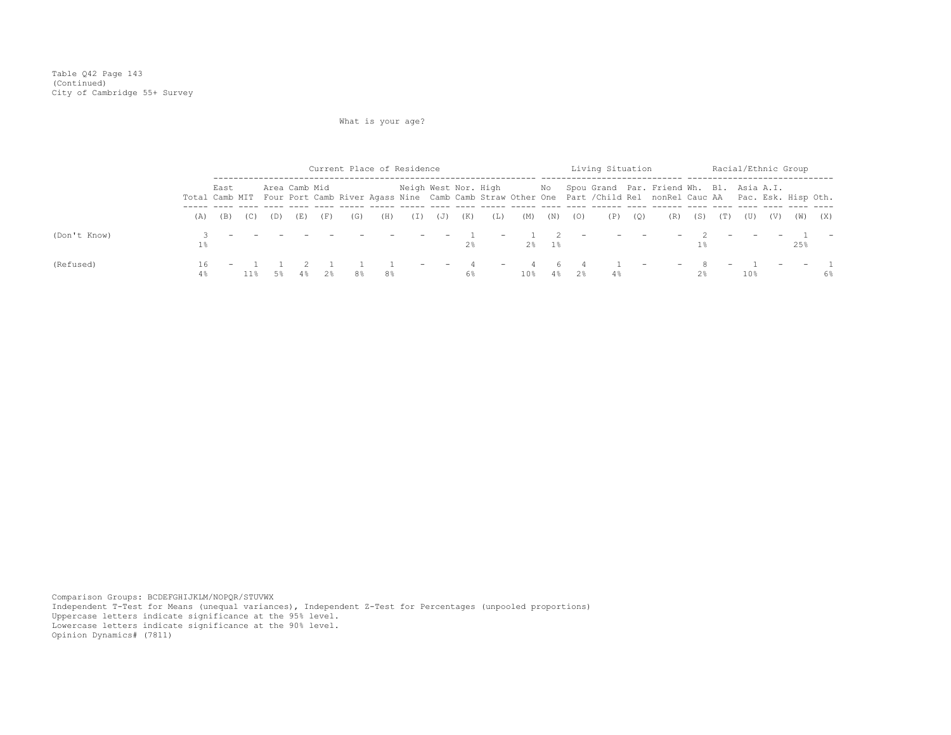# What is your age?

|              |          |      |     |               |     |     | Current Place of Residence |     |                                                   |                          |     |                          |     |          |                                 | Living Situation         |                          |                                                                                                                                                                                                 |                         | Racial/Ethnic Group      |                 |     |     |     |
|--------------|----------|------|-----|---------------|-----|-----|----------------------------|-----|---------------------------------------------------|--------------------------|-----|--------------------------|-----|----------|---------------------------------|--------------------------|--------------------------|-------------------------------------------------------------------------------------------------------------------------------------------------------------------------------------------------|-------------------------|--------------------------|-----------------|-----|-----|-----|
|              |          | East |     | Area Camb Mid |     |     |                            |     |                                                   |                          |     |                          |     |          |                                 |                          |                          | Neigh West Nor. High Mo Spou Grand Par. Friend Wh. Bl. Asia A.I.<br>Total Camb MIT Four Port Camb River Agass Nine Camb Camb Straw Other One Part /Child Rel nonRel Cauc AA Pac. Esk. Hisp Oth. |                         |                          |                 |     |     |     |
|              | (A)      | (B)  | (C) | (D)           |     | (F) | (G)                        | (H) | (I)                                               | (J)                      | (K) | (L)                      | (M) | (N)      | (O)                             | (P)                      | (Q)                      | (R)                                                                                                                                                                                             | (S)                     | (T)                      | (U)             | (V) | (W) | (X) |
| (Don't Know) | $1\%$    |      |     |               |     |     |                            |     | the company's state of the company's state of the | $\overline{\phantom{0}}$ | 2%  | $\overline{\phantom{0}}$ |     | $2\%$ 1% | $\hspace{0.1mm}-\hspace{0.1mm}$ | $\overline{\phantom{a}}$ | <b>Contract Contract</b> |                                                                                                                                                                                                 | $-$ 2                   |                          |                 |     | 25% |     |
| (Refused)    | 16<br>4% |      | 11% | 5%            | 4.왕 | 2%  | 8%                         | 8%  | $-$                                               | $\overline{\phantom{0}}$ | 6%  | $\sim$ $-$               | 10% | 46       | $4\%$ 2%                        | 4월                       | $\overline{\phantom{0}}$ |                                                                                                                                                                                                 | $-$ 8<br>2 <sup>8</sup> | $\overline{\phantom{0}}$ | 10 <sub>8</sub> |     |     | 6%  |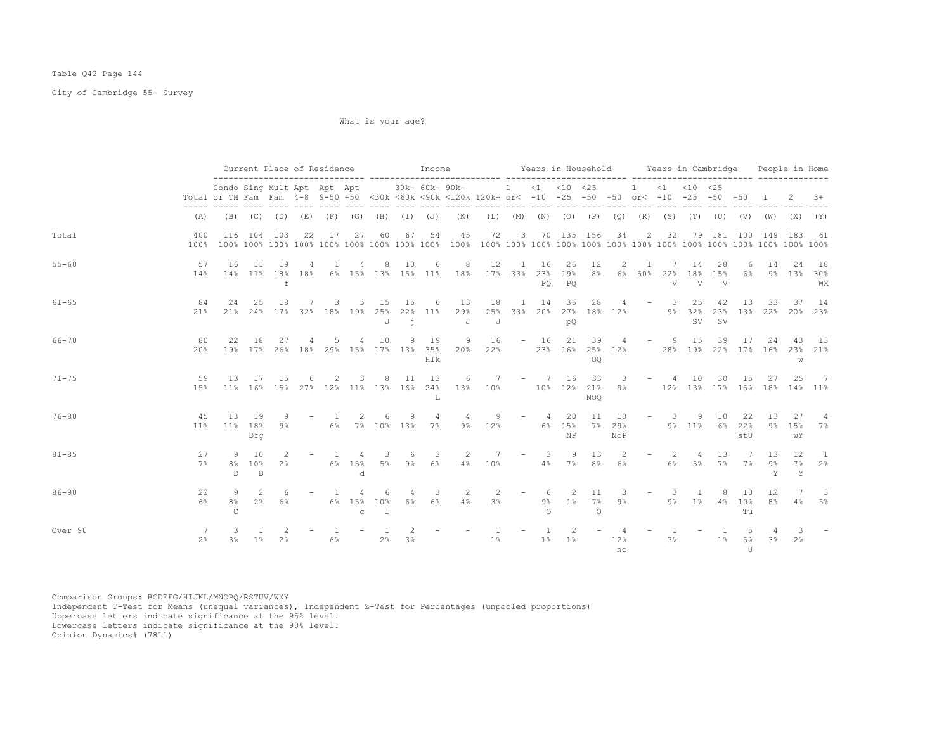## Table Q42 Page 144

City of Cambridge 55+ Survey

What is your age?

|           |              |                                                                                                                                    |                                 | Current Place of Residence |    |                |                                 |                     |                | Income                                             |                                                                                             | Years in Household Years in Cambridge |                         |                     |                           |                         |                               |                          |                                  |                                   |                             |                           |                 | People in Home    |                      |
|-----------|--------------|------------------------------------------------------------------------------------------------------------------------------------|---------------------------------|----------------------------|----|----------------|---------------------------------|---------------------|----------------|----------------------------------------------------|---------------------------------------------------------------------------------------------|---------------------------------------|-------------------------|---------------------|---------------------------|-------------------------|-------------------------------|--------------------------|----------------------------------|-----------------------------------|-----------------------------|---------------------------|-----------------|-------------------|----------------------|
|           |              | Condo Sing Mult Apt Apt Apt<br>Total or TH Fam Fam 4-8 9-50 +50 <30k <60k <90k <120k 120k+ or< -10 -25 -50 +50 or< -10 -25 -50 +50 |                                 |                            |    |                |                                 |                     |                | $30k - 60k - 90k -$                                |                                                                                             | 1 < 1 < 10 < 25                       |                         |                     |                           |                         |                               |                          |                                  | 1 < 1 < 10 < 25                   |                             |                           | $\overline{1}$  | -2                | $3+$                 |
|           | (A)          |                                                                                                                                    |                                 |                            |    |                |                                 |                     |                |                                                    | (B) (C) (D) (E) (F) (G) (H) (I) (J) (K) (L) (M) (N) (O) (P) (Q) (R) (S) (T) (U) (V) (W) (X) |                                       |                         |                     |                           |                         |                               |                          |                                  |                                   |                             |                           |                 |                   | (Y)                  |
| Total     | 400<br>100%  |                                                                                                                                    |                                 | 116 104 103                | 22 | 17             | 27                              | 60                  | 67             | 54                                                 | 45                                                                                          | 72                                    |                         |                     | 3 70 135 156              |                         | 34                            |                          | 2 32                             |                                   |                             | 79 181 100                | 149             | - 183             | -61                  |
| $55 - 60$ | 57<br>14%    | 16                                                                                                                                 | 11                              | 19<br>$\,$ f               | 4  | 1              | 4                               | 8                   | 10             | 6                                                  | 8<br>14% 11% 18% 18% 6% 15% 13% 15% 11% 18%                                                 | 12<br>17% 33% 23%                     |                         | 1 16<br>PO          | 26<br>19%<br>PO           | 12<br>8 <sup>8</sup>    | 2                             | -1<br>6% 50% 22%         | 7<br>$\overline{V}$              | 14<br>18%<br>$\overline{V}$       | 28<br>15%<br>$\overline{V}$ | -6<br>6%                  | 14              | 24<br>9% 13%      | - 18<br>30%<br>WX    |
| $61 - 65$ | 84<br>21%    | 2.4                                                                                                                                | 2.5                             | 18                         | 7  | 3              | -5                              | 15<br>J             | 15<br>$\Delta$ | 6<br>21% 24% 17% 32% 18% 19% 25% 22% 11%           | 13<br>29%<br>J                                                                              | 18<br>J                               | 25% 33% 20% 27% 18% 12% | 1 14                | 36<br>pQ                  | 28                      | $\sim$ 4                      |                          | $-$ 3                            | 25<br>9% 32%<br><b>SV</b>         | 42<br><b>SV</b>             | 13<br>23% 13% 22% 20% 23% | 33              | - 37              | 14                   |
| 66-70     | 80<br>20%    | 22                                                                                                                                 | 18                              | 27                         |    | .5             | $\overline{4}$                  | 10                  |                | 9 19<br>19% 17% 26% 18% 29% 15% 17% 13% 35%<br>HIk | 9                                                                                           | 16<br>$20\%$ $22\%$                   |                         | $-16$               | 21                        | 39<br>OO                | $\frac{4}{3}$                 | 23% 16% 25% 12%          | $-$ 9                            | 15<br>28% 19% 22% 17% 16% 23% 21% | 39                          | 17                        | 24              | -43<br>W          | - 13                 |
| $71 - 75$ | 59<br>15%    | 13                                                                                                                                 | 17                              | 15                         | 6  | 2              | 3                               | 8                   | 11             | 13<br>11% 16% 15% 27% 12% 11% 13% 16% 24%<br>т.    | 6                                                                                           | 13% 10% 10% 12% 21%                   | 7 – 7 16                |                     |                           | 33<br><b>NOO</b>        | $\overline{\mathbf{3}}$<br>9% |                          | <b>Service</b><br>$\overline{4}$ | 10<br>12% 13% 17% 15% 18% 14% 11% | 30                          | 15                        | 27              | 25                | 7                    |
| $76 - 80$ | 45<br>$11\%$ | 13                                                                                                                                 | 19<br>11% 18%<br>Dfq            | 9<br>9%                    |    | $\sim$ 1       |                                 | 6                   | 9              | $\overline{4}$<br>6% 7% 10% 13% 7%                 | 4<br>$9\%$                                                                                  | 9<br>12%                              |                         | $-4$                | 20<br>6% 15%<br><b>NP</b> | 11<br>7%                | 10<br>29%<br>NoP              |                          | $-3$                             | 9<br>9% 11% 6% 22%                | 10                          | - 22<br>stU               | - 13<br>9%      | 27<br>15%<br>wY   | 4<br>7%              |
| $81 - 85$ | 27<br>7%     | 9<br>8%<br>$\mathbb{D}$                                                                                                            | 10<br>10%<br>D.                 | 2<br>$2\frac{6}{9}$        |    | $\overline{1}$ | 4<br>6% 15%<br>$\mathbf d$      | 3<br>5%             | 6              | 3<br>$9\frac{6}{6}$ 6 <sup>2</sup>                 | 2                                                                                           | 7<br>$4\%$ $10\%$                     |                         | - 3                 | 9<br>4% 7% 8%             | 13                      | $\overline{2}$<br>6%          | $\overline{\phantom{a}}$ | -2.<br>6%                        | $\overline{4}$                    | -13-<br>5% 7%               | $\overline{7}$<br>7%      | -1.3<br>9%<br>Y | 12.<br>$7\%$<br>Y | $\overline{1}$<br>2% |
| $86 - 90$ | 22<br>6%     | 9<br>8%<br>$\mathcal{C}$                                                                                                           | $\mathcal{L}$<br>2 <sup>8</sup> | 6<br>6%                    |    | $\overline{1}$ | 4<br>6% 15% 10%<br>$\mathbb{C}$ | 6<br>$\overline{1}$ | $\overline{4}$ | 3<br>6% 6%                                         | 2<br>4%                                                                                     | 2<br>3%                               | $\sim$                  | 6<br>9%<br>$\Omega$ | 2                         | 11<br>1% 7%<br>$\Omega$ | - 3-<br>9%                    | $\sim$                   | -3<br>9%                         | $\overline{1}$<br>1% 4% 10%       | 8                           | 10<br>T11                 | 12<br>8%        | 7<br>$4\%$        | - 3<br>- 5월          |
| Over 90   | -7<br>$2\%$  | 3<br>3%                                                                                                                            | $1\%$                           | 2 <sup>°</sup>             |    | $6\%$          |                                 | 2%                  | 3%             |                                                    |                                                                                             | $1\,$ s                               |                         | 1%                  | 2<br>1%                   |                         | 12%<br>no                     |                          | 3%                               |                                   | $1\%$                       | 5%<br>$\mathbb{H}$        | 3 <sup>°</sup>  | 2%                |                      |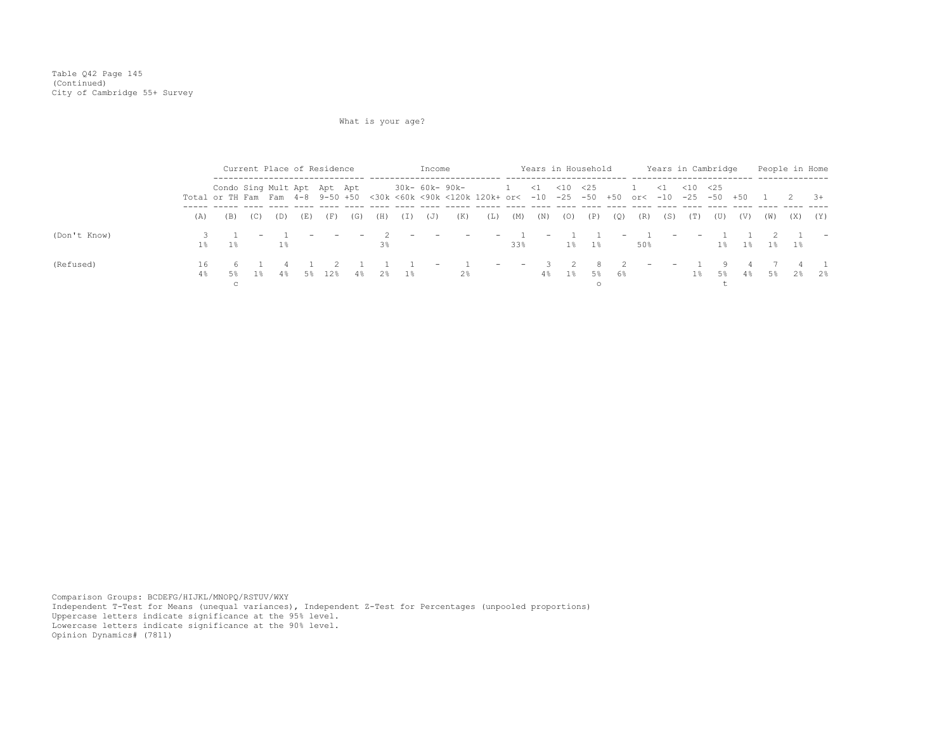Table Q42 Page 145 (Continued) City of Cambridge 55+ Survey

# What is your age?

|              |          |                                                                                                                                    |             | Current Place of Residence |     |        |                          |          |     | Income                   |                                  |     |                                            |                          | Years in Household |             |     |                          |                          |            | Years in Cambridge      |             |                |          | People in Home |
|--------------|----------|------------------------------------------------------------------------------------------------------------------------------------|-------------|----------------------------|-----|--------|--------------------------|----------|-----|--------------------------|----------------------------------|-----|--------------------------------------------|--------------------------|--------------------|-------------|-----|--------------------------|--------------------------|------------|-------------------------|-------------|----------------|----------|----------------|
|              |          | Condo Sing Mult Apt Apt Apt<br>Total or TH Fam Fam 4-8 9-50 +50 <30k <60k <90k <120k 120k+ or< -10 -25 -50 +50 or< -10 -25 -50 +50 |             |                            |     |        |                          |          |     |                          | 30k- 60k- 90k-                   |     | $1 \quad 1 \quad 1 \quad 25$               |                          |                    |             |     | 1 < 1 < 10 < 25          |                          |            |                         |             | $\overline{1}$ | $2 \t3+$ |                |
|              | (A)      | (B)                                                                                                                                | (C)         | (D)                        | (E) | (F)    | (G)                      | (H)      | (I) | (J)                      | (K)                              | (L) | (M)                                        | (N)                      | (0)                | (P)         | (Q) | (R)                      | (S)                      | (T)        | (U)                     | (V)         | (W)            | (X)      | (Y)            |
| (Don't Know) | $1\%$    | $1\%$                                                                                                                              |             | $1\%$                      |     |        | $\overline{\phantom{0}}$ | $3\%$    |     | <b>Service</b>           | $\sim$ $-$                       |     | $-1$<br>33%                                | $\overline{\phantom{m}}$ |                    | $1\%$ $1\%$ |     | 50%                      | $\sim$                   | $\sim$ $-$ |                         | $1\%$ $1\%$ | $1\%$ $1\%$    |          |                |
| (Refused)    | 16<br>4% | 5%                                                                                                                                 | 61<br>- 1 왕 | $4\,$                      |     | 5% 12% |                          | 4% 2% 1% |     | $\overline{\phantom{0}}$ | $\overline{1}$<br>$2\frac{6}{5}$ |     | <b>Service</b><br>$\overline{\phantom{0}}$ | 4%                       | $1\,$ %            | 8.<br>5%    | 6%  | $\overline{\phantom{0}}$ | $\overline{\phantom{0}}$ |            | $\overline{9}$<br>18 58 |             | 4. 응 5. 2. 3   |          | 2 <sup>8</sup> |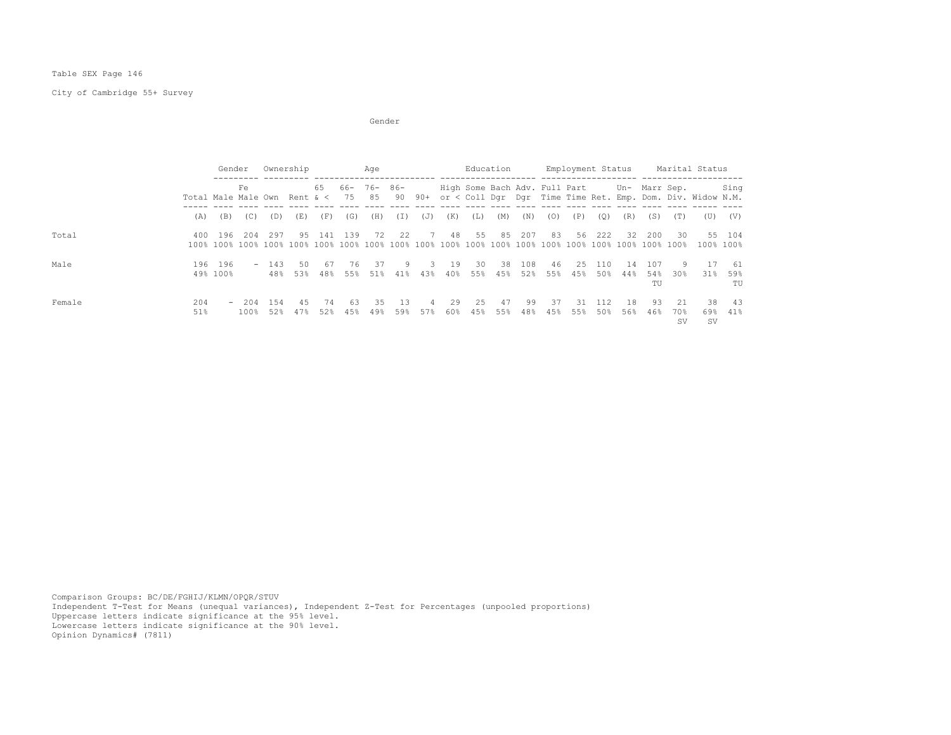Table SEX Page 146

City of Cambridge 55+ Survey

Gender (1999) and the state of the state of the state of the state of the state of the state of the state of the state of the state of the state of the state of the state of the state of the state of the state of the state

|        |                               | Gender                   |             | Ownership     |            |           |                   | Age       |              |                       |           | Education  |            |            |                               | Employment Status |            |           |                  |                  | Marital Status                                             |                     |
|--------|-------------------------------|--------------------------|-------------|---------------|------------|-----------|-------------------|-----------|--------------|-----------------------|-----------|------------|------------|------------|-------------------------------|-------------------|------------|-----------|------------------|------------------|------------------------------------------------------------|---------------------|
|        | Total Male Male Own Rent $\<$ |                          | Fe          |               |            | 65        | $66 - 76 -$<br>75 | 85        | $86 -$<br>90 | $90+$                 |           |            |            |            | High Some Bach Adv. Full Part |                   |            |           | Un- Marr Sep.    |                  | or < Coll Dqr Dqr Time Time Ret. Emp. Dom. Div. Widow N.M. | Sing                |
|        | (A)                           | (B)                      | (C)         | (D)           | (E)        | (F)       | (G)               | (H)       | (I)          | (J)                   | (K)       | (L)        | (M)        | (N)        | (0)                           | (P)               | (0)        | (R)       | (S)              | (T)              | (U)                                                        | (V)                 |
| Total  | 400                           | 196                      | 204         | 297           | 9.5        | 141       | 139               | 72        | 2.2          | $\overline{7}$        | 48        | 55         | 85         | 207        | 83                            | 56                | 222        | 32        | 200              | 30               |                                                            | 55 104<br>100% 100% |
| Male   | 196                           | 196<br>49% 100%          |             | $-143$<br>48% | 50<br>53%  | 67<br>48% | 76<br>55%         | 37<br>51% | 9<br>41%     | 3<br>43%              | 19<br>40% | -30<br>55% | -38<br>45% | 108<br>52% | 46<br>55%                     | 2.5<br>45%        | 110<br>50% | 14<br>44% | 107<br>54%<br>TU | 9.<br>30%        | -17<br>31%                                                 | 61<br>59%<br>TU     |
| Female | 204<br>51%                    | $\overline{\phantom{a}}$ | 204<br>100% | 154<br>52%    | 4.5<br>47% | 74<br>52% | 63<br>45%         | 35<br>49% | - 13<br>59%  | $\overline{4}$<br>57% | 29<br>60% | 2.5<br>45% | 47<br>55%  | 99<br>48%  | 37<br>45%                     | -31<br>55%        | 112<br>50% | 18<br>56% | 93<br>46%        | 2.1<br>70%<br>sv | 38<br>69%<br><b>SV</b>                                     | -43<br>41%          |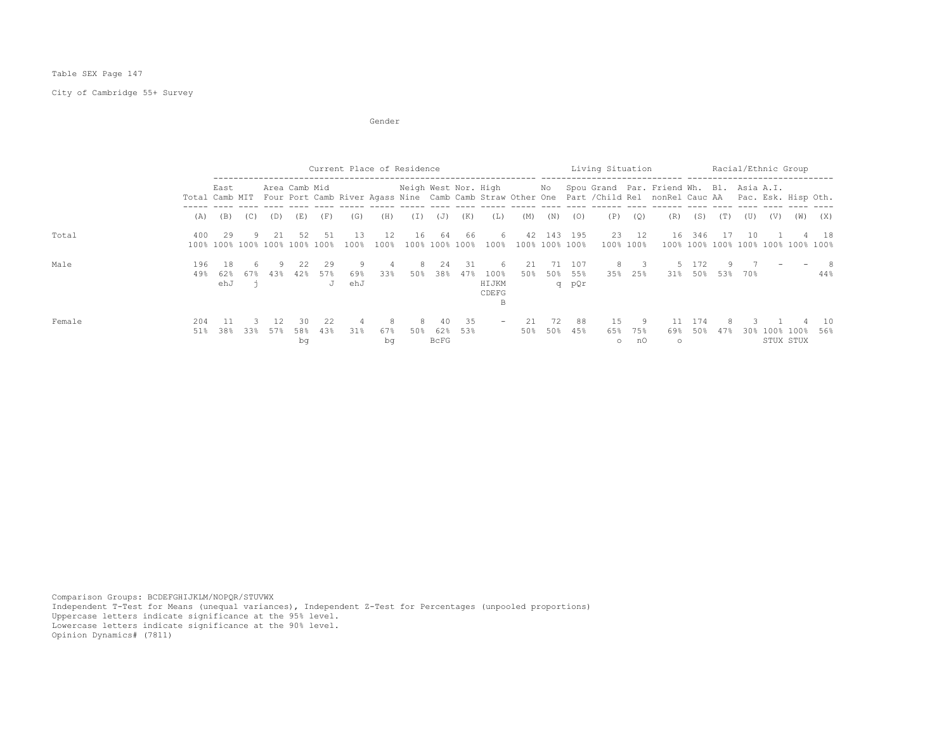## Table SEX Page 147

# City of Cambridge 55+ Survey

Gender (1999) and the state of the state of the state of the state of the state of the state of the state of the state of the state of the state of the state of the state of the state of the state of the state of the state

|        |            |                   |     |      |                                     |                | Current Place of Residence |                |                      |                      |            |                                   |           |                |                     | Living Situation      |                    |                                                                                                                                                                          |              |     | Racial/Ethnic Group |                        |                                    |           |
|--------|------------|-------------------|-----|------|-------------------------------------|----------------|----------------------------|----------------|----------------------|----------------------|------------|-----------------------------------|-----------|----------------|---------------------|-----------------------|--------------------|--------------------------------------------------------------------------------------------------------------------------------------------------------------------------|--------------|-----|---------------------|------------------------|------------------------------------|-----------|
|        |            | East              |     |      | Area Camb Mid                       |                |                            |                | Neigh West Nor. High |                      |            |                                   |           | No             |                     |                       |                    | Spou Grand Par. Friend Wh. Bl. Asia A.I.<br>Total Camb MIT Four Port Camb River Agass Nine Camb Camb Straw Other One Part / Child Rel nonRel Cauc AA Pac. Esk. Hisp Oth. |              |     |                     |                        |                                    |           |
|        | (A)        | (B)               | (C) | (D)  | (E)                                 | (F)            | (G)                        | (H)            | (I)                  | (J)                  | (K)        | (L)                               | (M)       | (N)            | (0)                 | (P)                   | (0)                | (R)                                                                                                                                                                      | (S)          | (T) | (U)                 | (V)                    | (W)                                | (X)       |
| Total  | 400        | 29                |     | -21- | 52<br>100% 100% 100% 100% 100% 100% | 51             | 13<br>100%                 | 12<br>100%     | 16                   | 64<br>100% 100% 100% | 66         | 6.<br>$100\%$                     | 42        | 100% 100% 100% | 143 195             |                       | 23 12<br>100% 100% | 16                                                                                                                                                                       | 346          | -17 | 10                  |                        | 100% 100% 100% 100% 100% 100% 100% | - 18      |
| Male   | 196<br>49% | -18<br>62%<br>ehJ | 67% | 43%  | 2.2.<br>42%                         | 29<br>57%<br>J | 69%<br>ehJ                 | 4<br>33%       | 8<br>50%             | 24<br>38%            | -31<br>47% | 6.<br>100%<br>HIJKM<br>CDEFG<br>В | 21<br>50% | 71<br>50%      | 107<br>55%<br>q pQr | 8.<br>35%             | 25%                | 31%                                                                                                                                                                      | 5 172<br>50% | 53% | 70%                 |                        |                                    | -8<br>44% |
| Female | 204<br>51% | 38%               | 33% | 57%  | 30<br>58%<br>bq                     | 22<br>43%      | 31%                        | 8<br>67%<br>bq | 8<br>50%             | 40<br>62%<br>BcFG    | -35<br>53% | $\overline{\phantom{0}}$          | 21<br>50% | 72<br>50%      | 88<br>45%           | 1.5<br>65%<br>$\circ$ | 9<br>75%<br>nO     | 11<br>69%<br>$\circ$                                                                                                                                                     | 174<br>50%   | 47% | 30 <sub>8</sub>     | 100% 100%<br>STUX STUX |                                    | 10<br>56% |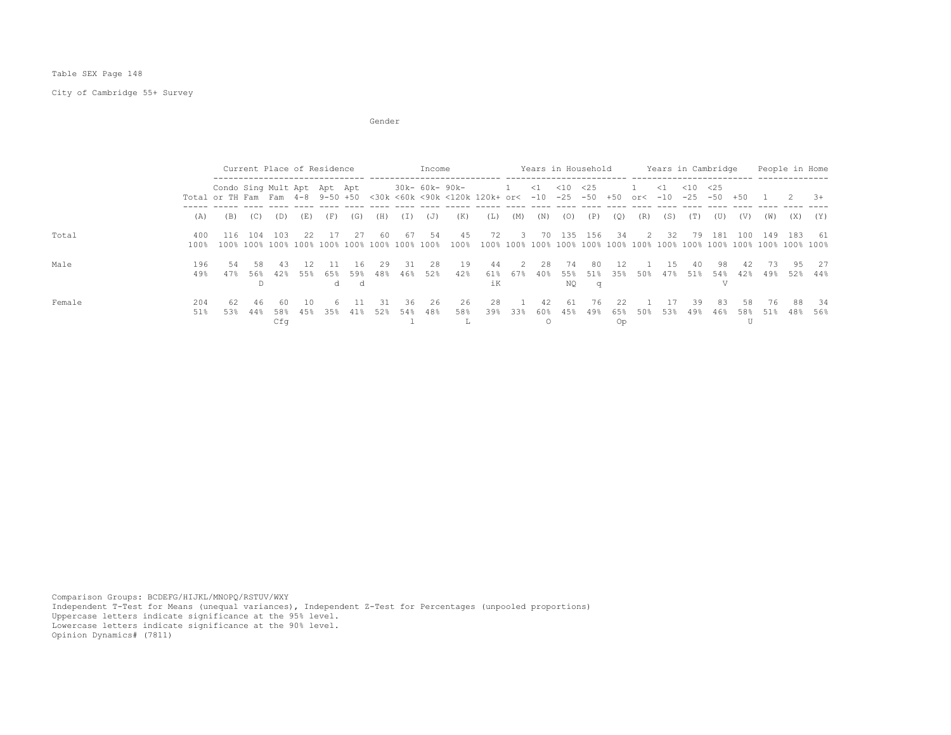Table SEX Page 148

City of Cambridge 55+ Survey

Gender (1999) and the state of the state of the state of the state of the state of the state of the state of the state of the state of the state of the state of the state of the state of the state of the state of the state

|        |             |                                                                 | Current Place of Residence |                  |           |           |                  |            |            | Income     |                                                                          |                 |                            |            |                    | Years in Household |                 |                |            | Years in Cambridge      |           |           | People in Home |           |             |
|--------|-------------|-----------------------------------------------------------------|----------------------------|------------------|-----------|-----------|------------------|------------|------------|------------|--------------------------------------------------------------------------|-----------------|----------------------------|------------|--------------------|--------------------|-----------------|----------------|------------|-------------------------|-----------|-----------|----------------|-----------|-------------|
|        |             | Condo Sing Mult Apt Apt Apt<br>Total or TH Fam Fam 4-8 9-50 +50 |                            |                  |           |           |                  |            |            |            | 30k- 60k- 90k-<br><30k <60k <90k <120k 120k+ or< -10 -25 -50 +50 or< -10 |                 | $\sim$                     | $\leq 1$   | $<$ 10             | <25                |                 |                | $\leq 1$   | $\leq 10$<br>$-25 - 50$ | $<$ 25    | $+50$     |                |           | $-3+$       |
|        | (A)         | (B)                                                             | (C)                        | (D)              | (E)       | (F)       | (G)              | (H)        | (I)        | (J)        | (K)                                                                      | (L)             | (M)                        | (N)        | (0)                | (P)                | (Q)             | (R)            | (S)        | (T)                     | (U)       | (V)       | (W)            | (X)       | (Y)         |
| Total  | 400<br>100% | 116                                                             | 104                        | 103              | -2.2      | 17        | - 2.7            | -60        | -67        | 54         | 45<br>100%                                                               | 72              | $\overline{\phantom{a}}$ 3 | 70         | 135                | 156                | -34             | $\overline{2}$ | - 32       |                         | 79 181    | 100       | 149 183        |           | - 61        |
| Male   | 196<br>49%  | .54<br>47%                                                      | -58<br>56%<br>D.           | -43<br>42%       | 55%       | 65%<br>d. | 16<br>59%<br>- ರ | 29<br>48%  | -31<br>46% | 28<br>52%  | 19<br>42%                                                                | 44<br>61%<br>iК | $2^{1}$<br>67%             | 2.8<br>40% | - 74<br>55%<br>NO. | -80<br>51%<br>q    | 12<br>35%       | 50%            | 15<br>47%  | 40<br>51%               | 98<br>54% | 42<br>42% | 73.<br>49%     | 95<br>52% | - 27<br>44% |
| Female | 204<br>51%  | 62<br>53%                                                       | 46<br>44%                  | 60<br>58%<br>Cfq | 10<br>45% | 6<br>35%  | -11<br>41%       | -31<br>52% | 36<br>54%  | -26<br>48% | 26<br>58%                                                                | 28<br>39%       | 33%                        | 42<br>60%  | -61<br>45%         | 76<br>49%          | 22<br>65%<br>Op | 50%            | -17<br>53% | 39<br>49%               | 83<br>46% | 58<br>58% | 76<br>51%      | 88<br>48% | - 34<br>56% |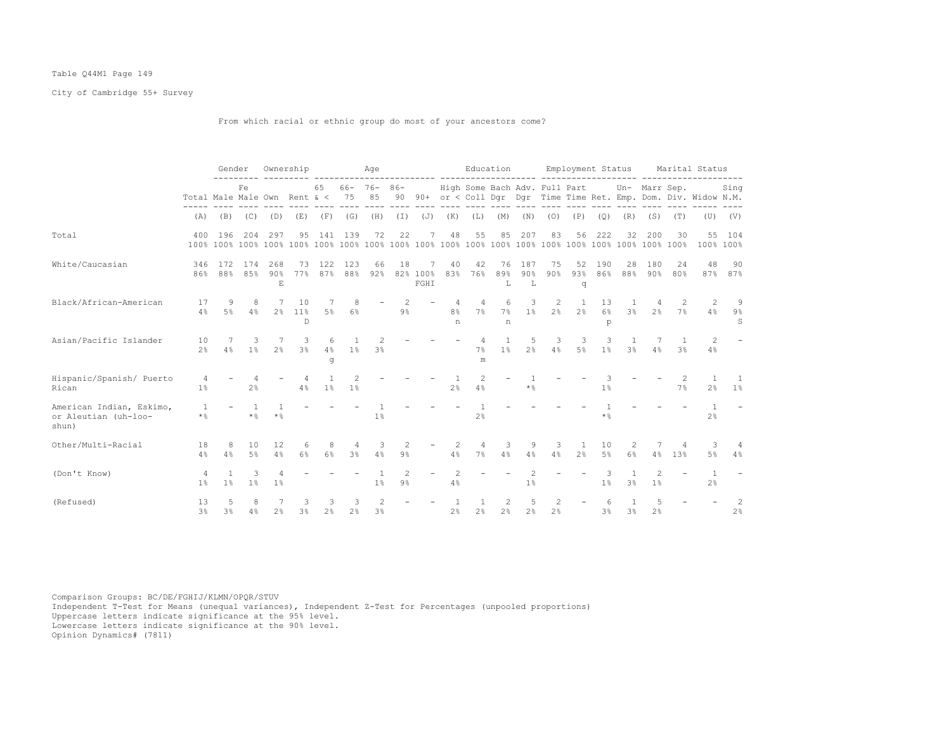## Table Q44M1 Page 149

City of Cambridge 55+ Survey

From which racial or ethnic group do most of your ancestors come?

|                                                           |                              | Gender               |                     |                 | Ownership                 |                     |                     | Age                             |                         |                  |                      |                               | Education                        |                                                                                                                                                                                                                                                                                                                                                                                                                                     |                                 | Employment Status    |                     |                       |                |           | Marital Status                                                 |                        |
|-----------------------------------------------------------|------------------------------|----------------------|---------------------|-----------------|---------------------------|---------------------|---------------------|---------------------------------|-------------------------|------------------|----------------------|-------------------------------|----------------------------------|-------------------------------------------------------------------------------------------------------------------------------------------------------------------------------------------------------------------------------------------------------------------------------------------------------------------------------------------------------------------------------------------------------------------------------------|---------------------------------|----------------------|---------------------|-----------------------|----------------|-----------|----------------------------------------------------------------|------------------------|
|                                                           | Total Male Male Own Rent & < |                      | Fe                  |                 |                           | 65                  | $66 - 76 -$<br>75   | 85                              | $86 -$<br>90            |                  |                      | High Some Bach Adv. Full Part |                                  |                                                                                                                                                                                                                                                                                                                                                                                                                                     |                                 |                      |                     |                       | Un- Marr Sep.  |           | 90+ or < Coll Dqr Dqr Time Time Ret. Emp. Dom. Div. Widow N.M. | Sing                   |
|                                                           | (A)                          | (B)                  | (C)                 | (D)             | (E)                       | (F)                 | (G)                 | (H)                             | $(\top)$                | (J)              | (K)                  | (L)                           | (M)                              | (N)                                                                                                                                                                                                                                                                                                                                                                                                                                 | (0)                             | (P)                  | (Q)                 | (R)                   | (S)            | (T)       | (U)                                                            | (V)                    |
| Total                                                     | 400                          | 196                  | 204                 | 297             | 95                        | 141                 | 139                 | 72                              | 22                      | 7                | 48                   | 55                            | 85                               | 207                                                                                                                                                                                                                                                                                                                                                                                                                                 | 83                              | 56                   | 222                 | 32                    | 200            | 30        | 55                                                             | 104<br>100% 100%       |
| White/Caucasian                                           | 346<br>86%                   | 172<br>88%           | 174<br>85%          | 268<br>90%<br>E | 73<br>77%                 | 122<br>87%          | 123<br>88%          | 66<br>92%                       | 18                      | 82% 100%<br>FGHI | 40<br>83%            | 42<br>76%                     | 76<br>89%<br>L                   | 187<br>90%<br>L                                                                                                                                                                                                                                                                                                                                                                                                                     | 75<br>90%                       | 52<br>93%<br>q       | 190<br>86%          | 28<br>88%             | 180<br>90%     | 24<br>80% | 48                                                             | 90<br>87% 87%          |
| Black/African-American                                    | 17<br>4%                     | 9<br>5%              | 8<br>4%             | 2.8             | 10<br>11%<br>$\mathbb{D}$ | $5\%$               | 8<br>6%             |                                 | $9\%$                   |                  | 8 <sup>°</sup><br>n  | 4<br>7%                       | 6<br>7%<br>n                     | 3<br>1 <sup>8</sup>                                                                                                                                                                                                                                                                                                                                                                                                                 | 2<br>2 <sup>°</sup>             | -1<br>2 <sup>°</sup> | 13<br>$6\%$<br>p    | -1.<br>3 <sup>8</sup> | 2 <sup>°</sup> | 2<br>7%   | 2<br>4%                                                        | -9<br>$9\%$<br>S       |
| Asian/Pacific Islander                                    | 10<br>2 <sup>°</sup>         | 4%                   | 3<br>1 <sup>°</sup> | 2 <sup>°</sup>  | 3<br>3 <sup>8</sup>       | 6<br>4%<br>g        | 1 <sup>°</sup>      | 2<br>3 <sup>°</sup>             |                         |                  |                      | $\overline{4}$<br>7%<br>m     | 1<br>1%                          | 5<br>2 <sup>°</sup>                                                                                                                                                                                                                                                                                                                                                                                                                 | 3<br>4%                         | 3<br>$5\%$           | 3<br>1 <sup>°</sup> | 1<br>3 <sup>°</sup>   | 4%             | 3%        | 2<br>4%                                                        |                        |
| Hispanic/Spanish/ Puerto<br>Rican                         | 4<br>$1\%$                   |                      | $2\frac{6}{9}$      |                 | 4<br>4%                   | 1%                  | 1 <sup>°</sup>      |                                 |                         |                  | 2 <sup>°</sup>       | 2<br>4%                       |                                  | $\star$ $\mathbin{\mathbb S}$                                                                                                                                                                                                                                                                                                                                                                                                       |                                 |                      | 1 <sup>°</sup>      |                       |                | 7%        | 2%                                                             | 1%                     |
| American Indian, Eskimo,<br>or Aleutian (uh-loo-<br>shun) | $\overline{1}$<br>$*$ %      |                      | $\star$ 2           | $*$ %           |                           |                     |                     | 1%                              |                         |                  |                      | 2 <sup>°</sup>                |                                  |                                                                                                                                                                                                                                                                                                                                                                                                                                     |                                 |                      | $*$ %               |                       |                |           | $\mathbf{1}$<br>2 <sup>°</sup>                                 |                        |
| Other/Multi-Racial                                        | 18<br>4%                     | 8<br>4%              | 10<br>$5\%$         | 12<br>4%        | 6<br>6%                   | 8<br>6%             | 3 <sup>°</sup>      | 3<br>4%                         | 2<br>$9\%$              |                  | 2<br>4%              | 4<br>7%                       | 3<br>4%                          | 9<br>4%                                                                                                                                                                                                                                                                                                                                                                                                                             | 3<br>4%                         | -1<br>2 <sup>°</sup> | 10<br>$5\%$         | 2<br>6%               | 4%             | 13%       | 3<br>5%                                                        | 4%                     |
| (Don't Know)                                              | 4<br>1 <sup>°</sup>          | $\mathbf{1}$<br>1%   | 3<br>1%             | 1%              |                           |                     |                     | $1\%$                           | $\mathfrak{D}$<br>$9\%$ |                  | $\mathfrak{D}$<br>4% |                               |                                  | $\mathfrak{D}_{1}^{2}(\mathfrak{D}_{1})=\mathfrak{D}_{2}^{2}(\mathfrak{D}_{2})=\mathfrak{D}_{2}^{2}(\mathfrak{D}_{1})=\mathfrak{D}_{2}^{2}(\mathfrak{D}_{2})=\mathfrak{D}_{2}^{2}(\mathfrak{D}_{1})=\mathfrak{D}_{2}^{2}(\mathfrak{D}_{1})=\mathfrak{D}_{2}^{2}(\mathfrak{D}_{1})=\mathfrak{D}_{2}^{2}(\mathfrak{D}_{1})=\mathfrak{D}_{2}^{2}(\mathfrak{D}_{1})=\mathfrak{D}_{2}^{2}(\mathfrak{D}_{1})=\mathfrak{D}_{2}^{$<br>$1\%$ |                                 |                      | 3<br>1%             | 3 <sup>°</sup>        | 2<br>1%        |           | $\mathbf{1}$<br>2 <sup>°</sup>                                 |                        |
| (Refused)                                                 | 13<br>3 <sup>°</sup>         | .5<br>3 <sup>8</sup> | 8<br>4%             | 2 <sup>°</sup>  | 3<br>3 <sup>8</sup>       | 3<br>2 <sup>°</sup> | 3<br>2 <sup>8</sup> | $\mathcal{L}$<br>3 <sup>8</sup> |                         |                  | 2 <sup>°</sup>       | 2 <sup>°</sup>                | $\mathfrak{D}$<br>$2\frac{6}{6}$ | 5<br>2%                                                                                                                                                                                                                                                                                                                                                                                                                             | $\mathcal{L}$<br>2 <sup>°</sup> |                      | 3%                  | 3%                    | 5<br>2%        |           |                                                                | $\mathcal{L}$<br>$2\%$ |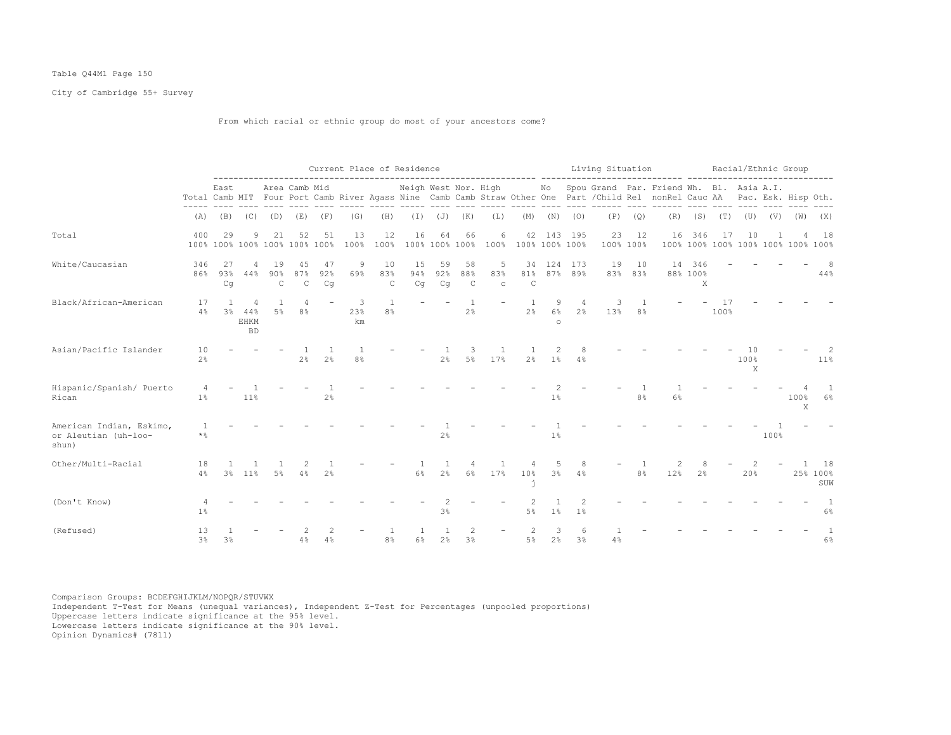## Table Q44M1 Page 150

City of Cambridge 55+ Survey

From which racial or ethnic group do most of your ancestors come?

|                                                           |                             |                  |                                  |                           |                                     |                 | Current Place of Residence |                            |                      |                 |                                  |                          |                           |                                                                                                                                                                                                                                                                                                                                                                                                                                  |                     | Living Situation |                 | ------ -----------                                                                                                                                                                               |                                     |             | Racial/Ethnic Group |      |           |                                          |
|-----------------------------------------------------------|-----------------------------|------------------|----------------------------------|---------------------------|-------------------------------------|-----------------|----------------------------|----------------------------|----------------------|-----------------|----------------------------------|--------------------------|---------------------------|----------------------------------------------------------------------------------------------------------------------------------------------------------------------------------------------------------------------------------------------------------------------------------------------------------------------------------------------------------------------------------------------------------------------------------|---------------------|------------------|-----------------|--------------------------------------------------------------------------------------------------------------------------------------------------------------------------------------------------|-------------------------------------|-------------|---------------------|------|-----------|------------------------------------------|
|                                                           |                             | East             |                                  |                           | Area Camb Mid                       |                 |                            | <b>September September</b> |                      |                 |                                  |                          |                           |                                                                                                                                                                                                                                                                                                                                                                                                                                  |                     |                  |                 | Neigh West Nor. High Mo Spou Grand Par. Friend Wh. Bl. Asia A.I.<br>Total Camb MIT Four Port Camb River Agass Nine Camb Camb Straw Other One Part / Child Rel nonRel Cauc AA Pac. Esk. Hisp Oth. |                                     |             | and the complete    |      |           |                                          |
|                                                           | (A)                         |                  |                                  |                           | (B) (C) (D) (E) (F)                 |                 | (G)                        | (H)                        |                      |                 | $(I)$ $(J)$ $(K)$                | (L)                      |                           |                                                                                                                                                                                                                                                                                                                                                                                                                                  | $(M)$ $(N)$ $(O)$   | (P)              | (Q)             |                                                                                                                                                                                                  | $(R)$ $(S)$ $(T)$ $(U)$ $(V)$ $(W)$ |             |                     |      |           | (X)                                      |
| Total                                                     | 400                         | 29               | 9                                | 21                        | 52<br>100% 100% 100% 100% 100% 100% | 51              | 13<br>100%                 | 12<br>100%                 | 16                   | 64              | 66<br>100% 100% 100%             | 6                        | 42<br>100% 100% 100% 100% |                                                                                                                                                                                                                                                                                                                                                                                                                                  | 143 195             | 23               | 12<br>100% 100% | 16                                                                                                                                                                                               | 346                                 | 17          | 10                  |      |           | 18<br>100% 100% 100% 100% 100% 100% 100% |
| White/Caucasian                                           | 346<br>86%                  | -27<br>93%<br>Cq | 4<br>44%                         | 19<br>90%<br>$\mathsf{C}$ | 45<br>87%<br>$\mathsf C$            | 47<br>92%<br>Cq | 9<br>69%                   | 10<br>83%<br>$\mathsf{C}$  | 15<br>94%<br>Cq      | 59<br>92%<br>Cq | 58<br>88%<br>$\mathsf C$         | 5<br>83%<br>$\mathtt{C}$ | 34<br>81%<br>$\mathsf{C}$ |                                                                                                                                                                                                                                                                                                                                                                                                                                  | 124 173<br>87% 89%  | 19               | 10<br>83% 83%   | 14                                                                                                                                                                                               | 346<br>88% 100%<br>X                |             |                     |      |           | 44%                                      |
| Black/African-American                                    | 17<br>4%                    | $\mathbf{1}$     | 4<br>3% 44%<br>EHKM<br><b>BD</b> | $5\%$                     | 4<br>8 <sup>°</sup>                 |                 | 3<br>23%<br>km             | 1<br>8 <sup>°</sup>        |                      |                 | $\mathbf{1}$<br>2%               |                          | 2 <sup>8</sup>            | 9<br>6%<br>$\circ$                                                                                                                                                                                                                                                                                                                                                                                                               | 4<br>2 <sup>°</sup> | 3<br>13%         | 8%              |                                                                                                                                                                                                  |                                     | -17<br>100% |                     |      |           |                                          |
| Asian/Pacific Islander                                    | 10<br>2 <sup>°</sup>        |                  |                                  |                           | 2 <sup>°</sup>                      | 2 <sup>°</sup>  | 8 <sup>°</sup>             |                            |                      | 2%              | 3<br>5%                          | 17%                      | 2 <sup>°</sup>            | $\mathfrak{D}_{1}^{2}(\mathfrak{D}_{1})=\mathfrak{D}_{2}^{2}(\mathfrak{D}_{2})=\mathfrak{D}_{2}^{2}(\mathfrak{D}_{1})=\mathfrak{D}_{2}^{2}(\mathfrak{D}_{2})=\mathfrak{D}_{2}^{2}(\mathfrak{D}_{1})=\mathfrak{D}_{2}^{2}(\mathfrak{D}_{1})=\mathfrak{D}_{2}^{2}(\mathfrak{D}_{1})=\mathfrak{D}_{2}^{2}(\mathfrak{D}_{1})=\mathfrak{D}_{2}^{2}(\mathfrak{D}_{1})=\mathfrak{D}_{2}^{2}(\mathfrak{D}_{1})=\mathfrak{D}_{2}^{$<br>1% | 4%                  |                  |                 |                                                                                                                                                                                                  |                                     |             | 100%<br>X           |      |           | $11\%$                                   |
| Hispanic/Spanish/ Puerto<br>Rican                         | 1 <sup>8</sup>              |                  | 11%                              |                           |                                     | 2 <sup>°</sup>  |                            |                            |                      |                 |                                  |                          |                           | $1\%$                                                                                                                                                                                                                                                                                                                                                                                                                            |                     |                  | 8 <sup>°</sup>  | 6%                                                                                                                                                                                               |                                     |             |                     |      | 100%<br>X | $\overline{1}$<br>$6\%$                  |
| American Indian, Eskimo,<br>or Aleutian (uh-loo-<br>shun) | $\overline{1}$<br>$\star$ % |                  |                                  |                           |                                     |                 |                            |                            |                      | 2%              |                                  |                          |                           | $1\%$                                                                                                                                                                                                                                                                                                                                                                                                                            |                     |                  |                 |                                                                                                                                                                                                  |                                     |             |                     | 100% |           |                                          |
| Other/Multi-Racial                                        | 18<br>4%                    |                  | 3% 11%                           | 5%                        | 4%                                  | 2 <sup>°</sup>  |                            |                            | 6%                   | 2.8             | 6%                               | 17%                      | 10%<br>j.                 | $3\%$                                                                                                                                                                                                                                                                                                                                                                                                                            | 4%                  |                  | 8 <sup>°</sup>  | 12%                                                                                                                                                                                              | 2 <sup>°</sup>                      |             | 20%                 |      |           | 18<br>25% 100%<br>SUW                    |
| (Don't Know)                                              | 1%                          |                  |                                  |                           |                                     |                 |                            |                            |                      | 3 <sup>°</sup>  |                                  |                          | $5\%$                     | 1 <sup>°</sup>                                                                                                                                                                                                                                                                                                                                                                                                                   | 1 <sup>°</sup>      |                  |                 |                                                                                                                                                                                                  |                                     |             |                     |      |           | 6%                                       |
| (Refused)                                                 | 13<br>3 <sup>°</sup>        | 3 <sup>°</sup>   |                                  |                           | 4%                                  | 4%              |                            | 8%                         | $\overline{1}$<br>6% | 2%              | $\mathfrak{D}$<br>3 <sup>°</sup> |                          | $5\%$                     | 3<br>2 <sup>8</sup>                                                                                                                                                                                                                                                                                                                                                                                                              | 6<br>3 <sup>°</sup> | 4%               |                 |                                                                                                                                                                                                  |                                     |             |                     |      |           | $\mathbf{1}$<br>$6\%$                    |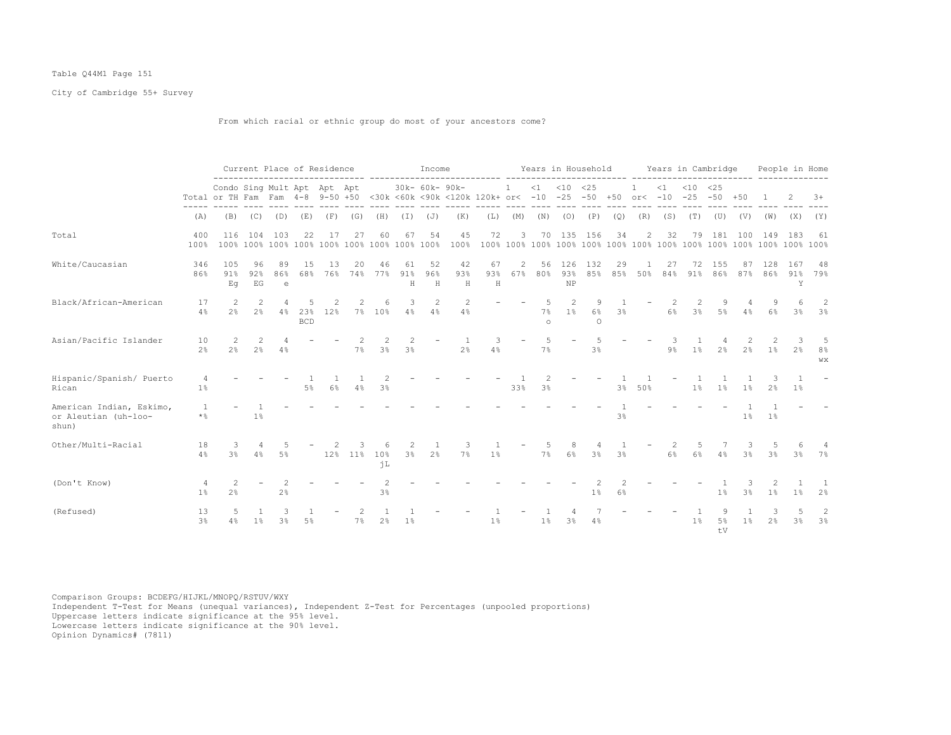## Table Q44M1 Page 151

City of Cambridge 55+ Survey

From which racial or ethnic group do most of your ancestors come?

|                                                           |                                  |                                                                 |                                 | Current Place of Residence |                   |           |           |                                 |                | Income         |                                                |                |                       |                    | Years in Household       |                    |                |                |           | Years in Cambridge                  |                |           |                     | People in Home      |                          |
|-----------------------------------------------------------|----------------------------------|-----------------------------------------------------------------|---------------------------------|----------------------------|-------------------|-----------|-----------|---------------------------------|----------------|----------------|------------------------------------------------|----------------|-----------------------|--------------------|--------------------------|--------------------|----------------|----------------|-----------|-------------------------------------|----------------|-----------|---------------------|---------------------|--------------------------|
|                                                           |                                  | Condo Sing Mult Apt Apt Apt<br>Total or TH Fam Fam 4-8 9-50 +50 |                                 |                            |                   |           |           |                                 |                | 30k- 60k- 90k- | <30k <60k <90k <120k 120k+ or< -10 -25 -50 +50 |                | $\mathbf{1}$          | $\leq 1$           | $< 10$ $< 25$            |                    |                | $\mathbf{1}$   | $\leq 1$  | $< 10$ $< 25$<br>$or < -10 -25 -50$ |                | $+50$     |                     |                     | $3+$                     |
|                                                           | (A)                              | (B)                                                             | (C)                             | (D)                        | (E)               | (F)       | (G)       | (H)                             | (I)            | (J)            | (K)                                            | (L)            | (M)                   | (N)                | (O)                      | (P)                | (Q)            | (R)            | (S)       | (T)                                 | (U)            | (V)       | (W)                 | (X)                 | (Y)                      |
| Total                                                     | 400<br>100%                      | 116<br>100%                                                     | 104                             | 103                        | 22                | 17        | 27        | 60                              | 67             | 54             | 45<br>100%                                     | 72             | 3                     |                    | 70 135 156               |                    | 34             | $\overline{2}$ | 32        | 79                                  | 181            | 100       | 149                 | 183                 | 61                       |
| White/Caucasian                                           | 346<br>86%                       | 105<br>91%<br>Eq                                                | 96<br>92%<br>EG                 | 89<br>86%<br>$\epsilon$    | 15<br>68%         | 13<br>76% | 20<br>74% | 46<br>77%                       | 61<br>91%<br>H | 52<br>96%<br>H | 42<br>93%<br>H                                 | 67<br>93%<br>H | $\overline{c}$<br>67% | 56<br>80%          | 126<br>93%<br>NP         | 132<br>8.5%        | 29<br>85%      | 50%            | 27<br>84% | 72<br>91%                           | -1.5.5<br>86%  | 87<br>87% | 128<br>86%          | 167<br>91%<br>Y     | 48<br>79%                |
| Black/African-American                                    | 17<br>4%                         | 2<br>2.8                                                        | 2<br>2 <sup>°</sup>             | 4<br>4%                    | 23%<br><b>BCD</b> | 12%       | $7\%$     | 6<br>10%                        | 3<br>4%        | 2<br>4%        | 2<br>4%                                        |                |                       | 5<br>7%<br>$\circ$ | $\mathfrak{D}$<br>$1\%$  | 9<br>6%<br>$\circ$ | 3%             |                | 6%        | 2<br>3 <sup>8</sup>                 | 9<br>5%        | 4%        | 9<br>6%             | 6<br>3 <sup>°</sup> | $\overline{2}$<br>3%     |
| Asian/Pacific Islander                                    | 10<br>2 <sup>°</sup>             | 2<br>2 <sup>°</sup>                                             | $\mathcal{L}$<br>2 <sup>°</sup> | 4%                         |                   |           | 7%        | $\mathcal{L}$<br>3 <sup>°</sup> | 3 <sup>°</sup> |                | 2 <sup>°</sup>                                 | 3<br>4%        |                       | 5<br>7%            | $\overline{\phantom{a}}$ | 3 <sup>8</sup>     |                |                | 9%        | 1 <sup>°</sup>                      | 2 <sup>°</sup> | 2%        | $\mathcal{L}$<br>1% | 2 <sup>°</sup>      | .5<br>8%<br>WX           |
| Hispanic/Spanish/ Puerto<br>Rican                         | 4<br>1%                          |                                                                 |                                 |                            | $5\%$             | $6\%$     | 4%        | 2<br>3 <sup>8</sup>             |                |                |                                                |                | 33%                   | 3 <sup>°</sup>     |                          |                    | 3 <sup>°</sup> | 50%            |           | 1 <sup>°</sup>                      | 1%             | 1%        | 2 <sup>°</sup>      | 1%                  | $\overline{\phantom{a}}$ |
| American Indian, Eskimo,<br>or Aleutian (uh-loo-<br>shun) | $\overline{1}$<br>$\star$ %      |                                                                 | 1%                              |                            |                   |           |           |                                 |                |                |                                                |                |                       |                    |                          |                    | 3 <sup>8</sup> |                |           |                                     |                | $1\%$     | 1 <sup>°</sup>      |                     |                          |
| Other/Multi-Racial                                        | 18<br>4%                         | 3%                                                              | 4%                              | .5%                        |                   |           | 12% 11%   | 6<br>10%<br>ήL                  | 2<br>3%        | 2 <sup>°</sup> | 7%                                             | 1%             |                       | 7%                 | 6%                       | 3%                 | 3%             |                | 6%        | 6%                                  | 4%             | 3%        | 3%                  | 3%                  | 7%                       |
| (Don't Know)                                              | $\overline{4}$<br>1 <sup>°</sup> | 2<br>2%                                                         |                                 | 2<br>2%                    |                   |           |           | 3%                              |                |                |                                                |                |                       |                    |                          | 1 <sup>°</sup>     | 6%             |                |           |                                     | 1%             | 3%        | 1%                  | $1\%$               | 2 <sup>°</sup>           |
| (Refused)                                                 | 13<br>3 <sup>°</sup>             | -5<br>4%                                                        | $1\%$                           | 3<br>3%                    | .5%               |           | 7%        | 2 <sup>°</sup>                  | $1\%$          |                |                                                | $1\%$          |                       | 1 <sup>°</sup>     | 3%                       | 4%                 |                |                |           | 1 <sup>°</sup>                      | 9<br>5%<br>tV  | $1\%$     | 3<br>2%             | 5<br>3%             | 2<br>3%                  |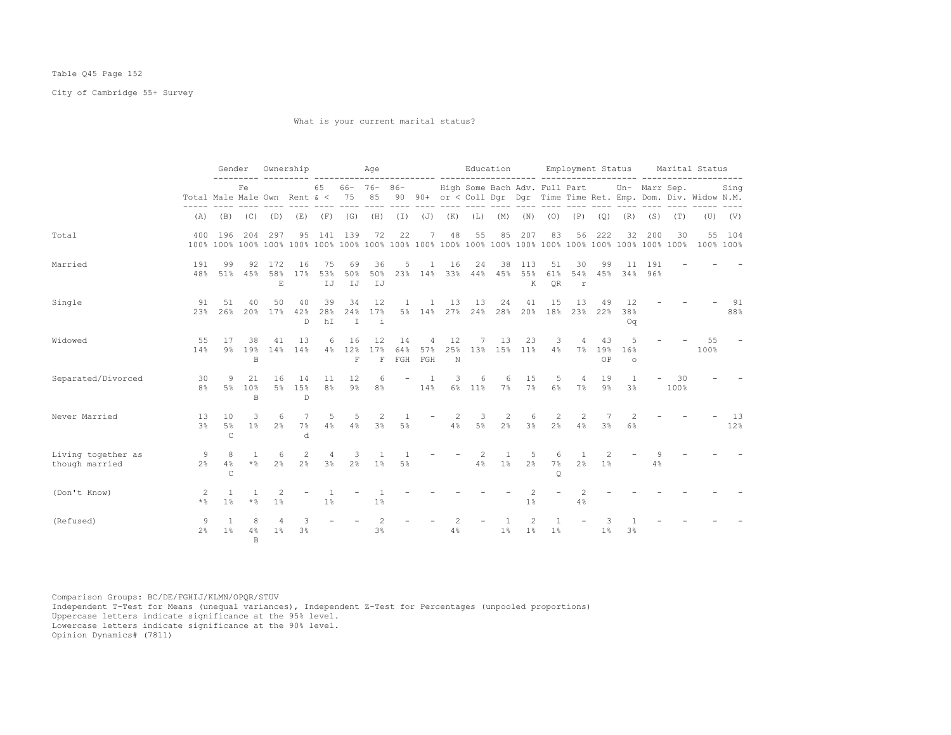## Table Q45 Page 152

City of Cambridge 55+ Survey

What is your current marital status?

|                                      |                      | Gender                                  |                           | Ownership                                                           |                      |                                | Age                                                                                              |                            |                      |                |                                            |    |                       |             |                        |                               |                     |                     |                    |            | Education Employment Status Marital Status                                                                                                                      |             |
|--------------------------------------|----------------------|-----------------------------------------|---------------------------|---------------------------------------------------------------------|----------------------|--------------------------------|--------------------------------------------------------------------------------------------------|----------------------------|----------------------|----------------|--------------------------------------------|----|-----------------------|-------------|------------------------|-------------------------------|---------------------|---------------------|--------------------|------------|-----------------------------------------------------------------------------------------------------------------------------------------------------------------|-------------|
|                                      |                      |                                         | Fe                        |                                                                     |                      | 65                             |                                                                                                  |                            |                      |                |                                            |    |                       |             |                        |                               |                     |                     |                    |            | 66- 76- 86- High Some Bach Adv. Full Part Un- Marr Sep.<br>Total Male Male Own Rent & < 75 85 90 90+ or < Coll Dqr Dqr Time Time Ret. Emp. Dom. Div. Widow N.M. | Sing        |
|                                      |                      |                                         |                           | (A) (B) (C) (D) (E) (F) (G) (H) (I) (J) (K) (L) (M) (N) (O) (P) (Q) |                      |                                |                                                                                                  |                            |                      |                |                                            |    |                       |             |                        |                               |                     |                     | $(R)$ $(S)$ $(T)$  |            |                                                                                                                                                                 | $(U)$ $(V)$ |
| Total                                | 400                  | 196                                     | 204                       | 297                                                                 | 95                   | 141 139                        |                                                                                                  | 72                         | 22                   | 7              | 48                                         | 55 | 85                    | 207         | 83                     | 56                            | 222                 | 32                  | 200                | 30         | 100% 100%                                                                                                                                                       | 55 104      |
| Married                              | 191<br>48%           | 99                                      | 92<br>51% 45%             | 172<br>58%<br>E                                                     | 16<br>17%            | 75<br>53%<br>IJ                | 69<br>50%<br>IJ                                                                                  | 36<br>50%<br>IJ            | 5                    | 1              | 16<br>23% 14% 33% 44% 45% 55%              | 24 | 38                    | 113<br>K    | 51<br>61%<br><b>OR</b> | 30<br>54%<br>r                | 99                  | 11                  | 191<br>45% 34% 96% |            |                                                                                                                                                                 |             |
| Single                               | 91<br>23%            | 51<br>26%                               | 40                        | 50<br>20% 17% 42%                                                   | 40<br>D.             | 39<br>28%<br>hI                | 34<br>T                                                                                          | 12<br>24% 17%<br>$\dot{1}$ |                      | $\mathbf{1}$   | 1 13<br>5% 14% 27% 24% 28% 20% 18% 23% 22% | 13 | 24                    | 41          | 15                     | 13                            | 49                  | 12<br>38%<br>Oq     |                    |            |                                                                                                                                                                 | -91<br>88%  |
| Widowed                              | 55<br>14%            | - 17                                    | 38<br><b>B</b>            | 41<br>9% 19% 14% 14%                                                | 13                   | 6                              | 16<br>4% 12% 17% 64% 57% 25% 13% 15% 11% 4% 7% 19%<br>F                                          | 12                         | 14<br>F FGH FGH      | $\overline{4}$ | 12<br>N                                    |    | 7 13                  | 23          | $3 - 3$                | $\overline{4}$                | 43<br>OP            | 5<br>16%<br>$\circ$ |                    |            | 55<br>100%                                                                                                                                                      |             |
| Separated/Divorced                   | 30<br>8 <sup>8</sup> | -9                                      | 21<br>5% 10%<br>B         |                                                                     | 16 14<br>5% 15%<br>D | 11                             | 12<br>8% 9% 8% 14% 6% 11%                                                                        | 6                          |                      | $-1$           | 3                                          | 6  | $6\overline{6}$       | 15<br>7% 7% | 6%                     | $5 -$<br>$\overline{4}$<br>7% | 19<br>9%            | $\mathbf{1}$<br>3%  |                    | 30<br>100% |                                                                                                                                                                 |             |
| Never Married                        | 13<br>$3\frac{6}{9}$ | 10<br>5%<br>$\subset$                   | $\mathcal{L}$             | -6<br>$1\%$ $2\%$                                                   | 7<br>7%<br>$\Delta$  | 5                              | - 5<br>$4\frac{8}{9}$ $4\frac{8}{9}$ $3\frac{8}{9}$ $5\frac{8}{9}$ $4\frac{8}{9}$ $5\frac{8}{9}$ | 2                          | $\overline{1}$       |                | -2                                         | 3  | 2                     | 6           | 2<br>$2\%$ $3\%$ $2\%$ | 2<br>4%                       | -7<br>3%            | 2<br>$6\%$          |                    |            |                                                                                                                                                                 | 13<br>12%   |
| Living together as<br>though married |                      | 8<br>$2\frac{6}{5}$ 4%<br>$\mathcal{C}$ | $\mathbf{1}$              | -6<br>$*$ $2$ $*$                                                   | 2<br>$2\frac{6}{5}$  | $\overline{4}$                 | $\overline{\mathbf{3}}$<br>$3\%$ $2\%$ $1\%$                                                     | $\mathbf{1}$               | $\overline{1}$<br>5% |                | $4\%$ $1\%$ $2\%$                          | 2  | $\overline{1}$        | -5          | 6<br>7%<br>$\circ$     | $\overline{1}$<br>2%          | 2<br>1 <sup>8</sup> |                     | 4%                 |            |                                                                                                                                                                 |             |
| (Don't Know)                         | -2<br>$\star$ %      | $\overline{1}$<br>1%                    | $\mathbf{1}$<br>$\star$ % | 2<br>1 <sup>°</sup>                                                 |                      | $\mathbf{1}$<br>1 <sup>°</sup> |                                                                                                  | $\overline{1}$<br>1%       |                      |                |                                            |    |                       | 1%          |                        | $\mathfrak{D}$<br>4%          |                     |                     |                    |            |                                                                                                                                                                 |             |
| (Refused)                            | 9<br>$2\frac{6}{9}$  | $\overline{1}$<br>1 <sup>8</sup>        | 8<br>B.                   | $4\%$ $1\%$                                                         | 3<br>3 <sup>8</sup>  |                                |                                                                                                  | 2<br>$3\%$                 |                      |                | 2<br>4%                                    |    | $\mathbf{1}$<br>$1\%$ | 2<br>$1\%$  | $\mathbf{1}$<br>$1\%$  |                               | 1%                  | 3 <sup>°</sup>      |                    |            |                                                                                                                                                                 |             |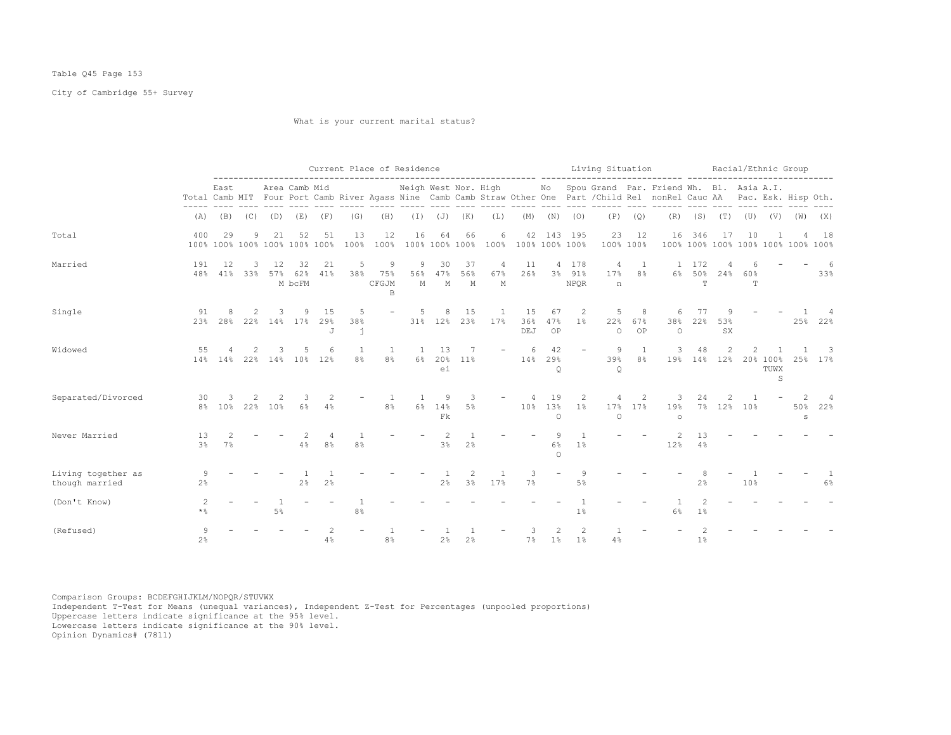# Table Q45 Page 153

City of Cambridge 55+ Survey

What is your current marital status?

|                                      |                      |                                     |          |           |                     |                | Current Place of Residence |                        |               |                                                   |                      |                          | ----------------------- ----------- |                          |                                | Living Situation         |                 | ------ ---------                                                                                                                                                                                                                                                                                 |                      | Racial/Ethnic Group |           |                                 |                                           |                           |
|--------------------------------------|----------------------|-------------------------------------|----------|-----------|---------------------|----------------|----------------------------|------------------------|---------------|---------------------------------------------------|----------------------|--------------------------|-------------------------------------|--------------------------|--------------------------------|--------------------------|-----------------|--------------------------------------------------------------------------------------------------------------------------------------------------------------------------------------------------------------------------------------------------------------------------------------------------|----------------------|---------------------|-----------|---------------------------------|-------------------------------------------|---------------------------|
|                                      |                      | East                                |          |           | Area Camb Mid       |                |                            |                        |               |                                                   |                      |                          |                                     |                          |                                |                          |                 | Neigh West Nor. High Mo Spou Grand Par. Friend Wh. Bl. Asia A.I.<br>Total Camb MIT Four Port Camb River Agass Nine Camb Camb Straw Other One Part / Child Rel nonRel Cauc AA Pac. Esk. Hisp Oth.<br>tics codes codes codes docs docs codes codes code docs codes code codede code code code code |                      |                     |           |                                 |                                           |                           |
|                                      |                      | $(A)$ $(B)$ $(C)$ $(D)$ $(E)$ $(F)$ |          |           |                     |                | (G)                        | (H)                    |               |                                                   | $(I)$ $(J)$ $(K)$    | (L)                      |                                     |                          | $(M)$ $(N)$ $(O)$              |                          | $(P)$ $(Q)$     |                                                                                                                                                                                                                                                                                                  |                      |                     |           |                                 | $(R)$ $(S)$ $(T)$ $(U)$ $(V)$ $(W)$ $(X)$ |                           |
| Total                                | 400                  | 29<br>100% 100% 100% 100% 100% 100% | 9        | 21        | 52                  | 51             | 13<br>100%                 | 12<br>100%             | 16            | 64                                                | 66<br>100% 100% 100% | 6                        | 42<br>100% 100% 100% 100%           |                          | 143 195                        | 23                       | 12<br>100% 100% | 16                                                                                                                                                                                                                                                                                               | 346                  | 17                  | 10        |                                 | 100% 100% 100% 100% 100% 100% 100%        | 18                        |
| Married                              | 191<br>48%           | 12<br>41%                           | 3<br>33% | 12<br>57% | 32<br>62%<br>M bcFM | 21<br>41%      | 5<br>38%                   | 9<br>75%<br>CFGJM<br>B | 9<br>56%<br>M | 30<br>47%<br>М                                    | 37<br>56%<br>M       | 4<br>67%<br>M            | 11<br>26%                           |                          | 4 178<br>3% 91%<br><b>NPOR</b> | 4<br>17%<br>n            | 8%              |                                                                                                                                                                                                                                                                                                  | 1 172<br>6% 50%<br>T | 24%                 | 60%<br>T. |                                 |                                           | 6<br>33%                  |
| Single                               | 91<br>23%            | 28%                                 | 2        | 3         | 9<br>22% 14% 17%    | 15<br>29%<br>J | 5<br>38%<br>j              |                        | 5             | 8<br>31% 12%                                      | 15<br>23%            | - 1<br>17%               | 15<br>36%<br>DEJ                    | 67<br>47%<br>OP          | 2<br>$1\%$                     | 5<br>22%<br>$\circ$      | 8<br>67%<br>OP  | 6<br>38%<br>$\circ$                                                                                                                                                                                                                                                                              | 77<br>22%            | 9<br>53%<br>SX      |           |                                 |                                           | 4<br>25% 22%              |
| Widowed                              | 55                   | 14% 14% 22% 14% 10%                 | 2        | 3         | 5                   | 6<br>12%       | 1<br>8%                    | 1<br>8 <sup>°</sup>    | 1<br>$6\%$    | 13<br>20%<br>ei                                   | 7<br>11 <sup>°</sup> | $\overline{\phantom{a}}$ | 6<br>14%                            | 42<br>29%<br>Q           |                                | 9<br>39%<br>$\mathsf{Q}$ | 1<br>8%         | 3                                                                                                                                                                                                                                                                                                | 48<br>19% 14% 12%    | 2                   |           | 20% 100%<br>TUWX<br>$\mathbb S$ |                                           | 3<br>25% 17%              |
| Separated/Divorced                   | 30<br>8%             | 3<br>10%                            | 2        | 22% 10%   | 6%                  | 4%             |                            | -1<br>8 <sup>°</sup>   | -1<br>6%      | 9<br>14%<br>$\mathop{\mathrm{F}}\nolimits{\Bbbk}$ | 3<br>$5\%$           |                          | 4                                   | 19<br>10% 13%<br>$\circ$ | 2<br>1 <sup>°</sup>            | 4<br>17%<br>$\circ$      | 2<br>17%        | 3<br>19%<br>$\circ$                                                                                                                                                                                                                                                                              | 24                   | 2.<br>7% 12% 10%    |           |                                 | $\overline{2}$<br>S                       | $\overline{4}$<br>50% 22% |
| Never Married                        | 13<br>3 <sup>°</sup> | 7%                                  |          |           | 4%                  | 8 <sup>°</sup> | 8 <sup>°</sup>             |                        |               | 2<br>3%                                           | 2%                   |                          |                                     | 9<br>6%<br>$\Omega$      | 1%                             |                          |                 | 2<br>12%                                                                                                                                                                                                                                                                                         | 13<br>4%             |                     |           |                                 |                                           |                           |
| Living together as<br>though married | 9<br>2%              |                                     |          |           | 2 <sup>°</sup>      | 2 <sup>°</sup> |                            |                        |               | 2 <sup>°</sup>                                    | 3%                   | 17%                      | 3<br>7%                             | $\overline{\phantom{a}}$ | 9<br>5%                        |                          |                 |                                                                                                                                                                                                                                                                                                  | 2%                   |                     | 10%       |                                 |                                           | 6%                        |
| (Don't Know)                         | $\mathcal{D}$<br>* % |                                     |          | 5%        |                     |                | 8 <sup>°</sup>             |                        |               |                                                   |                      |                          |                                     |                          | 1%                             |                          |                 | 6%                                                                                                                                                                                                                                                                                               | 1%                   |                     |           |                                 |                                           |                           |
| (Refused)                            | 9<br>$2\frac{6}{6}$  |                                     |          |           |                     | 4%             |                            | 8%                     |               | 2%                                                | 2 <sup>°</sup>       |                          | 7%                                  | $1\%$                    | $\overline{c}$<br>$1\%$        | 4%                       |                 |                                                                                                                                                                                                                                                                                                  | 1%                   |                     |           |                                 |                                           |                           |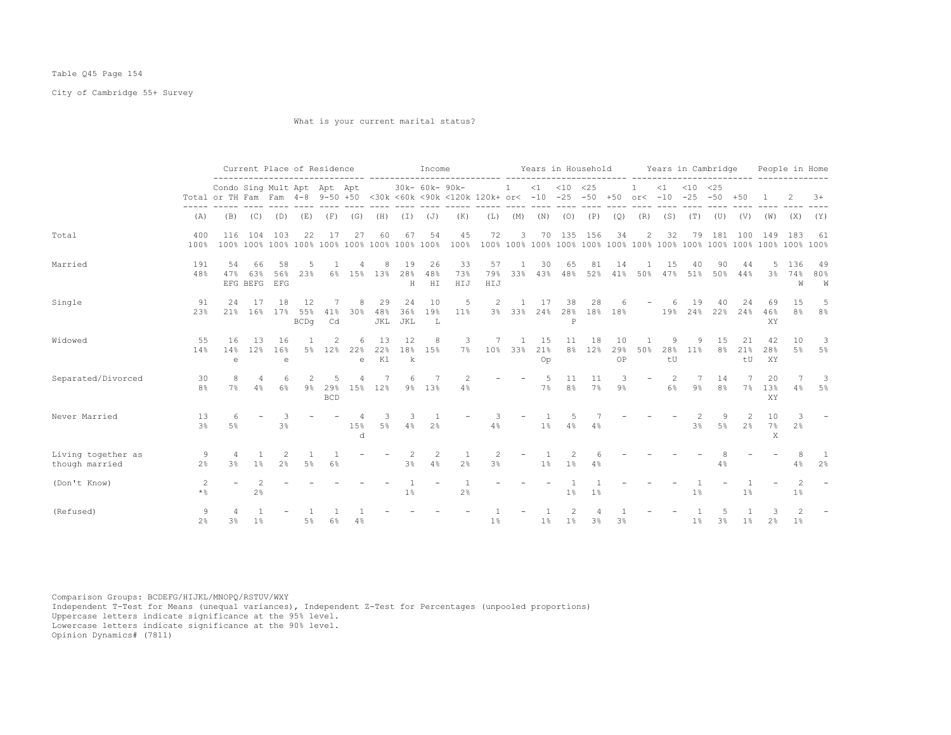## Table Q45 Page 154

City of Cambridge 55+ Survey

What is your current marital status?

|                                      |                      |                                                                 |                       |                     |                          | Current Place of Residence |                   |                  |                     | Income          |                                        |                  |                     |                 |                | Years in Household |                 |                          |                 | Years in Cambridge     |                      |                 |                     | People in Home      |                      |
|--------------------------------------|----------------------|-----------------------------------------------------------------|-----------------------|---------------------|--------------------------|----------------------------|-------------------|------------------|---------------------|-----------------|----------------------------------------|------------------|---------------------|-----------------|----------------|--------------------|-----------------|--------------------------|-----------------|------------------------|----------------------|-----------------|---------------------|---------------------|----------------------|
|                                      |                      | Condo Sing Mult Apt Apt Apt<br>Total or TH Fam Fam 4-8 9-50 +50 |                       |                     |                          |                            |                   |                  |                     | 30k- 60k- 90k-  | <30k <60k <90k <120k 120k+ or< -10 -25 |                  | 1                   | $\leq 1$        | $< 10$ $< 25$  | $-50 + 50$         |                 | $or < -10$               | $\leq 1$        | $< 10$ $< 25$<br>$-25$ | $-50$                | $+50$           |                     |                     | $3+$                 |
|                                      | (A)                  | (B)                                                             | (C)                   | (D)                 | (E)                      | (F)                        | (G)               | (H)              | (I)                 | (J)             | (K)                                    | (L)              | (M)                 | (N)             | (0)            | (P)                | (Q)             | (R)                      | (S)             | (T)                    | (U)                  | (V)             | (W)                 | (X)                 | (Y)                  |
| Total                                | 400<br>100%          | 116<br>100%                                                     | 104                   | 103                 | 22                       | 17                         | 27                | 60               | 67                  | 54              | 45<br>100%                             | 72               | 3                   | 70              | 135            | 156                | 34              | 2                        | 32              | 79                     | 181                  | 100             | 149                 | 183                 | 61                   |
| Married                              | 191<br>48%           | 54<br>47%                                                       | 66<br>63%<br>EFG BEFG | 58<br>56%<br>EFG    | .5<br>23%                | 6%                         | 15%               | 8<br>13%         | 19<br>28%<br>Н      | 26<br>48%<br>HI | 33<br>73%<br>HIJ                       | 57<br>79%<br>HIJ | -1<br>33%           | 30<br>43%       | 65<br>48%      | 81<br>52%          | 14<br>41%       | 50%                      | 15<br>47%       | 40<br>51%              | 90<br>50%            | 44<br>44%       | 5<br>3 <sup>°</sup> | 136<br>74%<br>W     | -49<br>80%<br>W      |
| Single                               | 91<br>23%            | 24<br>21%                                                       | 17<br>16%             | 18<br>17%           | 12<br>55%<br><b>BCDq</b> | 41%<br>Cd                  | 30%               | 29<br>48%<br>JKL | 24<br>36%<br>JKL    | 10<br>19%<br>L  | 5<br>11%                               |                  | 3% 33%              | -17<br>24%      | 38<br>P        | 28<br>28% 18%      | 18%             |                          | 19%             | 19<br>24%              | 40<br>22%            | 24<br>24%       | 69<br>46%<br>XY     | 15<br>8%            | .5<br>8 <sup>°</sup> |
| Widowed                              | 55<br>14%            | 16<br>14%<br>e                                                  | 1.3<br>12%            | 16<br>16%<br>e      | 5%                       | 12%                        | 22%<br>$\epsilon$ | 13<br>22%<br>K1  | 12<br>18%<br>k      | 8<br>15%        | 3<br>$7\%$                             | 10 <sup>°</sup>  | $\mathbf{1}$<br>33% | 15<br>21%<br>Op | 11             | 18<br>8% 12%       | 10<br>29%<br>OP | 50%                      | -9<br>28%<br>tU | 9<br>11%               | 15<br>8%             | 21<br>21%<br>tU | 42<br>28%<br>XY     | 10<br>5%            | 3<br>5%              |
| Separated/Divorced                   | 30<br>8 <sup>°</sup> | 7%                                                              | 4<br>4%               | 6<br>6%             | $9\%$                    | 29%<br><b>BCD</b>          | 15%               | 12%              |                     | 9% 13%          | 4%                                     |                  |                     | 7%              | 8 <sup>°</sup> | 11<br>7%           | $9\%$           | $\overline{\phantom{m}}$ | 6%              | $9\%$                  | 14<br>8 <sup>°</sup> | 7%              | 20<br>13%<br>XY     | 4%                  | 3<br>5%              |
| Never Married                        | 13<br>3 <sup>°</sup> | 6<br>5%                                                         |                       | 3<br>3 <sup>8</sup> |                          |                            | 1.5%<br>d.        | 5%               | 3<br>4%             | 2 <sup>°</sup>  |                                        | 4%               |                     | 1%              | 4%             | 4%                 |                 |                          |                 | 3%                     | 5%                   | 2 <sup>°</sup>  | 10<br>7%<br>X       | 3<br>2 <sup>°</sup> |                      |
| Living together as<br>though married | 9<br>2 <sup>8</sup>  | $\overline{4}$<br>$3\%$                                         | 1%                    | 2<br>2 <sup>°</sup> | 5%                       | 6%                         |                   |                  | 2<br>3 <sup>°</sup> | 2<br>4%         | 2 <sup>°</sup>                         | 3%               |                     | 1 <sup>°</sup>  | 1%             | 4%                 |                 |                          |                 |                        | 4%                   |                 |                     | 4%                  | 2 <sup>°</sup>       |
| (Don't Know)                         | 2<br>$\star$ %       |                                                                 | 2 <sup>°</sup>        |                     |                          |                            |                   |                  | 1%                  |                 | 2%                                     |                  |                     |                 | 1%             | 1%                 |                 |                          |                 | $1\%$                  |                      | 1 <sup>°</sup>  |                     | $1\%$               |                      |
| (Refused)                            | 9<br>2 <sup>°</sup>  | 3%                                                              | 1 <sup>°</sup>        |                     | 5%                       | 6%                         |                   |                  |                     |                 |                                        | 1%               |                     | 1 <sup>°</sup>  | $1\%$          | 3%                 | 3%              |                          |                 | $1\%$                  | 3%                   | $1\%$           | 2 <sup>°</sup>      | $1\%$               |                      |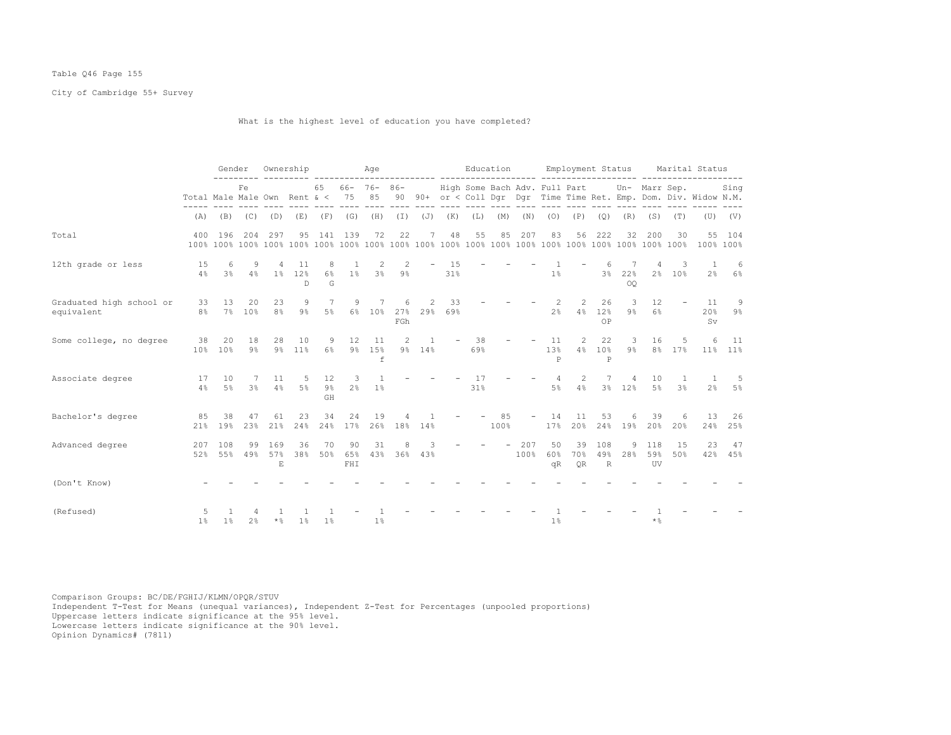## Table Q46 Page 155

City of Cambridge 55+ Survey

What is the highest level of education you have completed?

|                                        |                       | Gender                |                |                      | Ownership                   |                 | Aqe                     |                   |                  |                         |                          |                    |     | Education      |                           | Employment Status                  |                                       |             |                                             |             | Marital Status                                                                                               |                 |
|----------------------------------------|-----------------------|-----------------------|----------------|----------------------|-----------------------------|-----------------|-------------------------|-------------------|------------------|-------------------------|--------------------------|--------------------|-----|----------------|---------------------------|------------------------------------|---------------------------------------|-------------|---------------------------------------------|-------------|--------------------------------------------------------------------------------------------------------------|-----------------|
|                                        |                       |                       | Fe.            |                      |                             |                 | 65 66- 76- 86-<br>$---$ |                   |                  |                         |                          |                    |     |                |                           |                                    |                                       |             | High Some Bach Adv. Full Part Un- Marr Sep. |             | Sing<br>Total Male Male Own Rent & < 75 85 90 90+ or < Coll Dqr Dqr Time Time Ret. Emp. Dom. Div. Widow N.M. |                 |
|                                        | (A)                   | (B)                   | (C)            | (D)                  | (E)                         | (F)             | (G)                     | (H)               | $(\top)$         | $(\mathbb{J})$          | (K)                      | (L)                | (M) | (N)            | (0)                       | (P)                                | (Q)                                   | (R)         | (S)                                         | (T)         |                                                                                                              | $(U)$ $(V)$     |
| Total                                  | 400                   | 196                   | 204            | 297                  | 95                          |                 | 141 139                 | 72                | 22               | 7                       | 48                       | 55                 | 85  | 207            | 83                        | 56                                 | 222                                   | 32          | 200                                         | 30          | 100% 100%                                                                                                    | 55 104          |
| 12th grade or less                     | 15<br>4%              | 6<br>$3\%$            | 9<br>4%        | 4                    | 11<br>1% 12%<br>$\mathbb D$ | 8<br>$6\%$<br>G | $1\%$                   | 2<br>3%           | 2<br>$9\%$       |                         | 15<br>31%                |                    |     |                | 1%                        |                                    | $3\,$                                 | 22%<br>OO   |                                             | 3<br>2% 10% | $\overline{1}$                                                                                               | 6<br>$2\%$ 6%   |
| Graduated high school or<br>equivalent | 33<br>8 <sup>°</sup>  | 13<br>7 <sup>8</sup>  | 20<br>10%      | 23<br>8 <sup>°</sup> | 9<br>$9\%$                  | 7<br>$5\%$      | 9                       | 7<br>6% 10%       | 6<br>FGh         | 2<br>27% 29%            | 33<br>69%                |                    |     |                | 2 <sup>°</sup>            | $\mathcal{L}$<br>$2^{\circ}$<br>4% | 26<br>12%<br>OP                       | -3<br>$9\%$ | 12<br>6%                                    | $\sim$      | 11<br>20%<br>Sv.                                                                                             | 9<br>9%         |
| Some college, no degree                | 38<br>10 <sup>°</sup> | 20<br>10 <sup>°</sup> | 18<br>$9\%$    | 28                   | 10<br>9% 11%                | 9<br>$6\%$      | 12                      | 11<br>9% 15%<br>f | 2                | $\frac{1}{2}$<br>9% 14% | $\overline{\phantom{a}}$ | 38<br>69%          |     |                | 11<br>13%<br>$\, {\bf P}$ | 2<br>4%                            | 22<br>10 <sup>°</sup><br>$\mathbf{P}$ | - 3         | 16<br>9% 8% 17%                             | -5          | 6                                                                                                            | - 11<br>11% 11% |
| Associate degree                       | 17<br>4%              | 10<br>5%              | 7<br>3%        | 11<br>4%             | -5<br>5%                    | 12<br>9%<br>GH  | $\overline{\mathbf{3}}$ | 1<br>$2\%$ 1%     |                  |                         |                          | 17<br>31%          |     |                | 4<br>5%                   | 2<br>4%                            | $7\phantom{.0}$                       | 4<br>3% 12% | 10<br>5%                                    | 3%          | -1<br>2%                                                                                                     | -5<br>.5%       |
| Bachelor's degree                      | 85<br>21%             | 38<br>19%             | 47<br>23%      | 61<br>21%            | 23<br>24%                   | 34<br>24%       | 24<br>17%               | 19                | 4<br>26% 18% 14% |                         |                          | $\sim$ $-$<br>100% | 85  | $\sim$         | 14<br>17%                 | 11<br>20%                          | 53<br>24%                             | 6<br>19%    | 39<br>20%                                   | 6<br>20%    | 13<br>24%                                                                                                    | 26<br>25%       |
| Advanced degree                        | 207<br>52%            | 108<br>55%            | 99<br>49%      | 169<br>57%<br>E.     | 36<br>38%                   | 70<br>50%       | 90<br>65%<br>FHI        | 31<br>43%         | 8                | 3<br>36% 43%            |                          |                    |     | $-207$<br>100% | 50<br>60%<br>qR           | 39<br>70%<br>QR                    | 108<br>49%<br>R                       | 9<br>28%    | 118<br>59%<br>UV                            | 15<br>50%   | 23                                                                                                           | 47<br>42% 45%   |
| (Don't Know)                           |                       |                       |                |                      |                             |                 |                         |                   |                  |                         |                          |                    |     |                |                           |                                    |                                       |             |                                             |             |                                                                                                              |                 |
| (Refused)                              | $1\%$                 | 1 <sup>°</sup>        | 2 <sup>°</sup> | $\star$ %            | 1%                          | 1%              |                         | 1 <sup>°</sup>    |                  |                         |                          |                    |     |                | 1 <sup>°</sup>            |                                    |                                       |             | $*$ %                                       |             |                                                                                                              |                 |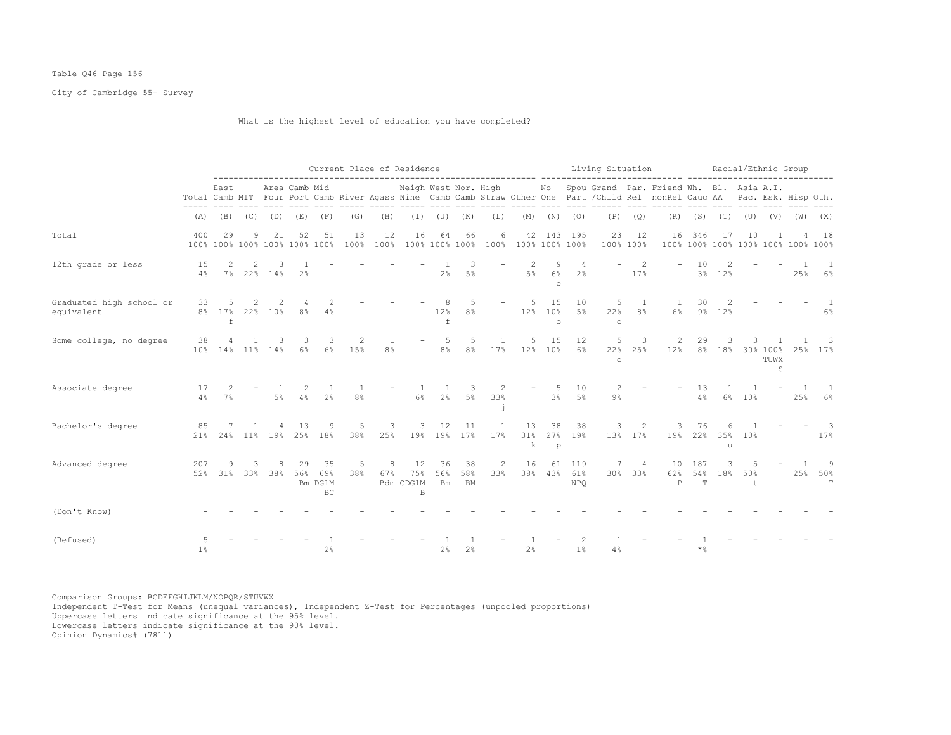## Table Q46 Page 156

City of Cambridge 55+ Survey

What is the highest level of education you have completed?

|                                        |                |                                     |             |                 |                       |                                   |            | Current Place of Residence |                                       |                        |                      |                     | ------------------- ------ |                       |                                  | Living Situation    |                    |                                                                                                                                                                                                                                  |                       |             | Racial/Ethnic Group                       |           |                       |                                 |
|----------------------------------------|----------------|-------------------------------------|-------------|-----------------|-----------------------|-----------------------------------|------------|----------------------------|---------------------------------------|------------------------|----------------------|---------------------|----------------------------|-----------------------|----------------------------------|---------------------|--------------------|----------------------------------------------------------------------------------------------------------------------------------------------------------------------------------------------------------------------------------|-----------------------|-------------|-------------------------------------------|-----------|-----------------------|---------------------------------|
|                                        |                | East                                |             |                 | Area Camb Mid         |                                   |            |                            |                                       |                        |                      | -----------         |                            |                       |                                  |                     |                    | Neigh West Nor. High Mo Spou Grand Par. Friend Wh. Bl. Asia A.I.<br>Total Camb MIT Four Port Camb River Agass Nine Camb Camb Straw Other One Part / Child Rel nonRel Cauc AA Pac. Esk. Hisp Oth.<br>---- ---- ------- ---- ----- |                       |             |                                           |           |                       |                                 |
|                                        | (A)            |                                     | $(B)$ $(C)$ |                 | $(D)$ $(E)$ $(F)$     |                                   | (G)        | (H)                        |                                       |                        | $(I)$ $(J)$ $(K)$    | (L)                 |                            |                       | $(M)$ $(N)$ $(O)$                |                     | $(P)$ $(Q)$        |                                                                                                                                                                                                                                  |                       |             | $(R)$ $(S)$ $(T)$ $(U)$ $(V)$ $(W)$ $(X)$ |           |                       |                                 |
| Total                                  | 400            | 29<br>100% 100% 100% 100% 100% 100% | 9           | 21              | 52                    | 51                                | 13<br>100% | 12<br>100%                 | 16                                    | 64                     | 66<br>100% 100% 100% | 6<br>100%           | 100% 100% 100%             |                       | 42 143 195                       | 23                  | 12<br>100% 100%    |                                                                                                                                                                                                                                  | 16 346                | 17          | 10<br>100% 100% 100% 100% 100% 100% 100%  |           |                       | 18                              |
| 12th grade or less                     | 15<br>4%       | 2                                   | 2           | 3<br>7% 22% 14% | 2 <sup>°</sup>        |                                   |            |                            |                                       | 2%                     | 3<br>$5\%$           |                     | 5%                         | 9<br>$6\%$<br>$\circ$ | -4<br>2 <sup>°</sup>             |                     | 2<br>17%           |                                                                                                                                                                                                                                  | 10                    | 3% 12%      |                                           |           | 25%                   | -1<br>6%                        |
| Graduated high school or<br>equivalent | 33             | 5<br>8% 17% 22% 10%<br>f            | 2           | 2               | 4<br>8%               | 4%                                |            |                            |                                       | 12%<br>f               | 8%                   |                     | -5<br>12%                  | 15<br>10%<br>$\circ$  | 10<br>5%                         | 5<br>22%<br>$\circ$ | <sup>1</sup><br>8% | $\overline{1}$<br>$6\%$                                                                                                                                                                                                          | 30                    | 2<br>9% 12% |                                           |           |                       | $6\%$                           |
| Some college, no degree                | 38             | 10% 14% 11% 14%                     |             |                 | 3<br>$6\%$            | 3<br>6%                           | 2<br>15%   | 8%                         |                                       | 5<br>8 <sup>°</sup>    | 5<br>8%              | 1<br>17%            | 5<br>12% 10%               | 15                    | 12<br>6%                         | 5<br>22%<br>$\circ$ | 3<br>25%           | 2<br>12%                                                                                                                                                                                                                         | 29                    | 3           | 3                                         | TUWX<br>S |                       | - 3<br>8% 18% 30% 100% 25% 17%  |
| Associate degree                       | 17<br>4%       | 2<br>7%                             |             | 5%              | 2<br>4%               | -1<br>2 <sup>°</sup>              | 8%         |                            | $6\%$                                 | 2 <sup>°</sup>         | 3<br>$5\%$           | 2<br>33%            |                            | -5<br>3 <sup>8</sup>  | 10<br>5%                         | 2<br>$9\%$          |                    |                                                                                                                                                                                                                                  | 13<br>4%              |             | 6% 10%                                    |           | $\overline{1}$<br>25% | $\overline{1}$<br>6%            |
| Bachelor's degree                      | 85             | 21% 24% 11% 19% 25% 18%             |             |                 | -1.3                  | 9                                 | 5<br>38%   | 3<br>25%                   | 3                                     | 12                     | 11<br>19% 19% 17%    | <sup>1</sup><br>17% | 13<br>k                    | 38<br>$\mathbf{p}$    | 38<br>31% 27% 19%                | 3                   | 2<br>13% 17%       | 3                                                                                                                                                                                                                                | 76<br>19% 22% 35% 10% | 6<br>u      |                                           |           |                       | $\overline{\phantom{a}}$<br>17% |
| Advanced degree                        | 207<br>52%     | 9                                   | 3           |                 | 29<br>31% 33% 38% 56% | 35<br>69%<br>Bm DG1M<br><b>BC</b> | 5<br>38%   | 8<br>67%                   | 12<br>75%<br>Bdm CDG1M<br>$\mathbb B$ | 36<br>56%<br><b>Bm</b> | 38<br>58%<br>BM      | 2<br>33%            | 16                         | 61                    | 119<br>38% 43% 61%<br><b>NPO</b> | 7                   | -4<br>30% 33%      | 10<br>62%<br>$\mathsf{P}$                                                                                                                                                                                                        | 187<br>54%<br>T       | 3<br>18%    | 50%<br>$+$                                |           |                       | -9<br>25% 50%<br>T.             |
| (Don't Know)                           |                |                                     |             |                 |                       |                                   |            |                            |                                       |                        |                      |                     |                            |                       |                                  |                     |                    |                                                                                                                                                                                                                                  |                       |             |                                           |           |                       |                                 |
| (Refused)                              | 1 <sup>°</sup> |                                     |             |                 |                       | 2%                                |            |                            |                                       | 2%                     | 2%                   |                     | 2%                         |                       | 1%                               | 4%                  |                    |                                                                                                                                                                                                                                  | $*$ $\frac{6}{9}$     |             |                                           |           |                       |                                 |

Comparison Groups: BCDEFGHIJKLM/NOPQR/STUVWX Independent T-Test for Means (unequal variances), Independent Z-Test for Percentages (unpooled proportions) Uppercase letters indicate significance at the 95% level. Lowercase letters indicate significance at the 90% level.

Opinion Dynamics# (7811)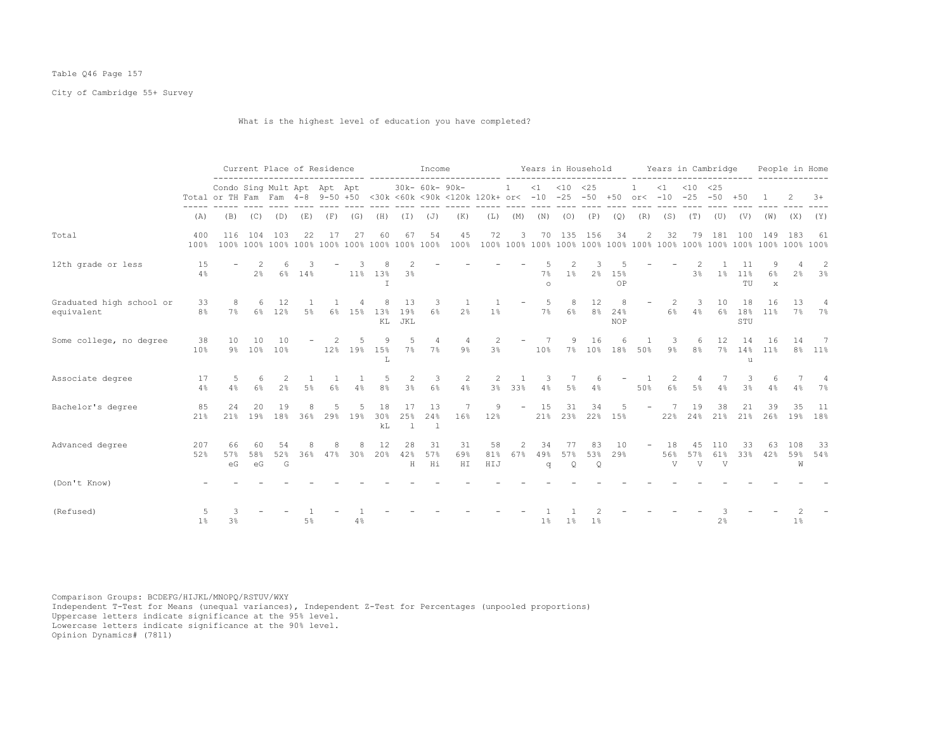## Table Q46 Page 157

City of Cambridge 55+ Survey

What is the highest level of education you have completed?

|                                        |                      |                                                                 |                     |                | Current Place of Residence |          |          |                     |                           | Income                    |                                        |                  |                          |                |                | Years in Household |                        |                          |                | Years in Cambridge          |                 |                    |                         | People in Home  |              |
|----------------------------------------|----------------------|-----------------------------------------------------------------|---------------------|----------------|----------------------------|----------|----------|---------------------|---------------------------|---------------------------|----------------------------------------|------------------|--------------------------|----------------|----------------|--------------------|------------------------|--------------------------|----------------|-----------------------------|-----------------|--------------------|-------------------------|-----------------|--------------|
|                                        |                      | Condo Sing Mult Apt Apt Apt<br>Total or TH Fam Fam 4-8 9-50 +50 |                     |                |                            |          |          |                     |                           | 30k- 60k- 90k-            | <30k <60k <90k <120k 120k+ or< -10 -25 |                  | $\mathbf{1}$             | $\leq 1$       | $< 10$ $< 25$  | $-50 + 50$         |                        | $or < -10$               | $\leq 1$       | $< 10 \le 25$<br>$-25 - 50$ |                 | $+50$              |                         |                 | $3+$         |
|                                        | (A)                  | (B)                                                             | (C)                 | (D)            | (E)                        | (F)      | (G)      | (H)                 | (I)                       | (J)                       | (K)                                    | (L)              | (M)                      | (N)            | (0)            | (P)                | (Q)                    | (R)                      | (S)            | (T)                         | (U)             | (V)                | (W)                     | (X)             | (Y)          |
| Total                                  | 400<br>100%          | 116<br>100%                                                     | 104                 | 103            | 22                         | 17       | 27       | 60                  | 67                        | 54                        | 45<br>100%                             | 72               | 3                        | 70             | 135            | 156                | 34                     | 2                        | 32             | 79                          | 181             | 100                | 149                     | 183             | 61           |
| 12th grade or less                     | 15<br>4%             |                                                                 | 2<br>2 <sup>°</sup> |                | 6% 14%                     |          | 11%      | 13%<br>$\mathbb{I}$ | 3 <sup>°</sup>            |                           |                                        |                  |                          | 7%<br>$\circ$  | $1\%$          | 2%                 | 15%<br>OP              |                          |                | 3%                          |                 | 11<br>1% 11%<br>TU | 9<br>6%<br>$\mathbf{x}$ | 2 <sup>8</sup>  | 2<br>3%      |
| Graduated high school or<br>equivalent | 33<br>8 <sup>°</sup> | 8<br>7%                                                         | 6                   | 12<br>6% 12%   | 5%                         | $6\%$    | 15%      | 8<br>13%<br>KL      | 13<br>19%<br>JKL          | 3<br>6%                   | 2 <sup>°</sup>                         | 1%               | -                        | -5<br>7%       | 8<br>6%        | 12<br>8%           | 8<br>24%<br><b>NOP</b> | $\overline{\phantom{a}}$ | 2<br>6%        | 3<br>4%                     | 10<br>6%        | 18<br>18%<br>STU   | 16<br>11%               | 13<br>7%        | 4<br>7%      |
| Some college, no degree                | 38<br>10%            | 10<br>$9\%$                                                     | 10<br>10%           | 10<br>10%      |                            | 2<br>12% | 5<br>19% | 9<br>15%<br>L       | 5<br>$7\%$                | 4<br>$7\%$                | 4<br>$9\%$                             | 2<br>3%          | $\overline{\phantom{m}}$ | 7<br>10%       | 9              | 16<br>7% 10%       | 6<br>18%               | -1<br>50%                | -3<br>$9\%$    | 6<br>8 <sup>°</sup>         | 12              | 14<br>7% 14%<br>u  | 16<br>11%               | 14              | -7<br>8% 11% |
| Associate degree                       | 17<br>4%             | 5<br>4%                                                         | 6<br>6%             | 2<br>2%        | 5%                         | 6%       | 4%       | -5<br>8%            | 2<br>3%                   | 3<br>$6\%$                | 2<br>4%                                | 2<br>3%          | 33%                      | 3<br>4%        | 5%             | 6<br>4%            |                        | 50%                      | 2<br>6%        | 4<br>5%                     | 4%              | 3<br>3%            | 4%                      | 4%              | 4<br>7%      |
| Bachelor's degree                      | 85<br>21%            | 24<br>21%                                                       | 20<br>19%           | 19<br>18%      | 36%                        | 29%      | 19%      | 18<br>30%<br>kL     | 17<br>25%<br>$\mathbf{1}$ | 13<br>24%<br>$\mathbf{1}$ | 16%                                    | 9<br>12%         | $\overline{\phantom{a}}$ | 15<br>21%      | 31<br>23%      | 34<br>22%          | 15%                    |                          | 22%            | 19<br>24%                   | 38<br>21%       | 21<br>21%          | 39<br>26%               | 35<br>19%       | 11<br>18%    |
| Advanced degree                        | 207<br>52%           | 66<br>57%<br>еG                                                 | 58%<br>eG           | 54<br>52%<br>G | 36%                        | 47%      | 30%      | 12<br>20%           | 28<br>42%<br>Н            | 31<br>57%<br>Ηi           | 31<br>69%<br>${\rm H\,I}$              | 58<br>81%<br>HIJ | $\mathcal{D}$<br>67%     | 34<br>49%<br>q | 77<br>57%<br>Q | 83<br>53%<br>Q     | 10<br>29%              | $\overline{\phantom{m}}$ | 18<br>56%<br>V | 45<br>57%<br>V              | 110<br>61%<br>V | 33<br>33%          | 63<br>42%               | 108<br>59%<br>W | -33<br>54%   |
| (Don't Know)                           |                      |                                                                 |                     |                |                            |          |          |                     |                           |                           |                                        |                  |                          |                |                |                    |                        |                          |                |                             |                 |                    |                         |                 |              |
| (Refused)                              | 1%                   | 3%                                                              |                     |                | 5%                         |          | 4%       |                     |                           |                           |                                        |                  |                          | 1%             | $1\%$          | 1%                 |                        |                          |                |                             | 2%              |                    |                         | 1%              |              |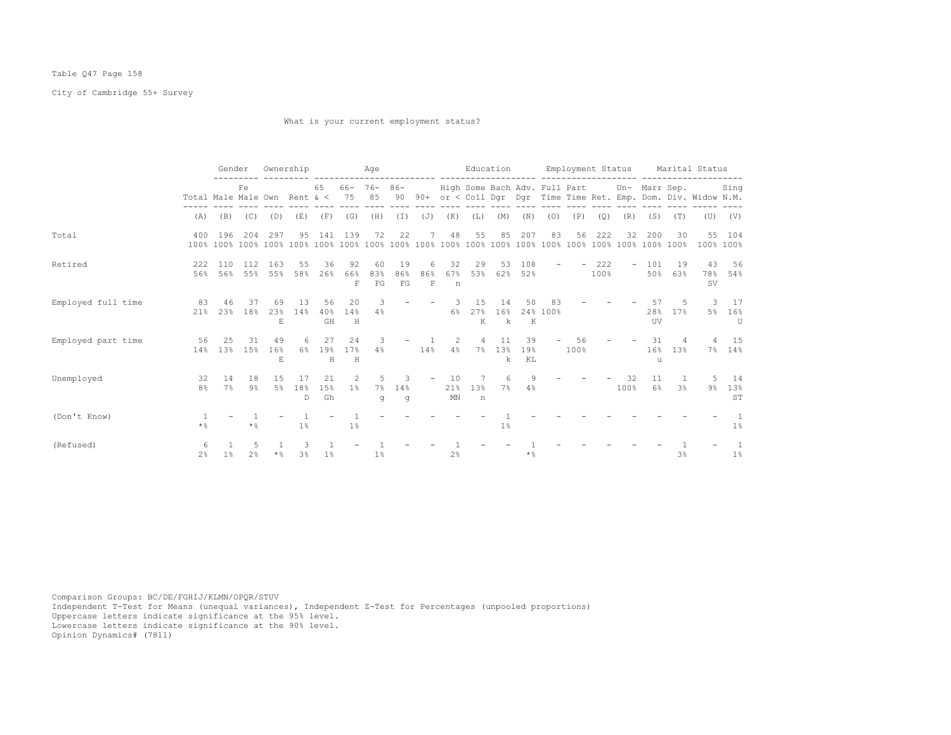## Table Q47 Page 158

City of Cambridge 55+ Survey

What is your current employment status?

|                    |                                  | Gender        |                     |                 | Ownership           |                 |                    | Age                     |                 |                          |                 | Education                  |                           |                 |                | Employment Status |                |            |                                             |                         | Marital Status                                                    |                         |
|--------------------|----------------------------------|---------------|---------------------|-----------------|---------------------|-----------------|--------------------|-------------------------|-----------------|--------------------------|-----------------|----------------------------|---------------------------|-----------------|----------------|-------------------|----------------|------------|---------------------------------------------|-------------------------|-------------------------------------------------------------------|-------------------------|
|                    | Total Male Male Own Rent $\<$ 75 |               | Fe                  |                 |                     | 65              |                    | $66 - 76 - 86 -$<br>85  |                 |                          |                 |                            |                           |                 |                |                   |                |            | High Some Bach Adv. Full Part Un- Marr Sep. |                         | 90 90+ or < Coll Dgr Dgr Time Time Ret. Emp. Dom. Div. Widow N.M. | Sing                    |
|                    | (A)                              | (B)           | (C)                 | (D)             | (E)                 | (F)             | (G)                | (H)                     | $(\top)$        | (J)                      | (K)             | (L)                        | (M)                       | (N)             | (0)            | (P)               | (Q)            | (R)        | (S)                                         | (T)                     |                                                                   | $(U)$ $(V)$             |
| Total              | 400                              | 196           | 204                 | 297             | 95                  | 141             | 139                | 72                      | 22              | 7                        | 48              | 55                         | 85                        | 207             | 83             | 56                | 222            | 32         | 200                                         | 30                      |                                                                   | 55 104<br>100% 100%     |
| Retired            | 222<br>56%                       | 110<br>56%    | 112<br>55%          | 163<br>55%      | 55<br>58%           | 36<br>26%       | 92<br>66%<br>F     | 60<br>83%<br>${\rm FG}$ | 19<br>86%<br>FG | 6<br>86%<br>$\mathbb{F}$ | 32<br>67%<br>n  | 29<br>53%                  | 53<br>62%                 | 108<br>52%      |                |                   | $-222$<br>100% | $\sim$     | 101<br>50%                                  | 19<br>63%               | 43<br>78%<br><b>SV</b>                                            | 56<br>54%               |
| Employed full time | 83<br>21%                        | 46<br>23%     | 37<br>18%           | 69<br>23%<br>E  | 13<br>14%           | 56<br>40%<br>GH | 20<br>14%<br>H     | 3<br>4%                 |                 |                          | -3<br>6%        | 1.5<br>27%<br>$_{\rm K}$   | 14<br>16%<br>$\mathbf{k}$ | 50<br>K         | 83<br>24% 100% |                   |                |            | 57<br>28%<br><b>UV</b>                      | .5<br>17%               |                                                                   | $3 \t17$<br>5% 16%<br>U |
| Employed part time | 56                               | 25<br>14% 13% | 31<br>15%           | 49<br>16%<br>E. | 6<br>6%             | 27<br>H         | 24<br>19% 17%<br>H | 3<br>4%                 | $\sim$          | 14%                      | 2<br>4%         | $\overline{4}$             | 11<br>7% 13%<br>k.        | 39<br>19%<br>KL | $\sim$         | 56<br>100%        |                |            | 31<br>16%<br>u                              | 4<br>13%                | $\overline{4}$                                                    | 15<br>7% 14%            |
| Unemployed         | 32<br>8 <sup>°</sup>             | 14<br>7%      | 18<br>9%            | 1.5             | 17<br>5% 18%<br>D   | 21<br>15%<br>Gh | 2<br>$1\%$         | 5<br>7%<br>q            | 3<br>14%<br>q   |                          | 10<br>21%<br>MN | $\overline{7}$<br>13%<br>n | 6<br>$7\%$                | 9<br>4%         |                |                   |                | 32<br>100% | 11<br>6%                                    | $\overline{1}$<br>$3\%$ | 5<br>$9\%$                                                        | 14<br>13%<br>ST         |
| (Don't Know)       | $\star$ %                        |               | $\star$ %           |                 | 1 <sup>°</sup>      |                 | 1%                 |                         |                 |                          |                 |                            | 1 <sup>°</sup>            |                 |                |                   |                |            |                                             |                         |                                                                   | $1\%$                   |
| (Refused)          | 6<br>2 <sup>°</sup>              | 1%            | 5<br>2 <sup>°</sup> | $\star$ %       | 3<br>3 <sup>8</sup> | $1\%$           |                    | 1%                      |                 |                          | 2%              |                            |                           | $\star$ %       |                |                   |                |            |                                             | 3%                      |                                                                   | 1%                      |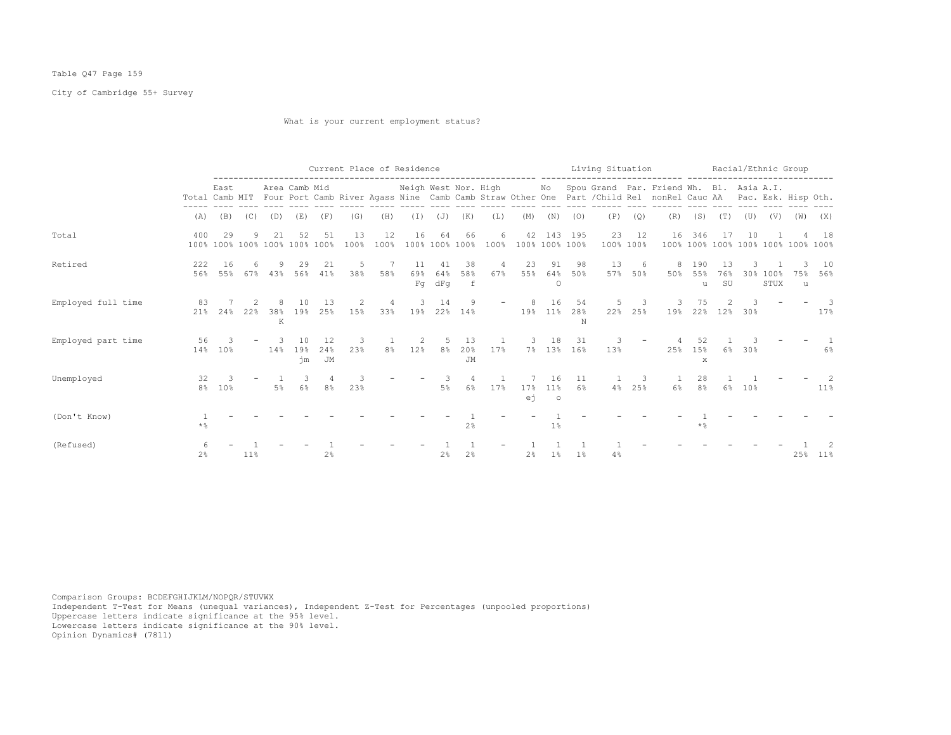## Table Q47 Page 159

City of Cambridge 55+ Survey

What is your current employment status?

|                    |                |                                     |        |          |                 |                 |            |                | Current Place of Residence |                  |                           |           |                |                      |                              | Living Situation |             |                                                                                                                                                                             |                      |                                |        | Racial/Ethnic Group |          |               |
|--------------------|----------------|-------------------------------------|--------|----------|-----------------|-----------------|------------|----------------|----------------------------|------------------|---------------------------|-----------|----------------|----------------------|------------------------------|------------------|-------------|-----------------------------------------------------------------------------------------------------------------------------------------------------------------------------|----------------------|--------------------------------|--------|---------------------|----------|---------------|
|                    |                | East                                |        |          | Area Camb Mid   |                 |            |                | Neigh West Nor. High       |                  |                           |           |                |                      |                              |                  |             | No Spou Grand Par. Friend Wh. Bl. Asia A.I.<br>Total Camb MIT Four Port Camb River Agass Nine Camb Camb Straw Other One Part / Child Rel nonRel Cauc AA Pac. Esk. Hisp Oth. |                      |                                |        |                     |          |               |
|                    | (A)            | (B)                                 | (C)    | (D)      | (E)             | (F)             | (G)        | (H)            | (I)                        | (J)              | (K)                       | (L)       | (M)            | (N)                  | (0)                          | (P)              | (Q)         | (R)                                                                                                                                                                         | (S)                  | (T)                            | (U)    | (V)                 | (W)      | (X)           |
| Total              | 400            | 29<br>100% 100% 100% 100% 100% 100% | 9      | 21       | 52              | 51              | 13<br>100% | 12<br>100%     | 16                         | 64<br>100% 100%  | 66<br>100%                | 6<br>100% |                |                      | 42 143 195<br>100% 100% 100% | 23<br>100%       | 12<br>100%  | 16<br>100%                                                                                                                                                                  | 346                  | 17<br>100% 100% 100% 100% 100% | 10     |                     |          | 18<br>$100\%$ |
| Retired            | 222<br>56%     | 16<br>55%                           | 67%    | 43%      | 29<br>56%       | 21<br>41%       | 5<br>38%   | 58%            | 11<br>69%<br>Fq            | 41<br>64%<br>dFq | 38<br>58%<br>$\mathsf{f}$ | 4<br>67%  | 23<br>55%      | 91<br>64%<br>$\circ$ | -98<br>50%                   | 13<br>57%        | 6<br>50%    | 8<br>50%                                                                                                                                                                    | 190<br>55%<br>u      | 13<br>76%<br>SU                |        | 30% 100%<br>STUX    | 75%<br>u | 10<br>56%     |
| Employed full time | 83<br>21%      | 24%                                 | 22%    | 38%<br>K | 19%             | 13<br>25%       | 15%        | 4<br>33%       | 3<br>19%                   | 14<br>22%        | 9<br>14%                  |           | 19%            | 16<br>$11\%$         | 54<br>28%<br>N               | 5<br>22%         | 3<br>25%    | 19%                                                                                                                                                                         | 75<br>22%            | 12%                            | 30%    |                     |          | -3<br>17%     |
| Employed part time | 56             | 3<br>14% 10%                        |        | 14%      | 10<br>19%<br>ήm | 12<br>24%<br>JM | 3<br>23%   | 8 <sup>°</sup> | 2                          | 12% 8%           | 13<br>20%<br>JM           | 17%       | 3              | 18                   | -31<br>7% 13% 16%            | 13%              |             | 25%                                                                                                                                                                         | 52<br>15%<br>X       |                                | 6% 30% |                     |          | 6%            |
| Unemployed         | 32             | 3<br>8% 10%                         |        | 5%       | $6\%$           | 8%              | 23%        |                |                            | 5%               | 4<br>6%                   | 17%       | 17%<br>еj      | 16<br>11%<br>$\circ$ | 11<br>6%                     |                  | 3<br>4% 25% | $6\%$                                                                                                                                                                       | 28<br>8 <sup>°</sup> | 6%                             | 10%    |                     |          | Z<br>$11\%$   |
| (Don't Know)       | $\star$ %      |                                     |        |          |                 |                 |            |                |                            |                  | 2%                        |           |                | 1%                   |                              |                  |             |                                                                                                                                                                             | $*$ &                |                                |        |                     |          |               |
| (Refused)          | 2 <sup>°</sup> |                                     | $11\%$ |          |                 | 2 <sup>°</sup>  |            |                |                            | 2%               | 2%                        |           | 2 <sup>°</sup> | $1\%$                | 1 <sup>°</sup>               | 4%               |             |                                                                                                                                                                             |                      |                                |        |                     |          | 25% 11%       |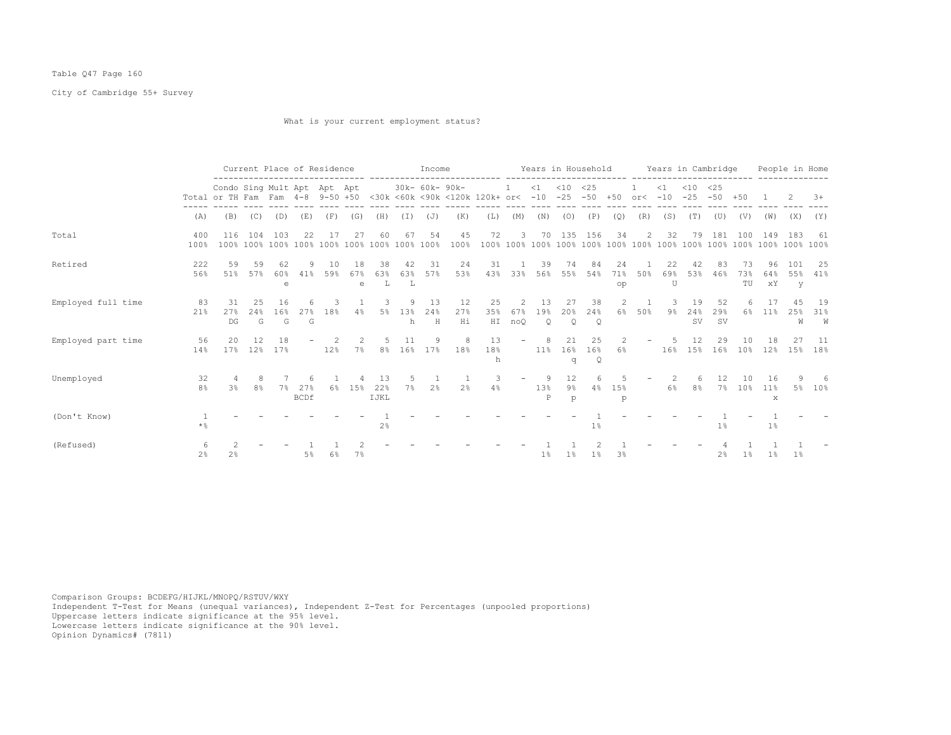## Table Q47 Page 160

City of Cambridge 55+ Survey

What is your current employment status?

|                    |                      |                                                                                                                                    |                 | Current Place of Residence |                      |           |                         |                   |                | Income            |                 |                 |                                   |                       |                                 |                      |                     |                          |                | Years in Household Years in Cambridge |                   |                 |                 | People in Home  |                |
|--------------------|----------------------|------------------------------------------------------------------------------------------------------------------------------------|-----------------|----------------------------|----------------------|-----------|-------------------------|-------------------|----------------|-------------------|-----------------|-----------------|-----------------------------------|-----------------------|---------------------------------|----------------------|---------------------|--------------------------|----------------|---------------------------------------|-------------------|-----------------|-----------------|-----------------|----------------|
|                    |                      | Condo Sing Mult Apt Apt Apt<br>Total or TH Fam Fam 4-8 9-50 +50 <30k <60k <90k <120k 120k+ or< -10 -25 -50 +50 or< -10 -25 -50 +50 |                 |                            |                      |           |                         |                   |                |                   | 30k- 60k- 90k-  |                 | <sup>1</sup>                      |                       | $<1$ $<10$ $<25$                |                      |                     |                          | $\leq 1$       | $< 10$ $< 25$                         |                   |                 | - 1 -           | -2.             | $3+$           |
|                    | (A)                  | (B)                                                                                                                                | (C)             | (D)                        | (E)                  |           | $(F)$ (G)               | (H)               | $(\top)$       | (J)               | (K)             | (L)             | (M)                               |                       | $(N)$ $(O)$                     | (P)                  | (Q)                 | (R)                      | (S)            | (T)                                   | (U)               | (V)             |                 | $(W)$ $(X)$     | (Y)            |
| Total              | 400<br>100%          | 116                                                                                                                                | 104             | 103                        | 22                   | 17        | 27                      | 60                | 67             | 54                | 45<br>100%      | 72              | 3                                 |                       | 70 135 156                      |                      | 34                  | $\overline{2}$           | 32             | 79                                    | 181               | 100             | 149             | 183             | 61             |
| Retired            | 222<br>56%           | 59<br>51%                                                                                                                          | 59<br>57%       | 62<br>60%<br>e             | 9.<br>41%            | 10<br>59% | 18<br>67%<br>$\epsilon$ | 38<br>63%<br>т.   | 42<br>63%<br>L | 31<br>57%         | 24<br>53%       | 31<br>43%       | 33%                               | 39<br>56%             | 74<br>55%                       | 84<br>54%            | 24<br>71%<br>op     | 50%                      | 22<br>69%<br>U | 42<br>53%                             | 83<br>46%         | 73<br>73%<br>TU | 96<br>64%<br>хY | 101<br>55%<br>V | -25<br>41%     |
| Employed full time | 83<br>21%            | 31<br>27%<br>DG                                                                                                                    | 2.5<br>24%<br>G | 16<br>16%<br>G             | 2.7%<br>$\mathbb{G}$ | 3<br>18%  | 4%                      | 3<br>5%           | 13%<br>h       | 13<br>24%<br>H    | 12<br>27%<br>Hi | 25<br>35%       | 2<br>67%<br>HI noQ                | -13<br>19%<br>$\circ$ | 27<br>20%<br>$\circ$            | 38<br>24%<br>$\circ$ | $\mathcal{L}$<br>6% | 50%                      | 9%             | 19<br>24%<br>SV.                      | 52<br>29%<br>. SV | 6%              | 11 <sup>8</sup> | 4.5<br>25%<br>W | 19<br>31%<br>W |
| Employed part time | 56<br>14%            | 20<br>17%                                                                                                                          | 12              | 18<br>12% 17%              |                      | 12%       | $7\%$                   | .5                | 11             | - 9<br>8% 16% 17% | 8<br>18%        | 1.3<br>18%<br>h | $-$                               | 11% 16% 16%           | 21<br>q                         | 25<br>$\mathsf{Q}$   | -2<br>6%            | $\overline{\phantom{a}}$ | -5             | 12.<br>16% 15% 16%                    | 29                | 10<br>$10\%$    | 18<br>12%       | 27<br>15%       | - 11<br>18%    |
| Unemployed         | 32<br>8 <sup>°</sup> | 3%                                                                                                                                 | 8<br>8%         |                            | 7% 27%<br>BCDf       |           | 1.5%                    | 13<br>22%<br>IJKL | 7%             | 2%                |                 | -3<br>2%        | $\overline{\phantom{0}}$<br>$4\%$ | 13%<br>$_{\rm P}$     | $12 \overline{ }$<br>$9\%$<br>p | 6                    | 4% 15%<br>p         | $\overline{\phantom{m}}$ |                | 6<br>6% 8% 7% 10% 11%                 | 12                | 10              | 16<br>x         |                 | -6<br>5% 10%   |
| (Don't Know)       | * %                  |                                                                                                                                    |                 |                            |                      |           |                         | 2 <sup>°</sup>    |                |                   |                 |                 |                                   |                       |                                 | $1\%$                |                     |                          |                |                                       | $1\%$             |                 | $1\,$ s         |                 |                |
| (Refused)          | 2 <sup>8</sup>       | 2 <sup>°</sup>                                                                                                                     |                 |                            | 5%                   | 6%        | 7%                      |                   |                |                   |                 |                 |                                   | $1\%$                 | $1\%$                           | $1\%$                | 3%                  |                          |                |                                       | $2\frac{6}{6}$    | $1\%$           | $1\%$           | $1\%$           |                |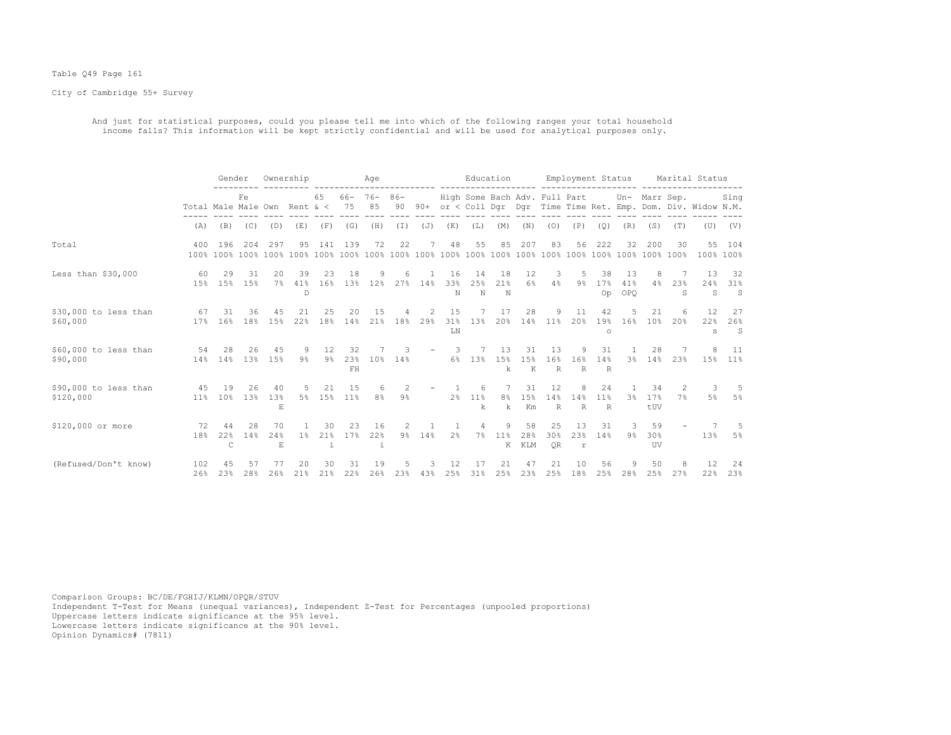#### Table Q49 Page 161

City of Cambridge 55+ Survey

 And just for statistical purposes, could you please tell me into which of the following ranges your total household income falls? This information will be kept strictly confidential and will be used for analytical purposes only.

|                                    |                              | Gender                |            | Ownership       |                |                         |                 | Age               |                     |                       |                     |                      | Education           |                  |                               | Employment Status        |                                      |                         |                        |                     | Marital Status                                             |                      |
|------------------------------------|------------------------------|-----------------------|------------|-----------------|----------------|-------------------------|-----------------|-------------------|---------------------|-----------------------|---------------------|----------------------|---------------------|------------------|-------------------------------|--------------------------|--------------------------------------|-------------------------|------------------------|---------------------|------------------------------------------------------------|----------------------|
|                                    | Total Male Male Own Rent & < |                       | Fe         |                 |                | 65                      | 66-<br>75       | $76 - 86 -$<br>85 | 90                  | $90+$                 |                     |                      |                     |                  | High Some Bach Adv. Full Part |                          |                                      |                         | Un- Marr Sep.          |                     | or < Coll Dgr Dgr Time Time Ret. Emp. Dom. Div. Widow N.M. | Sing                 |
|                                    | (A)                          | (B)                   | (C)        | (D)             | (E)            | (F)                     | (G)             | (H)               | (T)                 | (J)                   | (K)                 | (L)                  | (M)                 | (N)              | (0)                           | (P)                      | (Q)                                  | (R)                     | (S)                    | (T)                 | (U)                                                        | (V)                  |
| Total                              | 400                          | 196                   | 204        | 297             | 95             | 141                     | 139             | 72                | 22                  |                       | 48                  | 55                   | 85                  | 207              | 83                            | 56                       | 222                                  | 32                      | 200                    | 30                  | 55                                                         | 104<br>100% 100%     |
| Less than $$30,000$                | 60<br>15%                    | 29<br>15%             | 31<br>15%  | 20<br>$7\%$     | 39<br>41%<br>D | 23<br>16%               | 18              | 9<br>13% 12%      | 6<br>27%            | 14%                   | 16<br>33%<br>N      | 14<br>25%<br>N       | 18<br>21%<br>N      | 12<br>$6\%$      | 3<br>4%                       | 5<br>$9\%$               | 38<br>17%<br>Op                      | 13<br>41%<br><b>OPO</b> | 8<br>4%                | 7<br>23%<br>S.      | 13<br>24%<br>S                                             | -32<br>31%<br>S      |
| \$30,000 to less than<br>\$60,000  | 67<br>17%                    | 31<br>16%             | 36<br>18%  | 45<br>15%       | 2.1<br>22%     | 25<br>18%               | 20<br>14%       | 15<br>21%         | 18%                 | $\mathfrak{D}$<br>29% | 15<br>31%<br>LN     | 13%                  | 17<br>20%           | 28<br>14%        | 9<br>11%                      | 11<br>20%                | 42<br>19%<br>$\circ$                 | 16%                     | 21<br>10 <sup>9</sup>  | 6<br>20%            | 12<br>22%<br>s                                             | 27<br>26%<br>S       |
| \$60,000 to less than<br>\$90,000  | 54<br>14%                    | 28<br>14%             | 26<br>13%  | 45<br>15%       | $9\frac{6}{9}$ | 12<br>$9\frac{6}{6}$    | 32<br>23%<br>FH | 10%               | 3<br>14%            |                       | $\mathcal{L}$<br>6% | 13%                  | 13<br>15%<br>k      | 31<br>1.5%<br>К  | 13<br>16%<br>R                | 9<br>16%<br>$\mathbb{R}$ | 31<br>14%<br>$\mathbb R$             | 3 <sup>8</sup>          | 28<br>14%              | 23%                 | 8<br>15%                                                   | -11<br>11%           |
| \$90,000 to less than<br>\$120,000 | 45<br>11%                    | 19<br>10 <sup>8</sup> | 26<br>1.3% | 40<br>13%<br>E  | 5%             | 21<br>15%               | 1.5<br>11%      | 8 <sup>°</sup>    | 2<br>$9\frac{6}{3}$ |                       | 2 <sup>8</sup>      | 6<br>11%<br>k        | 8 <sup>°</sup><br>k | 31<br>1.5%<br>Km | 12<br>14%<br>$\mathbb{R}$     | 8<br>14%<br>$\mathbb R$  | 24<br>11 <sup>8</sup><br>$\mathbb R$ | 3 <sup>8</sup>          | 34<br>17%<br>tUV       | $\mathcal{L}$<br>7% | 3<br>$5\%$                                                 | -5<br>5%             |
| \$120,000 or more                  | 72<br>18%                    | 44<br>22%<br>C        | 28<br>14%  | 70<br>24%<br>E. | $1\%$          | 30<br>21%<br>$\ddot{1}$ | 23<br>17%       | 16<br>22%<br>i    | 2<br>$9\%$          | 14%                   | 2 <sup>°</sup>      | $\overline{4}$<br>7% | 9<br>11%<br>К       | 58<br>28%<br>KLM | 25<br>30%<br><b>OR</b>        | 13<br>23%<br>r           | 31<br>14%                            | 3<br>9 <sub>8</sub>     | 59<br>30%<br><b>UV</b> |                     | 13%                                                        | $\overline{5}$<br>5% |
| (Refused/Don't know)               | 102<br>26%                   | 23%                   | 28%        | 77<br>26%       | 20<br>21%      | 30<br>21%               | 31<br>22%       | 19<br>26%         | 23%                 | 43%                   | 25%                 | 31%                  | 25%                 | 47<br>23%        | 21<br>25%                     | 10<br>18%                | 56<br>25%                            | 28%                     | 50<br>25%              | 8<br>27%            | 12<br>22%                                                  | -24<br>23%           |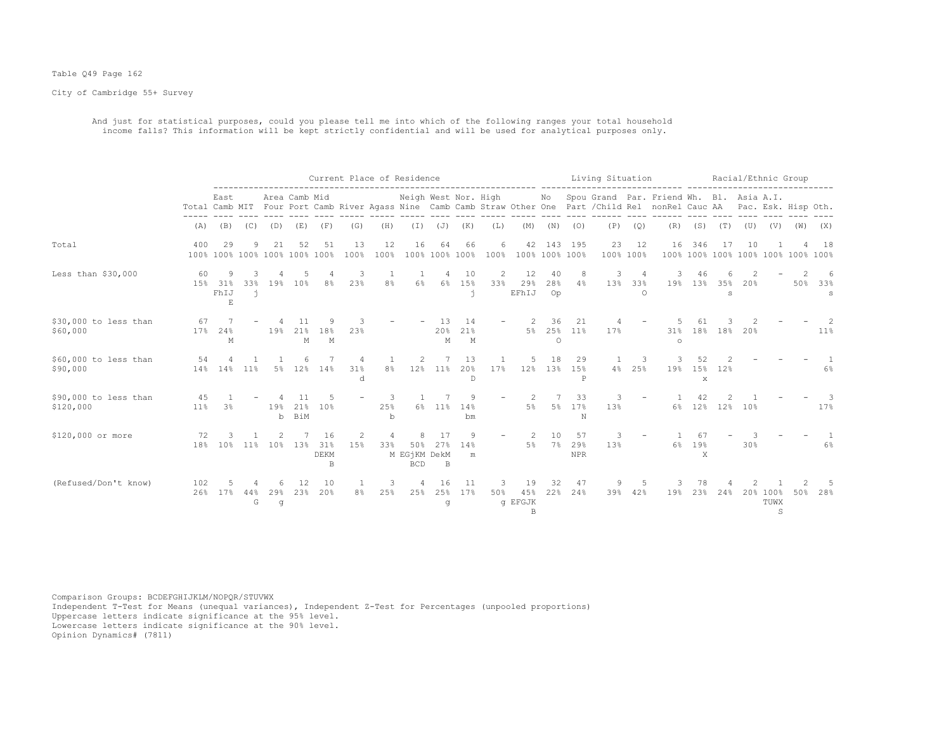#### Table Q49 Page 162

City of Cambridge 55+ Survey

 And just for statistical purposes, could you please tell me into which of the following ranges your total household income falls? This information will be kept strictly confidential and will be used for analytical purposes only.

|                                    |            |                                               |               |                |                      |                        |                |                         | Current Place of Residence        |                |                      |           |                                      |                 |                         | Living Situation |                      |                                                                                                                                                      |                           |          |      | Racial/Ethnic Group   |                                    |               |
|------------------------------------|------------|-----------------------------------------------|---------------|----------------|----------------------|------------------------|----------------|-------------------------|-----------------------------------|----------------|----------------------|-----------|--------------------------------------|-----------------|-------------------------|------------------|----------------------|------------------------------------------------------------------------------------------------------------------------------------------------------|---------------------------|----------|------|-----------------------|------------------------------------|---------------|
|                                    |            | East                                          |               |                | Area Camb Mid        |                        |                |                         | Neigh West Nor. High              |                |                      |           |                                      | No              |                         |                  |                      | Spou Grand Par. Friend Wh. Bl. Asia A.I.<br>Total Camb MIT Four Port Camb River Agass Nine Camb Camb Straw Other One Part / Child Rel nonRel Cauc AA |                           |          |      |                       | Pac. Esk. Hisp Oth.                |               |
|                                    | (A)        | (B)                                           | (C)           | (D)            | (E)                  | (F)                    | (G)            | (H)                     | $(\top)$                          | (J)            | (K)                  | (L)       | (M)                                  | (N)             | (0)                     | (P)              | (Q)                  | (R)                                                                                                                                                  | (S)                       | (T)      | (U)  | (V)                   | (W)                                | (X)           |
| Total                              | 400        | 29<br>100% 100% 100% 100% 100% 100%           |               | 21             | 52                   | 51                     | 13<br>100%     | 12<br>100%              | 16                                | 64             | 66<br>100% 100% 100% | 6<br>100% | 42<br>100% 100% 100%                 | 143             | 195                     | 23<br>100% 100%  | 12                   | 16                                                                                                                                                   | 346                       | 17       | 10   |                       | 100% 100% 100% 100% 100% 100% 100% | 18            |
| Less than $$30,000$                | 60         | 9<br>15% 31%<br>FhIJ<br>$\mathop{}\mathbb{E}$ | 3<br>33%<br>ń |                | 19% 10%              | 8 <sup>°</sup>         | 3<br>23%       | 1<br>8 <sup>°</sup>     | 6%                                | 4<br>6%        | 10<br>15%<br>ń       | 2<br>33%  | 12<br>29%<br>EFhIJ                   | 40<br>28%<br>Op | 8<br>4%                 | 3<br>13%         | 4<br>33%<br>$\Omega$ | 3<br>19%                                                                                                                                             | 46<br>13%                 | 35%<br>S | 2.0% |                       | 50%                                | 6<br>33%<br>S |
| \$30,000 to less than<br>\$60,000  | 67<br>17%  | 24%<br>М                                      |               | 19%            | 11<br>21%<br>М       | 18%<br>M               | 3<br>23%       |                         |                                   | 13<br>20%<br>M | 14<br>21%<br>M       |           | 5%                                   | 36<br>$\Omega$  | 21<br>25% 11%           | 17%              |                      | 31%<br>$\circ$                                                                                                                                       |                           | 18% 18%  | 20%  |                       |                                    | 11%           |
| \$60,000 to less than<br>\$90,000  | 54<br>14%  | 4<br>14%                                      | 11%           | 5%             | 6<br>12 <sup>8</sup> | 14%                    | 4<br>31%<br>d  | 8 <sup>°</sup>          | $\overline{2}$<br>12%             | 11%            | 13<br>20%<br>D       | 17%       | 5<br>12%                             | 18              | 29<br>13% 15%<br>P      | 4%               | 3<br>25%             | 19%                                                                                                                                                  | 52<br>15%<br>$\mathbf{x}$ | 12%      |      |                       |                                    | $6\%$         |
| \$90,000 to less than<br>\$120,000 | 45<br>11%  | 3 <sup>8</sup>                                |               | 19%<br>b       | 21%<br>BiM           | 10%                    |                | 3<br>25%<br>$\mathbf b$ | 6%                                | 11%            | 14%<br>bm            |           | 2<br>5%                              | 5 <sup>°</sup>  | 33<br>17%<br>N          | 3<br>13%         |                      | 6%                                                                                                                                                   | 12%                       | 12%      | 10%  |                       |                                    | 17%           |
| \$120,000 or more                  | 72<br>18%  | 10%                                           | $11\%$        | 10%            | 13%                  | 16<br>31%<br>DEKM<br>B | 2<br>15%       | $\overline{4}$<br>33%   | 50%<br>M EGjKM DekM<br><b>BCD</b> | 17<br>27%<br>B | 9<br>14%<br>m        |           | 5%                                   | 10<br>7%        | 57<br>29%<br><b>NPR</b> | 3<br>13%         |                      | 6%                                                                                                                                                   | 67<br>19%<br>X            |          | 30%  |                       |                                    | $6\%$         |
| (Refused/Don't know)               | 102<br>26% | 17%                                           | 44%<br>G      | 6.<br>29%<br>q | 12<br>23%            | 10<br>20%              | 8 <sup>°</sup> | 3<br>25%                | $\overline{4}$<br>25%             | 16<br>25%<br>q | 11<br>17%            | 3<br>50%  | 19<br>45%<br>q EFGJK<br>$\mathbb{B}$ | 32<br>22%       | 47<br>24%               | 9<br>39%         | 42%                  | 19%                                                                                                                                                  | 78<br>23%                 | 24%      |      | 20% 100%<br>TUWX<br>S | 50%                                | 28%           |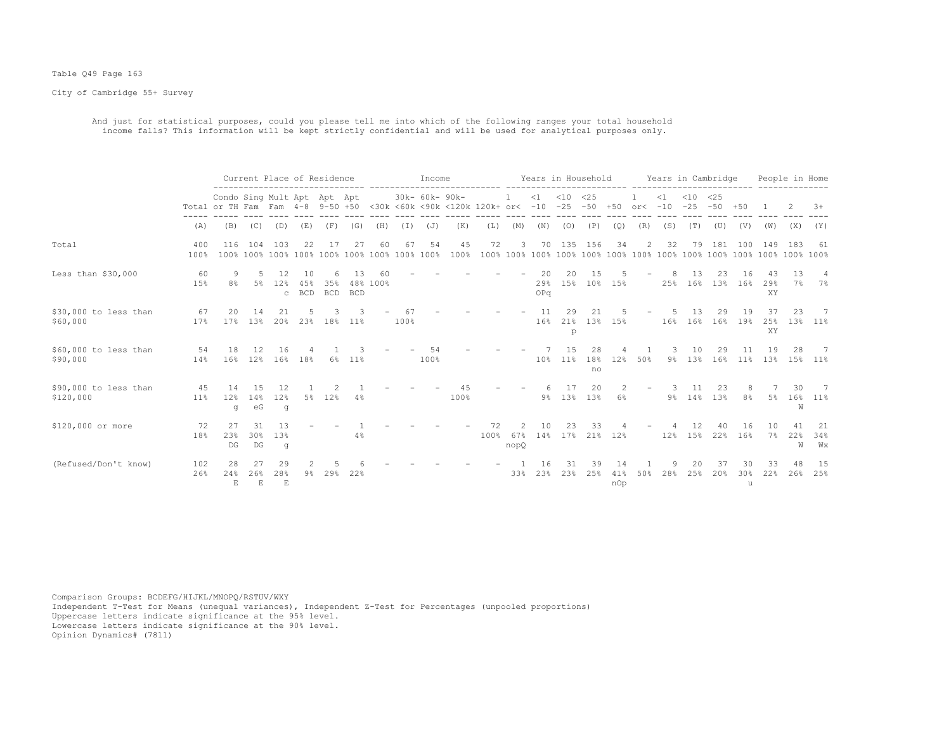#### Table Q49 Page 163

City of Cambridge 55+ Survey

 And just for statistical purposes, could you please tell me into which of the following ranges your total household income falls? This information will be kept strictly confidential and will be used for analytical purposes only.

|                                    |               |                                                                                                        |                                     |                           | Current Place of Residence |                        |                  |          |            | Income         |            |            |                  |                  | Years in Household  |                        |                  |                      |          |                 | Years in Cambridge   |                |                 | People in Home |                      |
|------------------------------------|---------------|--------------------------------------------------------------------------------------------------------|-------------------------------------|---------------------------|----------------------------|------------------------|------------------|----------|------------|----------------|------------|------------|------------------|------------------|---------------------|------------------------|------------------|----------------------|----------|-----------------|----------------------|----------------|-----------------|----------------|----------------------|
|                                    |               | Condo Sing Mult Apt Apt Apt<br>Total or TH Fam Fam 4-8 9-50 +50 <30k <60k <90k <120k 120k+ or< -10 -25 |                                     |                           |                            |                        |                  |          |            | 30k- 60k- 90k- |            |            |                  | $\leq 1$         | $<$ 10              | <25                    |                  | $-50 + 50$ or< $-10$ | $\leq 1$ | $<$ 10<br>$-25$ | $<$ 25<br>$-50 + 50$ |                |                 |                | $3+$                 |
|                                    | (A)           | (B)                                                                                                    | (C)                                 | (D)                       | (E)                        | (F)                    | (G)              | (H)      | (I)        | (J)            | (K)        | (L)        | (M)              | (N)              | (0)                 | (P)                    | (Q)              | (R)                  | (S)      | (T)             | (U)                  | (V)            | (W)             | (X)            | (Y)                  |
| Total                              | 400<br>100%   | 116                                                                                                    | 104                                 | 103                       | 22                         | -17                    | 27               | 60       | 67         | 54             | 45<br>100% | 72         | 3                | 70               | 135                 | 156                    | 34               | 2                    | 32       | 79              | 181                  | 100            | 149             | 183            | -61                  |
| Less than $$30,000$                | 60<br>15%     | 8%                                                                                                     | 5%                                  | 12<br>12%<br>$\mathbf C$  | 1 N<br>45%<br><b>BCD</b>   | 6<br>35%<br><b>BCD</b> | 13<br><b>BCD</b> | 48% 100% |            |                |            |            |                  | 20<br>29%<br>OPq | $20^{\circ}$<br>15% | 1.5<br>10 <sup>°</sup> | 15%              |                      | 25%      | 1.3<br>16%      | 23<br>13%            | 16<br>16%      | 43<br>29%<br>XY | 13<br>7%       | $\overline{4}$<br>7% |
| \$30,000 to less than<br>\$60,000  | 67<br>17%     | 20<br>17%                                                                                              | 14<br>13%                           | 21<br>20%                 |                            | 23% 18%                | $11\%$           |          | 67<br>100% |                |            |            |                  | 11<br>16%        | 29<br>21%<br>p      | 21<br>13%              | 15%              |                      | 16%      | 13<br>16%       | 29<br>16%            | 19<br>19%      | 37<br>25%<br>XY | 23<br>13%      | - 7<br>$11\%$        |
| \$60,000 to less than<br>\$90,000  | 54<br>14%     | 18                                                                                                     |                                     | 16<br>16% 12% 16%         | 18%                        | 6%                     | $11\%$           |          |            | 100%           |            |            |                  |                  | 10% 11%             | 28<br>18%<br>no        | 12%              | 50%                  | $9\%$    | 10              | 29<br>13% 16%        | 11%            | 19<br>13%       | 28             | -7<br>15% 11%        |
| \$90,000 to less than<br>\$120,000 | 4.5<br>$11\%$ | 14<br>12%<br>g                                                                                         | 15<br>14%<br>еG                     | 12<br>12%<br>q            |                            | 5% 12%                 | 4%               |          |            |                | 100%       |            |                  | 9%               |                     | 20<br>13% 13%          | 6%               |                      | 9%       | 11<br>14%       | 23<br>13%            | 8 <sup>8</sup> | 5%              | 30<br>16%<br>W | -7<br>$11\%$         |
| \$120,000 or more                  | 72<br>18%     | 27<br>23%<br>$\mathbb{D}\mathbb{G}$                                                                    | 31<br>30%<br>$\mathbb{D}\mathbb{G}$ | 13<br>13%<br>q            |                            |                        | 4%               |          |            |                |            | 72<br>100% | 2<br>67%<br>nopQ | 10<br>14%        | 23                  | 33                     | 17% 21% 12%      |                      | 12%      | 12<br>15%       | 40                   | 16<br>22% 16%  | 10<br>7%        | 41<br>22%<br>W | 21<br>34%<br>Wх      |
| (Refused/Don't know)               | 102<br>26%    | 28<br>24%<br>$\mathbf{E}$                                                                              | 26%<br>$\mathbf E$                  | 29<br>28%<br>$\mathbf{E}$ | $9\%$                      | 29%                    | 22%              |          |            |                |            |            | 33%              | 23%              | 23%                 | 39<br>25%              | 14<br>41%<br>nOp | 50%                  | 28%      | 25%             | 37<br>20%            | 30<br>30%<br>u | 33<br>22%       | 48<br>26%      | - 15<br>25%          |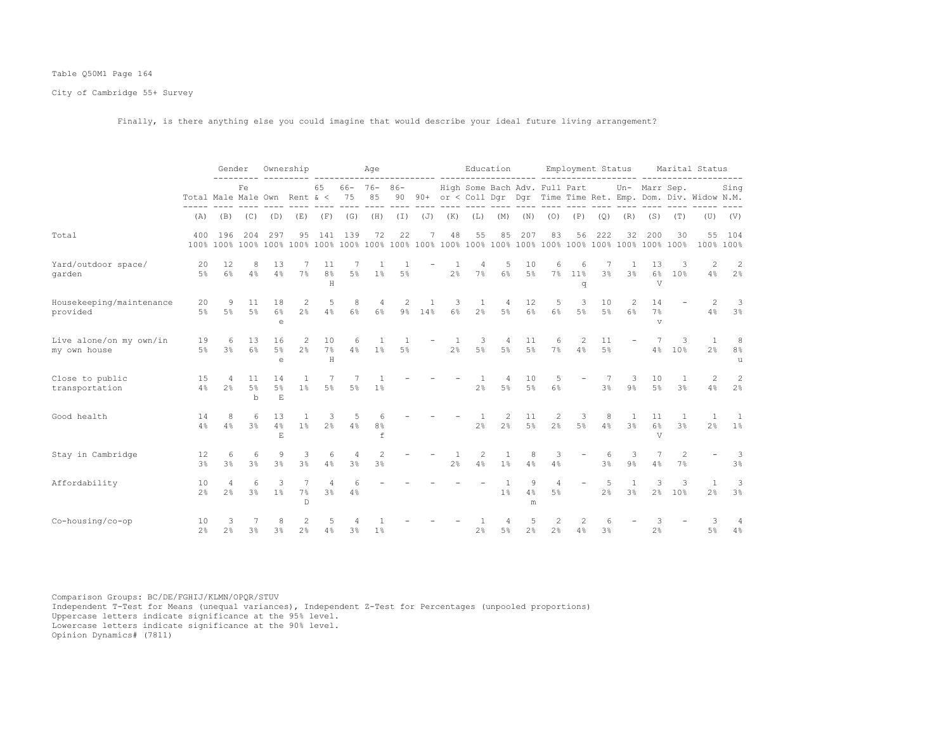## Table Q50M1 Page 164

City of Cambridge 55+ Survey

Finally, is there anything else you could imagine that would describe your ideal future living arrangement?

|                                         |                      | Gender<br>Fe<br>Total Male Male Own Rent & < |                            |                             | Ownership             |                            |                | Age                      |                         |        |                                |                                | Education           |              |                               |                           | Employment Status    |                      |                                        |                     | Marital Status                                                 |                         |
|-----------------------------------------|----------------------|----------------------------------------------|----------------------------|-----------------------------|-----------------------|----------------------------|----------------|--------------------------|-------------------------|--------|--------------------------------|--------------------------------|---------------------|--------------|-------------------------------|---------------------------|----------------------|----------------------|----------------------------------------|---------------------|----------------------------------------------------------------|-------------------------|
|                                         |                      |                                              |                            |                             |                       | 65                         | 66-<br>75      | $76 -$<br>85             | $86 -$<br>90            |        |                                |                                |                     |              | High Some Bach Adv. Full Part |                           |                      |                      | Un- Marr Sep.                          |                     | 90+ or < Coll Dqr Dqr Time Time Ret. Emp. Dom. Div. Widow N.M. | Sing                    |
|                                         | (A)                  | (B)                                          | (C)                        | (D)                         | (E)                   | (F)                        | (G)            | (H)                      | (I)                     | (J)    | (K)                            | (L)                            | (M)                 | (N)          | (0)                           | (P)                       | (Q)                  | (R)                  | (S)                                    | (T)                 | (U)                                                            | (V)                     |
| Total                                   | 400                  | 196                                          | 204                        | 297                         | 95                    | 141                        | 139            | 72                       | 22                      | 7      | 48                             | 55                             | 85                  | 207          | 83                            | 56                        | 222                  | 32                   | 200                                    | 30                  | 55                                                             | 104<br>100% 100%        |
| Yard/outdoor space/<br>garden           | 20<br>5%             | 12<br>$6\%$                                  | 8<br>4%                    | 13<br>4%                    | $7\%$                 | 11<br>8 <sup>°</sup><br>H  | 5%             | 1%                       | $5\%$                   |        | 2%                             | 4<br>$7\%$                     | 5<br>6%             | 10<br>5%     | 6<br>7%                       | 6<br>11 <sup>°</sup><br>q | 3 <sup>8</sup>       | 3%                   | 13<br>$6\%$<br>$\overline{\mathsf{V}}$ | З<br>10%            | 2<br>4%                                                        | $\overline{2}$<br>2%    |
| Housekeeping/maintenance<br>provided    | 20<br>$5\%$          | 9<br>$5\%$                                   | 11<br>$5\%$                | 18<br>6%<br>$\epsilon$      | 2<br>2 <sup>°</sup>   | 5<br>4%                    | 8<br>6%        | 4<br>6%                  | 2                       | 9% 14% | 3<br>6%                        | $\mathbf{1}$<br>2 <sup>°</sup> | 4<br>5%             | 12<br>6%     | 5<br>$6\%$                    | 3<br>$5\%$                | 10<br>5 <sup>°</sup> | 2<br>6%              | 14<br>7%<br>$\overline{V}$             |                     | 2<br>4%                                                        | -3<br>3%                |
| Live alone/on my own/in<br>my own house | 19<br>$5\%$          | 6<br>3 <sup>°</sup>                          | 13<br>6%                   | 16<br>5%<br>$\epsilon$      | 2<br>2.8              | 10<br>7%<br>H              | 6<br>4%        | $\mathbf{1}$<br>1%       | $\overline{1}$<br>$5\%$ |        | $\mathbf{1}$<br>2 <sup>°</sup> | 3<br>$5\%$                     | 4<br>$5\%$          | 11<br>5%     | 6<br>7%                       | 2<br>4%                   | 11<br>5 <sup>°</sup> |                      | 4%                                     | 3<br>10%            | $\overline{1}$<br>2.8                                          | 8<br>8%<br>$\mathbf{1}$ |
| Close to public<br>transportation       | 15<br>4%             | 4<br>2 <sup>°</sup>                          | 11<br>$5\%$<br>$\mathbf b$ | 14<br>$5\%$<br>$\mathbf{E}$ | 1<br>1 <sup>°</sup>   | 7<br>$5\%$                 | $5\%$          | 1%                       |                         |        |                                | 2 <sup>°</sup>                 | 4<br>$5\%$          | 10<br>5%     | 5<br>6%                       |                           | 3 <sup>°</sup>       | -3<br>9 <sup>°</sup> | 10<br>5%                               | 3 <sup>°</sup>      | 2<br>4%                                                        | 2<br>$2\frac{6}{6}$     |
| Good health                             | 14<br>4%             | 8<br>4%                                      | 6<br>3 <sup>°</sup>        | 13<br>4%<br>E.              | $\mathbf{1}$<br>$1\%$ | 3<br>$2\frac{6}{9}$        | 5<br>4%        | 6<br>8 <sup>°</sup><br>f |                         |        |                                | $\mathbf{1}$<br>$2\frac{6}{9}$ | 2<br>$2\frac{6}{9}$ | 11<br>$5\%$  | 2<br>$2\frac{6}{9}$           | 3<br>$5\%$                | 8<br>4%              | -1.<br>3%            | 11<br>$6\%$<br>V                       | 1<br>3 <sup>°</sup> | $\overline{1}$<br>2 <sup>°</sup>                               | - 1<br>$1\%$            |
| Stay in Cambridge                       | 12<br>$3\frac{6}{6}$ | 6<br>$3\frac{6}{6}$                          | 6<br>$3\frac{6}{6}$        | 9<br>3%                     | 3<br>$3\%$            | 6<br>4%                    | 4<br>3%        | 2<br>3%                  |                         |        | 2 <sup>°</sup>                 | 2<br>4%                        | 1<br>$1\%$          | 8<br>4%      | 3<br>4%                       |                           | 6<br>3%              | 3<br>$9\%$           | 4%                                     | 2<br>7%             |                                                                | -3<br>3%                |
| Affordability                           | 10<br>2 <sup>°</sup> | 2 <sup>°</sup>                               | 6<br>3 <sup>°</sup>        | 3<br>1 <sup>°</sup>         | 7%<br>$\mathbb D$     | $\Delta$<br>3 <sup>°</sup> | 4%             |                          |                         |        |                                |                                | 1 <sup>°</sup>      | 9<br>4%<br>m | 4<br>5 <sup>8</sup>           |                           | 2 <sup>°</sup>       | 1<br>3%              | 3<br>$2\frac{6}{9}$                    | 3<br>10%            | $\overline{1}$<br>2 <sup>°</sup>                               | 3<br>3%                 |
| Co-housing/co-op                        | 10<br>$2\frac{6}{6}$ | 3<br>2 <sup>°</sup>                          | 3%                         | 3 <sup>°</sup>              | 2<br>2 <sup>°</sup>   | 5<br>4%                    | $3\frac{6}{9}$ | 1 <sup>°</sup>           |                         |        |                                | $2\frac{6}{9}$                 | 5%                  | 2%           | 2<br>$2\frac{6}{6}$           | $\overline{c}$<br>4%      | 6<br>3%              |                      | 2.8                                    |                     | 3<br>5 <sup>°</sup>                                            | 4<br>4%                 |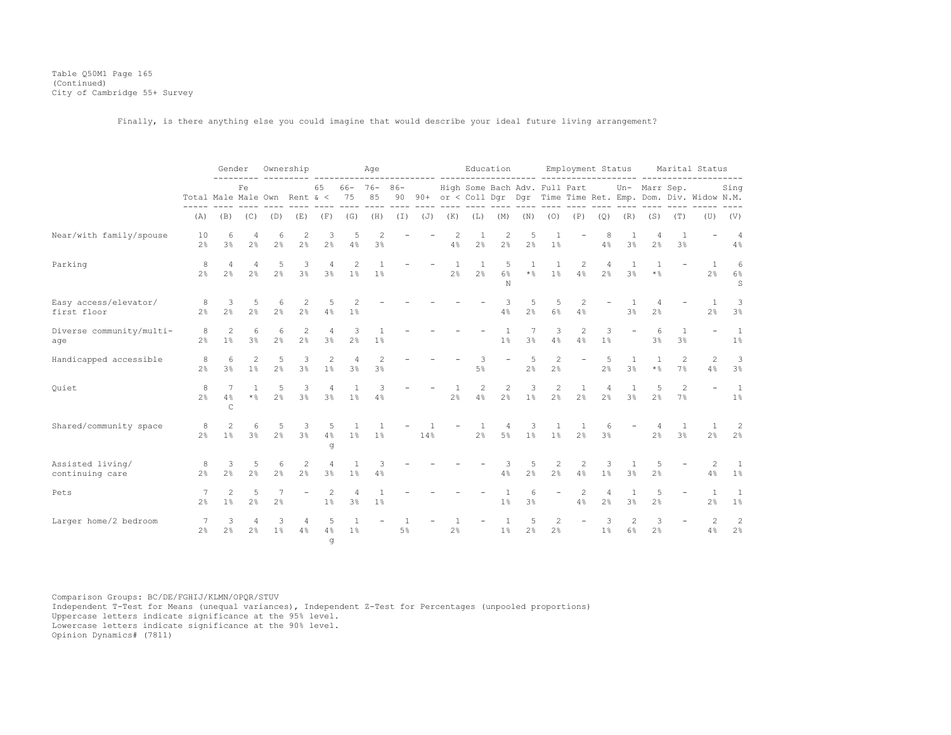Table Q50M1 Page 165 (Continued) City of Cambridge 55+ Survey

Finally, is there anything else you could imagine that would describe your ideal future living arrangement?

|                                      |                                  | Gender                           |                           |                      | Ownership           |                                  |                       | Age                 |              |     |                                |                                | Education            |                                                       |                     | Employment Status             |                     |                     |                     |                      | Marital Status                                                 |                                           |
|--------------------------------------|----------------------------------|----------------------------------|---------------------------|----------------------|---------------------|----------------------------------|-----------------------|---------------------|--------------|-----|--------------------------------|--------------------------------|----------------------|-------------------------------------------------------|---------------------|-------------------------------|---------------------|---------------------|---------------------|----------------------|----------------------------------------------------------------|-------------------------------------------|
|                                      | Total Male Male Own Rent $\<$ 75 |                                  | Fe                        |                      |                     | 65                               | 66-                   | $76 -$<br>85        | $86 -$<br>90 |     |                                |                                |                      |                                                       |                     | High Some Bach Adv. Full Part |                     |                     | Un- Marr Sep.       |                      | 90+ or < Coll Dqr Dqr Time Time Ret. Emp. Dom. Div. Widow N.M. | Sing                                      |
|                                      | (A)                              | (B)                              | (C)                       | (D)                  | (E)                 | (F)                              | (G)                   | (H)                 | (I)          | (J) | (K)                            | (L)                            | (M)                  | (N)                                                   | (0)                 | (P)                           | (Q)                 | (R)                 | (S)                 | (T)                  | (U)                                                            | (V)                                       |
| Near/with family/spouse              | 10<br>2 <sup>°</sup>             | 6<br>3 <sup>°</sup>              | 4<br>2 <sup>°</sup>       | 6<br>2 <sup>°</sup>  | 2<br>2 <sup>°</sup> | 3<br>2 <sup>°</sup>              | 5<br>4%               | 2<br>3 <sup>°</sup> |              |     | $\overline{c}$<br>4%           | 1<br>2 <sup>°</sup>            | $\overline{c}$<br>2% | 5<br>2 <sup>°</sup>                                   | 1%                  |                               | 8<br>4%             | 3 <sup>°</sup>      | 2%                  | 3 <sup>°</sup>       |                                                                | 4<br>4%                                   |
| Parking                              | 8<br>2 <sup>°</sup>              | 4<br>2 <sup>°</sup>              | 4<br>$2\frac{6}{6}$       | 5<br>2 <sup>°</sup>  | 3<br>3%             | 4<br>3%                          | 1%                    | 1%                  |              |     | <sup>1</sup><br>2 <sup>°</sup> | $\mathbf{1}$<br>2 <sup>°</sup> | 5<br>$6\%$<br>N      | $\star$ $\, \raisebox{-1.5pt}{\text{\circle*{1.5}}}}$ | 1<br>$1\%$          | 2<br>4%                       | 4<br>2 <sup>°</sup> | 1<br>3%             | $*$ %               |                      | $\overline{1}$<br>2 <sup>°</sup>                               | 6<br>6%<br>S                              |
| Easy access/elevator/<br>first floor | 8<br>$2\frac{6}{9}$              | 3<br>2 <sup>°</sup>              | 5<br>2 <sup>°</sup>       | 6<br>2 <sup>°</sup>  | 2<br>2 <sup>°</sup> | 5<br>4%                          | 2<br>1%               |                     |              |     |                                |                                | 3<br>4%              | 5<br>2 <sup>°</sup>                                   | 5<br>6%             | 2<br>4%                       |                     | 3 <sup>°</sup>      | 2%                  |                      | $\overline{1}$<br>2 <sup>°</sup>                               | $\overline{\mathbf{3}}$<br>3 <sup>°</sup> |
| Diverse community/multi-<br>age      | 8<br>2 <sup>°</sup>              | $\overline{2}$<br>1%             | 6<br>3 <sup>°</sup>       | 6<br>2 <sup>°</sup>  | 2<br>2 <sup>°</sup> | $\overline{4}$<br>3 <sup>°</sup> | 3<br>2%               | 1%                  |              |     |                                |                                | 1%                   | 3 <sup>°</sup>                                        | 3<br>4%             | $\overline{c}$<br>4%          | 3<br>1%             |                     | 6<br>3%             | $\overline{1}$<br>3% |                                                                | $\overline{1}$<br>1%                      |
| Handicapped accessible               | 8<br>2 <sup>°</sup>              | 6<br>3 <sup>°</sup>              | 2<br>1 <sup>°</sup>       | 5<br>$2\frac{6}{9}$  | 3<br>3%             | $\overline{c}$<br>1%             | $\overline{4}$<br>3%  | 2<br>3%             |              |     |                                | 3<br>5%                        |                      | -5<br>2%                                              | 2<br>2 <sup>°</sup> | $\overline{\phantom{a}}$      | 5<br>2 <sup>°</sup> | 1<br>3%             | $*$ %               | 2<br>7%              | $\overline{c}$<br>4%                                           | 3<br>$3\%$                                |
| Quiet                                | 8<br>2 <sup>°</sup>              | 7<br>4%<br>$\mathsf C$           | $\mathbf{1}$<br>$\star$ % | 5<br>2 <sup>8</sup>  | 3<br>3 <sup>°</sup> | 4<br>3 <sup>°</sup>              | $\mathbf{1}$<br>$1\%$ | 3<br>4%             |              |     | 2 <sup>°</sup>                 | 2<br>4%                        | 2<br>$2\frac{6}{9}$  | 3<br>1%                                               | 2<br>2 <sup>°</sup> | -1<br>2 <sup>°</sup>          | 2 <sup>°</sup>      | 1<br>3 <sup>°</sup> | 5<br>2 <sup>°</sup> | 2<br>7%              |                                                                | $\overline{1}$<br>$1\%$                   |
| Shared/community space               | 8<br>2 <sup>°</sup>              | $\overline{2}$<br>1 <sup>8</sup> | 6<br>$3\%$                | -5<br>2 <sup>8</sup> | 3<br>3 <sup>°</sup> | 5<br>4%<br>đ                     | 1 <sup>°</sup>        | 1%                  |              | 14% |                                | $\mathbf{1}$<br>2%             | 4<br>$5\%$           | 3<br>1 <sup>°</sup>                                   | -1<br>$1\%$         | 2 <sup>°</sup>                | 6<br>3 <sup>°</sup> |                     | 4<br>2 <sup>°</sup> | -1<br>3 <sup>°</sup> | -1<br>2 <sup>°</sup>                                           | -2<br>2%                                  |
| Assisted living/<br>continuing care  | 8<br>2 <sup>8</sup>              | 3<br>2 <sup>°</sup>              | 5<br>2 <sup>°</sup>       | 6<br>2 <sup>°</sup>  | 2<br>2 <sup>°</sup> | $\overline{4}$<br>3 <sup>°</sup> | 1<br>$1\%$            | 3<br>4%             |              |     |                                |                                | 3<br>4%              | 5<br>2%                                               | 2<br>2 <sup>°</sup> | 2<br>4%                       | 3<br>1%             | -1.<br>3%           | 2%                  |                      | 2<br>4%                                                        | <sup>1</sup><br>$1\%$                     |
| Pets                                 | 7<br>2 <sup>°</sup>              | 2<br>$1\%$                       | 5<br>2 <sup>°</sup>       | 2 <sup>°</sup>       |                     | 2<br>1%                          | 3%                    | 1%                  |              |     |                                |                                | $1\%$                | 3 <sup>°</sup>                                        |                     | 2<br>4%                       | 4<br>2 <sup>°</sup> | 1<br>3 <sup>°</sup> | 5<br>2 <sup>°</sup> |                      | $\overline{1}$<br>2 <sup>°</sup>                               | <sup>1</sup><br>$1\%$                     |
| Larger home/2 bedroom                | 7<br>2 <sup>°</sup>              | 3<br>2 <sup>°</sup>              | 4<br>2%                   | 3<br>$1\%$           | 4<br>4%             | 5<br>4%<br>đ                     | 1<br>$1\%$            |                     | 1<br>$5\%$   |     | 1<br>2%                        |                                | 1<br>1 <sup>°</sup>  | 5<br>$2\frac{6}{9}$                                   | 2<br>2 <sup>°</sup> | $\overline{\phantom{a}}$      | 3<br>1%             | 2<br>6%             | 3<br>2 <sup>°</sup> |                      | 2<br>4%                                                        | $\overline{c}$<br>$2\frac{6}{6}$          |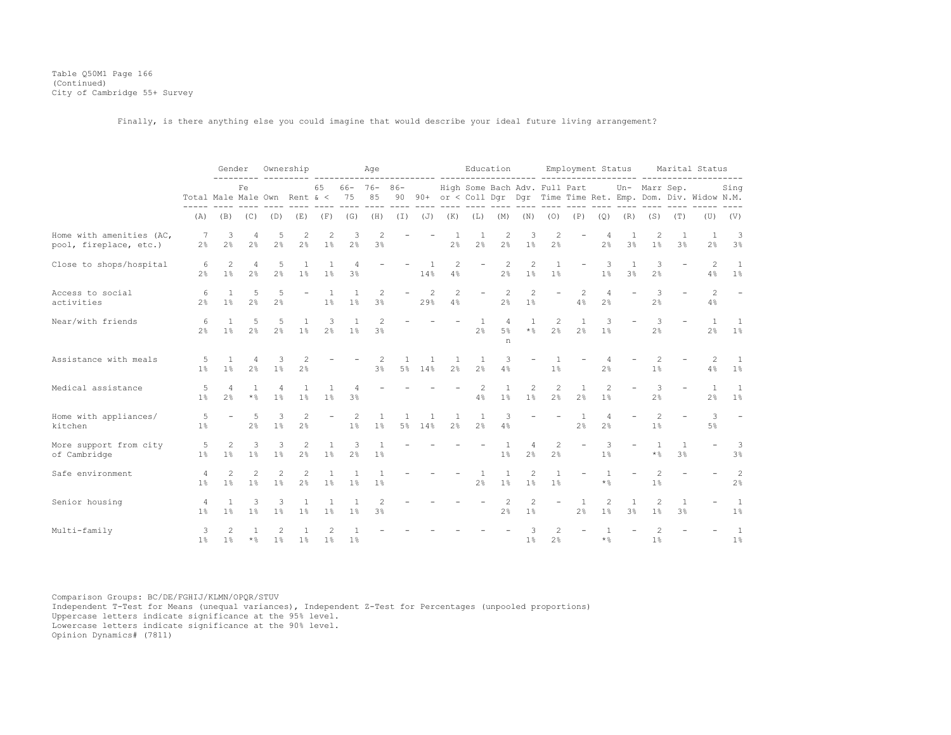Table Q50M1 Page 166 (Continued) City of Cambridge 55+ Survey

Finally, is there anything else you could imagine that would describe your ideal future living arrangement?

|                                                    |                                  |                                  | Gender                           |                                  | Ownership                        |                          |                                           | Age                            |                |                       |                                | Education                        |                                  |                                             |                                  | Employment Status              |                                   |                          |                                     |                          | Marital Status                                                    |                                            |
|----------------------------------------------------|----------------------------------|----------------------------------|----------------------------------|----------------------------------|----------------------------------|--------------------------|-------------------------------------------|--------------------------------|----------------|-----------------------|--------------------------------|----------------------------------|----------------------------------|---------------------------------------------|----------------------------------|--------------------------------|-----------------------------------|--------------------------|-------------------------------------|--------------------------|-------------------------------------------------------------------|--------------------------------------------|
|                                                    | Total Male Male Own Rent $\<$ 75 |                                  | Fe                               |                                  |                                  | 65                       |                                           | $66 - 76 - 86 -$<br>85         |                |                       |                                |                                  |                                  | High Some Bach Adv. Full Part Un- Marr Sep. |                                  |                                |                                   |                          |                                     |                          | 90 90+ or < Coll Dqr Dqr Time Time Ret. Emp. Dom. Div. Widow N.M. | Sing                                       |
|                                                    | (A)                              |                                  | $(B)$ $(C)$ $(D)$                |                                  |                                  | $(E)$ $(F)$ $(G)$        |                                           | (H)                            |                |                       | $(I)$ $(J)$ $(K)$              | (L)                              |                                  | $(M)$ $(N)$ $(O)$ $(P)$                     |                                  |                                | (Q)                               |                          | $(R)$ $(S)$                         | (T)                      | (U)                                                               | (V)                                        |
| Home with amenities (AC,<br>pool, fireplace, etc.) | -7<br>$2\frac{6}{9}$             | 3<br>2 <sup>°</sup>              | 4<br>2 <sup>8</sup>              | 5<br>2 <sup>°</sup>              | 2<br>2 <sup>°</sup>              | $\overline{c}$<br>1%     | $\overline{\mathbf{3}}$<br>2 <sup>°</sup> | 2<br>3%                        |                |                       | - 1<br>2 <sup>°</sup>          | 1<br>2 <sup>°</sup>              | $\overline{c}$<br>2 <sup>°</sup> | 3<br>1%                                     | $\mathbf{2}$<br>2 <sup>°</sup>   |                                | 2 <sup>°</sup>                    | 1<br>3%                  | 2<br>$1\%$                          | 3%                       | 1<br>2 <sup>°</sup>                                               | $\overline{\phantom{a}}$<br>3 <sup>°</sup> |
| Close to shops/hospital                            | 6<br>2.8                         | 2<br>1%                          | $\overline{4}$<br>2 <sup>8</sup> | 5<br>2.8                         | $\mathbf{1}$<br>1 <sup>°</sup>   | 1<br>1%                  | 4<br>3 <sup>°</sup>                       |                                |                | $\overline{1}$<br>14% | 2<br>4%                        | $\overline{\phantom{a}}$         | 2<br>2 <sup>°</sup>              | 2<br>$1\%$                                  | 1<br>1%                          | $\overline{\phantom{a}}$       | 3<br>1%                           | 1<br>$3\%$               | 3<br>2 <sup>°</sup>                 | $\overline{\phantom{a}}$ | 2<br>4%                                                           | $\overline{1}$<br>$1\%$                    |
| Access to social<br>activities                     | 6<br>$2\frac{6}{9}$              | $\overline{1}$<br>$1\%$          | 5<br>2 <sup>°</sup>              | 5<br>2 <sup>°</sup>              | $\overline{\phantom{a}}$         | 1<br>1%                  | $\mathbf{1}$<br>$1\%$                     | 2<br>3%                        | $\sim$         | 2<br>29%              | 2<br>4%                        |                                  | $\overline{c}$<br>2%             | 2<br>1%                                     | $\overline{\phantom{m}}$         | 2<br>4%                        | $\overline{4}$<br>2 <sup>°</sup>  | $\overline{\phantom{a}}$ | 3<br>2%                             |                          | 2<br>4%                                                           | $\equiv$                                   |
| Near/with friends                                  | 6<br>2 <sup>°</sup>              | $\overline{1}$<br>$1\%$          | 5<br>2 <sup>8</sup>              | 5<br>2 <sup>8</sup>              | 1<br>1%                          | 3<br>2 <sup>°</sup>      | $\mathbf{1}$<br>1%                        | 2<br>3 <sup>°</sup>            |                | <b>Service</b>        |                                | <sup>1</sup><br>2 <sup>°</sup>   | $\overline{4}$<br>$5\%$<br>n     | <sup>1</sup><br>$\star$ %                   | $\overline{c}$<br>2 <sup>°</sup> | $\mathbf{1}$<br>2 <sup>°</sup> | 3<br>1%                           |                          | 3<br>$2\frac{6}{5}$                 | $\equiv$                 | $\overline{1}$<br>2 <sup>°</sup>                                  | $\overline{1}$<br>1%                       |
| Assistance with meals                              | -5<br>$1\%$                      | 1<br>$1\%$                       | 4<br>$2\frac{6}{9}$              | -3<br>1%                         | 2<br>2 <sup>°</sup>              |                          |                                           | 2<br>3%                        | 1              | 1<br>5% 14%           | <sup>1</sup><br>2 <sup>°</sup> | -1<br>2 <sup>°</sup>             | 3<br>4%                          |                                             | $1\%$                            |                                | $\overline{4}$<br>2 <sup>°</sup>  |                          | 2<br>1%                             |                          | 2<br>4%                                                           | $\overline{1}$<br>1%                       |
| Medical assistance                                 | 5<br>1 <sup>°</sup>              | $\overline{4}$<br>2.8            | 1<br>$\star$ %                   | 4<br>1%                          | 1<br>1%                          | 1<br>1%                  | 4<br>3 <sup>°</sup>                       |                                |                |                       |                                | 2<br>4%                          | $\mathbf{1}$<br>1%               | 2<br>1 <sup>°</sup>                         | 2<br>2 <sup>°</sup>              | 1<br>2 <sup>°</sup>            | 2<br>1 <sup>°</sup>               |                          | 3<br>2 <sup>°</sup>                 |                          | 1<br>2 <sup>°</sup>                                               | $\overline{1}$<br>1%                       |
| Home with appliances/<br>kitchen                   | 5<br>1 <sup>8</sup>              |                                  | 5<br>2 <sup>°</sup>              | 3<br>1%                          | 2<br>2%                          | $\overline{\phantom{a}}$ | 2<br>$1\%$                                | -1<br>1%                       | $\overline{1}$ | 1<br>5% 14%           | <sup>1</sup><br>2.8            | <sup>1</sup><br>2.8              | 3<br>4%                          |                                             | $\overline{\phantom{a}}$         | 1<br>2.8                       | $\overline{4}$<br>2%              |                          | $\overline{2}$<br>1%                |                          | 3<br>$5\%$                                                        | $\overline{\phantom{a}}$                   |
| More support from city<br>of Cambridge             | 5<br>$1\%$                       | $\overline{2}$<br>1 <sup>8</sup> | 3<br>1 <sup>8</sup>              | $\overline{3}$<br>1 <sup>°</sup> | 2<br>2%                          | $\mathbf{1}$<br>1%       | $\overline{\mathbf{3}}$<br>2 <sup>°</sup> | <sup>1</sup><br>1 <sup>°</sup> |                |                       |                                |                                  | $\overline{1}$<br>1 <sup>°</sup> | $\overline{4}$<br>2%                        | 2<br>$2\frac{6}{9}$              | $\equiv$                       | 3<br>1%                           |                          | $\overline{1}$<br>$*$ $\frac{6}{5}$ | $\overline{1}$<br>3%     |                                                                   | $\overline{\mathbf{3}}$<br>3%              |
| Safe environment                                   | 4<br>1 <sup>°</sup>              | 2<br>1 <sup>8</sup>              | 2<br>$1\%$                       | $\overline{2}$<br>1 <sup>°</sup> | 2<br>2 <sup>°</sup>              | 1<br>1%                  | 1 <sup>°</sup>                            | 1<br>1%                        |                |                       |                                | $\overline{1}$<br>2 <sup>°</sup> | 1%                               | 2<br>1 <sup>°</sup>                         | $\mathbf{1}$<br>1 <sup>°</sup>   | $\overline{\phantom{0}}$       | $\mathbf{1}$<br>$*$ $\frac{6}{6}$ | $\overline{\phantom{a}}$ | $\overline{2}$<br>1%                | $\overline{\phantom{a}}$ |                                                                   | 2<br>2 <sup>°</sup>                        |
| Senior housing                                     | 4<br>$1\%$                       | $\overline{1}$<br>$1\%$          | 3<br>$1\%$                       | 3<br>$1\%$                       | 1<br>1%                          | 1<br>$1\%$               | -1<br>$1\%$                               | 2<br>3%                        |                |                       |                                |                                  | 2<br>2%                          | 2<br>$1\%$                                  | $\overline{\phantom{m}}$         | -1.<br>2%                      | 2<br>$1\%$                        | $\mathbf{1}$<br>3%       | 2<br>1%                             | 1<br>3%                  |                                                                   | $\overline{1}$<br>$1\%$                    |
| Multi-family                                       | 3<br>1 <sup>°</sup>              | $\mathcal{L}$<br>1 <sup>8</sup>  | $\mathbf{1}$<br>$\star$ %        | $\mathfrak{D}$<br>1 <sup>8</sup> | $\overline{1}$<br>1 <sup>°</sup> | 2<br>1%                  | 1 <sup>°</sup>                            |                                |                |                       |                                |                                  |                                  | 1%                                          | $\mathfrak{D}$<br>2%             |                                | $\mathbf{1}$<br>$\star$ %         |                          | $\mathfrak{D}$<br>1%                |                          |                                                                   | $\overline{1}$<br>1%                       |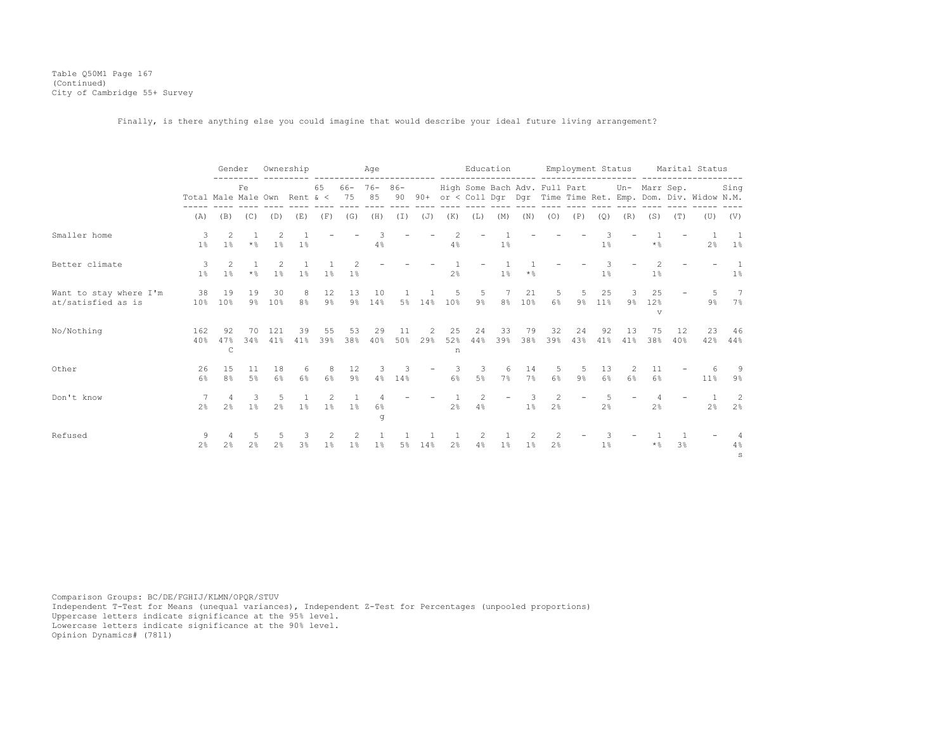Table Q50M1 Page 167 (Continued) City of Cambridge 55+ Survey

Finally, is there anything else you could imagine that would describe your ideal future living arrangement?

|                                              |                              |                                  | Gender                                  | Ownership                        |                     |                        |                      | Age                    |           |                          |                                  |                                             | Education                |                   |                     | Employment Status        |              |            |                |                | Marital Status                                                 |                         |
|----------------------------------------------|------------------------------|----------------------------------|-----------------------------------------|----------------------------------|---------------------|------------------------|----------------------|------------------------|-----------|--------------------------|----------------------------------|---------------------------------------------|--------------------------|-------------------|---------------------|--------------------------|--------------|------------|----------------|----------------|----------------------------------------------------------------|-------------------------|
|                                              | Total Male Male Own Rent & < |                                  | Fe                                      |                                  |                     | 65                     | 75                   | $66 - 76 - 86 -$<br>85 | 90        |                          |                                  | High Some Bach Adv. Full Part Un- Marr Sep. |                          |                   |                     |                          |              |            |                |                | 90+ or < Coll Dqr Dqr Time Time Ret. Emp. Dom. Div. Widow N.M. | Sing                    |
|                                              | (A)                          | (B)                              | (C)                                     | (D)                              | (E)                 | (F)                    | (G)                  | (H)                    | $(\top)$  | (J)                      | (K)                              | (L)                                         | (M)                      | (N)               | (0)                 | (P)                      | (Q)          | (R)        | (S)            | (T)            | (U)                                                            | (V)                     |
| Smaller home                                 | 3<br>1%                      | 2<br>1 <sup>°</sup>              | 1<br>$\star$ %                          | 2<br>$1\%$                       | 1%                  |                        |                      | 3<br>4%                |           |                          | $\overline{2}$<br>$4\%$          |                                             | 1%                       |                   |                     |                          | 3<br>1%      |            | $\star$ %      |                | $\overline{1}$<br>2 <sup>8</sup>                               | $\overline{1}$<br>$1\%$ |
| Better climate                               | 3<br>$1\%$                   | 2<br>$1\%$                       | $\overline{1}$<br>$\star$ $\frac{6}{6}$ | 2<br>$1\%$                       | 1%                  | 1%                     | 1%                   |                        |           |                          | 2%                               | $\overline{\phantom{a}}$                    | $1\%$                    | $*$ $\frac{6}{9}$ |                     |                          | 3<br>$1\%$   |            | 1%             |                |                                                                | $\overline{1}$<br>$1\%$ |
| Want to stay where I'm<br>at/satisfied as is |                              | 38 19<br>10% 10%                 | 19                                      | 30<br>9% 10%                     | 8<br>8 <sup>°</sup> | 12<br>$9\%$            | 13                   | 10<br>9% 14%           |           | 5% 14%                   | 10%                              | 5<br>9%                                     | 8 <sup>8</sup>           | 21<br>10%         | 5<br>$6\%$          | 5<br>9%                  | 25<br>$11\%$ | 3<br>$9\%$ | 25<br>12%<br>v |                | 5<br>9%                                                        | $\overline{7}$<br>7%    |
| No/Nothing                                   | 162<br>$40\%$                | 92<br>47%<br>$\mathsf{C}$        | 70                                      | 121<br>34% 41%                   | 39<br>41%           | 55<br>39%              | 53<br>38%            | 29<br>40%              | 11<br>50% | 2<br>29%                 | 25<br>52%<br>n                   | 24                                          | 33<br>44% 39%            | 79<br>38%         | 32<br>39%           | 24<br>43%                | 92<br>41%    | 13<br>41%  | 75<br>38%      | 12<br>40%      | 23<br>42%                                                      | 46<br>44%               |
| Other                                        | 26<br>$6\%$                  | 15<br>8%                         | 11<br>$5\%$                             | 18<br>6%                         | 6<br>6%             | 8<br>6%                | 12<br>$9\%$          | 3<br>4%                | 3<br>14%  | $\overline{\phantom{a}}$ | $\overline{\mathbf{3}}$<br>$6\%$ | $\overline{\mathbf{3}}$<br>$5\%$            | 6<br>7%                  | 14<br>7%          | 5<br>$6\%$          | 5<br>$9\%$               | 13<br>$6\%$  | 2<br>$6\%$ | 11<br>$6\%$    |                | 6<br>$11\%$                                                    | 9<br>9%                 |
| Don't know                                   | 2 <sup>°</sup>               | $\overline{4}$<br>2 <sup>°</sup> | 3<br>$1\%$                              | $\overline{5}$<br>$2\frac{6}{5}$ | 1%                  | $\mathcal{L}$<br>$1\%$ | $1\%$                | $6\%$<br>q             |           |                          | $2\frac{6}{9}$                   | 2<br>4%                                     | $\overline{\phantom{a}}$ | 3<br>$1\%$        | $\mathcal{L}$<br>2% | $\overline{\phantom{a}}$ | 5<br>2%      |            | 2 <sup>°</sup> |                | 2%                                                             | 2<br>2%                 |
| Refused                                      | 9<br>2 <sup>8</sup>          | 4<br>2 <sup>8</sup>              | 5<br>2 <sup>8</sup>                     | -5<br>2%                         | 3<br>3 <sup>°</sup> | 2<br>$1\%$             | -2<br>1 <sup>°</sup> | -1<br>1%               | $5\%$     | 14%                      | 2 <sup>8</sup>                   | 2<br>4%                                     | 1 <sup>°</sup>           | 2<br>$1\%$        | 2<br>2 <sup>°</sup> |                          | $1\%$        |            | $\star$ %      | 3 <sup>°</sup> |                                                                | 4%<br>S                 |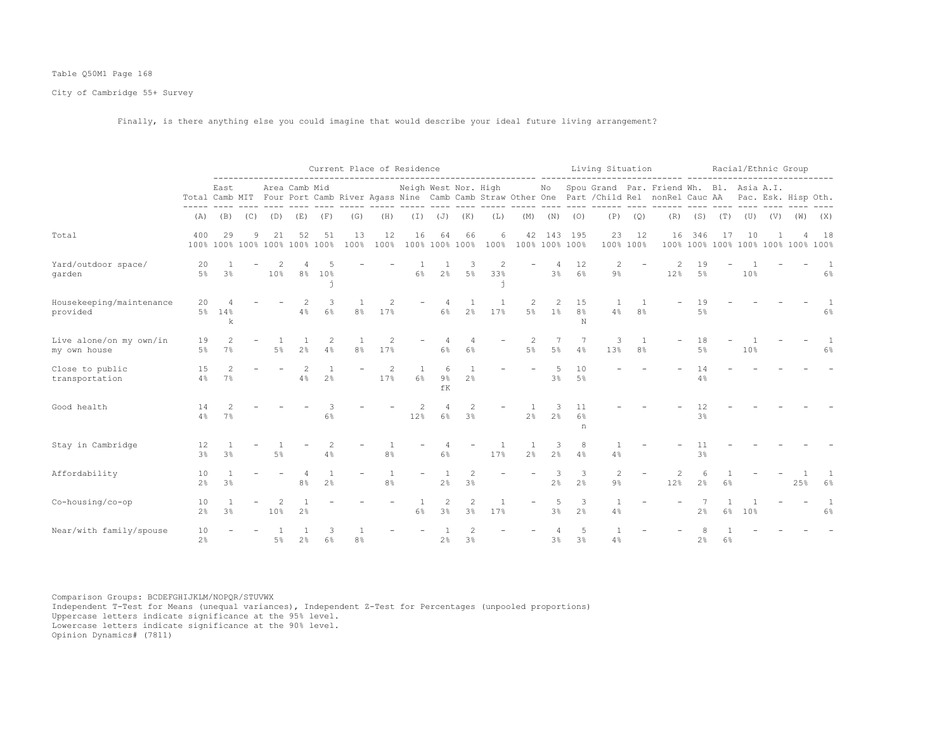## Table Q50M1 Page 168

City of Cambridge 55+ Survey

Finally, is there anything else you could imagine that would describe your ideal future living arrangement?

|                                         |                      |                |     |       |                                     |                      | Current Place of Residence |                       |                          |                                  |                      |                   |                      |                     |                           | Living Situation        |                 | ------ --------                                                                                                                                                          |                      |                                           |     | Racial/Ethnic Group |     |                       |
|-----------------------------------------|----------------------|----------------|-----|-------|-------------------------------------|----------------------|----------------------------|-----------------------|--------------------------|----------------------------------|----------------------|-------------------|----------------------|---------------------|---------------------------|-------------------------|-----------------|--------------------------------------------------------------------------------------------------------------------------------------------------------------------------|----------------------|-------------------------------------------|-----|---------------------|-----|-----------------------|
|                                         |                      | East           |     |       | Area Camb Mid                       |                      | $- - - - - -$              | $- - - - - -$         | Neigh West Nor. High     |                                  |                      |                   |                      | No                  |                           |                         |                 | Spou Grand Par. Friend Wh. Bl. Asia A.I.<br>Total Camb MIT Four Port Camb River Agass Nine Camb Camb Straw Other One Part / Child Rel nonRel Cauc AA Pac. Esk. Hisp Oth. |                      |                                           |     |                     |     |                       |
|                                         | (A)                  | (B)            | (C) | (D)   | (E)                                 | (F)                  | (G)                        | (H)                   | ----- ----<br>$(\top)$   |                                  | $(J)$ $(K)$          | ---- -----<br>(L) | $------$<br>(M)      | (N)                 | (0)                       | ---- ---- ------<br>(P) | (Q)             | ---- ------ ---- ---- ----<br>(R)                                                                                                                                        |                      | $(S)$ $(T)$                               |     | $(V)$ $(V)$         | (W) | (X)                   |
| Total                                   | 400                  | 29             | 9   | 21    | 52<br>100% 100% 100% 100% 100% 100% | 51                   | 13<br>100%                 | 12<br>100%            | 16                       | 64                               | 66<br>100% 100% 100% | 6<br>100%         | 42<br>100% 100% 100% | 143                 | 195                       | 23                      | 12<br>100% 100% | 16                                                                                                                                                                       | 346                  | -17<br>100% 100% 100% 100% 100% 100% 100% | 10  |                     |     | 18                    |
| Yard/outdoor space/<br>garden           | 20<br>$5\%$          | 3 <sup>8</sup> |     | 10%   | $8\%$                               | 10%                  |                            |                       | 6%                       | 2%                               | З<br>5%              | 2<br>33%          |                      | 4<br>3%             | 12<br>6%                  | 2<br>$9\%$              |                 | 12%                                                                                                                                                                      | 19<br>$5\%$          |                                           | 10% |                     |     | -1<br>6%              |
| Housekeeping/maintenance<br>provided    | 20                   | 5% 14%<br>k    |     |       | 2<br>4%                             | 3<br>6%              | 8 <sup>°</sup>             | 2<br>17%              |                          | 6%                               | 2%                   | 17%               | 2<br>5%              | 2<br>$1\%$          | 15<br>8 <sup>°</sup><br>N | 4%                      | 8 <sup>°</sup>  |                                                                                                                                                                          | 19<br>5%             |                                           |     |                     |     | 6%                    |
| Live alone/on my own/in<br>my own house | 19<br>$5\%$          | 2<br>7%        |     | $5\%$ | 2%                                  | $\overline{c}$<br>4% | 8 <sup>°</sup>             | 17%                   |                          | 6%                               | 6%                   |                   | 2<br>$5\%$           | 7<br>5%             | 7<br>4%                   | 3<br>13%                | 8 <sup>°</sup>  |                                                                                                                                                                          | 18<br>5%             |                                           | 10% |                     |     | 1<br>6%               |
| Close to public<br>transportation       | 15<br>4%             | 2<br>7%        |     |       | 2<br>4%                             | 2 <sup>°</sup>       |                            | $\overline{c}$<br>17% | $\overline{1}$<br>6%     | 6<br>9%<br>fK                    | 2%                   |                   |                      | .5<br>3%            | 10<br>5%                  |                         |                 |                                                                                                                                                                          | 14<br>4%             |                                           |     |                     |     |                       |
| Good health                             | 14<br>4%             | 7%             |     |       |                                     | 3<br>6%              |                            |                       | 2<br>12%                 | $\overline{4}$<br>6%             | 2<br>3%              |                   | 2 <sup>°</sup>       | 3<br>2 <sup>°</sup> | 11<br>6%<br>n             |                         |                 |                                                                                                                                                                          | 12<br>$3\frac{6}{9}$ |                                           |     |                     |     |                       |
| Stay in Cambridge                       | 12<br>$3\frac{6}{9}$ | 3 <sup>°</sup> |     | $5\%$ |                                     | $\overline{c}$<br>4% |                            | 8 <sup>°</sup>        |                          | 6%                               |                      | 17%               | 2 <sup>°</sup>       | 3<br>2 <sup>°</sup> | 8<br>4%                   | 4%                      |                 |                                                                                                                                                                          | 11<br>3%             |                                           |     |                     |     |                       |
| Affordability                           | 10<br>2 <sup>°</sup> | 3 <sup>°</sup> |     |       | 8 <sup>°</sup>                      | 2 <sup>°</sup>       |                            | 8 <sup>°</sup>        | $\overline{\phantom{m}}$ | 2 <sup>°</sup>                   | 2<br>3%              |                   |                      | 3<br>2 <sup>°</sup> | 3<br>2 <sup>°</sup>       | $\overline{c}$<br>$9\%$ |                 | 2<br>12%                                                                                                                                                                 | 6<br>2 <sup>°</sup>  | 6%                                        |     |                     | 25% | $6\%$                 |
| Co-housing/co-op                        | 10<br>2 <sup>°</sup> | 3 <sup>°</sup> |     | 10%   | 2 <sup>°</sup>                      |                      |                            |                       | $6\%$                    | $\overline{c}$<br>3 <sup>°</sup> | $\overline{c}$<br>3% | 17%               |                      | 5<br>3%             | 3<br>2 <sup>°</sup>       | 4%                      |                 |                                                                                                                                                                          | 2 <sup>°</sup>       | 6%                                        | 10% |                     |     | $\mathbf{1}$<br>$6\%$ |
| Near/with family/spouse                 | 10<br>$2\frac{6}{9}$ |                |     | $5\%$ | 2%                                  | 3<br>6%              | 8 <sup>°</sup>             |                       |                          | 2%                               | 3%                   |                   |                      | 3%                  | -5<br>3 <sup>°</sup>      | 4%                      |                 |                                                                                                                                                                          | 2%                   | 6%                                        |     |                     |     |                       |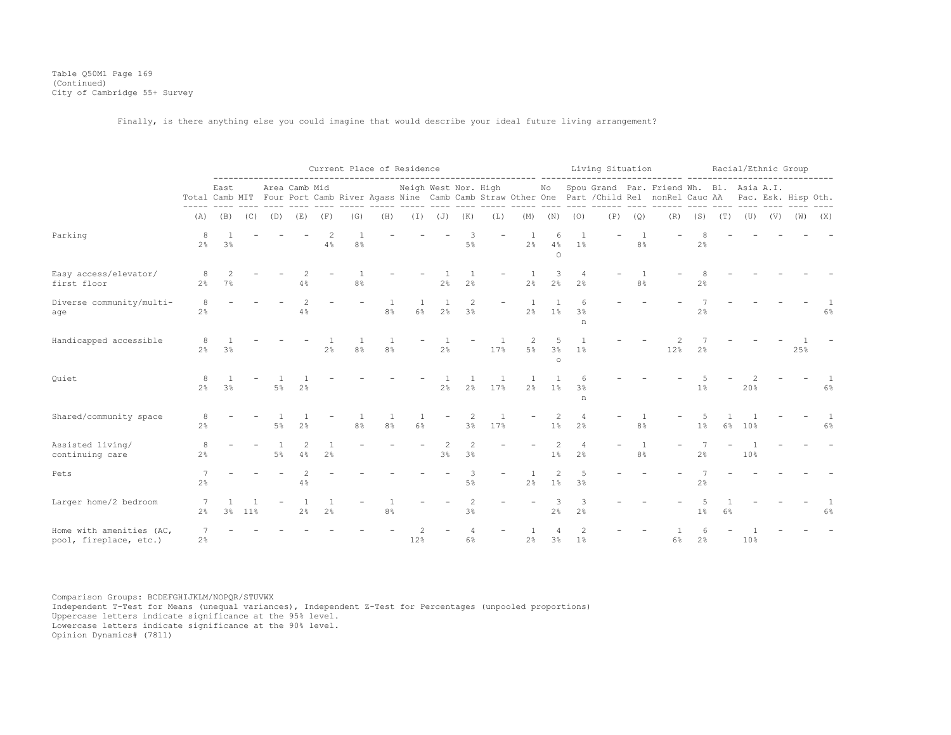Table Q50M1 Page 169 (Continued) City of Cambridge 55+ Survey

Finally, is there anything else you could imagine that would describe your ideal future living arrangement?

|                                                    |                      |                |             |       |                      |                      | Current Place of Residence |                      |                      |                |                      |     | ---------------------- -------------- |                                  |                                  | Living Situation |                |                                                                                                                                                                                                  |                     |    | Racial/Ethnic Group |     |     |       |
|----------------------------------------------------|----------------------|----------------|-------------|-------|----------------------|----------------------|----------------------------|----------------------|----------------------|----------------|----------------------|-----|---------------------------------------|----------------------------------|----------------------------------|------------------|----------------|--------------------------------------------------------------------------------------------------------------------------------------------------------------------------------------------------|---------------------|----|---------------------|-----|-----|-------|
|                                                    |                      | East           |             |       | Area Camb Mid        |                      |                            |                      |                      |                |                      |     |                                       |                                  |                                  |                  |                | Neigh West Nor. High Mo Spou Grand Par. Friend Wh. Bl. Asia A.I.<br>Total Camb MIT Four Port Camb River Agass Nine Camb Camb Straw Other One Part / Child Rel nonRel Cauc AA Pac. Esk. Hisp Oth. |                     |    |                     |     |     |       |
|                                                    | (A)                  |                | $(B)$ $(C)$ | (D)   | (E)                  | (F)                  | (G)                        | (H)                  |                      |                | $(I)$ $(J)$ $(K)$    | (L) | (M)                                   | (N)                              | (0)                              | (P)              | (Q)            | (R)                                                                                                                                                                                              |                     |    | $(S)$ $(T)$ $(U)$   | (V) | (W) | (X)   |
| Parking                                            | 8<br>2 <sup>°</sup>  | 3 <sup>°</sup> |             |       |                      | 4%                   | 8 <sup>°</sup>             |                      |                      |                | 5%                   |     | 2 <sup>°</sup>                        | 6<br>4%<br>$\circ$               | 1%                               |                  | 8 <sup>°</sup> |                                                                                                                                                                                                  | 2%                  |    |                     |     |     |       |
| Easy access/elevator/<br>first floor               | -8<br>$2\frac{6}{9}$ | 7%             |             |       | 4%                   |                      | 8 <sup>°</sup>             |                      |                      | 2%             | 2%                   |     | 2%                                    | 3<br>2 <sup>°</sup>              | $\overline{4}$<br>2 <sup>°</sup> |                  | 8%             |                                                                                                                                                                                                  | 2%                  |    |                     |     |     |       |
| Diverse community/multi-<br>age                    | 8<br>$2\frac{6}{6}$  |                |             |       | 4%                   |                      |                            | 8 <sup>°</sup>       | $\overline{1}$<br>6% | 2%             | 2<br>3%              |     | 2 <sup>°</sup>                        | 1%                               | 3 <sup>°</sup><br>n              |                  |                |                                                                                                                                                                                                  | 2%                  |    |                     |     |     | $6\%$ |
| Handicapped accessible                             | 8<br>2 <sup>°</sup>  | 3 <sup>°</sup> |             |       |                      | 2 <sup>°</sup>       | 8 <sup>°</sup>             | -1<br>8 <sup>°</sup> |                      | 2 <sup>°</sup> |                      | 17% | $5\%$                                 | 5<br>3%<br>$\circ$               | 1%                               |                  |                | 12%                                                                                                                                                                                              | 2 <sup>°</sup>      |    |                     |     | 25% |       |
| Quiet                                              | 8<br>2 <sup>°</sup>  | 3 <sup>°</sup> |             | $5\%$ | 2 <sup>°</sup>       |                      |                            |                      |                      | 2 <sup>°</sup> | 2 <sup>°</sup>       | 17% | 2 <sup>°</sup>                        | 1%                               | 6<br>3 <sup>°</sup><br>n         |                  |                |                                                                                                                                                                                                  | $1\%$               |    | 20%                 |     |     | $6\%$ |
| Shared/community space                             | 8<br>2 <sup>°</sup>  |                |             | .5%   | 2.8                  |                      | 8 <sup>°</sup>             | -1<br>8 <sup>°</sup> | $\overline{1}$<br>6% |                | 3%                   | 17% |                                       | $\overline{c}$<br>$1\%$          | 2 <sup>°</sup>                   |                  | 8%             |                                                                                                                                                                                                  | .5<br>1%            | 6% | 10%                 |     |     | $6\%$ |
| Assisted living/<br>continuing care                | 8<br>2 <sup>°</sup>  |                |             | 5%    | $\mathfrak{D}$<br>4% | -1<br>2 <sup>°</sup> |                            |                      |                      | 3%             | $\mathfrak{D}$<br>3% |     |                                       | 2<br>1%                          | 4<br>2 <sup>°</sup>              |                  | 8 <sup>°</sup> |                                                                                                                                                                                                  | 7<br>2 <sup>°</sup> |    | 10%                 |     |     |       |
| Pets                                               | 2%                   |                |             |       | 4%                   |                      |                            |                      |                      |                | 3<br>5 <sup>°</sup>  |     | 2 <sup>°</sup>                        | $\overline{2}$<br>1 <sup>°</sup> | 5<br>3 <sup>8</sup>              |                  |                |                                                                                                                                                                                                  | 2 <sup>°</sup>      |    |                     |     |     |       |
| Larger home/2 bedroom                              | 2 <sup>°</sup>       | 3 <sup>8</sup> | $11\%$      |       | 2 <sup>°</sup>       | 2 <sup>°</sup>       |                            | 8 <sup>°</sup>       |                      |                | 3%                   |     |                                       | 3<br>2%                          | 3<br>2%                          |                  |                |                                                                                                                                                                                                  | 1%                  | 6% |                     |     |     | $6\%$ |
| Home with amenities (AC,<br>pool, fireplace, etc.) | 7<br>2%              |                |             |       |                      |                      |                            |                      | 12%                  |                | 6%                   |     | 2%                                    | $\overline{4}$<br>3%             | $\overline{c}$<br>1 <sup>°</sup> |                  |                | 6%                                                                                                                                                                                               | 6<br>2%             |    | 10%                 |     |     |       |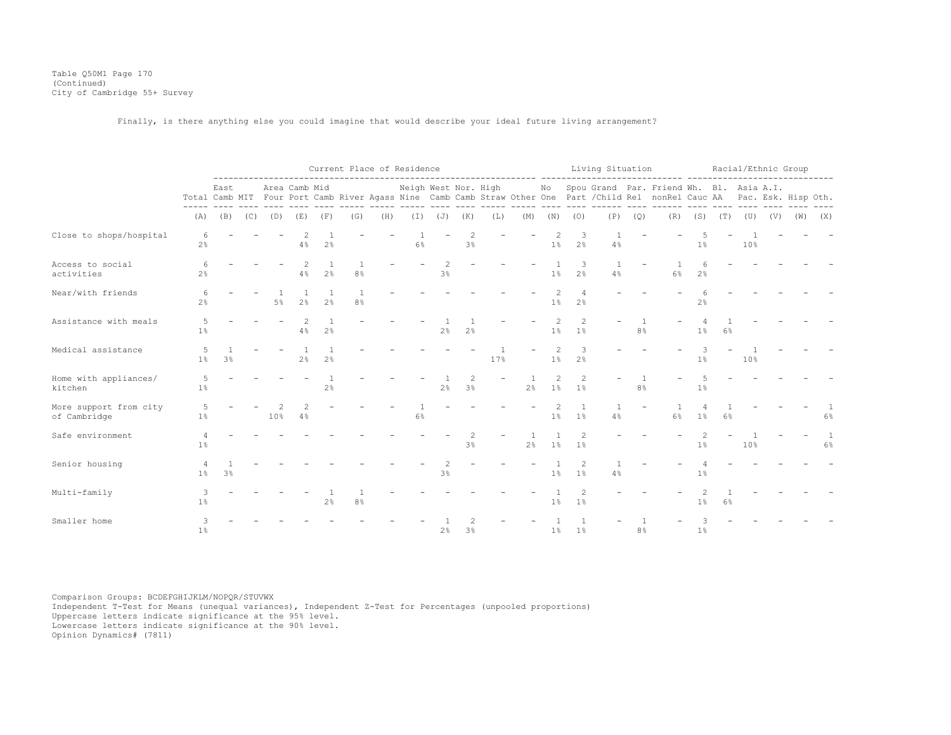Table Q50M1 Page 170 (Continued) City of Cambridge 55+ Survey

Finally, is there anything else you could imagine that would describe your ideal future living arrangement?

|                                        |                          |                |             |       |                     |                | Current Place of Residence       |     |                      |                |                                                                                                                              |             |                      |                      |                                  | Living Situation |                | ------- -------------                                                                                                                                                       |                                  |             |             |     | Racial/Ethnic Group |                       |
|----------------------------------------|--------------------------|----------------|-------------|-------|---------------------|----------------|----------------------------------|-----|----------------------|----------------|------------------------------------------------------------------------------------------------------------------------------|-------------|----------------------|----------------------|----------------------------------|------------------|----------------|-----------------------------------------------------------------------------------------------------------------------------------------------------------------------------|----------------------------------|-------------|-------------|-----|---------------------|-----------------------|
|                                        |                          | East           |             |       | Area Camb Mid       |                |                                  |     | Neigh West Nor. High |                |                                                                                                                              | and control |                      |                      |                                  |                  |                | No Spou Grand Par. Friend Wh. Bl. Asia A.I.<br>Total Camb MIT Four Port Camb River Agass Nine Camb Camb Straw Other One Part / Child Rel nonRel Cauc AA Pac. Esk. Hisp Oth. |                                  |             | ----------- |     |                     |                       |
|                                        | (A)                      |                | $(B)$ $(C)$ | (D)   | (E)                 | (F)            | (G)                              | (H) |                      | $(J)$ $(J)$    | (K)                                                                                                                          | (L)         | (M)                  | (N)                  | (0)                              | (P)              | (Q)            | (R)                                                                                                                                                                         |                                  | $(S)$ $(T)$ | (U)         | (V) | (W)                 | (X)                   |
| Close to shops/hospital                | 6<br>$2\frac{6}{6}$      |                |             |       | 4%                  | 2 <sup>°</sup> |                                  |     | 6%                   |                | 3%                                                                                                                           |             |                      | $1\%$                | 3<br>2 <sup>°</sup>              | 4%               |                |                                                                                                                                                                             | 1%                               |             | 10%         |     |                     |                       |
| Access to social<br>activities         | $2\frac{6}{6}$           |                |             |       | 4%                  | 2 <sup>°</sup> | 8 <sup>°</sup>                   |     |                      | 3%             |                                                                                                                              |             |                      | 1 <sup>°</sup>       | 3<br>2 <sup>°</sup>              | 4%               |                | $6\%$                                                                                                                                                                       | 6<br>2 <sup>°</sup>              |             |             |     |                     |                       |
| Near/with friends                      | 6<br>$2\frac{6}{6}$      |                |             | $5\%$ | 2%                  | 2.8            | $\overline{1}$<br>8 <sup>°</sup> |     |                      |                |                                                                                                                              |             |                      | $\mathfrak{D}$<br>1% | 2 <sup>°</sup>                   |                  |                |                                                                                                                                                                             | $2\frac{6}{9}$                   |             |             |     |                     |                       |
| Assistance with meals                  | 1%                       |                |             |       | $\mathcal{L}$<br>4% | 2%             |                                  |     |                      | 2%             | 2%                                                                                                                           |             |                      | 2<br>$1\%$           | $\mathcal{L}$<br>1%              |                  | 8%             |                                                                                                                                                                             | 1%                               | 6%          |             |     |                     |                       |
| Medical assistance                     | $5\overline{2}$<br>$1\%$ | 3 <sup>°</sup> |             |       | 2%                  | 2 <sup>°</sup> |                                  |     |                      |                |                                                                                                                              | 17%         |                      | 2<br>1 <sup>°</sup>  | 3<br>2 <sup>°</sup>              |                  |                |                                                                                                                                                                             | 3<br>1%                          |             | 10%         |     |                     |                       |
| Home with appliances/<br>kitchen       | 5<br>1%                  |                |             |       |                     | 2%             |                                  |     |                      | 2 <sup>°</sup> | $\mathfrak{D}_{1}^{2}(\mathfrak{D}_{1})=\mathfrak{D}_{2}^{2}(\mathfrak{D}_{2})=\mathfrak{D}_{2}^{2}(\mathfrak{D}_{1})$<br>3% |             | $\overline{1}$<br>2% | 2<br>$1\%$           | $\mathfrak{D}$<br>1 <sup>°</sup> |                  | 8 <sup>°</sup> |                                                                                                                                                                             | 5<br>1%                          |             |             |     |                     |                       |
| More support from city<br>of Cambridge | 5<br>$1\%$               |                |             | 10%   | 4%                  |                |                                  |     | $6\%$                |                |                                                                                                                              |             |                      | 2<br>1%              | 1%                               | 4%               |                | $6\%$                                                                                                                                                                       | $\overline{4}$<br>1 <sup>°</sup> | $6\%$       |             |     |                     | $6\%$                 |
| Safe environment                       | $1\%$                    |                |             |       |                     |                |                                  |     |                      |                | $\mathfrak{D}_{1}^{2}(\mathfrak{D}_{1})=\mathfrak{D}_{2}^{2}(\mathfrak{D}_{2})=\mathfrak{D}_{2}^{2}(\mathfrak{D}_{1})$<br>3% |             | 2%                   | $1\%$                | 1 <sup>°</sup>                   |                  |                |                                                                                                                                                                             | 2<br>$1\%$                       |             | 10%         |     |                     | $\mathbf{1}$<br>$6\%$ |
| Senior housing                         | $1\%$                    | 3 <sup>°</sup> |             |       |                     |                |                                  |     |                      | 3 <sup>°</sup> |                                                                                                                              |             |                      | 1%                   | 1%                               | 4%               |                |                                                                                                                                                                             | 1%                               |             |             |     |                     |                       |
| Multi-family                           | 3<br>$1\%$               |                |             |       |                     | 2 <sup>°</sup> | 8 <sup>°</sup>                   |     |                      |                |                                                                                                                              |             |                      | 1%                   | 1%                               |                  |                |                                                                                                                                                                             | 1%                               | 6%          |             |     |                     |                       |
| Smaller home                           | 3<br>1%                  |                |             |       |                     |                |                                  |     |                      | 2%             | 3%                                                                                                                           |             |                      | $1\%$                | 1 <sup>°</sup>                   |                  | 8 <sup>°</sup> |                                                                                                                                                                             | $1\%$                            |             |             |     |                     |                       |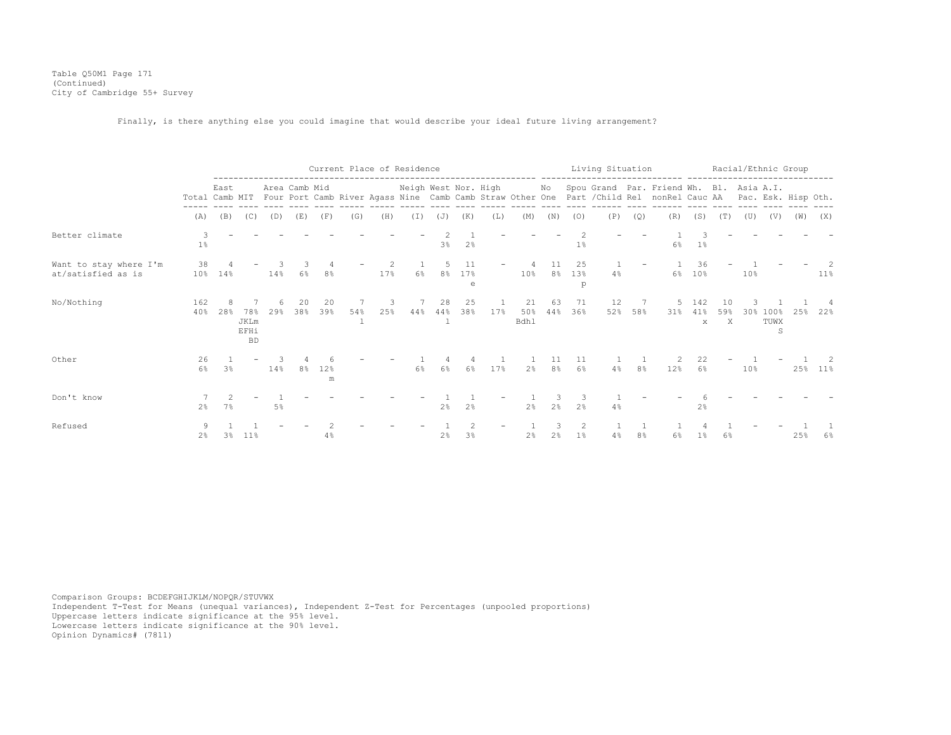Table Q50M1 Page 171 (Continued) City of Cambridge 55+ Survey

Finally, is there anything else you could imagine that would describe your ideal future living arrangement?

|                                              |                |                |                                  |        |               |           |           | Current Place of Residence |                      |                 |                      |                     |                          |                   |                | Living Situation |         |                                                                                                                                                                             |                            |                |     |                   | Racial/Ethnic Group |         |
|----------------------------------------------|----------------|----------------|----------------------------------|--------|---------------|-----------|-----------|----------------------------|----------------------|-----------------|----------------------|---------------------|--------------------------|-------------------|----------------|------------------|---------|-----------------------------------------------------------------------------------------------------------------------------------------------------------------------------|----------------------------|----------------|-----|-------------------|---------------------|---------|
|                                              |                | East           |                                  |        | Area Camb Mid |           |           |                            | Neigh West Nor. High |                 |                      |                     |                          |                   |                |                  |         | No Spou Grand Par. Friend Wh. Bl. Asia A.I.<br>Total Camb MIT Four Port Camb River Agass Nine Camb Camb Straw Other One Part / Child Rel nonRel Cauc AA Pac. Esk. Hisp Oth. |                            |                |     |                   |                     |         |
|                                              | (A)            | (B)            | (C)                              | (D)    | (E)           | (F)       | (G)       | (H)                        | (T)                  | (J)             | (K)                  | (L)                 | (M)                      | (N)               | (0)            | (P)              | (Q)     | (R)                                                                                                                                                                         | (S)                        | (T)            | (U) | (V)               | (W)                 | (X)     |
| Better climate                               | 3<br>1%        |                |                                  |        |               |           |           |                            |                      | 3%              | 2%                   |                     |                          |                   | 1%             |                  |         | $6\%$                                                                                                                                                                       | $1\,$ s                    |                |     |                   |                     |         |
| Want to stay where I'm<br>at/satisfied as is | 38<br>$10\%$   | 14%            |                                  | $14\%$ | 6%            | 8%        |           | 2<br>17%                   | 6%                   | 8%              | 11<br>17%<br>e       |                     | 10%                      | 11<br>8%          | 25<br>13%<br>p | $4\%$            |         | 6%                                                                                                                                                                          | 36<br>$10\%$               |                | 10% |                   |                     | $11\%$  |
| No/Nothing                                   | 162<br>40%     | 28%            | 78%<br>JKLm<br>EFHi<br><b>BD</b> | 29%    | 38%           | 20<br>39% | 54%<br>-1 | 25%                        | 44%                  | 28<br>44%<br>-1 | 25<br>38%            | $\mathbf{1}$<br>17% | 21<br>50%<br><b>Bdhl</b> | 63<br>44%         | 71<br>36%      | 12               | 52% 58% | 31%                                                                                                                                                                         | 142<br>41%<br>$\mathbf{x}$ | 10<br>59%<br>X | 30% | 100%<br>TUWX<br>S | 25%                 | 22%     |
| Other                                        | 26<br>$6\%$    | 3 <sup>°</sup> |                                  | 14%    | 8 %           | 12%<br>m  |           |                            | 6%                   | $6\%$           | 4<br>$6\%$           | 17%                 |                          | 11<br>$2\%$ $8\%$ | 11<br>$6\%$    | 4%               | $8\%$   | 12%                                                                                                                                                                         | 22<br>$6\%$                |                | 10% |                   |                     | 25% 11% |
| Don't know                                   | 2 <sup>°</sup> | 7%             |                                  | 5%     |               |           |           |                            |                      | 2 <sup>8</sup>  | 2 <sup>°</sup>       |                     | 2 <sup>8</sup>           | 2%                | 2 <sup>°</sup> | 4%               |         |                                                                                                                                                                             | 2 <sup>8</sup>             |                |     |                   |                     |         |
| Refused                                      | $2\%$          | 3%             | $11\%$                           |        |               | 4%        |           |                            |                      | 2%              | $\overline{c}$<br>3% |                     | 2%                       | 3<br>2%           | 2<br>1%        | 4%               | 8%      | 6%                                                                                                                                                                          | $1\%$                      | 6%             |     |                   | 25%                 | $6\%$   |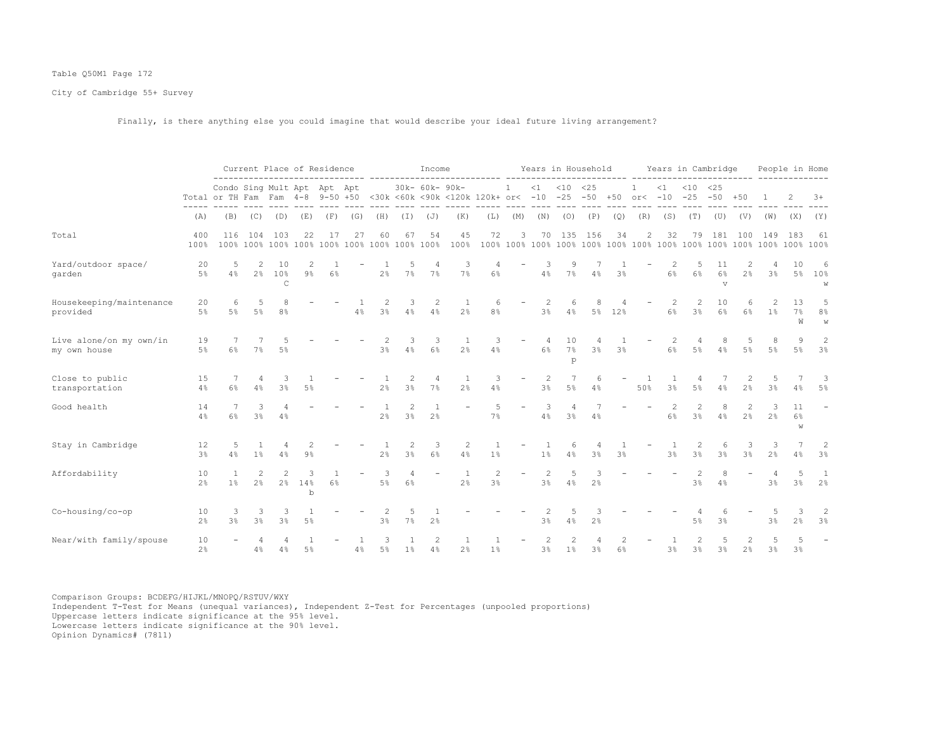## Table Q50M1 Page 172

City of Cambridge 55+ Survey

Finally, is there anything else you could imagine that would describe your ideal future living arrangement?

|                                         |                      |                                                                 |                                 | Current Place of Residence |                       |     |                                |                     |            | Income               |                                                |                      |                          |                     | Years in Household |                    |                |                            |                      | Years in Cambridge                                                                                                                                                  |                             |                |                      |               | People in Home           |
|-----------------------------------------|----------------------|-----------------------------------------------------------------|---------------------------------|----------------------------|-----------------------|-----|--------------------------------|---------------------|------------|----------------------|------------------------------------------------|----------------------|--------------------------|---------------------|--------------------|--------------------|----------------|----------------------------|----------------------|---------------------------------------------------------------------------------------------------------------------------------------------------------------------|-----------------------------|----------------|----------------------|---------------|--------------------------|
|                                         |                      | Condo Sing Mult Apt Apt Apt<br>Total or TH Fam Fam 4-8 9-50 +50 |                                 |                            |                       |     |                                |                     |            | 30k- 60k- 90k-       | <30k <60k <90k <120k 120k+ or< -10 -25 -50 +50 |                      | $\mathbf{1}$             | <1                  | $< 10$ $< 25$      |                    |                | $\mathbf{1}$<br>$or < -10$ | <1                   | $< 10$ $< 25$<br>$-25 - 50$                                                                                                                                         |                             | $+50$          |                      |               | $3+$                     |
|                                         | (A)                  | (B)                                                             | (C)                             | (D)                        | (E)                   | (F) | (G)                            | (H)                 | (I)        | (J)                  | (K)                                            | (L)                  | (M)                      | (N)                 | $- - - - -$<br>(0) | $- - - - -$<br>(P) | (Q)            | (R)                        | (S)                  | (T)                                                                                                                                                                 | (U)                         | (V)            | (W)                  | (X)           | (Y)                      |
| Total                                   | 400<br>100%          | 116<br>100%                                                     | 104                             | 103<br>100% 100%           | 22                    | 17  | 27<br>100% 100% 100% 100% 100% | 60                  | 67         | 54<br>100%           | 45<br>100%                                     | 72                   | 3                        | 70                  | 135                | 156                | 34             | 2                          | 32                   | 79                                                                                                                                                                  | 181                         | 100            | 149                  | 183           | 61<br>100%               |
| Yard/outdoor space/<br>qarden           | 20<br>5%             | -5<br>4%                                                        | 2<br>$2\%$                      | 10<br>10%<br>$\mathsf{C}$  | 9%                    | 6%  |                                | 2%                  | 5<br>7%    | 4<br>7%              | 3<br>7%                                        | 4<br>6%              |                          | 3<br>4%             | 9<br>7%            | 4%                 | 3%             |                            | 2<br>6%              | 5<br>$6\%$                                                                                                                                                          | 11<br>$6\%$<br>$\mathbf{V}$ | $2\frac{6}{6}$ | 3%                   | 10<br>5%      | 6<br>10%<br>W            |
| Housekeeping/maintenance<br>provided    | 20<br>5 <sup>°</sup> | 6<br>$5\%$                                                      | 5<br>$5\%$                      | 8<br>8 <sup>°</sup>        |                       |     | 4%                             | 2<br>3%             | 3<br>4%    | 2<br>4%              | 1<br>$2\%$                                     | 6<br>8 <sup>°</sup>  |                          | 2<br>$3\frac{6}{9}$ | 6<br>4%            | 8<br>$5\%$         | 12%            |                            | 2<br>6%              | 2<br>3%                                                                                                                                                             | 10<br>$6\%$                 | $6\%$          | 1 <sup>°</sup>       | 13<br>7%<br>W | 5<br>8%<br>W             |
| Live alone/on my own/in<br>my own house | 19<br>5 <sup>°</sup> | 6%                                                              | 7%                              | 5%                         |                       |     |                                | 2<br>$3\frac{6}{9}$ | 3<br>4%    | 3<br>$6\%$           | -1<br>2 <sup>°</sup>                           | 3<br>4%              |                          | 4<br>6%             | 10<br>7%<br>p      | 3%                 | 3 <sup>°</sup> |                            | 2<br>6%              | 5%                                                                                                                                                                  | 8<br>4%                     | 5%             | 8<br>5%              | 9<br>$5\%$    | $\overline{c}$<br>3%     |
| Close to public<br>transportation       | 15<br>4%             | 6%                                                              | 4<br>4%                         | 3<br>3%                    | .5%                   |     |                                | 2 <sup>°</sup>      | 2<br>3%    | $\overline{4}$<br>7% | 2 <sup>°</sup>                                 | 3<br>4%              |                          | 2<br>3%             | 7<br>5%            | 6<br>4%            |                | $\overline{1}$<br>50%      | 3%                   | 5 <sup>°</sup>                                                                                                                                                      | 4%                          | 2 <sup>°</sup> | 5<br>3%              | 4%            | 3<br>5%                  |
| Good health                             | 14<br>$4\%$          | $6\%$                                                           | 3<br>3%                         | 4<br>4%                    |                       |     |                                | 2%                  | 2<br>3%    | $\mathbf{1}$<br>2%   |                                                | 5<br>7%              |                          | 3<br>4%             | 4<br>3%            | 4%                 |                |                            | $\overline{c}$<br>6% | $\overline{2}$<br>3%                                                                                                                                                | 8<br>4%                     | 2%             | 3<br>2%              | 11<br>6%<br>W |                          |
| Stay in Cambridge                       | 12<br>3 <sup>°</sup> | -5<br>4%                                                        | 1%                              | 4<br>4%                    | 9%                    |     |                                | 2 <sup>°</sup>      | 2<br>3%    | 3<br>6%              | 2<br>4%                                        | 1 <sup>°</sup>       |                          | $1\%$               | 6<br>4%            | 3%                 | 3%             |                            | 3%                   | 2<br>3%                                                                                                                                                             | 6<br>3%                     | 3%             | 3<br>2%              | 4%            | 2<br>3%                  |
| Affordability                           | 10<br>2 <sup>°</sup> | $\overline{1}$<br>1%                                            | $\mathcal{L}$<br>2 <sup>°</sup> | 2                          | 2% 14%<br>$\mathbf b$ | 6%  |                                | 3<br>$5\%$          | 4<br>$6\%$ | $\equiv$             | 2%                                             | $\overline{2}$<br>3% | $\overline{\phantom{a}}$ | 2<br>3%             | 5<br>4%            | 3<br>2%            |                |                            |                      | 2<br>3%                                                                                                                                                             | 8<br>4%                     |                | $\overline{4}$<br>3% | 5<br>3%       | $\overline{1}$<br>2%     |
| Co-housing/co-op                        | 10<br>2%             | 3<br>3 <sup>°</sup>                                             | 3<br>3%                         | 3<br>3 <sup>°</sup>        | $5\%$                 |     |                                | 2<br>3%             | 5<br>7%    | $2\frac{6}{6}$       |                                                |                      |                          | 2<br>3%             | 5<br>4%            | 3<br>2%            |                |                            |                      | $5\%$                                                                                                                                                               | 6<br>3%                     |                | 5<br>3%              | 3<br>2%       | $\overline{2}$<br>3%     |
| Near/with family/spouse                 | 10<br>2%             |                                                                 | 4%                              | 4%                         | $5\%$                 |     | 4%                             | 3<br>5%             | $1\%$      | 2<br>4%              | 2%                                             | 1%                   |                          | 3%                  | 2<br>1%            | 3%                 | 6%             |                            | 3%                   | $\mathfrak{D}_{1}^{2}(\mathfrak{D}_{1})=\mathfrak{D}_{2}^{2}(\mathfrak{D}_{2})=\mathfrak{D}_{2}^{2}(\mathfrak{D}_{1})=\mathfrak{D}_{2}^{2}(\mathfrak{D}_{2})$<br>3% | 5<br>3%                     | 2%             | 3%                   | 5<br>3%       | $\overline{\phantom{a}}$ |

Comparison Groups: BCDEFG/HIJKL/MNOPQ/RSTUV/WXY Independent T-Test for Means (unequal variances), Independent Z-Test for Percentages (unpooled proportions) Uppercase letters indicate significance at the 95% level. Lowercase letters indicate significance at the 90% level.

Opinion Dynamics# (7811)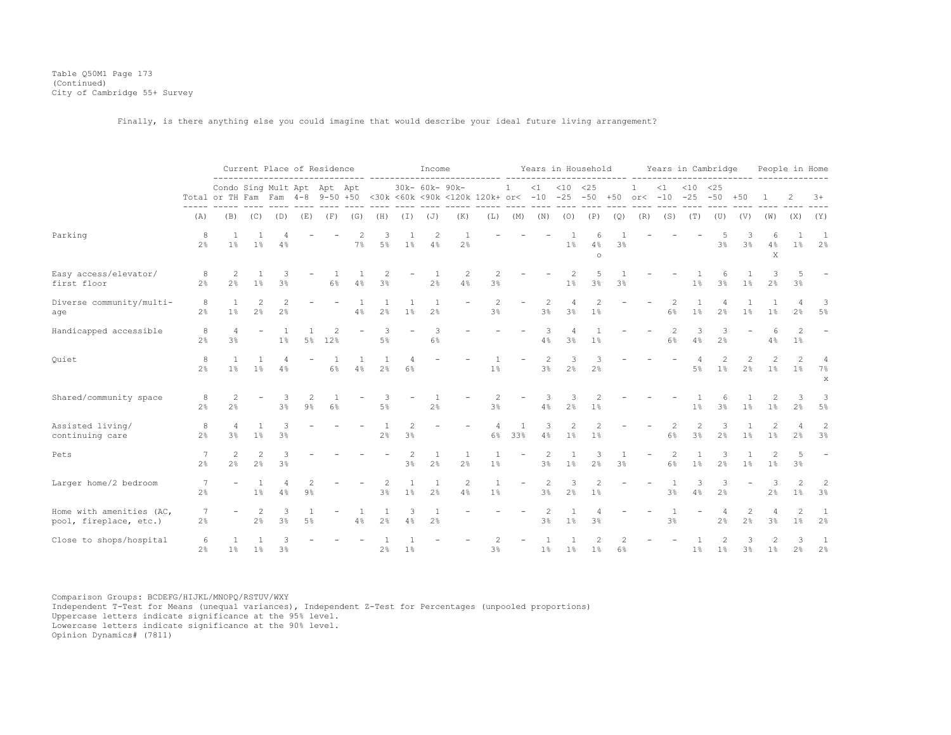Table Q50M1 Page 173 (Continued) City of Cambridge 55+ Survey

Finally, is there anything else you could imagine that would describe your ideal future living arrangement?

|                                                    |                      |                             |                          | Current Place of Residence       |                |             |                      |                                |         | Income              |                                                                                 |                         |                          |            |                       | Years in Household   |     |                            |                      |                             | Years in Cambridge              |                                  |                      |                         | People in Home                      |
|----------------------------------------------------|----------------------|-----------------------------|--------------------------|----------------------------------|----------------|-------------|----------------------|--------------------------------|---------|---------------------|---------------------------------------------------------------------------------|-------------------------|--------------------------|------------|-----------------------|----------------------|-----|----------------------------|----------------------|-----------------------------|---------------------------------|----------------------------------|----------------------|-------------------------|-------------------------------------|
|                                                    |                      | Condo Sing Mult Apt Apt Apt |                          |                                  |                |             |                      |                                |         | 30k- 60k- 90k-      | Total or TH Fam Fam 4-8 9-50 +50 <30k <60k <90k <120k 120k+ or< -10 -25 -50 +50 |                         | 1                        | $\leq 1$   | $< 10$ $< 25$         |                      |     | $\mathbf{1}$<br>$or < -10$ | $\leq 1$             | $< 10$ $< 25$<br>$-25 - 50$ |                                 | $+50$                            |                      |                         | $3+$                                |
|                                                    | (A)                  | (B)                         | (C)                      | (D)                              | (E)            | (F)         | (G)                  | (H)                            | (I)     | $(\mathbb{J})$      | (K)                                                                             | (L)                     | (M)                      | (N)        | (0)                   | (P)                  | (Q) | (R)                        | (S)                  | (T)                         | (U)                             | (V)                              | (W)                  | (X)                     | (Y)                                 |
| Parking                                            | 8<br>2 <sup>°</sup>  | $1\%$                       | 1%                       | 4%                               |                |             | 7%                   | 5%                             | $1\%$   | 2<br>4%             | 2%                                                                              |                         |                          |            | 1%                    | 4%<br>$\circ$        | 3%  |                            |                      |                             | 3%                              | 3%                               | 4%<br>X              | $1\%$                   | 1<br>2%                             |
| Easy access/elevator/<br>first floor               | 8<br>2 <sup>°</sup>  | 2<br>$2\frac{6}{5}$         | 1%                       | 3%                               |                | $6\%$       | 4%                   | 3%                             |         | 2%                  | 2<br>4%                                                                         | 2<br>3%                 |                          |            | 2<br>1 <sup>°</sup>   | 3%                   | 3%  |                            |                      | 1 <sup>°</sup>              | 6<br>3%                         | 1%                               | 2 <sup>°</sup>       | 5<br>3 <sup>8</sup>     |                                     |
| Diverse community/multi-<br>age                    | 8<br>$2\%$           | 1<br>1%                     | $\overline{c}$<br>2%     | $\overline{c}$<br>2 <sup>°</sup> |                |             | 4%                   | 2%                             | $1\%$   | 1<br>2%             |                                                                                 | $\overline{c}$<br>3%    | $\overline{\phantom{a}}$ | 2<br>3%    | 4<br>3%               | $\overline{c}$<br>1% |     |                            | $\overline{c}$<br>6% | 1%                          | 2 <sup>°</sup>                  | 1%                               | $\overline{1}$<br>1% | 2%                      | 3<br>5%                             |
| Handicapped accessible                             | 8<br>2 <sup>°</sup>  | $\overline{4}$<br>3%        |                          | 1%                               | $5\%$          | 12%         |                      | 3<br>5%                        |         | 3<br>$6\%$          |                                                                                 |                         |                          | 3<br>$4\%$ | 3%                    | 1%                   |     |                            | $\overline{c}$<br>6% | 3<br>4%                     | 3<br>2 <sup>°</sup>             |                                  | 6<br>4%              | 2<br>$1\%$              | $\overline{\phantom{a}}$            |
| Quiet                                              | 8<br>2 <sup>8</sup>  | $\overline{1}$<br>$1\%$     | $1\%$                    | 4<br>4%                          |                | -1<br>$6\%$ | $\overline{1}$<br>4% | $\mathbf{1}$<br>2 <sup>°</sup> | 4<br>6% |                     |                                                                                 | 1 <sup>°</sup>          |                          | 2<br>3%    | 3<br>2 <sup>°</sup>   | 3<br>2 <sup>°</sup>  |     |                            |                      | 4<br>5 <sup>°</sup>         | 2<br>$1\%$                      | $\overline{c}$<br>2 <sup>°</sup> | 2<br>1 <sup>°</sup>  | $\mathfrak{D}$<br>$1\%$ | $\overline{4}$<br>7%<br>$\mathbf x$ |
| Shared/community space                             | 8<br>2%              | 2<br>2%                     | $\overline{\phantom{m}}$ | 3<br>3%                          | $9\%$          | 6%          |                      | 3<br>$5\%$                     |         | 2%                  |                                                                                 | 2<br>3%                 | $\overline{\phantom{a}}$ | 3<br>$4\%$ | 3<br>2%               | $\overline{c}$<br>1% |     |                            |                      | 1%                          | 3%                              | 1%                               | $1\%$                | 3<br>2 <sup>°</sup>     | 3<br>5%                             |
| Assisted living/<br>continuing care                | 8<br>2%              | $\overline{4}$<br>3%        | $1\%$                    | 3%                               |                |             |                      | $2\frac{6}{6}$                 | 3%      |                     |                                                                                 | $\overline{4}$<br>$6\%$ | $\overline{1}$<br>33%    | 3<br>4%    | 2<br>$1\%$            | 1%                   |     |                            | 6%                   | 2<br>$3\%$                  | $2\%$                           | 1%                               | 2<br>1%              | Δ<br>2%                 | $\overline{c}$<br>3%                |
| Pets                                               | 7<br>2 <sup>8</sup>  | $\overline{2}$<br>2%        | 2<br>2%                  | 3<br>3%                          |                |             |                      |                                | 2<br>3% | 1<br>2%             | -1<br>2%                                                                        | $1\%$                   |                          | 2<br>3%    | $\mathbf{1}$<br>$1\%$ | 3<br>2%              | 3%  | $\overline{\phantom{m}}$   | 2<br>6%              | $\mathbf{1}$<br>$1\%$       | 3<br>2%                         | 1 <sup>°</sup>                   | 2<br>1 <sup>°</sup>  | 5<br>3%                 |                                     |
| Larger home/2 bedroom                              | -7<br>2 <sup>°</sup> |                             | 1 <sup>°</sup>           | 4<br>4%                          | $9\frac{6}{6}$ |             |                      | 2<br>3%                        | 1%      | 1<br>2 <sup>°</sup> | $\overline{c}$<br>4%                                                            | $1\%$                   |                          | 2<br>3%    | 3<br>2%               | 2<br>1%              |     |                            | 3%                   | 3<br>4%                     | 3<br>2%                         |                                  | 3<br>2%              | $\mathfrak{D}$<br>$1\%$ | $\overline{2}$<br>3%                |
| Home with amenities (AC,<br>pool, fireplace, etc.) | 7<br>2%              |                             | 2<br>2%                  | 3<br>3 <sup>°</sup>              | $5\%$          |             | 4%                   | 1<br>2%                        | 3<br>4% | 2%                  |                                                                                 |                         |                          | 2<br>3%    | 1 <sup>°</sup>        | 3%                   |     |                            | 3%                   |                             | $\overline{4}$<br>2%            | 2<br>2 <sup>°</sup>              | 4<br>3%              | 2<br>1 <sup>°</sup>     | 1<br>2%                             |
| Close to shops/hospital                            | 6<br>2 <sup>°</sup>  | $1\%$                       | $1\%$                    | 3<br>3 <sup>°</sup>              |                |             |                      | 2%                             | 1%      |                     |                                                                                 | 2<br>3%                 |                          | 1%         | 1%                    | 1%                   | 6%  |                            |                      | 1%                          | $\mathcal{D}$<br>1 <sup>°</sup> | 3<br>3 <sup>°</sup>              | 2<br>1%              | 3<br>2 <sup>°</sup>     | 1<br>2 <sup>°</sup>                 |

Comparison Groups: BCDEFG/HIJKL/MNOPQ/RSTUV/WXY Independent T-Test for Means (unequal variances), Independent Z-Test for Percentages (unpooled proportions) Uppercase letters indicate significance at the 95% level. Lowercase letters indicate significance at the 90% level.

Opinion Dynamics# (7811)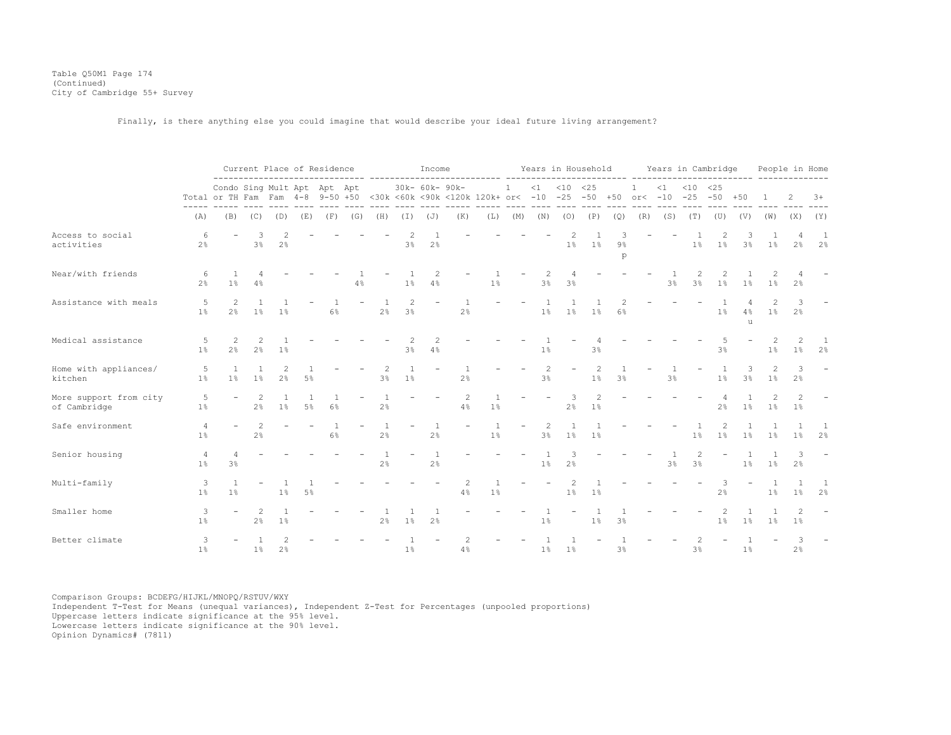Table Q50M1 Page 174 (Continued) City of Cambridge 55+ Survey

Finally, is there anything else you could imagine that would describe your ideal future living arrangement?

|                                        | Current Place of Residence |                                                                                                                |                                  |                      |       |       |                   | Income                           |                     |                          |                      |                         |                          | Years in Household |                     |                                         |            |                            |          | Years in Cambridge          | People in Home           |         |                         |                                  |                          |
|----------------------------------------|----------------------------|----------------------------------------------------------------------------------------------------------------|----------------------------------|----------------------|-------|-------|-------------------|----------------------------------|---------------------|--------------------------|----------------------|-------------------------|--------------------------|--------------------|---------------------|-----------------------------------------|------------|----------------------------|----------|-----------------------------|--------------------------|---------|-------------------------|----------------------------------|--------------------------|
|                                        | -----<br>(A)               | Condo Sing Mult Apt Apt Apt<br>Total or TH Fam Fam 4-8 9-50 +50 <30k <60k <90k <120k 120k+ or< -10 -25 -50 +50 |                                  |                      |       |       |                   |                                  |                     | 30k- 60k- 90k-           |                      |                         | $\mathbf{1}$             |                    | $<1$ $<10$ $<25$    |                                         |            | $\mathbf{1}$<br>$or < -10$ | $\leq 1$ | $< 10$ $< 25$<br>$-25 - 50$ |                          | $+50$   |                         |                                  | $3+$                     |
|                                        |                            | (B)                                                                                                            | (C)                              | (D)                  |       |       | $(E)$ $(F)$ $(G)$ | (H)                              |                     | $(I)$ $(J)$              | (K)                  |                         |                          |                    | $- - - - -$         | $----$<br>$(L)$ $(M)$ $(N)$ $(O)$ $(P)$ | (Q)        | (R)                        | (S)      | (T)                         | (U)                      | (V)     | (W)                     | (X)                              | (Y)                      |
| Access to social<br>activities         | 6<br>2 <sup>°</sup>        |                                                                                                                | 3<br>3%                          | $\mathcal{L}$<br>2%  |       |       |                   |                                  | $3\frac{6}{6}$      | $2\%$                    |                      |                         |                          |                    | 2<br>1%             | 1%                                      | $9\%$<br>p |                            |          | 1%                          | 2<br>1%                  | 3%      | 1%                      | $\overline{4}$<br>2 <sup>°</sup> | 1<br>2%                  |
| Near/with friends                      | 6<br>2 <sup>°</sup>        | $1\%$                                                                                                          | 4%                               |                      |       |       | 4%                |                                  | 1 <sup>°</sup>      | 2<br>4%                  |                      | 1%                      |                          | 2<br>3%            | 4<br>$3\frac{6}{9}$ |                                         |            |                            | 3%       | 2<br>3%                     | 2<br>1%                  | 1%      | 2<br>1%                 | 2%                               |                          |
| Assistance with meals                  | 5<br>$1\%$                 | $\overline{2}$<br>2 <sup>°</sup>                                                                               | 1%                               | 1%                   |       | 6%    |                   | -1<br>2 <sup>°</sup>             | 2<br>$3\frac{6}{6}$ | $\overline{\phantom{a}}$ | 2%                   |                         |                          | $1\%$              | $1\%$               | 1%                                      | 6%         |                            |          |                             | $1\%$                    | 4%<br>u | $1\%$                   | 3<br>2%                          |                          |
| Medical assistance                     | 5<br>1 <sup>°</sup>        | 2<br>2 <sup>°</sup>                                                                                            | 2<br>$2\%$                       | 1 <sup>°</sup>       |       |       |                   |                                  | $\mathcal{L}$<br>3% | 2<br>4%                  |                      |                         |                          | 1%                 |                     | 3%                                      |            |                            |          |                             | 3%                       |         | 2<br>1 <sup>°</sup>     | 2<br>1%                          | 1<br>2 <sup>°</sup>      |
| Home with appliances/<br>kitchen       | 5<br>1 <sup>°</sup>        | $\overline{1}$<br>$1\%$                                                                                        | -1.<br>$1\%$                     | $\overline{c}$<br>2% | 5%    |       |                   | 2<br>3%                          | 1%                  |                          | 2%                   |                         |                          | 2<br>3%            |                     | 2<br>1 <sup>°</sup>                     | 3%         |                            | 3%       |                             | 1%                       | 3<br>3% | 2<br>1%                 | 3<br>2 <sup>°</sup>              |                          |
| More support from city<br>of Cambridge | 5<br>1%                    |                                                                                                                | 2<br>2 <sup>°</sup>              | 1%                   | $5\%$ | 6%    |                   | -1<br>2%                         |                     |                          | $\overline{c}$<br>4% | $\overline{1}$<br>$1\%$ |                          |                    | 3<br>2%             | 2<br>$1\%$                              |            |                            |          |                             | 2 <sup>°</sup>           | 1%      | 1%                      | 2<br>1%                          |                          |
| Safe environment                       | 4<br>1%                    |                                                                                                                | $\overline{c}$<br>$2\frac{6}{6}$ |                      |       | $6\%$ |                   | $2\%$                            |                     | $2\frac{6}{6}$           |                      | $\overline{1}$<br>1%    | $\overline{\phantom{0}}$ | 2<br>3%            | $1\%$               | 1%                                      |            |                            |          | 1%                          | 2<br>$1\%$               | $1\%$   | 1 <sup>°</sup>          | 1%                               | 2%                       |
| Senior housing                         | 4<br>1 <sup>°</sup>        | 4<br>3%                                                                                                        |                                  |                      |       |       |                   | $\overline{1}$<br>$2\frac{6}{6}$ |                     | 2%                       |                      |                         |                          | 1%                 | 3<br>2%             |                                         |            |                            | 3%       | $\mathfrak{D}$<br>3%        | $\overline{\phantom{a}}$ | $1\%$   | 1%                      | 3<br>2 <sup>°</sup>              | $\overline{\phantom{a}}$ |
| Multi-family                           | 3<br>1%                    | $\overline{1}$<br>1%                                                                                           |                                  | 1%                   | $5\%$ |       |                   |                                  |                     |                          | 2<br>4%              | 1%                      |                          |                    | 2<br>1%             | 1%                                      |            |                            |          |                             | 3<br>$2\%$               |         | $\overline{1}$<br>$1\%$ | $\overline{1}$<br>$1\%$          | 1<br>2%                  |
| Smaller home                           | 3<br>1%                    |                                                                                                                | $\overline{c}$<br>2 <sup>°</sup> | $1\%$                |       |       |                   | 2%                               | 1 <sup>°</sup>      | 2%                       |                      |                         |                          | $1\%$              |                     | $1\%$                                   | 3%         |                            |          |                             | $1\%$                    | $1\%$   | 1%                      | 2<br>$1\%$                       |                          |
| Better climate                         | 3<br>1%                    |                                                                                                                | 1%                               | 2%                   |       |       |                   |                                  | $1\%$               |                          | 4%                   |                         |                          | $1\%$              | $1\%$               |                                         | 3%         |                            |          | 3%                          |                          | 1%      |                         | 3<br>2%                          |                          |

Comparison Groups: BCDEFG/HIJKL/MNOPQ/RSTUV/WXY Independent T-Test for Means (unequal variances), Independent Z-Test for Percentages (unpooled proportions) Uppercase letters indicate significance at the 95% level. Lowercase letters indicate significance at the 90% level.

Opinion Dynamics# (7811)